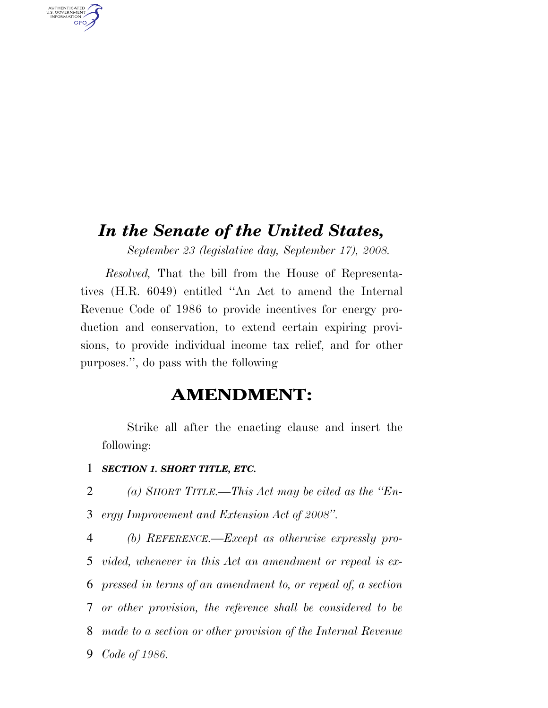# *In the Senate of the United States,*

*September 23 (legislative day, September 17), 2008.* 

*Resolved,* That the bill from the House of Representatives (H.R. 6049) entitled ''An Act to amend the Internal Revenue Code of 1986 to provide incentives for energy production and conservation, to extend certain expiring provisions, to provide individual income tax relief, and for other purposes.'', do pass with the following

## **AMENDMENT:**

Strike all after the enacting clause and insert the following:

1 *SECTION 1. SHORT TITLE, ETC.* 

AUTHENTICATED<br>U.S. GOVERNMENT<br>INFORMATION **GPO** 

2 *(a) SHORT TITLE.—This Act may be cited as the ''En-*

3 *ergy Improvement and Extension Act of 2008''.* 

 *(b) REFERENCE.—Except as otherwise expressly pro- vided, whenever in this Act an amendment or repeal is ex- pressed in terms of an amendment to, or repeal of, a section or other provision, the reference shall be considered to be made to a section or other provision of the Internal Revenue Code of 1986.*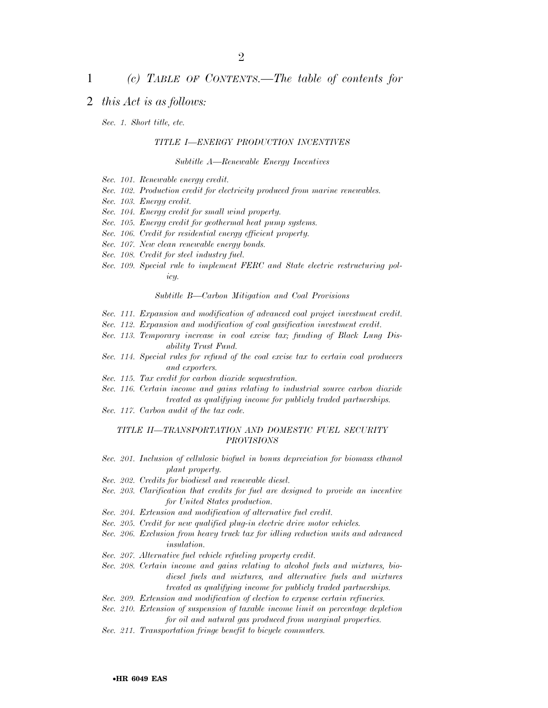## 1 *(c) TABLE OF CONTENTS.—The table of contents for*

## 2 *this Act is as follows:*

*Sec. 1. Short title, etc.* 

### *TITLE I—ENERGY PRODUCTION INCENTIVES*

*Subtitle A—Renewable Energy Incentives* 

- *Sec. 101. Renewable energy credit.*
- *Sec. 102. Production credit for electricity produced from marine renewables.*
- *Sec. 103. Energy credit.*
- *Sec. 104. Energy credit for small wind property.*
- *Sec. 105. Energy credit for geothermal heat pump systems.*
- *Sec. 106. Credit for residential energy efficient property.*
- *Sec. 107. New clean renewable energy bonds.*
- *Sec. 108. Credit for steel industry fuel.*
- *Sec. 109. Special rule to implement FERC and State electric restructuring policy.*

*Subtitle B—Carbon Mitigation and Coal Provisions* 

- *Sec. 111. Expansion and modification of advanced coal project investment credit.*
- *Sec. 112. Expansion and modification of coal gasification investment credit.*
- *Sec. 113. Temporary increase in coal excise tax; funding of Black Lung Disability Trust Fund.*
- *Sec. 114. Special rules for refund of the coal excise tax to certain coal producers and exporters.*
- *Sec. 115. Tax credit for carbon dioxide sequestration.*
- *Sec. 116. Certain income and gains relating to industrial source carbon dioxide treated as qualifying income for publicly traded partnerships.*
- *Sec. 117. Carbon audit of the tax code.*

### *TITLE II—TRANSPORTATION AND DOMESTIC FUEL SECURITY PROVISIONS*

- *Sec. 201. Inclusion of cellulosic biofuel in bonus depreciation for biomass ethanol plant property.*
- *Sec. 202. Credits for biodiesel and renewable diesel.*
- *Sec. 203. Clarification that credits for fuel are designed to provide an incentive for United States production.*
- *Sec. 204. Extension and modification of alternative fuel credit.*
- *Sec. 205. Credit for new qualified plug-in electric drive motor vehicles.*
- *Sec. 206. Exclusion from heavy truck tax for idling reduction units and advanced insulation.*
- *Sec. 207. Alternative fuel vehicle refueling property credit.*
- *Sec. 208. Certain income and gains relating to alcohol fuels and mixtures, biodiesel fuels and mixtures, and alternative fuels and mixtures treated as qualifying income for publicly traded partnerships.*
- *Sec. 209. Extension and modification of election to expense certain refineries.*
- *Sec. 210. Extension of suspension of taxable income limit on percentage depletion for oil and natural gas produced from marginal properties.*
- *Sec. 211. Transportation fringe benefit to bicycle commuters.*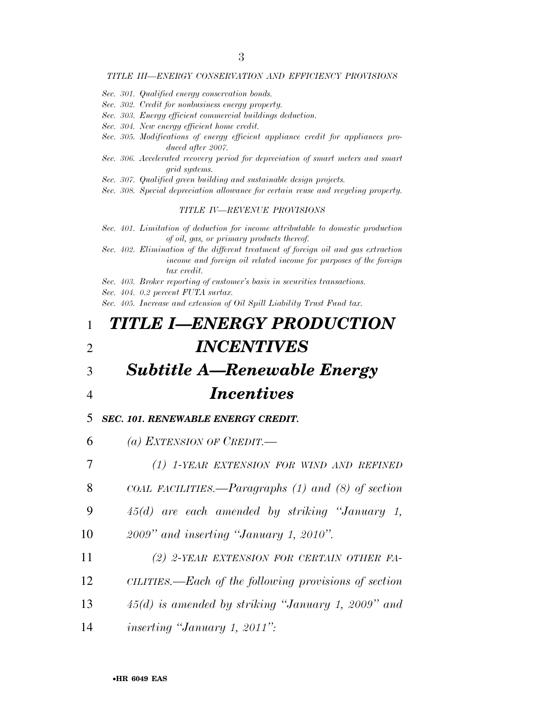#### *TITLE III—ENERGY CONSERVATION AND EFFICIENCY PROVISIONS*

- *Sec. 301. Qualified energy conservation bonds.*
- *Sec. 302. Credit for nonbusiness energy property.*
- *Sec. 303. Energy efficient commercial buildings deduction.*
- *Sec. 304. New energy efficient home credit.*
- *Sec. 305. Modifications of energy efficient appliance credit for appliances produced after 2007.*
- *Sec. 306. Accelerated recovery period for depreciation of smart meters and smart grid systems.*
- *Sec. 307. Qualified green building and sustainable design projects.*
- *Sec. 308. Special depreciation allowance for certain reuse and recycling property.*

#### *TITLE IV—REVENUE PROVISIONS*

- *Sec. 401. Limitation of deduction for income attributable to domestic production of oil, gas, or primary products thereof.*
- *Sec. 402. Elimination of the different treatment of foreign oil and gas extraction income and foreign oil related income for purposes of the foreign tax credit.*
- *Sec. 403. Broker reporting of customer's basis in securities transactions.*
- *Sec. 404. 0.2 percent FUTA surtax.*

*Sec. 405. Increase and extension of Oil Spill Liability Trust Fund tax.* 

# 1 *TITLE I—ENERGY PRODUCTION*  2 *INCENTIVES*

- 3 *Subtitle A—Renewable Energy*
- 

## 4 *Incentives*

5 *SEC. 101. RENEWABLE ENERGY CREDIT.* 

6 *(a) EXTENSION OF CREDIT.—* 

7 *(1) 1-YEAR EXTENSION FOR WIND AND REFINED*

8 *COAL FACILITIES.—Paragraphs (1) and (8) of section* 

- 9 *45(d) are each amended by striking ''January 1,*
- 10 *2009'' and inserting ''January 1, 2010''.*
- 11 *(2) 2-YEAR EXTENSION FOR CERTAIN OTHER FA-*
- 12 *CILITIES.—Each of the following provisions of section*
- 13 *45(d) is amended by striking ''January 1, 2009'' and*
- 14 *inserting ''January 1, 2011'':*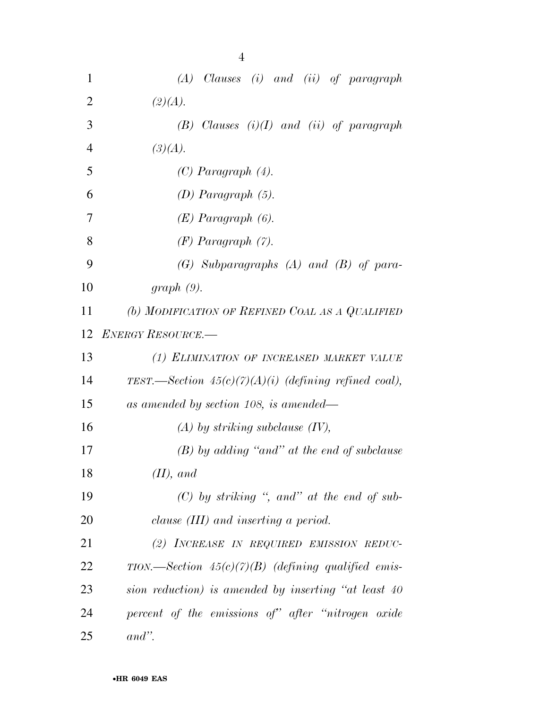| 1              | $(A)$ Clauses $(i)$ and $(ii)$ of paragraph                   |
|----------------|---------------------------------------------------------------|
| $\overline{2}$ | (2)(A).                                                       |
| 3              | $(B)$ Clauses $(i)(I)$ and $(ii)$ of paragraph                |
| $\overline{4}$ | (3)(A).                                                       |
| 5              | $(C)$ Paragraph $(4)$ .                                       |
| 6              | $(D)$ Paragraph $(5)$ .                                       |
| 7              | $(E)$ Paragraph $(6)$ .                                       |
| 8              | $(F)$ Paragraph $(7)$ .                                       |
| 9              | $(G)$ Subparagraphs $(A)$ and $(B)$ of para-                  |
| 10             | $graph(9)$ .                                                  |
| 11             | (b) MODIFICATION OF REFINED COAL AS A QUALIFIED               |
| 12             | <b>ENERGY RESOURCE.</b>                                       |
| 13             | (1) ELIMINATION OF INCREASED MARKET VALUE                     |
| 14             | TEST.—Section $45(c)(7)(A)(i)$ (defining refined coal),       |
| 15             | as amended by section 108, is amended—                        |
| 16             | $(A)$ by striking subclause $(IV)$ ,                          |
| 17             | $(B)$ by adding "and" at the end of subclause                 |
| 18             | $(II)$ , and                                                  |
| 19             | $(C)$ by striking ", and" at the end of sub-                  |
| 20             | clause (III) and inserting a period.                          |
| 21             | (2) INCREASE IN REQUIRED EMISSION REDUC-                      |
| 22             | $TION. \text{—Section 45}(c)(7)(B)$ (defining qualified emis- |
| 23             | sion reduction) is amended by inserting "at least 40          |
| 24             | percent of the emissions of" after "nitrogen oxide"           |
| 25             | $and$ ".                                                      |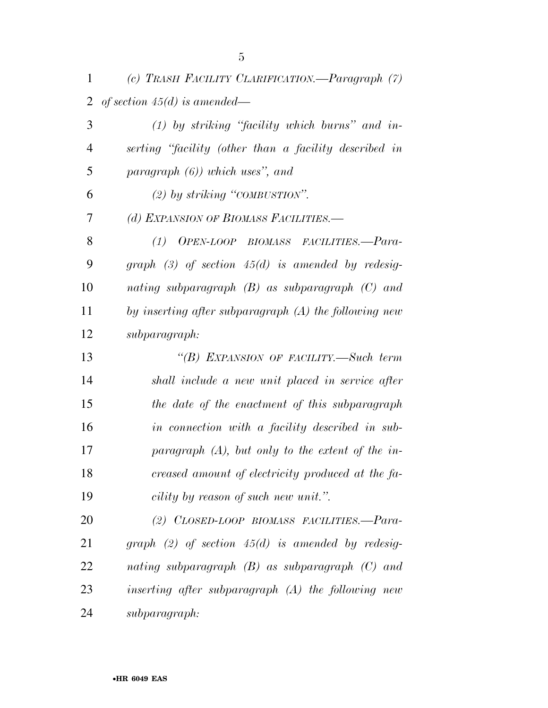*(c) TRASH FACILITY CLARIFICATION.—Paragraph (7) of section 45(d) is amended—* 

 *(1) by striking ''facility which burns'' and in- serting ''facility (other than a facility described in paragraph (6)) which uses'', and (2) by striking ''COMBUSTION''. (d) EXPANSION OF BIOMASS FACILITIES.— (1) OPEN-LOOP BIOMASS FACILITIES.—Para- graph (3) of section 45(d) is amended by redesig- nating subparagraph (B) as subparagraph (C) and by inserting after subparagraph (A) the following new subparagraph: ''(B) EXPANSION OF FACILITY.—Such term shall include a new unit placed in service after the date of the enactment of this subparagraph in connection with a facility described in sub- paragraph (A), but only to the extent of the in- creased amount of electricity produced at the fa- cility by reason of such new unit.''. (2) CLOSED-LOOP BIOMASS FACILITIES.—Para- graph (2) of section 45(d) is amended by redesig- nating subparagraph (B) as subparagraph (C) and inserting after subparagraph (A) the following new* 

*subparagraph:*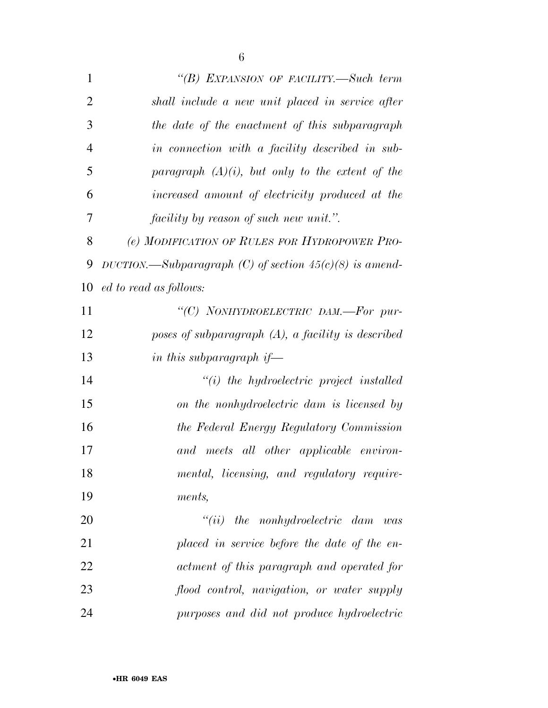| $\mathbf{1}$   | "(B) EXPANSION OF FACILITY.—Such term                     |
|----------------|-----------------------------------------------------------|
| $\overline{2}$ | shall include a new unit placed in service after          |
| 3              | the date of the enactment of this subparagraph            |
| $\overline{4}$ | in connection with a facility described in sub-           |
| 5              | paragraph $(A)(i)$ , but only to the extent of the        |
| 6              | increased amount of electricity produced at the           |
| 7              | <i>facility by reason of such new unit."</i> .            |
| 8              | (e) MODIFICATION OF RULES FOR HYDROPOWER PRO-             |
| 9              | DUCTION.—Subparagraph (C) of section $45(c)(8)$ is amend- |
| 10             | ed to read as follows:                                    |
| 11             | "(C) NONHYDROELECTRIC DAM.-For pur-                       |
| 12             | poses of subparagraph $(A)$ , a facility is described     |
| 13             | in this subparagraph if—                                  |
| 14             | $``(i)$ the hydroelectric project installed               |
| 15             | on the nonhydroelectric dam is licensed by                |
| 16             | the Federal Energy Regulatory Commission                  |
| 17             | and meets all other applicable environ-                   |
| 18             | mental, licensing, and regulatory require-                |
| 19             | ments,                                                    |
| 20             | $``(ii)$ the nonhydroelectric dam was                     |
| 21             | placed in service before the date of the en-              |
| 22             | actment of this paragraph and operated for                |
| 23             | flood control, navigation, or water supply                |
| 24             | purposes and did not produce hydroelectric                |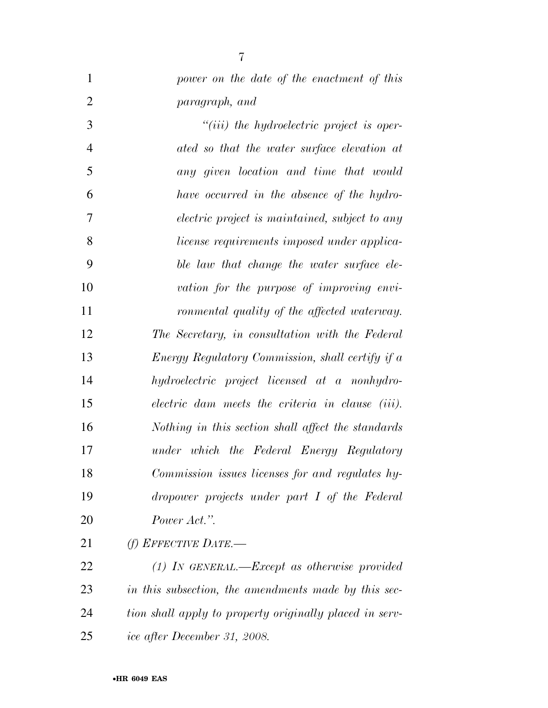| $\mathbf{1}$   | power on the date of the enactment of this         |
|----------------|----------------------------------------------------|
| $\overline{2}$ | paragraph, and                                     |
| 3              | $``(iii)$ the hydroelectric project is oper-       |
| $\overline{4}$ | ated so that the water surface elevation at        |
| 5              | any given location and time that would             |
| 6              | have occurred in the absence of the hydro-         |
| 7              | electric project is maintained, subject to any     |
| 8              | license requirements imposed under applica-        |
| 9              | ble law that change the water surface ele-         |
| 10             | vation for the purpose of improving envi-          |
| 11             | ronmental quality of the affected waterway.        |
| 12             | The Secretary, in consultation with the Federal    |
| 13             | Energy Regulatory Commission, shall certify if a   |
| 14             | hydroelectric project licensed at a nonhydro-      |
| 15             | electric dam meets the criteria in clause (iii).   |
| 16             | Nothing in this section shall affect the standards |
| 17             | under which the Federal Energy Regulatory          |
| 18             | Commission issues licenses for and regulates hy-   |
| 19             | dropower projects under part I of the Federal      |
| 20             | Power Act.".                                       |
| 21             | (f) EFFECTIVE DATE.—                               |

 *(1) IN GENERAL.—Except as otherwise provided in this subsection, the amendments made by this sec- tion shall apply to property originally placed in serv-ice after December 31, 2008.*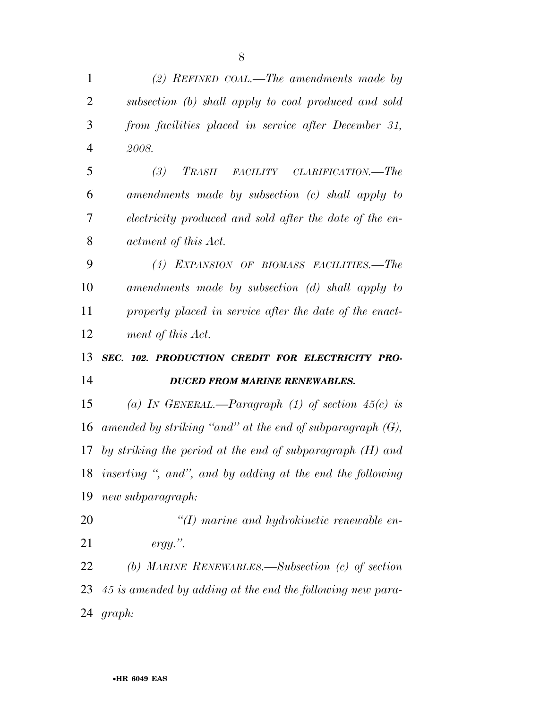| $\mathbf{1}$   | (2) REFINED COAL.—The amendments made by                     |
|----------------|--------------------------------------------------------------|
| 2              | subsection (b) shall apply to coal produced and sold         |
| 3              | from facilities placed in service after December 31,         |
| $\overline{4}$ | 2008.                                                        |
| 5              | (3)<br>TRASH FACILITY CLARIFICATION.—The                     |
| 6              | amendments made by subsection (c) shall apply to             |
| 7              | electricity produced and sold after the date of the en-      |
| 8              | actment of this Act.                                         |
| 9              | (4) EXPANSION OF BIOMASS FACILITIES.-The                     |
| 10             | amendments made by subsection (d) shall apply to             |
| 11             | property placed in service after the date of the enact-      |
| 12             | ment of this Act.                                            |
|                |                                                              |
| 13             | SEC. 102. PRODUCTION CREDIT FOR ELECTRICITY PRO-             |
| 14             | <b>DUCED FROM MARINE RENEWABLES.</b>                         |
| 15             | (a) IN GENERAL.—Paragraph (1) of section $45(c)$ is          |
| 16             | amended by striking "and" at the end of subparagraph $(G)$ , |
| 17             | by striking the period at the end of subparagraph $(H)$ and  |
|                | 18 inserting ", and", and by adding at the end the following |
| 19             | new subparagraph:                                            |
| 20             | $\lq (I)$ marine and hydrokinetic renewable en-              |
| 21             | $ergy.$ ".                                                   |
| 22             | (b) MARINE RENEWABLES.—Subsection (c) of section             |
| 23             | 45 is amended by adding at the end the following new para-   |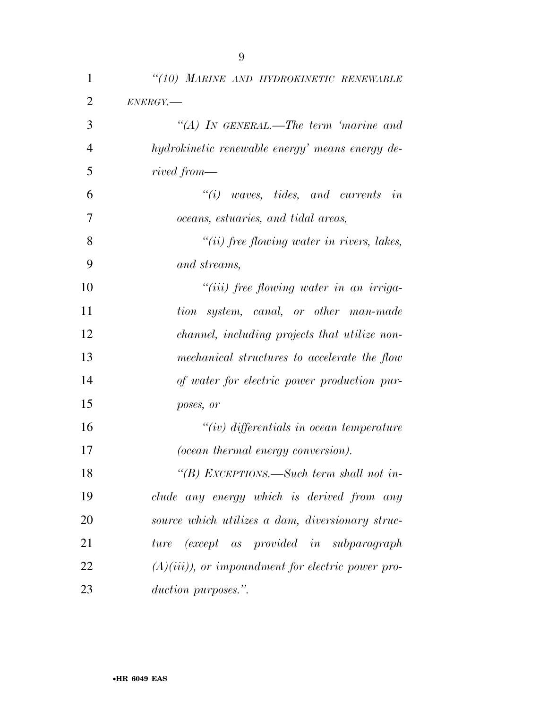| $\mathbf{1}$   | "(10) MARINE AND HYDROKINETIC RENEWABLE             |
|----------------|-----------------------------------------------------|
| $\overline{2}$ | $ENERGY$ .                                          |
| 3              | "(A) IN GENERAL.—The term 'marine and               |
| $\overline{4}$ | hydrokinetic renewable energy' means energy de-     |
| 5              | rived from—                                         |
| 6              | $\tilde{u}(i)$ waves, tides, and currents<br>in     |
| 7              | oceans, estuaries, and tidal areas,                 |
| 8              | $"(ii)$ free flowing water in rivers, lakes,        |
| 9              | and streams,                                        |
| 10             | $``(iii)$ free flowing water in an irriga-          |
| 11             | tion system, canal, or other man-made               |
| 12             | channel, including projects that utilize non-       |
| 13             | mechanical structures to accelerate the flow        |
| 14             | of water for electric power production pur-         |
| 15             | poses, or                                           |
| 16             | $``(iv)$ differentials in ocean temperature         |
| 17             | (ocean thermal energy conversion).                  |
| 18             | "(B) EXCEPTIONS.—Such term shall not in-            |
| 19             | clude any energy which is derived from any          |
| 20             | source which utilizes a dam, diversionary struc-    |
| 21             | (except as provided in subparagraph)<br>ture        |
| 22             | $(A)(iii)$ , or impoundment for electric power pro- |
| 23             | duction purposes.".                                 |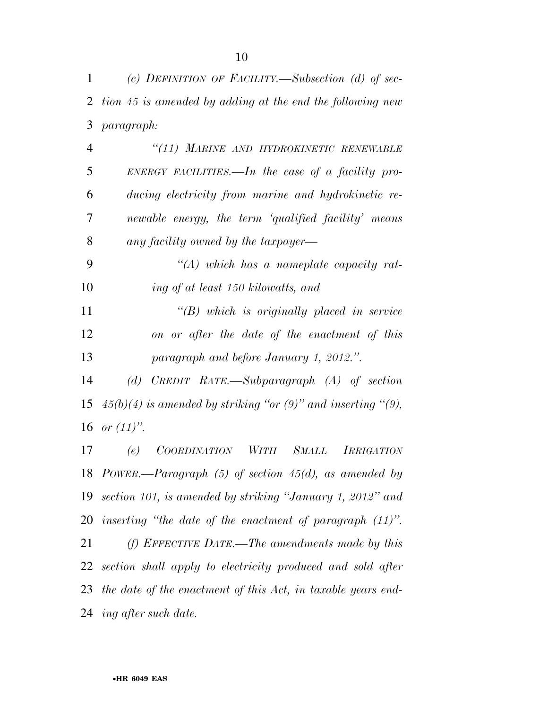*(c) DEFINITION OF FACILITY.—Subsection (d) of sec- tion 45 is amended by adding at the end the following new paragraph:* 

 *''(11) MARINE AND HYDROKINETIC RENEWABLE ENERGY FACILITIES.—In the case of a facility pro- ducing electricity from marine and hydrokinetic re- newable energy, the term 'qualified facility' means any facility owned by the taxpayer—* 

 *''(A) which has a nameplate capacity rat-ing of at least 150 kilowatts, and* 

 *''(B) which is originally placed in service on or after the date of the enactment of this paragraph and before January 1, 2012.''.* 

 *(d) CREDIT RATE.—Subparagraph (A) of section*  15  $45(b)(4)$  is amended by striking "or  $(9)$ " and inserting " $(9)$ , *or (11)''.* 

 *(e) COORDINATION WITH SMALL IRRIGATION POWER.—Paragraph (5) of section 45(d), as amended by section 101, is amended by striking ''January 1, 2012'' and inserting ''the date of the enactment of paragraph (11)''. (f) EFFECTIVE DATE.—The amendments made by this section shall apply to electricity produced and sold after the date of the enactment of this Act, in taxable years end-ing after such date.*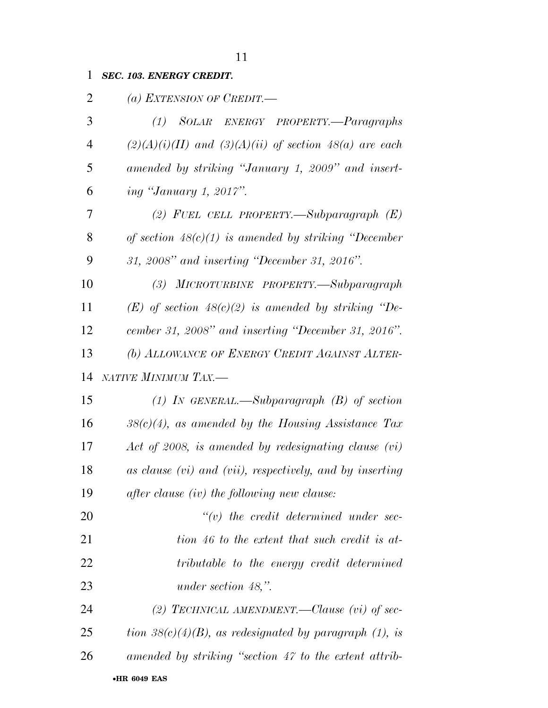| $\overline{2}$ | (a) EXTENSION OF CREDIT. $-$                               |
|----------------|------------------------------------------------------------|
| 3              | (1) SOLAR ENERGY PROPERTY.-Paragraphs                      |
| $\overline{4}$ | $(2)(A)(i)(II)$ and $(3)(A)(ii)$ of section 48(a) are each |
| 5              | amended by striking "January 1, 2009" and insert-          |
| 6              | <i>ing "January 1, 2017".</i>                              |
| 7              | (2) FUEL CELL PROPERTY.—Subparagraph $(E)$                 |
| 8              | of section $48(c)(1)$ is amended by striking "December"    |
| 9              | 31, 2008" and inserting "December 31, 2016".               |
| 10             | (3) MICROTURBINE PROPERTY.—Subparagraph                    |
| 11             | $(E)$ of section 48(c)(2) is amended by striking "De-      |
| 12             | cember 31, 2008" and inserting "December 31, 2016".        |
| 13             | (b) ALLOWANCE OF ENERGY CREDIT AGAINST ALTER-              |
| 14             | NATIVE MINIMUM TAX.-                                       |
| 15             | (1) IN GENERAL.—Subparagraph $(B)$ of section              |
| 16             | $38(c)(4)$ , as amended by the Housing Assistance Tax      |
| 17             | Act of 2008, is amended by redesignating clause $(vi)$     |
| 18             | as clause (vi) and (vii), respectively, and by inserting   |
| 19             | after clause (iv) the following new clause:                |
| 20             | $``(v)$ the credit determined under sec-                   |
| 21             | tion 46 to the extent that such credit is at-              |
| 22             | tributable to the energy credit determined                 |
| 23             | under section $48$ ,".                                     |
| 24             | (2) TECHNICAL AMENDMENT.—Clause (vi) of sec-               |
| 25             | tion $38(c)(4)(B)$ , as redesignated by paragraph (1), is  |
| 26             |                                                            |
|                | amended by striking "section 47 to the extent attrib-      |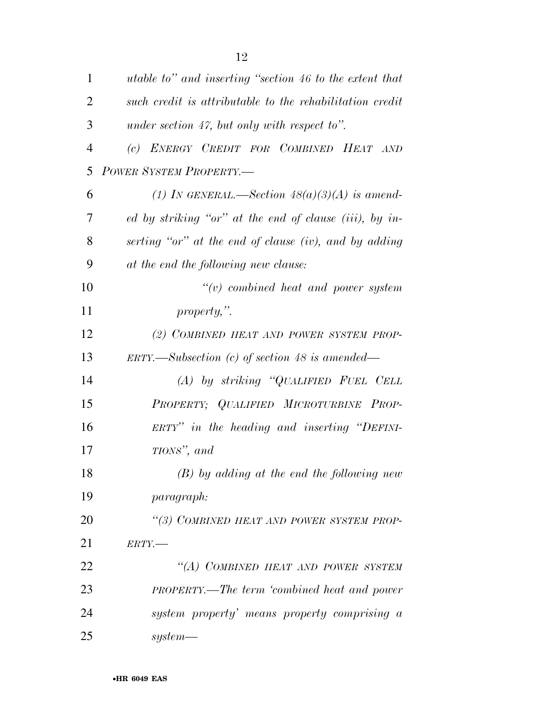| $\mathbf{1}$   | utable to" and inserting "section 46 to the extent that      |
|----------------|--------------------------------------------------------------|
| $\overline{2}$ | such credit is attributable to the rehabilitation credit     |
| 3              | under section 47, but only with respect to".                 |
| $\overline{4}$ | (c) ENERGY CREDIT FOR COMBINED HEAT AND                      |
| 5              | POWER SYSTEM PROPERTY.-                                      |
| 6              | (1) In GENERAL.—Section $48(a)(3)(A)$ is amend-              |
| 7              | ed by striking "or" at the end of clause (iii), by in-       |
| 8              | serting "or" at the end of clause (iv), and by adding        |
| 9              | at the end the following new clause:                         |
| 10             | $``(v)$ combined heat and power system                       |
| 11             | property,".                                                  |
| 12             | (2) COMBINED HEAT AND POWER SYSTEM PROP-                     |
| 13             | $ERTY. \rightarrow Subsection$ (c) of section 48 is amended— |
| 14             | $(A)$ by striking "QUALIFIED FUEL CELL                       |
| 15             | PROPERTY; QUALIFIED MICROTURBINE PROP-                       |
| 16             | ERTY" in the heading and inserting "DEFINI-                  |
| 17             | TIONS", and                                                  |
| 18             | $(B)$ by adding at the end the following new                 |
| 19             | <i>paragraph:</i>                                            |
| 20             | "(3) COMBINED HEAT AND POWER SYSTEM PROP-                    |
| 21             | $ERTY$ .                                                     |
| 22             | "(A) COMBINED HEAT AND POWER SYSTEM                          |
| 23             | <b>PROPERTY.—The term 'combined heat and power</b>           |
| 24             | system property' means property comprising a                 |
| 25             | $system$ —                                                   |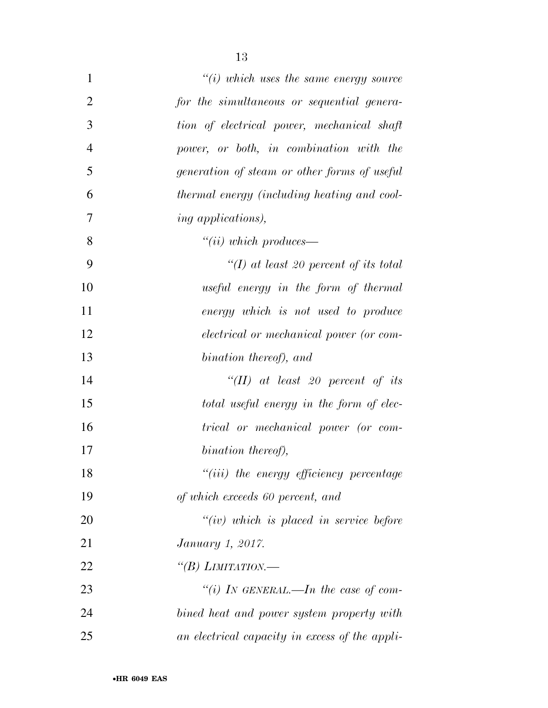| $\mathbf{1}$   | $\degree$ (i) which uses the same energy source |
|----------------|-------------------------------------------------|
| $\overline{2}$ | for the simultaneous or sequential genera-      |
| 3              | tion of electrical power, mechanical shaft      |
| $\overline{4}$ | power, or both, in combination with the         |
| 5              | generation of steam or other forms of useful    |
| 6              | thermal energy (including heating and cool-     |
| 7              | <i>ing applications)</i> ,                      |
| 8              | ``(ii) which produces                           |
| 9              | "(I) at least 20 percent of its total           |
| 10             | useful energy in the form of thermal            |
| 11             | energy which is not used to produce             |
| 12             | <i>electrical</i> or mechanical power (or com-  |
| 13             | bination thereof), and                          |
| 14             | $``(II)$ at least 20 percent of its             |
| 15             | total useful energy in the form of elec-        |
| 16             | trical or mechanical power (or com-             |
| 17             | bination thereof),                              |
| 18             | "(iii) the energy efficiency percentage         |
| 19             | of which exceeds 60 percent, and                |
| 20             | $``(iv)$ which is placed in service before      |
| 21             | <i>January 1, 2017.</i>                         |
| 22             | "(B) LIMITATION.—                               |
| 23             | "(i) IN GENERAL.—In the case of com-            |
| 24             | bined heat and power system property with       |
| 25             | an electrical capacity in excess of the appli-  |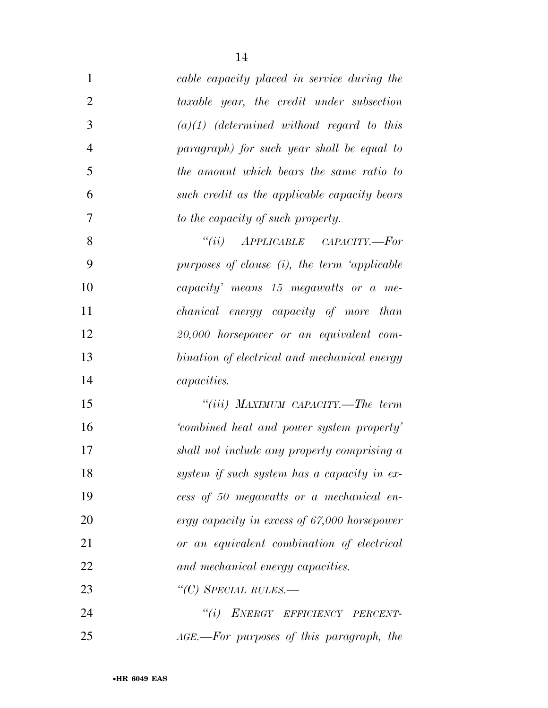| 1              | cable capacity placed in service during the  |
|----------------|----------------------------------------------|
| $\overline{2}$ | taxable year, the credit under subsection    |
| 3              | $(a)(1)$ (determined without regard to this  |
| $\overline{4}$ | paragraph) for such year shall be equal to   |
| 5              | the amount which bears the same ratio to     |
| 6              | such credit as the applicable capacity bears |
| 7              | to the capacity of such property.            |
| 8              | $``(ii)$ APPLICABLE CAPACITY.—For            |
| 9              | purposes of clause (i), the term 'applicable |
| 10             | capacity' means 15 megawatts or a me-        |
| 11             | chanical energy capacity of more than        |
| 12             | 20,000 horsepower or an equivalent com-      |
| 13             | bination of electrical and mechanical energy |
| 14             | <i>capacities.</i>                           |
| 15             | "(iii) MAXIMUM CAPACITY.—The term            |
| 16             | 'combined heat and power system property'    |
| 17             | shall not include any property comprising a  |
| 18             | system if such system has a capacity in ex-  |
| 19             | cess of 50 megawatts or a mechanical en-     |
| 20             | ergy capacity in excess of 67,000 horsepower |
| 21             | or an equivalent combination of electrical   |
| 22             | and mechanical energy capacities.            |
| 23             | "(C) SPECIAL RULES.—                         |
| 24             | "(i) ENERGY EFFICIENCY PERCENT-              |
| 25             | AGE.—For purposes of this paragraph, the     |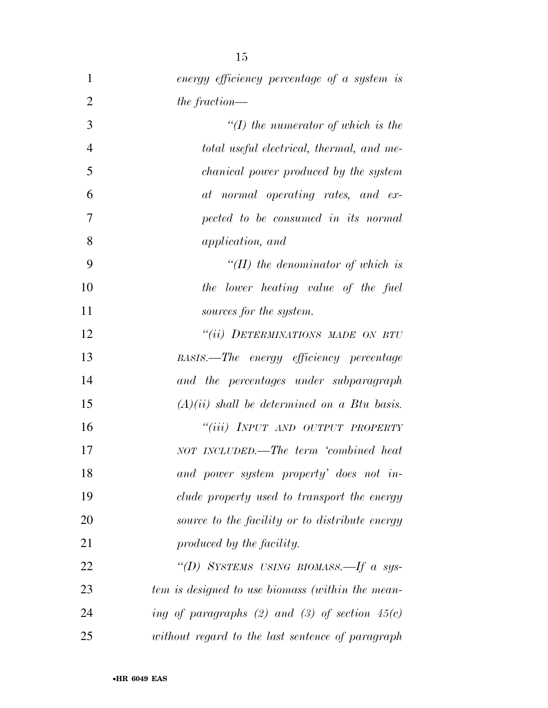| 1              | energy efficiency percentage of a system is      |
|----------------|--------------------------------------------------|
| $\overline{2}$ | the fraction—                                    |
| 3              | $\lq (I)$ the numerator of which is the          |
| $\overline{4}$ | total useful electrical, thermal, and me-        |
| 5              | <i>chanical power produced by the system</i>     |
| 6              | at normal operating rates, and ex-               |
| 7              | pected to be consumed in its normal              |
| 8              | <i>application, and</i>                          |
| 9              | $H(H)$ the denominator of which is               |
| 10             | the lower heating value of the fuel              |
| 11             | sources for the system.                          |
| 12             | "(ii) DETERMINATIONS MADE ON BTU                 |
| 13             | BASIS.—The energy efficiency percentage          |
| 14             | and the percentages under subparagraph           |
| 15             | $(A)(ii)$ shall be determined on a Btu basis.    |
| 16             | "(iii) INPUT AND OUTPUT PROPERTY                 |
| 17             | NOT INCLUDED.—The term 'combined heat            |
| 18             | and power system property' does not in-          |
| 19             | clude property used to transport the energy      |
| 20             | source to the facility or to distribute energy   |
| 21             | produced by the facility.                        |
| 22             | "(D) SYSTEMS USING BIOMASS.—If a sys-            |
| 23             | tem is designed to use biomass (within the mean- |
| 24             | ing of paragraphs (2) and (3) of section $45(c)$ |
| 25             | without regard to the last sentence of paragraph |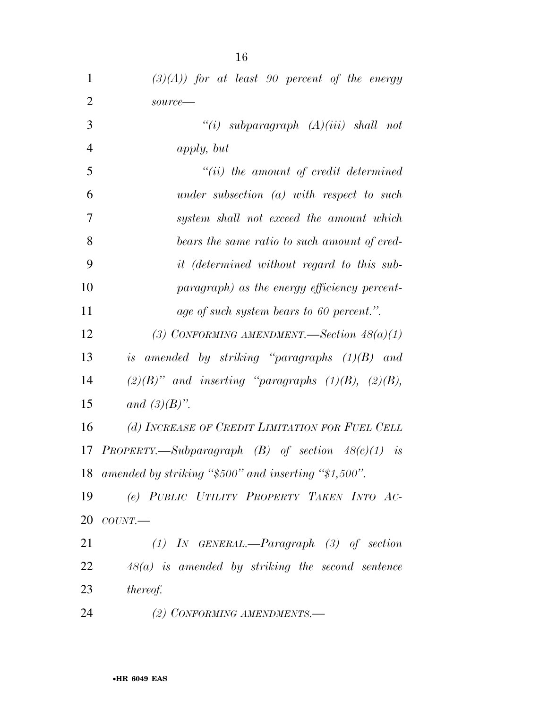| $\mathbf{1}$   | $(3)(A)$ ) for at least 90 percent of the energy           |
|----------------|------------------------------------------------------------|
| $\overline{2}$ | source-                                                    |
| 3              | "(i) subparagraph $(A)(iii)$ shall not                     |
| $\overline{4}$ | <i>apply</i> , but                                         |
| 5              | $``(ii)$ the amount of credit determined                   |
| 6              | under subsection $(a)$ with respect to such                |
| 7              | system shall not exceed the amount which                   |
| 8              | bears the same ratio to such amount of cred-               |
| 9              | <i>it (determined without regard to this sub-</i>          |
| 10             | paragraph) as the energy efficiency percent-               |
| 11             | age of such system bears to 60 percent.".                  |
| 12             | (3) CONFORMING AMENDMENT. Section $48(a)(1)$               |
| 13             | is amended by striking "paragraphs $(1)(B)$ and            |
| 14             | $(2)(B)$ " and inserting "paragraphs $(1)(B)$ , $(2)(B)$ , |
| 15             | and $(3)(B)$ ".                                            |
| 16             | (d) INCREASE OF CREDIT LIMITATION FOR FUEL CELL            |
| 17             | PROPERTY.—Subparagraph $(B)$ of section $48(c)(1)$ is      |
|                | 18 amended by striking "\$500" and inserting "\$1,500".    |
| 19             | (e) PUBLIC UTILITY PROPERTY TAKEN INTO AC-                 |
| 20             | COUNT.                                                     |
| 21             | $(1)$ IN GENERAL.—Paragraph $(3)$ of section               |
| 22             | $48(a)$ is amended by striking the second sentence         |
| 23             | <i>thereof.</i>                                            |
| 24             | (2) CONFORMING AMENDMENTS.-                                |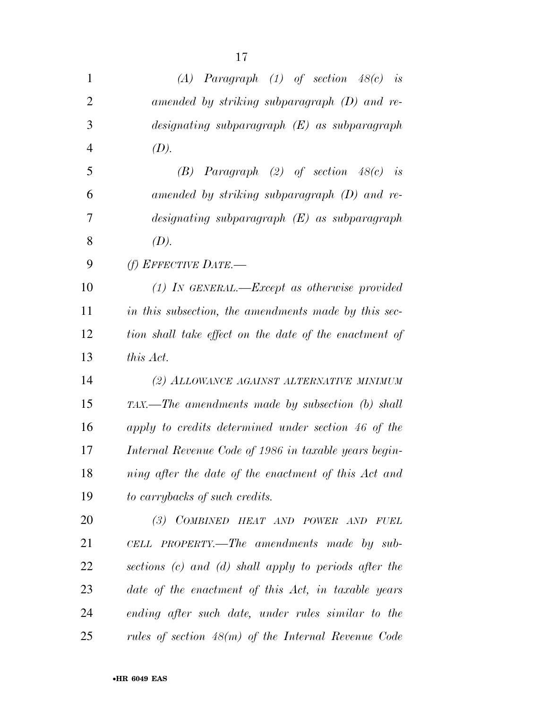| $\mathbf{1}$   | $(A)$ Paragraph $(1)$ of section $48(c)$ is               |
|----------------|-----------------------------------------------------------|
| $\overline{2}$ | amended by striking subparagraph $(D)$ and re-            |
| 3              | $designating \; subparagnath \; (E) \; as \; subparagnph$ |
| $\overline{4}$ | (D).                                                      |
| 5              | $(B)$ Paragraph $(2)$ of section $48(c)$ is               |
| 6              | amended by striking subparagraph $(D)$ and re-            |
| 7              | designating subparagraph $(E)$ as subparagraph            |
| 8              | (D).                                                      |
| 9              | (f) EFFECTIVE DATE.—                                      |
| 10             | $(1)$ IN GENERAL.—Except as otherwise provided            |
| 11             | in this subsection, the amendments made by this sec-      |
| 12             | tion shall take effect on the date of the enactment of    |
| 13             | this Act.                                                 |
| 14             | (2) ALLOWANCE AGAINST ALTERNATIVE MINIMUM                 |
| 15             | TAX.—The amendments made by subsection (b) shall          |
| 16             | apply to credits determined under section 46 of the       |
| 17             | Internal Revenue Code of 1986 in taxable years begin-     |
| 18             | ning after the date of the enactment of this Act and      |
| 19             | to carrybacks of such credits.                            |
| 20             | (3) COMBINED HEAT AND POWER AND FUEL                      |
| 21             | CELL PROPERTY.—The amendments made by sub-                |
| 22             | sections (c) and (d) shall apply to periods after the     |
| 23             | date of the enactment of this Act, in taxable years       |
| 24             | ending after such date, under rules similar to the        |
| 25             | rules of section $48(m)$ of the Internal Revenue Code     |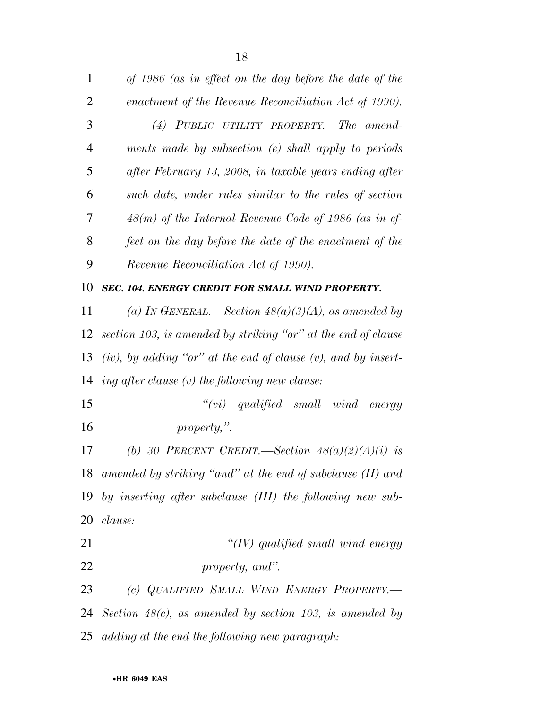| 1              | of 1986 (as in effect on the day before the date of the             |
|----------------|---------------------------------------------------------------------|
| $\overline{2}$ | enactment of the Revenue Reconciliation Act of 1990).               |
| 3              | (4) PUBLIC UTILITY PROPERTY.—The amend-                             |
| $\overline{4}$ | ments made by subsection $(e)$ shall apply to periods               |
| 5              | after February 13, 2008, in taxable years ending after              |
| 6              | such date, under rules similar to the rules of section              |
| 7              | $48(m)$ of the Internal Revenue Code of 1986 (as in ef-             |
| 8              | fect on the day before the date of the enactment of the             |
| 9              | Revenue Reconciliation Act of 1990).                                |
| 10             | SEC. 104. ENERGY CREDIT FOR SMALL WIND PROPERTY.                    |
| 11             | (a) IN GENERAL.—Section $48(a)(3)(A)$ , as amended by               |
| 12             | section 103, is amended by striking "or" at the end of clause       |
| 13             | $(iv)$ , by adding "or" at the end of clause $(v)$ , and by insert- |
| 14             | ing after clause $(v)$ the following new clause:                    |
| 15             | $``(vi) \quad qualified \quad small \quad wind \quad energy$        |
| 16             | property,".                                                         |
| 17             | (b) 30 PERCENT CREDIT.—Section $48(a)(2)(A)(i)$ is                  |
|                | 18 amended by striking "and" at the end of subclause (II) and       |
|                | 19 by inserting after subclause (III) the following new sub-        |
| 20             | clause:                                                             |
| 21             | " $(IV)$ qualified small wind energy                                |
| 22             | property, and".                                                     |
| 23             | (c) QUALIFIED SMALL WIND ENERGY PROPERTY.-                          |
|                | 24 Section $48(c)$ , as amended by section 103, is amended by       |
|                | 25 adding at the end the following new paragraph:                   |
|                |                                                                     |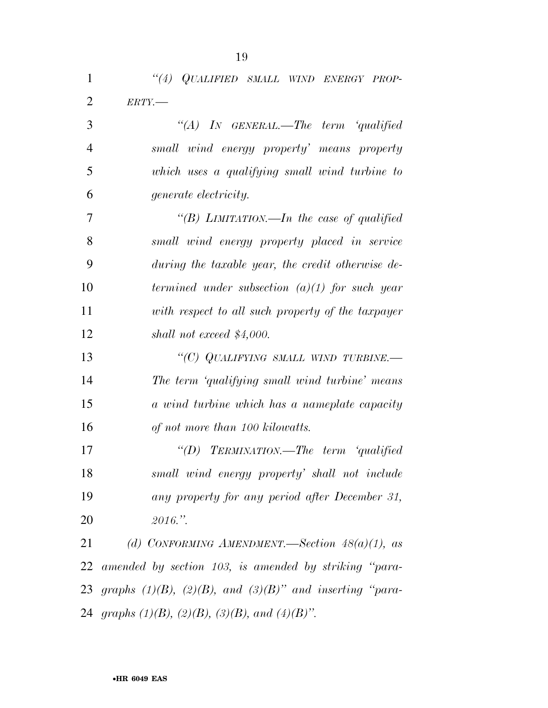| 1              | "(4) QUALIFIED SMALL WIND ENERGY PROP-                           |
|----------------|------------------------------------------------------------------|
| $\overline{2}$ | $ERTY$ .                                                         |
| 3              | "(A) IN GENERAL.—The term 'qualified                             |
| $\overline{4}$ | small wind energy property' means property                       |
| 5              | which uses a qualifying small wind turbine to                    |
| 6              | <i>generate electricity.</i>                                     |
| 7              | "(B) LIMITATION.—In the case of qualified                        |
| 8              | small wind energy property placed in service                     |
| 9              | during the taxable year, the credit otherwise de-                |
| 10             | termined under subsection $(a)(1)$ for such year                 |
| 11             | with respect to all such property of the taxpayer                |
| 12             | shall not exceed $$4,000$ .                                      |
| 13             | "(C) QUALIFYING SMALL WIND TURBINE.—                             |
| 14             | The term 'qualifying small wind turbine' means                   |
| 15             | a wind turbine which has a nameplate capacity                    |
| 16             | of not more than 100 kilowatts.                                  |
| 17             | "(D) TERMINATION.—The term 'qualified                            |
| 18             | small wind energy property' shall not include                    |
| 19             | any property for any period after December 31,                   |
| 20             | 2016."                                                           |
| 21             | (d) CONFORMING AMENDMENT. Section $48(a)(1)$ , as                |
| 22             | amended by section 103, is amended by striking "para-            |
| 23             | graphs $(1)(B)$ , $(2)(B)$ , and $(3)(B)$ " and inserting "para- |
|                | 24 graphs $(1)(B)$ , $(2)(B)$ , $(3)(B)$ , and $(4)(B)$ ".       |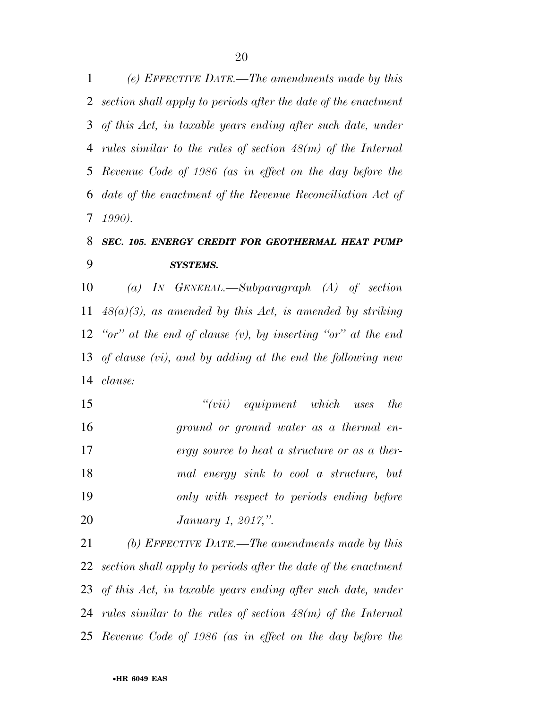*(e) EFFECTIVE DATE.—The amendments made by this section shall apply to periods after the date of the enactment of this Act, in taxable years ending after such date, under rules similar to the rules of section 48(m) of the Internal Revenue Code of 1986 (as in effect on the day before the date of the enactment of the Revenue Reconciliation Act of 1990).* 

## *SEC. 105. ENERGY CREDIT FOR GEOTHERMAL HEAT PUMP SYSTEMS.*

 *(a) IN GENERAL.—Subparagraph (A) of section 48(a)(3), as amended by this Act, is amended by striking ''or'' at the end of clause (v), by inserting ''or'' at the end of clause (vi), and by adding at the end the following new clause:* 

 *''(vii) equipment which uses the ground or ground water as a thermal en- ergy source to heat a structure or as a ther- mal energy sink to cool a structure, but only with respect to periods ending before January 1, 2017,''.* 

 *(b) EFFECTIVE DATE.—The amendments made by this section shall apply to periods after the date of the enactment of this Act, in taxable years ending after such date, under rules similar to the rules of section 48(m) of the Internal Revenue Code of 1986 (as in effect on the day before the*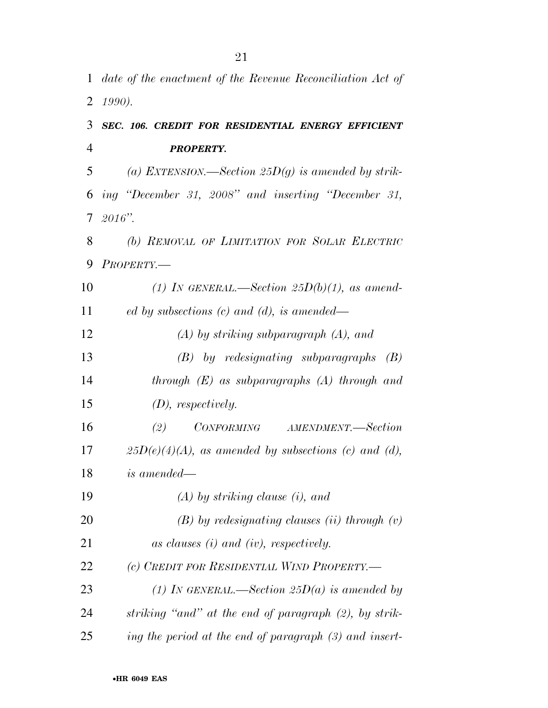|                | 1 date of the enactment of the Revenue Reconciliation Act of |
|----------------|--------------------------------------------------------------|
| 2              | 1990).                                                       |
| 3              | SEC. 106. CREDIT FOR RESIDENTIAL ENERGY EFFICIENT            |
| $\overline{4}$ | <b>PROPERTY.</b>                                             |
| 5              | (a) EXTENSION.—Section 25D(g) is amended by strik-           |
| 6              | ing "December 31, 2008" and inserting "December 31,          |
| $\tau$         | $2016"$ .                                                    |
| 8              | (b) REMOVAL OF LIMITATION FOR SOLAR ELECTRIC                 |
| 9              | PROPERTY.-                                                   |
| 10             | (1) IN GENERAL.—Section $25D(b)(1)$ , as amend-              |
| 11             | ed by subsections $(c)$ and $(d)$ , is amended—              |
| 12             | $(A)$ by striking subparagraph $(A)$ , and                   |
| 13             | $(B)$ by redesignating subparagraphs $(B)$                   |
| 14             | through $(E)$ as subparagraphs $(A)$ through and             |
| 15             | $(D)$ , respectively.                                        |
| 16             | CONFORMING AMENDMENT.-Section<br>(2)                         |
| 17             | $25D(e)(4)(A)$ , as amended by subsections (c) and (d),      |
| 18             | <i>is amended—</i>                                           |
| 19             | $(A)$ by striking clause (i), and                            |
| 20             | $(B)$ by redesignating clauses (ii) through $(v)$            |
| 21             | as clauses $(i)$ and $(iv)$ , respectively.                  |
| 22             | (c) CREDIT FOR RESIDENTIAL WIND PROPERTY.-                   |
| 23             | (1) IN GENERAL.—Section 25D(a) is amended by                 |
| 24             | striking "and" at the end of paragraph (2), by strik-        |
| 25             | ing the period at the end of paragraph (3) and insert-       |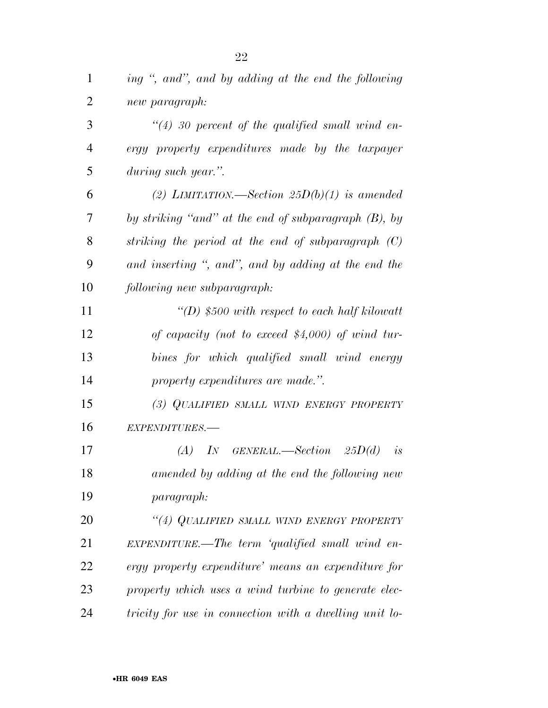| $\mathbf{1}$   | ing ", and", and by adding at the end the following    |
|----------------|--------------------------------------------------------|
| $\overline{2}$ | new paragraph:                                         |
| 3              | $\lq(4)$ 30 percent of the qualified small wind en-    |
| $\overline{4}$ | ergy property expenditures made by the taxpayer        |
| 5              | during such year.".                                    |
| 6              | (2) LIMITATION.—Section $25D(b)(1)$ is amended         |
| 7              | by striking "and" at the end of subparagraph (B), by   |
| 8              | striking the period at the end of subparagraph $(C)$   |
| 9              | and inserting ", and", and by adding at the end the    |
| 10             | following new subparagraph:                            |
| 11             | "(D) \$500 with respect to each half kilowatt          |
| 12             | of capacity (not to exceed $$4,000$ ) of wind tur-     |
| 13             | bines for which qualified small wind energy            |
| 14             | property expenditures are made.".                      |
| 15             | (3) QUALIFIED SMALL WIND ENERGY PROPERTY               |
| 16             | EXPENDITURES.-                                         |
| 17             | (A)<br>$IN$ GENERAL.—Section 25 $D(d)$<br>is           |
| 18             | amended by adding at the end the following new         |
| 19             | <i>paragraph:</i>                                      |
| 20             | "(4) QUALIFIED SMALL WIND ENERGY PROPERTY              |
| 21             | $EXPENDITURE.$ The term 'qualified small wind en-      |
| 22             | ergy property expenditure' means an expenditure for    |
| 23             | property which uses a wind turbine to generate elec-   |
| 24             | tricity for use in connection with a dwelling unit lo- |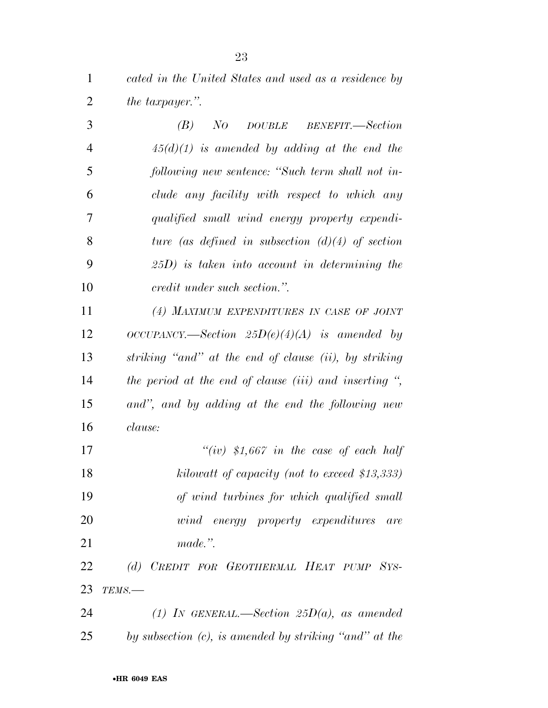*cated in the United States and used as a residence by the taxpayer.''.* 

| 3              | NO DOUBLE BENEFIT.—Section<br>(B)                               |
|----------------|-----------------------------------------------------------------|
| $\overline{4}$ | $45(d)(1)$ is amended by adding at the end the                  |
| 5              | following new sentence: "Such term shall not in-                |
| 6              | clude any facility with respect to which any                    |
| 7              | qualified small wind energy property expendi-                   |
| 8              | ture (as defined in subsection $(d)(4)$ of section              |
| 9              | $(25D)$ is taken into account in determining the                |
| 10             | <i>credit under such section.</i> ".                            |
| 11             | (4) MAXIMUM EXPENDITURES IN CASE OF JOINT                       |
| 12             | $OCCUPANCY. \text{—Section}$ $25D(e)(4)(A)$ is amended by       |
| 13             | striking "and" at the end of clause (ii), by striking           |
| 14             | the period at the end of clause (iii) and inserting $\degree$ , |
| 15             | and", and by adding at the end the following new                |
| 16             | <i>clause:</i>                                                  |

 *''(iv) \$1,667 in the case of each half kilowatt of capacity (not to exceed \$13,333) of wind turbines for which qualified small wind energy property expenditures are made.''.* 

 *(d) CREDIT FOR GEOTHERMAL HEAT PUMP SYS-TEMS.—* 

 *(1) IN GENERAL.—Section 25D(a), as amended by subsection (c), is amended by striking ''and'' at the*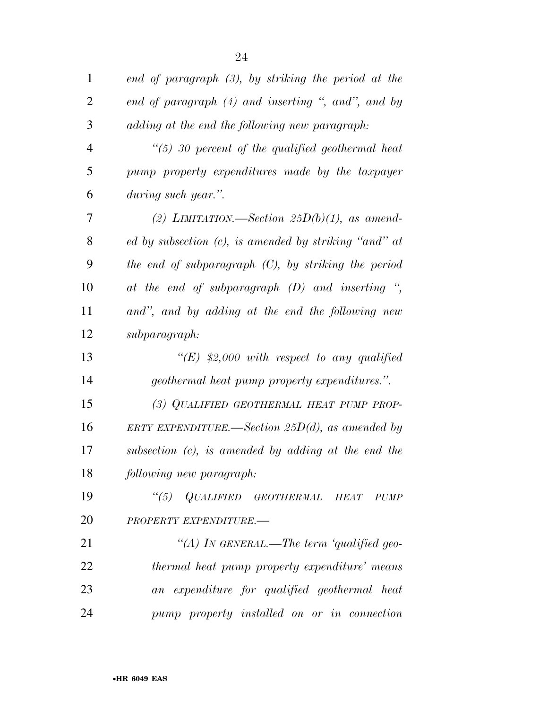| $\mathbf{1}$   | end of paragraph $(3)$ , by striking the period at the   |
|----------------|----------------------------------------------------------|
| $\overline{2}$ | end of paragraph (4) and inserting ", and", and by       |
| 3              | adding at the end the following new paragraph:           |
| $\overline{4}$ | $\lq(5)$ 30 percent of the qualified geothermal heat     |
| 5              | pump property expenditures made by the taxpayer          |
| 6              | during such year.".                                      |
| 7              | (2) LIMITATION.—Section 25 $D(b)(1)$ , as amend-         |
| 8              | ed by subsection $(c)$ , is amended by striking "and" at |
| 9              | the end of subparagraph $(C)$ , by striking the period   |
| 10             | at the end of subparagraph $(D)$ and inserting ",        |
| 11             | and", and by adding at the end the following new         |
| 12             | subparagraph:                                            |
| 13             | "(E) \$2,000 with respect to any qualified               |
| 14             | <i>geothermal heat pump property expenditures.".</i>     |
| 15             | (3) QUALIFIED GEOTHERMAL HEAT PUMP PROP-                 |
| 16             | ERTY EXPENDITURE.—Section 25 $D(d)$ , as amended by      |
| 17             | subsection $(c)$ , is amended by adding at the end the   |
| 18             | following new paragraph:                                 |
| 19             | "(5) QUALIFIED GEOTHERMAL HEAT<br><i>PUMP</i>            |
| 20             | PROPERTY EXPENDITURE.-                                   |
| 21             | "(A) In GENERAL.—The term 'qualified geo-                |
| 22             | thermal heat pump property expenditure' means            |
| 23             | an expenditure for qualified geothermal heat             |
| 24             | pump property installed on or in connection              |

•**HR 6049 EAS**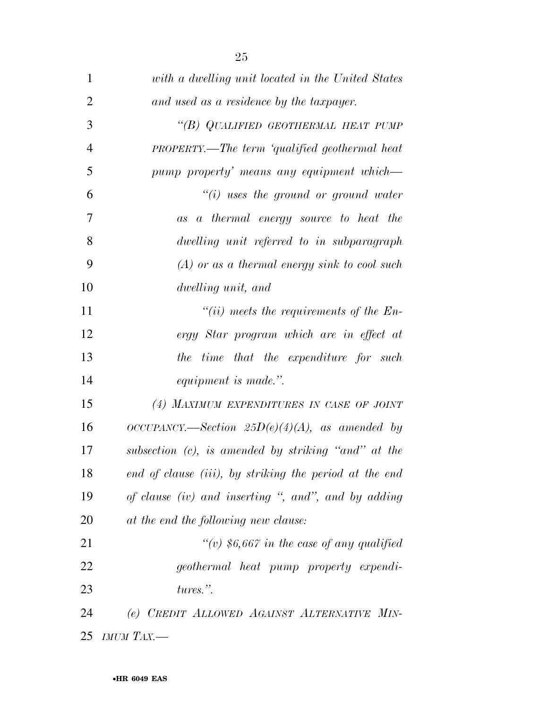| $\mathbf{1}$   | with a dwelling unit located in the United States      |
|----------------|--------------------------------------------------------|
| $\overline{2}$ | and used as a residence by the taxpayer.               |
| 3              | "(B) QUALIFIED GEOTHERMAL HEAT PUMP                    |
| $\overline{4}$ | <b>PROPERTY.—The term 'qualified geothermal heat</b>   |
| 5              | pump property' means any equipment which—              |
| 6              | $``(i)$ uses the ground or ground water                |
| 7              | as a thermal energy source to heat the                 |
| 8              | dwelling unit referred to in subparagraph              |
| 9              | $(A)$ or as a thermal energy sink to cool such         |
| 10             | dwelling unit, and                                     |
| 11             | "(ii) meets the requirements of the $En-$              |
| 12             | ergy Star program which are in effect at               |
| 13             | the time that the expenditure for such                 |
| 14             | equipment is made.".                                   |
| 15             | (4) MAXIMUM EXPENDITURES IN CASE OF JOINT              |
| 16             | $OCCUPANCY.$ Section $25D(e)(4)(A)$ , as amended by    |
| 17             | subsection (c), is amended by striking "and" at the    |
| 18             | end of clause (iii), by striking the period at the end |
| 19             | of clause (iv) and inserting ", and", and by adding    |
| 20             | at the end the following new clause:                   |
| 21             | "(v) $$6,667$ in the case of any qualified             |
| 22             | geothermal heat pump property expendi-                 |
| 23             | tures.".                                               |
| 24             | (e) CREDIT ALLOWED AGAINST ALTERNATIVE MIN-            |
| 25             | IMUM TAX.-                                             |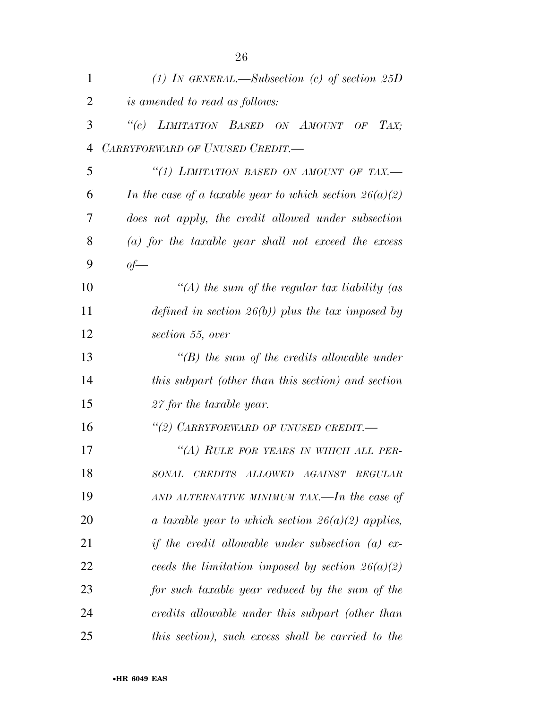| $\mathbf{1}$   | (1) IN GENERAL.—Subsection (c) of section $25D$           |
|----------------|-----------------------------------------------------------|
| $\overline{2}$ | <i>is amended to read as follows:</i>                     |
| 3              | "(c) LIMITATION BASED ON AMOUNT OF TAX;                   |
| $\overline{4}$ | CARRYFORWARD OF UNUSED CREDIT.-                           |
| 5              | "(1) LIMITATION BASED ON AMOUNT OF TAX.-                  |
| 6              | In the case of a taxable year to which section $26(a)(2)$ |
| 7              | does not apply, the credit allowed under subsection       |
| 8              | $(a)$ for the taxable year shall not exceed the excess    |
| 9              | $of-$                                                     |
| 10             | "(A) the sum of the regular tax liability (as             |
| 11             | defined in section $26(b)$ ) plus the tax imposed by      |
| 12             | section 55, over                                          |
| 13             | $\lq\lq(B)$ the sum of the credits allowable under        |
| 14             | this subpart (other than this section) and section        |
| 15             | 27 for the taxable year.                                  |
| 16             | "(2) CARRYFORWARD OF UNUSED CREDIT.-                      |
| 17             | "(A) RULE FOR YEARS IN WHICH ALL PER-                     |
| 18             | SONAL<br>CREDITS ALLOWED AGAINST<br><b>REGULAR</b>        |
| 19             | AND ALTERNATIVE MINIMUM TAX.—In the case of               |
| 20             | a taxable year to which section $26(a)(2)$ applies,       |
| 21             | if the credit allowable under subsection $(a)$ ex-        |
| 22             | ceeds the limitation imposed by section $26(a)(2)$        |
| 23             | for such taxable year reduced by the sum of the           |
| 24             | credits allowable under this subpart (other than          |
| 25             | this section), such excess shall be carried to the        |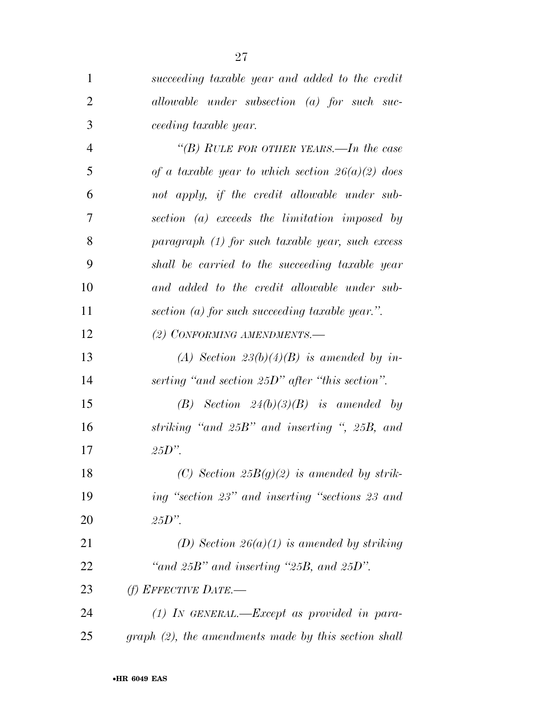| 1              | succeeding taxable year and added to the credit         |
|----------------|---------------------------------------------------------|
| $\overline{2}$ | allowable under subsection $(a)$ for such suc-          |
| 3              | <i>ceeding taxable year.</i>                            |
| $\overline{4}$ | "(B) RULE FOR OTHER YEARS.—In the case                  |
| 5              | of a taxable year to which section $26(a)(2)$ does      |
| 6              | not apply, if the credit allowable under sub-           |
| 7              | section (a) exceeds the limitation imposed by           |
| 8              | $paramph (1)$ for such taxable year, such excess        |
| 9              | shall be carried to the succeeding taxable year         |
| 10             | and added to the credit allowable under sub-            |
| 11             | section (a) for such succeeding taxable year.".         |
| 12             | (2) CONFORMING AMENDMENTS.-                             |
| 13             | (A) Section $23(b)(4)(B)$ is amended by in-             |
| 14             | serting "and section $25D$ " after "this section".      |
| 15             | $(B)$ Section $24(b)(3)(B)$ is amended by               |
| 16             | striking "and 25B" and inserting ", 25B, and            |
| 17             | $25D$ ".                                                |
| 18             | (C) Section $25B(g)(2)$ is amended by strik-            |
| 19             | ing "section 23" and inserting "sections 23 and         |
| 20             | $25D$ ".                                                |
| 21             | (D) Section 26(a)(1) is amended by striking             |
| 22             | "and $25B$ " and inserting " $25B$ , and $25D$ ".       |
| 23             | (f) EFFECTIVE DATE.—                                    |
| 24             | $(1)$ IN GENERAL.—Except as provided in para-           |
| 25             | $graph (2)$ , the amendments made by this section shall |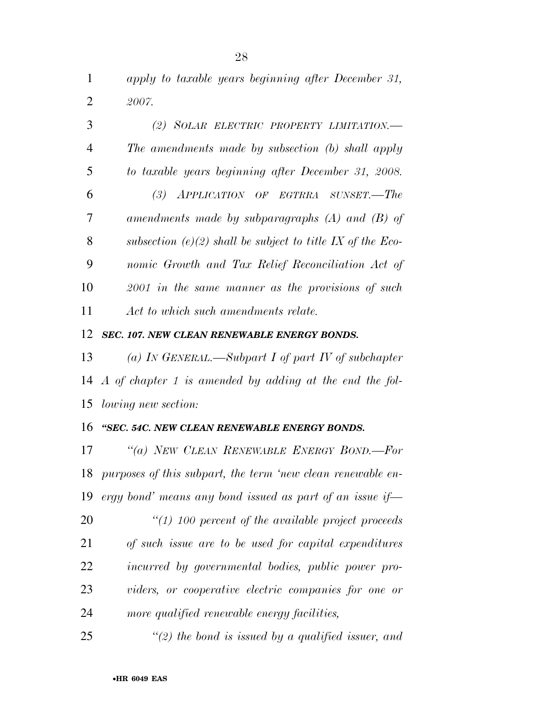*apply to taxable years beginning after December 31, 2007.* 

| 3              | (2) SOLAR ELECTRIC PROPERTY LIMITATION.                    |
|----------------|------------------------------------------------------------|
| 4              | The amendments made by subsection (b) shall apply          |
| $\mathfrak{S}$ | to taxable years beginning after December 31, 2008.        |
| 6              | (3) APPLICATION OF EGTRRA SUNSET.—The                      |
| 7              | amendments made by subparagraphs $(A)$ and $(B)$ of        |
| 8              | subsection (e)(2) shall be subject to title IX of the Eco- |
| 9              | nomic Growth and Tax Relief Reconciliation Act of          |
| 10             | $2001$ in the same manner as the provisions of such        |
| 11             | Act to which such amendments relate.                       |

### *SEC. 107. NEW CLEAN RENEWABLE ENERGY BONDS.*

 *(a) IN GENERAL.—Subpart I of part IV of subchapter A of chapter 1 is amended by adding at the end the fol-lowing new section:* 

## *''SEC. 54C. NEW CLEAN RENEWABLE ENERGY BONDS.*

 *''(a) NEW CLEAN RENEWABLE ENERGY BOND.—For purposes of this subpart, the term 'new clean renewable en-ergy bond' means any bond issued as part of an issue if—* 

 *''(1) 100 percent of the available project proceeds of such issue are to be used for capital expenditures incurred by governmental bodies, public power pro- viders, or cooperative electric companies for one or more qualified renewable energy facilities,* 

*''(2) the bond is issued by a qualified issuer, and*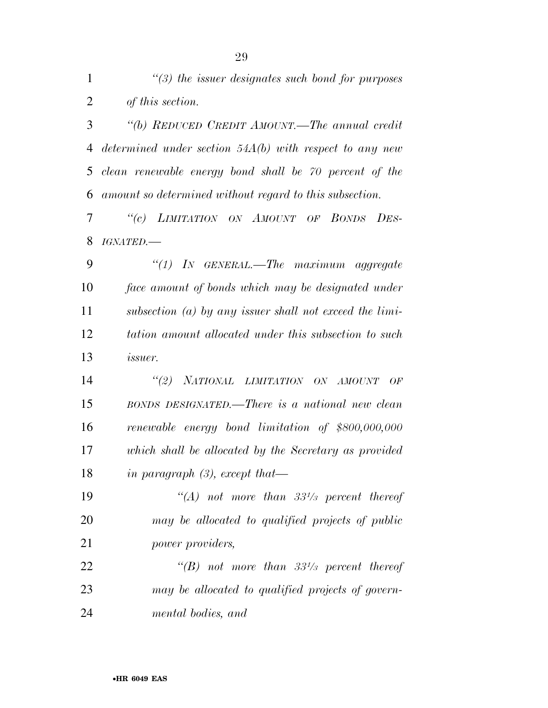| $\mathbf{1}$   | $\lq(3)$ the issuer designates such bond for purposes     |
|----------------|-----------------------------------------------------------|
| $\overline{2}$ | of this section.                                          |
| 3              | "(b) REDUCED CREDIT AMOUNT.—The annual credit             |
| 4              | determined under section $54A(b)$ with respect to any new |
| 5              | clean renewable energy bond shall be 70 percent of the    |
| 6              | amount so determined without regard to this subsection.   |
| 7              | "(c) LIMITATION ON AMOUNT OF BONDS DES-                   |
| 8              | IGNATED.                                                  |
| 9              | "(1) In GENERAL.—The maximum aggregate                    |
| 10             | face amount of bonds which may be designated under        |
| 11             | subsection (a) by any issuer shall not exceed the $limi$  |
| 12             | tation amount allocated under this subsection to such     |
| 13             | <i>issuer.</i>                                            |
| 14             | "(2) NATIONAL LIMITATION ON AMOUNT OF                     |
| 15             | BONDS DESIGNATED.—There is a national new clean           |
| 16             | renewable energy bond limitation of \$800,000,000         |
| 17             | which shall be allocated by the Secretary as provided     |
| 18             | in paragraph $(3)$ , except that—                         |
| 19             | "(A) not more than $33\frac{1}{3}$ percent thereof        |
| 20             | may be allocated to qualified projects of public          |
| 21             | <i>power providers,</i>                                   |
| 22             | "(B) not more than $33^{1/3}$ percent thereof             |
| 23             | may be allocated to qualified projects of govern-         |
| 24             | mental bodies, and                                        |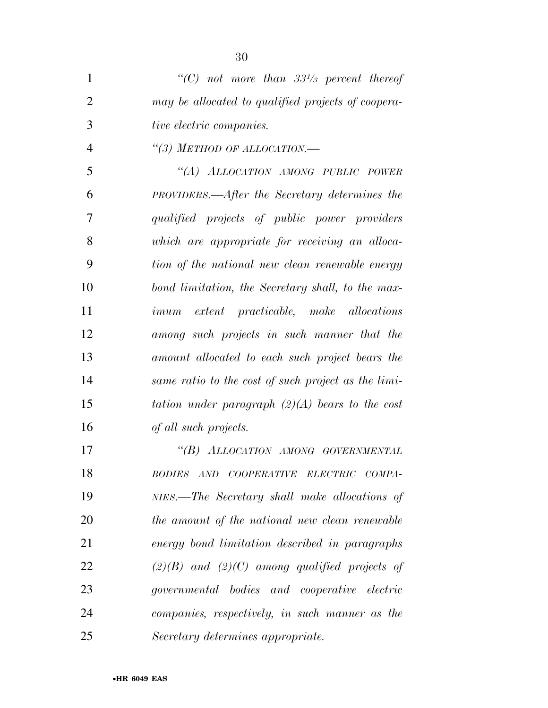| $\mathbf{1}$   | "(C) not more than $33\frac{1}{3}$ percent thereof  |
|----------------|-----------------------------------------------------|
| $\overline{2}$ | may be allocated to qualified projects of coopera-  |
| 3              | tive electric companies.                            |
| $\overline{4}$ | "(3) METHOD OF ALLOCATION.-                         |
| 5              | "(A) ALLOCATION AMONG PUBLIC POWER                  |
| 6              | PROVIDERS.—After the Secretary determines the       |
| 7              | qualified projects of public power providers        |
| 8              | which are appropriate for receiving an alloca-      |
| 9              | tion of the national new clean renewable energy     |
| 10             | bond limitation, the Secretary shall, to the max-   |
| 11             | <i>imum</i> extent practicable, make allocations    |
| 12             | among such projects in such manner that the         |
| 13             | amount allocated to each such project bears the     |
| 14             | same ratio to the cost of such project as the limi- |
| 15             | tation under paragraph $(2)(A)$ bears to the cost   |
| 16             | of all such projects.                               |
| 17             | "(B) ALLOCATION AMONG GOVERNMENTAL                  |
| 18             | BODIES AND COOPERATIVE ELECTRIC COMPA-              |
| 19             | NIES.—The Secretary shall make allocations of       |
| 20             | the amount of the national new clean renewable      |
| 21             | energy bond limitation described in paragraphs      |
| 22             | $(2)(B)$ and $(2)(C)$ among qualified projects of   |
| 23             | governmental bodies and cooperative electric        |
| 24             | companies, respectively, in such manner as the      |
| 25             | Secretary determines appropriate.                   |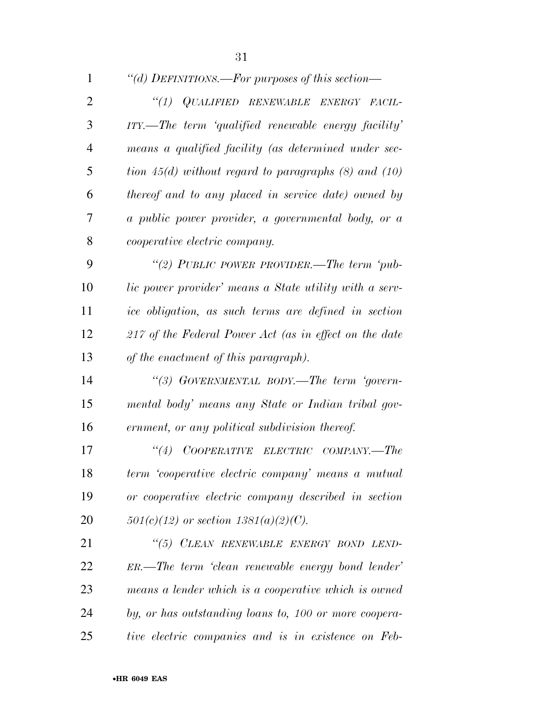| 1              | "(d) DEFINITIONS.—For purposes of this section—            |
|----------------|------------------------------------------------------------|
| $\overline{2}$ | "(1) QUALIFIED RENEWABLE ENERGY FACIL-                     |
| 3              | $ITY.$ The term 'qualified renewable energy facility'      |
| 4              | means a qualified facility (as determined under sec-       |
| 5              | tion $45(d)$ without regard to paragraphs $(8)$ and $(10)$ |
| 6              | thereof and to any placed in service date) owned by        |
| 7              | a public power provider, a governmental body, or a         |
| 8              | <i>cooperative electric company.</i>                       |
| 9              | "(2) PUBLIC POWER PROVIDER.—The term 'pub-                 |
| 10             | lic power provider' means a State utility with a serv-     |
| 11             | ice obligation, as such terms are defined in section       |
| 12             | 217 of the Federal Power Act (as in effect on the date     |
| 13             | of the enactment of this paragraph).                       |
| 14             | "(3) GOVERNMENTAL BODY.—The term 'govern-                  |
| 15             | mental body' means any State or Indian tribal gov-         |
| 16             | ernment, or any political subdivision thereof.             |
| 17             | COOPERATIVE ELECTRIC COMPANY.-The<br>``(4)                 |
| 18             | term 'cooperative electric company' means a mutual         |
| 19             | or cooperative electric company described in section       |
| 20             | $501(c)(12)$ or section $1381(a)(2)(C)$ .                  |
| 21             | "(5) CLEAN RENEWABLE ENERGY BOND LEND-                     |
| 22             | $ER.$ The term 'clean renewable energy bond lender'        |
| 23             | means a lender which is a cooperative which is owned       |
| 24             | by, or has outstanding loans to, 100 or more coopera-      |
| 25             | tive electric companies and is in existence on Feb-        |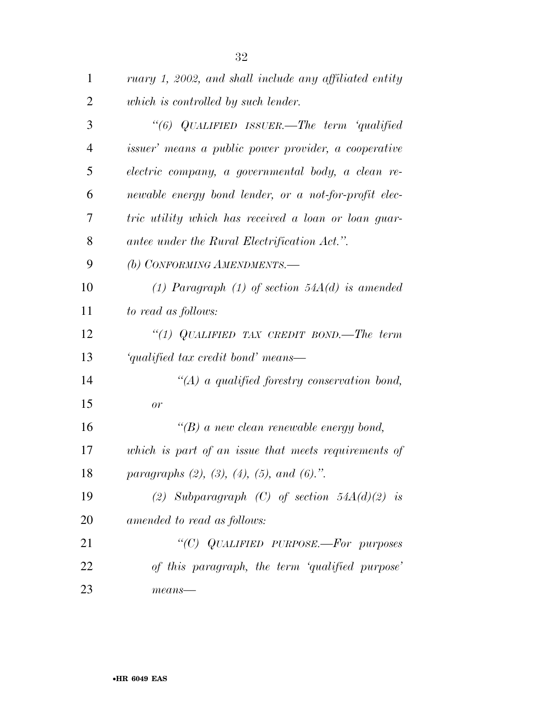| $\mathbf{1}$   | ruary 1, 2002, and shall include any affiliated entity       |
|----------------|--------------------------------------------------------------|
| $\overline{2}$ | which is controlled by such lender.                          |
| 3              | "(6) QUALIFIED ISSUER.—The term 'qualified                   |
| $\overline{4}$ | <i>issuer</i> ' means a public power provider, a cooperative |
| 5              | electric company, a governmental body, a clean re-           |
| 6              | newable energy bond lender, or a not-for-profit elec-        |
| 7              | tric utility which has received a loan or loan guar-         |
| 8              | antee under the Rural Electrification Act.".                 |
| 9              | (b) CONFORMING AMENDMENTS.-                                  |
| 10             | (1) Paragraph (1) of section $54A(d)$ is amended             |
| 11             | to read as follows:                                          |
| 12             | "(1) QUALIFIED TAX CREDIT BOND.—The term                     |
| 13             | 'qualified tax credit bond' means—                           |
| 14             | $\lq (A)$ a qualified forestry conservation bond,            |
| 15             | or                                                           |
| 16             | $\lq\lq(B)$ a new clean renewable energy bond,               |
| 17             | which is part of an issue that meets requirements of         |
| 18             | paragraphs $(2)$ , $(3)$ , $(4)$ , $(5)$ , and $(6)$ .".     |
| 19             | (2) Subparagraph (C) of section $54A(d)(2)$ is               |
| 20             | amended to read as follows:                                  |
| 21             | "(C) QUALIFIED PURPOSE.-For purposes                         |
| 22             | of this paragraph, the term 'qualified purpose'              |
| 23             | $means$ —                                                    |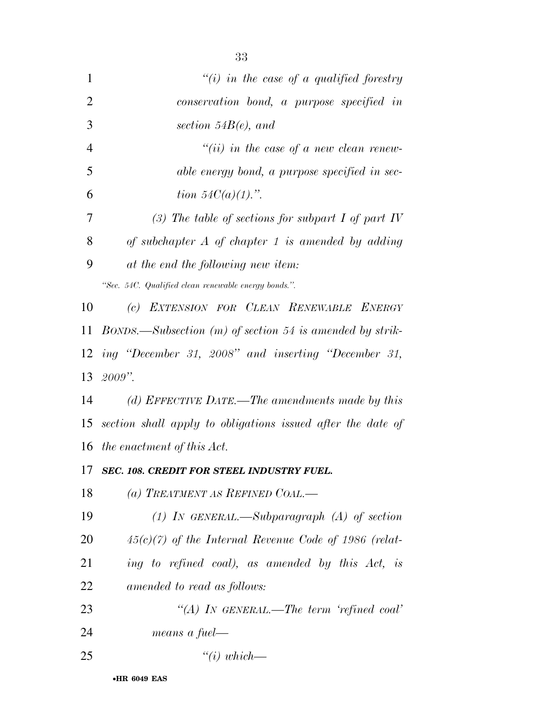| $\mathbf{1}$   | $``(i)$ in the case of a qualified forestry                   |
|----------------|---------------------------------------------------------------|
| $\overline{2}$ | conservation bond, a purpose specified in                     |
| 3              | section $54B(e)$ , and                                        |
| $\overline{4}$ | $``(ii)$ in the case of a new clean renew-                    |
| 5              | able energy bond, a purpose specified in sec-                 |
| 6              | <i>tion</i> $54C(a)(1)$ .".                                   |
| 7              | (3) The table of sections for subpart $I$ of part $IV$        |
| 8              | of subchapter $A$ of chapter 1 is amended by adding           |
| 9              | at the end the following new item:                            |
|                | "Sec. 54C. Qualified clean renewable energy bonds.".          |
| 10             | EXTENSION FOR CLEAN RENEWABLE ENERGY<br>(c)                   |
| 11             | $BONDS.$ —Subsection $(m)$ of section 54 is amended by strik- |
| 12             | ing "December 31, 2008" and inserting "December 31,           |
| 13             | $2009$ ".                                                     |
| 14             | (d) EFFECTIVE DATE.—The amendments made by this               |
| 15             | section shall apply to obligations issued after the date of   |
|                | 16 the enactment of this Act.                                 |
|                | 17 SEC. 108. CREDIT FOR STEEL INDUSTRY FUEL.                  |
| 18             | (a) TREATMENT AS REFINED COAL.—                               |
| 19             | (1) In GENERAL.—Subparagraph (A) of section                   |
| 20             | $45(c)(7)$ of the Internal Revenue Code of 1986 (relat-       |
| 21             | ing to refined coal), as amended by this Act, is              |
| 22             | amended to read as follows:                                   |
| 23             | "(A) IN GENERAL.—The term 'refined coal'                      |
| 24             | means a fuel—                                                 |
| 25             | $``(i) which \_\_$                                            |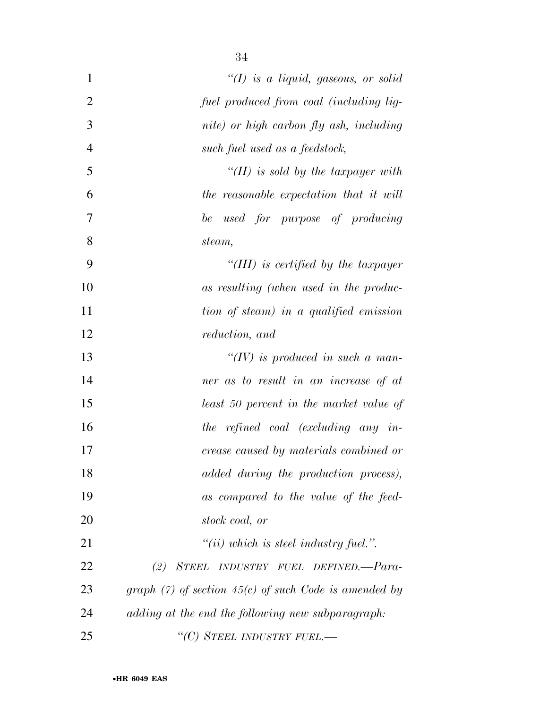| $\mathbf{1}$   | "(I) is a liquid, gaseous, or solid                        |
|----------------|------------------------------------------------------------|
| $\overline{2}$ | fuel produced from coal (including lig-                    |
| 3              | nite) or high carbon fly ash, including                    |
| 4              | such fuel used as a feedstock,                             |
| 5              | "(II) is sold by the taxpayer with                         |
| 6              | the reasonable expectation that it will                    |
| 7              | be used for purpose of producing                           |
| 8              | steam,                                                     |
| 9              | "(III) is certified by the taxpayer                        |
| 10             | as resulting (when used in the produc-                     |
| 11             | tion of steam) in a qualified emission                     |
| 12             | <i>reduction, and</i>                                      |
| 13             | "(IV) is produced in such a man-                           |
| 14             | ner as to result in an increase of at                      |
| 15             | least 50 percent in the market value of                    |
| 16             | the refined coal (excluding any in-                        |
| 17             | crease caused by materials combined or                     |
| 18             | added during the production process),                      |
| 19             | as compared to the value of the feed-                      |
| 20             | stock coal, or                                             |
| 21             | $"(ii)$ which is steel industry fuel.".                    |
| 22             | STEEL INDUSTRY FUEL DEFINED.-Para-<br>(2)                  |
| 23             | graph $(7)$ of section 45 $(c)$ of such Code is amended by |
| 24             | adding at the end the following new subparagraph:          |
| 25             | "(C) STEEL INDUSTRY FUEL.—                                 |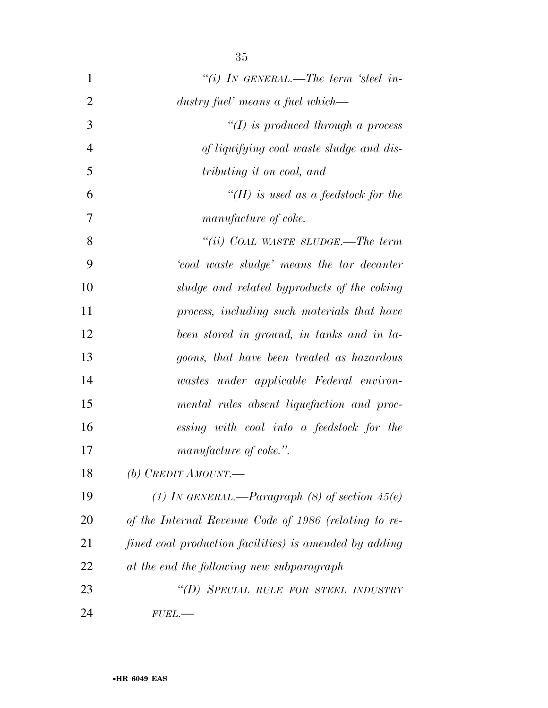| $\mathbf{1}$   | "(i) IN GENERAL.—The term 'steel in-                   |
|----------------|--------------------------------------------------------|
| $\overline{2}$ | dustry fuel' means a fuel which—                       |
| 3              | $\lq (I)$ is produced through a process                |
| $\overline{4}$ | of liquifying coal waste sludge and dis-               |
| 5              | tributing it on coal, and                              |
| 6              | "(II) is used as a feedstock for the                   |
| 7              | manufacture of coke.                                   |
| 8              | "(ii) COAL WASTE SLUDGE.—The term                      |
| 9              | 'coal waste sludge' means the tar decanter             |
| 10             | sludge and related byproducts of the coking            |
| 11             | process, including such materials that have            |
| 12             | been stored in ground, in tanks and in la-             |
| 13             | goons, that have been treated as hazardous             |
| 14             | wastes under applicable Federal environ-               |
| 15             | mental rules absent liquefaction and proc-             |
| 16             | essing with coal into a feedstock for the              |
| 17             | manufacture of coke.".                                 |
| 18             | (b) CREDIT AMOUNT.—                                    |
| 19             | (1) In GENERAL.—Paragraph (8) of section $45(e)$       |
| 20             | of the Internal Revenue Code of 1986 (relating to re-  |
| 21             | fined coal production facilities) is amended by adding |
| 22             | at the end the following new subparagraph              |
| 23             | "(D) SPECIAL RULE FOR STEEL INDUSTRY                   |
| 24             | $FUEL$ .                                               |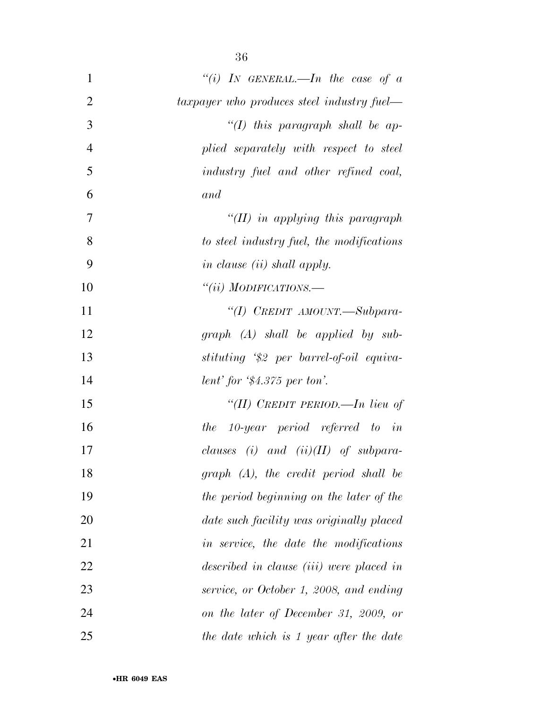| $\mathbf{1}$   | "(i) IN GENERAL.—In the case of $a$             |
|----------------|-------------------------------------------------|
| $\overline{2}$ | taxpayer who produces steel industry fuel—      |
| 3              | "(I) this paragraph shall be ap-                |
| $\overline{4}$ | plied separately with respect to steel          |
| 5              | industry fuel and other refined coal,           |
| 6              | and                                             |
| $\overline{7}$ | "(II) in applying this paragraph"               |
| 8              | to steel industry fuel, the modifications       |
| 9              | <i>in clause (ii) shall apply.</i>              |
| 10             | "(ii) MODIFICATIONS.—                           |
| 11             | "(I) CREDIT AMOUNT.-Subpara-                    |
| 12             | $graph (A) shall be applied by sub-$            |
| 13             | stituting '\$2 per barrel-of-oil equiva-        |
| 14             | lent' for $$4.375$ per ton'.                    |
| 15             | "(II) CREDIT PERIOD.—In lieu of                 |
| 16             | the 10-year period referred to in               |
| 17             | clauses (i) and (ii)( $II$ ) of subpara-        |
| 18             | $graph$ $(A)$ , the credit period shall be      |
| 19             | the period beginning on the later of the        |
| 20             | date such facility was originally placed        |
| 21             | in service, the date the modifications          |
| 22             | described in clause <i>(iii)</i> were placed in |
| 23             | service, or October 1, 2008, and ending         |
| 24             | on the later of December 31, 2009, or           |
| 25             | the date which is 1 year after the date         |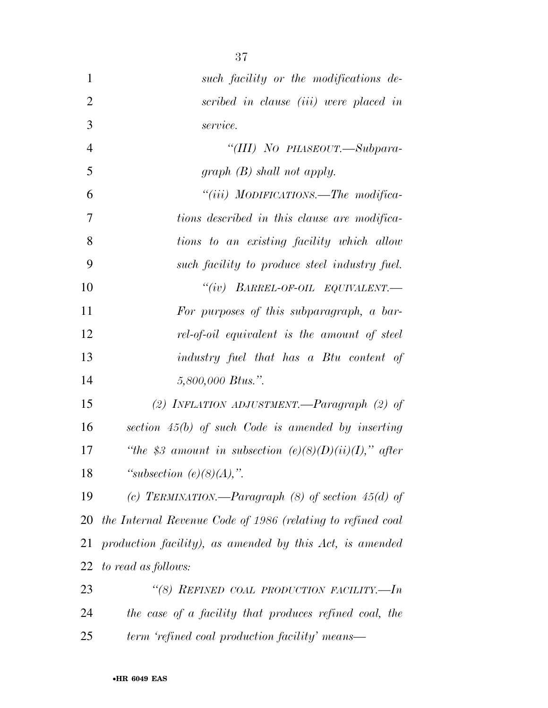| $\mathbf{1}$   | such facility or the modifications de-                      |
|----------------|-------------------------------------------------------------|
| $\overline{2}$ | scribed in clause (iii) were placed in                      |
| 3              | service.                                                    |
| $\overline{4}$ | "(III) NO PHASEOUT.—Subpara-                                |
| 5              | $graph(B)$ shall not apply.                                 |
| 6              | "(iii) MODIFICATIONS.—The modifica-                         |
| 7              | tions described in this clause are modifica-                |
| 8              | tions to an existing facility which allow                   |
| 9              | such facility to produce steel industry fuel.               |
| 10             | "(iv) $BARREL-OF-OL$ $EQUIVALENT$ .                         |
| 11             | For purposes of this subparagraph, a bar-                   |
| 12             | rel-of-oil equivalent is the amount of steel                |
| 13             | industry fuel that has a Btu content of                     |
| 14             | 5,800,000 Btus.".                                           |
| 15             | (2) INFLATION ADJUSTMENT.—Paragraph $(2)$ of                |
| 16             | section $45(b)$ of such Code is amended by inserting        |
| 17             | "the \$3 amount in subsection $(e)(8)(D)(ii)(I)$ ," after   |
| 18             | "subsection $(e)(8)(A)$ ,".                                 |
| 19             | (c) TERMINATION.—Paragraph $(8)$ of section 45(d) of        |
| 20             | the Internal Revenue Code of 1986 (relating to refined coal |
| 21             | production facility), as amended by this Act, is amended    |
| 22             | to read as follows:                                         |
| 23             | "(8) REFINED COAL PRODUCTION FACILITY.-In                   |
| 24             | the case of a facility that produces refined coal, the      |
| 25             | term 'refined coal production facility' means—              |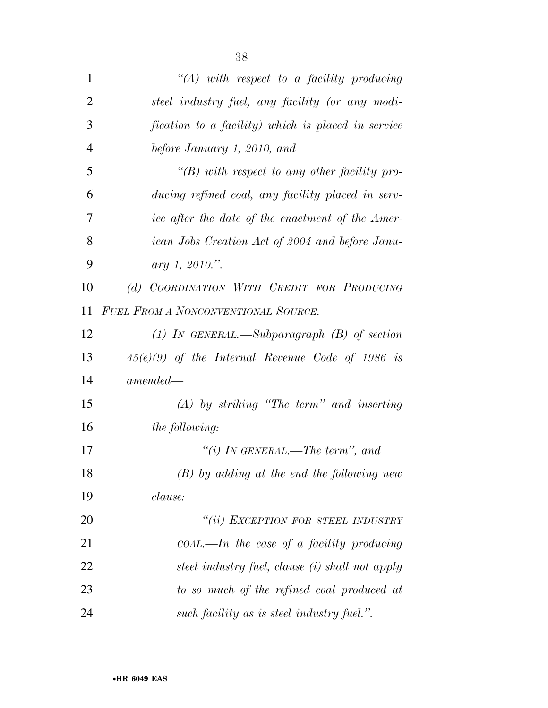| $\mathbf{1}$   | $\lq (A)$ with respect to a facility producing     |
|----------------|----------------------------------------------------|
| $\overline{2}$ | steel industry fuel, any facility (or any modi-    |
| 3              | fication to a facility) which is placed in service |
| $\overline{4}$ | before January 1, 2010, and                        |
| 5              | "(B) with respect to any other facility pro-       |
| 6              | ducing refined coal, any facility placed in serv-  |
| 7              | ice after the date of the enactment of the Amer-   |
| 8              | ican Jobs Creation Act of 2004 and before Janu-    |
| 9              | ary 1, 2010.".                                     |
| 10             | (d) COORDINATION WITH CREDIT FOR PRODUCING         |
| 11             | <b>FUEL FROM A NONCONVENTIONAL SOURCE.</b>         |
| 12             | (1) IN GENERAL.—Subparagraph $(B)$ of section      |
| 13             | $45(e)(9)$ of the Internal Revenue Code of 1986 is |
| 14             | $amended-$                                         |
| 15             | $(A)$ by striking "The term" and inserting         |
| 16             | <i>the following:</i>                              |
| 17             | "(i) IN GENERAL.—The term", and                    |
| 18             | $(B)$ by adding at the end the following new       |
| 19             | <i>clause:</i>                                     |
| 20             | "(ii) EXCEPTION FOR STEEL INDUSTRY                 |
| 21             | $coAL$ —In the case of a facility producing        |
| 22             | steel industry fuel, clause (i) shall not apply    |
| 23             | to so much of the refined coal produced at         |
| 24             | such facility as is steel industry fuel.".         |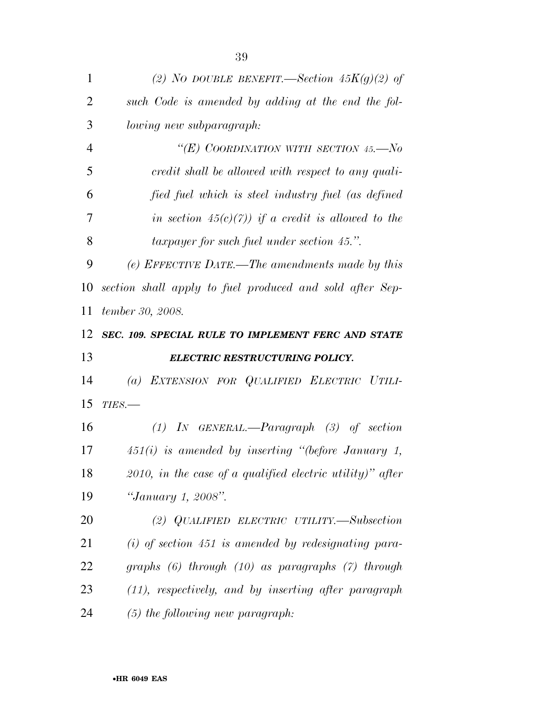| 1              | (2) NO DOUBLE BENEFIT.—Section $45K(g)(2)$ of                |
|----------------|--------------------------------------------------------------|
| $\overline{2}$ | such Code is amended by adding at the end the fol-           |
| 3              | lowing new subparagraph:                                     |
| $\overline{4}$ | "(E) COORDINATION WITH SECTION 45.— $No$                     |
| 5              | credit shall be allowed with respect to any quali-           |
| 6              | fied fuel which is steel industry fuel (as defined           |
| 7              | in section $45(c)(7)$ if a credit is allowed to the          |
| 8              | <i>taxpayer for such fuel under section 45.".</i>            |
| 9              | (e) EFFECTIVE DATE.—The amendments made by this              |
| 10             | section shall apply to fuel produced and sold after Sep-     |
| 11             | tember 30, 2008.                                             |
| 12             | SEC. 109. SPECIAL RULE TO IMPLEMENT FERC AND STATE           |
|                |                                                              |
|                | <b>ELECTRIC RESTRUCTURING POLICY.</b>                        |
|                | (a) EXTENSION FOR QUALIFIED ELECTRIC UTILI-                  |
| 13<br>14<br>15 | $TIES$ .                                                     |
| 16             | $(1)$ IN GENERAL.—Paragraph $(3)$ of section                 |
| 17             | $451(i)$ is amended by inserting "(before January 1,         |
| 18             | $2010$ , in the case of a qualified electric utility)" after |
| 19             | "January 1, 2008".                                           |
| 20             | (2) QUALIFIED ELECTRIC UTILITY.—Subsection                   |
| 21             | $(i)$ of section 451 is amended by redesignating para-       |
| 22             | graphs $(6)$ through $(10)$ as paragraphs $(7)$ through      |
| 23             | $(11)$ , respectively, and by inserting after paragraph      |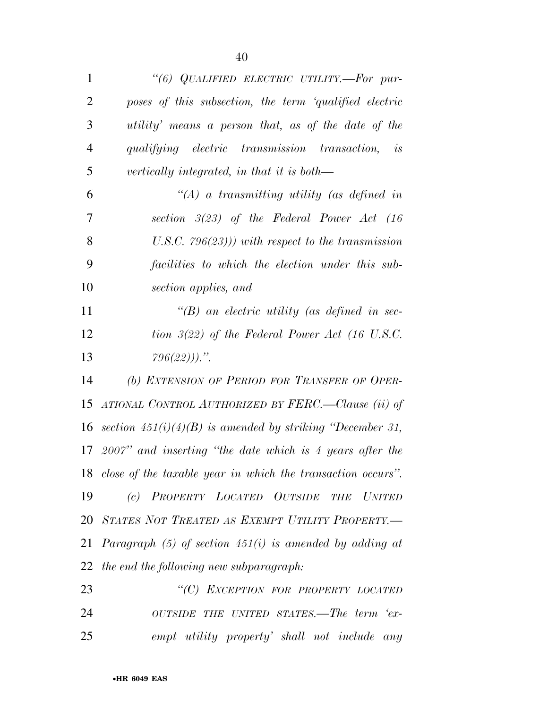| $\mathbf{1}$   | "(6) QUALIFIED ELECTRIC UTILITY.—For pur-                      |
|----------------|----------------------------------------------------------------|
| $\overline{2}$ | poses of this subsection, the term 'qualified electric         |
| 3              | utility' means a person that, as of the date of the            |
| $\overline{4}$ | qualifying electric transmission transaction, is               |
| 5              | vertically integrated, in that it is both—                     |
| 6              | "(A) a transmitting utility (as defined in                     |
| 7              | section $3(23)$ of the Federal Power Act (16                   |
| 8              | U.S.C. $796(23)$ ) with respect to the transmission            |
| 9              | facilities to which the election under this sub-               |
| 10             | section applies, and                                           |
| 11             | $\lq\lq(B)$ an electric utility (as defined in sec-            |
| 12             | tion $3(22)$ of the Federal Power Act (16 U.S.C.               |
| 13             | $796(22))$ .                                                   |
| 14             | (b) EXTENSION OF PERIOD FOR TRANSFER OF OPER-                  |
| 15             | ATIONAL CONTROL AUTHORIZED BY FERC.—Clause (ii) of             |
|                | 16 section $451(i)(4)(B)$ is amended by striking "December 31, |
| 17             | $2007"$ and inserting "the date which is 4 years after the     |
|                | 18 close of the taxable year in which the transaction occurs". |
| 19             | PROPERTY LOCATED OUTSIDE<br>(c)<br><b>UNITED</b><br><b>THE</b> |
| 20             | STATES NOT TREATED AS EXEMPT UTILITY PROPERTY.-                |
| 21             | Paragraph $(5)$ of section $451(i)$ is amended by adding at    |
| 22             | the end the following new subparagraph:                        |
| 23             | "(C) EXCEPTION FOR PROPERTY LOCATED                            |
| 24             | OUTSIDE THE UNITED STATES.—The term 'ex-                       |

*empt utility property' shall not include any*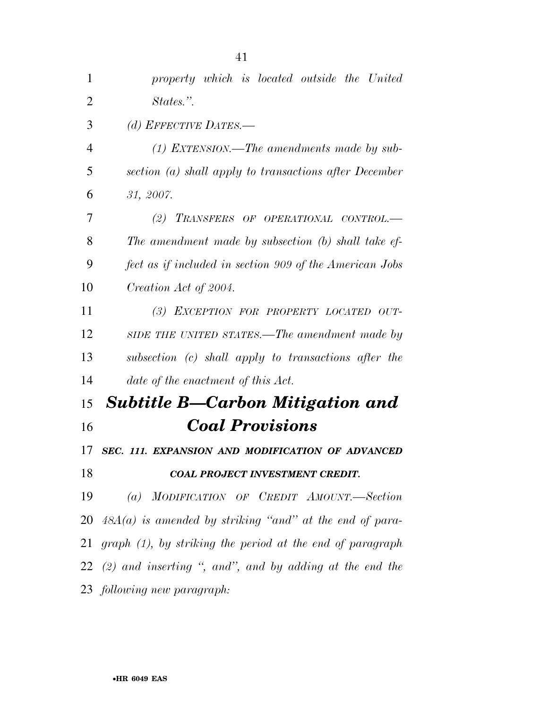| 1              | property which is located outside the United                 |
|----------------|--------------------------------------------------------------|
| $\overline{2}$ | States.".                                                    |
| 3              | (d) EFFECTIVE DATES.—                                        |
| $\overline{4}$ | $(1)$ EXTENSION.—The amendments made by sub-                 |
| 5              | section (a) shall apply to transactions after December       |
| 6              | 31, 2007.                                                    |
| 7              | (2) TRANSFERS OF OPERATIONAL CONTROL.-                       |
| 8              | The amendment made by subsection (b) shall take ef-          |
| 9              | fect as if included in section 909 of the American Jobs      |
| 10             | Creation Act of 2004.                                        |
| 11             | (3) EXCEPTION FOR PROPERTY LOCATED OUT-                      |
| 12             | SIDE THE UNITED STATES.—The amendment made by                |
| 13             | subsection (c) shall apply to transactions after the         |
| 14             | date of the enactment of this Act.                           |
| 15             | <b>Subtitle B-Carbon Mitigation and</b>                      |
| 16             | <b>Coal Provisions</b>                                       |
| 17             | SEC. 111. EXPANSION AND MODIFICATION OF ADVANCED             |
| 18             | COAL PROJECT INVESTMENT CREDIT.                              |
| 19             | (a) MODIFICATION OF CREDIT AMOUNT.-Section                   |
|                | 20 $48A(a)$ is amended by striking "and" at the end of para- |
| 21             | $graph (1)$ , by striking the period at the end of paragraph |
|                | $22$ (2) and inserting ", and", and by adding at the end the |
|                | 23 following new paragraph:                                  |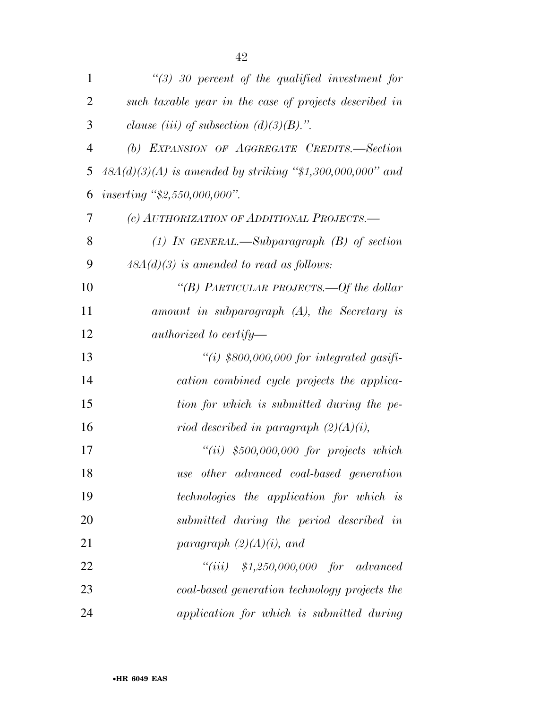| 1              | $\lq(3)$ 30 percent of the qualified investment for         |
|----------------|-------------------------------------------------------------|
| $\overline{2}$ | such taxable year in the case of projects described in      |
| 3              | clause (iii) of subsection (d)(3)(B).".                     |
| $\overline{4}$ | (b) EXPANSION OF AGGREGATE CREDITS.-Section                 |
| 5              | $48A(d)(3)(A)$ is amended by striking "\$1,300,000,000" and |
| 6              | inserting " $$2,550,000,000"$ .                             |
| 7              | (c) AUTHORIZATION OF ADDITIONAL PROJECTS.-                  |
| 8              | (1) In GENERAL.—Subparagraph $(B)$ of section               |
| 9              | $48A(d)(3)$ is amended to read as follows:                  |
| 10             | "(B) PARTICULAR PROJECTS.—Of the dollar                     |
| 11             | amount in subparagraph $(A)$ , the Secretary is             |
| 12             | authorized to certify—                                      |
| 13             | "(i) $$800,000,000$ for integrated gasifi-                  |
| 14             | cation combined cycle projects the applica-                 |
| 15             | tion for which is submitted during the pe-                  |
| 16             | riod described in paragraph $(2)(A)(i)$ ,                   |
| 17             | $``(ii)$ \$500,000,000 for projects which                   |
| 18             | use other advanced coal-based generation                    |
| 19             | <i>technologies</i> the application for which is            |
| 20             | submitted during the period described in                    |
| 21             | paragraph $(2)(A)(i)$ , and                                 |
| 22             | $``(iii)$ \$1,250,000,000 for advanced                      |
| 23             | coal-based generation technology projects the               |
| 24             | application for which is submitted during                   |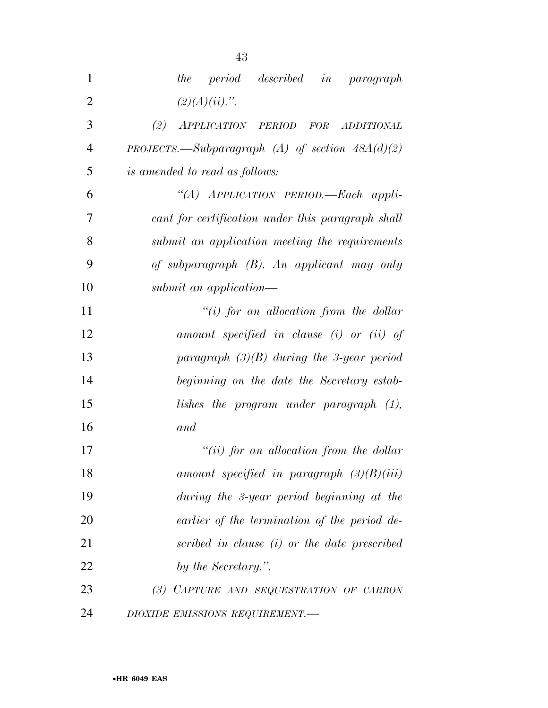| 1              | <i>period described in paragraph</i><br>the       |
|----------------|---------------------------------------------------|
| $\overline{2}$ | $(2)(A)(ii)$ .".                                  |
| 3              | (2)<br>APPLICATION PERIOD FOR<br>ADDITIONAL       |
| $\overline{4}$ | PROJECTS.—Subparagraph (A) of section $48A(d)(2)$ |
| 5              | <i>is amended to read as follows:</i>             |
| 6              | "(A) APPLICATION PERIOD.—Each appli-              |
| 7              | cant for certification under this paragraph shall |
| 8              | submit an application meeting the requirements    |
| 9              | of subparagraph $(B)$ . An applicant may only     |
| 10             | submit an application—                            |
| 11             | "(i) for an allocation from the dollar            |
| 12             | amount specified in clause (i) or (ii) of         |
| 13             | paragraph $(3)(B)$ during the 3-year period       |
| 14             | beginning on the date the Secretary estab-        |
| 15             | lishes the program under paragraph (1),           |
| 16             | and                                               |
| 17             | "(ii) for an allocation from the dollar           |
| 18             | amount specified in paragraph $(3)(B)(iii)$       |
| 19             | during the 3-year period beginning at the         |
| 20             | earlier of the termination of the period de-      |
| 21             | scribed in clause (i) or the date prescribed      |
| 22             | by the Secretary.".                               |
| 23             | (3) CAPTURE AND SEQUESTRATION OF CARBON           |
| 24             | DIOXIDE EMISSIONS REQUIREMENT.-                   |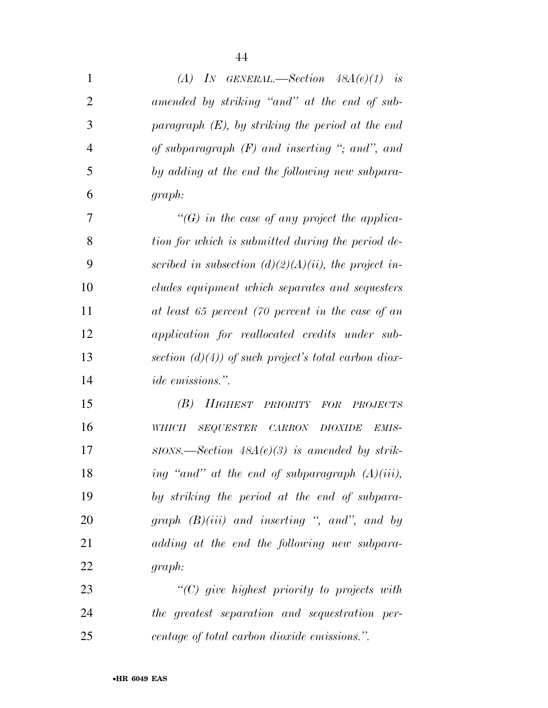| $\mathbf{1}$   | (A) IN GENERAL.—Section $48A(e)(1)$ is                      |
|----------------|-------------------------------------------------------------|
| $\overline{2}$ | amended by striking "and" at the end of sub-                |
| 3              | paragraph $(E)$ , by striking the period at the end         |
| $\overline{4}$ | of subparagraph $(F)$ and inserting "; and", and            |
| 5              | by adding at the end the following new subpara-             |
| 6              | graph:                                                      |
| 7              | $\lq\lq(G)$ in the case of any project the applica-         |
| 8              | tion for which is submitted during the period de-           |
| 9              | scribed in subsection $(d)(2)(A)(ii)$ , the project in-     |
| 10             | cludes equipment which separates and sequesters             |
| 11             | at least 65 percent (70 percent in the case of an           |
| 12             | application for reallocated credits under sub-              |
| 13             | section $(d)(4)$ of such project's total carbon diox-       |
| 14             | <i>ide emissions.</i> ".                                    |
| 15             | (B)<br>HIGHEST<br>PRIORITY FOR<br><b>PROJECTS</b>           |
| 16             | SEQUESTER CARBON<br><b>DIOXIDE</b><br><b>WHICH</b><br>EMIS- |
| 17             | $SIONS.$ Section $48A(e)(3)$ is amended by strik-           |
| 18             | ing "and" at the end of subparagraph $(A)(iii)$ ,           |
| 19             | by striking the period at the end of subpara-               |
| 20             | graph $(B)(iii)$ and inserting ", and", and by              |
| 21             | adding at the end the following new subpara-                |
| 22             | graph:                                                      |
| 23             | $"$ (C) give highest priority to projects with              |
| 24             | the greatest separation and sequestration per-              |
| 25             | centage of total carbon dioxide emissions.".                |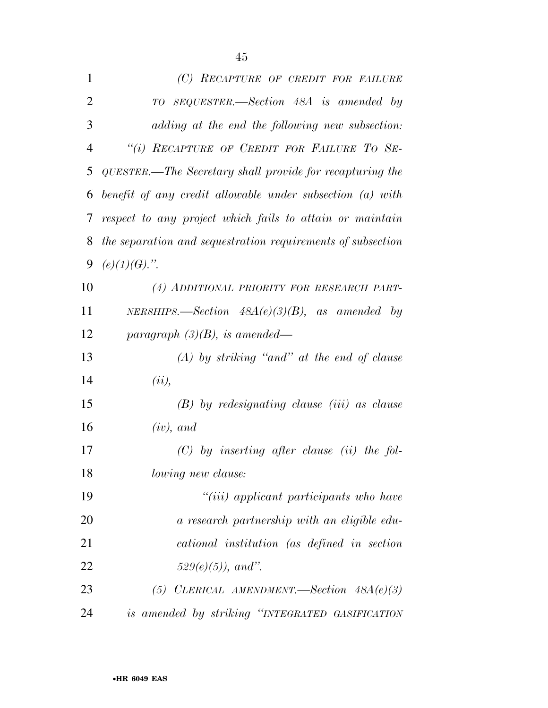| $\mathbf{1}$   | (C) RECAPTURE OF CREDIT FOR FAILURE                         |
|----------------|-------------------------------------------------------------|
| $\overline{2}$ | TO SEQUESTER.—Section 48A is amended by                     |
| 3              | adding at the end the following new subsection:             |
| $\overline{4}$ | "(i) RECAPTURE OF CREDIT FOR FAILURE TO SE-                 |
| 5              | QUESTER.—The Secretary shall provide for recapturing the    |
| 6              | benefit of any credit allowable under subsection (a) with   |
| 7              | respect to any project which fails to attain or maintain    |
| 8              | the separation and sequestration requirements of subsection |
| 9              | $(e)(1)(G)$ .".                                             |
| 10             | (4) ADDITIONAL PRIORITY FOR RESEARCH PART-                  |
| 11             | NERSHIPS.—Section $48A(e)(3)(B)$ , as amended by            |
| 12             | paragraph $(3)(B)$ , is amended—                            |
| 13             | $(A)$ by striking "and" at the end of clause                |
| 14             | (ii),                                                       |
| 15             | $(B)$ by redesignating clause (iii) as clause               |
| 16             | $(iv)$ , and                                                |
| 17             | $(C)$ by inserting after clause (ii) the fol-               |
| 18             | <i>lowing new clause:</i>                                   |
| 19             | "(iii) applicant participants who have                      |
| 20             | a research partnership with an eligible edu-                |
| 21             | cational institution (as defined in section                 |
| 22             | $529(e)(5)$ , and".                                         |
| 23             | (5) CLERICAL AMENDMENT.—Section $48A(e)(3)$                 |
| 24             | is amended by striking "INTEGRATED GASIFICATION             |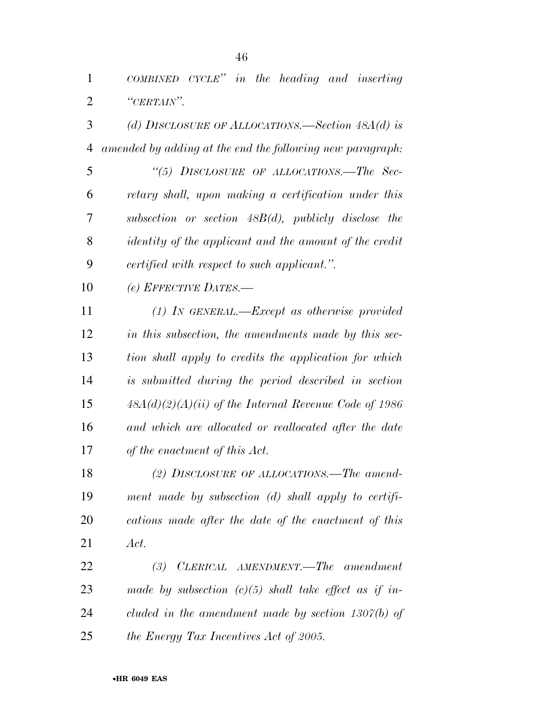| $\mathbf{1}$   | COMBINED CYCLE" in the heading and inserting                  |
|----------------|---------------------------------------------------------------|
| $\overline{2}$ | "CERTAIN".                                                    |
| 3              | (d) DISCLOSURE OF ALLOCATIONS.—Section $48A(d)$ is            |
| $\overline{4}$ | amended by adding at the end the following new paragraph:     |
| 5              | "(5) DISCLOSURE OF ALLOCATIONS.—The Sec-                      |
| 6              | retary shall, upon making a certification under this          |
| 7              | subsection or section $48B(d)$ , publicly disclose the        |
| 8              | <i>identity of the applicant and the amount of the credit</i> |
| 9              | certified with respect to such applicant.".                   |
| 10             | (e) EFFECTIVE DATES.-                                         |
| 11             | $(1)$ In GENERAL.—Except as otherwise provided                |
| 12             | in this subsection, the amendments made by this sec-          |
| 13             | tion shall apply to credits the application for which         |
| 14             | is submitted during the period described in section           |
| 15             | $48A(d)(2)(A)(ii)$ of the Internal Revenue Code of 1986       |
| 16             | and which are allocated or reallocated after the date         |
| 17             | of the enactment of this Act.                                 |
| 18             | (2) DISCLOSURE OF ALLOCATIONS.—The amend-                     |
| 19             | ment made by subsection (d) shall apply to certifi-           |
| 20             | cations made after the date of the enactment of this          |
| 21             | Act.                                                          |
| 22             | (3) CLERICAL AMENDMENT.—The amendment                         |
| 23             | made by subsection $(c)(5)$ shall take effect as if in-       |
| 24             | cluded in the amendment made by section $1307(b)$ of          |
| 25             | the Energy Tax Incentives Act of 2005.                        |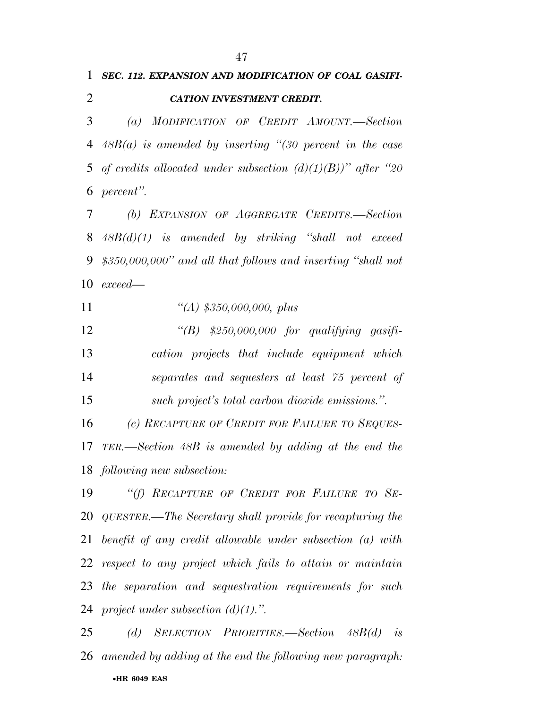## *SEC. 112. EXPANSION AND MODIFICATION OF COAL GASIFI-CATION INVESTMENT CREDIT.*

 *(a) MODIFICATION OF CREDIT AMOUNT.—Section 48B(a) is amended by inserting ''(30 percent in the case of credits allocated under subsection (d)(1)(B))'' after ''20 percent''.* 

 *(b) EXPANSION OF AGGREGATE CREDITS.—Section 48B(d)(1) is amended by striking ''shall not exceed \$350,000,000'' and all that follows and inserting ''shall not exceed—* 

*''(A) \$350,000,000, plus* 

 *''(B) \$250,000,000 for qualifying gasifi- cation projects that include equipment which separates and sequesters at least 75 percent of such project's total carbon dioxide emissions.''.* 

 *(c) RECAPTURE OF CREDIT FOR FAILURE TO SEQUES- TER.—Section 48B is amended by adding at the end the following new subsection:* 

 *''(f) RECAPTURE OF CREDIT FOR FAILURE TO SE- QUESTER.—The Secretary shall provide for recapturing the benefit of any credit allowable under subsection (a) with respect to any project which fails to attain or maintain the separation and sequestration requirements for such project under subsection (d)(1).''.* 

•**HR 6049 EAS**  *(d) SELECTION PRIORITIES.—Section 48B(d) is amended by adding at the end the following new paragraph:*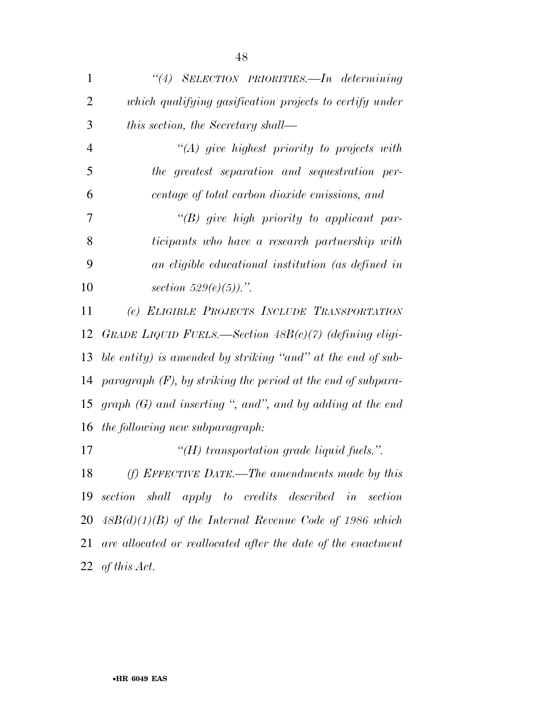| 1              | "(4) SELECTION PRIORITIES.—In determining                         |
|----------------|-------------------------------------------------------------------|
| $\overline{2}$ | which qualifying gasification projects to certify under           |
| 3              | this section, the Secretary shall—                                |
| $\overline{4}$ | $\lq (A)$ give highest priority to projects with                  |
| 5              | the greatest separation and sequestration per-                    |
| 6              | centage of total carbon dioxide emissions, and                    |
| 7              | "(B) give high priority to applicant par-                         |
| 8              | ticipants who have a research partnership with                    |
| 9              | an eligible educational institution (as defined in                |
| 10             | section $529(e)(5)$ .".                                           |
| 11             | (e) ELIGIBLE PROJECTS INCLUDE TRANSPORTATION                      |
| 12             | GRADE LIQUID FUELS.—Section $48B(c)(7)$ (defining eligi-          |
| 13             | ble entity) is amended by striking "and" at the end of sub-       |
| 14             | paragraph $(F)$ , by striking the period at the end of subpara-   |
| 15             | graph $(G)$ and inserting ", and", and by adding at the end       |
| 16             | the following new subparagraph:                                   |
| 17             | "(H) transportation grade liquid fuels.".                         |
|                | 18 (f) EFFECTIVE DATE.—The amendments made by this                |
|                | 19 section shall apply to credits described in<br>section         |
|                | $20\quad 48B(d)(1)(B)$ of the Internal Revenue Code of 1986 which |
| 21             | are allocated or reallocated after the date of the enactment      |
|                | 22 of this Act.                                                   |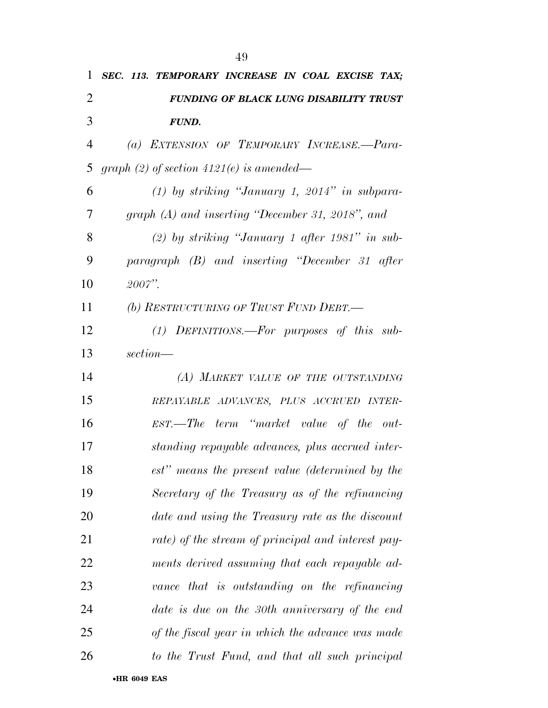| 1              | SEC. 113. TEMPORARY INCREASE IN COAL EXCISE TAX;   |
|----------------|----------------------------------------------------|
| $\overline{2}$ | FUNDING OF BLACK LUNG DISABILITY TRUST             |
| 3              | <b>FUND.</b>                                       |
| 4              | (a) EXTENSION OF TEMPORARY INCREASE.-Para-         |
| 5              | graph (2) of section $4121(e)$ is amended—         |
| 6              | $(1)$ by striking "January 1, 2014" in subpara-    |
| 7              | graph (A) and inserting "December 31, 2018", and   |
| 8              | $(2)$ by striking "January 1 after 1981" in sub-   |
| 9              | paragraph (B) and inserting "December 31 after     |
| 10             | 2007".                                             |
| 11             | (b) RESTRUCTURING OF TRUST FUND DEBT.-             |
| 12             | $(1)$ DEFINITIONS.—For purposes of this sub-       |
| 13             | section—                                           |
| 14             | (A) MARKET VALUE OF THE OUTSTANDING                |
| 15             | REPAYABLE ADVANCES, PLUS ACCRUED INTER-            |
| 16             | EST.—The term "market value of the out-            |
| 17             | standing repayable advances, plus accrued inter-   |
| 18             | est" means the present value (determined by the    |
| 19             | Secretary of the Treasury as of the refinancing    |
| 20             | date and using the Treasury rate as the discount   |
| 21             | rate) of the stream of principal and interest pay- |
| 22             | ments derived assuming that each repayable ad-     |
| 23             | vance that is outstanding on the refinancing       |
| 24             | date is due on the 30th anniversary of the end     |
| 25             | of the fiscal year in which the advance was made   |
| 26             | to the Trust Fund, and that all such principal     |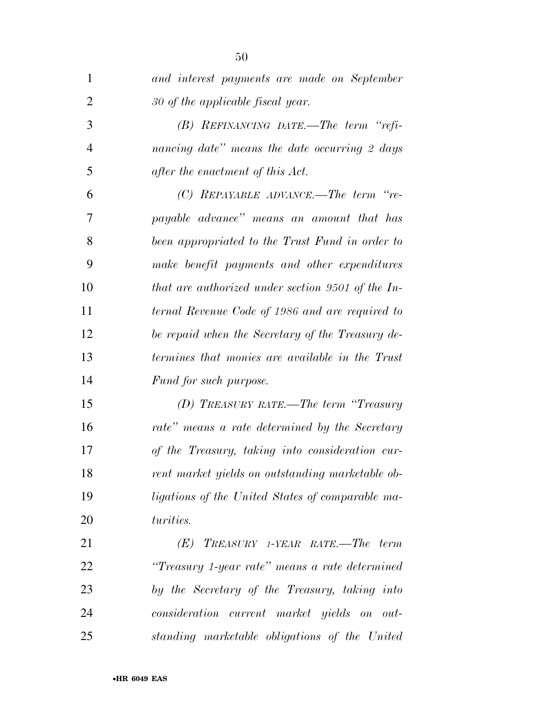| $\mathbf{1}$   | and interest payments are made on September       |
|----------------|---------------------------------------------------|
| 2              | 30 of the applicable fiscal year.                 |
| 3              | $(B)$ REFINANCING DATE.—The term "refi-           |
| $\overline{4}$ | nancing date" means the date occurring 2 days     |
| 5              | after the enactment of this Act.                  |
| 6              | $(C)$ REPAYABLE ADVANCE.—The term "re-            |
| 7              | payable advance" means an amount that has         |
| 8              | been appropriated to the Trust Fund in order to   |
| 9              | make benefit payments and other expenditures      |
| 10             | that are authorized under section 9501 of the In- |
| 11             | ternal Revenue Code of 1986 and are required to   |
| 12             | be repaid when the Secretary of the Treasury de-  |
| 13             | termines that monies are available in the Trust   |
| 14             | Fund for such purpose.                            |
| 15             | (D) TREASURY RATE.—The term "Treasury             |
| 16             | rate" means a rate determined by the Secretary    |
| 17             | of the Treasury, taking into consideration cur-   |
| 18             | rent market yields on outstanding marketable ob-  |
| 19             | ligations of the United States of comparable ma-  |
| 20             | turities.                                         |
| 21             | $(E)$ TREASURY 1-YEAR RATE.—The term              |
| 22             | "Treasury 1-year rate" means a rate determined    |
| 23             | by the Secretary of the Treasury, taking into     |
| 24             | consideration current market yields on out-       |
| 25             | standing marketable obligations of the United     |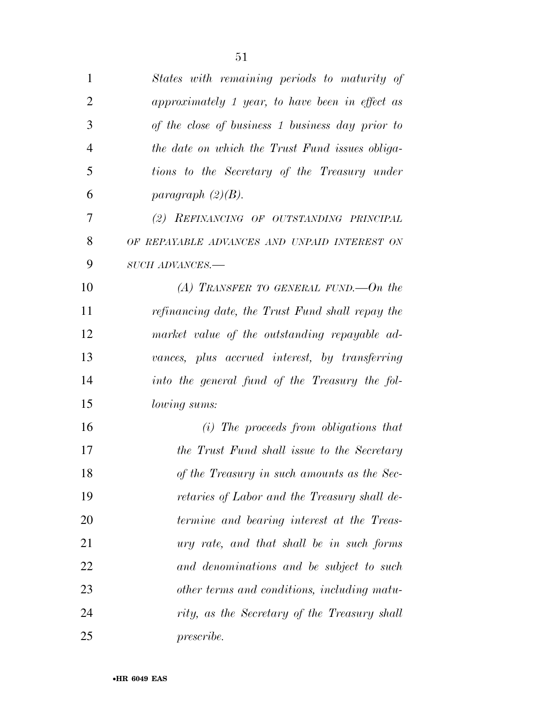| 1              | States with remaining periods to maturity of     |
|----------------|--------------------------------------------------|
| $\overline{2}$ | approximately 1 year, to have been in effect as  |
| 3              | of the close of business 1 business day prior to |
| $\overline{4}$ | the date on which the Trust Fund issues obliga-  |
| 5              | tions to the Secretary of the Treasury under     |
| 6              | paragraph $(2)(B)$ .                             |
| 7              | (2) REFINANCING OF OUTSTANDING PRINCIPAL         |
| 8              | OF REPAYABLE ADVANCES AND UNPAID INTEREST ON     |
| 9              | SUCH ADVANCES.-                                  |
| 10             | (A) TRANSFER TO GENERAL FUND.—On the             |
| 11             | refinancing date, the Trust Fund shall repay the |
| 12             | market value of the outstanding repayable ad-    |
| 13             | vances, plus accrued interest, by transferring   |
| 14             | into the general fund of the Treasury the fol-   |
| 15             | lowing sums:                                     |
| 16             | $(i)$ The proceeds from obligations that         |
| 17             | the Trust Fund shall issue to the Secretary      |
| 18             | of the Treasury in such amounts as the Sec-      |
| 19             | retaries of Labor and the Treasury shall de-     |
| 20             | termine and bearing interest at the Treas-       |
| 21             | ury rate, and that shall be in such forms        |
| 22             | and denominations and be subject to such         |
| 23             | other terms and conditions, including matu-      |
| 24             | rity, as the Secretary of the Treasury shall     |
| 25             | <i>prescribe.</i>                                |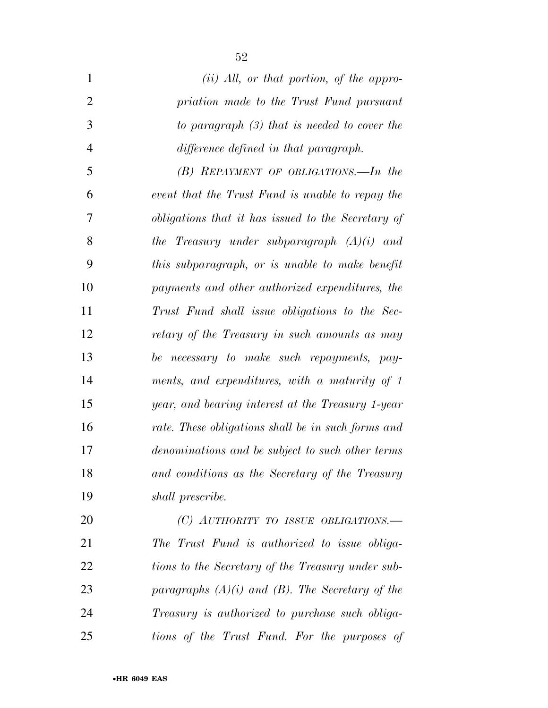| $\mathbf{1}$   | $(ii)$ All, or that portion, of the appro-         |
|----------------|----------------------------------------------------|
| $\overline{2}$ | priation made to the Trust Fund pursuant           |
| 3              | to paragraph $(3)$ that is needed to cover the     |
| $\overline{4}$ | difference defined in that paragraph.              |
| 5              | $(B)$ REPAYMENT OF OBLIGATIONS.—In the             |
| 6              | event that the Trust Fund is unable to repay the   |
| 7              | obligations that it has issued to the Secretary of |
| 8              | the Treasury under subparagraph $(A)(i)$ and       |
| 9              | this subparagraph, or is unable to make benefit    |
| 10             | payments and other authorized expenditures, the    |
| 11             | Trust Fund shall issue obligations to the Sec-     |
| 12             | retary of the Treasury in such amounts as may      |
| 13             | be necessary to make such repayments, pay-         |
| 14             | ments, and expenditures, with a maturity of 1      |
| 15             | year, and bearing interest at the Treasury 1-year  |
| 16             | rate. These obligations shall be in such forms and |
| 17             | denominations and be subject to such other terms   |
| 18             | and conditions as the Secretary of the Treasury    |
| 19             | shall prescribe.                                   |
| 20             | (C) AUTHORITY TO ISSUE OBLIGATIONS.—               |

 *The Trust Fund is authorized to issue obliga- tions to the Secretary of the Treasury under sub- paragraphs (A)(i) and (B). The Secretary of the Treasury is authorized to purchase such obliga-tions of the Trust Fund. For the purposes of*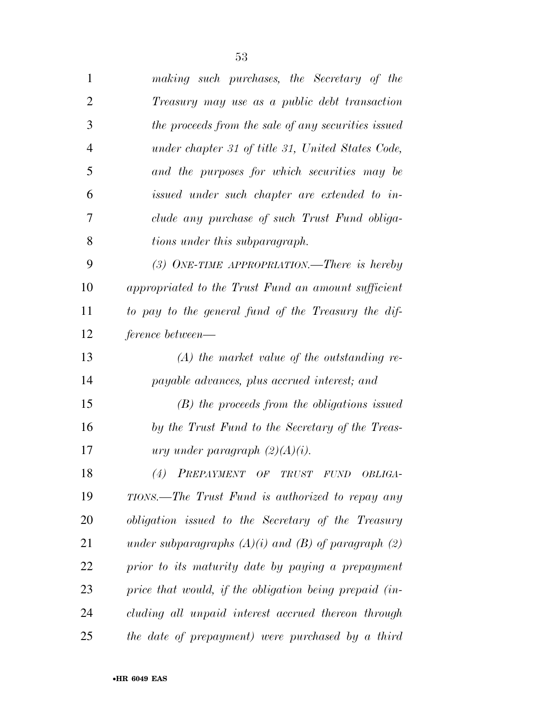| 1              | making such purchases, the Secretary of the               |
|----------------|-----------------------------------------------------------|
| $\overline{2}$ | Treasury may use as a public debt transaction             |
| 3              | the proceeds from the sale of any securities issued       |
| $\overline{4}$ | under chapter 31 of title 31, United States Code,         |
| 5              | and the purposes for which securities may be              |
| 6              | issued under such chapter are extended to in-             |
| 7              | clude any purchase of such Trust Fund obliga-             |
| 8              | tions under this subparagraph.                            |
| 9              | (3) ONE-TIME APPROPRIATION.—There is hereby               |
| 10             | appropriated to the Trust Fund an amount sufficient       |
| 11             | to pay to the general fund of the Treasury the dif-       |
| 12             | ference between—                                          |
| 13             | $(A)$ the market value of the outstanding re-             |
| 14             | payable advances, plus accrued interest; and              |
| 15             | $(B)$ the proceeds from the obligations issued            |
| 16             | by the Trust Fund to the Secretary of the Treas-          |
| 17             | <i>ury under paragraph</i> $(2)(A)(i)$ .                  |
| 18             | (4) PREPAYMENT OF TRUST FUND OBLIGA-                      |
| 19             | TIONS.—The Trust Fund is authorized to repay any          |
| 20             | <i>obligation issued to the Secretary of the Treasury</i> |
| 21             | under subparagraphs $(A)(i)$ and $(B)$ of paragraph $(2)$ |
| 22             | prior to its maturity date by paying a prepayment         |
| 23             | price that would, if the obligation being prepaid (in-    |
| 24             | cluding all unpaid interest accrued thereon through       |
| 25             | the date of prepayment) were purchased by a third         |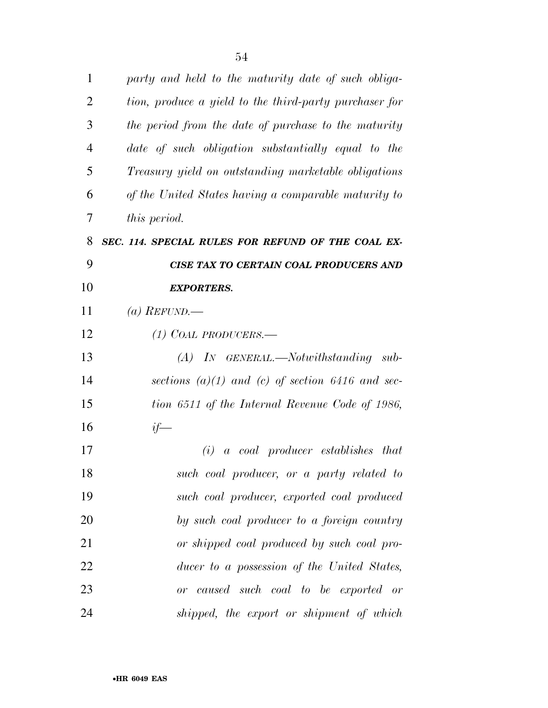| 1              | party and held to the maturity date of such obliga-    |
|----------------|--------------------------------------------------------|
| 2              | tion, produce a yield to the third-party purchaser for |
| 3              | the period from the date of purchase to the maturity   |
| $\overline{4}$ | date of such obligation substantially equal to the     |
| 5              | Treasury yield on outstanding marketable obligations   |
| 6              | of the United States having a comparable maturity to   |
| 7              | this period.                                           |
| 8              | SEC. 114. SPECIAL RULES FOR REFUND OF THE COAL EX-     |
| 9              | CISE TAX TO CERTAIN COAL PRODUCERS AND                 |
| 10             | <b>EXPORTERS.</b>                                      |
| 11             | (a) REFUND.—                                           |
| 12             | $(1)$ COAL PRODUCERS.—                                 |
| 13             | $(A)$ In GENERAL.—Notwithstanding sub-                 |
| 14             | sections $(a)(1)$ and $(c)$ of section 6416 and sec-   |
| 15             | tion 6511 of the Internal Revenue Code of 1986,        |
| 16             | $if-$                                                  |
| 17             | a coal producer establishes that<br>(i)                |
| 18             | such coal producer, or a party related to              |
| 19             | such coal producer, exported coal produced             |
| 20             | by such coal producer to a foreign country             |
| 21             | or shipped coal produced by such coal pro-             |
| 22             | ducer to a possession of the United States,            |
| 23             | or caused such coal to be exported or                  |
| 24             | shipped, the export or shipment of which               |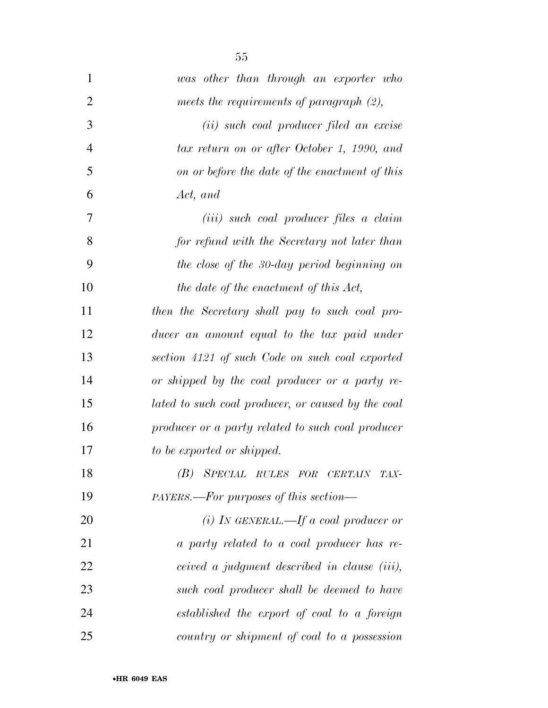| $\mathbf{1}$   | was other than through an exporter who             |
|----------------|----------------------------------------------------|
| $\overline{2}$ | meets the requirements of paragraph $(2)$ ,        |
| 3              | (ii) such coal producer filed an excise            |
| $\overline{4}$ | tax return on or after October 1, 1990, and        |
| 5              | on or before the date of the enactment of this     |
| 6              | Act, and                                           |
| 7              | ( <i>iii</i> ) such coal producer files a claim    |
| 8              | for refund with the Secretary not later than       |
| 9              | the close of the 30-day period beginning on        |
| 10             | the date of the enactment of this Act,             |
| 11             | then the Secretary shall pay to such coal pro-     |
| 12             | ducer an amount equal to the tax paid under        |
| 13             | section 4121 of such Code on such coal exported    |
| 14             | or shipped by the coal producer or a party re-     |
| 15             | lated to such coal producer, or caused by the coal |
| 16             | producer or a party related to such coal producer  |
| 17             | to be exported or shipped.                         |
| 18             | (B) SPECIAL RULES FOR CERTAIN TAX-                 |
| 19             | PAYERS.—For purposes of this section—              |
| 20             | (i) IN GENERAL.—If a coal producer or              |
| 21             | a party related to a coal producer has re-         |
| 22             | ceived a judgment described in clause (iii),       |
| 23             | such coal producer shall be deemed to have         |
| 24             | established the export of coal to a foreign        |
| 25             | country or shipment of coal to a possession        |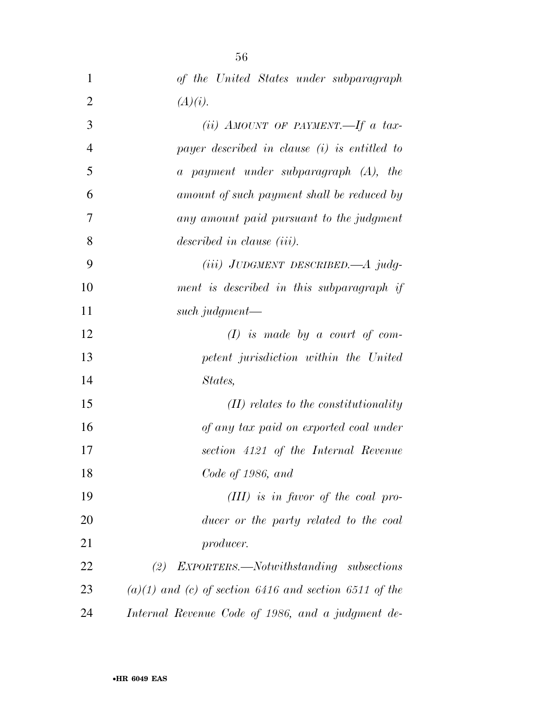| $\mathbf{1}$   | of the United States under subparagraph                    |
|----------------|------------------------------------------------------------|
| $\overline{2}$ | (A)(i).                                                    |
| 3              | (ii) AMOUNT OF PAYMENT.—If a tax-                          |
| $\overline{4}$ | payer described in clause (i) is entitled to               |
| 5              | a payment under subparagraph (A), the                      |
| 6              | amount of such payment shall be reduced by                 |
| 7              | any amount paid pursuant to the judgment                   |
| 8              | described in clause (iii).                                 |
| 9              | $(iii)$ JUDGMENT DESCRIBED.— $A$ judg-                     |
| 10             | ment is described in this subparagraph if                  |
| 11             | such judgment—                                             |
| 12             | $(I)$ is made by a court of com-                           |
| 13             | petent jurisdiction within the United                      |
| 14             | States,                                                    |
| 15             | $(II)$ relates to the constitutionality                    |
| 16             | of any tax paid on exported coal under                     |
| 17             | section 4121 of the Internal Revenue                       |
| 18             | Code of 1986, and                                          |
| 19             | $(III)$ is in favor of the coal pro-                       |
| 20             | ducer or the party related to the coal                     |
| 21             | producer.                                                  |
| 22             | EXPORTERS.—Notwithstanding subsections<br>(2)              |
| 23             | $(a)(1)$ and $(c)$ of section 6416 and section 6511 of the |
| 24             | Internal Revenue Code of 1986, and a judgment de-          |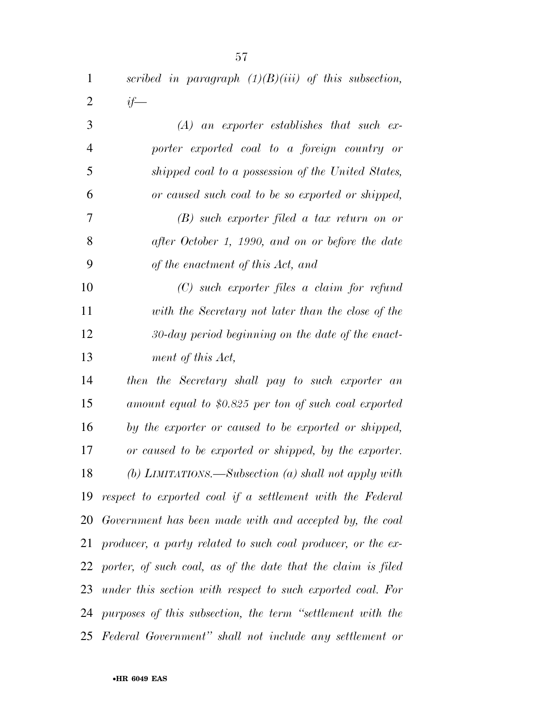| $\mathbf{1}$   | scribed in paragraph $(1)(B)(iii)$ of this subsection, |
|----------------|--------------------------------------------------------|
| $\overline{2}$ | $if-$                                                  |
| 3              | $(A)$ an exporter establishes that such ex-            |
| $\overline{4}$ | porter exported coal to a foreign country or           |
| 5              | shipped coal to a possession of the United States,     |
| 6              | or caused such coal to be so exported or shipped,      |
| 7              | $(B)$ such exporter filed a tax return on or           |
| 8              | after October 1, 1990, and on or before the date       |
| 9              | of the enactment of this Act, and                      |
| 10             | $(C)$ such exporter files a claim for refund           |
| 11             | with the Secretary not later than the close of the     |
| 12             | $30$ -day period beginning on the date of the enact-   |
| 13             | ment of this Act,                                      |
| 14             | then the Secretary shall pay to such exporter an       |

 *amount equal to \$0.825 per ton of such coal exported by the exporter or caused to be exported or shipped, or caused to be exported or shipped, by the exporter. (b) LIMITATIONS.—Subsection (a) shall not apply with respect to exported coal if a settlement with the Federal Government has been made with and accepted by, the coal producer, a party related to such coal producer, or the ex- porter, of such coal, as of the date that the claim is filed under this section with respect to such exported coal. For purposes of this subsection, the term ''settlement with the Federal Government'' shall not include any settlement or*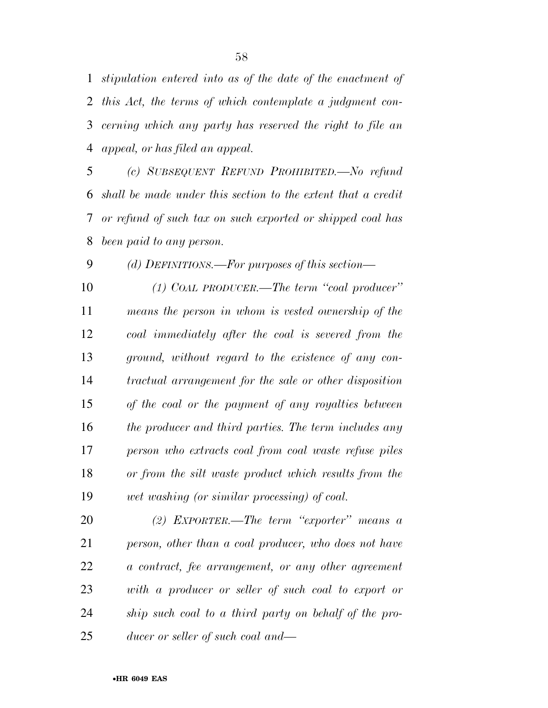*stipulation entered into as of the date of the enactment of this Act, the terms of which contemplate a judgment con- cerning which any party has reserved the right to file an appeal, or has filed an appeal.* 

 *(c) SUBSEQUENT REFUND PROHIBITED.—No refund shall be made under this section to the extent that a credit or refund of such tax on such exported or shipped coal has been paid to any person.* 

*(d) DEFINITIONS.—For purposes of this section—* 

 *(1) COAL PRODUCER.—The term ''coal producer'' means the person in whom is vested ownership of the coal immediately after the coal is severed from the ground, without regard to the existence of any con- tractual arrangement for the sale or other disposition of the coal or the payment of any royalties between the producer and third parties. The term includes any person who extracts coal from coal waste refuse piles or from the silt waste product which results from the wet washing (or similar processing) of coal.* 

 *(2) EXPORTER.—The term ''exporter'' means a person, other than a coal producer, who does not have a contract, fee arrangement, or any other agreement with a producer or seller of such coal to export or ship such coal to a third party on behalf of the pro-ducer or seller of such coal and—*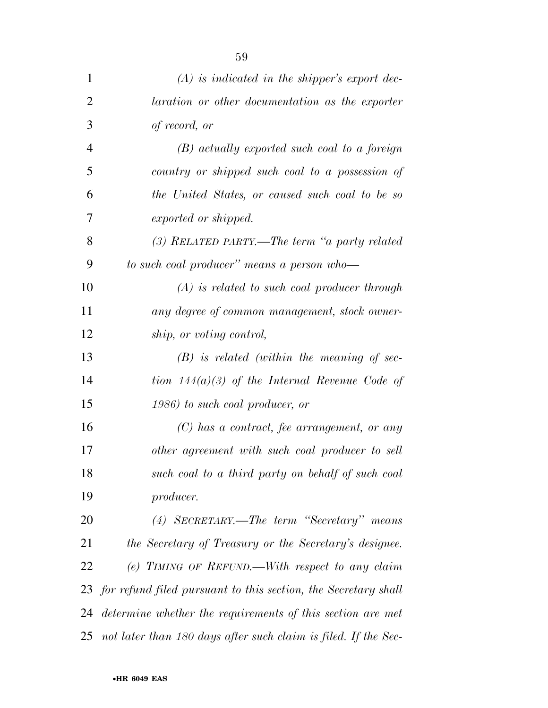| $\mathbf{1}$   | $(A)$ is indicated in the shipper's export dec-                |
|----------------|----------------------------------------------------------------|
| $\overline{2}$ | laration or other documentation as the exporter                |
| 3              | of record, or                                                  |
| $\overline{4}$ | $(B)$ actually exported such coal to a foreign                 |
| 5              | country or shipped such coal to a possession of                |
| 6              | the United States, or caused such coal to be so                |
| 7              | exported or shipped.                                           |
| 8              | (3) RELATED PARTY.—The term "a party related                   |
| 9              | to such coal producer" means a person who-                     |
| 10             | $(A)$ is related to such coal producer through                 |
| 11             | any degree of common management, stock owner-                  |
| 12             | ship, or voting control,                                       |
| 13             | $(B)$ is related (within the meaning of sec-                   |
| 14             | tion $144(a)(3)$ of the Internal Revenue Code of               |
| 15             | 1986) to such coal producer, or                                |
| 16             | $(C)$ has a contract, fee arrangement, or any                  |
| 17             | other agreement with such coal producer to sell                |
| 18             | such coal to a third party on behalf of such coal              |
| 19             | producer.                                                      |
| 20             | (4) SECRETARY.—The term "Secretary" means                      |
| 21             | the Secretary of Treasury or the Secretary's designee.         |
| 22             | (e) TIMING OF REFUND.—With respect to any claim                |
| 23             | for refund filed pursuant to this section, the Secretary shall |
| 24             | determine whether the requirements of this section are met     |
| 25             | not later than 180 days after such claim is filed. If the Sec- |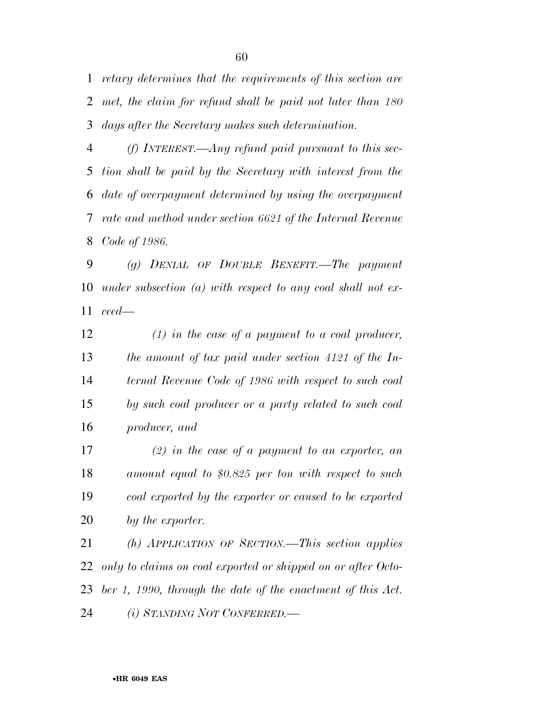*retary determines that the requirements of this section are met, the claim for refund shall be paid not later than 180 days after the Secretary makes such determination.* 

 *(f) INTEREST.—Any refund paid pursuant to this sec- tion shall be paid by the Secretary with interest from the date of overpayment determined by using the overpayment rate and method under section 6621 of the Internal Revenue Code of 1986.* 

 *(g) DENIAL OF DOUBLE BENEFIT.—The payment under subsection (a) with respect to any coal shall not ex-ceed—* 

 *(1) in the case of a payment to a coal producer, the amount of tax paid under section 4121 of the In- ternal Revenue Code of 1986 with respect to such coal by such coal producer or a party related to such coal producer, and* 

 *(2) in the case of a payment to an exporter, an amount equal to \$0.825 per ton with respect to such coal exported by the exporter or caused to be exported by the exporter.* 

 *(h) APPLICATION OF SECTION.—This section applies only to claims on coal exported or shipped on or after Octo- ber 1, 1990, through the date of the enactment of this Act. (i) STANDING NOT CONFERRED.—*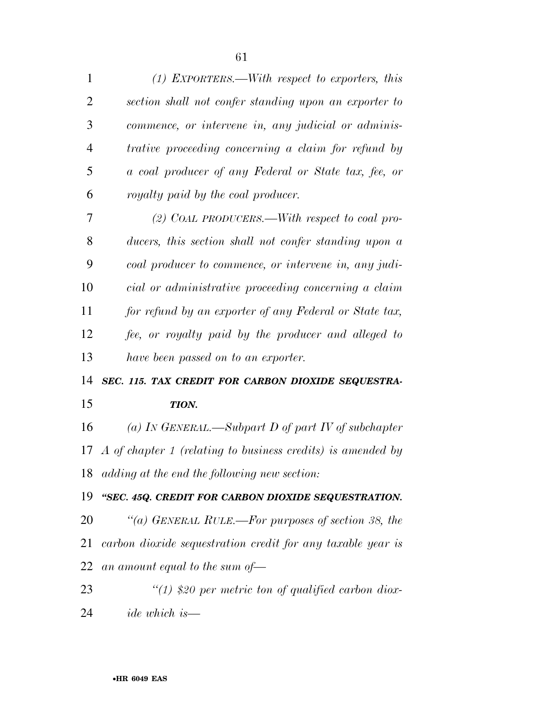| 1              | $(1)$ EXPORTERS.—With respect to exporters, this               |
|----------------|----------------------------------------------------------------|
| $\overline{2}$ | section shall not confer standing upon an exporter to          |
| 3              | commence, or intervene in, any judicial or adminis-            |
| $\overline{4}$ | trative proceeding concerning a claim for refund by            |
| 5              | a coal producer of any Federal or State tax, fee, or           |
| 6              | royalty paid by the coal producer.                             |
| 7              | (2) COAL PRODUCERS.—With respect to coal pro-                  |
| 8              | ducers, this section shall not confer standing upon a          |
| 9              | coal producer to commence, or intervene in, any judi-          |
| 10             | cial or administrative proceeding concerning a claim           |
| 11             | for refund by an exporter of any Federal or State tax,         |
| 12             | fee, or royalty paid by the producer and alleged to            |
| 13             | have been passed on to an exporter.                            |
| 14             | SEC. 115. TAX CREDIT FOR CARBON DIOXIDE SEQUESTRA-             |
| 15             | TION.                                                          |
| 16             | (a) IN GENERAL.—Subpart D of part IV of subchapter             |
|                | 17 A of chapter 1 (relating to business credits) is amended by |
|                | 18 adding at the end the following new section:                |
| 19             | "SEC. 45Q. CREDIT FOR CARBON DIOXIDE SEQUESTRATION.            |
| 20             | "(a) GENERAL RULE.—For purposes of section 38, the             |
| 21             | carbon dioxide sequestration credit for any taxable year is    |
| 22             | an amount equal to the sum of $-$                              |
| 23             | $\lq(1)$ \$20 per metric ton of qualified carbon diox-         |

*ide which is—*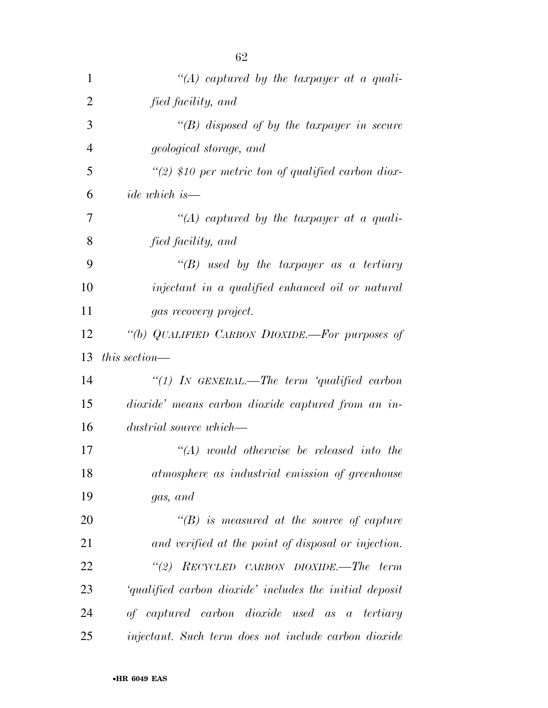| 1              | "(A) captured by the taxpayer at a quali-               |
|----------------|---------------------------------------------------------|
| $\overline{2}$ | fied facility, and                                      |
| 3              | $\lq (B)$ disposed of by the taxpayer in secure         |
| $\overline{4}$ | geological storage, and                                 |
| 5              | $\lq(2)$ \$10 per metric ton of qualified carbon diox-  |
| 6              | $ide$ which is —                                        |
| 7              | $\lq (A)$ captured by the taxpayer at a quali-          |
| 8              | fied facility, and                                      |
| 9              | "(B) used by the taxpayer as a tertiary                 |
| 10             | injectant in a qualified enhanced oil or natural        |
| 11             | gas recovery project.                                   |
| 12             | "(b) QUALIFIED CARBON DIOXIDE.—For purposes of          |
| 13             | this section—                                           |
| 14             | "(1) IN GENERAL.—The term 'qualified carbon             |
| 15             | dioxide' means carbon dioxide captured from an in-      |
| 16             | dustrial source which—                                  |
| 17             | $\lq\lq (A)$ would otherwise be released into the       |
| 18             | atmosphere as industrial emission of greenhouse         |
| 19             | gas, and                                                |
| 20             | $\lq\lq(B)$ is measured at the source of capture        |
| 21             | and verified at the point of disposal or injection.     |
| 22             | "(2) $RECYCLED$ CARBON DIOXIDE.—The term                |
| 23             | 'qualified carbon dioxide' includes the initial deposit |
| 24             | of captured carbon dioxide used as a tertiary           |
| 25             | injectant. Such term does not include carbon dioxide    |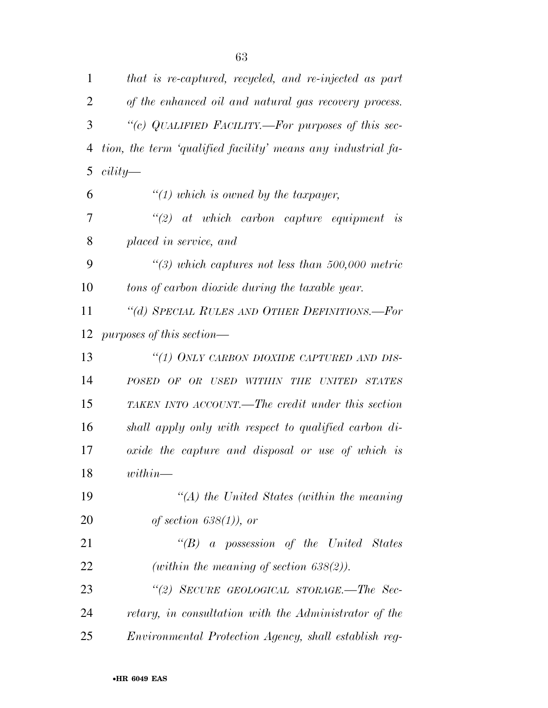| $\mathbf{1}$ | that is re-captured, recycled, and re-injected as part       |
|--------------|--------------------------------------------------------------|
| 2            | of the enhanced oil and natural gas recovery process.        |
| 3            | "(c) QUALIFIED FACILITY.—For purposes of this sec-           |
| 4            | tion, the term 'qualified facility' means any industrial fa- |
| 5            | $cility-$                                                    |
| 6            | $\lq(1)$ which is owned by the taxpayer,                     |
| 7            | $\lq(2)$ at which carbon capture equipment<br>is             |
| 8            | placed in service, and                                       |
| 9            | $\lq(3)$ which captures not less than 500,000 metric         |
| 10           | tons of carbon dioxide during the taxable year.              |
| 11           | "(d) SPECIAL RULES AND OTHER DEFINITIONS.—For                |
| 12           | purposes of this section—                                    |
| 13           | "(1) ONLY CARBON DIOXIDE CAPTURED AND DIS-                   |
| 14           | POSED OF OR USED WITHIN THE UNITED STATES                    |
| 15           | TAKEN INTO ACCOUNT.—The credit under this section            |
| 16           | shall apply only with respect to qualified carbon di-        |
| 17           | oxide the capture and disposal or use of which is            |
| 18           | $within-$                                                    |
| 19           | $\lq (A)$ the United States (within the meaning              |
| <b>20</b>    | of section $638(1)$ , or                                     |
| 21           | "(B) a possession of the United States                       |
| 22           | (within the meaning of section $638(2)$ ).                   |
| 23           | "(2) SECURE GEOLOGICAL STORAGE.—The Sec-                     |
| 24           | retary, in consultation with the Administrator of the        |
| 25           | Environmental Protection Agency, shall establish reg-        |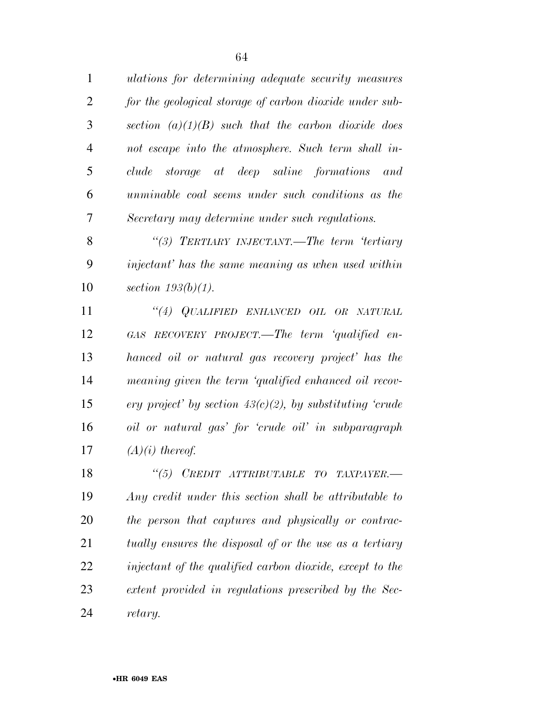*ulations for determining adequate security measures for the geological storage of carbon dioxide under sub- section (a)(1)(B) such that the carbon dioxide does not escape into the atmosphere. Such term shall in- clude storage at deep saline formations and unminable coal seems under such conditions as the Secretary may determine under such regulations.* 

 *''(3) TERTIARY INJECTANT.—The term 'tertiary injectant' has the same meaning as when used within section 193(b)(1).* 

 *''(4) QUALIFIED ENHANCED OIL OR NATURAL GAS RECOVERY PROJECT.—The term 'qualified en- hanced oil or natural gas recovery project' has the meaning given the term 'qualified enhanced oil recov- ery project' by section 43(c)(2), by substituting 'crude oil or natural gas' for 'crude oil' in subparagraph (A)(i) thereof.* 

 *''(5) CREDIT ATTRIBUTABLE TO TAXPAYER.— Any credit under this section shall be attributable to the person that captures and physically or contrac- tually ensures the disposal of or the use as a tertiary injectant of the qualified carbon dioxide, except to the extent provided in regulations prescribed by the Sec-retary.*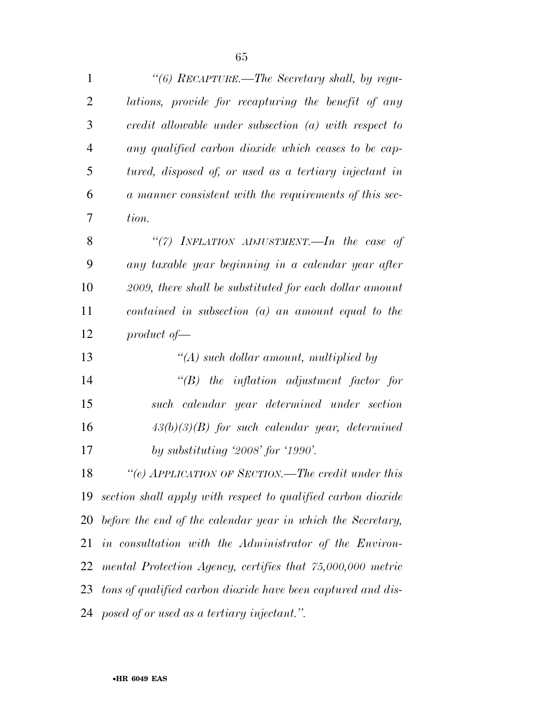| $\mathbf{1}$   | "(6) RECAPTURE.—The Secretary shall, by regu-                       |
|----------------|---------------------------------------------------------------------|
| $\overline{2}$ | lations, provide for recapturing the benefit of any                 |
| 3              | credit allowable under subsection $(a)$ with respect to             |
| $\overline{4}$ | any qualified carbon dioxide which ceases to be cap-                |
| 5              | tured, disposed of, or used as a tertiary injectant in              |
| 6              | a manner consistent with the requirements of this sec-              |
| 7              | tion.                                                               |
| 8              | "(7) INFLATION ADJUSTMENT.—In the case of                           |
| 9              | any taxable year beginning in a calendar year after                 |
| 10             | 2009, there shall be substituted for each dollar amount             |
| 11             | contained in subsection $(a)$ an amount equal to the                |
| 12             | product of                                                          |
| 13             | " $(A)$ such dollar amount, multiplied by                           |
| 14             | $\lq\lq B$ the inflation adjustment factor for                      |
| 15             | such calendar year determined under section                         |
| 16             | $43(b)(3)(B)$ for such calendar year, determined                    |
| 17             | by substituting $\langle 2008 \rangle$ for $\langle 1990 \rangle$ . |
| 18             | "(e) APPLICATION OF SECTION.—The credit under this                  |
| 19             | section shall apply with respect to qualified carbon dioxide        |
| 20             | before the end of the calendar year in which the Secretary,         |
| 21             | in consultation with the Administrator of the Environ-              |
| 22             | mental Protection Agency, certifies that 75,000,000 metric          |
|                | 23 tons of qualified carbon dioxide have been captured and dis-     |
|                | 24 posed of or used as a tertiary injectant.".                      |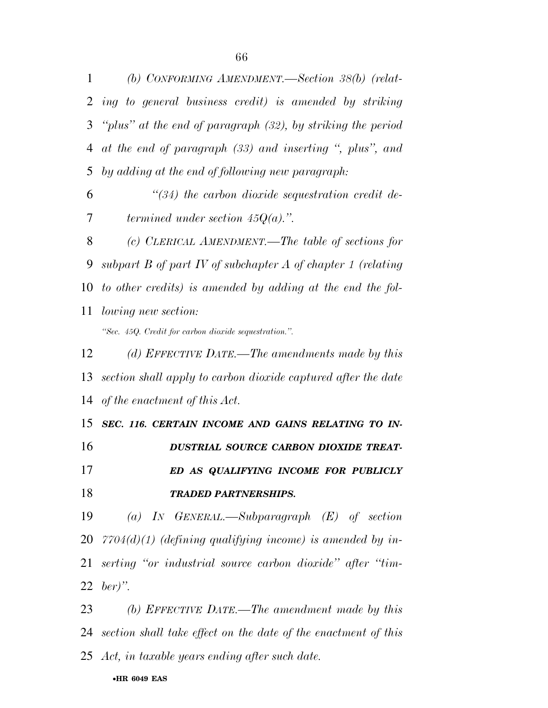*(b) CONFORMING AMENDMENT.—Section 38(b) (relat- ing to general business credit) is amended by striking ''plus'' at the end of paragraph (32), by striking the period at the end of paragraph (33) and inserting '', plus'', and by adding at the end of following new paragraph: ''(34) the carbon dioxide sequestration credit de-termined under section 45Q(a).''.* 

 *(c) CLERICAL AMENDMENT.—The table of sections for subpart B of part IV of subchapter A of chapter 1 (relating to other credits) is amended by adding at the end the fol- lowing new section: ''Sec. 45Q. Credit for carbon dioxide sequestration.''.* 

 *(d) EFFECTIVE DATE.—The amendments made by this section shall apply to carbon dioxide captured after the date of the enactment of this Act.* 

 *SEC. 116. CERTAIN INCOME AND GAINS RELATING TO IN- DUSTRIAL SOURCE CARBON DIOXIDE TREAT- ED AS QUALIFYING INCOME FOR PUBLICLY TRADED PARTNERSHIPS.* 

 *(a) IN GENERAL.—Subparagraph (E) of section 7704(d)(1) (defining qualifying income) is amended by in- serting ''or industrial source carbon dioxide'' after ''tim-ber)''.* 

 *(b) EFFECTIVE DATE.—The amendment made by this section shall take effect on the date of the enactment of this Act, in taxable years ending after such date.*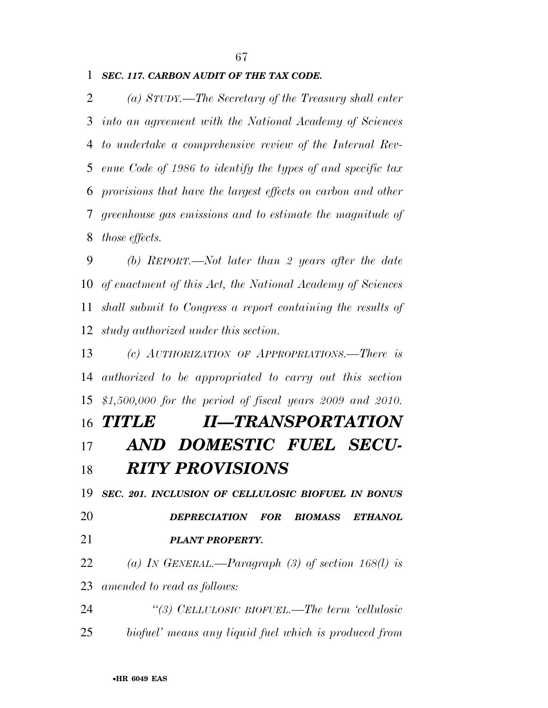## *SEC. 117. CARBON AUDIT OF THE TAX CODE.*

 *(a) STUDY.—The Secretary of the Treasury shall enter into an agreement with the National Academy of Sciences to undertake a comprehensive review of the Internal Rev- enue Code of 1986 to identify the types of and specific tax provisions that have the largest effects on carbon and other greenhouse gas emissions and to estimate the magnitude of those effects.* 

 *(b) REPORT.—Not later than 2 years after the date of enactment of this Act, the National Academy of Sciences shall submit to Congress a report containing the results of study authorized under this section.* 

 *(c) AUTHORIZATION OF APPROPRIATIONS.—There is authorized to be appropriated to carry out this section \$1,500,000 for the period of fiscal years 2009 and 2010.* 

## *TITLE II—TRANSPORTATION AND DOMESTIC FUEL SECU-RITY PROVISIONS*

 *SEC. 201. INCLUSION OF CELLULOSIC BIOFUEL IN BONUS DEPRECIATION FOR BIOMASS ETHANOL PLANT PROPERTY.* 

 *(a) IN GENERAL.—Paragraph (3) of section 168(l) is amended to read as follows:* 

 *''(3) CELLULOSIC BIOFUEL.—The term 'cellulosic biofuel' means any liquid fuel which is produced from*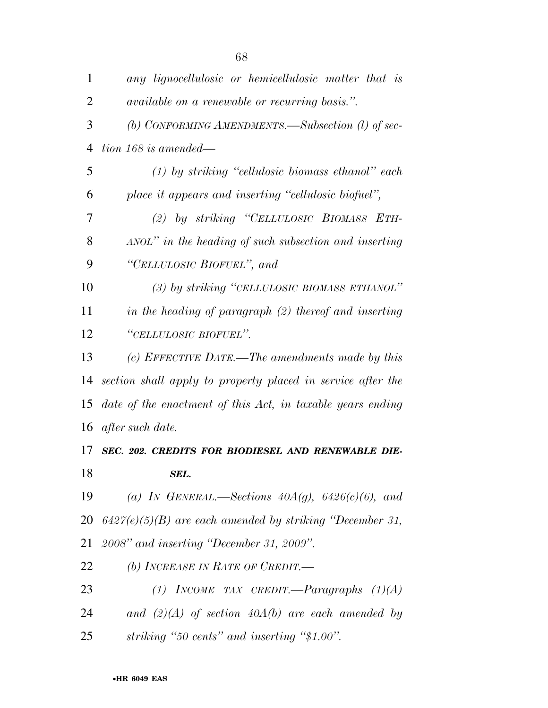| 1              | any lignocellulosic or hemicellulosic matter that is        |
|----------------|-------------------------------------------------------------|
| $\overline{2}$ | <i>available on a renewable or recurring basis.</i> ".      |
| 3              | (b) CONFORMING AMENDMENTS.—Subsection (l) of sec-           |
| $\overline{4}$ | $tion\ 168\ is\ amended$ —                                  |
| 5              | $(1)$ by striking "cellulosic biomass ethanol" each         |
| 6              | place it appears and inserting "cellulosic biofuel",        |
| 7              | (2) by striking "CELLULOSIC BIOMASS ETH-                    |
| 8              | ANOL" in the heading of such subsection and inserting       |
| 9              | "CELLULOSIC BIOFUEL", and                                   |
| 10             | (3) by striking "CELLULOSIC BIOMASS ETHANOL"                |
| 11             | in the heading of paragraph (2) thereof and inserting       |
| 12             | "CELLULOSIC BIOFUEL".                                       |
| 13             | (c) EFFECTIVE DATE.—The amendments made by this             |
| 14             | section shall apply to property placed in service after the |
| 15             | date of the enactment of this Act, in taxable years ending  |
| 16             | after such date.                                            |
| 17             | SEC. 202. CREDITS FOR BIODIESEL AND RENEWABLE DIE-          |
| 18             | SEL.                                                        |
| 19             | (a) IN GENERAL.—Sections $40A(g)$ , $6426(c)(6)$ , and      |
| 20             | $6427(e)(5)(B)$ are each amended by striking "December 31,  |
| 21             | 2008" and inserting "December 31, 2009".                    |
| 22             | (b) INCREASE IN RATE OF CREDIT.—                            |
| 23             | (1) INCOME TAX CREDIT.—Paragraphs $(1)(A)$                  |
| 24             | and $(2)(A)$ of section $40A(b)$ are each amended by        |
| 25             | striking "50 cents" and inserting "\$1.00".                 |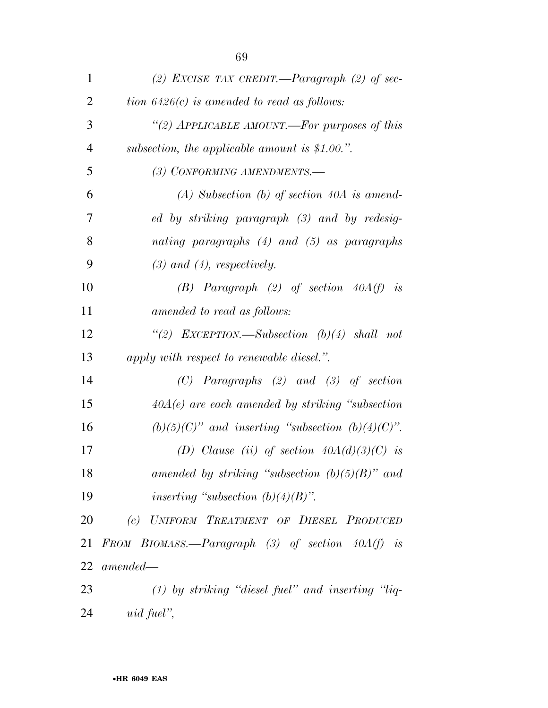| $\mathbf{1}$   | (2) EXCISE TAX CREDIT.—Paragraph (2) of sec-           |
|----------------|--------------------------------------------------------|
| $\overline{2}$ | tion $6426(c)$ is amended to read as follows:          |
| 3              | "(2) APPLICABLE AMOUNT.—For purposes of this           |
| $\overline{4}$ | subsection, the applicable amount is $$1.00."$ .       |
| 5              | (3) CONFORMING AMENDMENTS.-                            |
| 6              | $(A)$ Subsection $(b)$ of section 40A is amend-        |
| 7              | ed by striking paragraph (3) and by redesig-           |
| 8              | nating paragraphs $(4)$ and $(5)$ as paragraphs        |
| 9              | $(3)$ and $(4)$ , respectively.                        |
| 10             | (B) Paragraph (2) of section $40A(f)$ is               |
| 11             | amended to read as follows:                            |
| 12             | "(2) EXCEPTION.—Subsection $(b)(4)$ shall not          |
| 13             | apply with respect to renewable diesel.".              |
| 14             | $(C)$ Paragraphs $(2)$ and $(3)$ of section            |
| 15             | $40A(e)$ are each amended by striking "subsection"     |
| 16             | $(b)(5)(C)$ " and inserting "subsection $(b)(4)(C)$ ". |
| 17             | (D) Clause (ii) of section $40A(d)(3)(C)$ is           |
| 18             | amended by striking "subsection $(b)(5)(B)$ " and      |
| 19             | inserting "subsection $(b)(4)(B)$ ".                   |
| 20             | (c) UNIFORM TREATMENT OF DIESEL PRODUCED               |
| 21             | FROM BIOMASS.—Paragraph $(3)$ of section $40A(f)$ is   |
| 22             | $amended-$                                             |
| 23             | $(1)$ by striking "diesel fuel" and inserting "liq-    |
| 24             | uid fuel",                                             |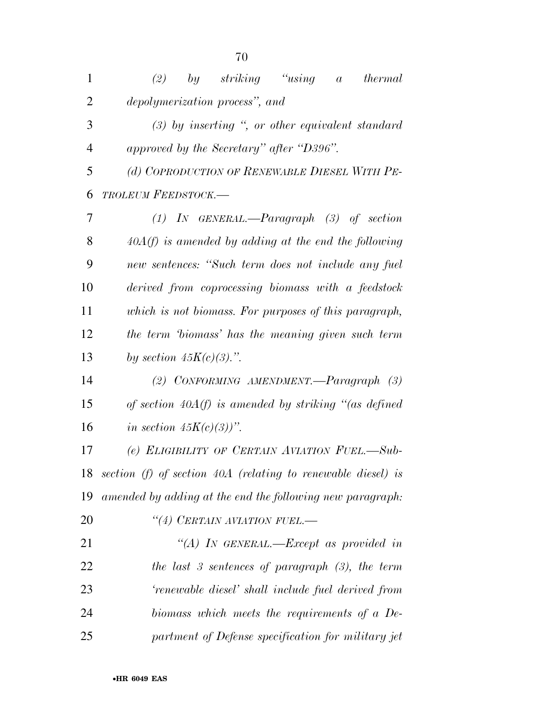| $\mathbf{1}$   | ``using<br>(2)<br>by striking<br><i>thermal</i><br>$\boldsymbol{a}$ |
|----------------|---------------------------------------------------------------------|
| $\overline{2}$ | depolymerization process", and                                      |
| 3              | $(3)$ by inserting ", or other equivalent standard                  |
| $\overline{4}$ | approved by the Secretary" after "D396".                            |
| 5              | (d) COPRODUCTION OF RENEWABLE DIESEL WITH PE-                       |
| 6              | <b>TROLEUM FEEDSTOCK.—</b>                                          |
| 7              | $(1)$ IN GENERAL.—Paragraph $(3)$ of section                        |
| 8              | $40A(f)$ is amended by adding at the end the following              |
| 9              | new sentences: "Such term does not include any fuel                 |
| 10             | derived from coprocessing biomass with a feedstock                  |
| 11             | which is not biomass. For purposes of this paragraph,               |
| 12             | the term biomass' has the meaning given such term                   |
| 13             | by section $45K(c)(3)$ .".                                          |
| 14             | (2) CONFORMING AMENDMENT.—Paragraph $(3)$                           |
| 15             | of section $40A(f)$ is amended by striking "(as defined             |
| 16             | in section $45K(c)(3)$ ".                                           |
| 17             | (e) ELIGIBILITY OF CERTAIN AVIATION FUEL.-Sub-                      |
| 18             | section (f) of section $40A$ (relating to renewable diesel) is      |
| 19             | amended by adding at the end the following new paragraph:           |
| 20             | "(4) CERTAIN AVIATION FUEL.-                                        |
| 21             | "(A) IN GENERAL.—Except as provided in                              |
| 22             | the last 3 sentences of paragraph $(3)$ , the term                  |
| 23             | 'renewable diesel' shall include fuel derived from                  |
| 24             | biomass which meets the requirements of a De-                       |
| 25             | partment of Defense specification for military jet                  |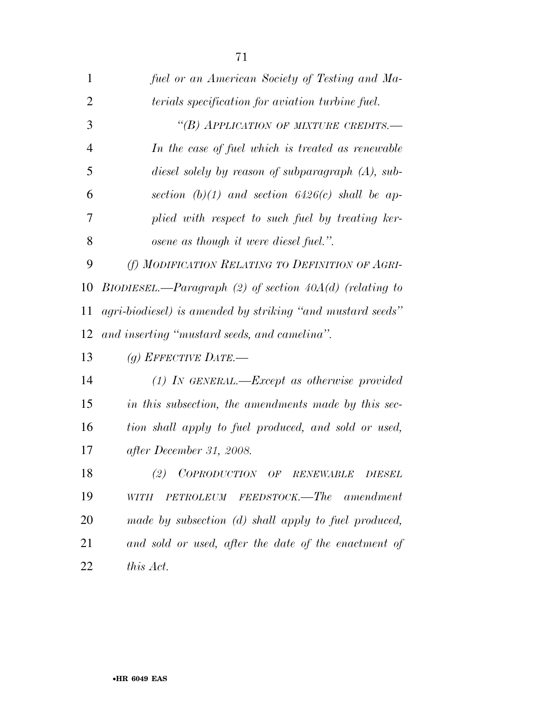| 1              | fuel or an American Society of Testing and Ma-             |
|----------------|------------------------------------------------------------|
| $\overline{2}$ | terials specification for aviation turbine fuel.           |
| 3              | "(B) APPLICATION OF MIXTURE CREDITS.-                      |
| $\overline{4}$ | In the case of fuel which is treated as renewable          |
| 5              | diesel solely by reason of subparagraph (A), sub-          |
| 6              | section $(b)(1)$ and section 6426(c) shall be ap-          |
| 7              | plied with respect to such fuel by treating ker-           |
| 8              | osene as though it were diesel fuel.".                     |
| 9              | (f) MODIFICATION RELATING TO DEFINITION OF AGRI-           |
| 10             | BIODIESEL.—Paragraph (2) of section $40A(d)$ (relating to  |
| 11             | agri-biodiesel) is amended by striking "and mustard seeds" |
| 12             | and inserting "mustard seeds, and camelina".               |
| 13             | (g) EFFECTIVE DATE.—                                       |
| 14             | $(1)$ IN GENERAL.—Except as otherwise provided             |
| 15             | in this subsection, the amendments made by this sec-       |
| 16             | tion shall apply to fuel produced, and sold or used,       |
| 17             | after December 31, 2008.                                   |
| 18             | (2) COPRODUCTION OF RENEWABLE DIESEL                       |
| 19             | PETROLEUM FEEDSTOCK.—The<br>amendment<br>WITH              |
| 20             | made by subsection (d) shall apply to fuel produced,       |
| 21             | and sold or used, after the date of the enactment of       |
| 22             | this Act.                                                  |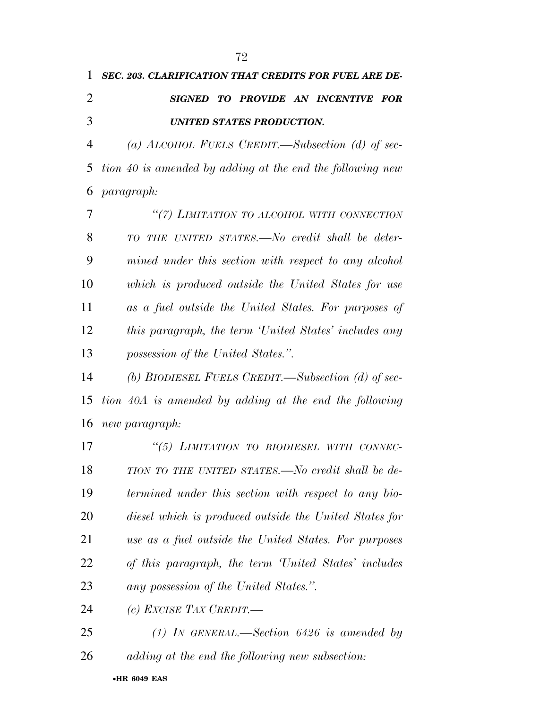*possession of the United States.''.* 

 *(b) BIODIESEL FUELS CREDIT.—Subsection (d) of sec- tion 40A is amended by adding at the end the following new paragraph:* 

 *''(5) LIMITATION TO BIODIESEL WITH CONNEC- TION TO THE UNITED STATES.—No credit shall be de- termined under this section with respect to any bio- diesel which is produced outside the United States for use as a fuel outside the United States. For purposes of this paragraph, the term 'United States' includes any possession of the United States.''.* 

*(c) EXCISE TAX CREDIT.—* 

 *(1) IN GENERAL.—Section 6426 is amended by adding at the end the following new subsection:*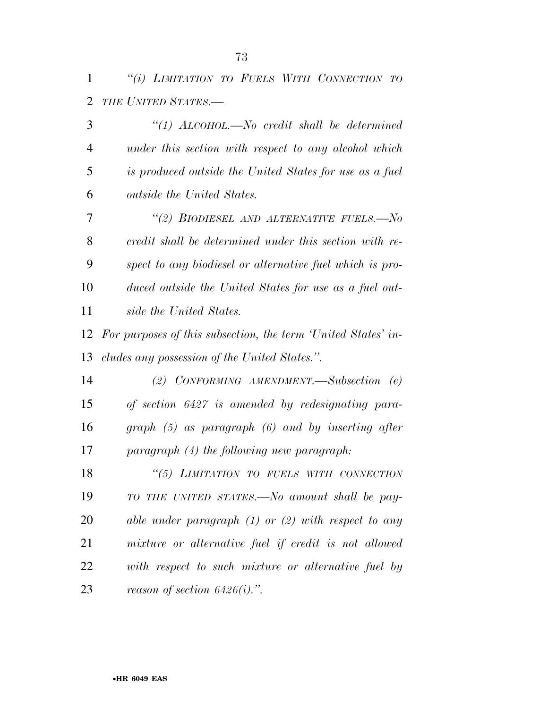*''(i) LIMITATION TO FUELS WITH CONNECTION TO THE UNITED STATES.—* 

 *''(1) ALCOHOL.—No credit shall be determined under this section with respect to any alcohol which is produced outside the United States for use as a fuel outside the United States. ''(2) BIODIESEL AND ALTERNATIVE FUELS.—No credit shall be determined under this section with re- spect to any biodiesel or alternative fuel which is pro- duced outside the United States for use as a fuel out- side the United States. For purposes of this subsection, the term 'United States' in- cludes any possession of the United States.''. (2) CONFORMING AMENDMENT.—Subsection (e) of section 6427 is amended by redesignating para- graph (5) as paragraph (6) and by inserting after paragraph (4) the following new paragraph: ''(5) LIMITATION TO FUELS WITH CONNECTION TO THE UNITED STATES.—No amount shall be pay- able under paragraph (1) or (2) with respect to any mixture or alternative fuel if credit is not allowed with respect to such mixture or alternative fuel by reason of section 6426(i).''.*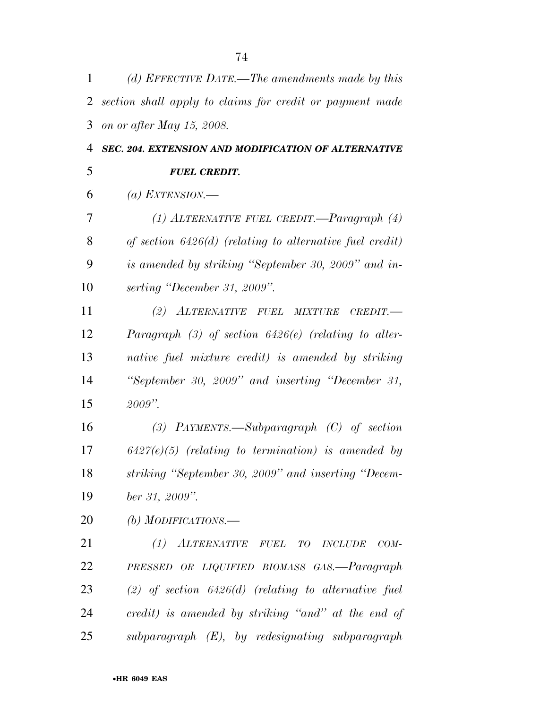| 1  | (d) EFFECTIVE DATE.—The amendments made by this            |
|----|------------------------------------------------------------|
| 2  | section shall apply to claims for credit or payment made   |
| 3  | on or after May 15, 2008.                                  |
| 4  | SEC. 204. EXTENSION AND MODIFICATION OF ALTERNATIVE        |
| 5  | <b>FUEL CREDIT.</b>                                        |
| 6  | (a) EXTENSION.—                                            |
| 7  | (1) ALTERNATIVE FUEL CREDIT.—Paragraph $(4)$               |
| 8  | of section $6426(d)$ (relating to alternative fuel credit) |
| 9  | is amended by striking "September 30, 2009" and in-        |
| 10 | serting "December 31, 2009".                               |
| 11 | (2) ALTERNATIVE FUEL MIXTURE<br>CREDIT.                    |
| 12 | Paragraph $(3)$ of section $6426(e)$ (relating to alter-   |
| 13 | native fuel mixture credit) is amended by striking         |
| 14 | "September 30, 2009" and inserting "December 31,           |
| 15 | $2009$ ".                                                  |
| 16 | (3) PAYMENTS.—Subparagraph $(C)$ of section                |
| 17 | $6427(e)(5)$ (relating to termination) is amended by       |
| 18 | striking "September 30, 2009" and inserting "Decem-        |
| 19 | ber 31, 2009".                                             |
| 20 | (b) MODIFICATIONS.—                                        |
| 21 | (1) ALTERNATIVE FUEL TO INCLUDE<br>$COM-$                  |
| 22 | PRESSED OR LIQUIFIED BIOMASS GAS.-Paragraph                |
| 23 | $(2)$ of section 6426(d) (relating to alternative fuel     |
| 24 | credit) is amended by striking "and" at the end of         |
| 25 | $subparagraph$ $(E)$ , by redesignating subparagraph       |
|    |                                                            |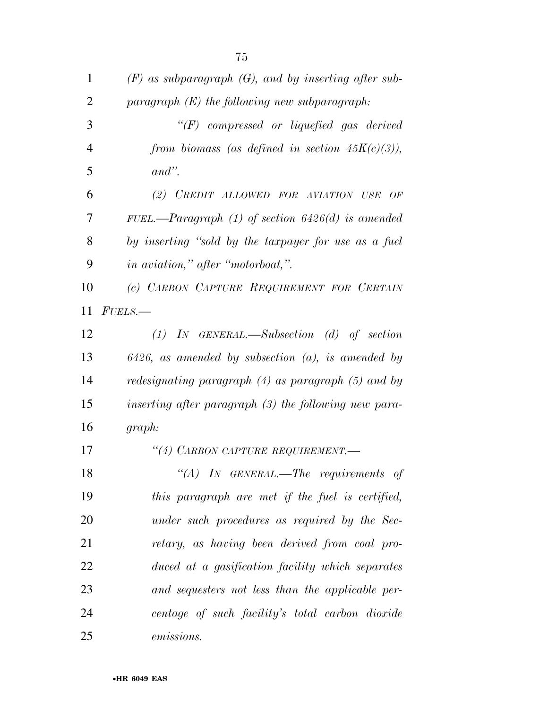| $\mathbf{1}$   | $(F)$ as subparagraph $(G)$ , and by inserting after sub- |
|----------------|-----------------------------------------------------------|
| $\overline{2}$ | paragraph $(E)$ the following new subparagraph:           |
| 3              | $\lq\lq(F)$ compressed or liquefied gas derived           |
| $\overline{4}$ | from biomass (as defined in section $45K(c)(3)$ ),        |
| 5              | $and$ ".                                                  |
| 6              | (2) CREDIT ALLOWED FOR AVIATION USE<br>OF                 |
| 7              | FUEL.—Paragraph $(1)$ of section 6426(d) is amended       |
| 8              | by inserting "sold by the taxpayer for use as a fuel      |
| 9              | in aviation," after "motorboat,".                         |
| 10             | (c) CARBON CAPTURE REQUIREMENT FOR CERTAIN                |
| 11             | $FUELS$ .                                                 |
| 12             | $(1)$ IN GENERAL.—Subsection $(d)$ of section             |
| 13             | $6426$ , as amended by subsection $(a)$ , is amended by   |
| 14             | redesignating paragraph $(4)$ as paragraph $(5)$ and by   |
| 15             | inserting after paragraph (3) the following new para-     |
| 16             | graph:                                                    |
| 17             | "(4) CARBON CAPTURE REQUIREMENT.-                         |
| 18             | $\lq\lq (A)$ IN GENERAL.—The requirements of              |
| 19             | this paragraph are met if the fuel is certified,          |
| 20             | under such procedures as required by the Sec-             |
| 21             | retary, as having been derived from coal pro-             |
| 22             | duced at a gasification facility which separates          |
| 23             | and sequesters not less than the applicable per-          |
| 24             | centage of such facility's total carbon dioxide           |
| 25             | emissions.                                                |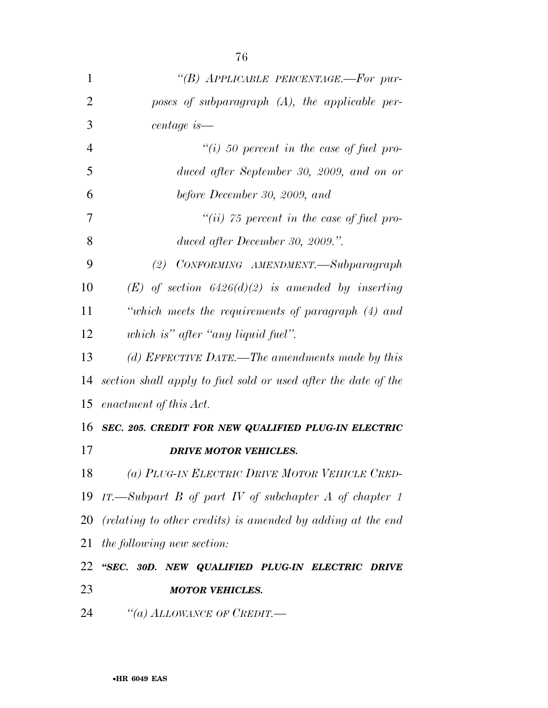| 1              | "(B) APPLICABLE PERCENTAGE.-For pur-                           |
|----------------|----------------------------------------------------------------|
| $\overline{2}$ | poses of subparagraph $(A)$ , the applicable per-              |
| 3              | centage is—                                                    |
| $\overline{4}$ | "(i) 50 percent in the case of fuel pro-                       |
| 5              | duced after September 30, 2009, and on or                      |
| 6              | before December 30, 2009, and                                  |
| 7              | "(ii) $75$ percent in the case of fuel pro-                    |
| 8              | duced after December 30, 2009.".                               |
| 9              | (2) CONFORMING AMENDMENT.—Subparagraph                         |
| 10             | $(E)$ of section 6426(d)(2) is amended by inserting            |
| 11             | "which meets the requirements of paragraph (4) and             |
| 12             | which is" after "any liquid fuel".                             |
| 13             | (d) EFFECTIVE DATE.—The amendments made by this                |
| 14             | section shall apply to fuel sold or used after the date of the |
| 15             | enactment of this Act.                                         |
| 16             | SEC. 205. CREDIT FOR NEW QUALIFIED PLUG-IN ELECTRIC            |
| 17             | <b>DRIVE MOTOR VEHICLES.</b>                                   |
| 18             | (a) PLUG-IN ELECTRIC DRIVE MOTOR VEHICLE CRED-                 |
| 19             | IT.—Subpart B of part IV of subchapter A of chapter 1          |
| 20             | (relating to other credits) is amended by adding at the end    |
| 21             | the following new section:                                     |
| 22             | "SEC. 30D. NEW QUALIFIED PLUG-IN ELECTRIC DRIVE                |
| 23             | <b>MOTOR VEHICLES.</b>                                         |
| 24             | "(a) ALLOWANCE OF CREDIT.—                                     |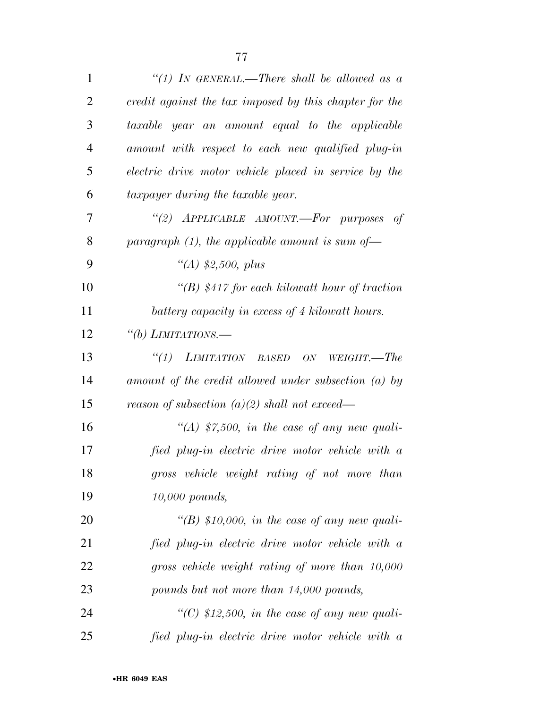| $\mathbf{1}$   | "(1) IN GENERAL.—There shall be allowed as a           |
|----------------|--------------------------------------------------------|
| $\overline{2}$ | credit against the tax imposed by this chapter for the |
| 3              | taxable year an amount equal to the applicable         |
| $\overline{4}$ | amount with respect to each new qualified plug-in      |
| 5              | electric drive motor vehicle placed in service by the  |
| 6              | taxpayer during the taxable year.                      |
| 7              | "(2) APPLICABLE AMOUNT.—For purposes<br>- of           |
| 8              | paragraph $(1)$ , the applicable amount is sum of-     |
| 9              | "(A) $$2,500, plus$                                    |
| 10             | "(B) $$417$ for each kilowatt hour of traction         |
| 11             | battery capacity in excess of 4 kilowatt hours.        |
| 12             | "(b) LIMITATIONS.—                                     |
| 13             | $``(1)$ LIMITATION BASED<br>ON<br>WEIGHT.—The          |
| 14             | amount of the credit allowed under subsection (a) by   |
| 15             | reason of subsection $(a)(2)$ shall not exceed—        |
| 16             | "(A) \$7,500, in the case of any new quali-            |
| 17             | fied plug-in electric drive motor vehicle with a       |
| 18             | gross vehicle weight rating of not more than           |
| 19             | 10,000 pounds,                                         |
| 20             | "(B) \$10,000, in the case of any new quali-           |
| 21             | fied plug-in electric drive motor vehicle with a       |
| 22             | gross vehicle weight rating of more than 10,000        |
| 23             | pounds but not more than 14,000 pounds,                |
| 24             | "(C) $$12,500$ , in the case of any new quali-         |
| 25             | fied plug-in electric drive motor vehicle with a       |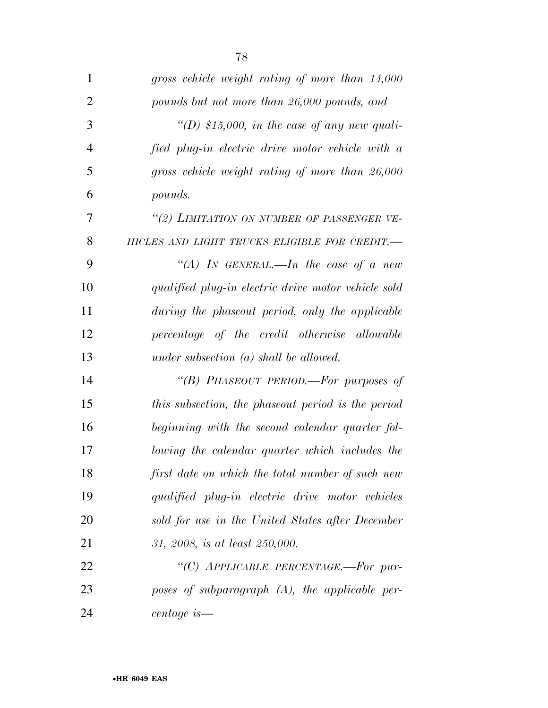| $\mathbf{1}$   | gross vehicle weight rating of more than 14,000     |
|----------------|-----------------------------------------------------|
| $\overline{2}$ | pounds but not more than 26,000 pounds, and         |
| 3              | "(D) \$15,000, in the case of any new quali-        |
| $\overline{4}$ | fied plug-in electric drive motor vehicle with a    |
| 5              | gross vehicle weight rating of more than 26,000     |
| 6              | pounds.                                             |
| $\overline{7}$ | "(2) LIMITATION ON NUMBER OF PASSENGER VE-          |
| 8              | HICLES AND LIGHT TRUCKS ELIGIBLE FOR CREDIT.-       |
| 9              | "(A) IN GENERAL.—In the case of a new               |
| 10             | qualified plug-in electric drive motor vehicle sold |
| 11             | during the phaseout period, only the applicable     |
| 12             | percentage of the credit otherwise allowable        |
| 13             | under subsection $(a)$ shall be allowed.            |
| 14             | "(B) PHASEOUT PERIOD.—For purposes of               |
| 15             | this subsection, the phaseout period is the period  |
| 16             | beginning with the second calendar quarter fol-     |
| 17             | lowing the calendar quarter which includes the      |
| 18             | first date on which the total number of such new    |
| 19             | qualified plug-in electric drive motor vehicles     |
| 20             | sold for use in the United States after December    |
| 21             | 31, 2008, is at least 250,000.                      |
| 22             | "(C) APPLICABLE PERCENTAGE.-For pur-                |
| 23             | poses of subparagraph $(A)$ , the applicable per-   |
| 24             | centage is—                                         |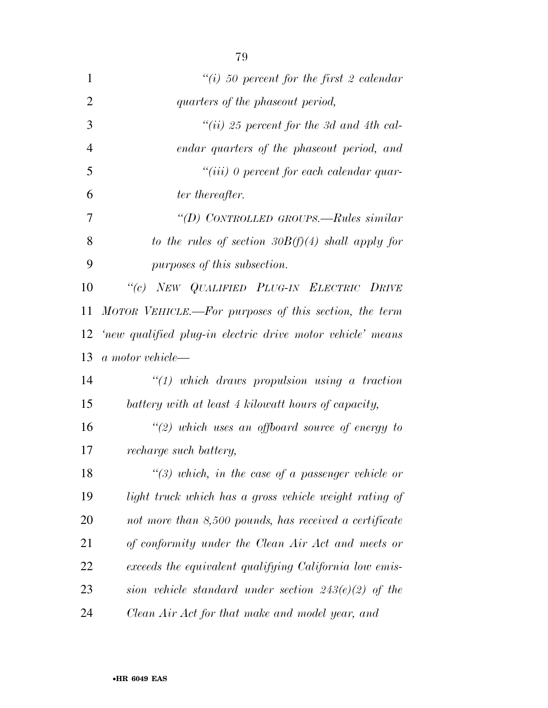| 1              | "(i) 50 percent for the first 2 calendar                   |
|----------------|------------------------------------------------------------|
| $\overline{2}$ | quarters of the phaseout period,                           |
| 3              | "(ii) 25 percent for the 3d and 4th cal-                   |
| 4              | endar quarters of the phaseout period, and                 |
| 5              | $``(iii)$ 0 percent for each calendar quar-                |
| 6              | ter thereafter.                                            |
| 7              | "(D) CONTROLLED GROUPS.—Rules similar                      |
| 8              | to the rules of section $30B(f)(4)$ shall apply for        |
| 9              | purposes of this subsection.                               |
| 10             | "(c) NEW QUALIFIED PLUG-IN ELECTRIC DRIVE                  |
| 11             | MOTOR VEHICLE.—For purposes of this section, the term      |
| 12             | 'new qualified plug-in electric drive motor vehicle' means |
| 13             | a motor vehicle-                                           |
| 14             | $\lq(1)$ which draws propulsion using a traction           |
| 15             | battery with at least 4 kilowatt hours of capacity,        |
| 16             | "(2) which uses an offboard source of energy to            |
| 17             | recharge such battery,                                     |
| 18             | "(3) which, in the case of a passenger vehicle or          |
| 19             | light truck which has a gross vehicle weight rating of     |
| 20             | not more than 8,500 pounds, has received a certificate     |
| 21             | of conformity under the Clean Air Act and meets or         |
| 22             | exceeds the equivalent qualifying California low emis-     |
| 23             | sion vehicle standard under section $243(e)(2)$ of the     |
| 24             | Clean Air Act for that make and model year, and            |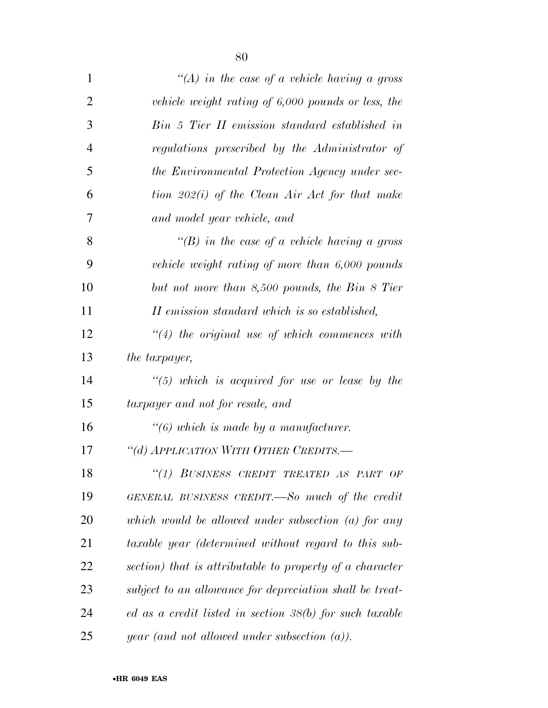| $\mathbf{1}$   | "(A) in the case of a vehicle having a gross             |
|----------------|----------------------------------------------------------|
| $\overline{2}$ | vehicle weight rating of $6,000$ pounds or less, the     |
| 3              | Bin 5 Tier II emission standard established in           |
| $\overline{4}$ | regulations prescribed by the Administrator of           |
| 5              | the Environmental Protection Agency under sec-           |
| 6              | tion $202(i)$ of the Clean Air Act for that make         |
| 7              | and model year vehicle, and                              |
| 8              | "(B) in the case of a vehicle having a gross             |
| 9              | vehicle weight rating of more than 6,000 pounds          |
| 10             | but not more than 8,500 pounds, the Bin 8 Tier           |
| 11             | II emission standard which is so established,            |
| 12             | $\lq(4)$ the original use of which commences with        |
| 13             | <i>the taxpayer,</i>                                     |
| 14             | $\lq(5)$ which is acquired for use or lease by the       |
| 15             | taxpayer and not for resale, and                         |
| 16             | $\lq(6)$ which is made by a manufacturer.                |
| 17             | "(d) APPLICATION WITH OTHER CREDITS.-                    |
| 18             | "(1) BUSINESS CREDIT TREATED AS PART OF                  |
| 19             | GENERAL BUSINESS CREDIT.—So much of the credit           |
| 20             | which would be allowed under subsection $(a)$ for any    |
| 21             | taxable year (determined without regard to this sub-     |
| 22             | section) that is attributable to property of a character |
| 23             | subject to an allowance for depreciation shall be treat- |
| 24             | ed as a credit listed in section 38(b) for such taxable  |
| 25             | <i>year</i> (and not allowed under subsection $(a)$ ).   |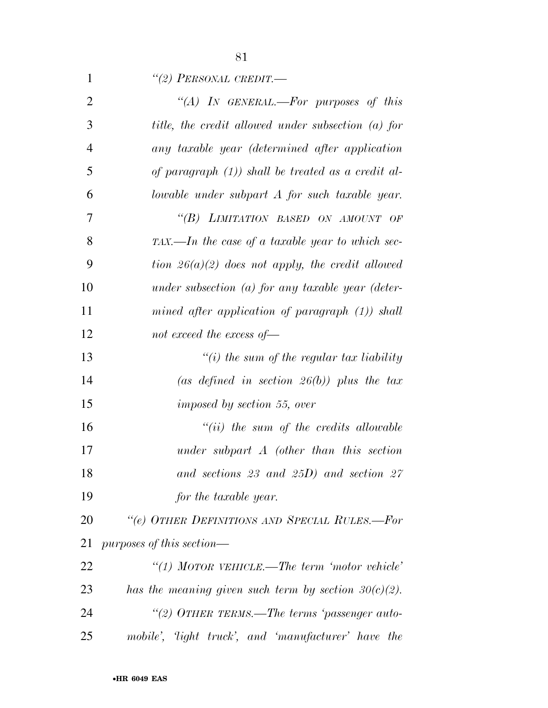| $\mathbf{1}$   | "(2) PERSONAL CREDIT.—                                  |
|----------------|---------------------------------------------------------|
| $\overline{2}$ | "(A) IN GENERAL.—For purposes of this                   |
| 3              | title, the credit allowed under subsection (a) for      |
| $\overline{4}$ | any taxable year (determined after application          |
| 5              | of paragraph $(1)$ ) shall be treated as a credit al-   |
| 6              | lowable under subpart A for such taxable year.          |
| 7              | "(B) LIMITATION BASED ON AMOUNT OF                      |
| 8              | $TAX$ —In the case of a taxable year to which sec-      |
| 9              | tion $26(a)(2)$ does not apply, the credit allowed      |
| 10             | under subsection (a) for any taxable year (deter-       |
| 11             | mined after application of paragraph $(1)$ ) shall      |
| 12             | not exceed the excess of $-$                            |
| 13             | "(i) the sum of the regular tax liability               |
| 14             | (as defined in section $26(b)$ ) plus the tax           |
| 15             | imposed by section 55, over                             |
| 16             | $``(ii)$ the sum of the credits allowable               |
| 17             | under subpart $A$ (other than this section              |
| 18             | and sections 23 and 25D) and section $27$               |
| 19             | for the taxable year.                                   |
| 20             | "(e) OTHER DEFINITIONS AND SPECIAL RULES.-For           |
| 21             | $purposes$ of this section—                             |
| 22             | "(1) MOTOR VEHICLE.—The term 'motor vehicle'            |
| 23             | has the meaning given such term by section $30(c)(2)$ . |
| 24             | "(2) OTHER TERMS.—The terms 'passenger auto-            |
| 25             | mobile', 'light truck', and 'manufacturer' have the     |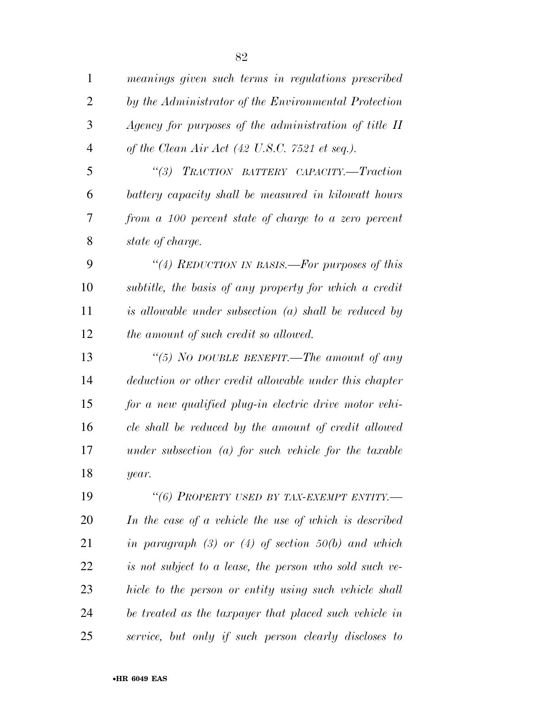| $\mathbf{1}$   | meanings given such terms in regulations prescribed               |
|----------------|-------------------------------------------------------------------|
| $\overline{2}$ | by the Administrator of the Environmental Protection              |
| 3              | Agency for purposes of the administration of title II             |
| $\overline{4}$ | of the Clean Air Act $(42 \text{ U.S.C. } 7521 \text{ et seq.}).$ |
| 5              | (3)<br>TRACTION BATTERY CAPACITY.-Traction                        |
| 6              | battery capacity shall be measured in kilowatt hours              |
| 7              | from a 100 percent state of charge to a zero percent              |
| 8              | state of charge.                                                  |
| 9              | "(4) REDUCTION IN BASIS.—For purposes of this                     |
| 10             | subtitle, the basis of any property for which a credit            |
| 11             | is allowable under subsection $(a)$ shall be reduced by           |
| 12             | the amount of such credit so allowed.                             |
| 13             | "(5) NO DOUBLE BENEFIT.—The amount of any                         |
| 14             | deduction or other credit allowable under this chapter            |
| 15             | for a new qualified plug-in electric drive motor vehi-            |
| 16             | cle shall be reduced by the amount of credit allowed              |
| 17             | under subsection $(a)$ for such vehicle for the taxable           |
| 18             | year.                                                             |
| 19             | "(6) PROPERTY USED BY TAX-EXEMPT ENTITY.-                         |
| <b>20</b>      | In the case of a vehicle the use of which is described            |
| 21             | in paragraph $(3)$ or $(4)$ of section 50(b) and which            |
| 22             | is not subject to a lease, the person who sold such ve-           |
| 23             | hicle to the person or entity using such vehicle shall            |
| 24             | be treated as the taxpayer that placed such vehicle in            |
| 25             | service, but only if such person clearly discloses to             |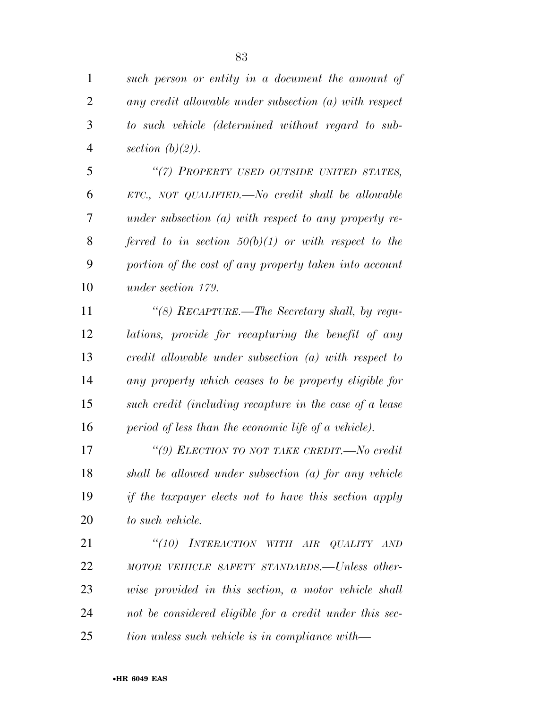| $\mathbf{1}$   | such person or entity in a document the amount of        |
|----------------|----------------------------------------------------------|
| $\overline{2}$ | any credit allowable under subsection $(a)$ with respect |
| 3              | to such vehicle (determined without regard to sub-       |
| $\overline{4}$ | section $(b)(2)$ ).                                      |
| 5              | "(7) PROPERTY USED OUTSIDE UNITED STATES,                |
| 6              | $ETC$ , NOT QUALIFIED.—No credit shall be allowable      |
| 7              | under subsection (a) with respect to any property re-    |
| 8              | ferred to in section $50(b)(1)$ or with respect to the   |
| 9              | portion of the cost of any property taken into account   |
| 10             | under section 179.                                       |
| 11             | "(8) RECAPTURE.—The Secretary shall, by regu-            |
| 12             | lations, provide for recapturing the benefit of any      |
| 13             | credit allowable under subsection $(a)$ with respect to  |
| 14             | any property which ceases to be property eligible for    |
| 15             | such credit (including recapture in the case of a lease  |
| 16             | period of less than the economic life of a vehicle).     |
| 17             | "(9) ELECTION TO NOT TAKE CREDIT.-No credit              |
| 18             | shall be allowed under subsection $(a)$ for any vehicle  |
| 19             | if the taxpayer elects not to have this section apply    |
| 20             | to such vehicle.                                         |
| 21             | "(10) INTERACTION WITH AIR QUALITY AND                   |
| 22             | MOTOR VEHICLE SAFETY STANDARDS.—Unless other-            |
| 23             | wise provided in this section, a motor vehicle shall     |
| 24             | not be considered eligible for a credit under this sec-  |
| 25             | tion unless such vehicle is in compliance with—          |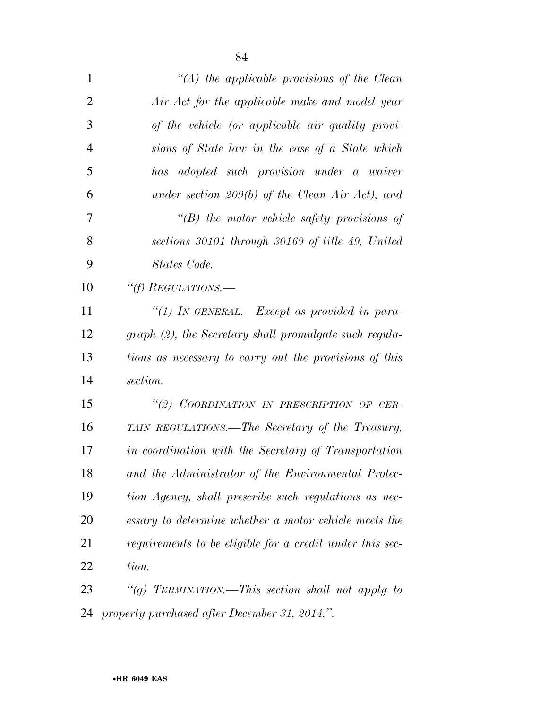| $\mathbf{1}$   | "(A) the applicable provisions of the Clean              |
|----------------|----------------------------------------------------------|
| $\overline{2}$ | Air Act for the applicable make and model year           |
| 3              | of the vehicle (or applicable air quality provi-         |
| $\overline{4}$ | sions of State law in the case of a State which          |
| 5              | has adopted such provision under a waiver                |
| 6              | under section 209(b) of the Clean Air Act), and          |
| 7              | $\lq\lq B$ the motor vehicle safety provisions of        |
| 8              | sections 30101 through 30169 of title 49, United         |
| 9              | States Code.                                             |
| 10             | "(f) REGULATIONS.—                                       |
| 11             | "(1) In GENERAL.—Except as provided in para-             |
| 12             | graph (2), the Secretary shall promulgate such regula-   |
| 13             | tions as necessary to carry out the provisions of this   |
| 14             | section.                                                 |
| 15             | "(2) COORDINATION IN PRESCRIPTION OF CER-                |
| 16             | TAIN REGULATIONS.—The Secretary of the Treasury,         |
| 17             | in coordination with the Secretary of Transportation     |
| 18             | and the Administrator of the Environmental Protec-       |
| 19             | tion Agency, shall prescribe such regulations as nec-    |
| 20             | essary to determine whether a motor vehicle meets the    |
| 21             | requirements to be eligible for a credit under this sec- |
| 22             | tion.                                                    |
| 23             | "(g) TERMINATION.—This section shall not apply to        |
| 24             | property purchased after December 31, 2014.".            |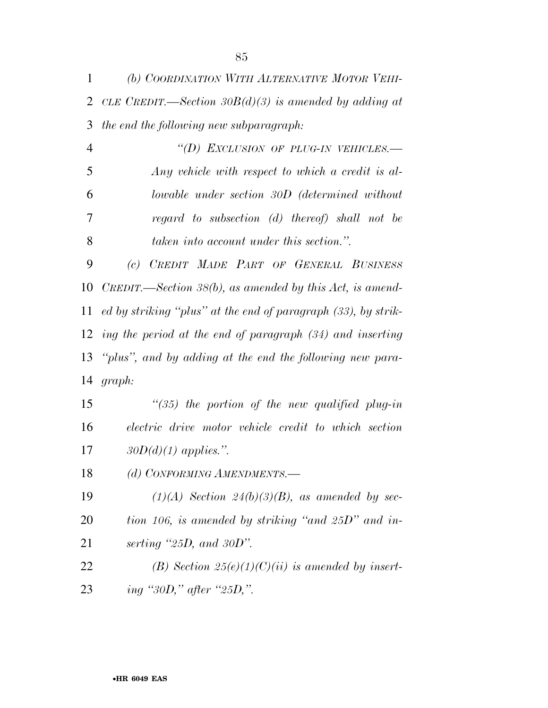*(b) COORDINATION WITH ALTERNATIVE MOTOR VEHI- CLE CREDIT.—Section 30B(d)(3) is amended by adding at the end the following new subparagraph:* 

 *''(D) EXCLUSION OF PLUG-IN VEHICLES.— Any vehicle with respect to which a credit is al- lowable under section 30D (determined without regard to subsection (d) thereof) shall not be taken into account under this section.''.* 

 *(c) CREDIT MADE PART OF GENERAL BUSINESS CREDIT.—Section 38(b), as amended by this Act, is amend- ed by striking ''plus'' at the end of paragraph (33), by strik- ing the period at the end of paragraph (34) and inserting ''plus'', and by adding at the end the following new para-graph:* 

 *''(35) the portion of the new qualified plug-in electric drive motor vehicle credit to which section 30D(d)(1) applies.''.* 

*(d) CONFORMING AMENDMENTS.—* 

 *(1)(A) Section 24(b)(3)(B), as amended by sec- tion 106, is amended by striking ''and 25D'' and in-serting ''25D, and 30D''.* 

 *(B) Section 25(e)(1)(C)(ii) is amended by insert-ing ''30D,'' after ''25D,''.*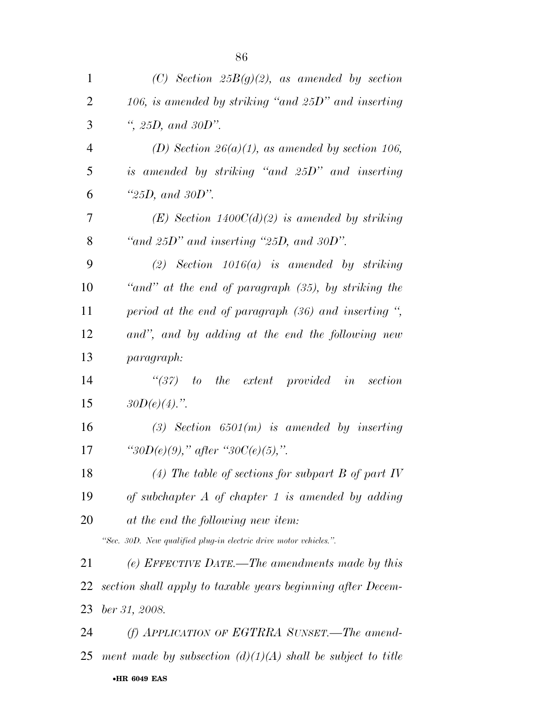| $\mathbf{1}$   | (C) Section $25B(g)(2)$ , as amended by section                   |
|----------------|-------------------------------------------------------------------|
| $\overline{2}$ | 106, is amended by striking "and $25D$ " and inserting            |
| 3              | ", $25D$ , and $30D$ ".                                           |
| $\overline{4}$ | (D) Section 26(a)(1), as amended by section 106,                  |
| 5              | is amended by striking "and 25D" and inserting                    |
| 6              | " $25D$ , and $30D$ ".                                            |
| 7              | $(E)$ Section 1400C(d)(2) is amended by striking                  |
| 8              | "and $25D$ " and inserting " $25D$ , and $30D$ ".                 |
| 9              | $(2)$ Section 1016 $(a)$ is amended by striking                   |
| 10             | "and" at the end of paragraph $(35)$ , by striking the            |
| 11             | period at the end of paragraph $(36)$ and inserting ",            |
| 12             | and", and by adding at the end the following new                  |
| 13             | paragraph:                                                        |
| 14             | $\lq(37)$ to the extent provided in section                       |
| 15             | $30D(e)(4)$ .".                                                   |
| 16             | $(3)$ Section 6501(m) is amended by inserting                     |
| 17             | "30D(e)(9)," after "30C(e)(5),".                                  |
| 18             | (4) The table of sections for subpart B of part IV                |
| 19             | of subchapter $A$ of chapter 1 is amended by adding               |
| 20             | at the end the following new item:                                |
|                | "Sec. 30D. New qualified plug-in electric drive motor vehicles.". |
| 21             | (e) EFFECTIVE DATE.—The amendments made by this                   |
| 22             | section shall apply to taxable years beginning after Decem-       |
| 23             | ber 31, 2008.                                                     |
| 24             | $(f)$ APPLICATION OF EGTRRA SUNSET.—The amend-                    |
|                | 25 ment made by subsection $(d)(1)(A)$ shall be subject to title  |

•**HR 6049 EAS**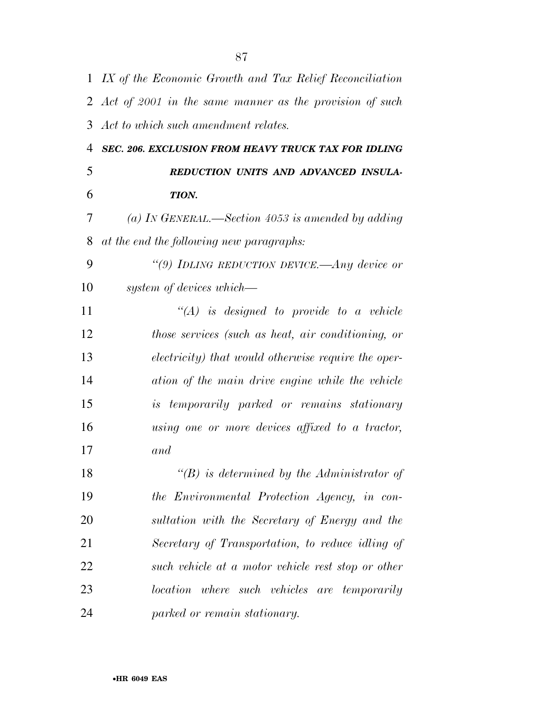|    | 1 IX of the Economic Growth and Tax Relief Reconciliation |
|----|-----------------------------------------------------------|
|    | 2 Act of 2001 in the same manner as the provision of such |
| 3  | Act to which such amendment relates.                      |
| 4  | SEC. 206. EXCLUSION FROM HEAVY TRUCK TAX FOR IDLING       |
| 5  | REDUCTION UNITS AND ADVANCED INSULA-                      |
| 6  | TION.                                                     |
| 7  | (a) In GENERAL.—Section 4053 is amended by adding         |
| 8  | at the end the following new paragraphs:                  |
| 9  | "(9) IDLING REDUCTION DEVICE.—Any device or               |
| 10 | system of devices which—                                  |
| 11 | $\lq\lq (A)$ is designed to provide to a vehicle          |
| 12 | those services (such as heat, air conditioning, or        |
| 13 | electricity) that would otherwise require the oper-       |
| 14 | ation of the main drive engine while the vehicle          |
| 15 | <i>is temporarily parked or remains stationary</i>        |
| 16 | using one or more devices affixed to a tractor,           |
| 17 | and                                                       |
| 18 | $\lq\lq(B)$ is determined by the Administrator of         |
| 19 | the Environmental Protection Agency, in con-              |
| 20 | sultation with the Secretary of Energy and the            |
| 21 | Secretary of Transportation, to reduce idling of          |
| 22 | such vehicle at a motor vehicle rest stop or other        |
| 23 | location where such vehicles are temporarily              |
| 24 | parked or remain stationary.                              |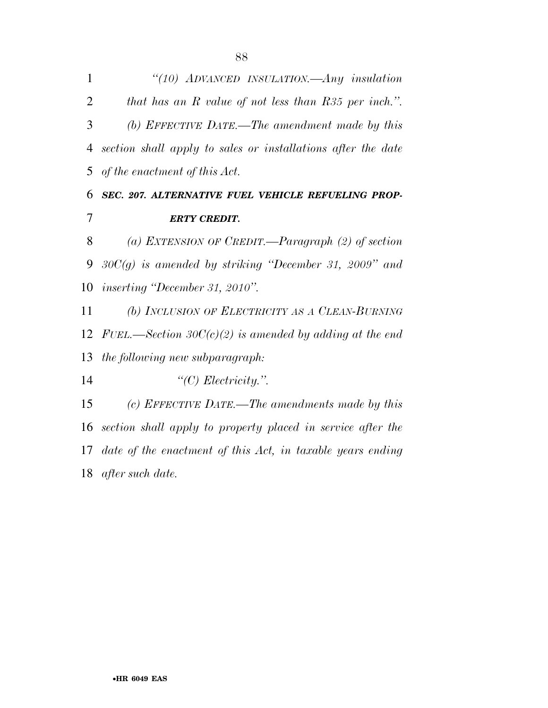| $\mathbf{1}$   | "(10) ADVANCED INSULATION.—Any insulation                     |
|----------------|---------------------------------------------------------------|
| $\overline{2}$ | that has an $R$ value of not less than $R35$ per inch.".      |
| 3              | (b) EFFECTIVE DATE.—The amendment made by this                |
| $\overline{4}$ | section shall apply to sales or installations after the date  |
| 5              | of the enactment of this Act.                                 |
| 6              | SEC. 207. ALTERNATIVE FUEL VEHICLE REFUELING PROP-            |
| 7              | <b>ERTY CREDIT.</b>                                           |
| 8              | (a) EXTENSION OF CREDIT.—Paragraph $(2)$ of section           |
| 9              | $30C(g)$ is amended by striking "December 31, 2009" and       |
|                | 10 <i>inserting "December 31, 2010"</i> .                     |
| 11             | (b) INCLUSION OF ELECTRICITY AS A CLEAN-BURNING               |
| 12             | FUEL.—Section 30 $C(c)(2)$ is amended by adding at the end    |
| 13             | the following new subparagraph:                               |
| 14             | " $(C)$ Electricity.".                                        |
| 15             | (c) EFFECTIVE DATE.—The amendments made by this               |
| 16             | section shall apply to property placed in service after the   |
|                | 17 date of the enactment of this Act, in taxable years ending |

*after such date.*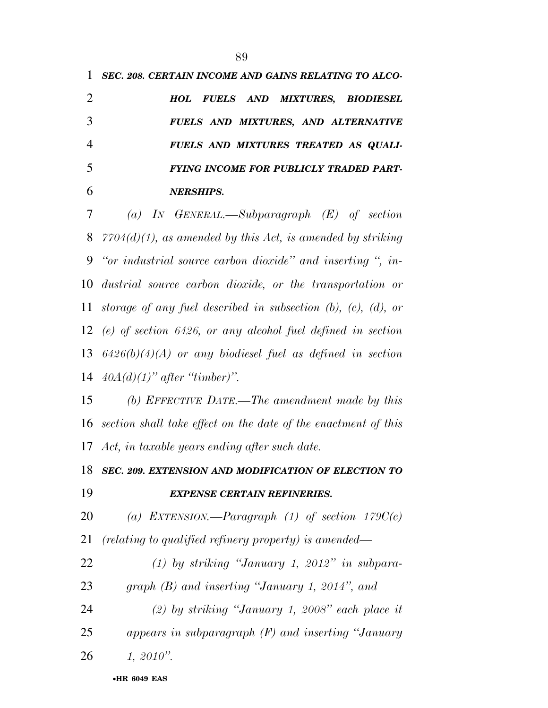*FUELS AND MIXTURES TREATED AS QUALI- FYING INCOME FOR PUBLICLY TRADED PART-NERSHIPS.* 

 *(a) IN GENERAL.—Subparagraph (E) of section 7704(d)(1), as amended by this Act, is amended by striking ''or industrial source carbon dioxide'' and inserting '', in- dustrial source carbon dioxide, or the transportation or storage of any fuel described in subsection (b), (c), (d), or (e) of section 6426, or any alcohol fuel defined in section 6426(b)(4)(A) or any biodiesel fuel as defined in section 40A(d)(1)'' after ''timber)''.* 

 *(b) EFFECTIVE DATE.—The amendment made by this section shall take effect on the date of the enactment of this Act, in taxable years ending after such date.* 

 *SEC. 209. EXTENSION AND MODIFICATION OF ELECTION TO EXPENSE CERTAIN REFINERIES.* 

*(a) EXTENSION.—Paragraph (1) of section 179C(c)* 

*(relating to qualified refinery property) is amended—* 

 *(1) by striking ''January 1, 2012'' in subpara-graph (B) and inserting ''January 1, 2014'', and* 

 *(2) by striking ''January 1, 2008'' each place it appears in subparagraph (F) and inserting ''January 1, 2010''.*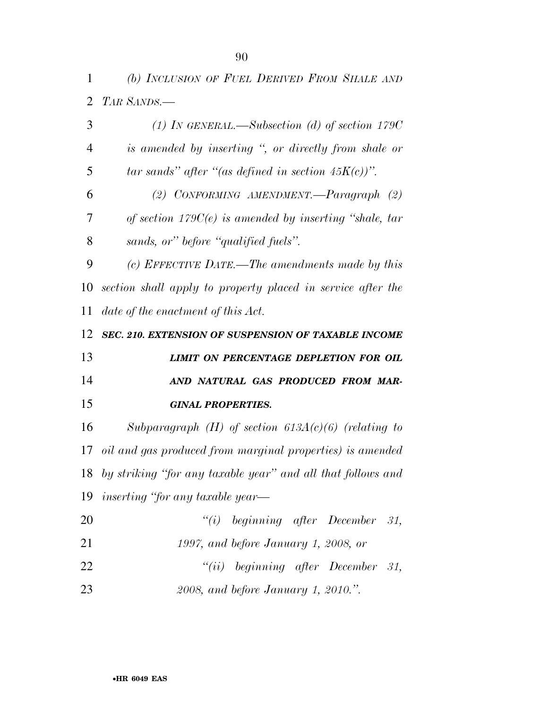| $\overline{2}$ | TAR SANDS.-                                                 |
|----------------|-------------------------------------------------------------|
| 3              | (1) IN GENERAL.—Subsection (d) of section $179C$            |
| 4              | is amended by inserting ", or directly from shale or        |
| 5              | tar sands" after "(as defined in section $45K(c)$ )".       |
| 6              | (2) CONFORMING AMENDMENT.— $Paragnaph$ (2)                  |
| 7              | of section $179C(e)$ is amended by inserting "shale, tar    |
| 8              | sands, or" before "qualified fuels".                        |
| 9              | (c) EFFECTIVE DATE.—The amendments made by this             |
| 10             | section shall apply to property placed in service after the |
| 11             | date of the enactment of this Act.                          |
| 12             | SEC. 210. EXTENSION OF SUSPENSION OF TAXABLE INCOME         |
|                |                                                             |
| 13             | <b>LIMIT ON PERCENTAGE DEPLETION FOR OIL</b>                |
| 14             | AND NATURAL GAS PRODUCED FROM MAR-                          |
| 15             | <b>GINAL PROPERTIES.</b>                                    |
| 16             | Subparagraph $(H)$ of section 613A(c)(6) (relating to       |
| 17             | oil and gas produced from marginal properties) is amended   |
| 18             | by striking "for any taxable year" and all that follows and |
|                | 19 <i>inserting</i> "for any taxable year—                  |
| 20             | ``(i)<br>beginning after December 31,                       |
| 21             | 1997, and before January 1, 2008, or                        |
| 22             | $``(ii)$ beginning after December 31,                       |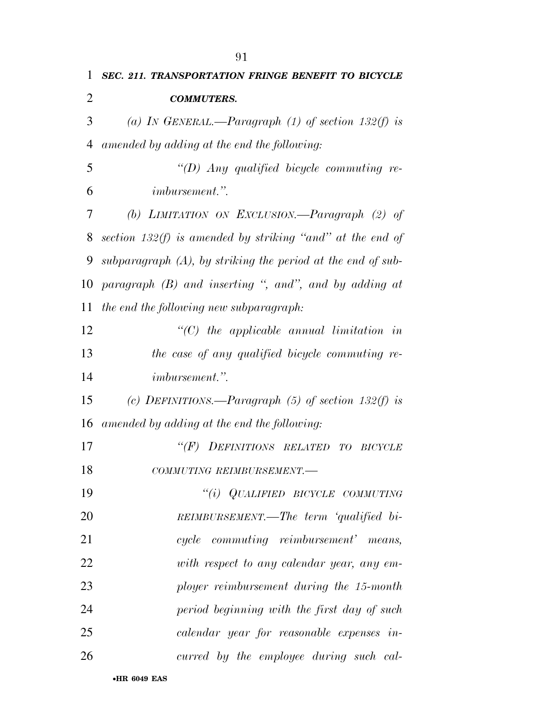| 1  | <b>SEC. 211. TRANSPORTATION FRINGE BENEFIT TO BICYCLE</b>      |
|----|----------------------------------------------------------------|
| 2  | <b>COMMUTERS.</b>                                              |
| 3  | (a) IN GENERAL.—Paragraph (1) of section 132(f) is             |
| 4  | amended by adding at the end the following:                    |
| 5  | " $(D)$ Any qualified bicycle commuting re-                    |
| 6  | <i>imbursement.</i> "                                          |
| 7  | (b) LIMITATION ON EXCLUSION.—Paragraph $(2)$ of                |
| 8  | section 132(f) is amended by striking "and" at the end of      |
| 9  | subparagraph $(A)$ , by striking the period at the end of sub- |
| 10 | paragraph $(B)$ and inserting ", and", and by adding at        |
| 11 | the end the following new subparagraph:                        |
| 12 | $\lq$ (C) the applicable annual limitation in                  |
| 13 | the case of any qualified bicycle commuting re-                |
| 14 | <i>imbursement.</i> "                                          |
| 15 | (c) DEFINITIONS.—Paragraph (5) of section 132(f) is            |
| 16 | amended by adding at the end the following:                    |
| 17 | DEFINITIONS RELATED<br>$\lq (F)$<br>TО<br><b>BICYCLE</b>       |
| 18 | COMMUTING REIMBURSEMENT.-                                      |
| 19 | $``(i)$ QUALIFIED BICYCLE COMMUTING                            |
| 20 | REIMBURSEMENT.—The term 'qualified bi-                         |
| 21 | cycle commuting reimbursement' means,                          |
| 22 | with respect to any calendar year, any em-                     |
| 23 | ployer reimbursement during the 15-month                       |
| 24 | period beginning with the first day of such                    |
| 25 | calendar year for reasonable expenses in-                      |
| 26 | curred by the employee during such cal-                        |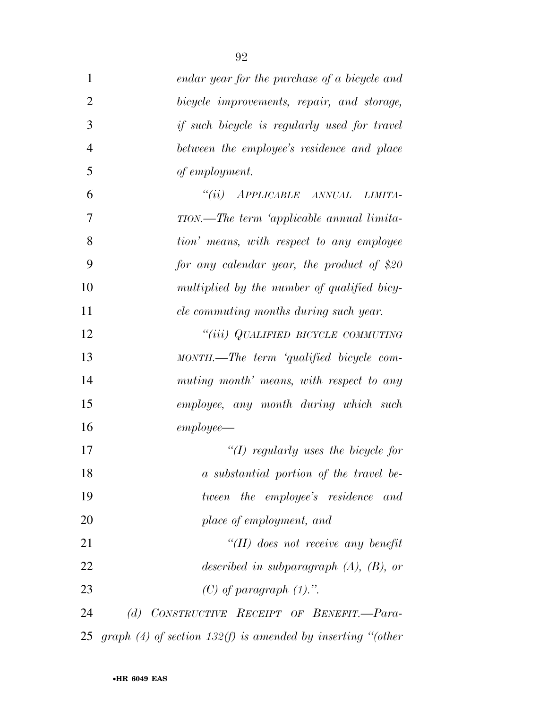| $\mathbf{1}$   | endar year for the purchase of a bicycle and                |
|----------------|-------------------------------------------------------------|
| $\overline{2}$ | bicycle improvements, repair, and storage,                  |
| 3              | <i>if such bicycle is regularly used for travel</i>         |
| $\overline{4}$ | between the employee's residence and place                  |
| 5              | of employment.                                              |
| 6              | "(ii) APPLICABLE ANNUAL<br>LIMITA-                          |
| 7              | TION.—The term 'applicable annual limita-                   |
| 8              | tion' means, with respect to any employee                   |
| 9              | for any calendar year, the product of \$20                  |
| 10             | multiplied by the number of qualified bicy-                 |
| 11             | cle commuting months during such year.                      |
| 12             | "(iii) QUALIFIED BICYCLE COMMUTING                          |
| 13             | MONTH.—The term 'qualified bicycle com-                     |
| 14             | muting month' means, with respect to any                    |
| 15             | employee, any month during which such                       |
| 16             | $employee$ —                                                |
| 17             | "(I) regularly uses the bicycle for                         |
| 18             | a substantial portion of the travel be-                     |
| 19             | tween the employee's residence and                          |
| 20             | place of employment, and                                    |
| 21             | $\lq (II)$ does not receive any benefit                     |
| 22             | described in subparagraph $(A)$ , $(B)$ , or                |
| 23             | $(C)$ of paragraph $(1)$ .".                                |
| 24             | CONSTRUCTIVE RECEIPT OF BENEFIT.-Para-<br>(d)               |
| 25             | graph (4) of section 132(f) is amended by inserting "(other |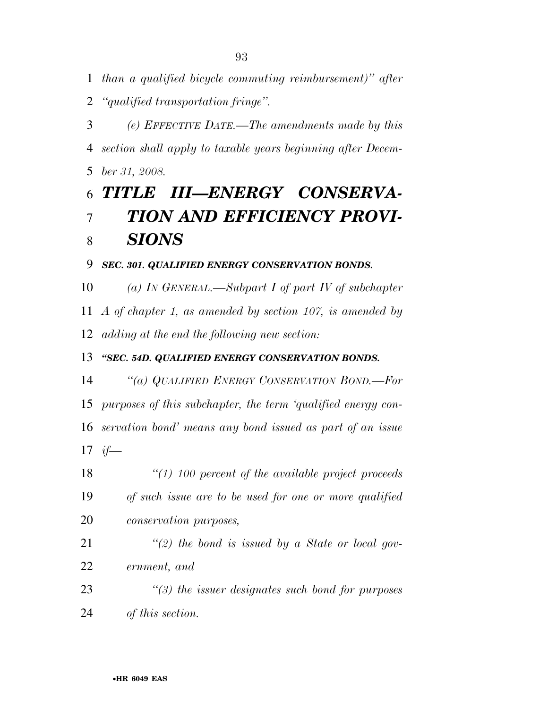*than a qualified bicycle commuting reimbursement)'' after* 

*''qualified transportation fringe''.* 

 *(e) EFFECTIVE DATE.—The amendments made by this section shall apply to taxable years beginning after Decem-ber 31, 2008.* 

## *TITLE III—ENERGY CONSERVA- TION AND EFFICIENCY PROVI-SIONS*

## *SEC. 301. QUALIFIED ENERGY CONSERVATION BONDS.*

 *(a) IN GENERAL.—Subpart I of part IV of subchapter A of chapter 1, as amended by section 107, is amended by adding at the end the following new section:* 

## *''SEC. 54D. QUALIFIED ENERGY CONSERVATION BONDS.*

 *''(a) QUALIFIED ENERGY CONSERVATION BOND.—For purposes of this subchapter, the term 'qualified energy con- servation bond' means any bond issued as part of an issue if—* 

 *''(1) 100 percent of the available project proceeds of such issue are to be used for one or more qualified conservation purposes,* 

 *''(2) the bond is issued by a State or local gov-ernment, and* 

 *''(3) the issuer designates such bond for purposes of this section.*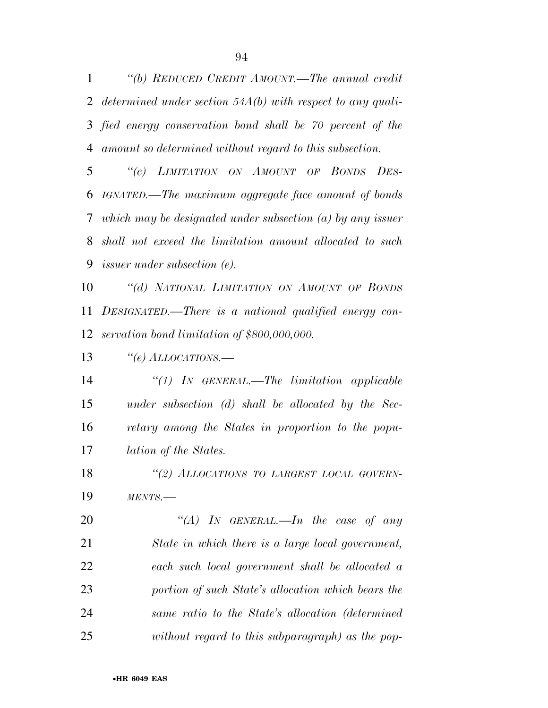*''(b) REDUCED CREDIT AMOUNT.—The annual credit determined under section 54A(b) with respect to any quali- fied energy conservation bond shall be 70 percent of the amount so determined without regard to this subsection.* 

 *''(c) LIMITATION ON AMOUNT OF BONDS DES- IGNATED.—The maximum aggregate face amount of bonds which may be designated under subsection (a) by any issuer shall not exceed the limitation amount allocated to such issuer under subsection (e).* 

 *''(d) NATIONAL LIMITATION ON AMOUNT OF BONDS DESIGNATED.—There is a national qualified energy con-servation bond limitation of \$800,000,000.* 

*''(e) ALLOCATIONS.—* 

 *''(1) IN GENERAL.—The limitation applicable under subsection (d) shall be allocated by the Sec- retary among the States in proportion to the popu-lation of the States.* 

 *''(2) ALLOCATIONS TO LARGEST LOCAL GOVERN-MENTS.—* 

 *''(A) IN GENERAL.—In the case of any State in which there is a large local government, each such local government shall be allocated a portion of such State's allocation which bears the same ratio to the State's allocation (determined without regard to this subparagraph) as the pop-*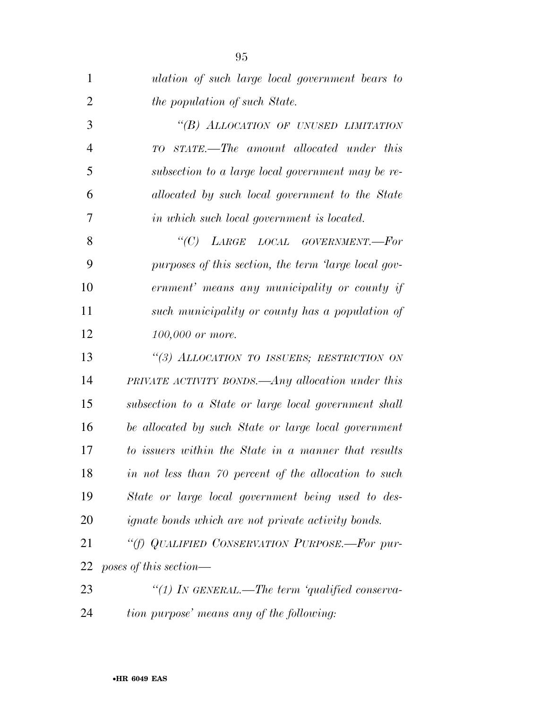| 1              | ulation of such large local government bears to           |
|----------------|-----------------------------------------------------------|
| $\overline{2}$ | the population of such State.                             |
| 3              | "(B) ALLOCATION OF UNUSED LIMITATION                      |
| $\overline{4}$ | STATE.—The amount allocated under this<br>TО              |
| 5              | subsection to a large local government may be re-         |
| 6              | allocated by such local government to the State           |
| 7              | in which such local government is located.                |
| 8              | "(C) LARGE LOCAL GOVERNMENT.-For                          |
| 9              | purposes of this section, the term 'large local gov-      |
| 10             | ernment' means any municipality or county if              |
| 11             | such municipality or county has a population of           |
| 12             | 100,000 or more.                                          |
| 13             | "(3) ALLOCATION TO ISSUERS; RESTRICTION ON                |
| 14             | PRIVATE ACTIVITY BONDS.—Any allocation under this         |
| 15             | subsection to a State or large local government shall     |
| 16             | be allocated by such State or large local government      |
| 17             | to issuers within the State in a manner that results      |
| 18             | in not less than 70 percent of the allocation to such     |
| 19             | State or large local government being used to des-        |
| 20             | <i>ignate bonds which are not private activity bonds.</i> |
| 21             | "(f) QUALIFIED CONSERVATION PURPOSE.-For pur-             |
| 22             | poses of this section—                                    |
| 23             | "(1) In GENERAL.—The term 'qualified conserva-            |
| 24             | tion purpose' means any of the following:                 |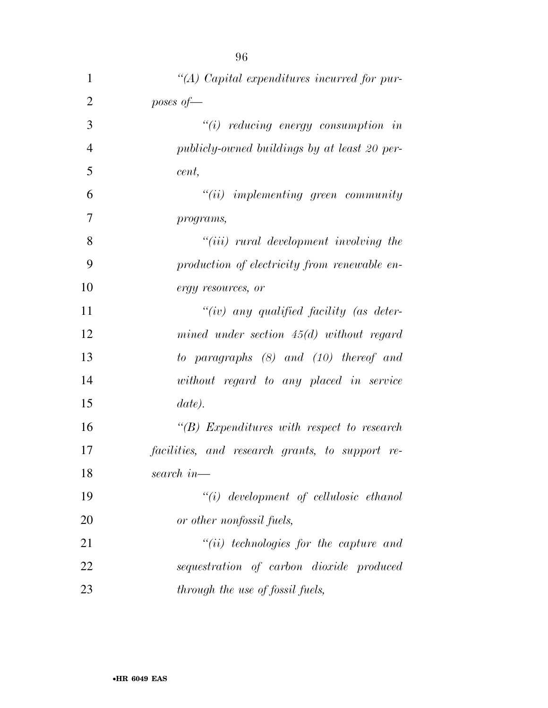| 1              | $\lq (A)$ Capital expenditures incurred for pur-  |
|----------------|---------------------------------------------------|
| $\overline{2}$ | poses of $-$                                      |
| 3              | $``(i)$ reducing energy consumption in            |
| $\overline{4}$ | publicly-owned buildings by at least 20 per-      |
| 5              | cent,                                             |
| 6              | $"(ii)$ implementing green community              |
| 7              | programs,                                         |
| 8              | $"(iii)$ rural development involving the          |
| 9              | production of electricity from renewable en-      |
| 10             | ergy resources, or                                |
| 11             | $``(iv)$ any qualified facility (as deter-        |
| 12             | mined under section $45(d)$ without regard        |
| 13             | to paragraphs $(8)$ and $(10)$ thereof and        |
| 14             | without regard to any placed in service           |
| 15             | date).                                            |
| 16             | $\lq\lq(B)$ Expenditures with respect to research |
| 17             | facilities, and research grants, to support re-   |
| 18             | search in $-$                                     |
| 19             | $``(i)$ development of cellulosic ethanol         |
| 20             | or other nonfossil fuels,                         |
| 21             | $``(ii)$ technologies for the capture and         |
| 22             | sequestration of carbon dioxide produced          |
| 23             | through the use of fossil fuels,                  |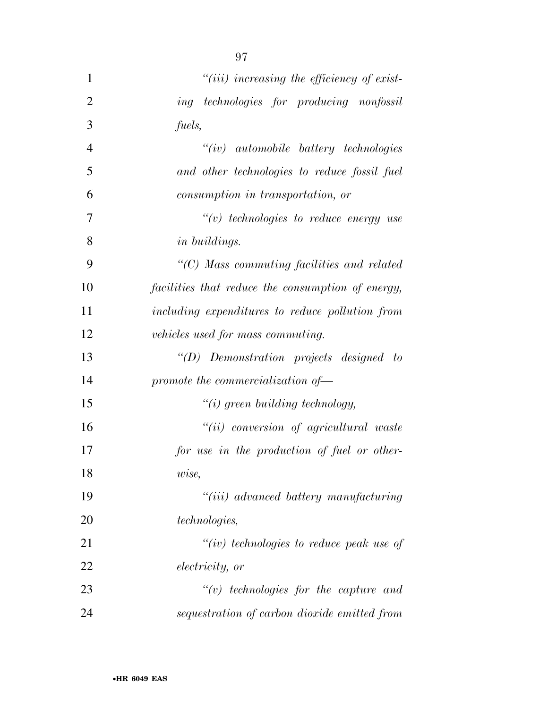| $\mathbf{1}$   | $"(iii)$ increasing the efficiency of exist-       |
|----------------|----------------------------------------------------|
| $\overline{2}$ | ing technologies for producing nonfossil           |
| 3              | fuels,                                             |
| $\overline{4}$ | $``(iv)$ automobile battery technologies           |
| 5              | and other technologies to reduce fossil fuel       |
| 6              | consumption in transportation, or                  |
| 7              | $\lq\lq(v)$ technologies to reduce energy use      |
| 8              | in buildings.                                      |
| 9              | $\lq\lq C$ ) Mass commuting facilities and related |
| 10             | facilities that reduce the consumption of energy,  |
| 11             | including expenditures to reduce pollution from    |
| 12             | vehicles used for mass commuting.                  |
| 13             | $\lq\lq D$ Demonstration projects designed to      |
| 14             | promote the commercialization of-                  |
| 15             | $``(i)$ green building technology,                 |
| 16             | $``(ii)$ conversion of agricultural waste          |
| 17             | for use in the production of fuel or other-        |
| 18             | wise,                                              |
| 19             | "(iii) advanced battery manufacturing              |
| 20             | technologies,                                      |
| 21             | "(iv) technologies to reduce peak use of           |
| 22             | <i>electricity, or</i>                             |
| 23             | $``(v)$ technologies for the capture and           |
| 24             | sequestration of carbon dioxide emitted from       |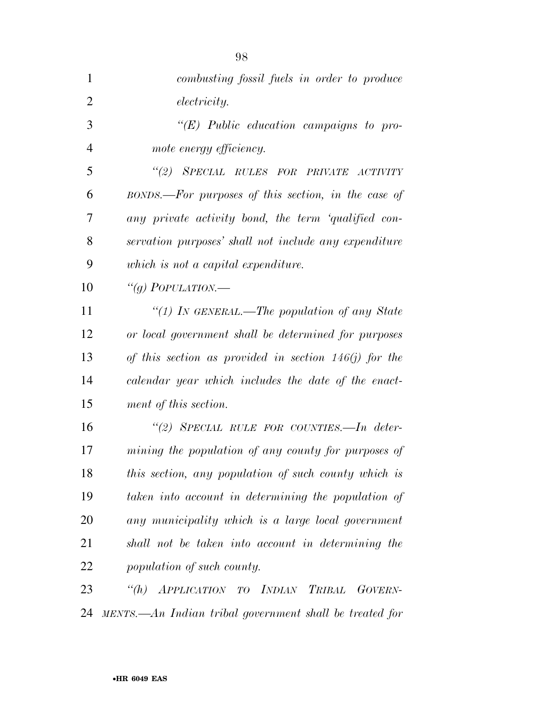| $\mathbf{1}$   | combusting fossil fuels in order to produce             |
|----------------|---------------------------------------------------------|
| $\overline{2}$ | <i>electricity.</i>                                     |
| 3              | $``(E)$ Public education campaigns to pro-              |
| $\overline{4}$ | mote energy efficiency.                                 |
| 5              | "(2) SPECIAL RULES FOR PRIVATE ACTIVITY                 |
| 6              | BONDS.—For purposes of this section, in the case of     |
| 7              | any private activity bond, the term 'qualified con-     |
| 8              | servation purposes' shall not include any expenditure   |
| 9              | which is not a capital expenditure.                     |
| 10             | "(g) POPULATION.—                                       |
| 11             | "(1) IN GENERAL.—The population of any State            |
| 12             | or local government shall be determined for purposes    |
| 13             | of this section as provided in section $146(j)$ for the |
| 14             | calendar year which includes the date of the enact-     |
| 15             | ment of this section.                                   |
| 16             | "(2) SPECIAL RULE FOR COUNTIES.—In deter-               |
| 17             | mining the population of any county for purposes of     |
| 18             | this section, any population of such county which is    |
| 19             | taken into account in determining the population of     |
| 20             | any municipality which is a large local government      |
| 21             | shall not be taken into account in determining the      |
| 22             | population of such county.                              |
| 23             | "(h) APPLICATION TO INDIAN TRIBAL GOVERN-               |
| 24             | MENTS.—An Indian tribal government shall be treated for |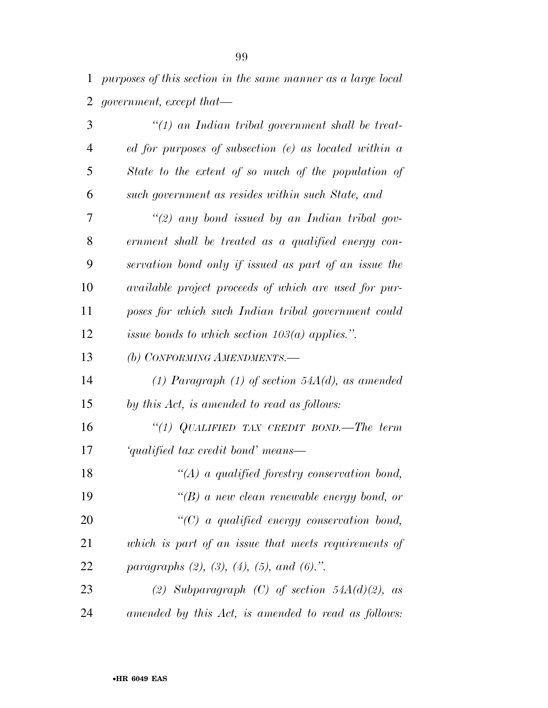*purposes of this section in the same manner as a large local government, except that—* 

| 3              | $"(1)$ an Indian tribal government shall be treat-        |
|----------------|-----------------------------------------------------------|
| $\overline{4}$ | $ed$ for purposes of subsection $(e)$ as located within a |
| 5              | State to the extent of so much of the population of       |
| 6              | such government as resides within such State, and         |
| 7              | $\lq (2)$ any bond issued by an Indian tribal gov-        |
| 8              | ernment shall be treated as a qualified energy con-       |
| 9              | servation bond only if issued as part of an issue the     |
| 10             | available project proceeds of which are used for pur-     |
| 11             | poses for which such Indian tribal government could       |
| 12             | issue bonds to which section $103(a)$ applies.".          |
| 13             | (b) CONFORMING AMENDMENTS.-                               |
| 14             | (1) Paragraph (1) of section $54A(d)$ , as amended        |
| 15             | by this Act, is amended to read as follows:               |
| 16             | "(1) QUALIFIED TAX CREDIT BOND.—The term                  |
| 17             | 'qualified tax credit bond' means—                        |
| 18             | $\lq (A)$ a qualified forestry conservation bond,         |
| 19             | $\lq\lq(B)$ a new clean renewable energy bond, or         |
| 20             | $\lq\lq C$ a qualified energy conservation bond,          |
| 21             | which is part of an issue that meets requirements of      |
| 22             | paragraphs $(2)$ , $(3)$ , $(4)$ , $(5)$ , and $(6)$ .".  |
| 23             | (2) Subparagraph (C) of section $54A(d)(2)$ , as          |
| 24             | amended by this Act, is amended to read as follows:       |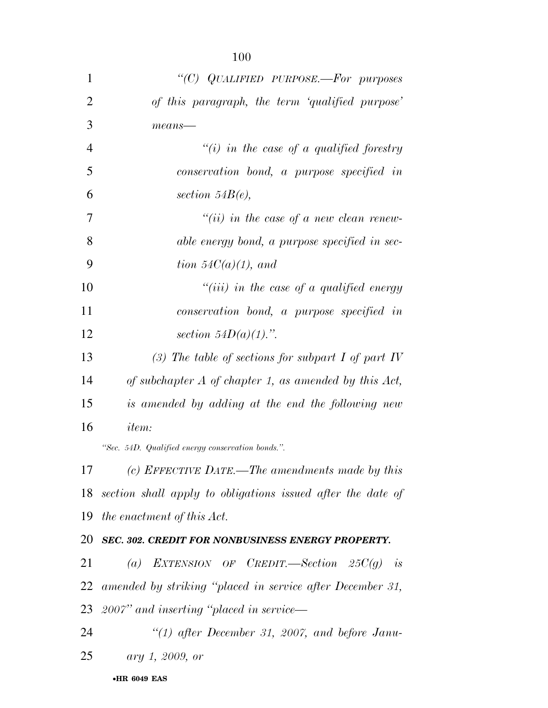| "(C) QUALIFIED PURPOSE.—For purposes<br>of this paragraph, the term 'qualified purpose'<br>$means$ —<br>"(i) in the case of a qualified forestry<br>conservation bond, a purpose specified in<br>section $54B(e)$ , |
|---------------------------------------------------------------------------------------------------------------------------------------------------------------------------------------------------------------------|
|                                                                                                                                                                                                                     |
|                                                                                                                                                                                                                     |
|                                                                                                                                                                                                                     |
|                                                                                                                                                                                                                     |
|                                                                                                                                                                                                                     |
|                                                                                                                                                                                                                     |
| $``(ii)$ in the case of a new clean renew-                                                                                                                                                                          |
| able energy bond, a purpose specified in sec-                                                                                                                                                                       |
| tion $54C(a)(1)$ , and                                                                                                                                                                                              |
| $``(iii)$ in the case of a qualified energy                                                                                                                                                                         |
| conservation bond, a purpose specified in                                                                                                                                                                           |
| section $54D(a)(1)$ .".                                                                                                                                                                                             |
| (3) The table of sections for subpart I of part IV                                                                                                                                                                  |
| of subchapter $A$ of chapter 1, as amended by this $Act$ ,                                                                                                                                                          |
| is amended by adding at the end the following new                                                                                                                                                                   |
| <i>item:</i>                                                                                                                                                                                                        |
| "Sec. 54D. Qualified energy conservation bonds.".                                                                                                                                                                   |
| (c) EFFECTIVE DATE.—The amendments made by this                                                                                                                                                                     |
| section shall apply to obligations issued after the date of                                                                                                                                                         |
| the enactment of this Act.                                                                                                                                                                                          |
| 20 SEC. 302. CREDIT FOR NONBUSINESS ENERGY PROPERTY.                                                                                                                                                                |
| (a) EXTENSION OF CREDIT.—Section $25C(g)$ is                                                                                                                                                                        |
| 22 amended by striking "placed in service after December 31,                                                                                                                                                        |
|                                                                                                                                                                                                                     |

*2007'' and inserting ''placed in service—* 

 *''(1) after December 31, 2007, and before Janu-ary 1, 2009, or*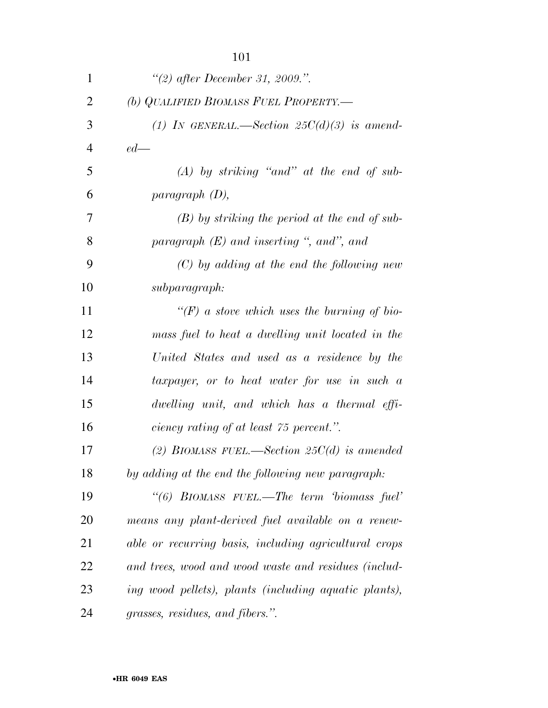| $\mathbf{1}$   | "(2) after December 31, 2009.".                       |
|----------------|-------------------------------------------------------|
| $\overline{2}$ | (b) QUALIFIED BIOMASS FUEL PROPERTY.—                 |
| 3              | (1) IN GENERAL.—Section $25C(d)(3)$ is amend-         |
| $\overline{4}$ | $ed$ —                                                |
| 5              | $(A)$ by striking "and" at the end of sub-            |
| 6              | paragnph(D),                                          |
| 7              | $(B)$ by striking the period at the end of sub-       |
| 8              | paragraph $(E)$ and inserting ", and", and            |
| 9              | $(C)$ by adding at the end the following new          |
| 10             | subparagraph:                                         |
| 11             | "(F) a stove which uses the burning of bio-           |
| 12             | mass fuel to heat a dwelling unit located in the      |
| 13             | United States and used as a residence by the          |
| 14             | taxpayer, or to heat water for use in such a          |
| 15             | dwelling unit, and which has a thermal effi-          |
| 16             | ciency rating of at least 75 percent.".               |
| 17             | (2) BIOMASS FUEL.—Section 25 $C(d)$ is amended        |
| 18             | by adding at the end the following new paragraph:     |
| 19             | "(6) BIOMASS FUEL.—The term biomass fuel'             |
| 20             | means any plant-derived fuel available on a renew-    |
| 21             | able or recurring basis, including agricultural crops |
| 22             | and trees, wood and wood waste and residues (includ-  |
| 23             | ing wood pellets), plants (including aquatic plants), |
| 24             | grasses, residues, and fibers.".                      |

•**HR 6049 EAS**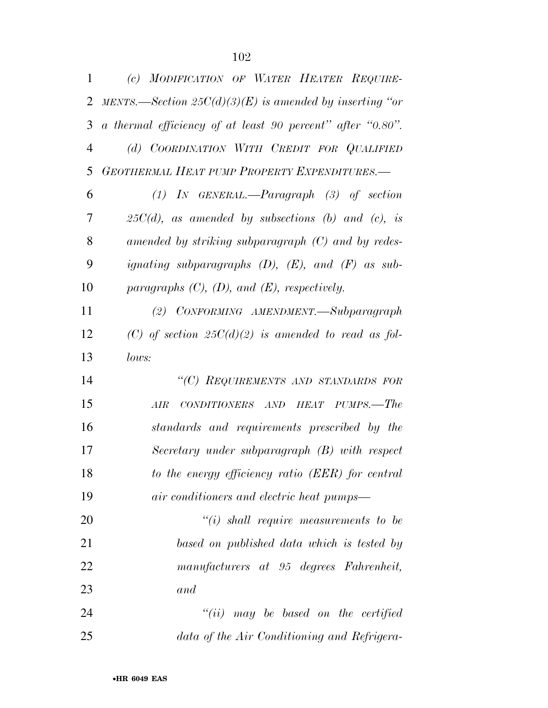| 1              | (c) MODIFICATION OF WATER HEATER REQUIRE-                  |
|----------------|------------------------------------------------------------|
| 2              | MENTS.—Section $25C(d)(3)(E)$ is amended by inserting "or  |
| 3              | a thermal efficiency of at least 90 percent" after "0.80". |
| $\overline{4}$ | (d) COORDINATION WITH CREDIT FOR QUALIFIED                 |
| 5              | <b>GEOTHERMAL HEAT PUMP PROPERTY EXPENDITURES.—</b>        |
| 6              | $(1)$ IN GENERAL.—Paragraph $(3)$ of section               |
| 7              | $25C(d)$ , as amended by subsections (b) and (c), is       |
| 8              | amended by striking subparagraph $(C)$ and by redes-       |
| 9              | ignating subparagraphs $(D)$ , $(E)$ , and $(F)$ as sub-   |
| 10             | paragraphs $(C)$ , $(D)$ , and $(E)$ , respectively.       |
| 11             | (2) CONFORMING AMENDMENT.—Subparagraph                     |
| 12             | (C) of section $25C(d)(2)$ is amended to read as fol-      |
| 13             | lows:                                                      |
| 14             | "(C) REQUIREMENTS AND STANDARDS FOR                        |
| 15             | CONDITIONERS AND HEAT PUMPS.—The<br>AIR                    |
| 16             | standards and requirements prescribed by the               |
| 17             | Secretary under subparagraph (B) with respect              |
| 18             | to the energy efficiency ratio (EER) for central           |
| 19             | air conditioners and electric heat pumps—                  |
| 20             | $"(i)$ shall require measurements to be                    |
| 21             | based on published data which is tested by                 |
| 22             | manufacturers at 95 degrees Fahrenheit,                    |
| 23             | and                                                        |

 *''(ii) may be based on the certified data of the Air Conditioning and Refrigera-*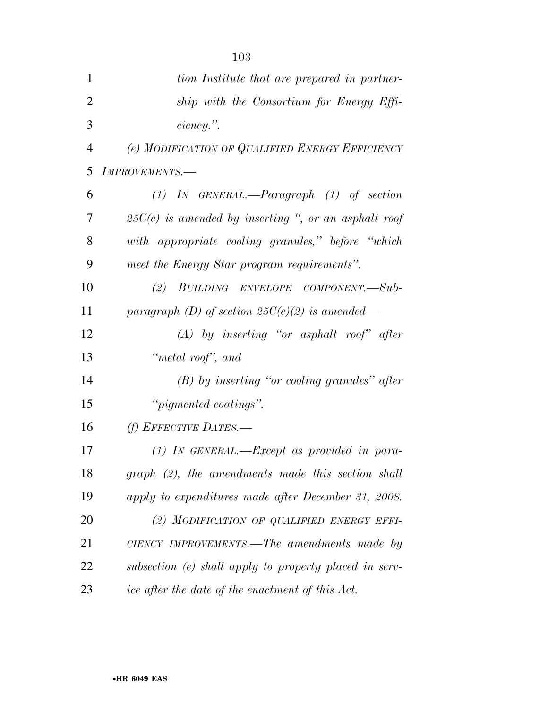| $\mathbf{1}$   | tion Institute that are prepared in partner-           |
|----------------|--------------------------------------------------------|
| $\overline{2}$ | ship with the Consortium for Energy Effi-              |
| 3              | $ciency.$ ".                                           |
| 4              | (e) MODIFICATION OF QUALIFIED ENERGY EFFICIENCY        |
| 5              | IMPROVEMENTS.-                                         |
| 6              | $(1)$ IN GENERAL.—Paragraph $(1)$ of section           |
| 7              | $25C(c)$ is amended by inserting ", or an asphalt roof |
| 8              | with appropriate cooling granules," before "which      |
| 9              | meet the Energy Star program requirements".            |
| 10             | (2) BUILDING ENVELOPE COMPONENT.—Sub-                  |
| 11             | paragraph (D) of section $25C(c)(2)$ is amended—       |
| 12             | $(A)$ by inserting "or asphalt roof" after             |
| 13             | "metal roof", and                                      |
| 14             | $(B)$ by inserting "or cooling granules" after         |
| 15             | " <i>pigmented coatings</i> ".                         |
| 16             | (f) EFFECTIVE DATES.-                                  |
| 17             | $(1)$ IN GENERAL.—Except as provided in para-          |
| 18             | $graph$ (2), the amendments made this section shall    |
| 19             | apply to expenditures made after December 31, 2008.    |
| 20             | (2) MODIFICATION OF QUALIFIED ENERGY EFFI-             |
| 21             | CIENCY IMPROVEMENTS.—The amendments made by            |
| 22             | subsection (e) shall apply to property placed in serv- |
| 23             | ice after the date of the enactment of this Act.       |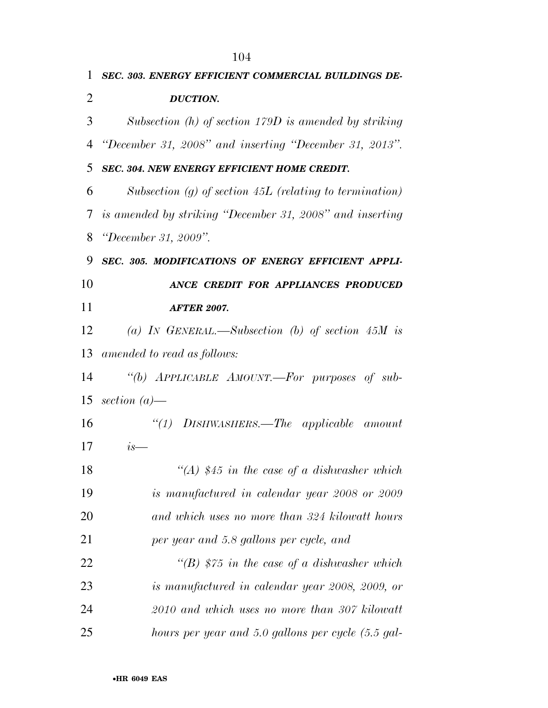|                | 104                                                       |
|----------------|-----------------------------------------------------------|
| 1              | SEC. 303. ENERGY EFFICIENT COMMERCIAL BUILDINGS DE-       |
| $\overline{2}$ | <b>DUCTION.</b>                                           |
| 3              | Subsection $(h)$ of section 179D is amended by striking   |
| 4              | "December 31, 2008" and inserting "December 31, 2013".    |
| 5              | SEC. 304. NEW ENERGY EFFICIENT HOME CREDIT.               |
| 6              | Subsection (g) of section $45L$ (relating to termination) |
| 7              | is amended by striking "December 31, 2008" and inserting  |
| 8              | <i>"December 31, 2009".</i>                               |
| 9              | SEC. 305. MODIFICATIONS OF ENERGY EFFICIENT APPLI-        |
| 10             | ANCE CREDIT FOR APPLIANCES PRODUCED                       |
| 11             | <b>AFTER 2007.</b>                                        |
| 12             | (a) IN GENERAL.—Subsection (b) of section $45M$ is        |
| 13             | amended to read as follows:                               |
| 14             | "(b) APPLICABLE AMOUNT.—For purposes of sub-              |
| 15             | section $(a)$ —                                           |
| 16             | "(1) DISHWASHERS.—The applicable amount                   |
| 17             | $is-$                                                     |
| 18             | "(A) \$45 in the case of a dishwasher which               |
| 19             | is manufactured in calendar year 2008 or 2009             |
| 20             | and which uses no more than 324 kilowatt hours            |
| 21             | per year and 5.8 gallons per cycle, and                   |
| 22             | "(B) $$75$ in the case of a dishwasher which              |
| 23             | is manufactured in calendar year 2008, 2009, or           |
| 24             | 2010 and which uses no more than 307 kilowatt             |
| 25             | hours per year and 5.0 gallons per cycle (5.5 gal-        |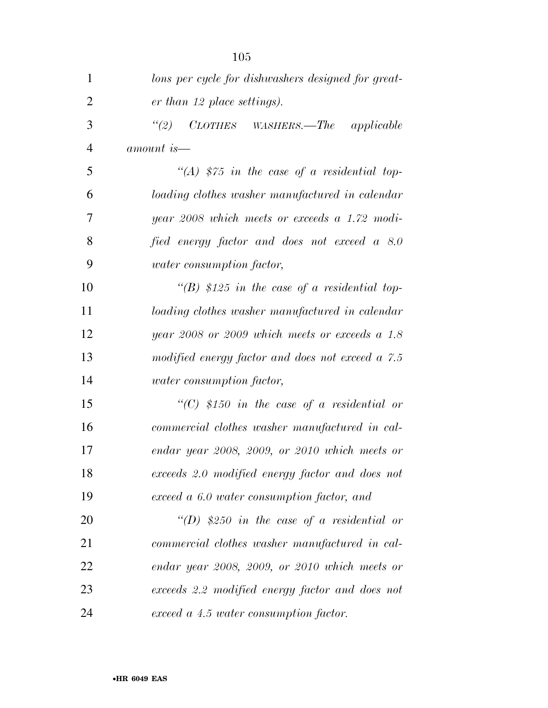| $\mathbf{1}$   | lons per cycle for dishwashers designed for great- |
|----------------|----------------------------------------------------|
| $\overline{2}$ | er than 12 place settings).                        |
| 3              | (2)<br>CLOTHES WASHERS.—The applicable             |
| $\overline{4}$ | amount is—                                         |
| 5              | "(A) $$75$ in the case of a residential top-       |
| 6              | loading clothes washer manufactured in calendar    |
| 7              | year 2008 which meets or exceeds a $1.72$ modi-    |
| 8              | fied energy factor and does not exceed a 8.0       |
| 9              | <i>water</i> consumption factor,                   |
| 10             | "(B) \$125 in the case of a residential top-       |
| 11             | loading clothes washer manufactured in calendar    |
| 12             | year 2008 or 2009 which meets or exceeds a $1.8$   |
| 13             | modified energy factor and does not exceed a 7.5   |
| 14             | <i>water</i> consumption factor,                   |
| 15             | "(C) \$150 in the case of a residential or         |
| 16             | commercial clothes washer manufactured in cal-     |
| 17             | endar year 2008, 2009, or 2010 which meets or      |
| 18             | exceeds 2.0 modified energy factor and does not    |
| 19             | exceed a 6.0 water consumption factor, and         |
| 20             | "(D) \$250 in the case of a residential or         |
| 21             | commercial clothes washer manufactured in cal-     |
| 22             | endar year 2008, 2009, or 2010 which meets or      |
| 23             | exceeds 2.2 modified energy factor and does not    |
| 24             | exceed a 4.5 water consumption factor.             |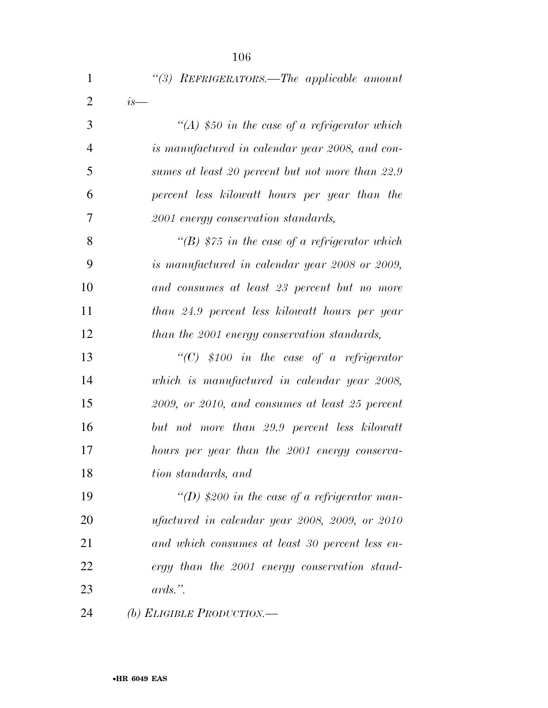| $\overline{2}$<br>$is-$<br>3<br>"(A) \$50 in the case of a refrigerator which<br>$\overline{4}$<br>is manufactured in calendar year 2008, and con-<br>5<br>sumes at least 20 percent but not more than 22.9<br>6<br>percent less kilowatt hours per year than the<br>7<br>2001 energy conservation standards,<br>8<br>"(B) \$75 in the case of a refrigerator which<br>9<br>is manufactured in calendar year 2008 or 2009,<br>10<br>and consumes at least 23 percent but no more<br>11<br>than 24.9 percent less kilowatt hours per year<br>12<br>than the 2001 energy conservation standards,<br>13<br>"(C) \$100 in the case of a refrigerator<br>14<br>which is manufactured in calendar year 2008,<br>15<br>2009, or 2010, and consumes at least 25 percent<br>16<br>but not more than 29.9 percent less kilowatt<br>17<br>hours per year than the 2001 energy conserva-<br>18<br>tion standards, and<br>19<br>"(D) \$200 in the case of a refrigerator man-<br>20<br>ufactured in calendar year 2008, 2009, or 2010<br>21<br>and which consumes at least 30 percent less en-<br>22<br>ergy than the 2001 energy conservation stand- | $\mathbf{1}$ | "(3) REFRIGERATORS.—The applicable amount |
|------------------------------------------------------------------------------------------------------------------------------------------------------------------------------------------------------------------------------------------------------------------------------------------------------------------------------------------------------------------------------------------------------------------------------------------------------------------------------------------------------------------------------------------------------------------------------------------------------------------------------------------------------------------------------------------------------------------------------------------------------------------------------------------------------------------------------------------------------------------------------------------------------------------------------------------------------------------------------------------------------------------------------------------------------------------------------------------------------------------------------------------|--------------|-------------------------------------------|
|                                                                                                                                                                                                                                                                                                                                                                                                                                                                                                                                                                                                                                                                                                                                                                                                                                                                                                                                                                                                                                                                                                                                          |              |                                           |
|                                                                                                                                                                                                                                                                                                                                                                                                                                                                                                                                                                                                                                                                                                                                                                                                                                                                                                                                                                                                                                                                                                                                          |              |                                           |
|                                                                                                                                                                                                                                                                                                                                                                                                                                                                                                                                                                                                                                                                                                                                                                                                                                                                                                                                                                                                                                                                                                                                          |              |                                           |
|                                                                                                                                                                                                                                                                                                                                                                                                                                                                                                                                                                                                                                                                                                                                                                                                                                                                                                                                                                                                                                                                                                                                          |              |                                           |
|                                                                                                                                                                                                                                                                                                                                                                                                                                                                                                                                                                                                                                                                                                                                                                                                                                                                                                                                                                                                                                                                                                                                          |              |                                           |
|                                                                                                                                                                                                                                                                                                                                                                                                                                                                                                                                                                                                                                                                                                                                                                                                                                                                                                                                                                                                                                                                                                                                          |              |                                           |
|                                                                                                                                                                                                                                                                                                                                                                                                                                                                                                                                                                                                                                                                                                                                                                                                                                                                                                                                                                                                                                                                                                                                          |              |                                           |
|                                                                                                                                                                                                                                                                                                                                                                                                                                                                                                                                                                                                                                                                                                                                                                                                                                                                                                                                                                                                                                                                                                                                          |              |                                           |
|                                                                                                                                                                                                                                                                                                                                                                                                                                                                                                                                                                                                                                                                                                                                                                                                                                                                                                                                                                                                                                                                                                                                          |              |                                           |
|                                                                                                                                                                                                                                                                                                                                                                                                                                                                                                                                                                                                                                                                                                                                                                                                                                                                                                                                                                                                                                                                                                                                          |              |                                           |
|                                                                                                                                                                                                                                                                                                                                                                                                                                                                                                                                                                                                                                                                                                                                                                                                                                                                                                                                                                                                                                                                                                                                          |              |                                           |
|                                                                                                                                                                                                                                                                                                                                                                                                                                                                                                                                                                                                                                                                                                                                                                                                                                                                                                                                                                                                                                                                                                                                          |              |                                           |
|                                                                                                                                                                                                                                                                                                                                                                                                                                                                                                                                                                                                                                                                                                                                                                                                                                                                                                                                                                                                                                                                                                                                          |              |                                           |
|                                                                                                                                                                                                                                                                                                                                                                                                                                                                                                                                                                                                                                                                                                                                                                                                                                                                                                                                                                                                                                                                                                                                          |              |                                           |
|                                                                                                                                                                                                                                                                                                                                                                                                                                                                                                                                                                                                                                                                                                                                                                                                                                                                                                                                                                                                                                                                                                                                          |              |                                           |
|                                                                                                                                                                                                                                                                                                                                                                                                                                                                                                                                                                                                                                                                                                                                                                                                                                                                                                                                                                                                                                                                                                                                          |              |                                           |
|                                                                                                                                                                                                                                                                                                                                                                                                                                                                                                                                                                                                                                                                                                                                                                                                                                                                                                                                                                                                                                                                                                                                          |              |                                           |
|                                                                                                                                                                                                                                                                                                                                                                                                                                                                                                                                                                                                                                                                                                                                                                                                                                                                                                                                                                                                                                                                                                                                          |              |                                           |
|                                                                                                                                                                                                                                                                                                                                                                                                                                                                                                                                                                                                                                                                                                                                                                                                                                                                                                                                                                                                                                                                                                                                          |              |                                           |
|                                                                                                                                                                                                                                                                                                                                                                                                                                                                                                                                                                                                                                                                                                                                                                                                                                                                                                                                                                                                                                                                                                                                          |              |                                           |
|                                                                                                                                                                                                                                                                                                                                                                                                                                                                                                                                                                                                                                                                                                                                                                                                                                                                                                                                                                                                                                                                                                                                          |              |                                           |
|                                                                                                                                                                                                                                                                                                                                                                                                                                                                                                                                                                                                                                                                                                                                                                                                                                                                                                                                                                                                                                                                                                                                          | 23           | $ards.$ ".                                |

*(b) ELIGIBLE PRODUCTION.—*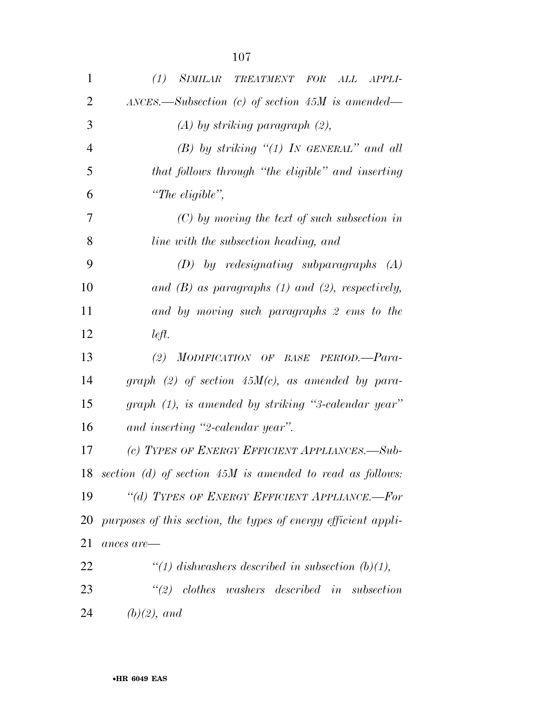| $\mathbf{1}$ | (1)<br><i>SIMILAR</i><br>TREATMENT FOR ALL<br>APPLI-           |
|--------------|----------------------------------------------------------------|
| 2            | $\Delta NCES.$ Subsection (c) of section 45M is amended—       |
| 3            | $(A)$ by striking paragraph $(2)$ ,                            |
| 4            | $(B)$ by striking "(1) In GENERAL" and all                     |
| 5            | that follows through "the eligible" and inserting              |
| 6            | "The eligible",                                                |
| 7            | $(C)$ by moving the text of such subsection in                 |
| 8            | line with the subsection heading, and                          |
| 9            | $(D)$ by redesignating subparagraphs $(A)$                     |
| 10           | and $(B)$ as paragraphs $(1)$ and $(2)$ , respectively,        |
| 11           | and by moving such paragraphs 2 ems to the                     |
| 12           | left.                                                          |
| 13           | (2) MODIFICATION OF BASE PERIOD.-Para-                         |
| 14           | graph (2) of section $45M(c)$ , as amended by para-            |
| 15           | graph (1), is amended by striking "3-calendar year"            |
| 16           | and inserting "2-calendar year".                               |
| 17           | (c) TYPES OF ENERGY EFFICIENT APPLIANCES.-Sub-                 |
|              | 18 section (d) of section $45M$ is amended to read as follows: |
| 19           | "(d) TYPES OF ENERGY EFFICIENT APPLIANCE.-For                  |
| 20           | purposes of this section, the types of energy efficient appli- |
| 21           | ances are-                                                     |
| 22           | "(1) dishwashers described in subsection $(b)(1)$ ,            |
| 23           | $\lq(2)$ clothes washers described in subsection               |
| 24           | $(b)(2)$ , and                                                 |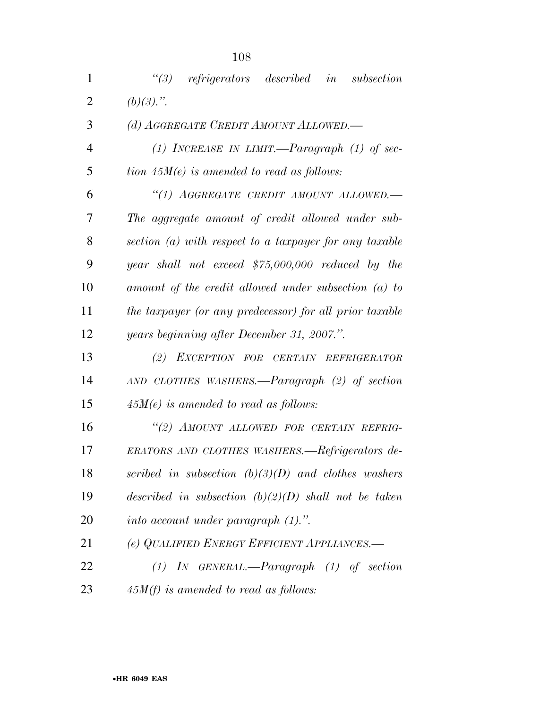| $\mathbf{1}$   | $\lq(3)$ refrigerators described in<br>subsection       |
|----------------|---------------------------------------------------------|
| $\overline{2}$ | $(b)(3)$ .".                                            |
| 3              | (d) AGGREGATE CREDIT AMOUNT ALLOWED.                    |
| $\overline{4}$ | (1) INCREASE IN LIMIT.—Paragraph (1) of sec-            |
| 5              | tion $45M(e)$ is amended to read as follows:            |
| 6              | "(1) AGGREGATE CREDIT AMOUNT ALLOWED.-                  |
| 7              | The aggregate amount of credit allowed under sub-       |
| 8              | section (a) with respect to a taxpayer for any taxable  |
| 9              | year shall not exceed $$75,000,000$ reduced by the      |
| 10             | amount of the credit allowed under subsection $(a)$ to  |
| 11             | the taxpayer (or any predecessor) for all prior taxable |
| 12             | years beginning after December 31, 2007.".              |
| 13             | (2) EXCEPTION FOR CERTAIN REFRIGERATOR                  |
| 14             | AND CLOTHES WASHERS.—Paragraph (2) of section           |
| 15             | $45M(e)$ is amended to read as follows:                 |
| 16             | "(2) AMOUNT ALLOWED FOR CERTAIN REFRIG-                 |
| 17             | ERATORS AND CLOTHES WASHERS.—Refrigerators de-          |
| 18             | scribed in subsection $(b)(3)(D)$ and clothes washers   |
| 19             | described in subsection $(b)(2)(D)$ shall not be taken  |
| 20             | into account under paragraph $(1)$ .".                  |
| 21             | (e) QUALIFIED ENERGY EFFICIENT APPLIANCES.-             |
| 22             | $(1)$ IN GENERAL.—Paragraph $(1)$ of section            |
| 23             | $45M(f)$ is amended to read as follows:                 |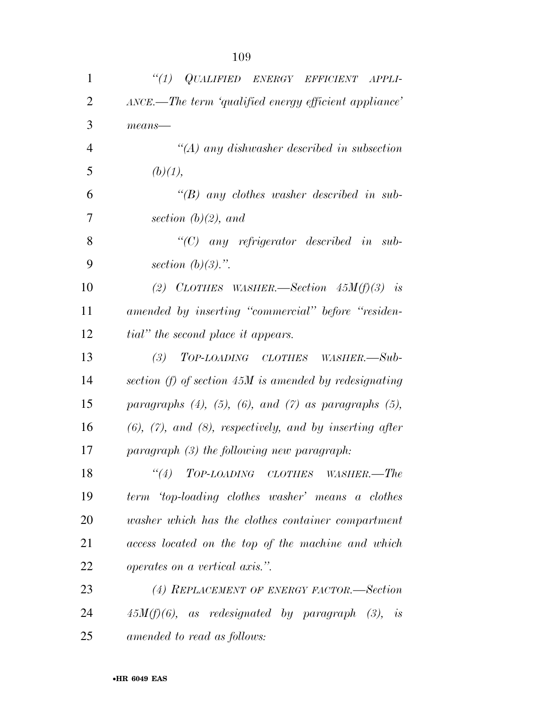| $\mathbf{1}$   | "(1) QUALIFIED ENERGY EFFICIENT APPLI-                             |
|----------------|--------------------------------------------------------------------|
| $\overline{2}$ | ANCE.—The term 'qualified energy efficient appliance'              |
| 3              | $means$ —                                                          |
| $\overline{4}$ | $\lq (A)$ any dishwasher described in subsection                   |
| 5              | (b)(1),                                                            |
| 6              | "(B) any clothes washer described in sub-                          |
| 7              | section $(b)(2)$ , and                                             |
| 8              | $\lq\lq C$ any refrigerator described in sub-                      |
| 9              | section $(b)(3)$ .".                                               |
| 10             | (2) CLOTHES WASHER.—Section $45M(f)(3)$ is                         |
| 11             | amended by inserting "commercial" before "residen-                 |
| 12             | <i>tial</i> " the second place it appears.                         |
| 13             | (3) TOP-LOADING CLOTHES WASHER.—Sub-                               |
| 14             | section $(f)$ of section 45M is amended by redesignating           |
| 15             | paragraphs $(4)$ , $(5)$ , $(6)$ , and $(7)$ as paragraphs $(5)$ , |
| 16             | $(6)$ , $(7)$ , and $(8)$ , respectively, and by inserting after   |
| 17             | paragraph (3) the following new paragraph:                         |
| 18             | $``(4)$ TOP-LOADING CLOTHES WASHER.—The                            |
| 19             | term 'top-loading clothes washer' means a clothes                  |
| 20             | washer which has the clothes container compartment                 |
| 21             | access located on the top of the machine and which                 |
| 22             | <i>operates on a vertical axis.</i> ".                             |
| 23             | (4) REPLACEMENT OF ENERGY FACTOR.—Section                          |
| 24             | $45M(f)(6)$ , as redesignated by paragraph $(3)$ , is              |
| 25             | amended to read as follows:                                        |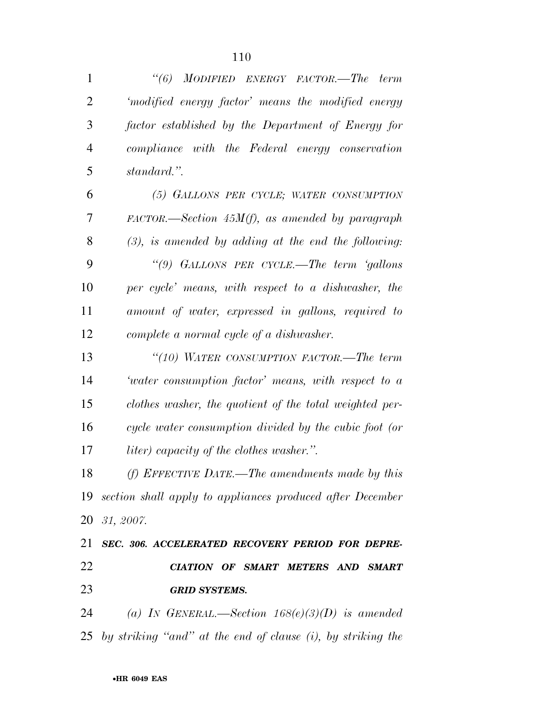| $\mathbf{1}$   | "(6) MODIFIED ENERGY FACTOR.—The term                             |
|----------------|-------------------------------------------------------------------|
| $\overline{2}$ | 'modified energy factor' means the modified energy                |
| 3              | factor established by the Department of Energy for                |
| $\overline{4}$ | compliance with the Federal energy conservation                   |
| 5              | standard.".                                                       |
| 6              | (5) GALLONS PER CYCLE; WATER CONSUMPTION                          |
| 7              | $FACTOR. \rightarrow Section 45M(f),$ as amended by paragraph     |
| 8              | $(3)$ , is amended by adding at the end the following:            |
| 9              | "(9) GALLONS PER CYCLE.—The term 'gallons'                        |
| 10             | per cycle' means, with respect to a dishwasher, the               |
| 11             | amount of water, expressed in gallons, required to                |
| 12             | complete a normal cycle of a dishwasher.                          |
| 13             | "(10) WATER CONSUMPTION FACTOR.—The term                          |
| 14             | 'water consumption factor' means, with respect to a               |
| 15             | clothes washer, the quotient of the total weighted per-           |
| 16             | cycle water consumption divided by the cubic foot (or             |
| 17             | liter) capacity of the clothes washer.".                          |
| 18             | (f) EFFECTIVE DATE.—The amendments made by this                   |
|                | 19 section shall apply to appliances produced after December      |
|                | 20 31, 2007.                                                      |
| 21             | SEC. 306. ACCELERATED RECOVERY PERIOD FOR DEPRE-                  |
| 22             | CIATION OF SMART METERS AND SMART                                 |
| 23             | <b>GRID SYSTEMS.</b>                                              |
| 24             | (a) IN GENERAL.—Section $168(e)(3)(D)$ is amended                 |
|                | 25 by striking "and" at the end of clause $(i)$ , by striking the |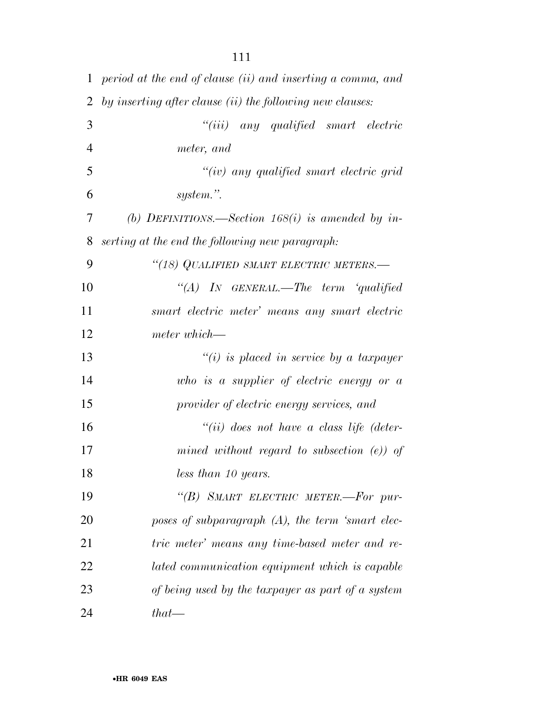| $\mathbf{1}$ | period at the end of clause (ii) and inserting a comma, and |
|--------------|-------------------------------------------------------------|
| 2            | by inserting after clause (ii) the following new clauses:   |
| 3            | ``(iii)<br>any qualified smart electric                     |
| 4            | meter, and                                                  |
| 5            | $``(iv)$ any qualified smart electric grid                  |
| 6            | system.".                                                   |
| 7            | (b) DEFINITIONS.—Section 168(i) is amended by in-           |
| 8            | serting at the end the following new paragraph:             |
| 9            | "(18) QUALIFIED SMART ELECTRIC METERS.-                     |
| 10           | "(A) IN GENERAL.—The term 'qualified                        |
| 11           | smart electric meter' means any smart electric              |
| 12           | meter which—                                                |
| 13           | $``(i)$ is placed in service by a taxpayer                  |
| 14           | who is a supplier of electric energy or $a$                 |
| 15           | provider of electric energy services, and                   |
| 16           | $``(ii)$ does not have a class life (deter-                 |
| 17           | mined without regard to subsection $(e)$ ) of               |
| 18           | less than 10 years.                                         |
| 19           | "(B) SMART ELECTRIC METER.-For pur-                         |
| 20           | poses of subparagraph $(A)$ , the term 'smart elec-         |
| 21           | tric meter' means any time-based meter and re-              |
| 22           | lated communication equipment which is capable              |
| 23           | of being used by the taxpayer as part of a system           |
| 24           | $that$ —                                                    |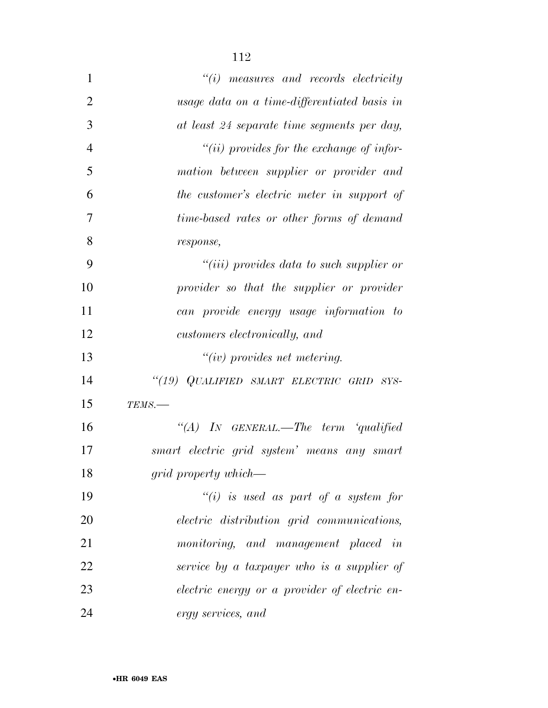| $\mathbf{1}$   | $"(i)$ measures and records electricity           |
|----------------|---------------------------------------------------|
| $\overline{2}$ | usage data on a time-differentiated basis in      |
| 3              | at least 24 separate time segments per day,       |
| $\overline{4}$ | "(ii) provides for the exchange of infor-         |
| 5              | mation between supplier or provider and           |
| 6              | the customer's electric meter in support of       |
| 7              | time-based rates or other forms of demand         |
| 8              | response,                                         |
| 9              | $``(iii)$ provides data to such supplier or       |
| 10             | provider so that the supplier or provider         |
| 11             | can provide energy usage information to           |
| 12             | customers electronically, and                     |
| 13             | $``(iv)$ provides net metering.                   |
| 14             | "(19) QUALIFIED SMART ELECTRIC GRID SYS-          |
| 15             | TEMS.-                                            |
| 16             | "(A) IN GENERAL.—The term 'qualified              |
| 17             | smart electric grid system' means any smart       |
| 18             | grid property which—                              |
| 19             | $``(i)$ is used as part of a system for           |
| 20             | <i>electric distribution grid communications,</i> |
| 21             | monitoring, and management placed in              |
| 22             | service by a taxpayer who is a supplier of        |
| 23             | electric energy or a provider of electric en-     |
| 24             | ergy services, and                                |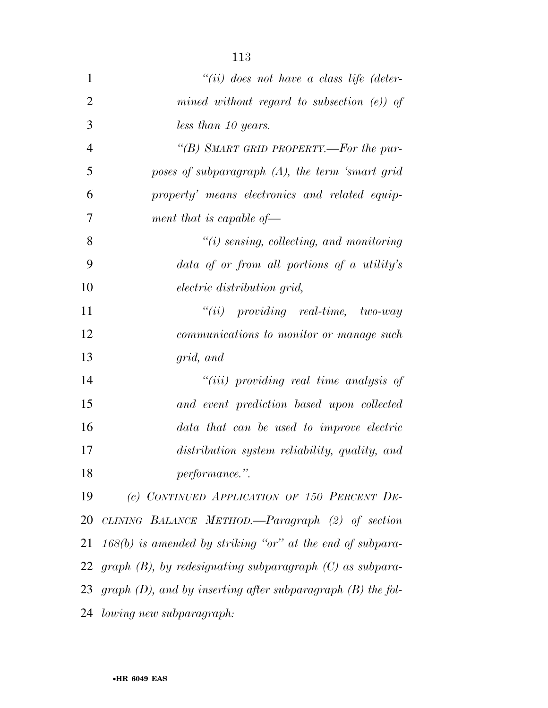| $\mathbf{1}$   | $``(ii)$ does not have a class life (deter-                      |
|----------------|------------------------------------------------------------------|
| $\overline{2}$ | mined without regard to subsection $(e)$ of                      |
| 3              | less than 10 years.                                              |
| $\overline{4}$ | "(B) SMART GRID PROPERTY.—For the pur-                           |
| 5              | poses of subparagraph (A), the term 'smart grid                  |
| 6              | property' means electronics and related equip-                   |
| 7              | ment that is capable of $\overline{\phantom{a}}$                 |
| 8              | $"(i)$ sensing, collecting, and monitoring                       |
| 9              | data of or from all portions of a utility's                      |
| 10             | <i>electric distribution grid,</i>                               |
| 11             | $``(ii)$ providing real-time, two-way                            |
| 12             | <i>communications to monitor or manage such</i>                  |
| 13             | grid, and                                                        |
| 14             | $``(iii)$ providing real time analysis of                        |
| 15             | and event prediction based upon collected                        |
| 16             | data that can be used to improve electric                        |
| 17             | distribution system reliability, quality, and                    |
| 18             | performance.".                                                   |
| 19             | (c) CONTINUED APPLICATION OF 150 PERCENT DE-                     |
| 20             | CLINING BALANCE METHOD.—Paragraph (2) of section                 |
| 21             | $168(b)$ is amended by striking "or" at the end of subpara-      |
| 22             | graph $(B)$ , by redesignating subparagraph $(C)$ as subpara-    |
| 23             | graph $(D)$ , and by inserting after subparagraph $(B)$ the fol- |
| 24             | lowing new subparagraph:                                         |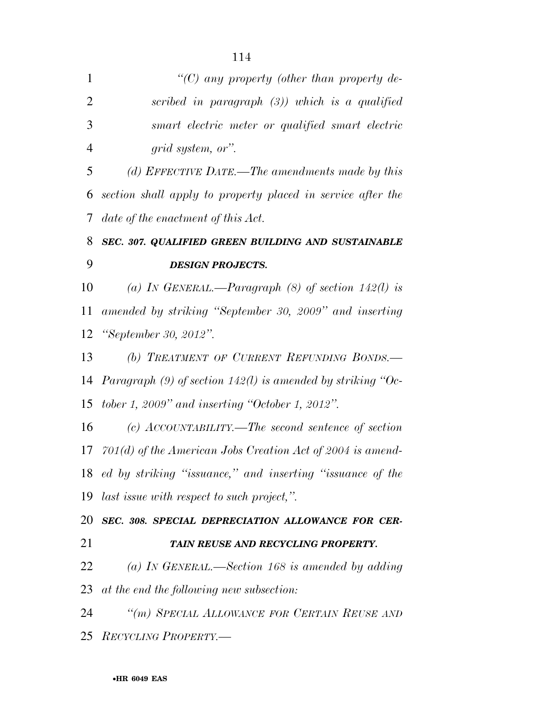| $\mathbf{1}$   | "(C) any property (other than property de-                       |
|----------------|------------------------------------------------------------------|
| $\overline{2}$ | scribed in paragraph $(3)$ ) which is a qualified                |
| 3              | smart electric meter or qualified smart electric                 |
| $\overline{4}$ | grid system, or".                                                |
| 5              | (d) EFFECTIVE DATE.—The amendments made by this                  |
| 6              | section shall apply to property placed in service after the      |
| 7              | date of the enactment of this Act.                               |
| 8              | SEC. 307. QUALIFIED GREEN BUILDING AND SUSTAINABLE               |
| 9              | <b>DESIGN PROJECTS.</b>                                          |
| 10             | (a) IN GENERAL.—Paragraph $(8)$ of section 142(l) is             |
| 11             | amended by striking "September 30, 2009" and inserting           |
| 12             | "September 30, 2012".                                            |
| 13             | (b) TREATMENT OF CURRENT REFUNDING BONDS.-                       |
|                | 14 Paragraph $(9)$ of section 142(l) is amended by striking "Oc- |
|                | 15 <i>tober 1, 2009</i> " and inserting "October 1, 2012".       |
| 16             | (c) $\text{ACCOUNTABILITY.}$ -The second sentence of section     |
|                | 17 $701(d)$ of the American Jobs Creation Act of 2004 is amend-  |
|                | 18 ed by striking "issuance," and inserting "issuance of the     |
|                | 19 last issue with respect to such project,".                    |
|                | 20 SEC. 308. SPECIAL DEPRECIATION ALLOWANCE FOR CER-             |
| 21             | TAIN REUSE AND RECYCLING PROPERTY.                               |
| 22             | (a) IN GENERAL.—Section 168 is amended by adding                 |
|                | 23 at the end the following new subsection:                      |
| 24             | "(m) SPECIAL ALLOWANCE FOR CERTAIN REUSE AND                     |
|                | 25 RECYCLING PROPERTY.—                                          |
|                |                                                                  |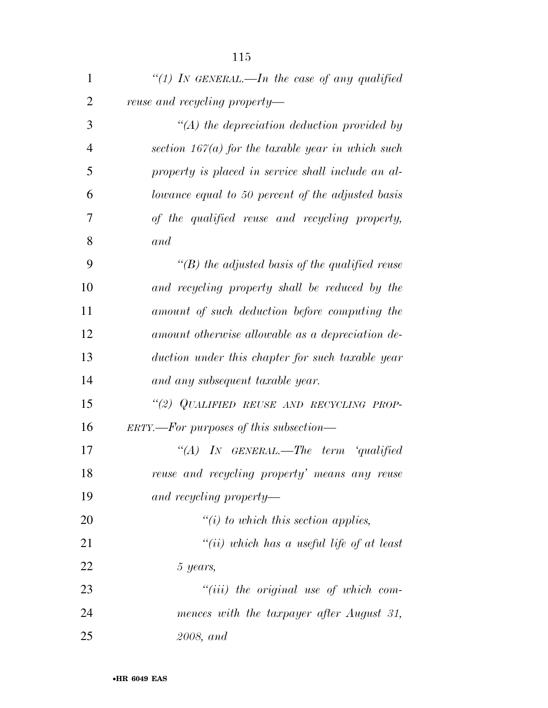| $\mathbf{1}$   | "(1) In GENERAL.—In the case of any qualified       |
|----------------|-----------------------------------------------------|
| $\overline{2}$ | reuse and recycling property—                       |
| 3              | $\lq (A)$ the depreciation deduction provided by    |
| 4              | section $167(a)$ for the taxable year in which such |
| 5              | property is placed in service shall include an al-  |
| 6              | lowance equal to 50 percent of the adjusted basis   |
| 7              | of the qualified reuse and recycling property,      |
| 8              | and                                                 |
| 9              | "(B) the adjusted basis of the qualified reuse      |
| 10             | and recycling property shall be reduced by the      |
| 11             | amount of such deduction before computing the       |
| 12             | amount otherwise allowable as a depreciation de-    |
| 13             | duction under this chapter for such taxable year    |
| 14             | and any subsequent taxable year.                    |
| 15             | "(2) QUALIFIED REUSE AND RECYCLING PROP-            |
| 16             | $ERTY.$ For purposes of this subsection—            |
| 17             | $\lq (A)$<br>$IN$ GENERAL.—The term 'qualified      |
| 18             | reuse and recycling property' means any reuse       |
| 19             | and recycling property—                             |
| 20             | $\tilde{f}(i)$ to which this section applies,       |
| 21             | "(ii) which has a useful life of at least           |
| 22             | 5 years,                                            |
| 23             | $``(iii)$ the original use of which com-            |
| 24             | mences with the taxpayer after August 31,           |
| 25             | 2008, and                                           |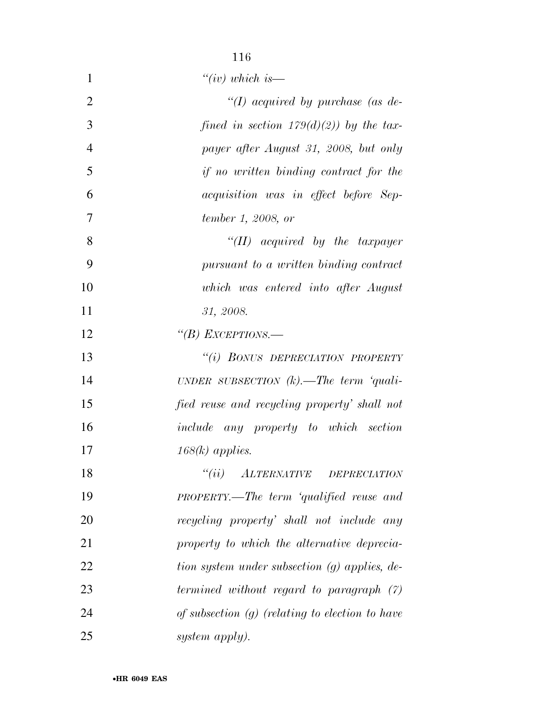| $\mathbf{1}$   | " $(iv)$ which is—                                |
|----------------|---------------------------------------------------|
| $\overline{2}$ | "(I) acquired by purchase (as de-                 |
| 3              | fined in section $179(d)(2)$ ) by the tax-        |
| $\overline{4}$ | payer after August 31, 2008, but only             |
| 5              | if no written binding contract for the            |
| 6              | acquisition was in effect before Sep-             |
| 7              | tember 1, 2008, or                                |
| 8              | $``(II)$ acquired by the taxpayer                 |
| 9              | pursuant to a written binding contract            |
| 10             | which was entered into after August               |
| 11             | 31, 2008.                                         |
| 12             | "(B) EXCEPTIONS.-                                 |
| 13             | "(i) BONUS DEPRECIATION PROPERTY                  |
| 14             | UNDER SUBSECTION $(k)$ . The term 'quali-         |
| 15             | fied reuse and recycling property' shall not      |
| 16             | include any property to which section             |
| 17             | $168(k)$ applies.                                 |
| 18             | $``(ii)$ ALTERNATIVE DEPRECIATION                 |
| 19             | PROPERTY.—The term 'qualified reuse and           |
| 20             | recycling property' shall not include any         |
| 21             | property to which the alternative deprecia-       |
| 22             | tion system under subsection (g) applies, de-     |
| 23             | termined without regard to paragraph $(7)$        |
| 24             | of subsection $(g)$ (relating to election to have |
| 25             | system apply).                                    |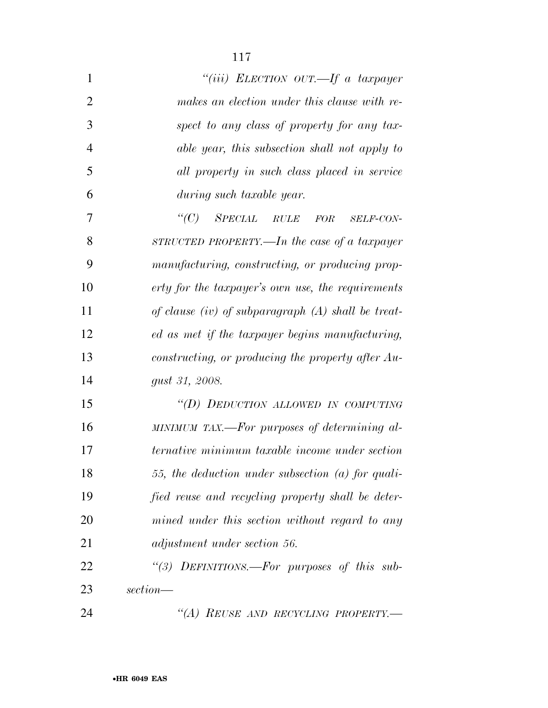| 1              | "(iii) ELECTION OUT.—If a taxpayer                    |
|----------------|-------------------------------------------------------|
| $\overline{2}$ | makes an election under this clause with re-          |
| 3              | spect to any class of property for any tax-           |
| $\overline{4}$ | able year, this subsection shall not apply to         |
| 5              | all property in such class placed in service          |
| 6              | during such taxable year.                             |
| 7              | $\lq C$ )<br>SPECIAL RULE<br>FOR<br><b>SELF-CON-</b>  |
| 8              | STRUCTED PROPERTY.—In the case of a taxpayer          |
| 9              | manufacturing, constructing, or producing prop-       |
| 10             | erty for the taxpayer's own use, the requirements     |
| 11             | of clause (iv) of subparagraph $(A)$ shall be treat-  |
| 12             | ed as met if the taxpayer begins manufacturing,       |
| 13             | constructing, or producing the property after Au-     |
| 14             | gust 31, 2008.                                        |
| 15             | "(D) DEDUCTION ALLOWED IN COMPUTING                   |
| 16             | MINIMUM TAX.—For purposes of determining al-          |
| 17             | <i>ternative minimum taxable income under section</i> |
| 18             | 55, the deduction under subsection $(a)$ for quali-   |
| 19             | fied reuse and recycling property shall be deter-     |
| 20             | mined under this section without regard to any        |
| 21             | adjustment under section 56.                          |
| 22             | "(3) DEFINITIONS.-For purposes of this sub-           |
| 23             | section—                                              |
| 24             | "(A) REUSE AND RECYCLING PROPERTY.-                   |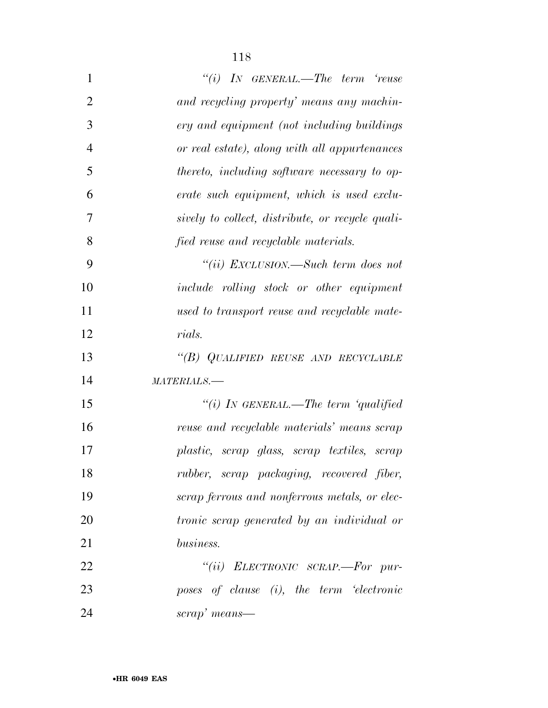| $\mathbf{1}$   | $``(i)$ IN GENERAL.—The term 'reuse               |
|----------------|---------------------------------------------------|
| $\overline{2}$ | and recycling property' means any machin-         |
| 3              | ery and equipment (not including buildings        |
| $\overline{4}$ | or real estate), along with all appurtenances     |
| 5              | thereto, including software necessary to op-      |
| 6              | erate such equipment, which is used exclu-        |
| 7              | sively to collect, distribute, or recycle quali-  |
| 8              | fied reuse and recyclable materials.              |
| 9              | "(ii) EXCLUSION.—Such term does not               |
| 10             | <i>include</i> rolling stock or other equipment   |
| 11             | used to transport reuse and recyclable mate-      |
| 12             | rials.                                            |
| 13             | "(B) QUALIFIED REUSE AND RECYCLABLE               |
| 14             | MATERIALS.-                                       |
| 15             | "(i) IN GENERAL.—The term 'qualified              |
| 16             | reuse and recyclable materials' means scrap       |
| 17             | plastic, scrap glass, scrap textiles, scrap       |
| 18             | rubber, scrap packaging, recovered fiber,         |
| 19             | scrap ferrous and nonferrous metals, or elec-     |
| 20             | <i>tronic scrap generated by an individual or</i> |
| 21             | business.                                         |
| 22             | "(ii) ELECTRONIC SCRAP.-For pur-                  |
| 23             | poses of clause (i), the term 'electronic         |
|                |                                                   |

*scrap' means—*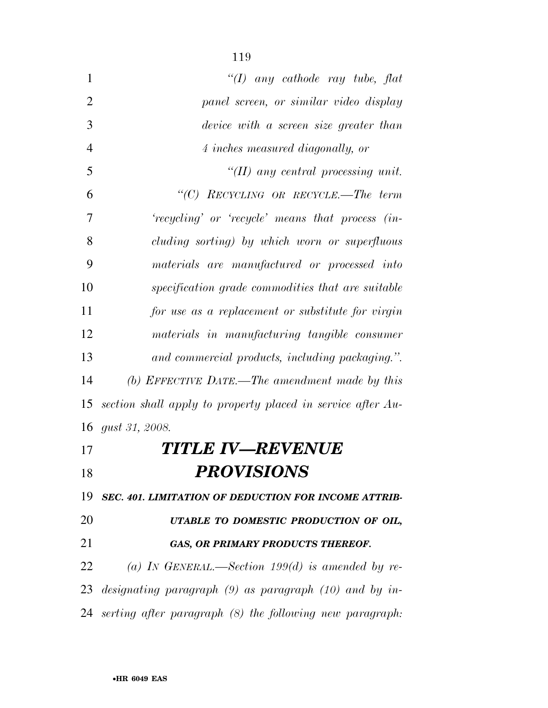| 1              | "(I) any cathode ray tube, flat                             |
|----------------|-------------------------------------------------------------|
| $\overline{2}$ | panel screen, or similar video display                      |
| 3              | device with a screen size greater than                      |
| $\overline{4}$ | 4 inches measured diagonally, or                            |
| 5              | "(II) any central processing unit.                          |
| 6              | "(C) RECYCLING OR RECYCLE.—The term                         |
| 7              | 'recycling' or 'recycle' means that process (in-            |
| 8              | cluding sorting) by which worn or superfluous               |
| 9              | materials are manufactured or processed into                |
| 10             | specification grade commodities that are suitable           |
| 11             | for use as a replacement or substitute for virgin           |
| 12             | materials in manufacturing tangible consumer                |
| 13             | and commercial products, including packaging.".             |
| 14             | (b) EFFECTIVE DATE.—The amendment made by this              |
| 15             | section shall apply to property placed in service after Au- |
| 16             | <i>gust 31, 2008.</i>                                       |
| 17             | <b>TITLE IV—REVENUE</b>                                     |

## *PROVISIONS*

 *SEC. 401. LIMITATION OF DEDUCTION FOR INCOME ATTRIB-UTABLE TO DOMESTIC PRODUCTION OF OIL,* 

## *GAS, OR PRIMARY PRODUCTS THEREOF.*

 *(a) IN GENERAL.—Section 199(d) is amended by re- designating paragraph (9) as paragraph (10) and by in-serting after paragraph (8) the following new paragraph:*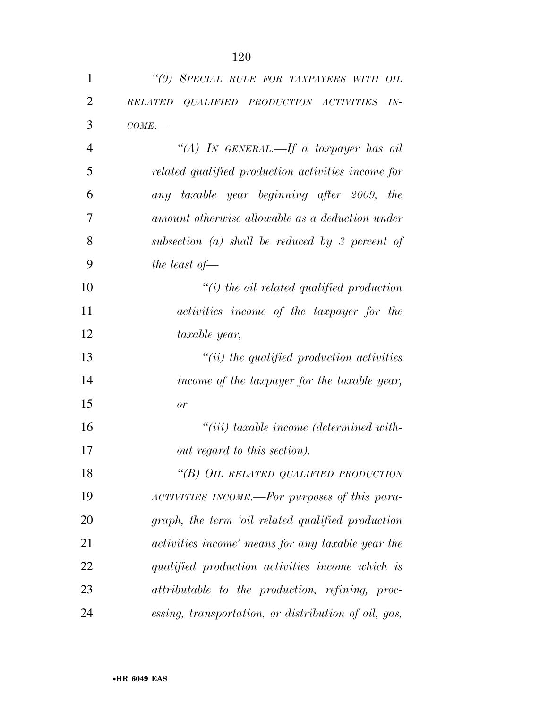| 1              | "(9) SPECIAL RULE FOR TAXPAYERS WITH OIL                         |
|----------------|------------------------------------------------------------------|
| $\overline{2}$ | $QUALIFIED$ $PRODUCTION$ $ACTIVITIES$<br><i>RELATED</i><br>$IN-$ |
| 3              | $COME$ .                                                         |
| 4              | "(A) IN GENERAL.—If a taxpayer has oil                           |
| 5              | related qualified production activities income for               |
| 6              | any taxable year beginning after 2009, the                       |
| 7              | amount otherwise allowable as a deduction under                  |
| 8              | subsection $(a)$ shall be reduced by 3 percent of                |
| 9              | the least of $-$                                                 |
| 10             | $"(i)$ the oil related qualified production                      |
| 11             | activities income of the taxpayer for the                        |
| 12             | taxable year,                                                    |
| 13             | $``(ii)$ the qualified production activities                     |
| 14             | income of the taxpayer for the taxable year,                     |
| 15             | or                                                               |
| 16             | $``(iii)$ taxable income (determined with-                       |
| 17             | out regard to this section).                                     |
| 18             | "(B) OIL RELATED QUALIFIED PRODUCTION                            |
| 19             | ACTIVITIES INCOME.—For purposes of this para-                    |
| 20             | graph, the term 'oil related qualified production                |
| 21             | activities income' means for any taxable year the                |
| 22             | qualified production activities income which is                  |
| 23             | attributable to the production, refining, proc-                  |
| 24             | essing, transportation, or distribution of oil, gas,             |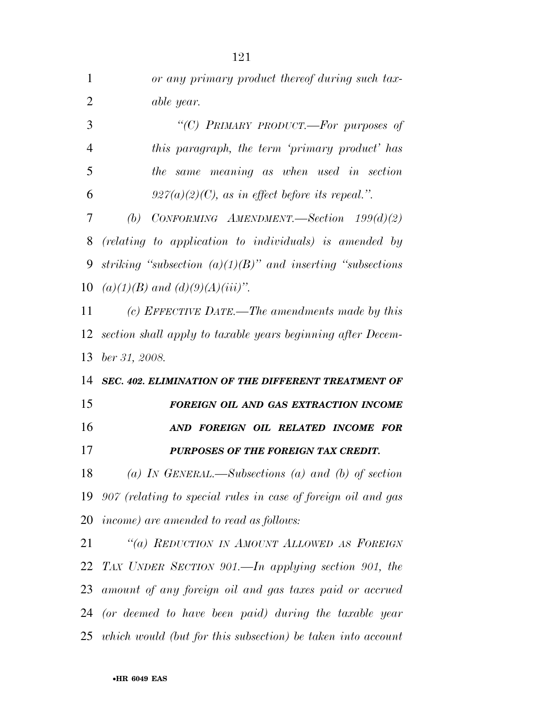| $\mathbf{1}$   | or any primary product thereof during such tax-                  |
|----------------|------------------------------------------------------------------|
| $\overline{2}$ | able year.                                                       |
| 3              | "(C) PRIMARY PRODUCT.—For purposes of                            |
| $\overline{4}$ | this paragraph, the term 'primary product' has                   |
| 5              | the same meaning as when used in section                         |
| 6              | $927(a)(2)(C)$ , as in effect before its repeal.".               |
| 7              | (b) CONFORMING AMENDMENT.—Section $199(d)(2)$                    |
| 8              | (relating to application to individuals) is amended by           |
| 9              | striking "subsection $(a)(1)(B)$ " and inserting "subsections"   |
| 10             | $(a)(1)(B)$ and $(d)(9)(A)(iii)$ ".                              |
| 11             | (c) EFFECTIVE DATE.—The amendments made by this                  |
| 12             | section shall apply to taxable years beginning after Decem-      |
|                |                                                                  |
| 13             | ber 31, 2008.                                                    |
|                | 14 SEC. 402. ELIMINATION OF THE DIFFERENT TREATMENT OF           |
| 15             | FOREIGN OIL AND GAS EXTRACTION INCOME                            |
| 16             | AND FOREIGN OIL RELATED INCOME FOR                               |
| 17             | PURPOSES OF THE FOREIGN TAX CREDIT.                              |
| 18             | (a) IN GENERAL.—Subsections (a) and (b) of section               |
|                | 19 907 (relating to special rules in case of foreign oil and gas |
|                | 20 <i>income)</i> are amended to read as follows:                |
| 21             | "(a) REDUCTION IN AMOUNT ALLOWED AS FOREIGN                      |
| 22             | TAX UNDER SECTION 901.—In applying section 901, the              |
|                | 23 amount of any foreign oil and gas taxes paid or accrued       |
|                | 24 (or deemed to have been paid) during the taxable year         |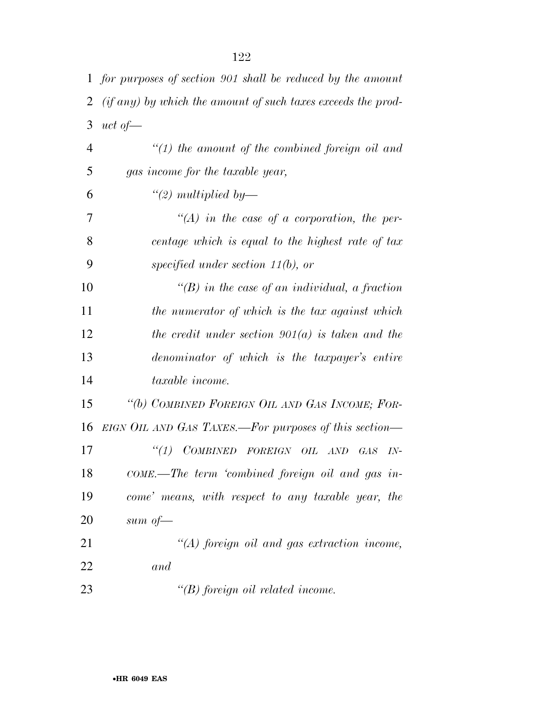|                | 1 for purposes of section 901 shall be reduced by the amount       |
|----------------|--------------------------------------------------------------------|
| 2              | $(i f \, any)$ by which the amount of such taxes exceeds the prod- |
| 3              | uct of $\equiv$                                                    |
| $\overline{4}$ | $\lq(1)$ the amount of the combined foreign oil and                |
| 5              | gas income for the taxable year,                                   |
| 6              | $\lq (2)$ multiplied by—                                           |
| 7              | $\lq (A)$ in the case of a corporation, the per-                   |
| 8              | centage which is equal to the highest rate of tax                  |
| 9              | specified under section $11(b)$ , or                               |
| 10             | $\lq (B)$ in the case of an individual, a fraction                 |
| 11             | the numerator of which is the tax against which                    |
| 12             | the credit under section $901(a)$ is taken and the                 |
| 13             | denominator of which is the taxpayer's entire                      |
| 14             | taxable income.                                                    |
| 15             | "(b) COMBINED FOREIGN OIL AND GAS INCOME; FOR-                     |
| 16             | EIGN OIL AND GAS TAXES.—For purposes of this section—              |
| 17             | "(1) COMBINED FOREIGN OIL AND<br>$G\!A S$<br>$IN-$                 |
| 18             | COME.—The term 'combined foreign oil and gas in-                   |
| 19             | come' means, with respect to any taxable year, the                 |
| 20             | sum of $-$                                                         |
| 21             | $\lq (A)$ foreign oil and gas extraction income,                   |
| 22             | and                                                                |
| 23             | $\lq\lq(B)$ foreign oil related income.                            |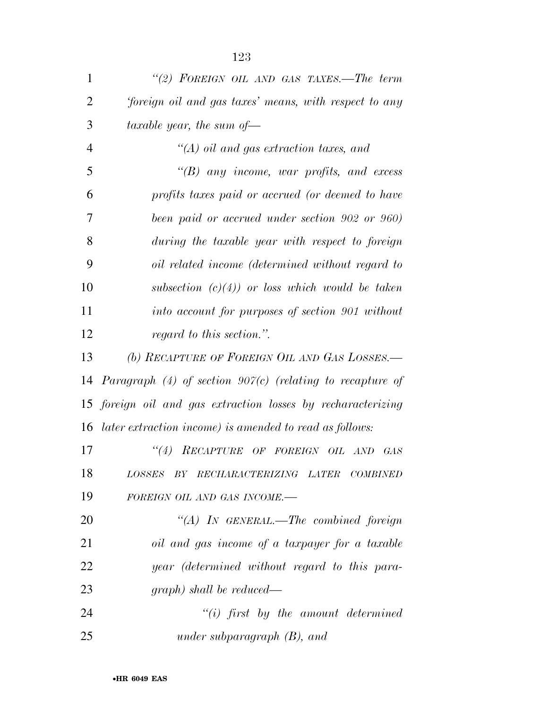| $\mathbf{1}$   | "(2) FOREIGN OIL AND GAS TAXES.—The term                     |
|----------------|--------------------------------------------------------------|
| $\overline{2}$ | foreign oil and gas taxes' means, with respect to any        |
| 3              | taxable year, the sum of $-$                                 |
| $\overline{4}$ | $\lq (A)$ oil and gas extraction taxes, and                  |
| 5              | $\lq\lq(B)$ any income, war profits, and excess              |
| 6              | profits taxes paid or accrued (or deemed to have             |
| 7              | been paid or accrued under section 902 or 960)               |
| 8              | during the taxable year with respect to foreign              |
| 9              | oil related income (determined without regard to             |
| 10             | subsection $(c)(4)$ or loss which would be taken             |
| 11             | into account for purposes of section 901 without             |
| 12             | regard to this section.".                                    |
| 13             | (b) RECAPTURE OF FOREIGN OIL AND GAS LOSSES.—                |
| 14             | Paragraph $(4)$ of section 907(c) (relating to recapture of  |
|                | 15 foreign oil and gas extraction losses by recharacterizing |
| 16             | later extraction income) is amended to read as follows:      |
| 17             | ``(4)<br>RECAPTURE OF FOREIGN OIL AND<br>- GAS               |
| 18             | LOSSES BY RECHARACTERIZING LATER COMBINED                    |
| 19             | FOREIGN OIL AND GAS INCOME.-                                 |
| 20             | "(A) IN GENERAL.—The combined foreign                        |
| 21             | oil and gas income of a taxpayer for a taxable               |
| 22             | year (determined without regard to this para-                |
| 23             | $graph)$ shall be reduced—                                   |
| 24             | $``(i)$ first by the amount determined                       |
| 25             | under subparagraph $(B)$ , and                               |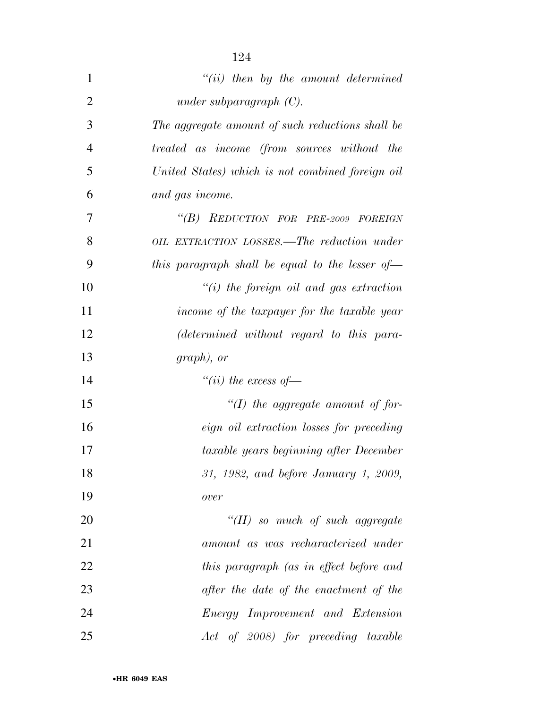| 1              | $``(ii)$ then by the amount determined                           |
|----------------|------------------------------------------------------------------|
| $\overline{2}$ | under subparagraph $(C)$ .                                       |
| 3              | The aggregate amount of such reductions shall be                 |
| $\overline{4}$ | <i>treated as income (from sources without the</i>               |
| 5              | United States) which is not combined foreign oil                 |
| 6              | and gas income.                                                  |
| 7              | "(B) REDUCTION FOR PRE-2009 FOREIGN                              |
| 8              | OIL EXTRACTION LOSSES.—The reduction under                       |
| 9              | this paragraph shall be equal to the lesser of $\longrightarrow$ |
| 10             | $``(i)$ the foreign oil and gas extraction                       |
| 11             | income of the taxpayer for the taxable year                      |
| 12             | (determined without regard to this para-                         |
| 13             | $graph$ , or                                                     |
| 14             | "(ii) the excess of $-$                                          |
| 15             | $\lq (I)$ the aggregate amount of for-                           |
| 16             | <i>eign oil extraction losses for preceding</i>                  |
| 17             | taxable years beginning after December                           |
| 18             | 31, 1982, and before January 1, 2009,                            |
| 19             | over                                                             |
| 20             | $\lq (II)$ so much of such aggregate                             |
| 21             | amount as was recharacterized under                              |
| 22             | this paragraph (as in effect before and                          |
| 23             | after the date of the enactment of the                           |
| 24             | Energy Improvement and Extension                                 |
| 25             | Act of 2008) for preceding taxable                               |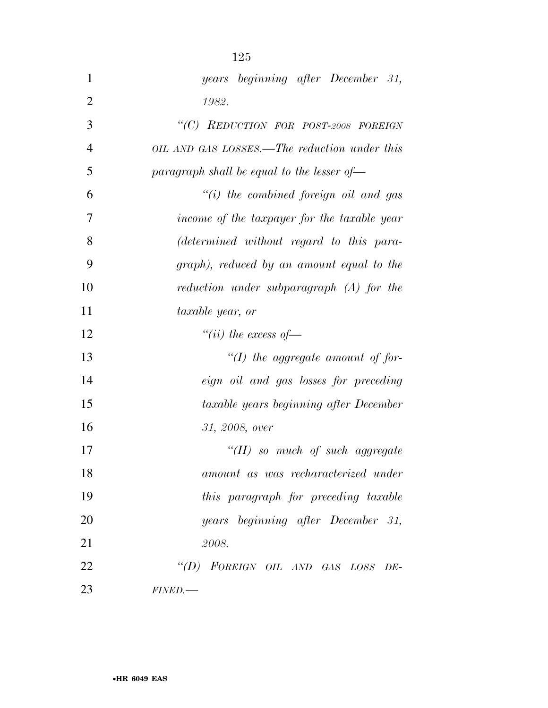| 1              | years beginning after December 31,                      |
|----------------|---------------------------------------------------------|
| $\overline{2}$ | 1982.                                                   |
| 3              | "(C) REDUCTION FOR POST-2008 FOREIGN                    |
| $\overline{4}$ | OIL AND GAS LOSSES.—The reduction under this            |
| 5              | paragraph shall be equal to the lesser of $\rightarrow$ |
| 6              | $"(i)$ the combined foreign oil and gas                 |
| 7              | income of the taxpayer for the taxable year             |
| 8              | (determined without regard to this para-                |
| 9              | graph), reduced by an amount equal to the               |
| 10             | reduction under subparagraph (A) for the                |
| 11             | taxable year, or                                        |
| 12             | "(ii) the excess of $-$                                 |
| 13             | $\lq (I)$ the aggregate amount of for-                  |
| 14             | eign oil and gas losses for preceding                   |
| 15             | taxable years beginning after December                  |
| 16             | 31, 2008, over                                          |
| 17             | "(II) so much of such aggregate                         |
| 18             | amount as was recharacterized under                     |
| 19             | this paragraph for preceding taxable                    |
| 20             | years beginning after December 31,                      |
| 21             | 2008.                                                   |
| 22             | "(D) FOREIGN OIL AND GAS LOSS DE-                       |
| 23             | <b>FINED.-</b>                                          |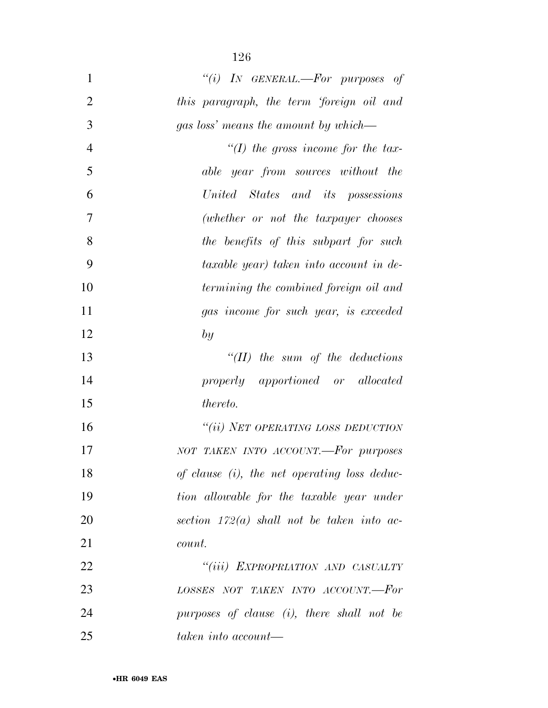| $\mathbf{1}$   | "(i) IN GENERAL.—For purposes of                |
|----------------|-------------------------------------------------|
| $\overline{2}$ | this paragraph, the term 'foreign oil and       |
| 3              | gas loss' means the amount by which—            |
| $\overline{4}$ | "(I) the gross income for the tax-              |
| 5              | able year from sources without the              |
| 6              | United States and its possessions               |
| 7              | (whether or not the taxpayer chooses            |
| 8              | the benefits of this subpart for such           |
| 9              | taxable year) taken into account in de-         |
| 10             | termining the combined foreign oil and          |
| 11             | gas income for such year, is exceeded           |
| 12             | by                                              |
| 13             | $H(II)$ the sum of the deductions               |
| 14             | properly apportioned or allocated               |
| 15             | <i>thereto.</i>                                 |
| 16             | "(ii) NET OPERATING LOSS DEDUCTION              |
| 17             | NOT TAKEN INTO ACCOUNT.-For purposes            |
| 18             | of clause $(i)$ , the net operating loss deduc- |
| 19             | tion allowable for the taxable year under       |
| 20             | section $172(a)$ shall not be taken into ac-    |
| 21             | count.                                          |
| 22             | "(iii) EXPROPRIATION AND CASUALTY               |
| 23             | LOSSES NOT TAKEN INTO ACCOUNT.-For              |
| 24             | purposes of clause (i), there shall not be      |
| 25             | $taken\ into\ account$ —                        |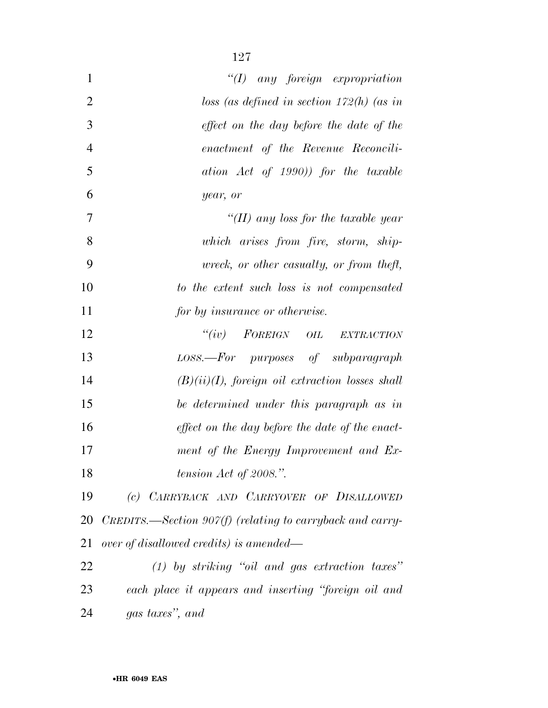| $\mathbf{1}$   | $\lq (I)$ any foreign expropriation                       |
|----------------|-----------------------------------------------------------|
| $\overline{2}$ | loss (as defined in section $172(h)$ (as in               |
| 3              | effect on the day before the date of the                  |
| $\overline{4}$ | enactment of the Revenue Reconcili-                       |
| 5              | ation Act of 1990)) for the taxable                       |
| 6              | year, or                                                  |
| $\overline{7}$ | "(II) any loss for the taxable year                       |
| 8              | which arises from fire, storm, ship-                      |
| 9              | wreck, or other casualty, or from theft,                  |
| 10             | to the extent such loss is not compensated                |
| 11             | for by insurance or otherwise.                            |
| 12             | "(iv) FOREIGN OIL EXTRACTION                              |
| 13             | LOSS.—For purposes of subparagraph                        |
| 14             | $(B)(ii)(I)$ , foreign oil extraction losses shall        |
| 15             | be determined under this paragraph as in                  |
| 16             | effect on the day before the date of the enact-           |
| 17             | ment of the Energy Improvement and Ex-                    |
| 18             | tension $Act$ of 2008.".                                  |
| 19             | (c) CARRYBACK AND CARRYOVER OF DISALLOWED                 |
| 20             | CREDITS.—Section $90\%$ (relating to carryback and carry- |
| 21             | over of disallowed credits) is amended—                   |
| 22             | $(1)$ by striking "oil and gas extraction taxes"          |
| 23             | each place it appears and inserting "foreign oil and      |
|                |                                                           |

*gas taxes'', and*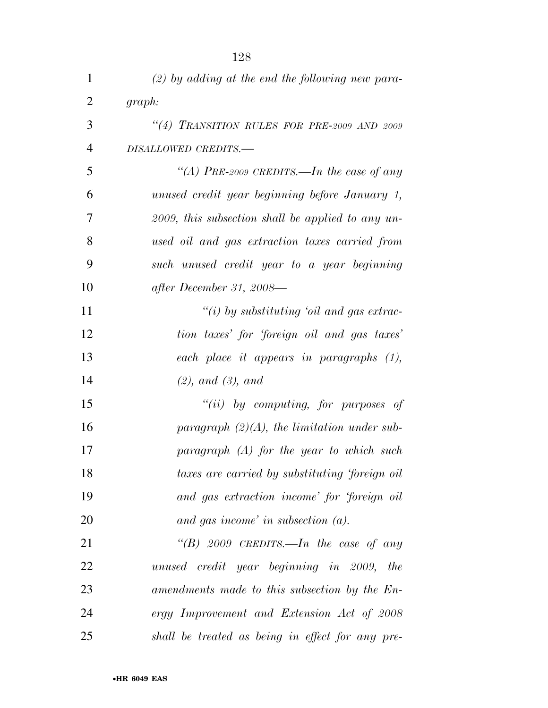| $\mathbf{1}$   | $(2)$ by adding at the end the following new para-   |
|----------------|------------------------------------------------------|
| $\overline{2}$ | graph:                                               |
| 3              | "(4) TRANSITION RULES FOR PRE-2009 AND 2009          |
| $\overline{4}$ | DISALLOWED CREDITS.-                                 |
| 5              | "(A) PRE-2009 CREDITS.—In the case of any            |
| 6              | unused credit year beginning before January 1,       |
| 7              | $2009$ , this subsection shall be applied to any un- |
| 8              | used oil and gas extraction taxes carried from       |
| 9              | such unused credit year to a year beginning          |
| 10             | after December 31, 2008—                             |
| 11             | $``(i)$ by substituting 'oil and gas extrac-         |
| 12             | tion taxes' for 'foreign oil and gas taxes'          |
| 13             | each place it appears in paragraphs (1),             |
| 14             | (2), and (3), and                                    |
| 15             | "(ii) by computing, for purposes of                  |
| 16             | paragraph $(2)(A)$ , the limitation under sub-       |
| 17             | paragraph $(A)$ for the year to which such           |
| 18             | taxes are carried by substituting 'foreign oil       |
| 19             | and gas extraction income' for 'foreign oil          |
| 20             | and gas income' in subsection $(a)$ .                |
| 21             | "(B) 2009 CREDITS.—In the case of any                |
| 22             | unused credit year beginning in 2009, the            |
| 23             | amendments made to this subsection by the En-        |
| 24             | ergy Improvement and Extension Act of 2008           |
| 25             | shall be treated as being in effect for any pre-     |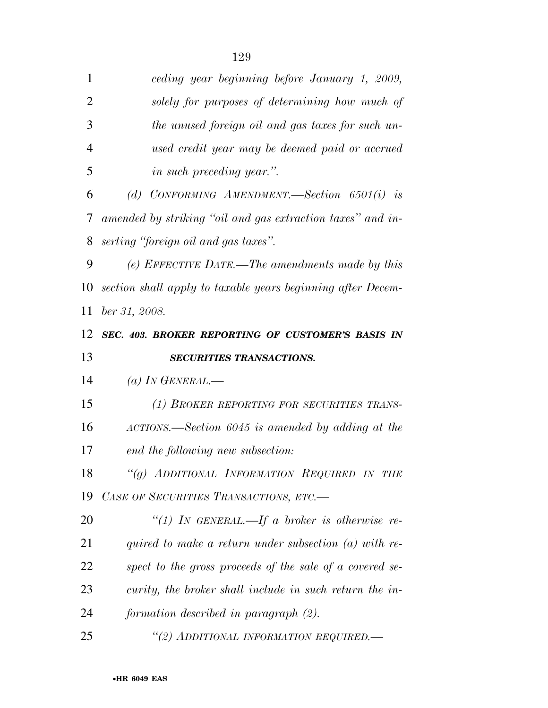| 1              | ceding year beginning before January 1, 2009,               |
|----------------|-------------------------------------------------------------|
| $\overline{2}$ | solely for purposes of determining how much of              |
| 3              | the unused foreign oil and gas taxes for such un-           |
| $\overline{4}$ | used credit year may be deemed paid or accrued              |
| 5              | <i>in such preceding year.</i> ".                           |
| 6              | (d) CONFORMING AMENDMENT.—Section $6501(i)$ is              |
| 7              | amended by striking "oil and gas extraction taxes" and in-  |
| 8              | serting "foreign oil and gas taxes".                        |
| 9              | (e) EFFECTIVE DATE.—The amendments made by this             |
| 10             | section shall apply to taxable years beginning after Decem- |
| 11             | ber 31, 2008.                                               |
| 12             | SEC. 403. BROKER REPORTING OF CUSTOMER'S BASIS IN           |
| 13             | SECURITIES TRANSACTIONS.                                    |
|                |                                                             |
| 14             | (a) IN GENERAL.—                                            |
| 15             | (1) BROKER REPORTING FOR SECURITIES TRANS-                  |
| 16             | ACTIONS.—Section 6045 is amended by adding at the           |
| 17             | end the following new subsection:                           |
| 18             | "(g) ADDITIONAL INFORMATION REQUIRED IN THE                 |
| 19             | CASE OF SECURITIES TRANSACTIONS, ETC.-                      |
| 20             | "(1) IN GENERAL.—If a broker is otherwise re-               |
| 21             | quired to make a return under subsection $(a)$ with re-     |
| 22             | spect to the gross proceeds of the sale of a covered se-    |
| 23             | curity, the broker shall include in such return the in-     |
| 24             | formation described in paragraph (2).                       |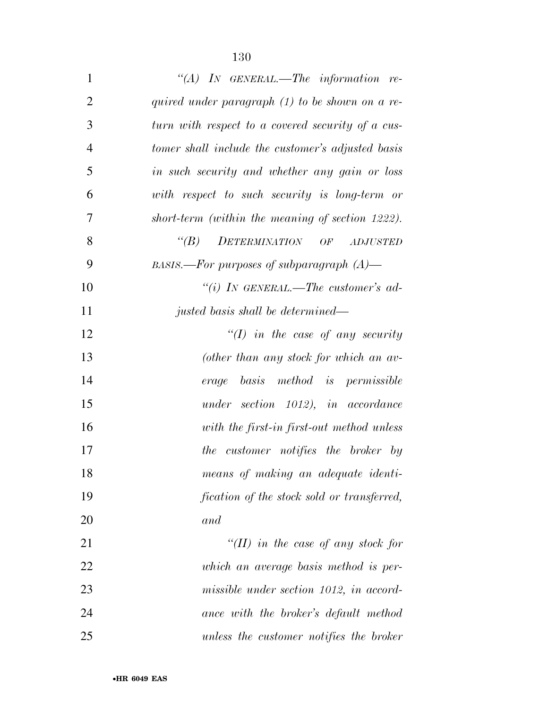| $\mathbf{1}$   | "(A) IN GENERAL.—The information re-              |
|----------------|---------------------------------------------------|
| $\overline{2}$ | quired under paragraph $(1)$ to be shown on a re- |
| 3              | turn with respect to a covered security of a cus- |
| $\overline{4}$ | tomer shall include the customer's adjusted basis |
| 5              | in such security and whether any gain or loss     |
| 6              | with respect to such security is long-term or     |
| 7              | short-term (within the meaning of section 1222).  |
| 8              | $\lq (B)$<br>DETERMINATION OF<br><b>ADJUSTED</b>  |
| 9              | BASIS.—For purposes of subparagraph $(A)$ —       |
| 10             | "(i) IN GENERAL.—The customer's ad-               |
| 11             | justed basis shall be determined—                 |
| 12             | $\lq (I)$ in the case of any security             |
| 13             | (other than any stock for which an av-            |
| 14             | erage basis method is permissible                 |
| 15             | under section 1012), in accordance                |
| 16             | with the first-in first-out method unless         |
| 17             | the customer notifies the broker by               |
| 18             | means of making an adequate identi-               |
| 19             | fication of the stock sold or transferred,        |
| 20             | and                                               |
| 21             | "(II) in the case of any stock for                |
| 22             | which an average basis method is per-             |
| 23             | missible under section 1012, in accord-           |
| 24             | ance with the broker's default method             |
| 25             | unless the customer notifies the broker           |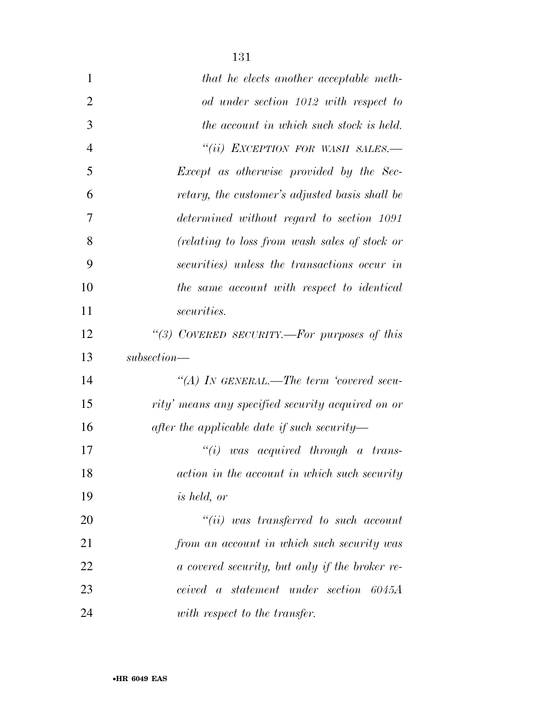| $\mathbf{1}$   | that he elects another acceptable meth-           |
|----------------|---------------------------------------------------|
| $\overline{2}$ | od under section 1012 with respect to             |
| 3              | the account in which such stock is held.          |
| $\overline{4}$ | "(ii) EXCEPTION FOR WASH SALES.-                  |
| 5              | Except as otherwise provided by the Sec-          |
| 6              | retary, the customer's adjusted basis shall be    |
| 7              | determined without regard to section 1091         |
| 8              | (relating to loss from wash sales of stock or     |
| 9              | securities) unless the transactions occur in      |
| 10             | the same account with respect to identical        |
| 11             | <i>securities.</i>                                |
| 12             | "(3) COVERED SECURITY.—For purposes of this       |
| 13             | $subsection$ —                                    |
| 14             | "(A) In GENERAL.—The term 'covered secu-          |
| 15             | rity' means any specified security acquired on or |
| 16             | after the applicable date if such security—       |
| 17             | ``(i)<br>was acquired through a trans-            |
| 18             | action in the account in which such security      |
| 19             | <i>is held, or</i>                                |
| 20             | $``(ii)$ was transferred to such account          |
| 21             | from an account in which such security was        |
| 22             | a covered security, but only if the broker re-    |
| 23             | ceived a statement under section 6045A            |
| 24             | with respect to the transfer.                     |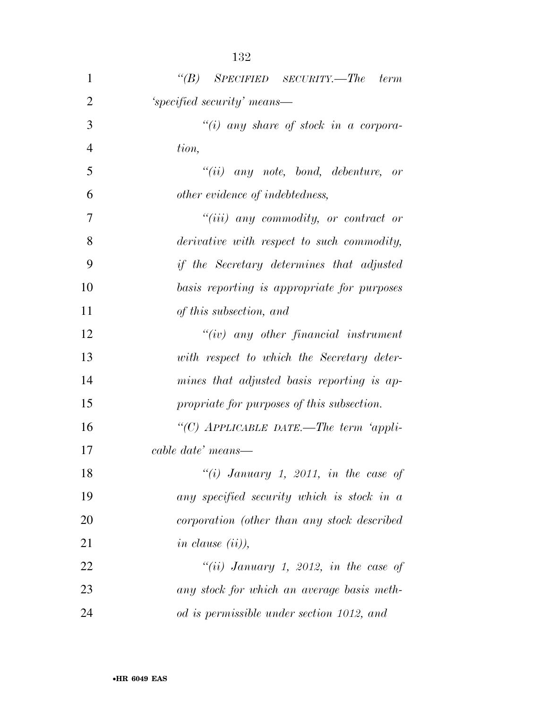| 1              | $\lq\lq(B)$ SPECIFIED SECURITY.—The term         |
|----------------|--------------------------------------------------|
| $\overline{2}$ | 'specified security' means—                      |
| 3              | $``(i)$ any share of stock in a corpora-         |
| $\overline{4}$ | tion,                                            |
| 5              | $``(ii)$ any note, bond, debenture, or           |
| 6              | other evidence of indebtedness,                  |
| 7              | $``(iii)$ any commodity, or contract or          |
| 8              | derivative with respect to such commodity,       |
| 9              | <i>if the Secretary determines that adjusted</i> |
| 10             | basis reporting is appropriate for purposes      |
| 11             | of this subsection, and                          |
| 12             | $``(iv)$ any other financial instrument          |
| 13             | with respect to which the Secretary deter-       |
| 14             | mines that adjusted basis reporting is ap-       |
| 15             | propriate for purposes of this subsection.       |
| 16             | "(C) APPLICABLE DATE.—The term 'appli-           |
| 17             | cable date' means—                               |
| 18             | "(i) January 1, 2011, in the case of             |
| 19             | any specified security which is stock in a       |
| 20             | corporation (other than any stock described      |
| 21             | in clause $(ii)$ ),                              |
| 22             | "(ii) January 1, 2012, in the case of            |
| 23             | any stock for which an average basis meth-       |
| 24             | od is permissible under section 1012, and        |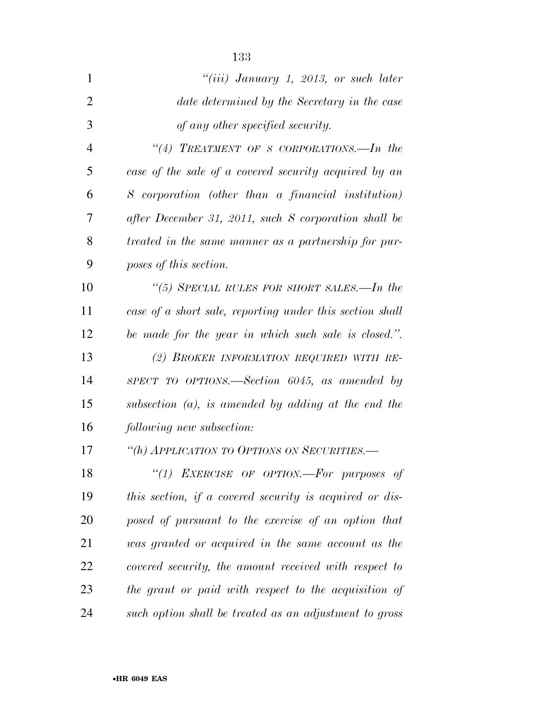| $\mathbf{1}$   | " $(iii)$ January 1, 2013, or such later                 |
|----------------|----------------------------------------------------------|
| $\overline{2}$ | date determined by the Secretary in the case             |
| 3              | of any other specified security.                         |
| $\overline{4}$ | "(4) TREATMENT OF S CORPORATIONS.—In the                 |
| 5              | case of the sale of a covered security acquired by an    |
| 6              | S corporation (other than a financial institution)       |
| 7              | after December 31, 2011, such S corporation shall be     |
| 8              | treated in the same manner as a partnership for pur-     |
| 9              | poses of this section.                                   |
| 10             | "(5) SPECIAL RULES FOR SHORT SALES.—In the               |
| 11             | case of a short sale, reporting under this section shall |
| 12             | be made for the year in which such sale is closed.".     |
| 13             | (2) BROKER INFORMATION REQUIRED WITH RE-                 |
| 14             | SPECT TO OPTIONS.—Section $6045$ , as amended by         |
| 15             | subsection $(a)$ , is amended by adding at the end the   |
| 16             | following new subsection:                                |
| 17             | "(h) APPLICATION TO OPTIONS ON SECURITIES.-              |
| 18             | "(1) EXERCISE OF OPTION.-For purposes of                 |
| 19             | this section, if a covered security is acquired or dis-  |
| 20             | posed of pursuant to the exercise of an option that      |
| 21             | was granted or acquired in the same account as the       |
| 22             | covered security, the amount received with respect to    |
| 23             | the grant or paid with respect to the acquisition of     |
| 24             | such option shall be treated as an adjustment to gross   |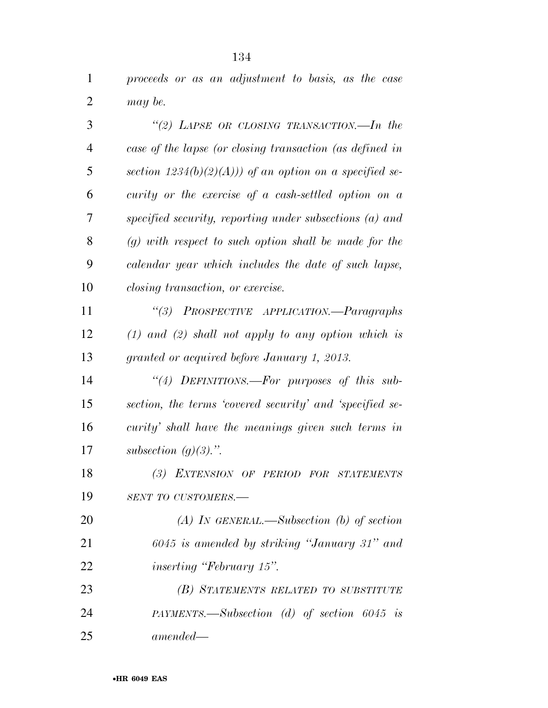*proceeds or as an adjustment to basis, as the case may be.* 

| 3              | "(2) LAPSE OR CLOSING TRANSACTION.—In the                |
|----------------|----------------------------------------------------------|
| $\overline{4}$ | case of the lapse (or closing transaction (as defined in |
| 5              | section $1234(b)(2)(A))$ of an option on a specified se- |
| 6              | curity or the exercise of a cash-settled option on a     |
| 7              | specified security, reporting under subsections (a) and  |
| 8              | $(g)$ with respect to such option shall be made for the  |
| 9              | calendar year which includes the date of such lapse,     |
| 10             | <i>closing transaction, or exercise.</i>                 |
| 11             | "(3) PROSPECTIVE APPLICATION.—Paragraphs                 |
| 12             | $(1)$ and $(2)$ shall not apply to any option which is   |
| 13             | granted or acquired before January 1, 2013.              |
| 14             | "(4) DEFINITIONS.—For purposes of this sub-              |
| 15             | section, the terms 'covered security' and 'specified se- |
| 16             | curity' shall have the meanings given such terms in      |
| 17             | subsection $(g)(3)$ .".                                  |
| 18             | (3) EXTENSION OF PERIOD FOR STATEMENTS                   |
| 19             | SENT TO CUSTOMERS.-                                      |
| 20             | (A) IN GENERAL.—Subsection (b) of section                |
| 21             | 6045 is amended by striking "January 31" and             |
| 22             | <i>inserting "February 15".</i>                          |
| 23             | (B) STATEMENTS RELATED TO SUBSTITUTE                     |
| 24             | PAYMENTS.—Subsection (d) of section $6045$ is            |
| 25             | $amended -$                                              |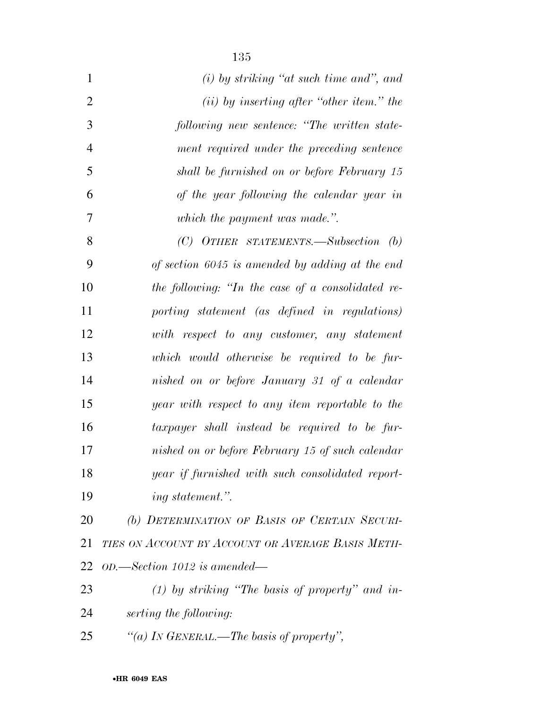| $\mathbf{1}$   | $(i)$ by striking "at such time and", and         |
|----------------|---------------------------------------------------|
| $\overline{2}$ | $(ii)$ by inserting after "other item." the       |
| 3              | following new sentence: "The written state-       |
| $\overline{4}$ | ment required under the preceding sentence        |
| 5              | shall be furnished on or before February 15       |
| 6              | of the year following the calendar year in        |
| 7              | which the payment was made.".                     |
| 8              | (C) OTHER STATEMENTS.—Subsection (b)              |
| 9              | of section 6045 is amended by adding at the end   |
| 10             | the following: "In the case of a consolidated re- |
| 11             | porting statement (as defined in regulations)     |
| 12             | with respect to any customer, any statement       |
| 13             | which would otherwise be required to be fur-      |
| 14             | nished on or before January 31 of a calendar      |
| 15             | year with respect to any item reportable to the   |
| 16             | taxpayer shall instead be required to be fur-     |
| 17             | nished on or before February 15 of such calendar  |
| 18             | year if furnished with such consolidated report-  |
| 19             | ing statement.".                                  |
| 20             | (b) DETERMINATION OF BASIS OF CERTAIN SECURI-     |
| 21             | TIES ON ACCOUNT BY ACCOUNT OR AVERAGE BASIS METH- |
| 22             | OD.—Section 1012 is amended—                      |
| 23             | $(1)$ by striking "The basis of property" and in- |
|                |                                                   |

- *serting the following:*
- *''(a) IN GENERAL.—The basis of property'',*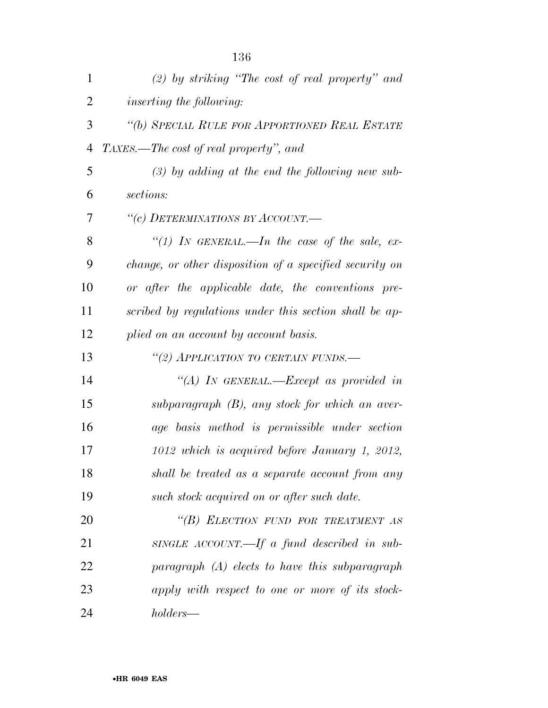| $\mathbf{1}$   | $(2)$ by striking "The cost of real property" and       |
|----------------|---------------------------------------------------------|
| $\overline{2}$ | <i>inserting the following:</i>                         |
| 3              | "(b) SPECIAL RULE FOR APPORTIONED REAL ESTATE           |
| $\overline{4}$ | TAXES.—The cost of real property", and                  |
| 5              | $(3)$ by adding at the end the following new sub-       |
| 6              | sections:                                               |
| 7              | "(c) DETERMINATIONS BY ACCOUNT.—                        |
| 8              | "(1) IN GENERAL.—In the case of the sale, ex-           |
| 9              | change, or other disposition of a specified security on |
| 10             | or after the applicable date, the conventions pre-      |
| 11             | scribed by regulations under this section shall be ap-  |
| 12             | plied on an account by account basis.                   |
| 13             | "(2) APPLICATION TO CERTAIN FUNDS.-                     |
| 14             | "(A) IN GENERAL.—Except as provided in                  |
| 15             | subparagraph (B), any stock for which an aver-          |
| 16             | age basis method is permissible under section           |
| 17             | 1012 which is acquired before January 1, 2012,          |
| 18             | shall be treated as a separate account from any         |
| 19             | such stock acquired on or after such date.              |
| 20             | "(B) ELECTION FUND FOR TREATMENT AS                     |
| 21             | SINGLE ACCOUNT.—If a fund described in sub-             |
| 22             | $paragnph$ (A) elects to have this subparagraph         |
| 23             | apply with respect to one or more of its stock-         |
| 24             | holders—                                                |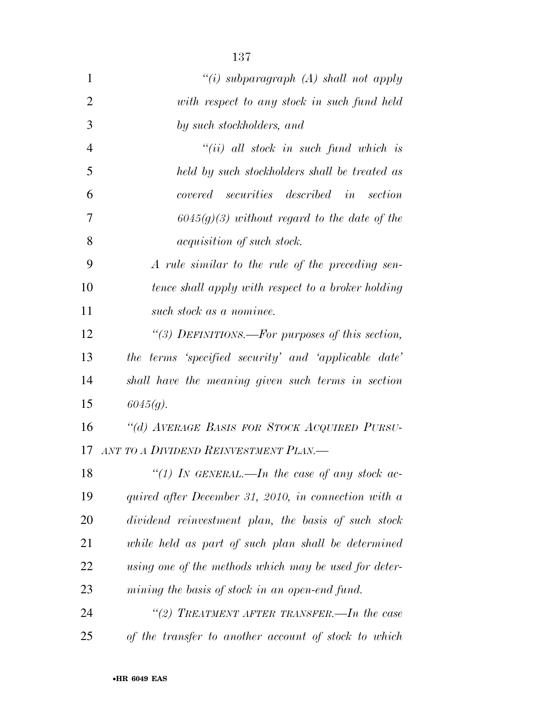| $\mathbf{1}$   | "(i) subparagraph $(A)$ shall not apply               |
|----------------|-------------------------------------------------------|
| $\overline{2}$ | with respect to any stock in such fund held           |
| 3              | by such stockholders, and                             |
| $\overline{4}$ | $``(ii)$ all stock in such fund which is              |
| 5              | held by such stockholders shall be treated as         |
| 6              | covered securities described in section               |
| 7              | $6045(g)(3)$ without regard to the date of the        |
| 8              | <i>acquisition of such stock.</i>                     |
| 9              | A rule similar to the rule of the preceding sen-      |
| 10             | tence shall apply with respect to a broker holding    |
| 11             | such stock as a nominee.                              |
| 12             | "(3) DEFINITIONS.—For purposes of this section,       |
| 13             | the terms 'specified security' and 'applicable date'  |
| 14             | shall have the meaning given such terms in section    |
| 15             | $6045(q)$ .                                           |
| 16             | "(d) AVERAGE BASIS FOR STOCK ACQUIRED PURSU-          |
| 17             | ANT TO A DIVIDEND REINVESTMENT PLAN.-                 |
| 18             | "(1) IN GENERAL.—In the case of any stock ac-         |
| 19             | quired after December 31, 2010, in connection with a  |
| 20             | dividend reinvestment plan, the basis of such stock   |
| 21             | while held as part of such plan shall be determined   |
| 22             | using one of the methods which may be used for deter- |
| 23             | mining the basis of stock in an open-end fund.        |
| 24             | "(2) TREATMENT AFTER TRANSFER.—In the case            |
| 25             | of the transfer to another account of stock to which  |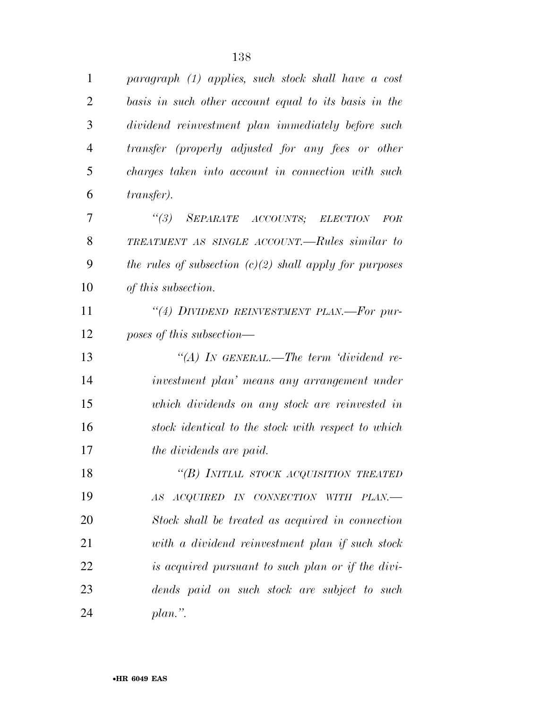| $\mathbf{1}$ | paragraph (1) applies, such stock shall have a cost       |
|--------------|-----------------------------------------------------------|
| 2            | basis in such other account equal to its basis in the     |
| 3            | dividend reinvestment plan immediately before such        |
| 4            | transfer (properly adjusted for any fees or other         |
| 5            | charges taken into account in connection with such        |
| 6            | <i>transfer</i> ).                                        |
| 7            | "(3) SEPARATE ACCOUNTS; ELECTION<br><b>FOR</b>            |
| 8            | TREATMENT AS SINGLE ACCOUNT.—Rules similar to             |
| 9            | the rules of subsection $(c)(2)$ shall apply for purposes |
| 10           | of this subsection.                                       |
| 11           | "(4) DIVIDEND REINVESTMENT PLAN.—For pur-                 |
| 12           | poses of this subsection—                                 |
| 13           | "(A) In GENERAL.—The term 'dividend re-                   |
| 14           | investment plan' means any arrangement under              |
| 15           | which dividends on any stock are reinvested in            |
| 16           | stock identical to the stock with respect to which        |
| 17           | the dividends are paid.                                   |
| 18           | "(B) INITIAL STOCK ACQUISITION TREATED                    |
| 19           | ACQUIRED IN CONNECTION WITH<br>$PLAN$ —<br>AS             |
| 20           | Stock shall be treated as acquired in connection          |
| 21           | with a dividend reinvestment plan if such stock           |
| 22           | is acquired pursuant to such plan or if the divi-         |
| 23           | dends paid on such stock are subject to such              |
| 24           | $plan.$ ".                                                |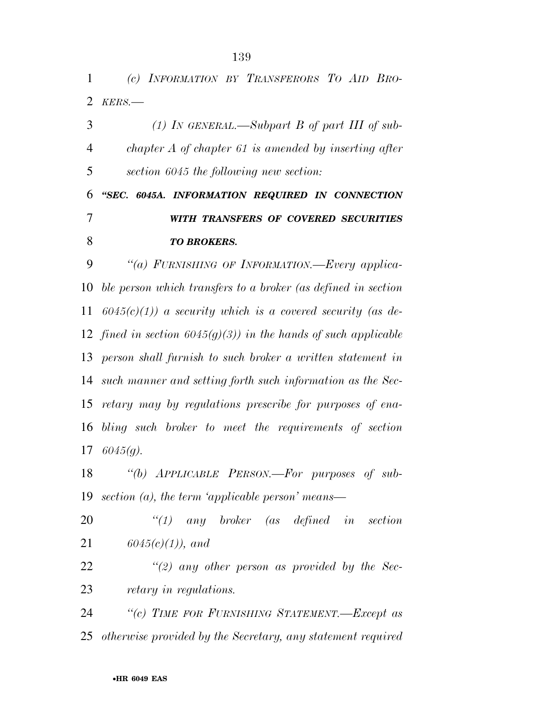*(c) INFORMATION BY TRANSFERORS TO AID BRO-KERS.—* 

 *(1) IN GENERAL.—Subpart B of part III of sub- chapter A of chapter 61 is amended by inserting after section 6045 the following new section: ''SEC. 6045A. INFORMATION REQUIRED IN CONNECTION WITH TRANSFERS OF COVERED SECURITIES TO BROKERS. ''(a) FURNISHING OF INFORMATION.—Every applica- ble person which transfers to a broker (as defined in section 6045(c)(1)) a security which is a covered security (as de- fined in section 6045(g)(3)) in the hands of such applicable person shall furnish to such broker a written statement in* 

 *such manner and setting forth such information as the Sec- retary may by regulations prescribe for purposes of ena- bling such broker to meet the requirements of section 6045(g).* 

 *''(b) APPLICABLE PERSON.—For purposes of sub-section (a), the term 'applicable person' means—* 

 *''(1) any broker (as defined in section 6045(c)(1)), and* 

 *''(2) any other person as provided by the Sec-retary in regulations.* 

 *''(c) TIME FOR FURNISHING STATEMENT.—Except as otherwise provided by the Secretary, any statement required*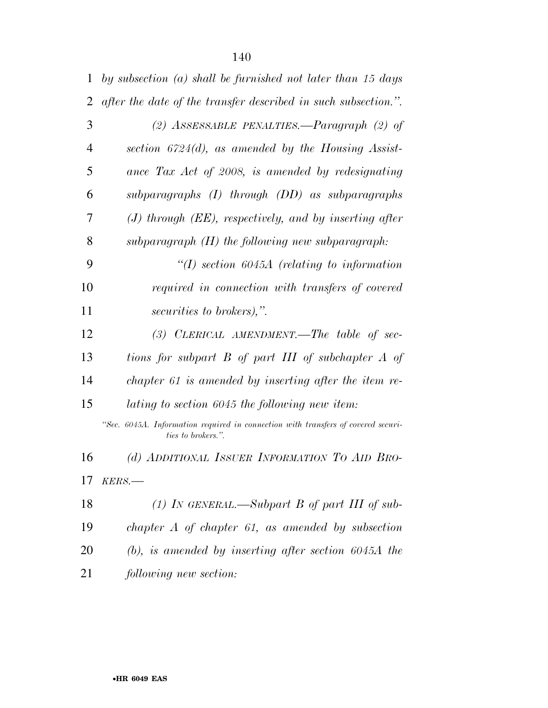| $\mathbf{1}$   | by subsection $(a)$ shall be furnished not later than 15 days                                           |
|----------------|---------------------------------------------------------------------------------------------------------|
| 2              | after the date of the transfer described in such subsection.".                                          |
| 3              | (2) ASSESSABLE PENALTIES.—Paragraph (2) of                                                              |
| $\overline{4}$ | section $6724(d)$ , as amended by the Housing Assist-                                                   |
| 5              | ance Tax Act of 2008, is amended by redesignating                                                       |
| 6              | subparagraphs (I) through (DD) as subparagraphs                                                         |
| 7              | $(J)$ through $(EE)$ , respectively, and by inserting after                                             |
| 8              | subparagraph $(H)$ the following new subparagraph:                                                      |
| 9              | $\lq (I)$ section 6045A (relating to information                                                        |
| 10             | required in connection with transfers of covered                                                        |
| 11             | securities to brokers),".                                                                               |
| 12             | (3) CLERICAL AMENDMENT.—The table of sec-                                                               |
| 13             | tions for subpart B of part III of subchapter A of                                                      |
| 14             | chapter 61 is amended by inserting after the item re-                                                   |
| 15             | lating to section 6045 the following new item:                                                          |
|                | "Sec. 6045A. Information required in connection with transfers of covered securi-<br>ties to brokers.". |
| 16             | (d) ADDITIONAL ISSUER INFORMATION TO AID BRO-                                                           |
| 17             | $KERS$ .                                                                                                |
| 18             | (1) IN GENERAL.—Subpart B of part III of sub-                                                           |
| 19             | chapter $A$ of chapter 61, as amended by subsection                                                     |
| 20             | $(b)$ , is amended by inserting after section $6045A$ the                                               |
| 21             | following new section:                                                                                  |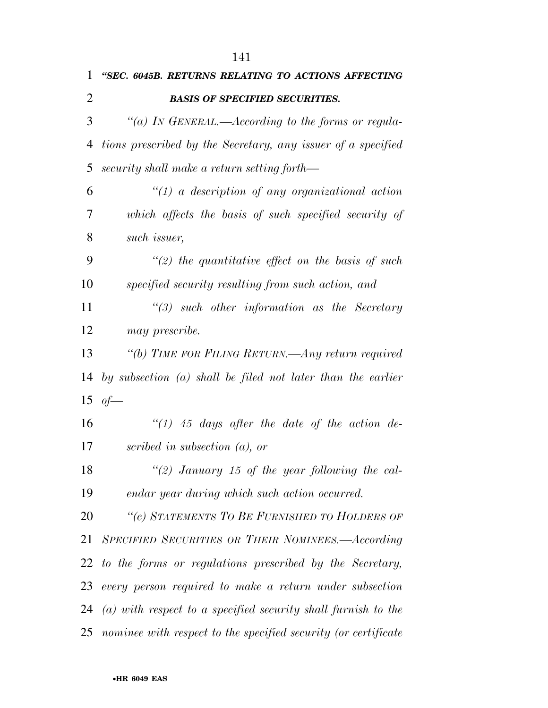| 1              | "SEC. 6045B. RETURNS RELATING TO ACTIONS AFFECTING              |
|----------------|-----------------------------------------------------------------|
| $\overline{2}$ | <b>BASIS OF SPECIFIED SECURITIES.</b>                           |
| 3              | "(a) IN GENERAL.—According to the forms or regula-              |
| 4              | tions prescribed by the Secretary, any issuer of a specified    |
| 5              | security shall make a return setting forth—                     |
| 6              | $\lq(1)$ a description of any organizational action             |
| 7              | which affects the basis of such specified security of           |
| 8              | such issuer,                                                    |
| 9              | $\lq(2)$ the quantitative effect on the basis of such           |
| 10             | specified security resulting from such action, and              |
| 11             | $\lq(3)$ such other information as the Secretary                |
| 12             | may prescribe.                                                  |
| 13             | "(b) TIME FOR FILING RETURN.—Any return required                |
| 14             | by subsection $(a)$ shall be filed not later than the earlier   |
|                | 15 of $-$                                                       |
| 16             | $\lq(1)$ 45 days after the date of the action de-               |
| 17             | scribed in subsection $(a)$ , or                                |
| 18             | "(2) January 15 of the year following the cal-                  |
| 19             | endar year during which such action occurred.                   |
| 20             | "(c) STATEMENTS TO BE FURNISHED TO HOLDERS OF                   |
| 21             | SPECIFIED SECURITIES OR THEIR NOMINEES.—According               |
| 22             | to the forms or regulations prescribed by the Secretary,        |
| 23             | every person required to make a return under subsection         |
| 24             | $(a)$ with respect to a specified security shall furnish to the |
| 25             | nominee with respect to the specified security (or certificate  |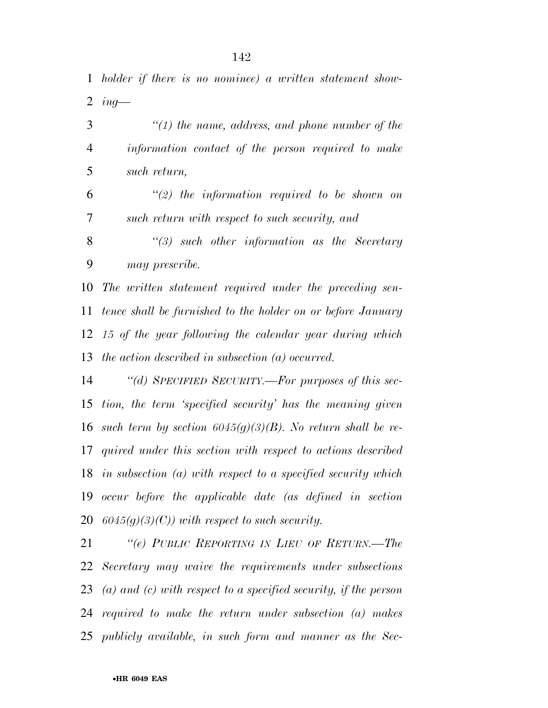*holder if there is no nominee) a written statement show-ing—* 

 *''(1) the name, address, and phone number of the information contact of the person required to make such return,* 

 *''(2) the information required to be shown on such return with respect to such security, and* 

 *''(3) such other information as the Secretary may prescribe.* 

 *The written statement required under the preceding sen- tence shall be furnished to the holder on or before January 15 of the year following the calendar year during which the action described in subsection (a) occurred.* 

 *''(d) SPECIFIED SECURITY.—For purposes of this sec- tion, the term 'specified security' has the meaning given such term by section 6045(g)(3)(B). No return shall be re- quired under this section with respect to actions described in subsection (a) with respect to a specified security which occur before the applicable date (as defined in section 6045(g)(3)(C)) with respect to such security.* 

 *''(e) PUBLIC REPORTING IN LIEU OF RETURN.—The Secretary may waive the requirements under subsections (a) and (c) with respect to a specified security, if the person required to make the return under subsection (a) makes publicly available, in such form and manner as the Sec-*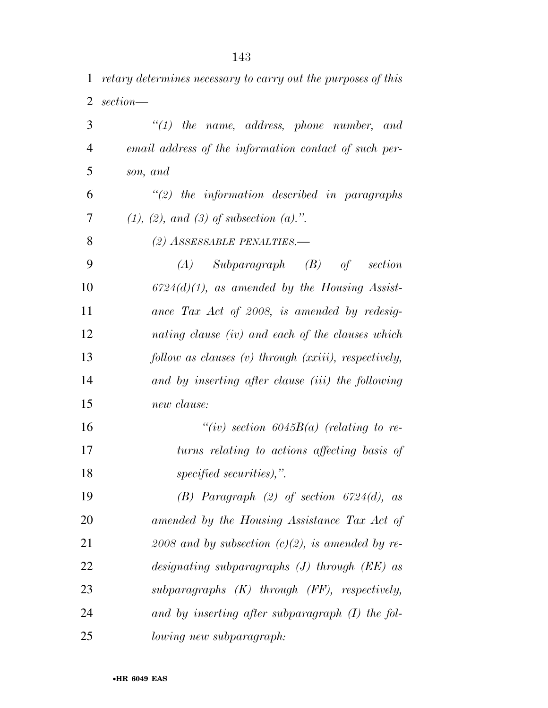*retary determines necessary to carry out the purposes of this section—* 

| 3              | $\lq(1)$ the name, address, phone number, and         |
|----------------|-------------------------------------------------------|
| $\overline{4}$ | email address of the information contact of such per- |
| 5              | son, and                                              |
| 6              | $\lq(2)$ the information described in paragraphs      |
| 7              | $(1), (2), and (3)$ of subsection $(a)$ .".           |
| 8              | (2) ASSESSABLE PENALTIES.—                            |
| 9              | $(A)$ Subparagraph $(B)$ of<br>section                |
| 10             | $6724(d)(1)$ , as amended by the Housing Assist-      |
| 11             | ance Tax Act of 2008, is amended by redesig-          |
| 12             | nating clause (iv) and each of the clauses which      |
| 13             | follow as clauses (v) through (xxiii), respectively,  |
| 14             | and by inserting after clause (iii) the following     |
| 15             | new clause:                                           |
| 16             | "(iv) section $6045B(a)$ (relating to re-             |
| 17             | turns relating to actions affecting basis of          |
| 18             | specified securities),".                              |
| 19             | (B) Paragraph $(2)$ of section $6724(d)$ , as         |
| 20             | amended by the Housing Assistance Tax Act of          |
| 21             | $2008$ and by subsection (c)(2), is amended by re-    |
| 22             | designating subparagraphs $(J)$ through $(EE)$ as     |
| 23             | subparagraphs $(K)$ through $(FF)$ , respectively,    |
| 24             | and by inserting after subparagraph $(I)$ the fol-    |
| 25             | lowing new subparagraph:                              |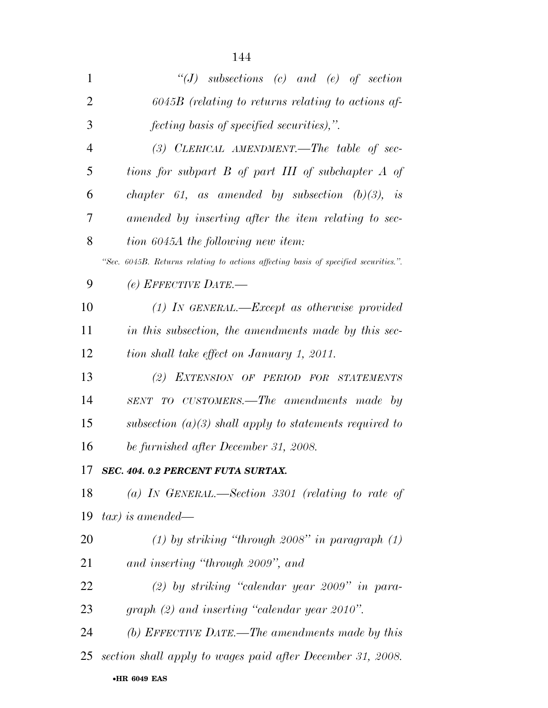| 1              | $\lq\lq(J)$ subsections (c) and (e) of section                                      |
|----------------|-------------------------------------------------------------------------------------|
| $\overline{2}$ | $6045B$ (relating to returns relating to actions af-                                |
| 3              | <i>fecting basis of specified securities),"</i> .                                   |
| $\overline{4}$ | $(3)$ CLERICAL AMENDMENT.—The table of sec-                                         |
| 5              | tions for subpart B of part III of subchapter A of                                  |
| 6              | chapter 61, as amended by subsection $(b)(3)$ , is                                  |
| 7              | amended by inserting after the item relating to sec-                                |
| 8              | tion 6045A the following new item:                                                  |
|                | "Sec. 6045B. Returns relating to actions affecting basis of specified securities.". |
| 9              | $(e)$ EFFECTIVE DATE.—                                                              |
| 10             | $(1)$ IN GENERAL.—Except as otherwise provided                                      |
| 11             | in this subsection, the amendments made by this sec-                                |
| 12             | tion shall take effect on January 1, 2011.                                          |
| 13             | (2) EXTENSION OF PERIOD FOR STATEMENTS                                              |
| 14             | SENT TO CUSTOMERS.—The amendments made by                                           |
| 15             | subsection $(a)(3)$ shall apply to statements required to                           |
| 16             | be furnished after December 31, 2008.                                               |
| 17             | <b>SEC. 404. 0.2 PERCENT FUTA SURTAX.</b>                                           |
| 18             | (a) IN GENERAL.—Section 3301 (relating to rate of                                   |
| 19             | $tax)$ is amended—                                                                  |
| 20             | $(1)$ by striking "through 2008" in paragraph $(1)$                                 |
| 21             | and inserting "through 2009", and                                                   |
| 22             | $(2)$ by striking "calendar year 2009" in para-                                     |
| 23             | graph $(2)$ and inserting "calendar year 2010".                                     |
| 24             | (b) EFFECTIVE DATE.—The amendments made by this                                     |
| 25             | section shall apply to wages paid after December 31, 2008.                          |
|                |                                                                                     |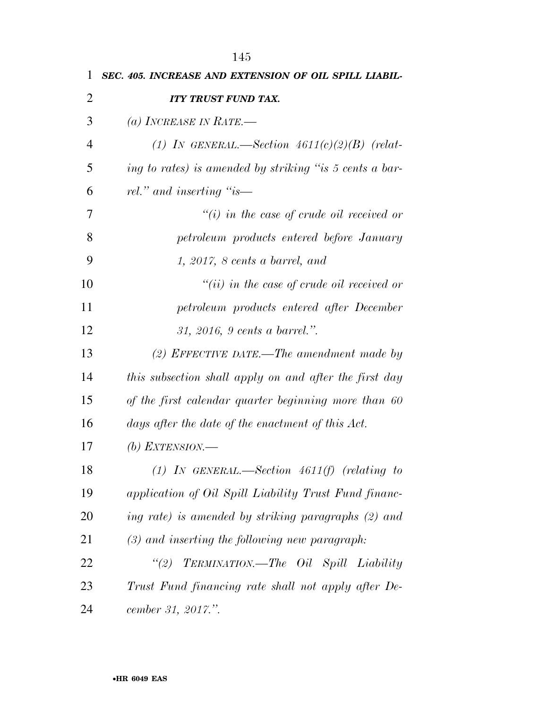| 1              | SEC. 405. INCREASE AND EXTENSION OF OIL SPILL LIABIL-   |
|----------------|---------------------------------------------------------|
| $\overline{2}$ | <b>ITY TRUST FUND TAX.</b>                              |
| 3              | (a) INCREASE IN RATE.—                                  |
| 4              | (1) IN GENERAL.—Section $4611(c)(2)(B)$ (relat-         |
| 5              | ing to rates) is amended by striking "is 5 cents a bar- |
| 6              | rel." and inserting "is—                                |
| 7              | $\tilde{f}(i)$ in the case of crude oil received or     |
| 8              | petroleum products entered before January               |
| 9              | 1, 2017, 8 cents a barrel, and                          |
| 10             | $``(ii)$ in the case of crude oil received or           |
| 11             | petroleum products entered after December               |
| 12             | 31, 2016, 9 cents a barrel.".                           |
| 13             | $(2)$ EFFECTIVE DATE.—The amendment made by             |
| 14             | this subsection shall apply on and after the first day  |
| 15             | of the first calendar quarter beginning more than 60    |
| 16             | days after the date of the enactment of this Act.       |
| 17             | (b) EXTENSION.—                                         |
| 18             | $(1)$ IN GENERAL.—Section 4611(f) (relating to          |
| 19             | application of Oil Spill Liability Trust Fund financ-   |
| 20             | ing rate) is amended by striking paragraphs (2) and     |
| 21             | $(3)$ and inserting the following new paragraph:        |
| 22             | "(2) TERMINATION.—The Oil Spill Liability               |
| 23             | Trust Fund financing rate shall not apply after De-     |
| 24             | cember 31, 2017.".                                      |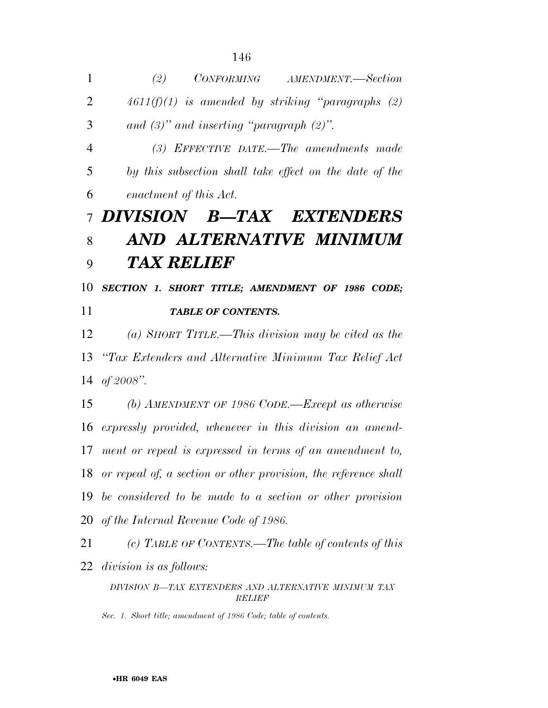| $\mathbf{1}$   | CONFORMING AMENDMENT.-Section<br>(2)                                  |
|----------------|-----------------------------------------------------------------------|
| $\overline{2}$ | $4611(f)(1)$ is amended by striking "paragraphs (2)                   |
| 3              | and $(3)$ " and inserting "paragraph $(2)$ ".                         |
| $\overline{4}$ | $(3)$ EFFECTIVE DATE.—The amendments made                             |
| 5              | by this subsection shall take effect on the date of the               |
| 6              | enactment of this Act.                                                |
| $\overline{7}$ | DIVISION B-TAX EXTENDERS                                              |
| 8              | AND ALTERNATIVE MINIMUM                                               |
| 9              | <b>TAX RELIEF</b>                                                     |
| 10             | SECTION 1. SHORT TITLE; AMENDMENT OF 1986 CODE;                       |
| 11             | <b>TABLE OF CONTENTS.</b>                                             |
| 12             | (a) SHORT TITLE.—This division may be cited as the                    |
| 13             | "Tax Extenders and Alternative Minimum Tax Relief Act                 |
| 14             | of $2008$ ".                                                          |
| 15             | (b) AMENDMENT OF 1986 CODE.—Except as otherwise                       |
| 16             | expressly provided, whenever in this division an amend-               |
|                | 17 ment or repeal is expressed in terms of an amendment to,           |
| 18             | or repeal of, a section or other provision, the reference shall       |
| 19             | be considered to be made to a section or other provision              |
| 20             | of the Internal Revenue Code of 1986.                                 |
| 21             | (c) TABLE OF CONTENTS.—The table of contents of this                  |
| 22             | division is as follows:                                               |
|                | DIVISION B-TAX EXTENDERS AND ALTERNATIVE MINIMUM TAX<br><b>RELIEF</b> |

*Sec. 1. Short title; amendment of 1986 Code; table of contents.*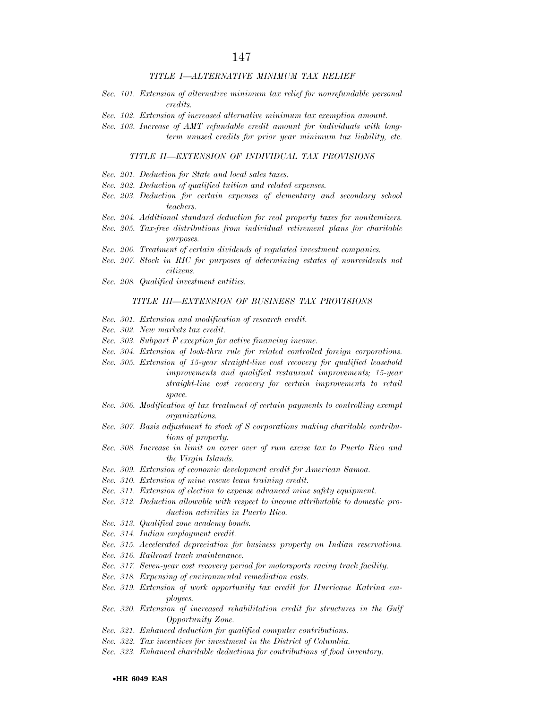#### *TITLE I—ALTERNATIVE MINIMUM TAX RELIEF*

- *Sec. 101. Extension of alternative minimum tax relief for nonrefundable personal credits.*
- *Sec. 102. Extension of increased alternative minimum tax exemption amount.*
- *Sec. 103. Increase of AMT refundable credit amount for individuals with longterm unused credits for prior year minimum tax liability, etc.*

#### *TITLE II—EXTENSION OF INDIVIDUAL TAX PROVISIONS*

- *Sec. 201. Deduction for State and local sales taxes.*
- *Sec. 202. Deduction of qualified tuition and related expenses.*
- *Sec. 203. Deduction for certain expenses of elementary and secondary school teachers.*
- *Sec. 204. Additional standard deduction for real property taxes for nonitemizers.*
- *Sec. 205. Tax-free distributions from individual retirement plans for charitable purposes.*
- *Sec. 206. Treatment of certain dividends of regulated investment companies.*
- *Sec. 207. Stock in RIC for purposes of determining estates of nonresidents not citizens.*
- *Sec. 208. Qualified investment entities.*

#### *TITLE III—EXTENSION OF BUSINESS TAX PROVISIONS*

- *Sec. 301. Extension and modification of research credit.*
- *Sec. 302. New markets tax credit.*
- *Sec. 303. Subpart F exception for active financing income.*
- *Sec. 304. Extension of look-thru rule for related controlled foreign corporations.*
- *Sec. 305. Extension of 15-year straight-line cost recovery for qualified leasehold improvements and qualified restaurant improvements; 15-year straight-line cost recovery for certain improvements to retail space.*
- *Sec. 306. Modification of tax treatment of certain payments to controlling exempt organizations.*
- *Sec. 307. Basis adjustment to stock of S corporations making charitable contributions of property.*
- *Sec. 308. Increase in limit on cover over of rum excise tax to Puerto Rico and the Virgin Islands.*
- *Sec. 309. Extension of economic development credit for American Samoa.*
- *Sec. 310. Extension of mine rescue team training credit.*
- *Sec. 311. Extension of election to expense advanced mine safety equipment.*
- *Sec. 312. Deduction allowable with respect to income attributable to domestic production activities in Puerto Rico.*
- *Sec. 313. Qualified zone academy bonds.*
- *Sec. 314. Indian employment credit.*
- *Sec. 315. Accelerated depreciation for business property on Indian reservations.*
- *Sec. 316. Railroad track maintenance.*
- *Sec. 317. Seven-year cost recovery period for motorsports racing track facility.*
- *Sec. 318. Expensing of environmental remediation costs.*
- *Sec. 319. Extension of work opportunity tax credit for Hurricane Katrina employees.*
- *Sec. 320. Extension of increased rehabilitation credit for structures in the Gulf Opportunity Zone.*
- *Sec. 321. Enhanced deduction for qualified computer contributions.*
- *Sec. 322. Tax incentives for investment in the District of Columbia.*
- *Sec. 323. Enhanced charitable deductions for contributions of food inventory.*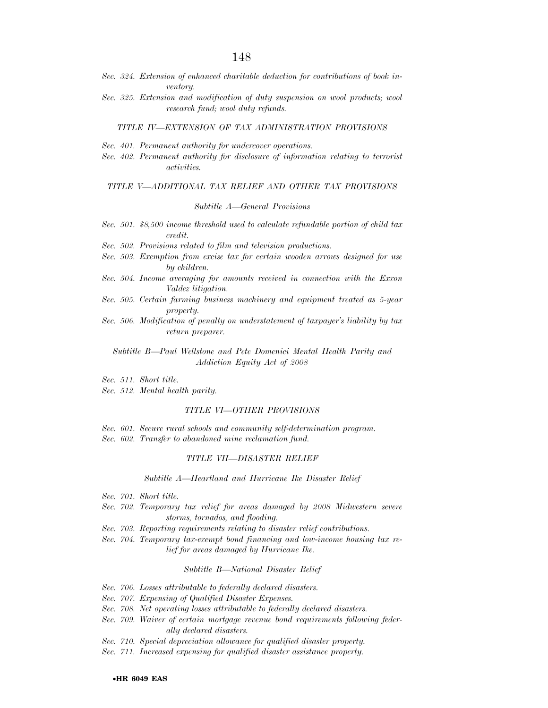- *Sec. 324. Extension of enhanced charitable deduction for contributions of book inventory.*
- Sec. 325. Extension and modification of duty suspension on wool products; wool *research fund; wool duty refunds.*

#### *TITLE IV—EXTENSION OF TAX ADMINISTRATION PROVISIONS*

- *Sec. 401. Permanent authority for undercover operations.*
- *Sec. 402. Permanent authority for disclosure of information relating to terrorist activities.*

#### *TITLE V—ADDITIONAL TAX RELIEF AND OTHER TAX PROVISIONS*

#### *Subtitle A—General Provisions*

- *Sec. 501. \$8,500 income threshold used to calculate refundable portion of child tax credit.*
- *Sec. 502. Provisions related to film and television productions.*
- *Sec. 503. Exemption from excise tax for certain wooden arrows designed for use by children.*
- *Sec. 504. Income averaging for amounts received in connection with the Exxon Valdez litigation.*
- *Sec. 505. Certain farming business machinery and equipment treated as 5-year property.*
- *Sec. 506. Modification of penalty on understatement of taxpayer's liability by tax return preparer.*

*Subtitle B—Paul Wellstone and Pete Domenici Mental Health Parity and Addiction Equity Act of 2008* 

- *Sec. 511. Short title.*
- *Sec. 512. Mental health parity.*

#### *TITLE VI—OTHER PROVISIONS*

*Sec. 601. Secure rural schools and community self-determination program. Sec. 602. Transfer to abandoned mine reclamation fund.* 

#### *TITLE VII—DISASTER RELIEF*

#### *Subtitle A—Heartland and Hurricane Ike Disaster Relief*

- *Sec. 701. Short title.*
- *Sec. 702. Temporary tax relief for areas damaged by 2008 Midwestern severe storms, tornados, and flooding.*
- *Sec. 703. Reporting requirements relating to disaster relief contributions.*
- *Sec. 704. Temporary tax-exempt bond financing and low-income housing tax relief for areas damaged by Hurricane Ike.*

#### *Subtitle B—National Disaster Relief*

- *Sec. 706. Losses attributable to federally declared disasters.*
- *Sec. 707. Expensing of Qualified Disaster Expenses.*
- *Sec. 708. Net operating losses attributable to federally declared disasters.*
- *Sec. 709. Waiver of certain mortgage revenue bond requirements following federally declared disasters.*
- *Sec. 710. Special depreciation allowance for qualified disaster property.*
- *Sec. 711. Increased expensing for qualified disaster assistance property.*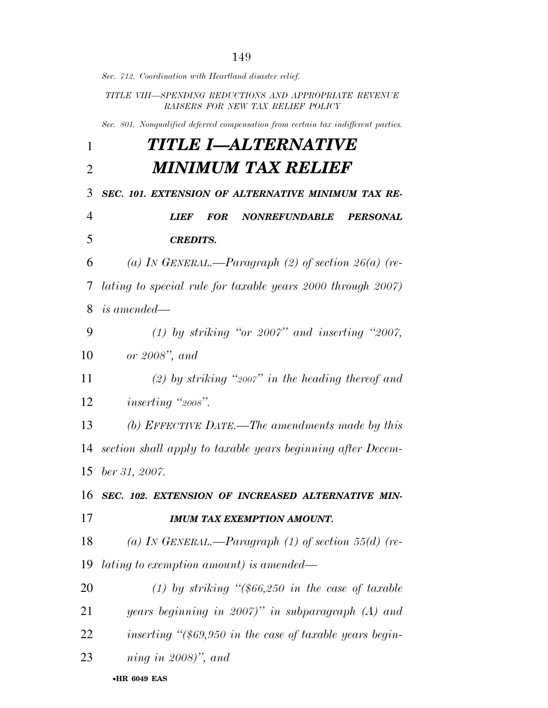*Sec. 712. Coordination with Heartland disaster relief. TITLE VIII—SPENDING REDUCTIONS AND APPROPRIATE REVENUE RAISERS FOR NEW TAX RELIEF POLICY Sec. 801. Nonqualified deferred compensation from certain tax indifferent parties. TITLE I—ALTERNATIVE MINIMUM TAX RELIEF SEC. 101. EXTENSION OF ALTERNATIVE MINIMUM TAX RE- LIEF FOR NONREFUNDABLE PERSONAL CREDITS. (a) IN GENERAL.—Paragraph (2) of section 26(a) (re- lating to special rule for taxable years 2000 through 2007) is amended— (1) by striking ''or 2007'' and inserting ''2007, or 2008'', and (2) by striking ''2007'' in the heading thereof and inserting ''2008''. (b) EFFECTIVE DATE.—The amendments made by this section shall apply to taxable years beginning after Decem- ber 31, 2007. SEC. 102. EXTENSION OF INCREASED ALTERNATIVE MIN- IMUM TAX EXEMPTION AMOUNT. (a) IN GENERAL.—Paragraph (1) of section 55(d) (re- lating to exemption amount) is amended— (1) by striking ''(\$66,250 in the case of taxable years beginning in 2007)'' in subparagraph (A) and inserting ''(\$69,950 in the case of taxable years begin-ning in 2008)'', and* 

•**HR 6049 EAS**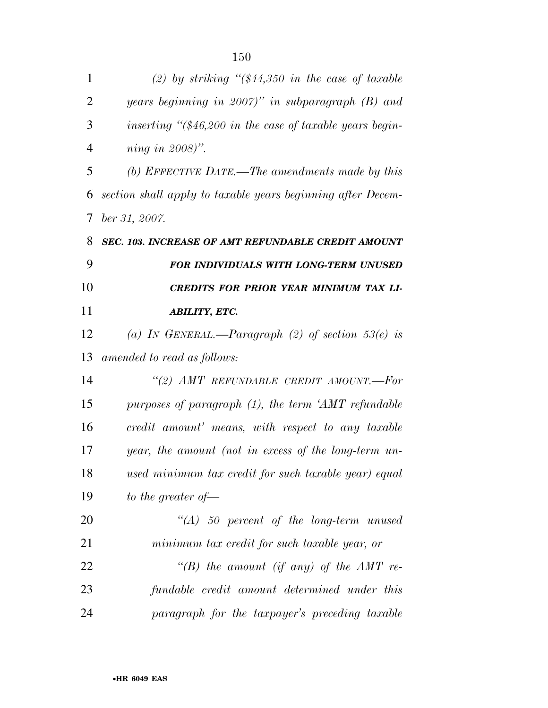| $\mathbf{1}$   | (2) by striking " $(\$44,350$ in the case of taxable        |
|----------------|-------------------------------------------------------------|
| $\overline{2}$ | years beginning in $2007$ " in subparagraph (B) and         |
| 3              | inserting " $(\$46,200$ in the case of taxable years begin- |
| $\overline{4}$ | ning in $2008$ ".                                           |
| 5              | (b) EFFECTIVE DATE.—The amendments made by this             |
| 6              | section shall apply to taxable years beginning after Decem- |
| 7              | $ber\,31,\,2007.$                                           |
| 8              | <b>SEC. 103. INCREASE OF AMT REFUNDABLE CREDIT AMOUNT</b>   |
| 9              | FOR INDIVIDUALS WITH LONG-TERM UNUSED                       |
| 10             | CREDITS FOR PRIOR YEAR MINIMUM TAX LI-                      |
| 11             | <b>ABILITY, ETC.</b>                                        |
| 12             | (a) IN GENERAL.—Paragraph (2) of section $53(e)$ is         |
| 13             | amended to read as follows:                                 |
| 14             | "(2) AMT REFUNDABLE CREDIT AMOUNT.--For                     |
| 15             | purposes of paragraph $(1)$ , the term 'AMT refundable      |
| 16             | credit amount' means, with respect to any taxable           |
| 17             | year, the amount (not in excess of the long-term un-        |
| 18             | used minimum tax credit for such taxable year) equal        |
| 19             | to the greater of $-$                                       |
| 20             | $\lq (A)$ 50 percent of the long-term unused                |
| 21             | minimum tax credit for such taxable year, or                |
| 22             | "(B) the amount (if any) of the $AMT$ re-                   |
| 23             | fundable credit amount determined under this                |
| 24             | paragraph for the taxpayer's preceding taxable              |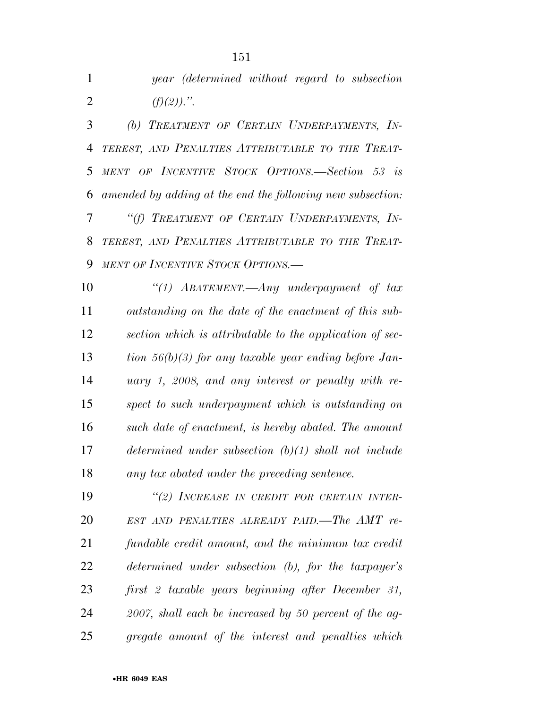*year (determined without regard to subsection (f)(2)).''.* 

 *(b) TREATMENT OF CERTAIN UNDERPAYMENTS, IN- TEREST, AND PENALTIES ATTRIBUTABLE TO THE TREAT- MENT OF INCENTIVE STOCK OPTIONS.—Section 53 is amended by adding at the end the following new subsection: ''(f) TREATMENT OF CERTAIN UNDERPAYMENTS, IN- TEREST, AND PENALTIES ATTRIBUTABLE TO THE TREAT-MENT OF INCENTIVE STOCK OPTIONS.—* 

 *''(1) ABATEMENT.—Any underpayment of tax outstanding on the date of the enactment of this sub- section which is attributable to the application of sec- tion 56(b)(3) for any taxable year ending before Jan- uary 1, 2008, and any interest or penalty with re- spect to such underpayment which is outstanding on such date of enactment, is hereby abated. The amount determined under subsection (b)(1) shall not include any tax abated under the preceding sentence.* 

 *''(2) INCREASE IN CREDIT FOR CERTAIN INTER- EST AND PENALTIES ALREADY PAID.—The AMT re- fundable credit amount, and the minimum tax credit determined under subsection (b), for the taxpayer's first 2 taxable years beginning after December 31, 2007, shall each be increased by 50 percent of the ag-gregate amount of the interest and penalties which*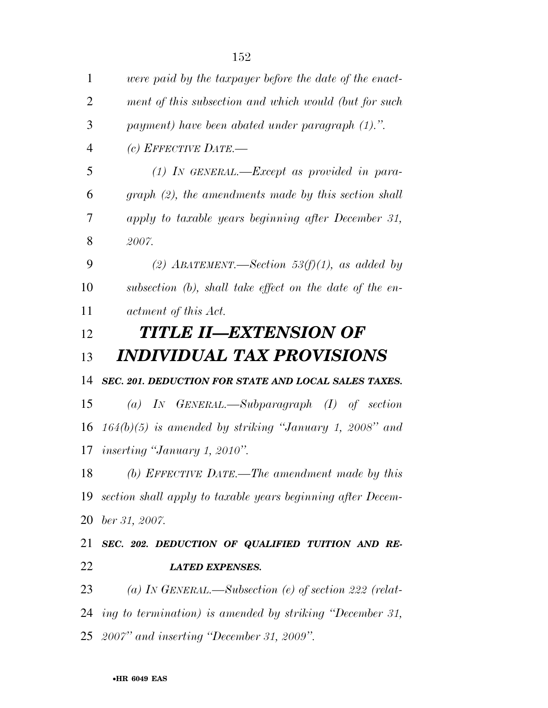| $\mathbf{1}$   | were paid by the taxpayer before the date of the enact-        |
|----------------|----------------------------------------------------------------|
| $\overline{2}$ | ment of this subsection and which would (but for such          |
| 3              | payment) have been abated under paragraph (1).".               |
| $\overline{4}$ | (c) EFFECTIVE DATE.—                                           |
| 5              | $(1)$ IN GENERAL.—Except as provided in para-                  |
| 6              | $graph (2)$ , the amendments made by this section shall        |
| 7              | apply to taxable years beginning after December 31,            |
| 8              | 2007.                                                          |
| 9              | (2) ABATEMENT.—Section 53(f)(1), as added by                   |
| 10             | subsection (b), shall take effect on the date of the en-       |
| 11             | actment of this Act.                                           |
| 12             | <b>TITLE II—EXTENSION OF</b>                                   |
| 13             | <i><b>INDIVIDUAL TAX PROVISIONS</b></i>                        |
| 14             | SEC. 201. DEDUCTION FOR STATE AND LOCAL SALES TAXES.           |
| 15             | (a) IN GENERAL.—Subparagraph $(I)$ of section                  |
| 16             | $164(b)(5)$ is amended by striking "January 1, 2008" and       |
| 17             | <i>inserting "January 1, 2010".</i>                            |
| 18             | (b) EFFECTIVE DATE.—The amendment made by this                 |
|                | 19 section shall apply to taxable years beginning after Decem- |
| 20             | ber 31, 2007.                                                  |
| 21             | SEC. 202. DEDUCTION OF QUALIFIED TUITION AND RE-               |
| 22             | <b>LATED EXPENSES.</b>                                         |
| 23             | (a) IN GENERAL.—Subsection (e) of section 222 (relat-          |
|                | 24 ing to termination) is amended by striking "December 31,    |
|                | 25 <i>2007"</i> and inserting "December 31, 2009".             |
|                |                                                                |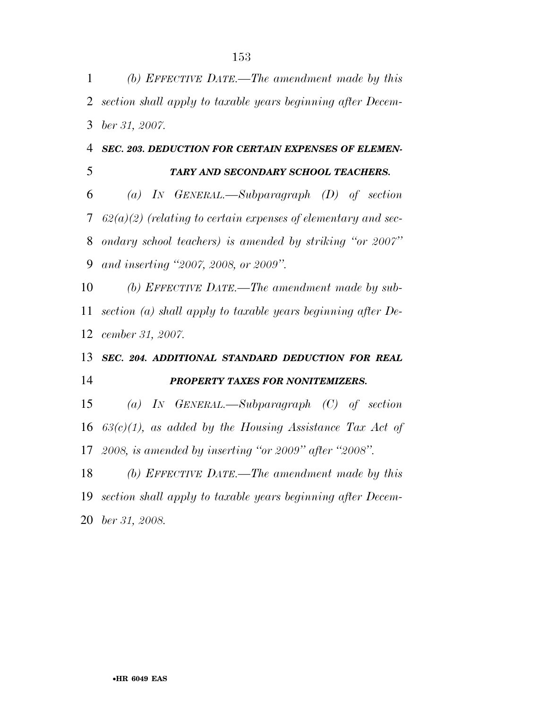*(b) EFFECTIVE DATE.—The amendment made by this section shall apply to taxable years beginning after Decem-ber 31, 2007.* 

## *SEC. 203. DEDUCTION FOR CERTAIN EXPENSES OF ELEMEN-*

## *TARY AND SECONDARY SCHOOL TEACHERS.*

 *(a) IN GENERAL.—Subparagraph (D) of section 62(a)(2) (relating to certain expenses of elementary and sec- ondary school teachers) is amended by striking ''or 2007'' and inserting ''2007, 2008, or 2009''.* 

 *(b) EFFECTIVE DATE.—The amendment made by sub- section (a) shall apply to taxable years beginning after De-cember 31, 2007.* 

# *SEC. 204. ADDITIONAL STANDARD DEDUCTION FOR REAL PROPERTY TAXES FOR NONITEMIZERS.*

 *(a) IN GENERAL.—Subparagraph (C) of section 63(c)(1), as added by the Housing Assistance Tax Act of 2008, is amended by inserting ''or 2009'' after ''2008''.* 

 *(b) EFFECTIVE DATE.—The amendment made by this section shall apply to taxable years beginning after Decem-ber 31, 2008.*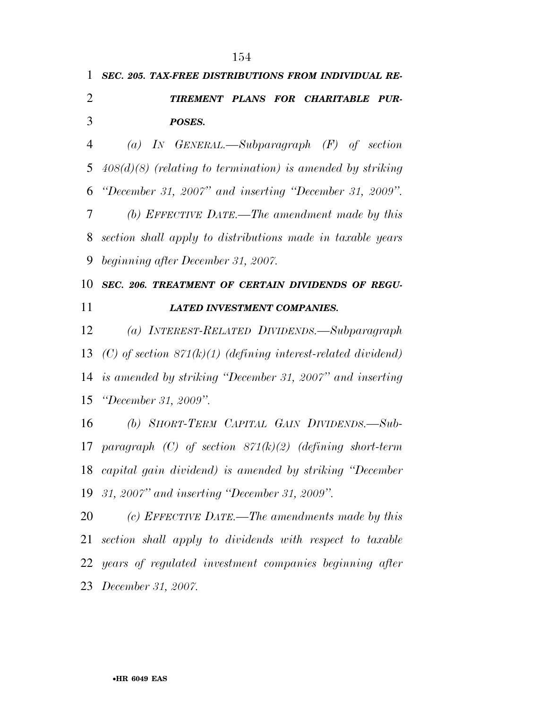*SEC. 205. TAX-FREE DISTRIBUTIONS FROM INDIVIDUAL RE- TIREMENT PLANS FOR CHARITABLE PUR- POSES. (a) IN GENERAL.—Subparagraph (F) of section 408(d)(8) (relating to termination) is amended by striking ''December 31, 2007'' and inserting ''December 31, 2009''. (b) EFFECTIVE DATE.—The amendment made by this section shall apply to distributions made in taxable years beginning after December 31, 2007. SEC. 206. TREATMENT OF CERTAIN DIVIDENDS OF REGU- LATED INVESTMENT COMPANIES. (a) INTEREST-RELATED DIVIDENDS.—Subparagraph* 

 *(C) of section 871(k)(1) (defining interest-related dividend) is amended by striking ''December 31, 2007'' and inserting ''December 31, 2009''.* 

 *(b) SHORT-TERM CAPITAL GAIN DIVIDENDS.—Sub- paragraph (C) of section 871(k)(2) (defining short-term capital gain dividend) is amended by striking ''December 31, 2007'' and inserting ''December 31, 2009''.* 

 *(c) EFFECTIVE DATE.—The amendments made by this section shall apply to dividends with respect to taxable years of regulated investment companies beginning after December 31, 2007.*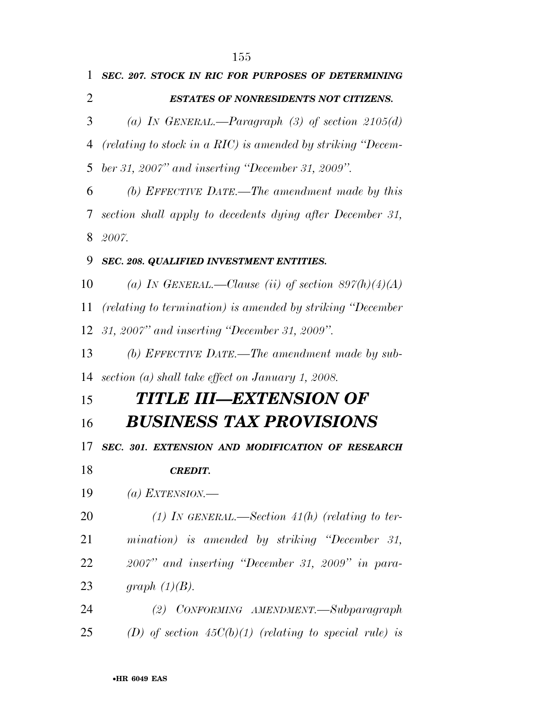| 1  | SEC. 207. STOCK IN RIC FOR PURPOSES OF DETERMINING          |
|----|-------------------------------------------------------------|
| 2  | <b>ESTATES OF NONRESIDENTS NOT CITIZENS.</b>                |
| 3  | (a) IN GENERAL.—Paragraph (3) of section $2105(d)$          |
| 4  | (relating to stock in a RIC) is amended by striking "Decem- |
| 5  | ber 31, 2007" and inserting "December 31, 2009".            |
| 6  | (b) EFFECTIVE DATE.—The amendment made by this              |
| 7  | section shall apply to decedents dying after December 31,   |
| 8  | 2007.                                                       |
| 9  | SEC. 208. QUALIFIED INVESTMENT ENTITIES.                    |
| 10 | (a) IN GENERAL.—Clause (ii) of section $897(h)(4)(A)$       |
| 11 | (relating to termination) is amended by striking "December" |
| 12 | 31, 2007" and inserting "December 31, 2009".                |
| 13 | (b) EFFECTIVE DATE.—The amendment made by sub-              |
| 14 | section (a) shall take effect on January 1, 2008.           |
| 15 | TITLE III—EXTENSION OF                                      |
| 16 | <b>BUSINESS TAX PROVISIONS</b>                              |
| 17 | SEC. 301. EXTENSION AND MODIFICATION OF RESEARCH            |
| 18 | <b>CREDIT.</b>                                              |
| 19 | (a) EXTENSION.—                                             |
| 20 | (1) IN GENERAL.—Section 41(h) (relating to ter-             |
| 21 | mination) is amended by striking "December 31,              |
| 22 | $2007"$ and inserting "December 31, 2009" in para-          |
| 23 | graph $(1)(B)$ .                                            |
| 24 | (2) CONFORMING AMENDMENT.—Subparagraph                      |
| 25 | (D) of section $45C(b)(1)$ (relating to special rule) is    |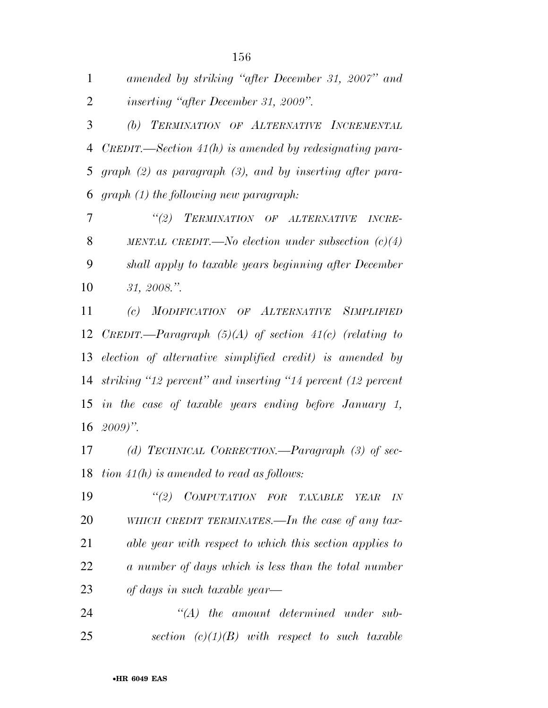*amended by striking ''after December 31, 2007'' and inserting ''after December 31, 2009''. (b) TERMINATION OF ALTERNATIVE INCREMENTAL CREDIT.—Section 41(h) is amended by redesignating para- graph (2) as paragraph (3), and by inserting after para-graph (1) the following new paragraph:* 

 *''(2) TERMINATION OF ALTERNATIVE INCRE- MENTAL CREDIT.—No election under subsection (c)(4) shall apply to taxable years beginning after December 31, 2008.''.* 

 *(c) MODIFICATION OF ALTERNATIVE SIMPLIFIED CREDIT.—Paragraph (5)(A) of section 41(c) (relating to election of alternative simplified credit) is amended by striking ''12 percent'' and inserting ''14 percent (12 percent in the case of taxable years ending before January 1, 2009)''.* 

 *(d) TECHNICAL CORRECTION.—Paragraph (3) of sec-tion 41(h) is amended to read as follows:* 

 *''(2) COMPUTATION FOR TAXABLE YEAR IN WHICH CREDIT TERMINATES.—In the case of any tax- able year with respect to which this section applies to a number of days which is less than the total number of days in such taxable year—* 

 *''(A) the amount determined under sub-section (c)(1)(B) with respect to such taxable*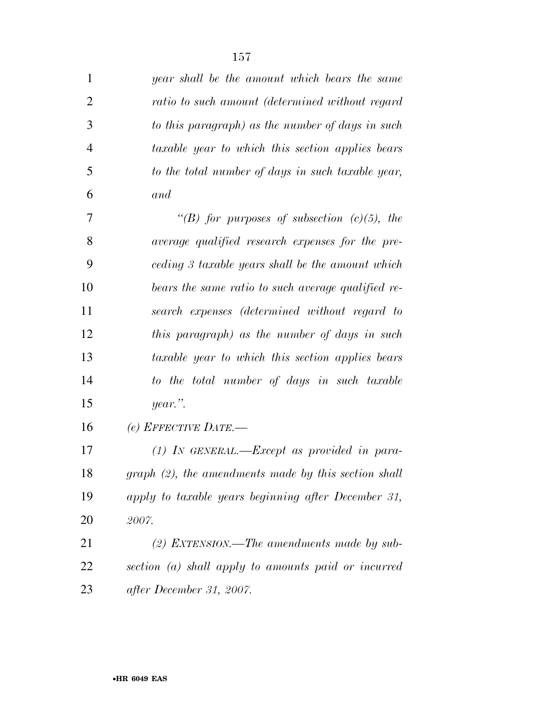| 1              | year shall be the amount which bears the same        |
|----------------|------------------------------------------------------|
| $\overline{2}$ | ratio to such amount (determined without regard      |
| 3              | to this paragraph) as the number of days in such     |
| $\overline{4}$ | taxable year to which this section applies bears     |
| 5              | to the total number of days in such taxable year,    |
| 6              | and                                                  |
| 7              | "(B) for purposes of subsection $(c)(5)$ , the       |
| 8              | average qualified research expenses for the pre-     |
| 9              | ceding 3 taxable years shall be the amount which     |
| 10             | bears the same ratio to such average qualified re-   |
| 11             | search expenses (determined without regard to        |
| 12             | this paragraph) as the number of days in such        |
| 13             | taxable year to which this section applies bears     |
| 14             | to the total number of days in such taxable          |
| 15             | $year$ .".                                           |
| 16             | (e) EFFECTIVE DATE.-                                 |
| 17             | $(1)$ IN GENERAL.—Except as provided in para-        |
| 18             | graph (2), the amendments made by this section shall |
| 19             | apply to taxable years beginning after December 31,  |
| 20             | 2007.                                                |
| 21             | (2) EXTENSION.—The amendments made by sub-           |
| 22             | section (a) shall apply to amounts paid or incurred  |
| 23             | after December 31, 2007.                             |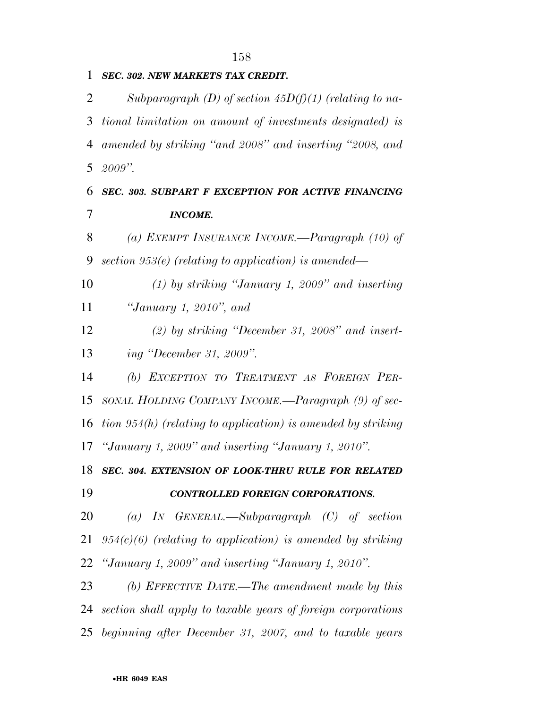## *SEC. 302. NEW MARKETS TAX CREDIT.*

 *Subparagraph (D) of section 45D(f)(1) (relating to na- tional limitation on amount of investments designated) is amended by striking ''and 2008'' and inserting ''2008, and 2009''.* 

 *SEC. 303. SUBPART F EXCEPTION FOR ACTIVE FINANCING INCOME.* 

 *(a) EXEMPT INSURANCE INCOME.—Paragraph (10) of section 953(e) (relating to application) is amended—* 

 *(1) by striking ''January 1, 2009'' and inserting ''January 1, 2010'', and* 

 *(2) by striking ''December 31, 2008'' and insert-ing ''December 31, 2009''.* 

 *(b) EXCEPTION TO TREATMENT AS FOREIGN PER- SONAL HOLDING COMPANY INCOME.—Paragraph (9) of sec- tion 954(h) (relating to application) is amended by striking ''January 1, 2009'' and inserting ''January 1, 2010''.* 

 *SEC. 304. EXTENSION OF LOOK-THRU RULE FOR RELATED CONTROLLED FOREIGN CORPORATIONS.* 

 *(a) IN GENERAL.—Subparagraph (C) of section 954(c)(6) (relating to application) is amended by striking ''January 1, 2009'' and inserting ''January 1, 2010''.* 

 *(b) EFFECTIVE DATE.—The amendment made by this section shall apply to taxable years of foreign corporations beginning after December 31, 2007, and to taxable years*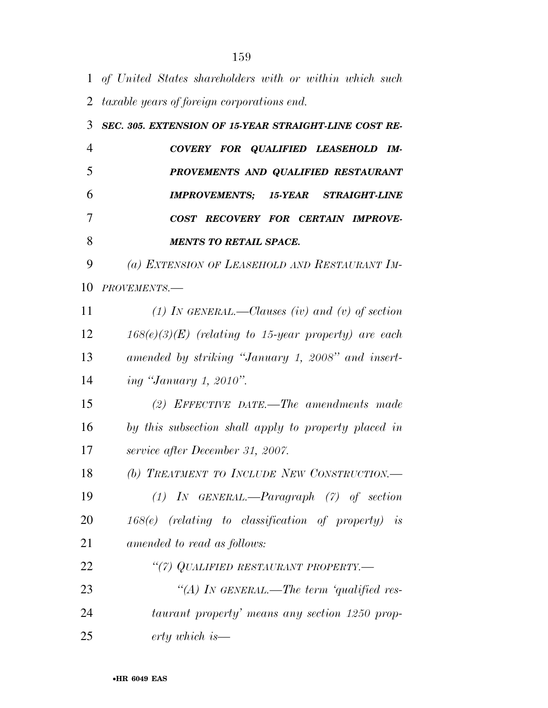*of United States shareholders with or within which such taxable years of foreign corporations end. SEC. 305. EXTENSION OF 15-YEAR STRAIGHT-LINE COST RE- COVERY FOR QUALIFIED LEASEHOLD IM- PROVEMENTS AND QUALIFIED RESTAURANT IMPROVEMENTS; 15-YEAR STRAIGHT-LINE COST RECOVERY FOR CERTAIN IMPROVE- MENTS TO RETAIL SPACE. (a) EXTENSION OF LEASEHOLD AND RESTAURANT IM- PROVEMENTS.— (1) IN GENERAL.—Clauses (iv) and (v) of section 168(e)(3)(E) (relating to 15-year property) are each amended by striking ''January 1, 2008'' and insert- ing ''January 1, 2010''. (2) EFFECTIVE DATE.—The amendments made by this subsection shall apply to property placed in service after December 31, 2007. (b) TREATMENT TO INCLUDE NEW CONSTRUCTION.—* 

 *(1) IN GENERAL.—Paragraph (7) of section 168(e) (relating to classification of property) is amended to read as follows: ''(7) QUALIFIED RESTAURANT PROPERTY.—* 

 *''(A) IN GENERAL.—The term 'qualified res- taurant property' means any section 1250 prop-erty which is—*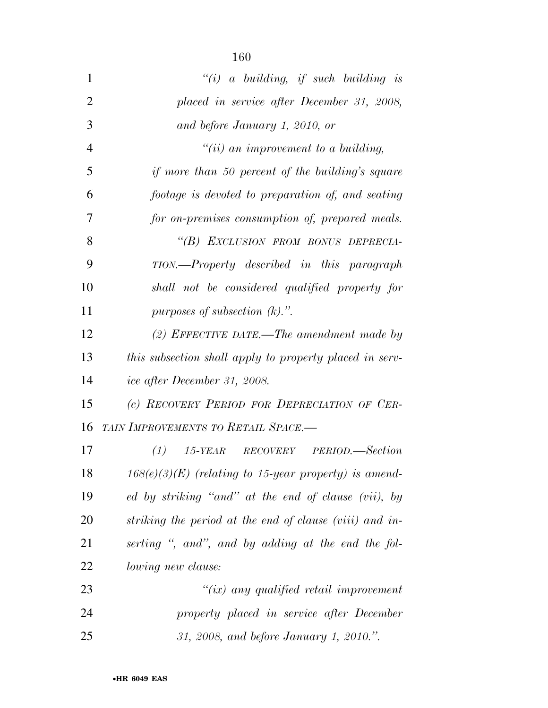| $\mathbf{1}$   | "(i) a building, if such building is                    |
|----------------|---------------------------------------------------------|
| $\overline{2}$ | placed in service after December 31, 2008,              |
| 3              | and before January 1, 2010, or                          |
| $\overline{4}$ | "(ii) an improvement to a building,                     |
| 5              | if more than 50 percent of the building's square        |
| 6              | footage is devoted to preparation of, and seating       |
| 7              | for on-premises consumption of, prepared meals.         |
| 8              | "(B) EXCLUSION FROM BONUS DEPRECIA-                     |
| 9              | TION.—Property described in this paragraph              |
| 10             | shall not be considered qualified property for          |
| 11             | purposes of subsection $(k)$ .".                        |
| 12             | (2) EFFECTIVE DATE.—The amendment made by               |
| 13             | this subsection shall apply to property placed in serv- |
| 14             | ice after December 31, 2008.                            |
| 15             | (c) RECOVERY PERIOD FOR DEPRECIATION OF CER-            |
| 16             | TAIN IMPROVEMENTS TO RETAIL SPACE.-                     |
| 17             | 15-YEAR RECOVERY PERIOD.—Section<br>(1)                 |
| 18             | $168(e)(3)(E)$ (relating to 15-year property) is amend- |
| 19             | ed by striking "and" at the end of clause (vii), by     |
| 20             | striking the period at the end of clause (viii) and in- |
| 21             | serting ", and", and by adding at the end the fol-      |
| 22             | <i>lowing new clause:</i>                               |
| 23             | $``(ix)$ any qualified retail improvement               |
| 24             | property placed in service after December               |
| 25             | 31, 2008, and before January 1, 2010.".                 |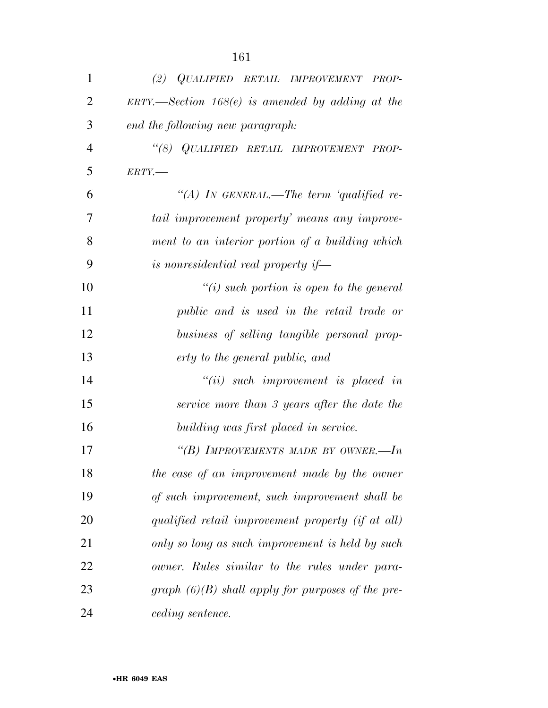| $\mathbf{1}$   | (2) QUALIFIED RETAIL IMPROVEMENT PROP-                         |
|----------------|----------------------------------------------------------------|
| $\overline{2}$ | $ERTY. \rightarrow Section 168(e)$ is amended by adding at the |
| 3              | end the following new paragraph:                               |
| $\overline{4}$ | "(8) QUALIFIED RETAIL IMPROVEMENT PROP-                        |
| 5              | $ERTY$ .                                                       |
| 6              | "(A) IN GENERAL.—The term 'qualified re-                       |
| 7              | tail improvement property' means any improve-                  |
| 8              | ment to an interior portion of a building which                |
| 9              | is nonresidential real property if—                            |
| 10             | "(i) such portion is open to the general                       |
| 11             | public and is used in the retail trade or                      |
| 12             | business of selling tangible personal prop-                    |
| 13             | erty to the general public, and                                |
| 14             | $``(ii)$ such improvement is placed in                         |
| 15             | service more than 3 years after the date the                   |
| 16             | building was first placed in service.                          |
| 17             | "(B) IMPROVEMENTS MADE BY OWNER.—In                            |
| 18             | the case of an improvement made by the owner                   |
| 19             | of such improvement, such improvement shall be                 |
| 20             | qualified retail improvement property (if at all)              |
| 21             | only so long as such improvement is held by such               |
| 22             | owner. Rules similar to the rules under para-                  |
| 23             | graph $(6)(B)$ shall apply for purposes of the pre-            |
| 24             | <i>ceding sentence.</i>                                        |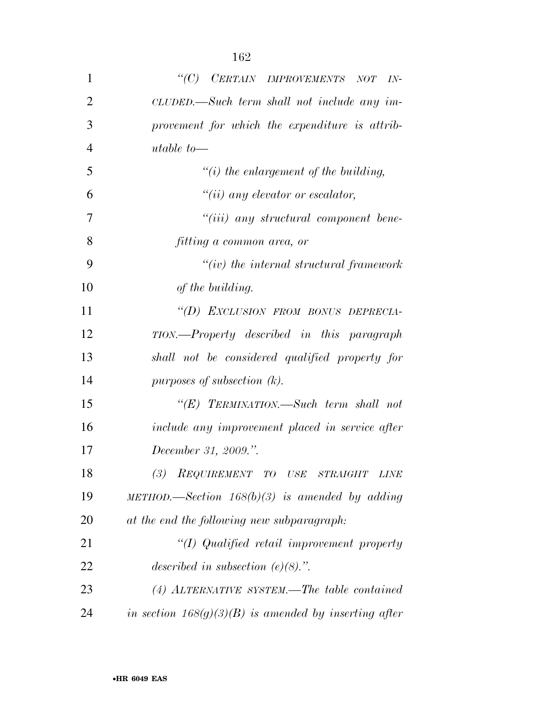| 1              | $\lq C$ )<br>$\begin{minipage}{0.9\linewidth} \textit{CERTAIN} & \textit{IMPROVEMENTS} \end{minipage}$<br>NOT<br>$IN-$ |
|----------------|------------------------------------------------------------------------------------------------------------------------|
| $\overline{2}$ | CLUDED.—Such term shall not include any im-                                                                            |
| 3              | provement for which the expenditure is attrib-                                                                         |
| $\overline{4}$ | utable to-                                                                                                             |
| 5              | $\lq\lq(i)$ the enlargement of the building,                                                                           |
| 6              | $``(ii)$ any elevator or escalator,                                                                                    |
| 7              | $``(iii)$ any structural component bene-                                                                               |
| 8              | fitting a common area, or                                                                                              |
| 9              | $``(iv)$ the internal structural framework                                                                             |
| 10             | of the building.                                                                                                       |
| 11             | "(D) EXCLUSION FROM BONUS DEPRECIA-                                                                                    |
| 12             | TION.—Property described in this paragraph                                                                             |
| 13             | shall not be considered qualified property for                                                                         |
| 14             | purposes of subsection $(k)$ .                                                                                         |
| 15             | "(E) TERMINATION.—Such term shall not                                                                                  |
| 16             | include any improvement placed in service after                                                                        |
| 17             | December 31, 2009.".                                                                                                   |
| 18             | REQUIREMENT TO USE STRAIGHT<br>LINE                                                                                    |
| 19             | METHOD.—Section $168(b)(3)$ is amended by adding                                                                       |
| 20             | at the end the following new subparagraph:                                                                             |
| 21             | "(I) Qualified retail improvement property                                                                             |
| 22             | described in subsection $(e)(8)$ .".                                                                                   |
| 23             | $(4)$ ALTERNATIVE SYSTEM.—The table contained                                                                          |
| 24             | in section $168(g)(3)(B)$ is amended by inserting after                                                                |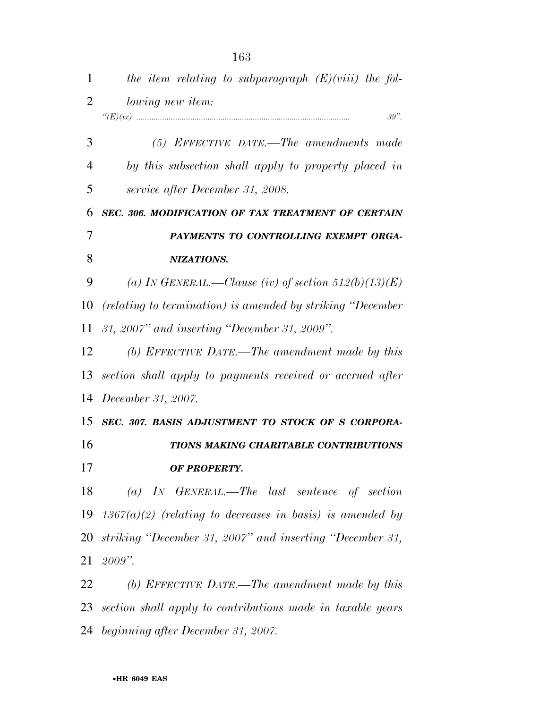*the item relating to subparagraph (E)(viii) the fol- lowing new item: ''(E)(ix) ................................................................................................... 39''. (5) EFFECTIVE DATE.—The amendments made by this subsection shall apply to property placed in service after December 31, 2008. SEC. 306. MODIFICATION OF TAX TREATMENT OF CERTAIN PAYMENTS TO CONTROLLING EXEMPT ORGA- NIZATIONS. (a) IN GENERAL.—Clause (iv) of section 512(b)(13)(E) (relating to termination) is amended by striking ''December 31, 2007'' and inserting ''December 31, 2009''. (b) EFFECTIVE DATE.—The amendment made by this section shall apply to payments received or accrued after December 31, 2007. SEC. 307. BASIS ADJUSTMENT TO STOCK OF S CORPORA- TIONS MAKING CHARITABLE CONTRIBUTIONS OF PROPERTY. (a) IN GENERAL.—The last sentence of section 1367(a)(2) (relating to decreases in basis) is amended by striking ''December 31, 2007'' and inserting ''December 31, 2009''. (b) EFFECTIVE DATE.—The amendment made by this section shall apply to contributions made in taxable years beginning after December 31, 2007.*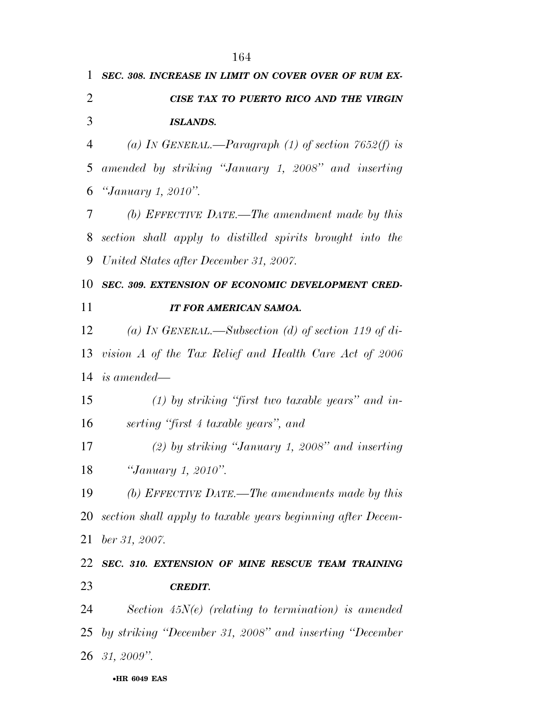|                | 164                                                         |
|----------------|-------------------------------------------------------------|
| $\mathbf{1}$   | SEC. 308. INCREASE IN LIMIT ON COVER OVER OF RUM EX-        |
| $\overline{2}$ | CISE TAX TO PUERTO RICO AND THE VIRGIN                      |
| 3              | <b>ISLANDS.</b>                                             |
| 4              | (a) IN GENERAL.—Paragraph (1) of section $7652(f)$ is       |
| 5              | amended by striking "January 1, 2008" and inserting         |
| 6              | "January 1, 2010".                                          |
| 7              | (b) EFFECTIVE DATE.—The amendment made by this              |
| 8              | section shall apply to distilled spirits brought into the   |
| 9              | United States after December 31, 2007.                      |
| 10             | SEC. 309. EXTENSION OF ECONOMIC DEVELOPMENT CRED-           |
| 11             | IT FOR AMERICAN SAMOA.                                      |
| 12             | (a) IN GENERAL.—Subsection (d) of section 119 of di-        |
| 13             | vision A of the Tax Relief and Health Care Act of 2006      |
| 14             | <i>is amended—</i>                                          |
| 15             | $(1)$ by striking "first two taxable years" and in-         |
| 16             | serting "first 4 taxable years", and                        |
| 17             | $(2)$ by striking "January 1, 2008" and inserting           |
| 18             | "January 1, 2010".                                          |
| 19             | (b) EFFECTIVE DATE.—The amendments made by this             |
| 20             | section shall apply to taxable years beginning after Decem- |
| 21             | ber 31, 2007.                                               |
| 22             | SEC. 310. EXTENSION OF MINE RESCUE TEAM TRAINING            |
| 23             | <b>CREDIT.</b>                                              |
| 24             | Section $45N(e)$ (relating to termination) is amended       |
| 25             | by striking "December 31, 2008" and inserting "December     |
|                | 26 31, 2009".                                               |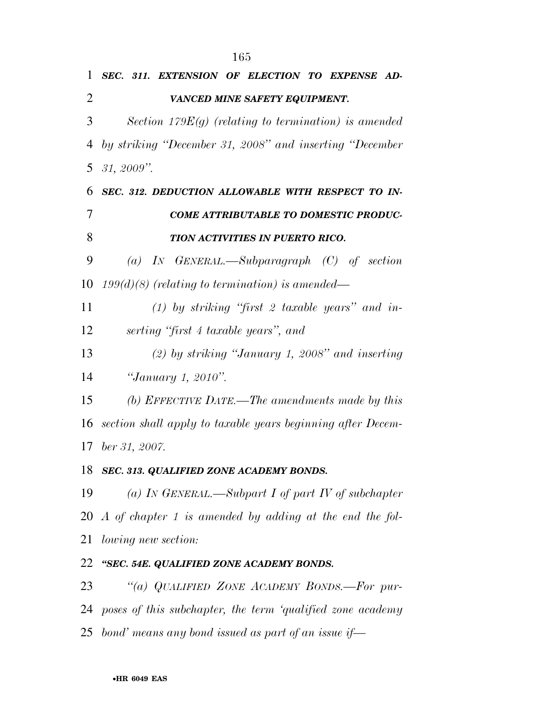|                | 165                                                           |
|----------------|---------------------------------------------------------------|
| 1              | SEC. 311. EXTENSION OF ELECTION TO EXPENSE AD-                |
| $\overline{2}$ | VANCED MINE SAFETY EQUIPMENT.                                 |
| 3              | Section 179 $E(g)$ (relating to termination) is amended       |
| 4              | by striking "December 31, 2008" and inserting "December       |
| 5              | $31, 2009$ ".                                                 |
| 6              | SEC. 312. DEDUCTION ALLOWABLE WITH RESPECT TO IN-             |
| 7              | <b>COME ATTRIBUTABLE TO DOMESTIC PRODUC-</b>                  |
| 8              | TION ACTIVITIES IN PUERTO RICO.                               |
| 9              | (a) IN GENERAL.—Subparagraph $(C)$ of section                 |
| 10             | $199(d)(8)$ (relating to termination) is amended—             |
| 11             | (1) by striking "first 2 taxable years" and in-               |
| 12             | serting "first 4 taxable years", and                          |
| 13             | $(2)$ by striking "January 1, 2008" and inserting             |
| 14             | "January 1, 2010".                                            |
| 15             | (b) EFFECTIVE DATE.—The amendments made by this               |
| 16             | section shall apply to taxable years beginning after Decem-   |
|                | 17 ber 31, 2007.                                              |
| 18             | SEC. 313. QUALIFIED ZONE ACADEMY BONDS.                       |
| 19             | (a) In GENERAL.—Subpart I of part IV of subchapter            |
|                | 20 A of chapter 1 is amended by adding at the end the fol-    |
| 21             | <i>lowing new section:</i>                                    |
| 22             | "SEC. 54E. QUALIFIED ZONE ACADEMY BONDS.                      |
| 23             | "(a) QUALIFIED ZONE ACADEMY BONDS.—For pur-                   |
|                | 24 poses of this subchapter, the term 'qualified zone academy |

*bond' means any bond issued as part of an issue if—*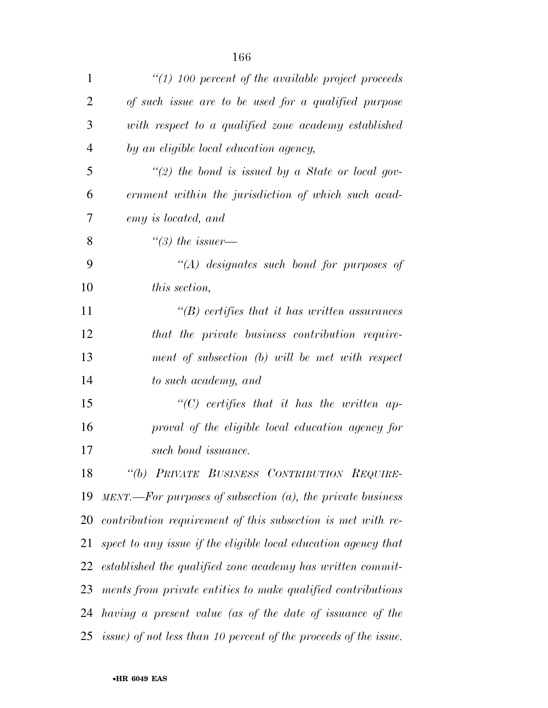| 1              | $\lq(1)$ 100 percent of the available project proceeds              |
|----------------|---------------------------------------------------------------------|
| $\overline{2}$ | of such issue are to be used for a qualified purpose                |
| 3              | with respect to a qualified zone academy established                |
| $\overline{4}$ | by an eligible local education agency,                              |
| 5              | "(2) the bond is issued by a State or local gov-                    |
| 6              | ernment within the jurisdiction of which such acad-                 |
| 7              | emy is located, and                                                 |
| 8              | "(3) the issuer—                                                    |
| 9              | $\lq (A)$ designates such bond for purposes of                      |
| 10             | this section,                                                       |
| 11             | $\lq\lq(B)$ certifies that it has written assurances                |
| 12             | that the private business contribution require-                     |
| 13             | ment of subsection (b) will be met with respect                     |
| 14             | to such academy, and                                                |
| 15             | $\lq\lq C$ certifies that it has the written ap-                    |
| 16             | proval of the eligible local education agency for                   |
| 17             | such bond issuance.                                                 |
| 18             | "(b) PRIVATE BUSINESS CONTRIBUTION REQUIRE-                         |
| 19             | $MENT.$ For purposes of subsection $(a)$ , the private business     |
|                | 20 contribution requirement of this subsection is met with re-      |
| 21             | spect to any issue if the eligible local education agency that      |
| 22             | established the qualified zone academy has written commit-          |
| 23             | ments from private entities to make qualified contributions         |
|                | 24 having a present value (as of the date of issuance of the        |
|                | 25 issue) of not less than 10 percent of the proceeds of the issue. |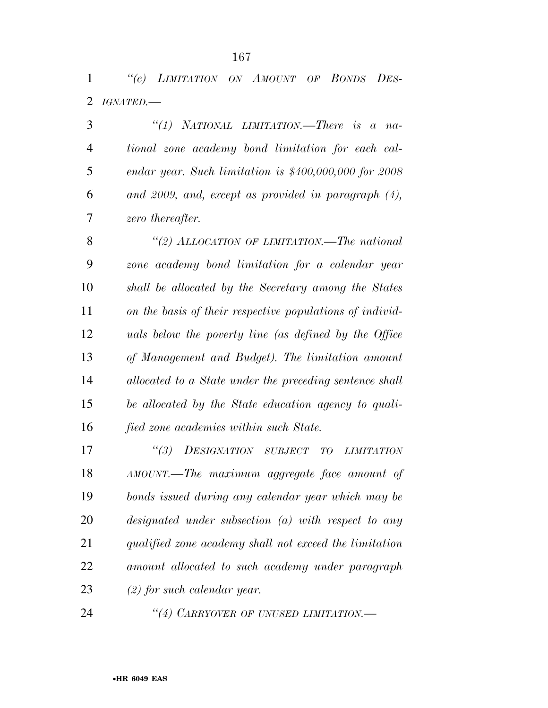*''(c) LIMITATION ON AMOUNT OF BONDS DES-IGNATED.—* 

 *''(1) NATIONAL LIMITATION.—There is a na- tional zone academy bond limitation for each cal- endar year. Such limitation is \$400,000,000 for 2008 and 2009, and, except as provided in paragraph (4), zero thereafter.* 

 *''(2) ALLOCATION OF LIMITATION.—The national zone academy bond limitation for a calendar year shall be allocated by the Secretary among the States on the basis of their respective populations of individ- uals below the poverty line (as defined by the Office of Management and Budget). The limitation amount allocated to a State under the preceding sentence shall be allocated by the State education agency to quali-fied zone academies within such State.* 

 *''(3) DESIGNATION SUBJECT TO LIMITATION AMOUNT.—The maximum aggregate face amount of bonds issued during any calendar year which may be designated under subsection (a) with respect to any qualified zone academy shall not exceed the limitation amount allocated to such academy under paragraph (2) for such calendar year.* 

*''(4) CARRYOVER OF UNUSED LIMITATION.—*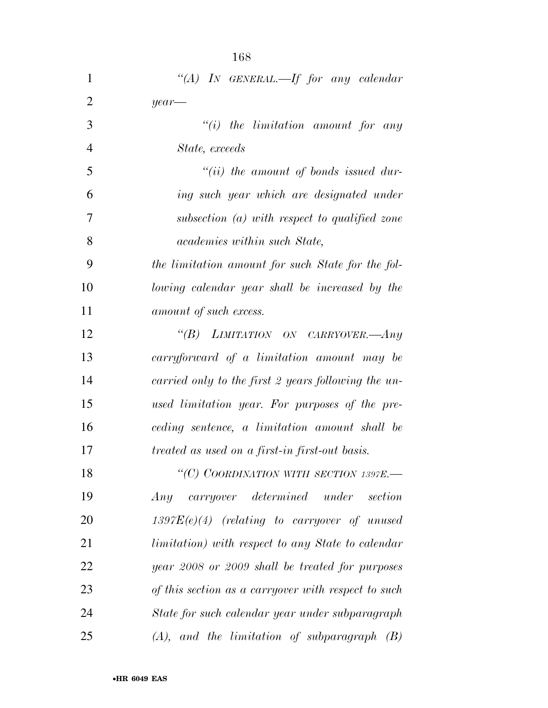|                | 168                                                       |
|----------------|-----------------------------------------------------------|
| 1              | "(A) IN GENERAL.—If for any calendar                      |
| $\overline{2}$ | $year-$                                                   |
| 3              | $``(i)$ the limitation amount for any                     |
| $\overline{4}$ | State, exceeds                                            |
| 5              | $``(ii)$ the amount of bonds issued dur-                  |
| 6              | ing such year which are designated under                  |
| 7              | $subsection (a) with respect to qualified zone$           |
| 8              | academies within such State,                              |
| 9              | the limitation amount for such State for the fol-         |
| 10             | lowing calendar year shall be increased by the            |
| 11             | amount of such excess.                                    |
| 12             | "(B) LIMITATION ON CARRYOVER.—Any                         |
| 13             | carryforward of a limitation amount may be                |
| 14             | carried only to the first 2 years following the un-       |
| 15             | used limitation year. For purposes of the pre-            |
| 16             | ceding sentence, a limitation amount shall be             |
| 17             | <i>treated as used on a first-in first-out basis.</i>     |
| 18             | "(C) COORDINATION WITH SECTION 1397E.-                    |
| 19             | Any carryover determined under<br>section                 |
| <b>20</b>      | $1397E(e)(4)$ (relating to carryover of unused            |
| 21             | <i>limitation</i> ) with respect to any State to calendar |
| 22             | year 2008 or 2009 shall be treated for purposes           |
| 23             | of this section as a carryover with respect to such       |
| 24             | State for such calendar year under subparagraph           |
| 25             | $(A)$ , and the limitation of subparagraph $(B)$          |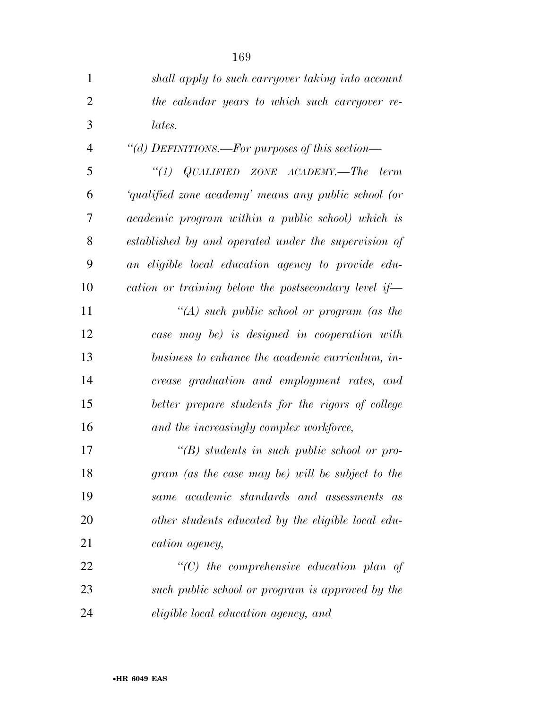| $\mathbf{1}$   | shall apply to such carryover taking into account    |
|----------------|------------------------------------------------------|
| 2              | the calendar years to which such carryover re-       |
| 3              | lates.                                               |
| $\overline{4}$ | "(d) DEFINITIONS.—For purposes of this section—      |
| 5              | "(1) $QUALIFIED$ ZONE $ACADEMY$ . The term           |
| 6              | 'qualified zone academy' means any public school (or |
| 7              | academic program within a public school) which is    |
| 8              | established by and operated under the supervision of |
| 9              | an eligible local education agency to provide edu-   |
| 10             | cation or training below the postsecondary level if— |
| 11             | "(A) such public school or program (as the           |
| 12             | case may be) is designed in cooperation with         |
| 13             | business to enhance the academic curriculum, in-     |
| 14             | crease graduation and employment rates, and          |
| 15             | better prepare students for the rigors of college    |
| 16             | and the increasingly complex workforce,              |
| 17             | $\lq\lq(B)$ students in such public school or pro-   |
| 18             | gram (as the case may be) will be subject to the     |
| 19             | same academic standards and assessments as           |
| 20             | other students educated by the eligible local edu-   |
| 21             | cation agency,                                       |
| 22             | $\lq$ (C) the comprehensive education plan of        |
| 23             | such public school or program is approved by the     |
| 24             | eligible local education agency, and                 |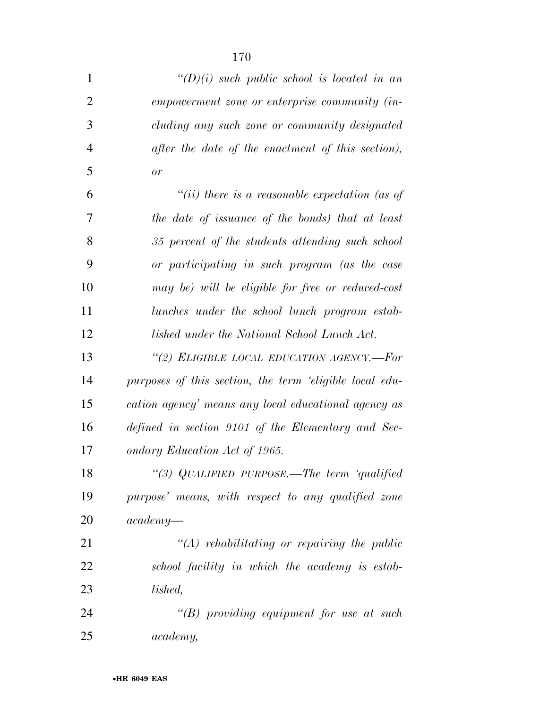| $\mathbf{1}$   | $\lq (D)(i)$ such public school is located in an        |
|----------------|---------------------------------------------------------|
| $\overline{2}$ | empowerment zone or enterprise community (in-           |
| 3              | cluding any such zone or community designated           |
| $\overline{4}$ | after the date of the enactment of this section),       |
| 5              | or                                                      |
| 6              | "(ii) there is a reasonable expectation (as of          |
| 7              | the date of issuance of the bonds) that at least        |
| 8              | 35 percent of the students attending such school        |
| 9              | or participating in such program (as the case           |
| 10             | may be) will be eligible for free or reduced-cost       |
| 11             | lunches under the school lunch program estab-           |
| 12             | lished under the National School Lunch Act.             |
| 13             | "(2) ELIGIBLE LOCAL EDUCATION AGENCY.—For               |
| 14             | purposes of this section, the term 'eligible local edu- |
| 15             | cation agency' means any local educational agency as    |
| 16             | defined in section 9101 of the Elementary and Sec-      |
| 17             | ondary Education Act of 1965.                           |
| 18             | "(3) QUALIFIED PURPOSE.—The term 'qualified             |
| 19             | purpose' means, with respect to any qualified zone      |
| 20             | $academy-$                                              |
| 21             | $\lq (A)$ rehabilitating or repairing the public        |
| 22             | school facility in which the academy is estab-          |
| 23             | lished,                                                 |
| 24             | "(B) providing equipment for use at such                |
| 25             | academy,                                                |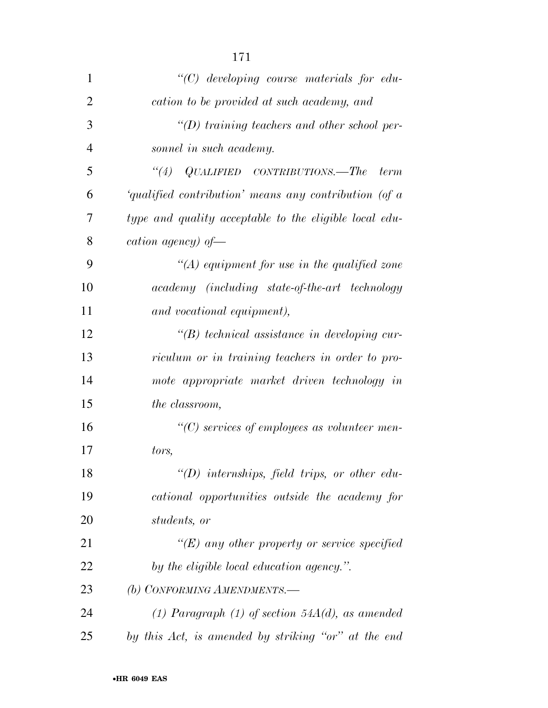| 1              | $\lq\lq C$ developing course materials for edu-        |
|----------------|--------------------------------------------------------|
| $\overline{2}$ | cation to be provided at such academy, and             |
| 3              | $\lq\lq(D)$ training teachers and other school per-    |
| $\overline{4}$ | sonnel in such academy.                                |
| 5              | $\lq(4)$ QUALIFIED CONTRIBUTIONS.—The<br>term          |
| 6              | 'qualified contribution' means any contribution (of a  |
| 7              | type and quality acceptable to the eligible local edu- |
| 8              | cation agency) of $-$                                  |
| 9              | "(A) equipment for use in the qualified zone           |
| 10             | academy (including state-of-the-art technology         |
| 11             | and vocational equipment),                             |
| 12             | $\lq\lq(B)$ technical assistance in developing cur-    |
| 13             | riculum or in training teachers in order to pro-       |
| 14             | mote appropriate market driven technology in           |
| 15             | the classroom,                                         |
| 16             | $\lq\lq C$ services of employees as volunteer men-     |
| 17             | tors,                                                  |
| 18             | $\lq\lq D$ internships, field trips, or other edu-     |
| 19             | cational opportunities outside the academy for         |
| 20             | students, or                                           |
| 21             | $\lq\lq (E)$ any other property or service specified   |
| 22             | by the eligible local education agency.".              |
| 23             | (b) CONFORMING AMENDMENTS.-                            |
| 24             | (1) Paragraph (1) of section $54A(d)$ , as amended     |
| 25             | by this Act, is amended by striking "or" at the end    |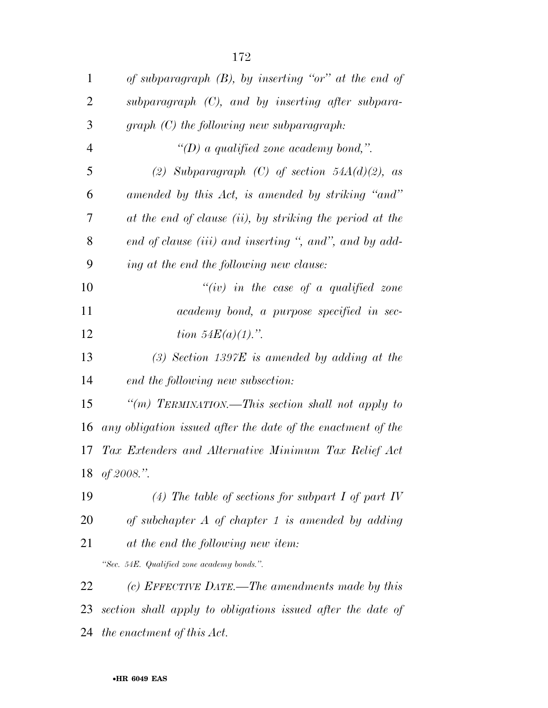| $\mathbf{1}$   | of subparagraph $(B)$ , by inserting "or" at the end of      |
|----------------|--------------------------------------------------------------|
| 2              | subparagraph $(C)$ , and by inserting after subpara-         |
| 3              | $graph(C)$ the following new subparagraph:                   |
| $\overline{4}$ | "(D) a qualified zone academy bond,".                        |
| 5              | (2) Subparagraph (C) of section $54A(d)(2)$ , as             |
| 6              | amended by this Act, is amended by striking "and"            |
| 7              | at the end of clause (ii), by striking the period at the     |
| 8              | end of clause (iii) and inserting ", and", and by add-       |
| 9              | ing at the end the following new clause:                     |
| 10             | "(iv) in the case of a qualified zone                        |
| 11             | academy bond, a purpose specified in sec-                    |
| 12             | <i>tion</i> $54E(a)(1)$ .".                                  |
| 13             | $(3)$ Section 1397E is amended by adding at the              |
| 14             | end the following new subsection:                            |
| 15             | "(m) TERMINATION.—This section shall not apply to            |
| 16             | any obligation issued after the date of the enactment of the |
| 17             | Tax Extenders and Alternative Minimum Tax Relief Act         |
|                | 18 of 2008.".                                                |
| 19             | (4) The table of sections for subpart I of part IV           |
| 20             | of subchapter $A$ of chapter 1 is amended by adding          |
| 21             | at the end the following new item:                           |
|                | "Sec. 54E. Qualified zone academy bonds.".                   |
| 22             | (c) EFFECTIVE DATE.—The amendments made by this              |
| 23             | section shall apply to obligations issued after the date of  |
| 24             | the enactment of this Act.                                   |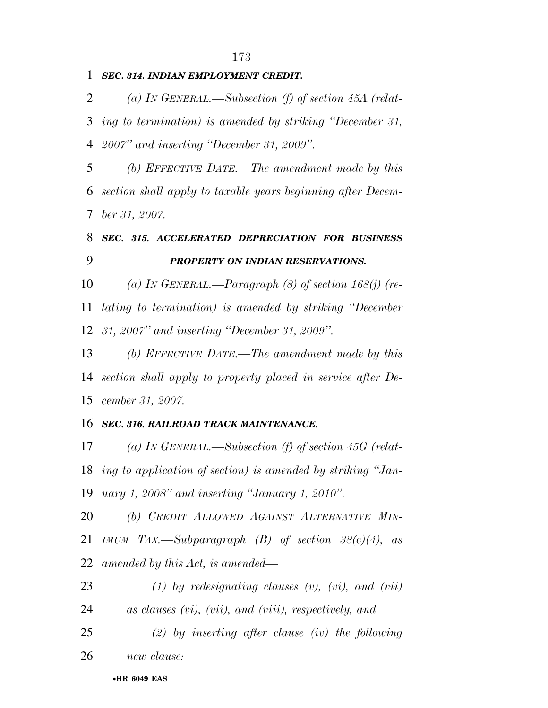## *SEC. 314. INDIAN EMPLOYMENT CREDIT.*

 *(a) IN GENERAL.—Subsection (f) of section 45A (relat- ing to termination) is amended by striking ''December 31, 2007'' and inserting ''December 31, 2009''.* 

 *(b) EFFECTIVE DATE.—The amendment made by this section shall apply to taxable years beginning after Decem-ber 31, 2007.* 

# *SEC. 315. ACCELERATED DEPRECIATION FOR BUSINESS PROPERTY ON INDIAN RESERVATIONS.*

 *(a) IN GENERAL.—Paragraph (8) of section 168(j) (re- lating to termination) is amended by striking ''December 31, 2007'' and inserting ''December 31, 2009''.* 

 *(b) EFFECTIVE DATE.—The amendment made by this section shall apply to property placed in service after De-cember 31, 2007.* 

## *SEC. 316. RAILROAD TRACK MAINTENANCE.*

 *(a) IN GENERAL.—Subsection (f) of section 45G (relat- ing to application of section) is amended by striking ''Jan-uary 1, 2008'' and inserting ''January 1, 2010''.* 

 *(b) CREDIT ALLOWED AGAINST ALTERNATIVE MIN- IMUM TAX.—Subparagraph (B) of section 38(c)(4), as amended by this Act, is amended—* 

 *(1) by redesignating clauses (v), (vi), and (vii) as clauses (vi), (vii), and (viii), respectively, and (2) by inserting after clause (iv) the following* 

*new clause:* 

### •**HR 6049 EAS**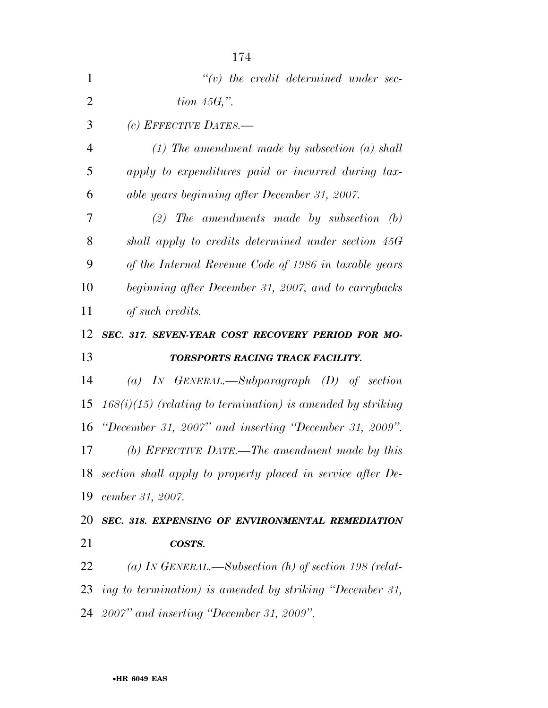| 1              | $\lq\lq(v)$ the credit determined under sec-                   |
|----------------|----------------------------------------------------------------|
| $\overline{2}$ | tion $45G,$ ".                                                 |
| 3              | (c) EFFECTIVE DATES.-                                          |
| $\overline{4}$ | $(1)$ The amendment made by subsection $(a)$ shall             |
| 5              | apply to expenditures paid or incurred during tax-             |
| 6              | able years beginning after December 31, 2007.                  |
| 7              | $(2)$ The amendments made by subsection $(b)$                  |
| 8              | shall apply to credits determined under section 45G            |
| 9              | of the Internal Revenue Code of 1986 in taxable years          |
| 10             | beginning after December 31, 2007, and to carrybacks           |
| 11             | of such credits.                                               |
| 12             | SEC. 317. SEVEN-YEAR COST RECOVERY PERIOD FOR MO-              |
|                |                                                                |
| 13             | TORSPORTS RACING TRACK FACILITY.                               |
| 14             | (a) IN GENERAL.—Subparagraph $(D)$ of section                  |
| 15             | $168(i)(15)$ (relating to termination) is amended by striking  |
| 16             | "December 31, 2007" and inserting "December 31, 2009".         |
| 17             | (b) EFFECTIVE DATE.—The amendment made by this                 |
|                | 18 section shall apply to property placed in service after De- |
| 19             | cember 31, 2007.                                               |
| 20             | SEC. 318. EXPENSING OF ENVIRONMENTAL REMEDIATION               |
|                | COSTS.                                                         |
| 21<br>22       | (a) IN GENERAL.—Subsection (h) of section 198 (relat-          |
| 23             | ing to termination) is amended by striking "December 31,       |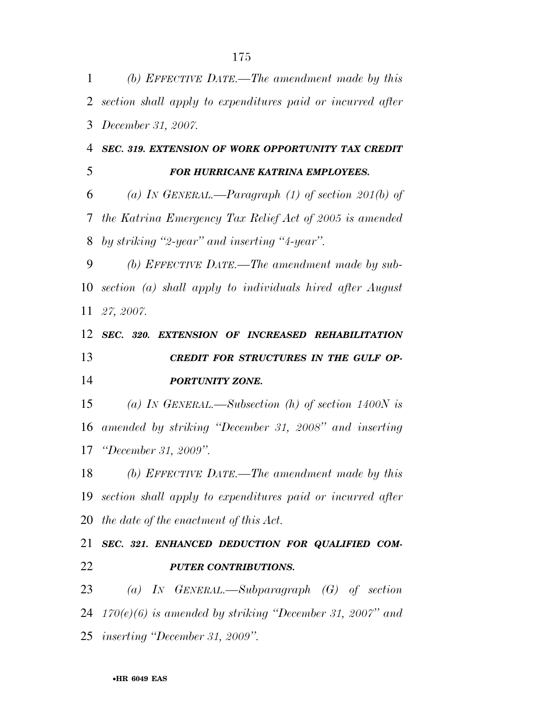| $\mathbf{1}$   | (b) EFFECTIVE DATE.—The amendment made by this                |
|----------------|---------------------------------------------------------------|
| $\overline{2}$ | section shall apply to expenditures paid or incurred after    |
| 3              | <i>December 31, 2007.</i>                                     |
| 4              | SEC. 319. EXTENSION OF WORK OPPORTUNITY TAX CREDIT            |
| 5              | FOR HURRICANE KATRINA EMPLOYEES.                              |
| 6              | (a) In GENERAL.—Paragraph (1) of section 201(b) of            |
| 7              | the Katrina Emergency Tax Relief Act of 2005 is amended       |
| 8              | by striking "2-year" and inserting "4-year".                  |
| 9              | (b) EFFECTIVE DATE.—The amendment made by sub-                |
| 10             | section (a) shall apply to individuals hired after August     |
| 11             | 27, 2007.                                                     |
| 12             | SEC. 320. EXTENSION OF INCREASED REHABILITATION               |
| 13             | CREDIT FOR STRUCTURES IN THE GULF OP-                         |
| 14             | PORTUNITY ZONE.                                               |
| 15             | (a) IN GENERAL.—Subsection (h) of section 1400N is            |
| 16             | amended by striking "December 31, 2008" and inserting         |
| 17             | <i>"December 31, 2009".</i>                                   |
|                |                                                               |
| 18             | (b) EFFECTIVE DATE.—The amendment made by this                |
|                | 19 section shall apply to expenditures paid or incurred after |
|                | 20 the date of the enactment of this $Act.$                   |
| 21             | SEC. 321. ENHANCED DEDUCTION FOR QUALIFIED COM-               |
| 22             | <b>PUTER CONTRIBUTIONS.</b>                                   |
| 23             | (a) IN GENERAL.—Subparagraph $(G)$ of section                 |
|                | 24 $170(e)(6)$ is amended by striking "December 31, 2007" and |
|                | 25 inserting "December 31, 2009".                             |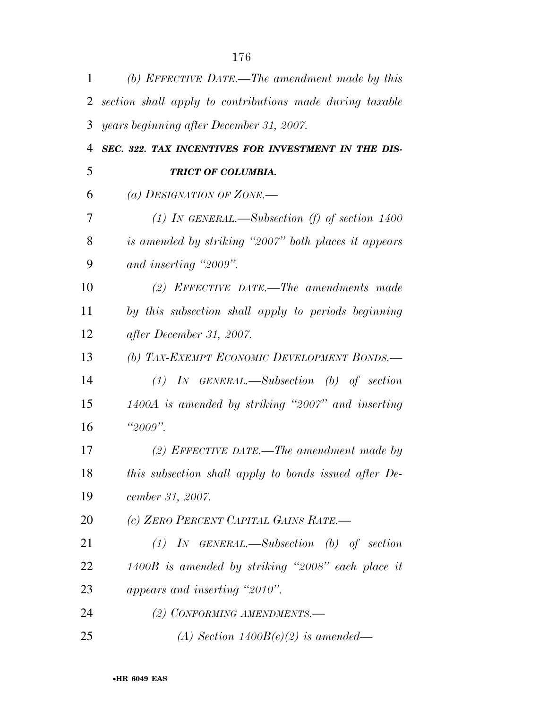| 1              | (b) EFFECTIVE DATE.—The amendment made by this           |
|----------------|----------------------------------------------------------|
| 2              | section shall apply to contributions made during taxable |
| 3              | years beginning after December 31, 2007.                 |
| $\overline{4}$ | SEC. 322. TAX INCENTIVES FOR INVESTMENT IN THE DIS-      |
| 5              | TRICT OF COLUMBIA.                                       |
| 6              | (a) DESIGNATION OF ZONE.—                                |
| 7              | (1) In GENERAL.—Subsection (f) of section $1400$         |
| 8              | is amended by striking "2007" both places it appears     |
| 9              | and inserting "2009".                                    |
| 10             | (2) EFFECTIVE DATE.—The amendments made                  |
| 11             | by this subsection shall apply to periods beginning      |
| 12             | after December 31, 2007.                                 |
| 13             | (b) TAX-EXEMPT ECONOMIC DEVELOPMENT BONDS.-              |
| 14             | $(1)$ IN GENERAL.—Subsection (b) of section              |
| 15             | 1400A is amended by striking "2007" and inserting        |
| 16             | " $2009"$ .                                              |
| 17             | (2) EFFECTIVE DATE.—The amendment made by                |
| 18             | this subsection shall apply to bonds issued after De-    |
| 19             | cember 31, 2007.                                         |
| 20             | (c) ZERO PERCENT CAPITAL GAINS RATE.-                    |
| 21             | $(1)$ IN GENERAL.—Subsection $(b)$ of section            |
| 22             | $1400B$ is amended by striking "2008" each place it      |
| 23             | appears and inserting "2010".                            |
| 24             | (2) CONFORMING AMENDMENTS.-                              |
| 25             | (A) Section $1400B(e)(2)$ is amended—                    |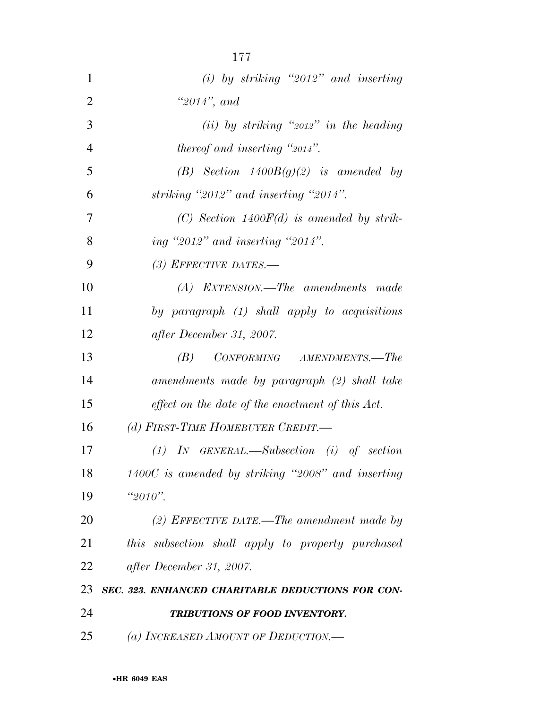| $\mathbf{1}$   | $(i)$ by striking "2012" and inserting              |
|----------------|-----------------------------------------------------|
| $\overline{2}$ | "2014", and                                         |
| 3              | (ii) by striking " $2012"$ in the heading           |
| 4              | <i>thereof and inserting "2014".</i>                |
| 5              | (B) Section $1400B(g)(2)$ is amended by             |
| 6              | striking "2012" and inserting "2014".               |
| 7              | (C) Section 1400 $F(d)$ is amended by strik-        |
| 8              | ing "2012" and inserting "2014".                    |
| 9              | (3) EFFECTIVE DATES.—                               |
| 10             | (A) EXTENSION.—The amendments made                  |
| 11             | by paragraph $(1)$ shall apply to acquisitions      |
| 12             | after December 31, 2007.                            |
| 13             | $CONFORMING$ $AMENDMENTS. - The$<br>(B)             |
| 14             | amendments made by paragraph (2) shall take         |
| 15             | effect on the date of the enactment of this Act.    |
| 16             | (d) FIRST-TIME HOMEBUYER CREDIT.-                   |
| 17             | $(1)$ IN GENERAL.—Subsection (i) of section         |
| 18             | $1400C$ is amended by striking "2008" and inserting |
| 19             | $"2010"$ .                                          |
| 20             | (2) EFFECTIVE DATE.—The amendment made by           |
| 21             | this subsection shall apply to property purchased   |
| 22             | after December 31, 2007.                            |
| 23             | SEC. 323. ENHANCED CHARITABLE DEDUCTIONS FOR CON-   |
| 24             | TRIBUTIONS OF FOOD INVENTORY.                       |
| 25             | (a) INCREASED AMOUNT OF DEDUCTION.—                 |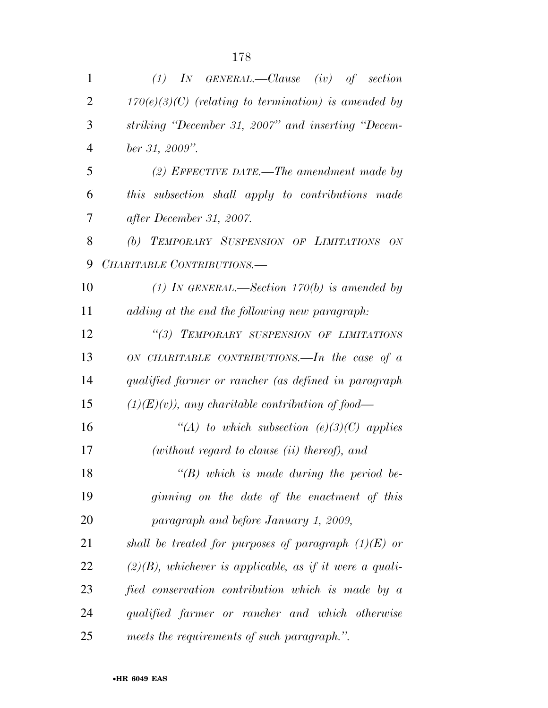| $\mathbf{1}$   | $(1)$ IN GENERAL.—Clause $(iv)$ of section                 |
|----------------|------------------------------------------------------------|
| $\overline{2}$ | $170(e)(3)(C)$ (relating to termination) is amended by     |
| 3              | striking "December 31, 2007" and inserting "Decem-         |
| $\overline{4}$ | ber 31, 2009".                                             |
| 5              | (2) EFFECTIVE DATE.—The amendment made by                  |
| 6              | this subsection shall apply to contributions made          |
| 7              | after December 31, 2007.                                   |
| 8              | (b) TEMPORARY SUSPENSION OF LIMITATIONS<br>ON              |
| 9              | CHARITABLE CONTRIBUTIONS.-                                 |
| 10             | (1) In GENERAL.—Section 170(b) is amended by               |
| 11             | adding at the end the following new paragraph:             |
| 12             | "(3) TEMPORARY SUSPENSION OF LIMITATIONS                   |
| 13             | ON CHARITABLE CONTRIBUTIONS.—In the case of $a$            |
| 14             | qualified farmer or rancher (as defined in paragraph       |
| 15             | $(1)(E)(v)$ , any charitable contribution of food—         |
| 16             | "(A) to which subsection (e)(3)(C) applies                 |
| 17             | $(without$ regard to clause $(ii)$ thereof), and           |
| 18             | $\lq\lq(B)$ which is made during the period be-            |
| 19             | ginning on the date of the enactment of this               |
| 20             | paragraph and before January 1, 2009,                      |
| 21             | shall be treated for purposes of paragraph $(1)(E)$ or     |
| 22             | $(2)(B)$ , whichever is applicable, as if it were a quali- |
| 23             | fied conservation contribution which is made by a          |
| 24             | qualified farmer or rancher and which otherwise            |
| 25             | meets the requirements of such paragraph.".                |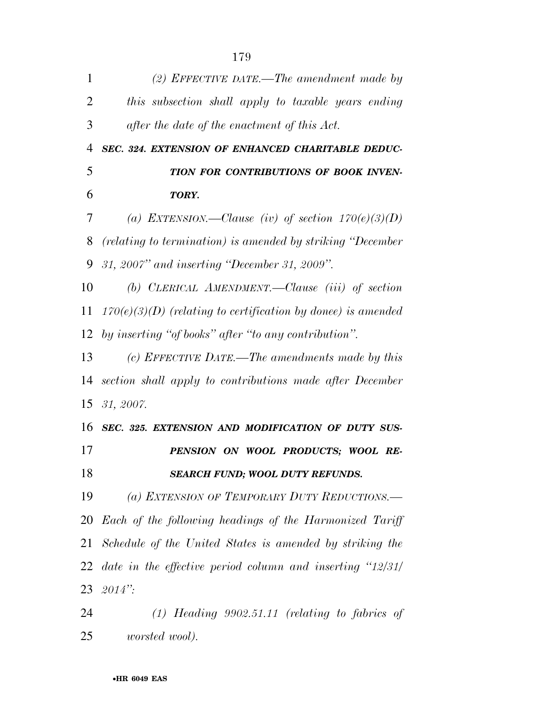| 1  | (2) EFFECTIVE DATE.—The amendment made by                      |
|----|----------------------------------------------------------------|
| 2  | this subsection shall apply to taxable years ending            |
| 3  | after the date of the enactment of this Act.                   |
| 4  | SEC. 324. EXTENSION OF ENHANCED CHARITABLE DEDUC-              |
| 5  | TION FOR CONTRIBUTIONS OF BOOK INVEN-                          |
| 6  | TORY.                                                          |
| 7  | (a) EXTENSION.—Clause (iv) of section $170(e)(3)(D)$           |
| 8  | (relating to termination) is amended by striking "December"    |
| 9  | 31, 2007" and inserting "December 31, 2009".                   |
| 10 | (b) CLERICAL AMENDMENT.—Clause (iii) of section                |
| 11 | $170(e)(3)(D)$ (relating to certification by donee) is amended |
| 12 | by inserting "of books" after "to any contribution".           |
| 13 | (c) EFFECTIVE DATE.—The amendments made by this                |
| 14 | section shall apply to contributions made after December       |
|    | $15 \t31, 2007.$                                               |
| 16 | SEC. 325. EXTENSION AND MODIFICATION OF DUTY SUS-              |
| 17 | PENSION ON WOOL PRODUCTS; WOOL RE-                             |
| 18 | <b>SEARCH FUND; WOOL DUTY REFUNDS.</b>                         |
| 19 | (a) EXTENSION OF TEMPORARY DUTY REDUCTIONS.                    |
| 20 | Each of the following headings of the Harmonized Tariff        |
| 21 | Schedule of the United States is amended by striking the       |
| 22 | date in the effective period column and inserting $12/31/$     |
| 23 | $2014$ ":                                                      |
| 24 | $(1)$ Heading 9902.51.11 (relating to fabrics of               |
| 25 | <i>worsted wool</i> ).                                         |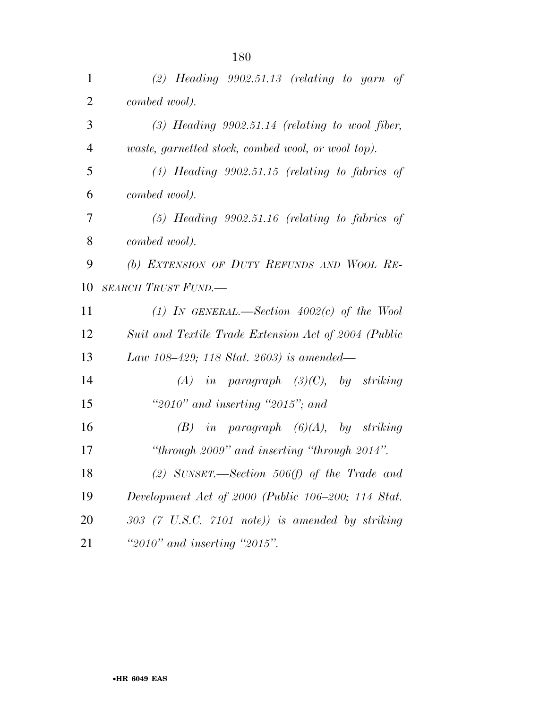| $\mathbf{1}$   | $(2)$ Heading 9902.51.13 (relating to yarn of             |
|----------------|-----------------------------------------------------------|
| $\overline{2}$ | combed wool).                                             |
| 3              | $(3)$ Heading 9902.51.14 (relating to wool fiber,         |
| $\overline{4}$ | <i>waste, garnetted stock, combed wool, or wool top).</i> |
| 5              | $(4)$ Heading 9902.51.15 (relating to fabrics of          |
| 6              | combed wool).                                             |
| 7              | $(5)$ Heading 9902.51.16 (relating to fabrics of          |
| 8              | combed wool).                                             |
| 9              | (b) EXTENSION OF DUTY REFUNDS AND WOOL RE-                |
| 10             | <b>SEARCH TRUST FUND.—</b>                                |
| 11             | (1) IN GENERAL.—Section $4002(c)$ of the Wool             |
| 12             | Suit and Textile Trade Extension Act of 2004 (Public      |
| 13             | Law 108-429; 118 Stat. 2603) is amended—                  |
| 14             | $(A)$ in paragraph $(3)(C)$ , by striking                 |
| 15             | "2010" and inserting "2015"; and                          |
| 16             | $(B)$ in paragraph $(6)(A)$ , by striking                 |
| 17             | "through 2009" and inserting "through 2014".              |
| 18             | (2) SUNSET.—Section 506(f) of the Trade and               |
| 19             | Development Act of 2000 (Public 106–200; 114 Stat.        |
| 20             | $303$ (7 U.S.C. 7101 note)) is amended by striking        |
| 21             | "2010" and inserting "2015".                              |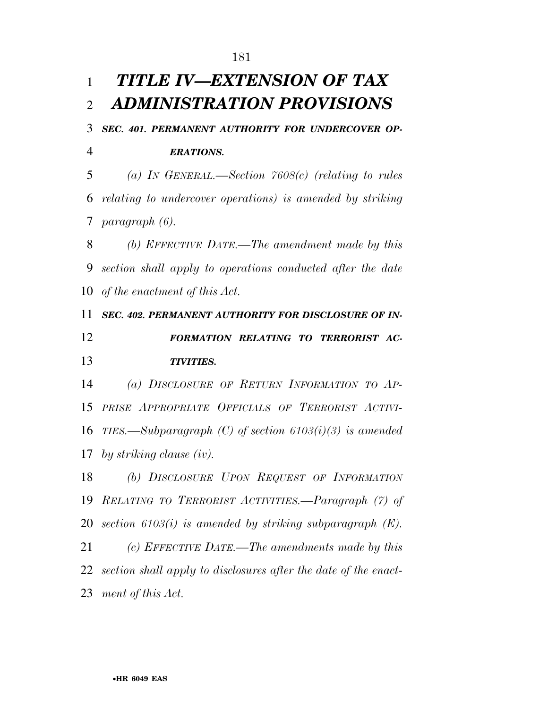## *TITLE IV—EXTENSION OF TAX ADMINISTRATION PROVISIONS*

## *SEC. 401. PERMANENT AUTHORITY FOR UNDERCOVER OP-ERATIONS.*

 *(a) IN GENERAL.—Section 7608(c) (relating to rules relating to undercover operations) is amended by striking paragraph (6).* 

 *(b) EFFECTIVE DATE.—The amendment made by this section shall apply to operations conducted after the date of the enactment of this Act.* 

 *SEC. 402. PERMANENT AUTHORITY FOR DISCLOSURE OF IN- FORMATION RELATING TO TERRORIST AC-TIVITIES.* 

 *(a) DISCLOSURE OF RETURN INFORMATION TO AP- PRISE APPROPRIATE OFFICIALS OF TERRORIST ACTIVI- TIES.—Subparagraph (C) of section 6103(i)(3) is amended by striking clause (iv).* 

 *(b) DISCLOSURE UPON REQUEST OF INFORMATION RELATING TO TERRORIST ACTIVITIES.—Paragraph (7) of section 6103(i) is amended by striking subparagraph (E). (c) EFFECTIVE DATE.—The amendments made by this section shall apply to disclosures after the date of the enact-*

*ment of this Act.*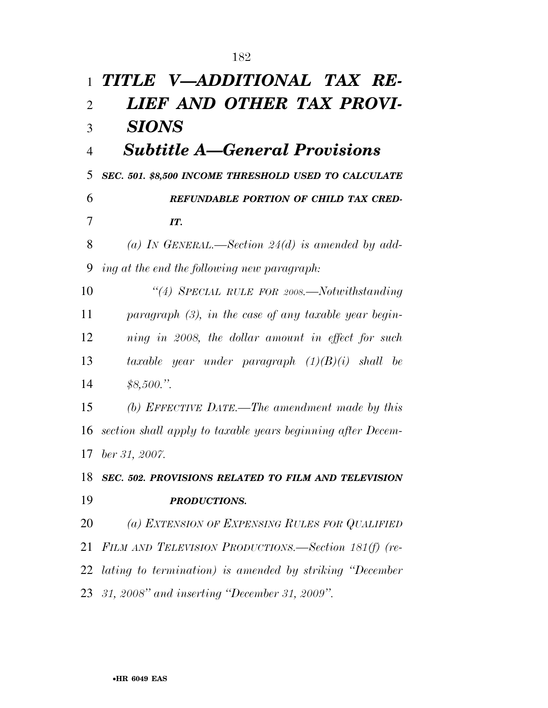| $\mathbf{1}$   | TITLE V-ADDITIONAL TAX RE-                                  |
|----------------|-------------------------------------------------------------|
| $\overline{2}$ | LIEF AND OTHER TAX PROVI-                                   |
| 3              | <b>SIONS</b>                                                |
| $\overline{4}$ | <b>Subtitle A–General Provisions</b>                        |
| 5              | SEC. 501. \$8,500 INCOME THRESHOLD USED TO CALCULATE        |
| 6              | REFUNDABLE PORTION OF CHILD TAX CRED-                       |
| 7              | IT.                                                         |
| 8              | (a) IN GENERAL.—Section $24(d)$ is amended by add-          |
| 9              | ing at the end the following new paragraph:                 |
| 10             | "(4) SPECIAL RULE FOR $2008$ . Notwithstanding              |
| 11             | paragraph $(3)$ , in the case of any taxable year begin-    |
| 12             | ning in 2008, the dollar amount in effect for such          |
| 13             | taxable year under paragraph $(1)(B)(i)$ shall be           |
| 14             | \$8,500."                                                   |
| 15             | (b) EFFECTIVE DATE.—The amendment made by this              |
| 16             | section shall apply to taxable years beginning after Decem- |
|                | 17 ber 31, 2007.                                            |
| 18             | SEC. 502. PROVISIONS RELATED TO FILM AND TELEVISION         |
| 19             | <b>PRODUCTIONS.</b>                                         |
| 20             | (a) EXTENSION OF EXPENSING RULES FOR QUALIFIED              |
| 21             | FILM AND TELEVISION PRODUCTIONS.—Section 181(f) (re-        |
| 22             | lating to termination) is amended by striking "December     |
|                | 23 31, 2008" and inserting "December 31, 2009".             |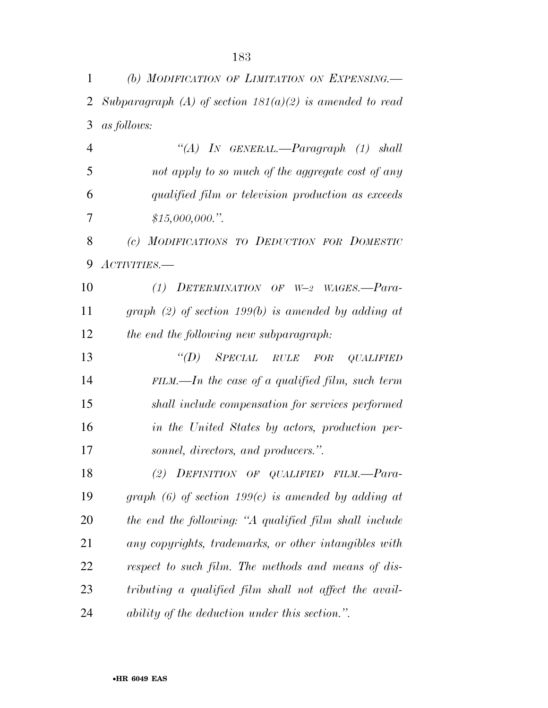| $\mathbf{1}$   | (b) MODIFICATION OF LIMITATION ON EXPENSING.               |
|----------------|------------------------------------------------------------|
| 2              | Subparagraph (A) of section $181(a)(2)$ is amended to read |
| 3              | as follows:                                                |
| $\overline{4}$ | "(A) IN GENERAL.—Paragraph (1) shall                       |
| 5              | not apply to so much of the aggregate cost of any          |
| 6              | qualified film or television production as exceeds         |
| 7              | \$15,000,000."                                             |
| 8              | (c) MODIFICATIONS TO DEDUCTION FOR DOMESTIC                |
| 9              | $ACTIVITIES.$ —                                            |
| 10             | (1) DETERMINATION OF $W=2$ WAGES.—Para-                    |
| 11             | graph $(2)$ of section 199(b) is amended by adding at      |
| 12             | the end the following new subparagraph:                    |
| 13             | $\lq (D)$<br>SPECIAL<br>$RULE$ $FOR$<br><b>QUALIFIED</b>   |
| 14             | $FILM$ .—In the case of a qualified film, such term        |
| 15             | shall include compensation for services performed          |
| 16             | in the United States by actors, production per-            |
| 17             | sonnel, directors, and producers.".                        |
| 18             | DEFINITION OF QUALIFIED FILM.-Para-<br>(2)                 |
| 19             | graph $(6)$ of section 199 $(c)$ is amended by adding at   |
| 20             | the end the following: "A qualified film shall include     |
| 21             | any copyrights, trademarks, or other intangibles with      |
| 22             | respect to such film. The methods and means of dis-        |
| 23             | tributing a qualified film shall not affect the avail-     |
| 24             | ability of the deduction under this section.".             |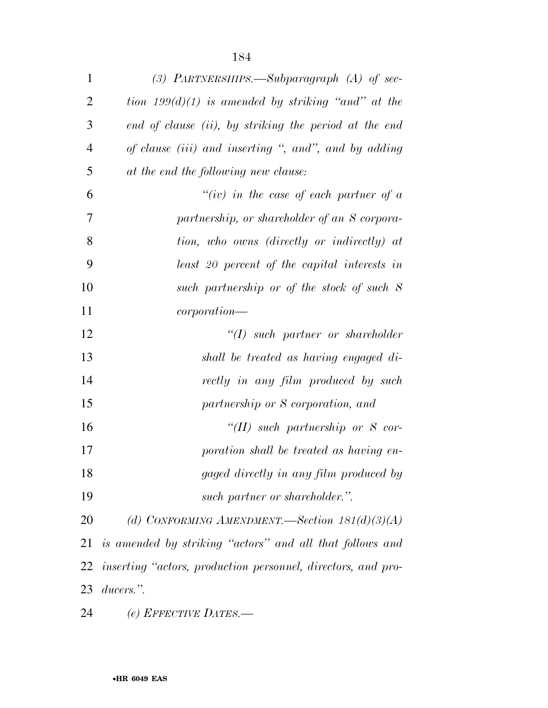| $\mathbf{1}$   | (3) PARTNERSHIPS.—Subparagraph $(A)$ of sec-                 |
|----------------|--------------------------------------------------------------|
| $\overline{2}$ | tion $199(d)(1)$ is amended by striking "and" at the         |
| 3              | end of clause (ii), by striking the period at the end        |
| 4              | of clause (iii) and inserting ", and", and by adding         |
| 5              | at the end the following new clause:                         |
| 6              | "(iv) in the case of each partner of $a$                     |
| 7              | partnership, or shareholder of an S corpora-                 |
| 8              | tion, who owns (directly or indirectly) at                   |
| 9              | least 20 percent of the capital interests in                 |
| 10             | such partnership or of the stock of such S                   |
| 11             | corporation                                                  |
| 12             | $``(I)$ such partner or shareholder                          |
| 13             | shall be treated as having engaged di-                       |
| 14             | rectly in any film produced by such                          |
| 15             | partnership or S corporation, and                            |
| 16             | "(II) such partnership or $S$ cor-                           |
| 17             | poration shall be treated as having en-                      |
| 18             | gaged directly in any film produced by                       |
| 19             | such partner or shareholder.".                               |
| 20             | (d) CONFORMING AMENDMENT.—Section $181(d)(3)(A)$             |
| 21             | is amended by striking "actors" and all that follows and     |
| 22             | inserting "actors, production personnel, directors, and pro- |
| 23             | ducers.".                                                    |
|                |                                                              |

*(e) EFFECTIVE DATES.—*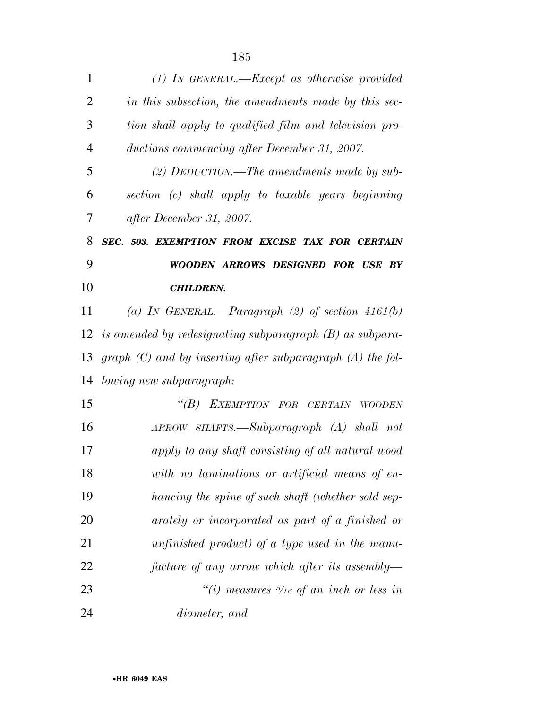| $\mathbf{1}$   | $(1)$ IN GENERAL.—Except as otherwise provided                 |
|----------------|----------------------------------------------------------------|
| $\overline{2}$ | in this subsection, the amendments made by this sec-           |
| 3              | tion shall apply to qualified film and television pro-         |
| $\overline{4}$ | ductions commencing after December 31, 2007.                   |
| 5              | (2) DEDUCTION.—The amendments made by sub-                     |
| 6              | section (c) shall apply to taxable years beginning             |
| 7              | after December 31, 2007.                                       |
| 8              | SEC. 503. EXEMPTION FROM EXCISE TAX FOR CERTAIN                |
| 9              | WOODEN ARROWS DESIGNED FOR USE BY                              |
| 10             | <b>CHILDREN.</b>                                               |
| 11             | (a) IN GENERAL.—Paragraph (2) of section $4161(b)$             |
| 12             | is amended by redesignating subparagraph $(B)$ as subpara-     |
| 13             | graph $(C)$ and by inserting after subparagraph $(A)$ the fol- |
| 14             | lowing new subparagraph:                                       |
| 15             | EXEMPTION FOR CERTAIN<br>$\lq(B)$<br><b>WOODEN</b>             |
| 16             | ARROW SHAFTS.—Subparagraph (A) shall not                       |
| 17             | apply to any shaft consisting of all natural wood              |
| 18             | with no laminations or artificial means of en-                 |
| 19             | hancing the spine of such shaft (whether sold sep-             |
| 20             | arately or incorporated as part of a finished or               |
| 21             | unfinished product) of a type used in the manu-                |
| 22             | facture of any arrow which after its assembly—                 |
| 23             | "(i) measures $\frac{5}{16}$ of an inch or less in             |
| 24             | diameter, and                                                  |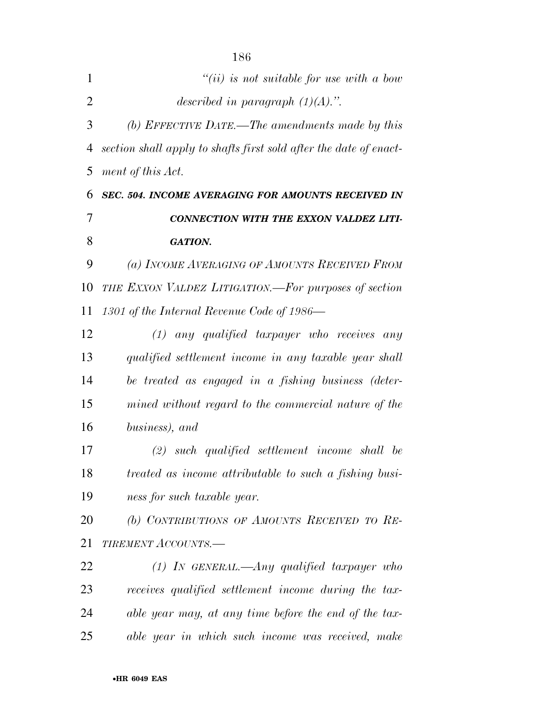| 1              | $``(ii)$ is not suitable for use with a bow                       |
|----------------|-------------------------------------------------------------------|
| $\overline{2}$ | described in paragraph $(1)(A)$ .".                               |
| 3              | (b) EFFECTIVE DATE.—The amendments made by this                   |
| 4              | section shall apply to shafts first sold after the date of enact- |
| 5              | ment of this Act.                                                 |
| 6              | SEC. 504. INCOME AVERAGING FOR AMOUNTS RECEIVED IN                |
| 7              | CONNECTION WITH THE EXXON VALDEZ LITI-                            |
| 8              | <b>GATION.</b>                                                    |
| 9              | (a) INCOME AVERAGING OF AMOUNTS RECEIVED FROM                     |
| 10             | THE EXXON VALDEZ LITIGATION.—For purposes of section              |
| 11             | 1301 of the Internal Revenue Code of 1986—                        |
| 12             | $(1)$ any qualified taxpayer who receives<br>any                  |
| 13             | qualified settlement income in any taxable year shall             |
| 14             | be treated as engaged in a fishing business (deter-               |
| 15             | mined without regard to the commercial nature of the              |
| 16             | business), and                                                    |
| 17             | $(2)$ such qualified settlement income shall be                   |
| 18             | treated as income attributable to such a fishing busi-            |
| 19             | ness for such taxable year.                                       |
| 20             | (b) CONTRIBUTIONS OF AMOUNTS RECEIVED TO RE-                      |
| 21             | <b>TIREMENT ACCOUNTS.—</b>                                        |
| 22             | $(1)$ In GENERAL.—Any qualified taxpayer who                      |
| 23             | receives qualified settlement income during the tax-              |
| 24             | able year may, at any time before the end of the tax-             |
| 25             | able year in which such income was received, make                 |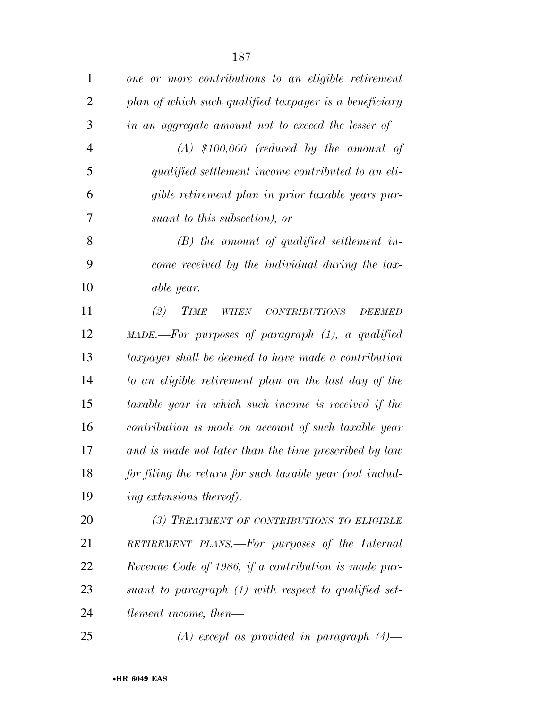| $\mathbf{1}$   | one or more contributions to an eligible retirement                   |
|----------------|-----------------------------------------------------------------------|
| $\overline{2}$ | plan of which such qualified taxpayer is a beneficiary                |
| 3              | in an aggregate amount not to exceed the lesser of $-$                |
| $\overline{4}$ | $(A)$ \$100,000 (reduced by the amount of                             |
| 5              | qualified settlement income contributed to an eli-                    |
| 6              | gible retirement plan in prior taxable years pur-                     |
| 7              | suant to this subsection), or                                         |
| 8              | $(B)$ the amount of qualified settlement in-                          |
| 9              | come received by the individual during the tax-                       |
| 10             | able year.                                                            |
| 11             | (2)<br><b>TIME</b><br><b>WHEN</b><br>$CONTRIBUTIONS$<br><b>DEEMED</b> |
| 12             | MADE.-For purposes of paragraph (1), a qualified                      |
| 13             | taxpayer shall be deemed to have made a contribution                  |
| 14             | to an eligible retirement plan on the last day of the                 |
| 15             | taxable year in which such income is received if the                  |
| 16             | contribution is made on account of such taxable year                  |
| 17             | and is made not later than the time prescribed by law                 |
| 18             | for filing the return for such taxable year (not includ-              |
| 19             | ing extensions thereof).                                              |
| 20             | (3) TREATMENT OF CONTRIBUTIONS TO ELIGIBLE                            |
| 21             | RETIREMENT PLANS.—For purposes of the Internal                        |
| 22             | Revenue Code of 1986, if a contribution is made pur-                  |
| 23             | suant to paragraph (1) with respect to qualified set-                 |
| 24             | tlement income, then—                                                 |
| 25             | (A) except as provided in paragraph $(4)$ —                           |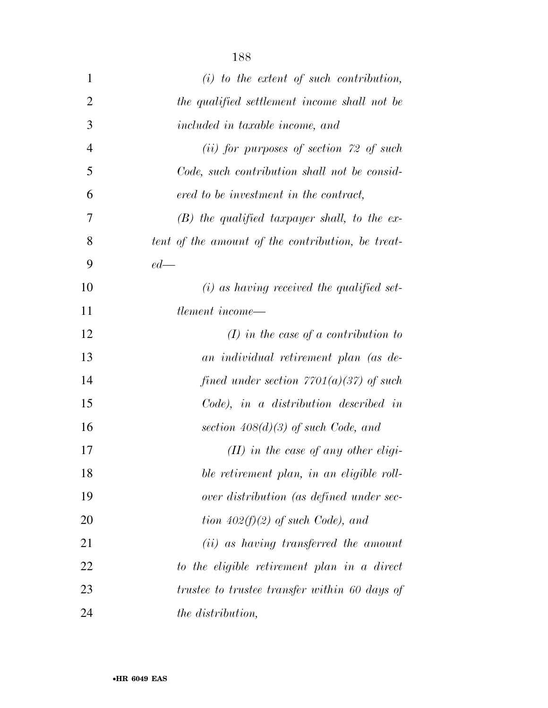| $\mathbf{1}$   | $(i)$ to the extent of such contribution,         |
|----------------|---------------------------------------------------|
| $\overline{2}$ | the qualified settlement income shall not be      |
| 3              | included in taxable income, and                   |
| $\overline{4}$ | $(ii)$ for purposes of section 72 of such         |
| 5              | Code, such contribution shall not be consid-      |
| 6              | ered to be investment in the contract,            |
| 7              | $(B)$ the qualified taxpayer shall, to the ex-    |
| 8              | tent of the amount of the contribution, be treat- |
| 9              | $ed$ —                                            |
| 10             | $(i)$ as having received the qualified set-       |
| 11             | tlement income—                                   |
| 12             | $(I)$ in the case of a contribution to            |
| 13             | an individual retirement plan (as de-             |
| 14             | fined under section $7701(a)(37)$ of such         |
| 15             | Code), in a distribution described in             |
| 16             | section $408(d)(3)$ of such Code, and             |
| 17             | $(II)$ in the case of any other eligi-            |
| 18             | ble retirement plan, in an eligible roll-         |
| 19             | over distribution (as defined under sec-          |
| 20             | tion $402(f)(2)$ of such Code), and               |
| 21             | ( <i>ii</i> ) as having transferred the amount    |
| 22             | to the eligible retirement plan in a direct       |
| 23             | trustee to trustee transfer within 60 days of     |
| 24             | the distribution,                                 |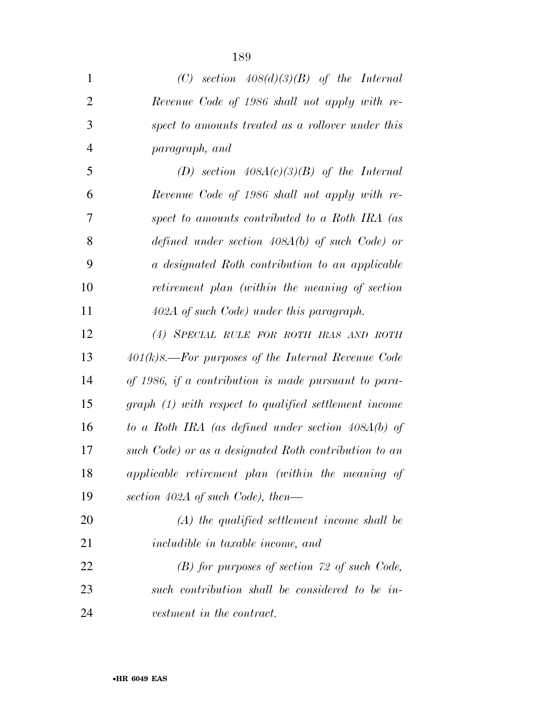| $\mathbf{1}$   | (C) section $408(d)(3)(B)$ of the Internal            |
|----------------|-------------------------------------------------------|
| $\overline{2}$ | Revenue Code of 1986 shall not apply with re-         |
| 3              | spect to amounts treated as a rollover under this     |
| $\overline{4}$ | paragraph, and                                        |
| 5              | (D) section $408A(c)(3)(B)$ of the Internal           |
| 6              | Revenue Code of 1986 shall not apply with re-         |
| 7              | spect to amounts contributed to a Roth IRA (as        |
| 8              | defined under section $408A(b)$ of such Code) or      |
| 9              | a designated Roth contribution to an applicable       |
| 10             | retirement plan (within the meaning of section        |
| 11             | 402A of such Code) under this paragraph.              |
| 12             | (4) SPECIAL RULE FOR ROTH IRAS AND ROTH               |
| 13             | $401(k)$ S.—For purposes of the Internal Revenue Code |
| 14             | of 1986, if a contribution is made pursuant to para-  |
| 15             | graph (1) with respect to qualified settlement income |
| 16             | to a Roth IRA (as defined under section $408A(b)$ of  |
| 17             | such Code) or as a designated Roth contribution to an |
| 18             | applicable retirement plan (within the meaning of     |
| 19             | section 402A of such Code), then—                     |
| 20             | $(A)$ the qualified settlement income shall be        |
| 21             | <i>includible in taxable income, and</i>              |
| 22             | $(B)$ for purposes of section 72 of such Code,        |
| 23             | such contribution shall be considered to be in-       |
| 24             | vestment in the contract.                             |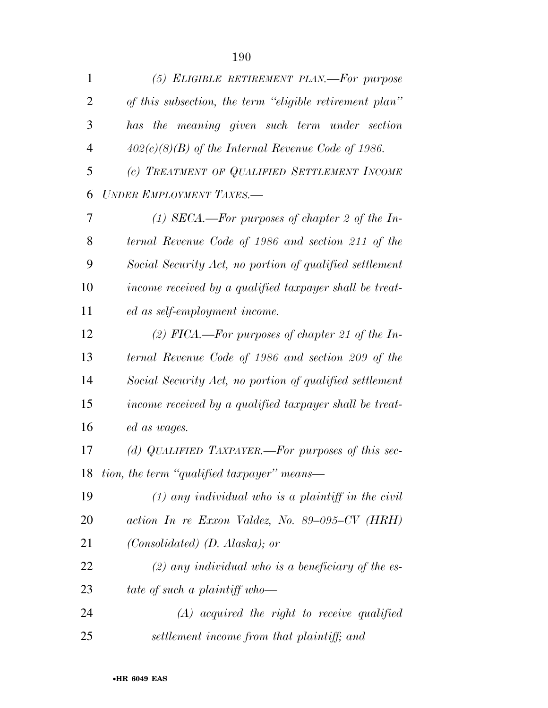| $\mathbf{1}$   | (5) ELIGIBLE RETIREMENT PLAN.—For purpose               |
|----------------|---------------------------------------------------------|
| 2              | of this subsection, the term "eligible retirement plan" |
| 3              | has the meaning given such term under section           |
| $\overline{4}$ | $402(c)(8)(B)$ of the Internal Revenue Code of 1986.    |
| 5              | (c) TREATMENT OF QUALIFIED SETTLEMENT INCOME            |
| 6              | UNDER EMPLOYMENT TAXES.-                                |
| 7              | (1) SECA.—For purposes of chapter 2 of the In-          |
| 8              | ternal Revenue Code of 1986 and section 211 of the      |
| 9              | Social Security Act, no portion of qualified settlement |
| 10             | income received by a qualified taxpayer shall be treat- |
| 11             | ed as self-employment income.                           |
| 12             | (2) FICA.—For purposes of chapter 21 of the In-         |
| 13             | ternal Revenue Code of 1986 and section 209 of the      |
| 14             | Social Security Act, no portion of qualified settlement |
| 15             | income received by a qualified taxpayer shall be treat- |
| 16             | ed as wages.                                            |
| 17             | (d) QUALIFIED TAXPAYER.—For purposes of this sec-       |
|                | 18 tion, the term "qualified taxpayer" means—           |
| 19             | $(1)$ any individual who is a plaintiff in the civil    |
| 20             | action In re Exxon Valdez, No. 89-095-CV (HRH)          |
| 21             | $(Consolidated)$ $(D. Alaska);$ or                      |
| 22             | $(2)$ any individual who is a beneficiary of the es-    |
| 23             | tate of such a plaintiff who-                           |
| 24             | $(A)$ acquired the right to receive qualified           |
| 25             | settlement income from that plaintiff; and              |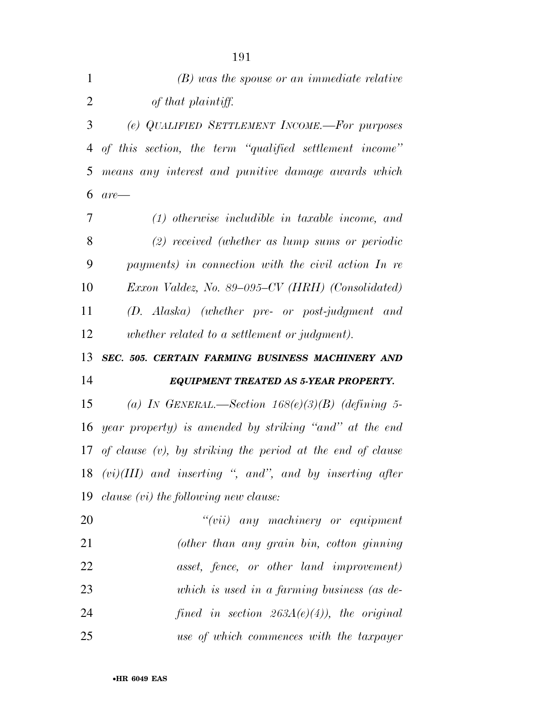| $\mathbf{1}$ | $(B)$ was the spouse or an immediate relative                    |
|--------------|------------------------------------------------------------------|
| 2            | of that plaintiff.                                               |
| 3            | (e) QUALIFIED SETTLEMENT INCOME.-For purposes                    |
| 4            | of this section, the term "qualified settlement income"          |
| 5            | means any interest and punitive damage awards which              |
| 6            | $are$ —                                                          |
| 7            | $(1)$ otherwise includible in taxable income, and                |
| 8            | $(2)$ received (whether as lump sums or periodic                 |
| 9            | payments) in connection with the civil action In re              |
| 10           | Exxon Valdez, No. 89–095–CV (HRH) (Consolidated)                 |
| 11           | (D. Alaska) (whether pre- or post-judgment and                   |
| 12           | whether related to a settlement or judgment).                    |
|              |                                                                  |
| 13           | SEC. 505. CERTAIN FARMING BUSINESS MACHINERY AND                 |
| 14           | EQUIPMENT TREATED AS 5-YEAR PROPERTY.                            |
| 15           | (a) IN GENERAL.—Section $168(e)(3)(B)$ (defining 5-              |
| 16           | year property) is amended by striking "and" at the end           |
|              | 17 of clause $(v)$ , by striking the period at the end of clause |
|              | $18$ $(vi)(III)$ and inserting ", and", and by inserting after   |
| 19           | $clause\ (vi)\ the\ following\ new\ clause:$                     |
| 20           | "(vii) any machinery or equipment                                |
| 21           | (other than any grain bin, cotton ginning                        |
| 22           | asset, fence, or other land improvement)                         |
| 23           | which is used in a farming business (as de-                      |
| 24           | fined in section $263A(e)(4)$ , the original                     |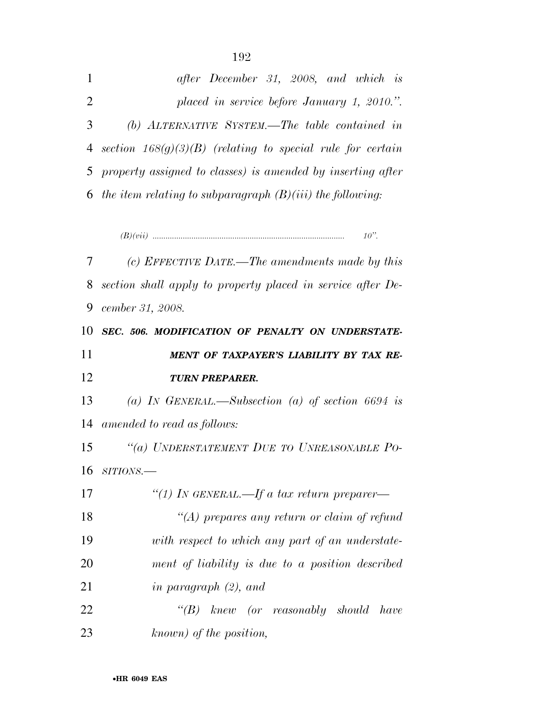| $\mathbf{1}$   | after December 31, 2008, and which is                          |
|----------------|----------------------------------------------------------------|
| 2              | placed in service before January 1, 2010.".                    |
| 3 <sup>1</sup> | (b) ALTERNATIVE SYSTEM.—The table contained in                 |
|                | 4 section $168(g)(3)(B)$ (relating to special rule for certain |
|                | 5 property assigned to classes) is amended by inserting after  |
|                | 6 the item relating to subparagraph $(B)(iii)$ the following:  |
|                |                                                                |

*(B)(vii) ......................................................................................... 10''.* 

 *(c) EFFECTIVE DATE.—The amendments made by this section shall apply to property placed in service after De- cember 31, 2008. SEC. 506. MODIFICATION OF PENALTY ON UNDERSTATE- MENT OF TAXPAYER'S LIABILITY BY TAX RE- TURN PREPARER. (a) IN GENERAL.—Subsection (a) of section 6694 is amended to read as follows: ''(a) UNDERSTATEMENT DUE TO UNREASONABLE PO- SITIONS.— ''(1) IN GENERAL.—If a tax return preparer— ''(A) prepares any return or claim of refund with respect to which any part of an understate- ment of liability is due to a position described in paragraph (2), and ''(B) knew (or reasonably should have* 

*known) of the position,*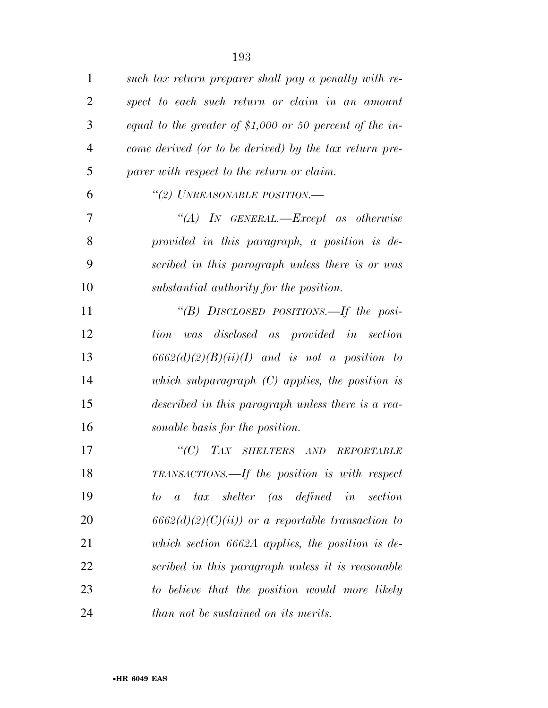| $\mathbf{1}$   | such tax return preparer shall pay a penalty with re-        |
|----------------|--------------------------------------------------------------|
| $\overline{2}$ | spect to each such return or claim in an amount              |
| 3              | equal to the greater of \$1,000 or 50 percent of the in-     |
| $\overline{4}$ | come derived (or to be derived) by the tax return pre-       |
| 5              | parer with respect to the return or claim.                   |
| 6              | "(2) UNREASONABLE POSITION.-                                 |
| 7              | "(A) IN GENERAL.—Except as otherwise                         |
| 8              | provided in this paragraph, a position is de-                |
| 9              | scribed in this paragraph unless there is or was             |
| 10             | substantial authority for the position.                      |
| 11             | "(B) DISCLOSED POSITIONS.—If the posi-                       |
| 12             | was disclosed as provided in section<br>tion                 |
| 13             | $6662(d)(2)(B)(ii)(I)$ and is not a position to              |
| 14             | which subparagraph $(C)$ applies, the position is            |
| 15             | described in this paragraph unless there is a rea-           |
| 16             | sonable basis for the position.                              |
| 17             | $\lq C$ )<br>TAX SHELTERS AND REPORTABLE                     |
| 18             | TRANSACTIONS.—If the position is with respect                |
| 19             | tax shelter (as defined in section<br>to<br>$\boldsymbol{a}$ |
| 20             | $6662(d)(2)(C)(ii)$ or a reportable transaction to           |
| 21             | which section $6662A$ applies, the position is de-           |
| 22             | scribed in this paragraph unless it is reasonable            |
| 23             | to believe that the position would more likely               |
| 24             | than not be sustained on its merits.                         |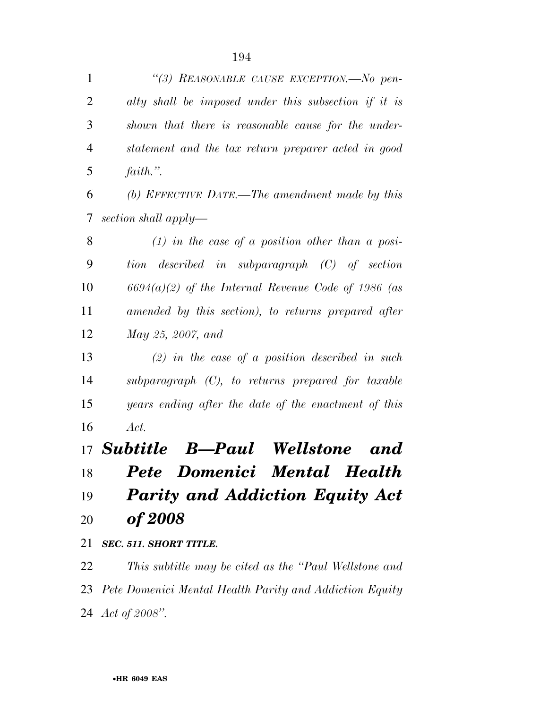| $\mathbf{1}$   | "(3) REASONABLE CAUSE EXCEPTION.—No pen-              |
|----------------|-------------------------------------------------------|
| $\overline{2}$ | alty shall be imposed under this subsection if it is  |
| 3              | shown that there is reasonable cause for the under-   |
| 4              | statement and the tax return preparer acted in good   |
| 5              | $faith.$ ".                                           |
| 6              | (b) EFFECTIVE DATE.—The amendment made by this        |
| 7              | section shall apply—                                  |
| 8              | $(1)$ in the case of a position other than a posi-    |
| 9              | tion described in subparagraph (C) of section         |
| 10             | $6694(a)(2)$ of the Internal Revenue Code of 1986 (as |
| 11             | amended by this section), to returns prepared after   |
| 12             | May 25, 2007, and                                     |
| 13             | $(2)$ in the case of a position described in such     |
| 14             | subparagraph $(C)$ , to returns prepared for taxable  |
| 15             | years ending after the date of the enactment of this  |
| 16             | Act.                                                  |
|                | 17 <b>Subtitle B—Paul</b><br><b>Wellstone</b><br>and  |
| 18             | Pete Domenici<br><b>Mental Health</b>                 |
| 19             | <b>Parity and Addiction Equity Act</b>                |
| 20             | <i>of 2008</i>                                        |
| 21             | SEC. 511. SHORT TITLE.                                |
| 22             | This subtitle may be cited as the "Paul Wellstone and |

 *Pete Domenici Mental Health Parity and Addiction Equity Act of 2008''.*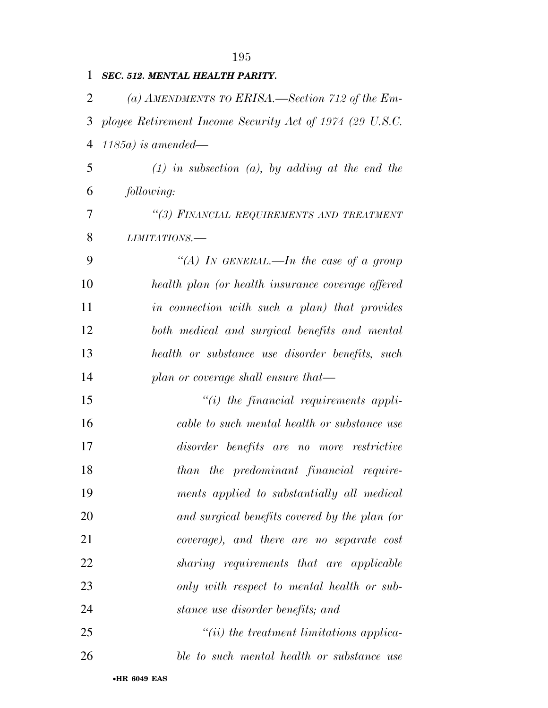| $\mathbf{1}$             | <b>SEC. 512. MENTAL HEALTH PARITY.</b>                     |
|--------------------------|------------------------------------------------------------|
| 2                        | (a) AMENDMENTS TO ERISA.—Section 712 of the Em-            |
|                          | 3 ployee Retirement Income Security Act of 1974 (29 U.S.C. |
|                          | $4 \quad 1185a)$ is amended—                               |
| $\mathfrak{S}$           | $(1)$ in subsection $(a)$ , by adding at the end the       |
| 6                        | <i>following:</i>                                          |
| $\overline{\mathcal{L}}$ | "(3) FINANCIAL REQUIREMENTS AND TREATMENT                  |
| 8                        | LIMITATIONS.-                                              |
| 9                        | "(A) In GENERAL.—In the case of a group                    |

 *health plan (or health insurance coverage offered in connection with such a plan) that provides both medical and surgical benefits and mental health or substance use disorder benefits, such plan or coverage shall ensure that—* 

 *''(i) the financial requirements appli- cable to such mental health or substance use disorder benefits are no more restrictive than the predominant financial require- ments applied to substantially all medical and surgical benefits covered by the plan (or coverage), and there are no separate cost sharing requirements that are applicable only with respect to mental health or sub-stance use disorder benefits; and* 

 *''(ii) the treatment limitations applica-ble to such mental health or substance use*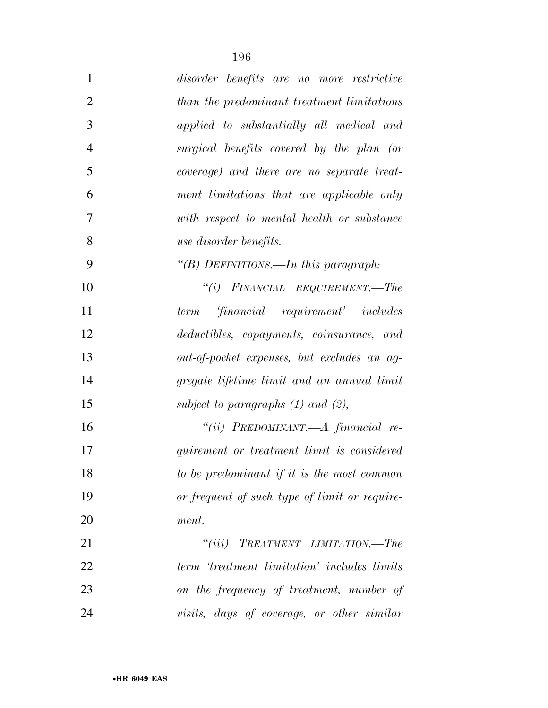| $\mathbf{1}$   | disorder benefits are no more restrictive     |
|----------------|-----------------------------------------------|
| $\overline{2}$ | than the predominant treatment limitations    |
| 3              | applied to substantially all medical and      |
| $\overline{4}$ | surgical benefits covered by the plan (or     |
| 5              | coverage) and there are no separate treat-    |
| 6              | ment limitations that are applicable only     |
| $\overline{7}$ | with respect to mental health or substance    |
| 8              | use disorder benefits.                        |
| 9              | "(B) DEFINITIONS.—In this paragraph:          |
| 10             | $``(i)$ FINANCIAL REQUIREMENT.—The            |
| 11             | financial requirement' includes<br>term       |
| 12             | deductibles, copayments, coinsurance, and     |
| 13             | out-of-pocket expenses, but excludes an ag-   |
| 14             | gregate lifetime limit and an annual limit    |
| 15             | subject to paragraphs $(1)$ and $(2)$ ,       |
| 16             | "(ii) PREDOMINANT.— $A$ financial re-         |
| 17             | quirement or treatment limit is considered    |
| 18             | to be predominant if it is the most common    |
| 19             | or frequent of such type of limit or require- |
| 20             | ment.                                         |
| 21             | $``(iii)$ TREATMENT LIMITATION.—The           |
| 22             | term 'treatment limitation' includes limits   |
| 23             | on the frequency of treatment, number of      |
| 24             | visits, days of coverage, or other similar    |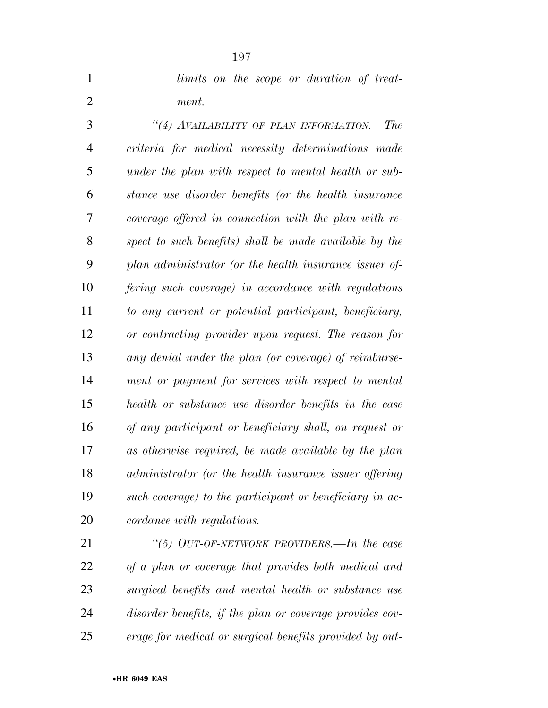|       |  |  | limits on the scope or duration of treat- |  |
|-------|--|--|-------------------------------------------|--|
| ment. |  |  |                                           |  |

 *''(4) AVAILABILITY OF PLAN INFORMATION.—The criteria for medical necessity determinations made under the plan with respect to mental health or sub- stance use disorder benefits (or the health insurance coverage offered in connection with the plan with re- spect to such benefits) shall be made available by the plan administrator (or the health insurance issuer of- fering such coverage) in accordance with regulations to any current or potential participant, beneficiary, or contracting provider upon request. The reason for any denial under the plan (or coverage) of reimburse- ment or payment for services with respect to mental health or substance use disorder benefits in the case of any participant or beneficiary shall, on request or as otherwise required, be made available by the plan administrator (or the health insurance issuer offering such coverage) to the participant or beneficiary in ac-cordance with regulations.* 

 *''(5) OUT-OF-NETWORK PROVIDERS.—In the case of a plan or coverage that provides both medical and surgical benefits and mental health or substance use disorder benefits, if the plan or coverage provides cov-erage for medical or surgical benefits provided by out-*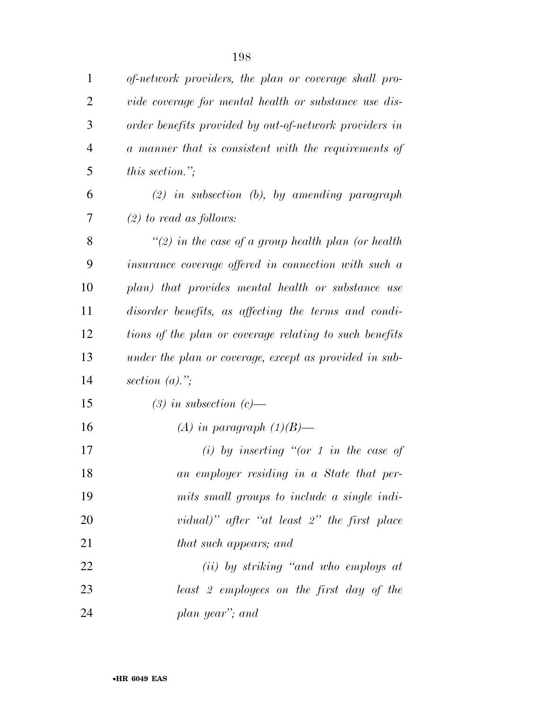| 1              | of-network providers, the plan or coverage shall pro-   |
|----------------|---------------------------------------------------------|
| $\overline{2}$ | vide coverage for mental health or substance use dis-   |
| 3              | order benefits provided by out-of-network providers in  |
| $\overline{4}$ | a manner that is consistent with the requirements of    |
| 5              | <i>this section.</i> ";                                 |
| 6              | $(2)$ in subsection $(b)$ , by amending paragraph       |
| 7              | $(2)$ to read as follows:                               |
| 8              | "(2) in the case of a group health plan (or health      |
| 9              | insurance coverage offered in connection with such a    |
| 10             | plan) that provides mental health or substance use      |
| 11             | disorder benefits, as affecting the terms and condi-    |
| 12             | tions of the plan or coverage relating to such benefits |
| 13             | under the plan or coverage, except as provided in sub-  |
| 14             | section $(a)$ .";                                       |
| 15             | $(3)$ in subsection $(c)$ —                             |
| 16             | (A) in paragraph $(1)(B)$ —                             |
| 17             | (i) by inserting "(or 1 in the case of                  |
| 18             | an employer residing in a State that per-               |
| 19             | mits small groups to include a single indi-             |
| 20             | vidual)" after "at least $2$ " the first place          |
| 21             | that such appears; and                                  |
| 22             | (ii) by striking "and who employs at                    |
| 23             | least 2 employees on the first day of the               |
| 24             | plan year"; and                                         |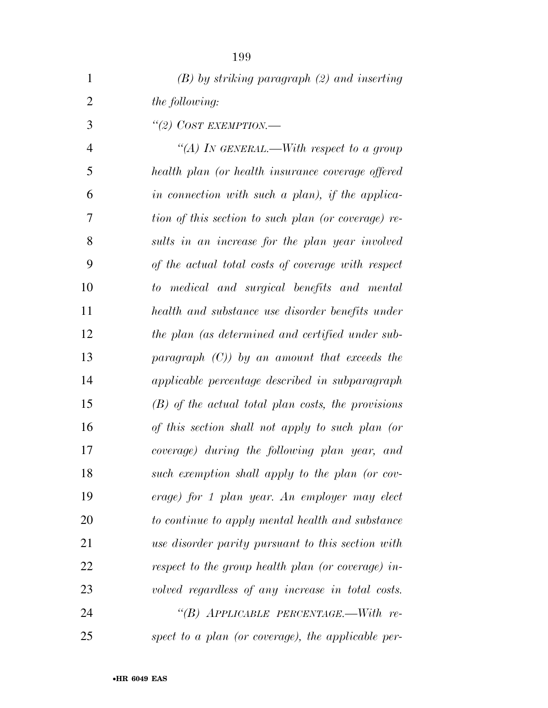| $\mathbf{1}$   | $(B)$ by striking paragraph $(2)$ and inserting      |
|----------------|------------------------------------------------------|
| $\overline{2}$ | <i>the following:</i>                                |
| 3              | "(2) COST EXEMPTION.—                                |
| $\overline{4}$ | "(A) In GENERAL.—With respect to a group             |
| 5              | health plan (or health insurance coverage offered    |
| 6              | in connection with such a plan), if the applica-     |
| 7              | tion of this section to such plan (or coverage) re-  |
| 8              | sults in an increase for the plan year involved      |
| 9              | of the actual total costs of coverage with respect   |
| 10             | to medical and surgical benefits and mental          |
| 11             | health and substance use disorder benefits under     |
| 12             | the plan (as determined and certified under sub-     |
| 13             | paragraph $(C)$ ) by an amount that exceeds the      |
| 14             | applicable percentage described in subparagraph      |
| 15             | $(B)$ of the actual total plan costs, the provisions |
| 16             | of this section shall not apply to such plan (or     |
| 17             | coverage) during the following plan year, and        |
| 18             | such exemption shall apply to the plan (or cov-      |
| 19             | erage) for 1 plan year. An employer may elect        |
| 20             | to continue to apply mental health and substance     |
| 21             | use disorder parity pursuant to this section with    |
| 22             | respect to the group health plan (or coverage) in-   |
| 23             | volved regardless of any increase in total costs.    |
| 24             | "(B) APPLICABLE PERCENTAGE.—With re-                 |
| 25             | spect to a plan (or coverage), the applicable per-   |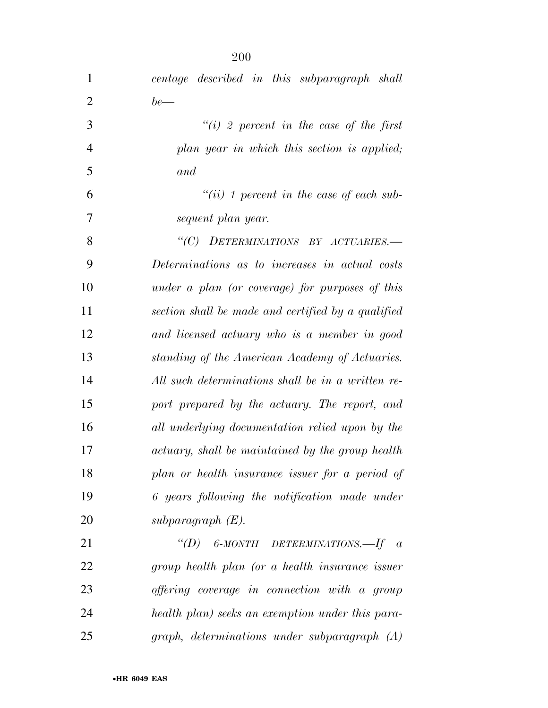| $\mathbf{1}$   | centage described in this subparagraph shall       |
|----------------|----------------------------------------------------|
| $\overline{2}$ | $be$ —                                             |
| 3              | "(i) 2 percent in the case of the first            |
| $\overline{4}$ | plan year in which this section is applied;        |
| 5              | and                                                |
| 6              | $``(ii) 1 percent in the case of each sub-$        |
| 7              | sequent plan year.                                 |
| 8              | "(C) DETERMINATIONS BY ACTUARIES.-                 |
| 9              | Determinations as to increases in actual costs     |
| 10             | under a plan (or coverage) for purposes of this    |
| 11             | section shall be made and certified by a qualified |
| 12             | and licensed actuary who is a member in good       |
| 13             | standing of the American Academy of Actuaries.     |
| 14             | All such determinations shall be in a written re-  |
| 15             | port prepared by the actuary. The report, and      |
| 16             | all underlying documentation relied upon by the    |
| 17             | actuary, shall be maintained by the group health   |
| 18             | plan or health insurance issuer for a period of    |
| 19             | 6 years following the notification made under      |
| 20             | subparagraph $(E)$ .                               |
| 21             | "(D) 6-MONTH DETERMINATIONS.—If $\alpha$           |
| 22             | group health plan (or a health insurance issuer    |
| 23             | offering coverage in connection with a group       |
| 24             | health plan) seeks an exemption under this para-   |
| 25             | graph, determinations under subparagraph (A)       |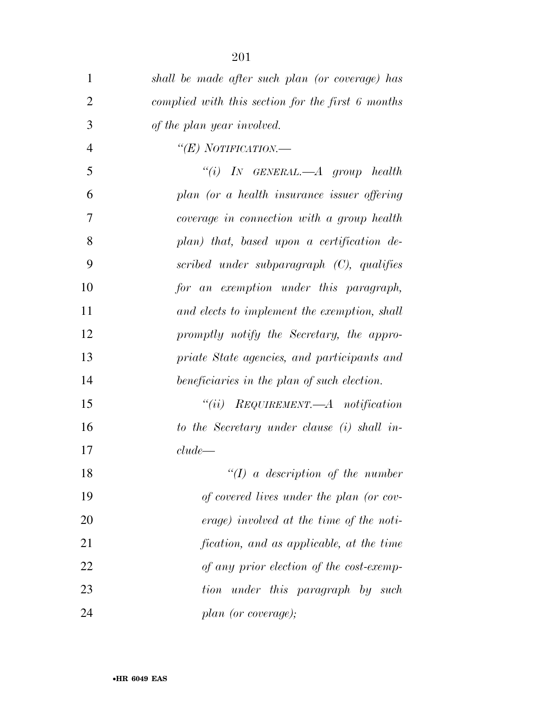| 1              | shall be made after such plan (or coverage) has   |
|----------------|---------------------------------------------------|
| $\overline{2}$ | complied with this section for the first 6 months |
| 3              | of the plan year involved.                        |
| $\overline{4}$ | "(E) NOTIFICATION.—                               |
| 5              | "(i) IN GENERAL.— $A$ group health                |
| 6              | plan (or a health insurance issuer offering       |
| 7              | coverage in connection with a group health        |
| 8              | plan) that, based upon a certification de-        |
| 9              | scribed under subparagraph (C), qualifies         |
| 10             | for an exemption under this paragraph,            |
| 11             | and elects to implement the exemption, shall      |
| 12             | promptly notify the Secretary, the appro-         |
| 13             | priate State agencies, and participants and       |
| 14             | beneficiaries in the plan of such election.       |
| 15             | $``(ii)$ REQUIREMENT.—A notification              |
| 16             | to the Secretary under clause (i) shall in-       |
| 17             | $clude$ —                                         |
| 18             | $\lq (I)$ a description of the number             |
| 19             | of covered lives under the plan (or cov-          |
| 20             | erage) involved at the time of the noti-          |
| 21             | fication, and as applicable, at the time          |
| 22             | of any prior election of the cost-exemp-          |
| 23             | under this paragraph by such<br>tion              |
| 24             | plan (or coverage);                               |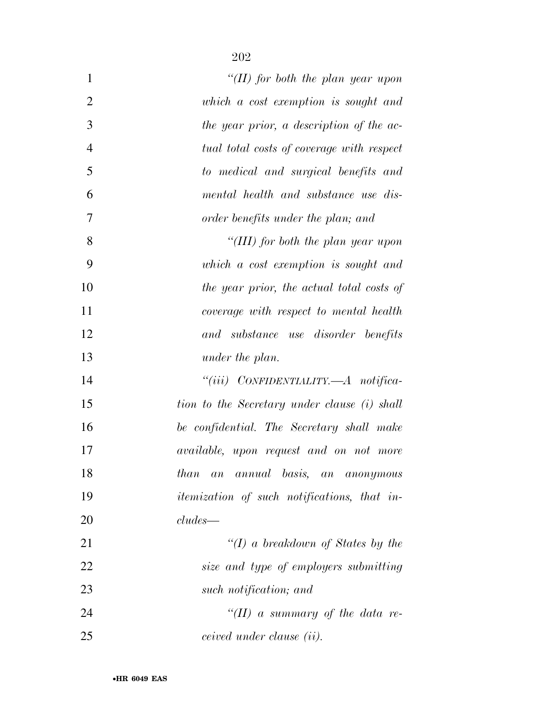| $\mathbf{1}$   | "(II) for both the plan year upon                  |
|----------------|----------------------------------------------------|
| $\overline{2}$ | which a cost exemption is sought and               |
| 3              | the year prior, a description of the ac-           |
| $\overline{4}$ | tual total costs of coverage with respect          |
| 5              | to medical and surgical benefits and               |
| 6              | mental health and substance use dis-               |
| 7              | order benefits under the plan; and                 |
| 8              | "(III) for both the plan year upon                 |
| 9              | which a cost exemption is sought and               |
| 10             | the year prior, the actual total costs of          |
| 11             | coverage with respect to mental health             |
| 12             | and substance use disorder benefits                |
| 13             | under the plan.                                    |
| 14             | "(iii) CONFIDENTIALITY.— $A$ notifica-             |
| 15             | tion to the Secretary under clause (i) shall       |
| 16             | be confidential. The Secretary shall make          |
| 17             | <i>available</i> , upon request and on not more    |
| 18             | annual basis, an anonymous<br>than<br>a n          |
| 19             | <i>itemization of such notifications, that in-</i> |
| 20             | $cludes$ —                                         |
| 21             | " $(I)$ a breakdown of States by the               |
| 22             | size and type of employers submitting              |
| 23             | such notification; and                             |
| 24             | "(II) a summary of the data re-                    |
| 25             | ceived under clause (ii).                          |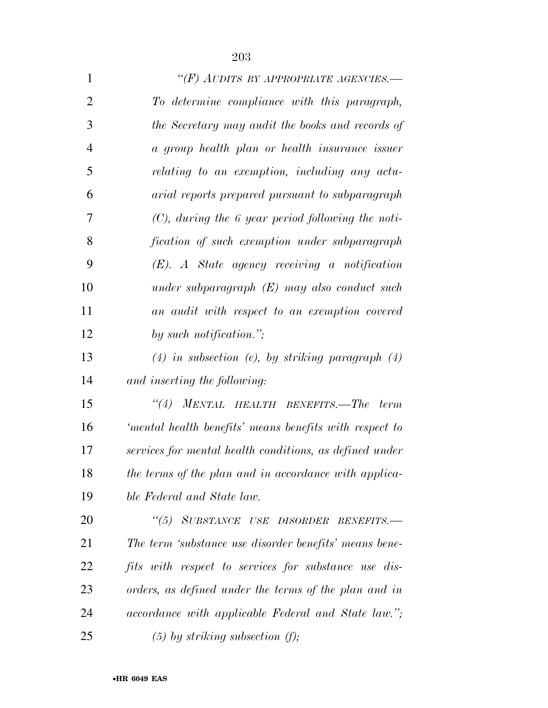| $\mathbf{1}$   | "(F) AUDITS BY APPROPRIATE AGENCIES.—                   |
|----------------|---------------------------------------------------------|
| $\overline{2}$ | To determine compliance with this paragraph,            |
| 3              | the Secretary may audit the books and records of        |
| $\overline{4}$ | a group health plan or health insurance issuer          |
| 5              | relating to an exemption, including any actu-           |
| 6              | arial reports prepared pursuant to subparagraph         |
| 7              | $(C)$ , during the 6 year period following the noti-    |
| 8              | fication of such exemption under subparagraph           |
| 9              | $(E)$ . A State agency receiving a notification         |
| 10             | under subparagraph $(E)$ may also conduct such          |
| 11             | an audit with respect to an exemption covered           |
| 12             | by such notification.";                                 |
| 13             | $(4)$ in subsection (e), by striking paragraph $(4)$    |
| 14             | and inserting the following:                            |
| 15             | MENTAL HEALTH BENEFITS.-The<br>``(4)<br>term            |
| 16             | 'mental health benefits' means benefits with respect to |
| 17             | services for mental health conditions, as defined under |
| 18             | the terms of the plan and in accordance with applica-   |
| 19             | ble Federal and State law.                              |
| 20             | "(5) SUBSTANCE USE DISORDER<br>BENEFITS.-               |
| 21             | The term 'substance use disorder benefits' means bene-  |
| 22             | fits with respect to services for substance use dis-    |
| 23             | orders, as defined under the terms of the plan and in   |
| 24             | accordance with applicable Federal and State law.";     |
| 25             | $(5)$ by striking subsection $(f)$ ;                    |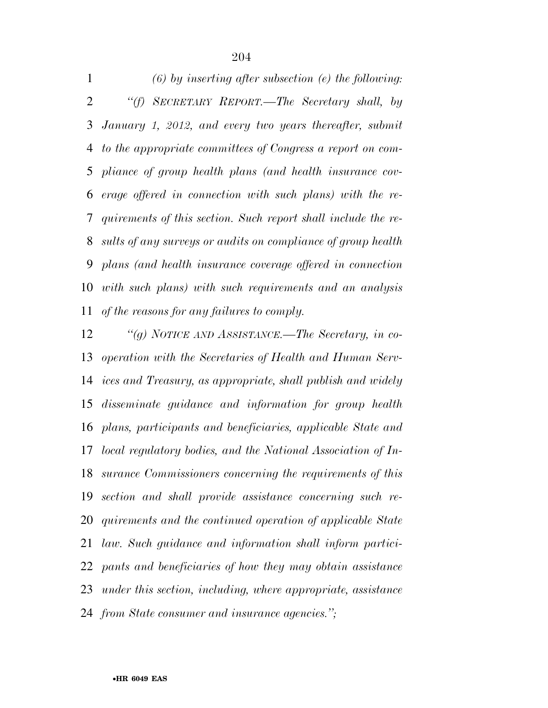*(6) by inserting after subsection (e) the following: ''(f) SECRETARY REPORT.—The Secretary shall, by January 1, 2012, and every two years thereafter, submit to the appropriate committees of Congress a report on com- pliance of group health plans (and health insurance cov- erage offered in connection with such plans) with the re- quirements of this section. Such report shall include the re- sults of any surveys or audits on compliance of group health plans (and health insurance coverage offered in connection with such plans) with such requirements and an analysis of the reasons for any failures to comply.* 

 *''(g) NOTICE AND ASSISTANCE.—The Secretary, in co- operation with the Secretaries of Health and Human Serv- ices and Treasury, as appropriate, shall publish and widely disseminate guidance and information for group health plans, participants and beneficiaries, applicable State and local regulatory bodies, and the National Association of In- surance Commissioners concerning the requirements of this section and shall provide assistance concerning such re- quirements and the continued operation of applicable State law. Such guidance and information shall inform partici- pants and beneficiaries of how they may obtain assistance under this section, including, where appropriate, assistance from State consumer and insurance agencies.'';*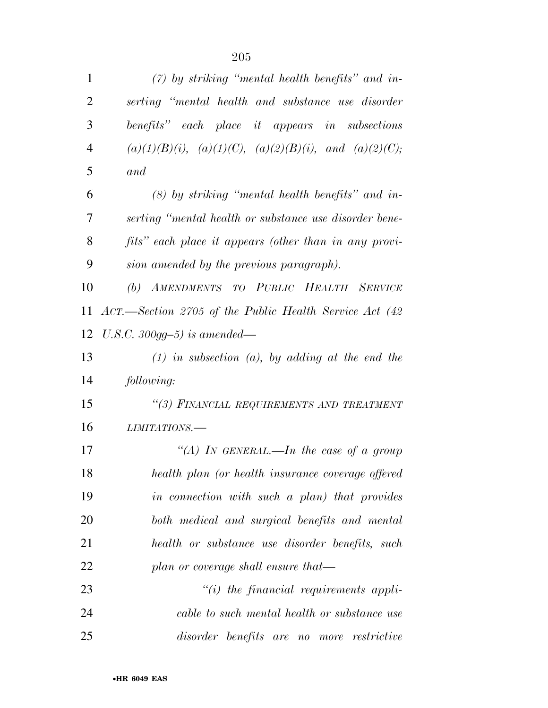| $\mathbf{1}$   | $(7)$ by striking "mental health benefits" and in-                |
|----------------|-------------------------------------------------------------------|
| $\overline{2}$ | serting "mental health and substance use disorder                 |
| 3              | benefits" each place it appears in subsections                    |
| $\overline{4}$ | $(a)(1)(B)(i)$ , $(a)(1)(C)$ , $(a)(2)(B)(i)$ , and $(a)(2)(C)$ ; |
| 5              | and                                                               |
| 6              | $(8)$ by striking "mental health benefits" and in-                |
| 7              | serting "mental health or substance use disorder bene-            |
| 8              | fits" each place it appears (other than in any provi-             |
| 9              | sion amended by the previous paragraph).                          |
| 10             | (b) AMENDMENTS TO PUBLIC HEALTH SERVICE                           |
| 11             | ACT.—Section 2705 of the Public Health Service Act (42)           |
| 12             | U.S.C. 300gg-5) is amended—                                       |
| 13             | $(1)$ in subsection $(a)$ , by adding at the end the              |
| 14             | following:                                                        |
| 15             | "(3) FINANCIAL REQUIREMENTS AND TREATMENT                         |
| 16             | LIMITATIONS.-                                                     |
| 17             | "(A) IN GENERAL.—In the case of a group                           |
| 18             | health plan (or health insurance coverage offered                 |
| 19             | in connection with such a plan) that provides                     |
| 20             | both medical and surgical benefits and mental                     |
| 21             | health or substance use disorder benefits, such                   |
| 22             | plan or coverage shall ensure that—                               |
| 23             | $\lq\lq(i)$ the financial requirements appli-                     |
| 24             | cable to such mental health or substance use                      |
| 25             | disorder benefits are no more<br>restrictive                      |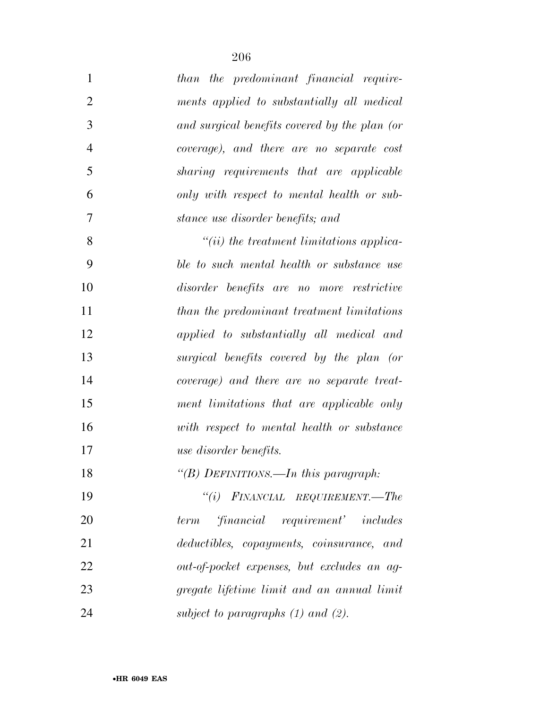| $\mathbf{1}$   | than the predominant financial require-       |
|----------------|-----------------------------------------------|
| $\overline{2}$ | ments applied to substantially all medical    |
| 3              | and surgical benefits covered by the plan (or |
| $\overline{4}$ | coverage), and there are no separate cost     |
| 5              | sharing requirements that are applicable      |
| 6              | only with respect to mental health or sub-    |
| 7              | stance use disorder benefits; and             |
| 8              | $``(ii)$ the treatment limitations applica-   |
| 9              | ble to such mental health or substance use    |
| 10             | disorder benefits are no more restrictive     |
| 11             | than the predominant treatment limitations    |
| 12             | applied to substantially all medical and      |
| 13             | surgical benefits covered by the plan (or     |
| 14             | coverage) and there are no separate treat-    |
| 15             | ment limitations that are applicable only     |
| 16             | with respect to mental health or substance    |
| 17             | use disorder benefits.                        |
| 18             | "(B) DEFINITIONS.—In this paragraph:          |
| 19             | "(i) $\Gamma$ INANCIAL REQUIREMENT.—The       |
| 20             | financial requirement' includes<br>term       |
| 21             | deductibles, copayments, coinsurance, and     |
| 22             | out-of-pocket expenses, but excludes an ag-   |
| 23             | gregate lifetime limit and an annual limit    |
| 24             | subject to paragraphs $(1)$ and $(2)$ .       |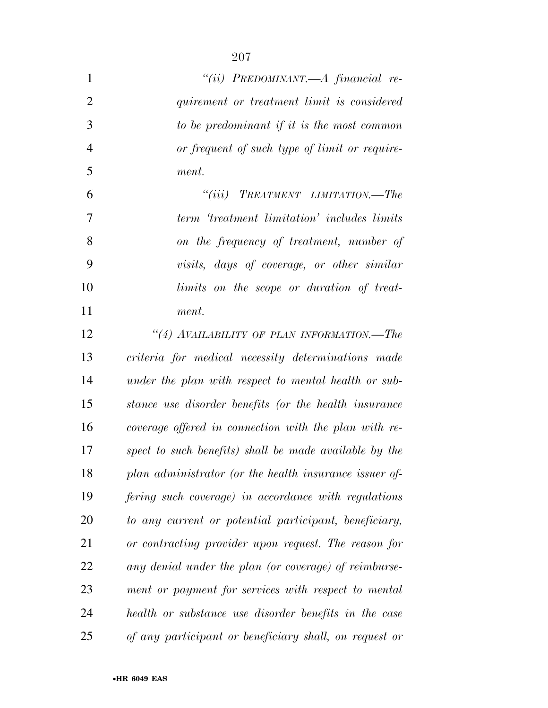| $\mathbf{1}$   | "(ii) PREDOMINANT.—A financial re-                     |
|----------------|--------------------------------------------------------|
| $\overline{2}$ | quirement or treatment limit is considered             |
| 3              | to be predominant if it is the most common             |
| $\overline{4}$ | or frequent of such type of limit or require-          |
| 5              | ment.                                                  |
| 6              | $``(iii)$ TREATMENT LIMITATION.—The                    |
| 7              | term 'treatment limitation' includes limits            |
| 8              | on the frequency of treatment, number of               |
| 9              | visits, days of coverage, or other similar             |
| 10             | limits on the scope or duration of treat-              |
| 11             | ment.                                                  |
| 12             | "(4) AVAILABILITY OF PLAN INFORMATION.—The             |
| 13             | criteria for medical necessity determinations made     |
| 14             | under the plan with respect to mental health or sub-   |
| 15             | stance use disorder benefits (or the health insurance  |
| 16             | coverage offered in connection with the plan with re-  |
| 17             | spect to such benefits) shall be made available by the |
| 18             | plan administrator (or the health insurance issuer of- |
| 19             | fering such coverage) in accordance with regulations   |
| 20             | to any current or potential participant, beneficiary,  |
| 21             | or contracting provider upon request. The reason for   |
| 22             | any denial under the plan (or coverage) of reimburse-  |
| 23             | ment or payment for services with respect to mental    |
| 24             | health or substance use disorder benefits in the case  |
| 25             | of any participant or beneficiary shall, on request or |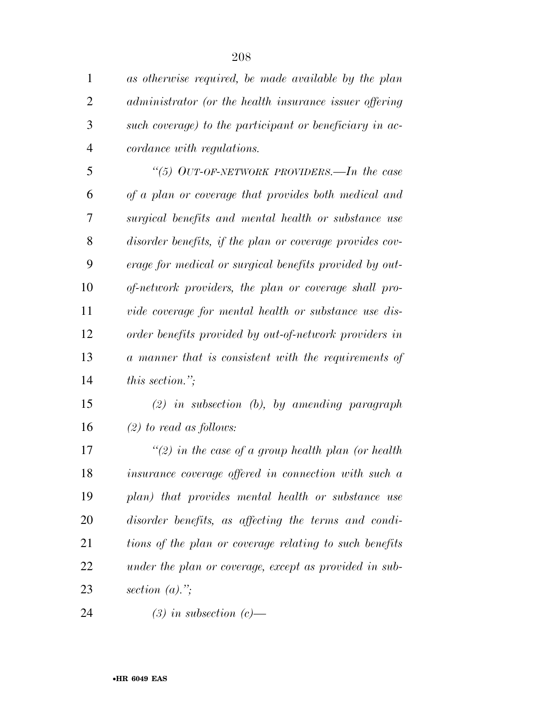*as otherwise required, be made available by the plan administrator (or the health insurance issuer offering such coverage) to the participant or beneficiary in ac-cordance with regulations.* 

 *''(5) OUT-OF-NETWORK PROVIDERS.—In the case of a plan or coverage that provides both medical and surgical benefits and mental health or substance use disorder benefits, if the plan or coverage provides cov- erage for medical or surgical benefits provided by out- of-network providers, the plan or coverage shall pro- vide coverage for mental health or substance use dis- order benefits provided by out-of-network providers in a manner that is consistent with the requirements of this section.'';* 

 *(2) in subsection (b), by amending paragraph (2) to read as follows:* 

 *''(2) in the case of a group health plan (or health insurance coverage offered in connection with such a plan) that provides mental health or substance use disorder benefits, as affecting the terms and condi- tions of the plan or coverage relating to such benefits under the plan or coverage, except as provided in sub-section (a).'';* 

*(3) in subsection (c)—*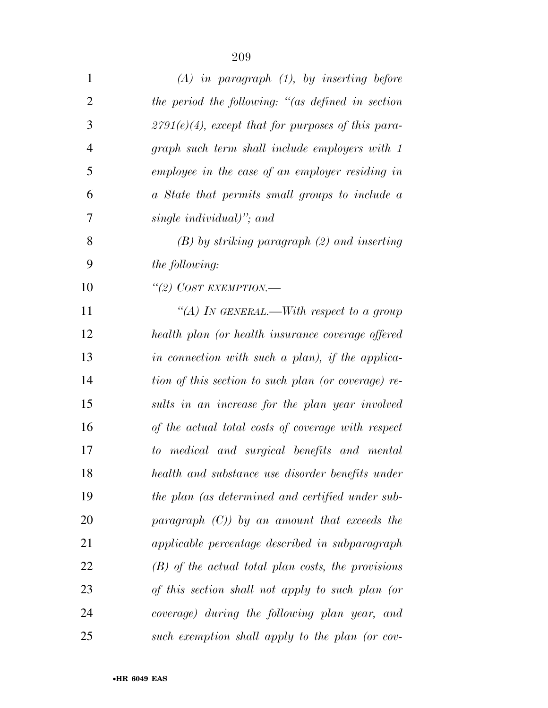| $\mathbf{1}$   | $(A)$ in paragraph $(1)$ , by inserting before        |
|----------------|-------------------------------------------------------|
| $\overline{2}$ | the period the following: "(as defined in section     |
| 3              | $2791(e)(4)$ , except that for purposes of this para- |
| 4              | graph such term shall include employers with 1        |
| 5              | employee in the case of an employer residing in       |
| 6              | a State that permits small groups to include a        |
| 7              | single individual)"; and                              |
| 8              | $(B)$ by striking paragraph $(2)$ and inserting       |
| 9              | <i>the following:</i>                                 |
| 10             | "(2) COST EXEMPTION.-                                 |
| 11             | "(A) IN GENERAL.—With respect to a group              |
| 12             | health plan (or health insurance coverage offered     |
| 13             | in connection with such a plan), if the applica-      |
| 14             | tion of this section to such plan (or coverage) re-   |
| 15             | sults in an increase for the plan year involved       |
| 16             | of the actual total costs of coverage with respect    |
| 17             | to medical and surgical benefits and mental           |
| 18             | health and substance use disorder benefits under      |
| 19             | the plan (as determined and certified under sub-      |
| 20             | paragraph $(C)$ ) by an amount that exceeds the       |
| 21             | applicable percentage described in subparagraph       |
| 22             | $(B)$ of the actual total plan costs, the provisions  |
| 23             | of this section shall not apply to such plan (or      |
| 24             | coverage) during the following plan year, and         |
| 25             | such exemption shall apply to the plan (or cov-       |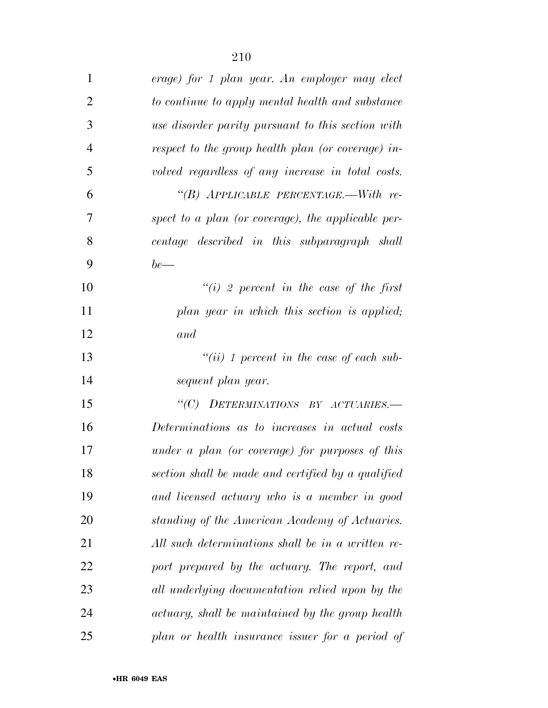| $\mathbf{1}$   | erage) for 1 plan year. An employer may elect      |
|----------------|----------------------------------------------------|
| $\overline{2}$ | to continue to apply mental health and substance   |
| 3              | use disorder parity pursuant to this section with  |
| $\overline{4}$ | respect to the group health plan (or coverage) in- |
| 5              | volved regardless of any increase in total costs.  |
| 6              | "(B) APPLICABLE PERCENTAGE.—With re-               |
| 7              | spect to a plan (or coverage), the applicable per- |
| 8              | centage described in this subparagraph shall       |
| 9              | $be$ —                                             |
| 10             | $``(i)$ 2 percent in the case of the first         |
| 11             | plan year in which this section is applied;        |
| 12             | and                                                |
| 13             | $``(ii)$ 1 percent in the case of each sub-        |
| 14             | sequent plan year.                                 |
| 15             | "(C) DETERMINATIONS BY ACTUARIES.-                 |
| 16             | Determinations as to increases in actual costs     |
| 17             | under a plan (or coverage) for purposes of this    |
| 18             | section shall be made and certified by a qualified |
| 19             | and licensed actuary who is a member in good       |
| 20             | standing of the American Academy of Actuaries.     |
| 21             | All such determinations shall be in a written re-  |
| 22             | port prepared by the actuary. The report, and      |
| 23             | all underlying documentation relied upon by the    |
| 24             | actuary, shall be maintained by the group health   |
| 25             | plan or health insurance issuer for a period of    |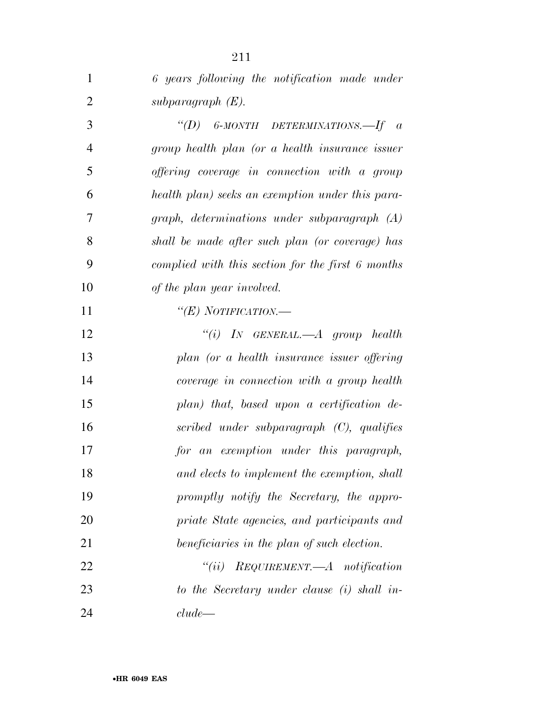| $\mathbf{1}$   | 6 years following the notification made under     |
|----------------|---------------------------------------------------|
| $\overline{2}$ | subparagraph $(E)$ .                              |
| 3              | "(D) 6-MONTH DETERMINATIONS.—If $\alpha$          |
| $\overline{4}$ | group health plan (or a health insurance issuer   |
| 5              | offering coverage in connection with a group      |
| 6              | health plan) seeks an exemption under this para-  |
| 7              | graph, determinations under subparagraph (A)      |
| 8              | shall be made after such plan (or coverage) has   |
| 9              | complied with this section for the first 6 months |
| 10             | of the plan year involved.                        |
| 11             | "(E) NOTIFICATION.—                               |
| 12             | "(i) IN GENERAL.—A group health                   |
| 13             | plan (or a health insurance issuer offering       |
| 14             | coverage in connection with a group health        |
| 15             | plan) that, based upon a certification de-        |
| 16             | scribed under subparagraph (C), qualifies         |
| 17             | for an exemption under this paragraph,            |
| 18             | and elects to implement the exemption, shall      |
| 19             | promptly notify the Secretary, the appro-         |
| 20             | priate State agencies, and participants and       |
| 21             | beneficiaries in the plan of such election.       |
| 22             | $``(ii)$ REQUIREMENT.—A notification              |
| 23             | to the Secretary under clause (i) shall in-       |
| 24             | clude                                             |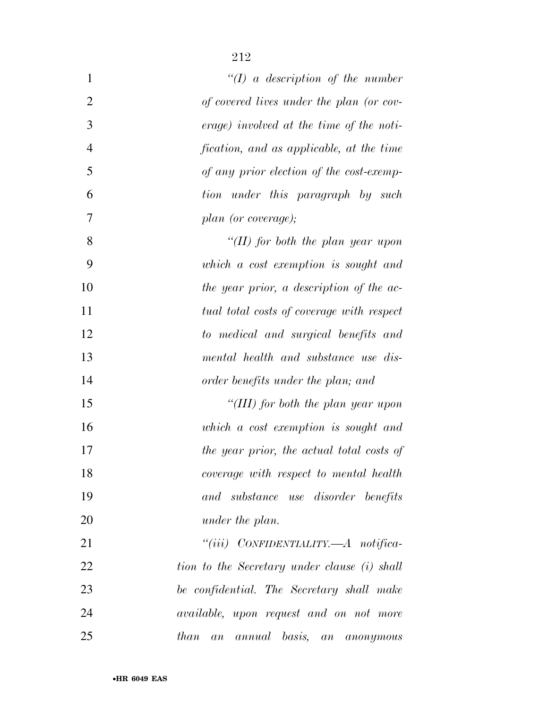| $\mathbf{1}$   | $\lq (I)$ a description of the number               |
|----------------|-----------------------------------------------------|
| $\overline{2}$ | of covered lives under the plan (or cov-            |
| 3              | erage) involved at the time of the noti-            |
| $\overline{4}$ | fication, and as applicable, at the time            |
| 5              | of any prior election of the cost-exemp-            |
| 6              | tion under this paragraph by such                   |
| $\tau$         | plan (or coverage);                                 |
| 8              | "(II) for both the plan year upon                   |
| 9              | which a cost exemption is sought and                |
| 10             | the year prior, a description of the ac-            |
| 11             | tual total costs of coverage with respect           |
| 12             | to medical and surgical benefits and                |
| 13             | mental health and substance use dis-                |
| 14             | order benefits under the plan; and                  |
| 15             | "(III) for both the plan year upon                  |
| 16             | which a cost exemption is sought and                |
| 17             | the year prior, the actual total costs of           |
| 18             | coverage with respect to mental health              |
| 19             | and substance use disorder benefits                 |
| 20             | under the plan.                                     |
| 21             | "(iii) CONFIDENTIALITY.— $A$ notifica-              |
| 22             | tion to the Secretary under clause (i) shall        |
| 23             | be confidential. The Secretary shall make           |
| 24             | <i>available</i> , upon request and on not more     |
| 25             | annual basis, an<br><i>than</i><br>a n<br>anonymous |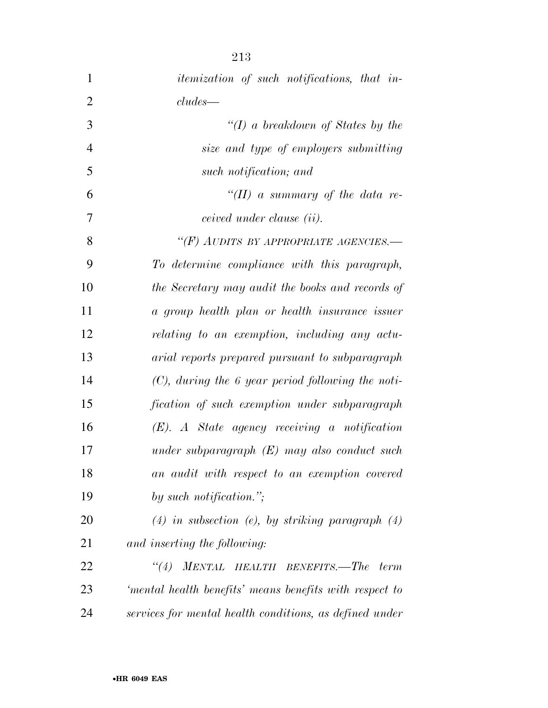| $\mathbf{1}$   | <i>itemization of such notifications, that in-</i>      |
|----------------|---------------------------------------------------------|
| $\overline{2}$ | $cludes$ —                                              |
| 3              | "(I) a breakdown of States by the                       |
| $\overline{4}$ | size and type of employers submitting                   |
| 5              | such notification; and                                  |
| 6              | "(II) a summary of the data re-                         |
| 7              | ceived under clause (ii).                               |
| 8              | "(F) AUDITS BY APPROPRIATE AGENCIES.-                   |
| 9              | To determine compliance with this paragraph,            |
| 10             | the Secretary may audit the books and records of        |
| 11             | a group health plan or health insurance issuer          |
| 12             | relating to an exemption, including any actu-           |
| 13             | arial reports prepared pursuant to subparagraph         |
| 14             | $(C)$ , during the 6 year period following the noti-    |
| 15             | fication of such exemption under subparagraph           |
| 16             | $(E)$ . A State agency receiving a notification         |
| 17             | under subparagraph $(E)$ may also conduct such          |
| 18             | an audit with respect to an exemption covered           |
| 19             | by such notification.";                                 |
| 20             | $(4)$ in subsection (e), by striking paragraph $(4)$    |
| 21             | and inserting the following:                            |
| 22             | ``(4)<br>MENTAL HEALTH BENEFITS.-The<br>term            |
| 23             | 'mental health benefits' means benefits with respect to |
| 24             | services for mental health conditions, as defined under |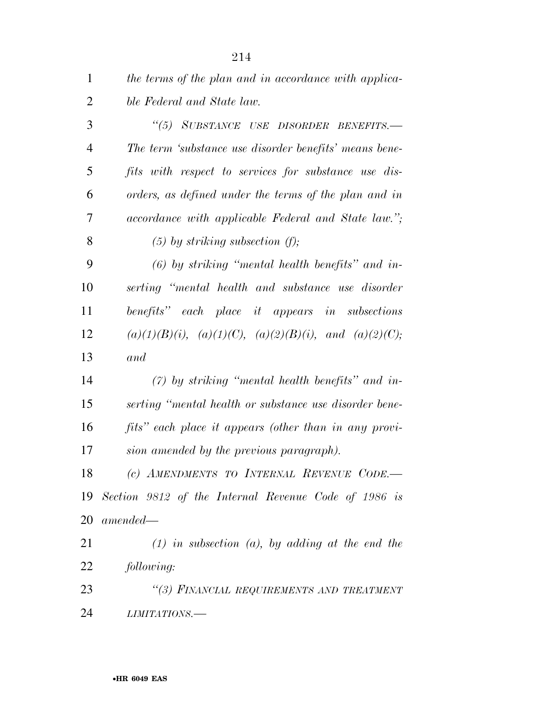| $\mathbf{1}$   | the terms of the plan and in accordance with applica-             |
|----------------|-------------------------------------------------------------------|
| $\overline{2}$ | ble Federal and State law.                                        |
| 3              | "(5) SUBSTANCE USE DISORDER BENEFITS.-                            |
| $\overline{4}$ | The term 'substance use disorder benefits' means bene-            |
| 5              | fits with respect to services for substance use dis-              |
| 6              | orders, as defined under the terms of the plan and in             |
| 7              | accordance with applicable Federal and State law.";               |
| 8              | $(5)$ by striking subsection $(f)$ ;                              |
| 9              | $(6)$ by striking "mental health benefits" and in-                |
| 10             | serting "mental health and substance use disorder                 |
| 11             | benefits" each place it appears in subsections                    |
| 12             | $(a)(1)(B)(i)$ , $(a)(1)(C)$ , $(a)(2)(B)(i)$ , and $(a)(2)(C)$ ; |
| 13             | and                                                               |
| 14             | $(7)$ by striking "mental health benefits" and in-                |
| 15             | serting "mental health or substance use disorder bene-            |
| 16             | fits" each place it appears (other than in any provi-             |
| 17             | sion amended by the previous paragraph).                          |
| 18             | (c) AMENDMENTS TO INTERNAL REVENUE CODE.                          |
| 19             | Section 9812 of the Internal Revenue Code of 1986 is              |
| 20             | $amended -$                                                       |
| 21             | $(1)$ in subsection $(a)$ , by adding at the end the              |
| 22             | following:                                                        |
| 23             | "(3) FINANCIAL REQUIREMENTS AND TREATMENT                         |
| 24             | LIMITATIONS.-                                                     |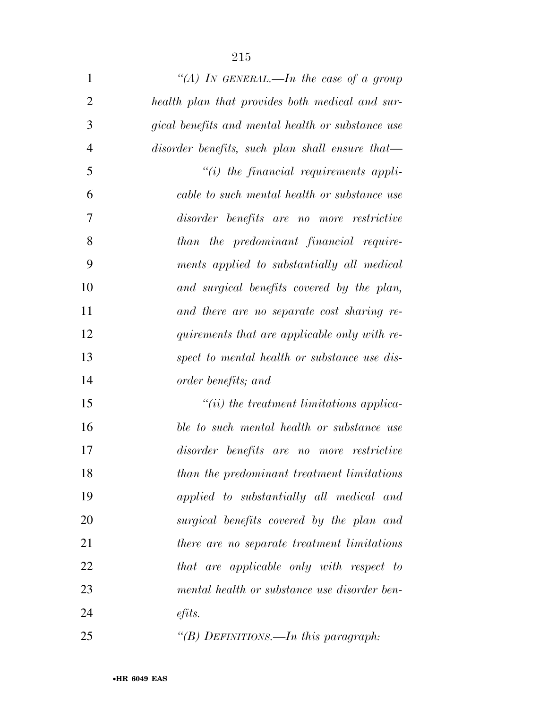| $\mathbf{1}$   | "(A) IN GENERAL.—In the case of a group           |
|----------------|---------------------------------------------------|
| $\overline{2}$ | health plan that provides both medical and sur-   |
| 3              | gical benefits and mental health or substance use |
| $\overline{4}$ | disorder benefits, such plan shall ensure that—   |
| 5              | $"(i)$ the financial requirements appli-          |
| 6              | cable to such mental health or substance use      |
| 7              | disorder benefits are no more restrictive         |
| 8              | than the predominant financial require-           |
| 9              | ments applied to substantially all medical        |
| 10             | and surgical benefits covered by the plan,        |
| 11             | and there are no separate cost sharing re-        |
| 12             | quirements that are applicable only with re-      |
| 13             | spect to mental health or substance use dis-      |
| 14             | order benefits; and                               |
| 15             | $``(ii)$ the treatment limitations applica-       |
| 16             | ble to such mental health or substance use        |
| 17             | disorder benefits are no more restrictive         |
| 18             | than the predominant treatment limitations        |
| 19             | applied to substantially all medical and          |
| 20             | surgical benefits covered by the plan and         |
| 21             | there are no separate treatment limitations       |
| 22             | that are applicable only with respect to          |
| 23             | mental health or substance use disorder ben-      |
| 24             | $\ell$ <i>fits.</i>                               |

*''(B) DEFINITIONS.—In this paragraph:*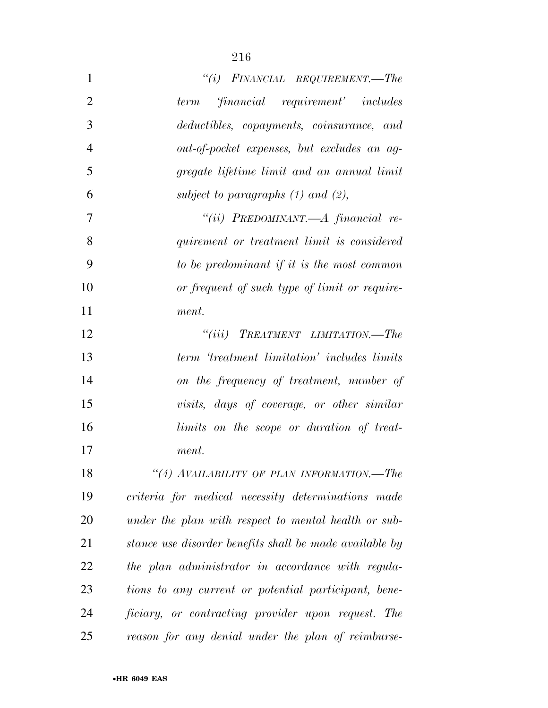| $\mathbf{1}$   | $``(i)$ FINANCIAL REQUIREMENT.—The                      |
|----------------|---------------------------------------------------------|
| $\overline{2}$ | financial requirement' includes<br>term                 |
| 3              | deductibles, copayments, coinsurance, and               |
| $\overline{4}$ | out-of-pocket expenses, but excludes an ag-             |
| 5              | gregate lifetime limit and an annual limit              |
| 6              | subject to paragraphs $(1)$ and $(2)$ ,                 |
| 7              | "(ii) PREDOMINANT.—A financial re-                      |
| 8              | quirement or treatment limit is considered              |
| 9              | to be predominant if it is the most common              |
| 10             | or frequent of such type of limit or require-           |
| 11             | ment.                                                   |
| 12             | $``(iii)$ TREATMENT LIMITATION.—The                     |
| 13             | term 'treatment limitation' includes limits             |
| 14             | on the frequency of treatment, number of                |
| 15             | visits, days of coverage, or other similar              |
| 16             | limits on the scope or duration of treat-               |
| 17             | ment.                                                   |
| 18             | "(4) AVAILABILITY OF PLAN INFORMATION.-The              |
| 19             | criteria for medical necessity determinations made      |
| 20             | under the plan with respect to mental health or sub-    |
| 21             | stance use disorder benefits shall be made available by |
| 22             | the plan administrator in accordance with regula-       |
| 23             | tions to any current or potential participant, bene-    |
| 24             | ficiary, or contracting provider upon request. The      |
| 25             | reason for any denial under the plan of reimburse-      |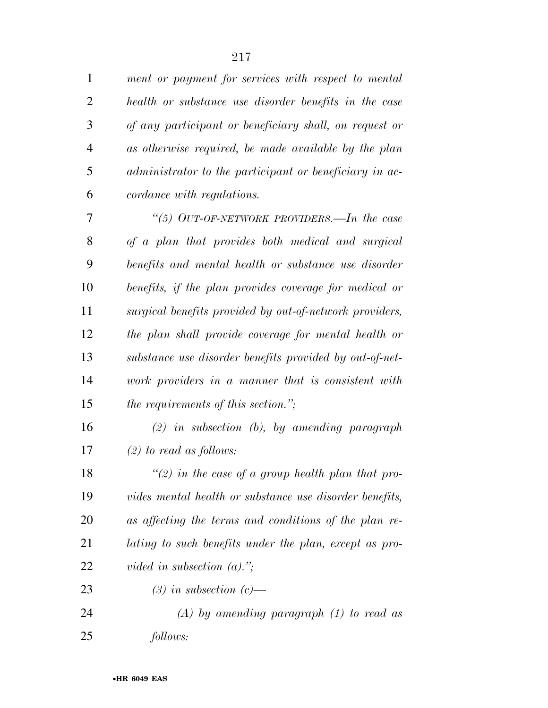*ment or payment for services with respect to mental health or substance use disorder benefits in the case of any participant or beneficiary shall, on request or as otherwise required, be made available by the plan administrator to the participant or beneficiary in ac-cordance with regulations.* 

 *''(5) OUT-OF-NETWORK PROVIDERS.—In the case of a plan that provides both medical and surgical benefits and mental health or substance use disorder benefits, if the plan provides coverage for medical or surgical benefits provided by out-of-network providers, the plan shall provide coverage for mental health or substance use disorder benefits provided by out-of-net- work providers in a manner that is consistent with the requirements of this section.'';* 

 *(2) in subsection (b), by amending paragraph (2) to read as follows:* 

 *''(2) in the case of a group health plan that pro- vides mental health or substance use disorder benefits, as affecting the terms and conditions of the plan re- lating to such benefits under the plan, except as pro-vided in subsection (a).'';* 

*(3) in subsection (c)—* 

 *(A) by amending paragraph (1) to read as follows:*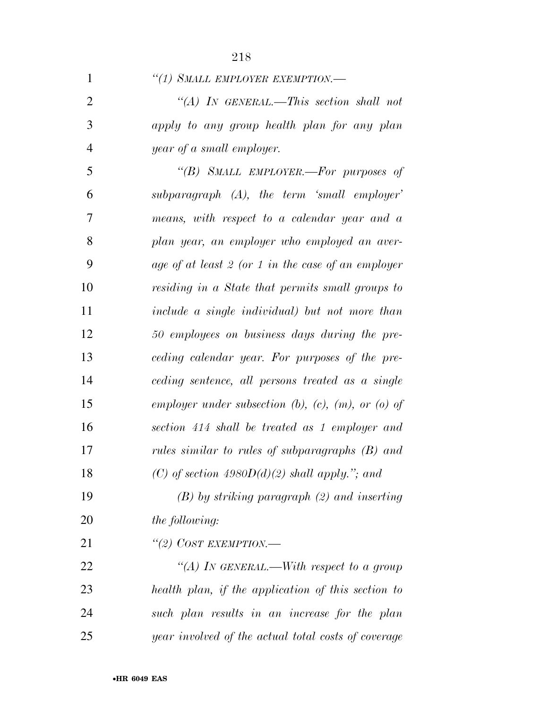|                | 210                                                           |
|----------------|---------------------------------------------------------------|
| 1              | "(1) SMALL EMPLOYER EXEMPTION.-                               |
| $\overline{2}$ | "(A) IN GENERAL.—This section shall not                       |
| 3              | apply to any group health plan for any plan                   |
| $\overline{4}$ | year of a small employer.                                     |
| 5              | "(B) SMALL EMPLOYER.—For purposes of                          |
| 6              | $subparagnph$ $(A)$ , the term 'small employer'               |
| 7              | means, with respect to a calendar year and a                  |
| 8              | plan year, an employer who employed an aver-                  |
| 9              | age of at least 2 (or 1 in the case of an employer            |
| 10             | residing in a State that permits small groups to              |
| 11             | include a single individual) but not more than                |
| 12             | 50 employees on business days during the pre-                 |
| 13             | ceding calendar year. For purposes of the pre-                |
| 14             | ceding sentence, all persons treated as a single              |
| 15             | employer under subsection $(b)$ , $(c)$ , $(m)$ , or $(a)$ of |
|                |                                                               |

 *employer under subsection (b), (c), (m), or (o) of section 414 shall be treated as 1 employer and rules similar to rules of subparagraphs (B) and (C) of section 4980D(d)(2) shall apply.''; and* 

 *(B) by striking paragraph (2) and inserting the following:* 

*''(2) COST EXEMPTION.—* 

 *''(A) IN GENERAL.—With respect to a group health plan, if the application of this section to such plan results in an increase for the plan year involved of the actual total costs of coverage*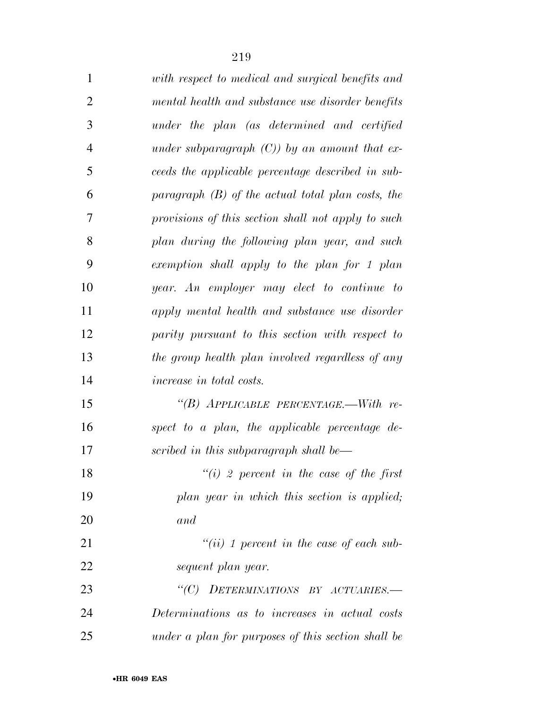| $\mathbf{1}$   | with respect to medical and surgical benefits and   |
|----------------|-----------------------------------------------------|
| $\overline{2}$ | mental health and substance use disorder benefits   |
| 3              | under the plan (as determined and certified         |
| $\overline{4}$ | under subparagraph $(C)$ ) by an amount that ex-    |
| 5              | ceeds the applicable percentage described in sub-   |
| 6              | paragraph $(B)$ of the actual total plan costs, the |
| 7              | provisions of this section shall not apply to such  |
| 8              | plan during the following plan year, and such       |
| 9              | exemption shall apply to the plan for 1 plan        |
| 10             | year. An employer may elect to continue to          |
| 11             | apply mental health and substance use disorder      |
| 12             | parity pursuant to this section with respect to     |
| 13             | the group health plan involved regardless of any    |
| 14             | <i>increase in total costs.</i>                     |
| 15             | "(B) APPLICABLE PERCENTAGE.—With re-                |
| 16             | spect to a plan, the applicable percentage de-      |
| 17             | scribed in this subparagraph shall be—              |
| 18             | $\lq\lq(i)$ 2 percent in the case of the first      |
| 19             | plan year in which this section is applied;         |
| 20             | and                                                 |
| 21             | $``(ii)$ 1 percent in the case of each sub-         |
| 22             | sequent plan year.                                  |
| 23             | "(C) DETERMINATIONS BY ACTUARIES.-                  |
| 24             | Determinations as to increases in actual costs      |
| 25             | under a plan for purposes of this section shall be  |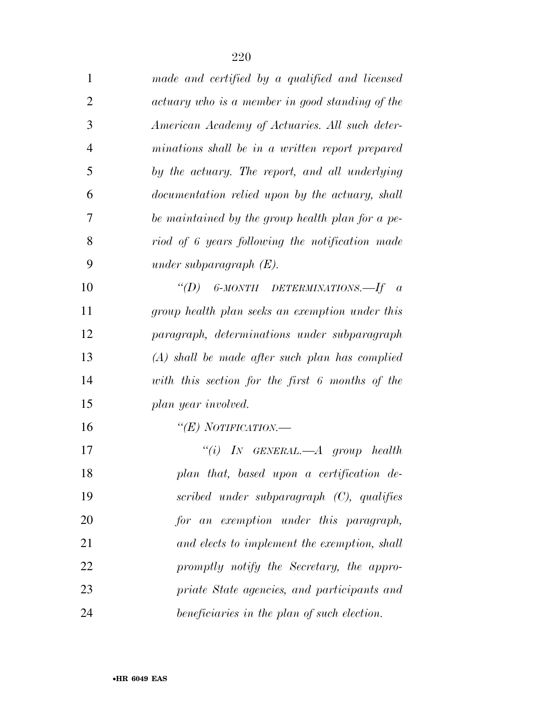| $\mathbf{1}$   | made and certified by a qualified and licensed   |
|----------------|--------------------------------------------------|
| $\overline{2}$ | actuary who is a member in good standing of the  |
| 3              | American Academy of Actuaries. All such deter-   |
| $\overline{4}$ | minations shall be in a written report prepared  |
| 5              | by the actuary. The report, and all underlying   |
| 6              | documentation relied upon by the actuary, shall  |
| 7              | be maintained by the group health plan for a pe- |
| 8              | riod of 6 years following the notification made  |
| 9              | under subparagraph $(E)$ .                       |
| 10             | "(D) 6-MONTH DETERMINATIONS.—If $a$              |
| 11             | group health plan seeks an exemption under this  |
| 12             | paragraph, determinations under subparagraph     |
| 13             | $(A)$ shall be made after such plan has complied |
| 14             | with this section for the first 6 months of the  |
| 15             | plan year involved.                              |
| 16             | " $(E)$ NOTIFICATION.—                           |
| 17             | "(i) IN GENERAL.— $A$ group health               |
| 18             | plan that, based upon a certification de-        |
| 19             | scribed under subparagraph $(C)$ , qualifies     |
| 20             | for an exemption under this paragraph,           |
| 21             | and elects to implement the exemption, shall     |
| 22             | promptly notify the Secretary, the appro-        |
| 23             | priate State agencies, and participants and      |
| 24             | beneficiaries in the plan of such election.      |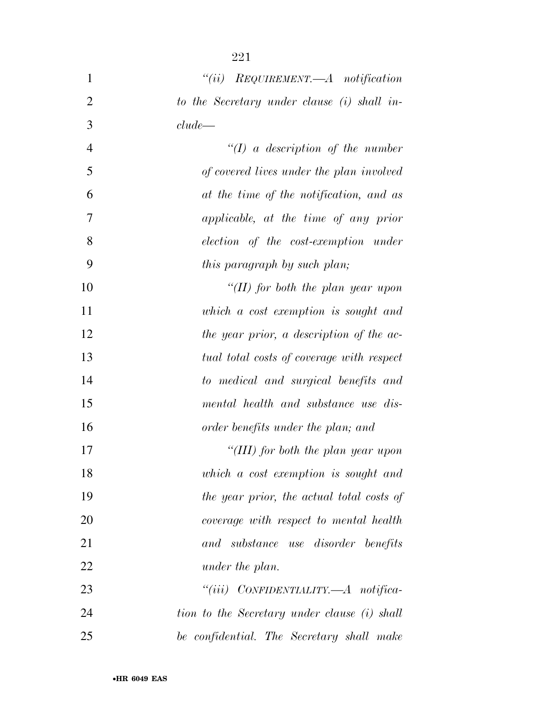| $\mathbf{1}$   | $``(ii)$ REQUIREMENT.—A notification         |
|----------------|----------------------------------------------|
| $\overline{2}$ | to the Secretary under clause (i) shall in-  |
| 3              | clude                                        |
| $\overline{4}$ | $\lq (I)$ a description of the number        |
| 5              | of covered lives under the plan involved     |
| 6              | at the time of the notification, and as      |
| 7              | applicable, at the time of any prior         |
| 8              | election of the cost-exemption under         |
| 9              | this paragraph by such plan;                 |
| 10             | "(II) for both the plan year upon            |
| 11             | which a cost exemption is sought and         |
| 12             | the year prior, a description of the ac-     |
| 13             | tual total costs of coverage with respect    |
| 14             | to medical and surgical benefits and         |
| 15             | mental health and substance use dis-         |
| 16             | order benefits under the plan; and           |
| 17             | "(III) for both the plan year upon           |
| 18             | which a cost exemption is sought and         |
| 19             | the year prior, the actual total costs of    |
| 20             | coverage with respect to mental health       |
| 21             | and substance use disorder benefits          |
| 22             | under the plan.                              |
| 23             | "(iii) $CONFIDENTIALITY. - A$ notifica-      |
| 24             | tion to the Secretary under clause (i) shall |
| 25             | be confidential. The Secretary shall make    |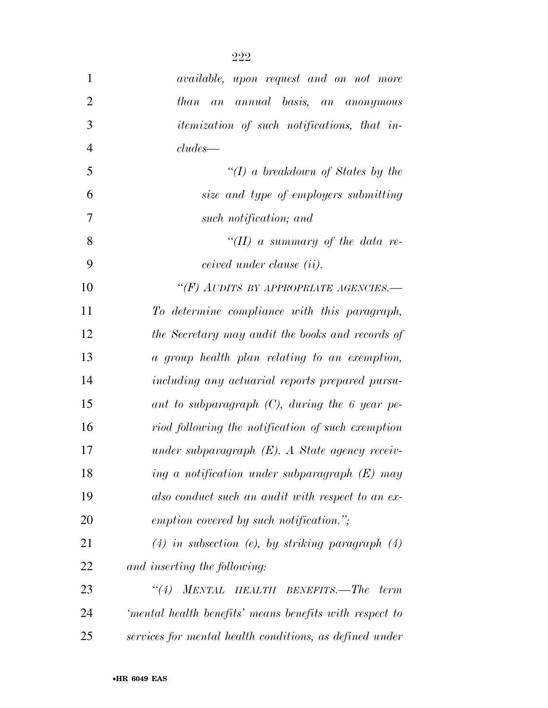| $\mathbf{1}$   | available, upon request and on not more                   |
|----------------|-----------------------------------------------------------|
| $\overline{2}$ | annual basis, an anonymous<br>than<br>a n                 |
| 3              | <i>itemization of such notifications, that in-</i>        |
| $\overline{4}$ | $cludes$ —                                                |
| 5              | " $(I)$ a breakdown of States by the                      |
| 6              | size and type of employers submitting                     |
| 7              | such notification; and                                    |
| 8              | "(II) a summary of the data re-                           |
| 9              | ceived under clause (ii).                                 |
| 10             | "(F) AUDITS BY APPROPRIATE AGENCIES.-                     |
| 11             | To determine compliance with this paragraph,              |
| 12             | the Secretary may audit the books and records of          |
| 13             | a group health plan relating to an exemption,             |
| 14             | including any actuarial reports prepared pursu-           |
| 15             | ant to subparagraph $(C)$ , during the 6 year pe-         |
| 16             | riod following the notification of such exemption         |
| 17             | under subparagraph $(E)$ . A State agency receiv-         |
| 18             | ing a notification under subparagraph $(E)$ may           |
| 19             | also conduct such an audit with respect to an ex-         |
| 20             | emption covered by such notification.";                   |
| 21             | $(4)$ in subsection (e), by striking paragraph $(4)$      |
| 22             | and inserting the following:                              |
| 23             | <b>MENTAL</b><br>HEALTH BENEFITS.—The<br>$\lq(4)$<br>term |
| 24             | 'mental health benefits' means benefits with respect to   |
| 25             | services for mental health conditions, as defined under   |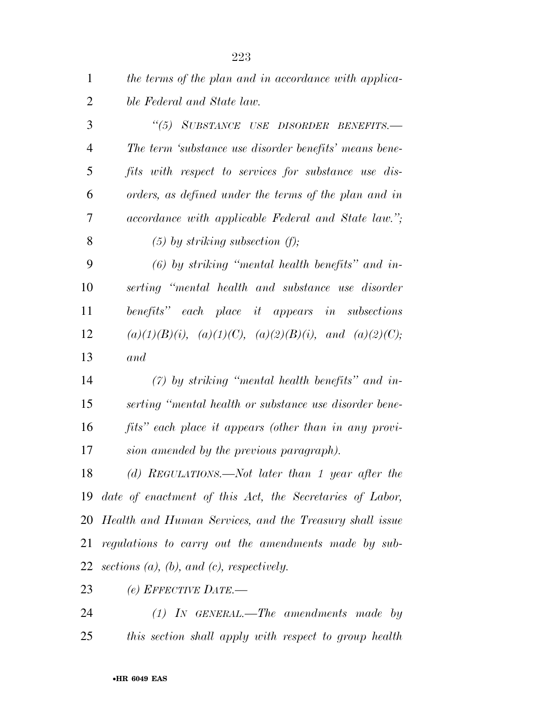| $\mathbf{1}$   | the terms of the plan and in accordance with applica-             |
|----------------|-------------------------------------------------------------------|
| $\overline{2}$ | ble Federal and State law.                                        |
| 3              | "(5) SUBSTANCE USE DISORDER BENEFITS.-                            |
| $\overline{4}$ | The term 'substance use disorder benefits' means bene-            |
| 5              | fits with respect to services for substance use dis-              |
| 6              | orders, as defined under the terms of the plan and in             |
| $\tau$         | accordance with applicable Federal and State law.";               |
| 8              | $(5)$ by striking subsection $(f)$ ;                              |
| 9              | $(6)$ by striking "mental health benefits" and in-                |
| 10             | serting "mental health and substance use disorder                 |
| 11             | benefits" each place it appears in subsections                    |
| 12             | $(a)(1)(B)(i)$ , $(a)(1)(C)$ , $(a)(2)(B)(i)$ , and $(a)(2)(C)$ ; |
| 13             | and                                                               |
| 14             | $(7)$ by striking "mental health benefits" and in-                |
| 15             | serting "mental health or substance use disorder bene-            |
| 16             | fits" each place it appears (other than in any provi-             |
| 17             | sion amended by the previous paragraph).                          |
| 18             | $(d)$ REGULATIONS.—Not later than 1 year after the                |
| 19             | date of enactment of this Act, the Secretaries of Labor,          |
|                | 20 Health and Human Services, and the Treasury shall issue        |

 *regulations to carry out the amendments made by sub-sections (a), (b), and (c), respectively.* 

*(e) EFFECTIVE DATE.—* 

 *(1) IN GENERAL.—The amendments made by this section shall apply with respect to group health*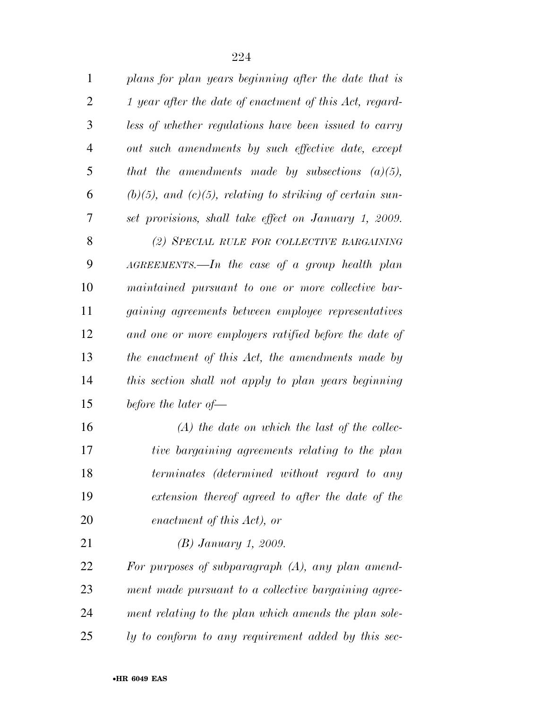| $\mathbf{1}$ | plans for plan years beginning after the date that is   |
|--------------|---------------------------------------------------------|
| 2            | 1 year after the date of enactment of this Act, regard- |
|              | less of whether regulations have been issued to carry   |

 *that the amendments made by subsections (a)(5), (b)(5), and (c)(5), relating to striking of certain sun- set provisions, shall take effect on January 1, 2009. (2) SPECIAL RULE FOR COLLECTIVE BARGAINING AGREEMENTS.—In the case of a group health plan maintained pursuant to one or more collective bar- gaining agreements between employee representatives and one or more employers ratified before the date of the enactment of this Act, the amendments made by this section shall not apply to plan years beginning before the later of—* 

 *(A) the date on which the last of the collec- tive bargaining agreements relating to the plan terminates (determined without regard to any extension thereof agreed to after the date of the enactment of this Act), or* 

*(B) January 1, 2009.* 

 *For purposes of subparagraph (A), any plan amend- ment made pursuant to a collective bargaining agree- ment relating to the plan which amends the plan sole-ly to conform to any requirement added by this sec-*

*out such amendments by such effective date, except*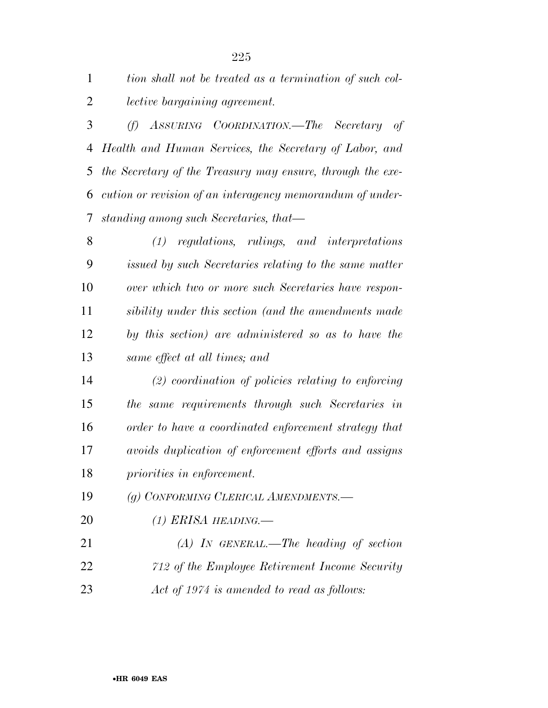| 1              | tion shall not be treated as a termination of such col-    |
|----------------|------------------------------------------------------------|
| $\overline{2}$ | <i>lective bargaining agreement.</i>                       |
| 3              | (f) ASSURING COORDINATION.—The Secretary of                |
| 4              | Health and Human Services, the Secretary of Labor, and     |
| 5              | the Secretary of the Treasury may ensure, through the exe- |
| 6              | cution or revision of an interagency memorandum of under-  |
| 7              | standing among such Secretaries, that—                     |
| 8              | (1) regulations, rulings, and interpretations              |
| 9              | issued by such Secretaries relating to the same matter     |
| 10             | over which two or more such Secretaries have respon-       |
| 11             | sibility under this section (and the amendments made       |
| 12             | by this section) are administered so as to have the        |
| 13             | same effect at all times; and                              |
| 14             | $(2)$ coordination of policies relating to enforcing       |
| 15             | the same requirements through such Secretaries in          |
| 16             | order to have a coordinated enforcement strategy that      |
| 17             | avoids duplication of enforcement efforts and assigns      |
| 18             | priorities in enforcement.                                 |
| 19             | (g) CONFORMING CLERICAL AMENDMENTS.-                       |
| 20             | $(1)$ ERISA HEADING.—                                      |
| 21             | $(A)$ In GENERAL.—The heading of section                   |
| 22             | 712 of the Employee Retirement Income Security             |

*Act of 1974 is amended to read as follows:*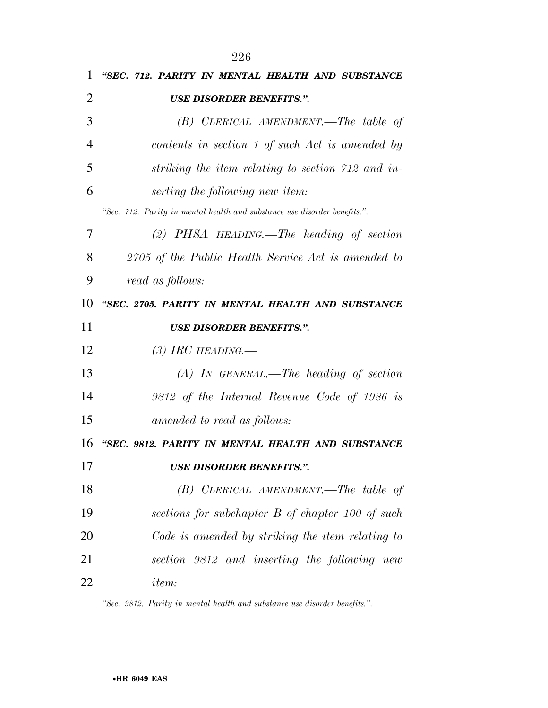| T.             | <i>(12. PARILI II) MENIAL HEALIH AND SUBSIANCE</i>                        |
|----------------|---------------------------------------------------------------------------|
| $\overline{2}$ | <b>USE DISORDER BENEFITS.".</b>                                           |
| 3              | $(B)$ CLERICAL AMENDMENT.—The table of                                    |
| $\overline{4}$ | contents in section 1 of such Act is amended by                           |
| 5              | striking the item relating to section 712 and in-                         |
| 6              | serting the following new item:                                           |
|                | "Sec. 712. Parity in mental health and substance use disorder benefits.". |
| 7              | $(2)$ PHSA HEADING. The heading of section                                |
| 8              | 2705 of the Public Health Service Act is amended to                       |
| 9              | read as follows:                                                          |
| 10             | "SEC. 2705. PARITY IN MENTAL HEALTH AND SUBSTANCE                         |
| 11             | <b>USE DISORDER BENEFITS.".</b>                                           |
| 12             | (3) IRC HEADING.—                                                         |
| 13             | $(A)$ In GENERAL.—The heading of section                                  |
| 14             | 9812 of the Internal Revenue Code of 1986 is                              |
| 15             | amended to read as follows:                                               |
| 16             | "SEC. 9812. PARITY IN MENTAL HEALTH AND SUBSTANCE                         |
| 17             | <b>USE DISORDER BENEFITS.".</b>                                           |
| 18             | $(B)$ CLERICAL AMENDMENT.—The table of                                    |
| 19             | sections for subchapter B of chapter 100 of such                          |
| 20             | Code is amended by striking the item relating to                          |
| 21             | section 9812 and inserting the following new                              |
| 22             | <i>item:</i>                                                              |
|                |                                                                           |

*''Sec. 9812. Parity in mental health and substance use disorder benefits.''.*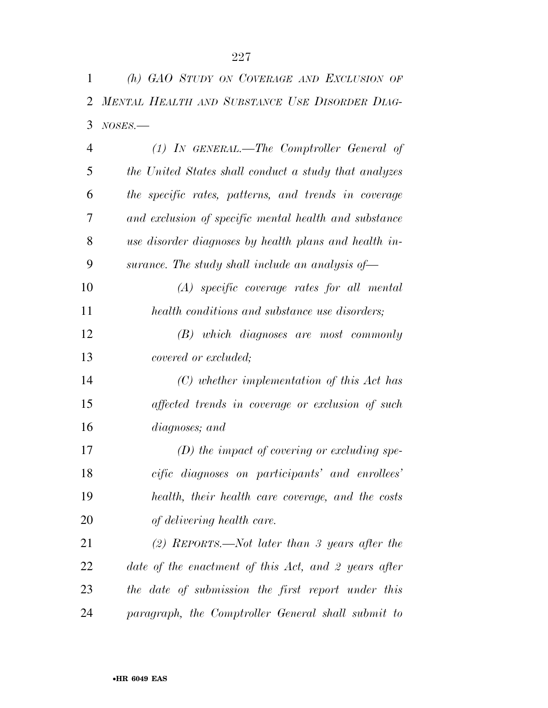| 1              | (h) GAO STUDY ON COVERAGE AND EXCLUSION OF            |
|----------------|-------------------------------------------------------|
| $\overline{2}$ | MENTAL HEALTH AND SUBSTANCE USE DISORDER DIAG-        |
| 3              | $NOSES$ .                                             |
| $\overline{4}$ | (1) IN GENERAL.—The Comptroller General of            |
| 5              | the United States shall conduct a study that analyzes |
| 6              | the specific rates, patterns, and trends in coverage  |
| 7              | and exclusion of specific mental health and substance |
| 8              | use disorder diagnoses by health plans and health in- |
| 9              | surance. The study shall include an analysis of $-$   |
| 10             | $(A)$ specific coverage rates for all mental          |
| 11             | health conditions and substance use disorders;        |
| 12             | $(B)$ which diagnoses are most commonly               |
| 13             | <i>covered or excluded;</i>                           |
| 14             | $(C)$ whether implementation of this Act has          |
| 15             | affected trends in coverage or exclusion of such      |
| 16             | diagnoses; and                                        |
| 17             | $(D)$ the impact of covering or excluding spe-        |
| 18             | cific diagnoses on participants' and enrollees'       |
| 19             | health, their health care coverage, and the costs     |
| 20             | of delivering health care.                            |
| 21             | (2) REPORTS.—Not later than 3 years after the         |
| 22             | date of the enactment of this Act, and 2 years after  |
| 23             | the date of submission the first report under this    |
| 24             | paragraph, the Comptroller General shall submit to    |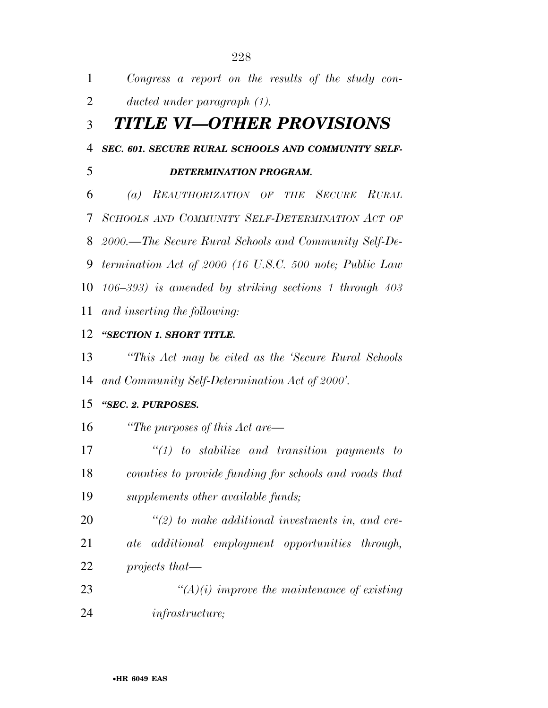| 1              | Congress a report on the results of the study con-          |
|----------------|-------------------------------------------------------------|
| $\overline{2}$ | ducted under paragraph $(1)$ .                              |
| 3              | TITLE VI—OTHER PROVISIONS                                   |
| $\overline{4}$ | SEC. 601. SECURE RURAL SCHOOLS AND COMMUNITY SELF-          |
| 5              | DETERMINATION PROGRAM.                                      |
| 6              | REAUTHORIZATION OF THE SECURE RURAL<br>$\left( a\right)$    |
| 7              | SCHOOLS AND COMMUNITY SELF-DETERMINATION ACT OF             |
| 8              | 2000.—The Secure Rural Schools and Community Self-De-       |
| 9              | termination Act of 2000 (16 U.S.C. 500 note; Public Law     |
| 10             | $(106-393)$ is amended by striking sections 1 through $403$ |
| 11             | and inserting the following:                                |
| 12             | "SECTION 1. SHORT TITLE.                                    |
| 13             | "This Act may be cited as the 'Secure Rural Schools'        |
| 14             | and Community Self-Determination Act of 2000'.              |
| 15             | "SEC. 2. PURPOSES.                                          |
| 16             | "The purposes of this $Act$ are—                            |
| 17             | $\lq(1)$ to stabilize and transition payments to            |
| 18             | counties to provide funding for schools and roads that      |
| 19             | supplements other available funds;                          |
| 20             | $\lq(2)$ to make additional investments in, and cre-        |
| 21             | ate additional employment opportunities through,            |
| 22             | projects that—                                              |
| 23             | $\lq (A)(i)$ improve the maintenance of existing            |
| 24             | <i>infrastructure</i> ;                                     |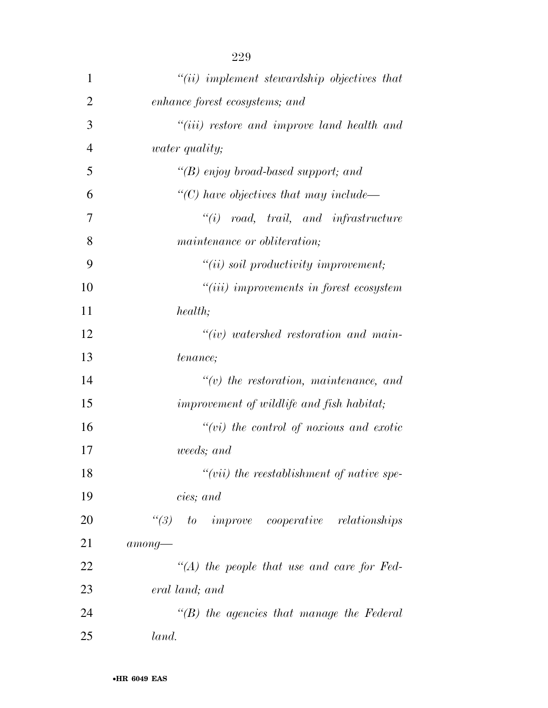| 1              | $"(ii)$ implement stewardship objectives that                   |
|----------------|-----------------------------------------------------------------|
| $\overline{2}$ | enhance forest ecosystems; and                                  |
| 3              | "(iii) restore and improve land health and                      |
| $\overline{4}$ | <i>water quality;</i>                                           |
| 5              | $\lq\lq(B)$ enjoy broad-based support; and                      |
| 6              | "(C) have objectives that may include—                          |
| 7              | $``(i) \quad road, \quad trail, \quad and \quad infrastructure$ |
| 8              | maintenance or obliteration;                                    |
| 9              | $"(ii)$ soil productivity improvement;                          |
| 10             | "(iii) improvements in forest ecosystem                         |
| 11             | health;                                                         |
| 12             | $``(iv)$ watershed restoration and main-                        |
| 13             | tenance;                                                        |
| 14             | $\tilde{f}(v)$ the restoration, maintenance, and                |
| 15             | improvement of wildlife and fish habitat;                       |
| 16             | $``(vi)$ the control of noxious and exotic                      |
| 17             | weeds; and                                                      |
| 18             | $``(vii)$ the reestablishment of native spe-                    |
| 19             | cies; and                                                       |
| 20             | $\lq(3)$ to improve cooperative relationships                   |
| 21             | $among-$                                                        |
| 22             | $\lq (A)$ the people that use and care for Fed-                 |
| 23             | eral land; and                                                  |
| 24             | $\lq\lq(B)$ the agencies that manage the Federal                |
| 25             | land.                                                           |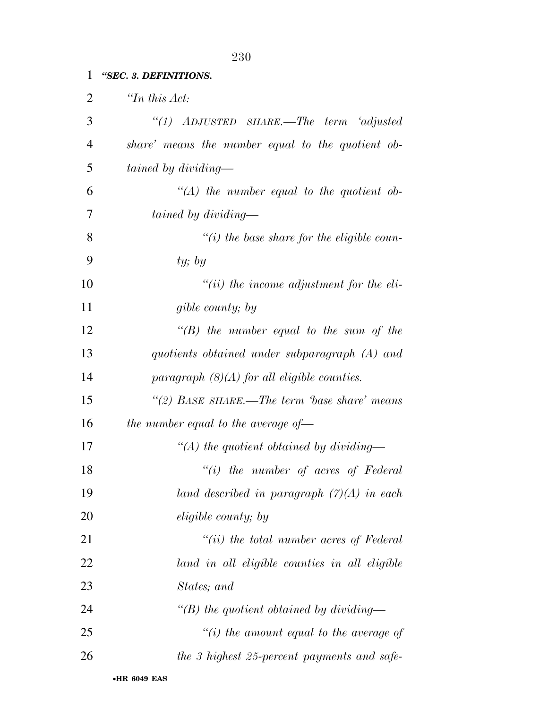## *''SEC. 3. DEFINITIONS.*

| $\overline{2}$ | $\lq$ <sup>Th</sup> this Act:                     |
|----------------|---------------------------------------------------|
| 3              | "(1) $ADJUSTED$ SHARE.—The term 'adjusted         |
| $\overline{4}$ | share' means the number equal to the quotient ob- |
| 5              | tained by dividing—                               |
| 6              | $\lq (A)$ the number equal to the quotient ob-    |
| 7              | tained by dividing—                               |
| 8              | $\lq\lq(i)$ the base share for the eligible coun- |
| 9              | ty; by                                            |
| 10             | $``(ii)$ the income adjustment for the eli-       |
| 11             | gible county; by                                  |
| 12             | $\lq\lq(B)$ the number equal to the sum of the    |
| 13             | quotients obtained under subparagraph (A) and     |
| 14             | paragraph $(8)(A)$ for all eligible counties.     |
| 15             | "(2) BASE SHARE.—The term 'base share' means      |
| 16             | the number equal to the average of $\equiv$       |
| 17             | $\lq (A)$ the quotient obtained by dividing—      |
| 18             | $``(i)$ the number of acres of Federal            |
| 19             | land described in paragraph $(7)(A)$ in each      |
| 20             | <i>eligible county</i> ; by                       |
| 21             | $``(ii)$ the total number acres of Federal        |
| 22             | land in all eligible counties in all eligible     |
| 23             | States; and                                       |
| 24             | "(B) the quotient obtained by dividing—           |
| 25             | "(i) the amount equal to the average of           |
| 26             | the 3 highest 25-percent payments and safe-       |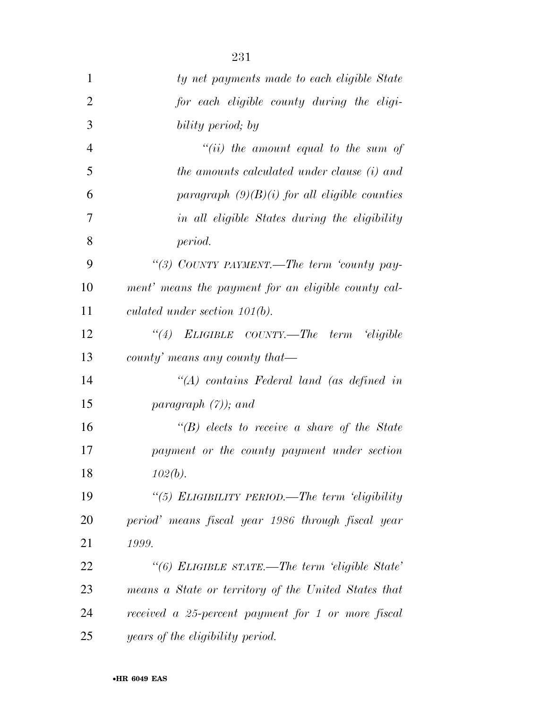| 1              | ty net payments made to each eligible State          |
|----------------|------------------------------------------------------|
| $\overline{2}$ | for each eligible county during the eligi-           |
| 3              | bility period; by                                    |
| $\overline{4}$ | "(ii) the amount equal to the sum of                 |
| 5              | the amounts calculated under clause (i) and          |
| 6              | paragraph $(9)(B)(i)$ for all eligible counties      |
| 7              | in all eligible States during the eligibility        |
| 8              | period.                                              |
| 9              | "(3) COUNTY PAYMENT.—The term 'county pay-           |
| 10             | ment' means the payment for an eligible county cal-  |
| 11             | culated under section $101(b)$ .                     |
| 12             | "(4) ELIGIBLE COUNTY.—The term 'eligible             |
| 13             | county' means any county that—                       |
| 14             | $\lq (A)$ contains Federal land (as defined in       |
| 15             | paragraph $(7)$ ); and                               |
| 16             | $\lq\lq(B)$ elects to receive a share of the State   |
| 17             | payment or the county payment under section          |
| 18             | $102(b)$ .                                           |
| 19             | "(5) ELIGIBILITY PERIOD.—The term 'eligibility       |
| 20             | period' means fiscal year 1986 through fiscal year   |
| 21             | 1999.                                                |
| 22             | "(6) ELIGIBLE STATE.—The term 'eligible State'       |
| 23             | means a State or territory of the United States that |
| 24             | received a 25-percent payment for 1 or more fiscal   |
| 25             | years of the eligibility period.                     |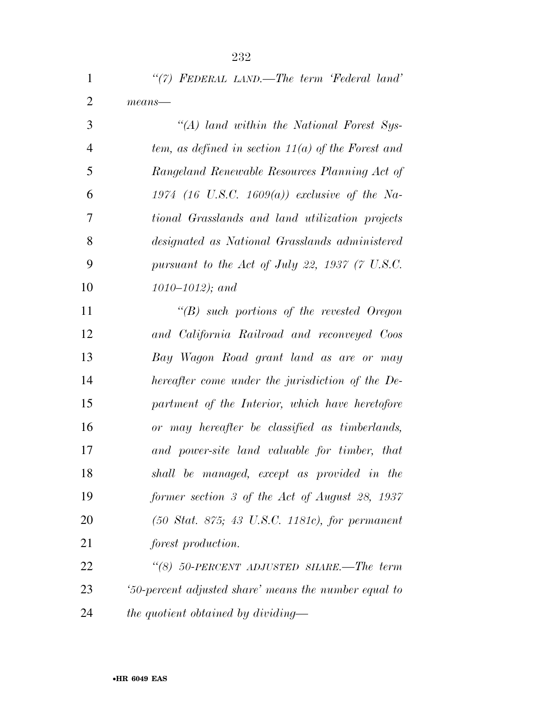| $\mathbf{1}$   | "(7) FEDERAL LAND.—The term 'Federal land'           |
|----------------|------------------------------------------------------|
| 2              | $means$ —                                            |
| 3              | "(A) land within the National Forest Sys-            |
| $\overline{4}$ | tem, as defined in section $11(a)$ of the Forest and |
| 5              | Rangeland Renewable Resources Planning Act of        |

 *Rangeland Renewable Resources Planning Act of 1974 (16 U.S.C. 1609(a)) exclusive of the Na- tional Grasslands and land utilization projects designated as National Grasslands administered pursuant to the Act of July 22, 1937 (7 U.S.C. 1010–1012); and* 

 *''(B) such portions of the revested Oregon and California Railroad and reconveyed Coos Bay Wagon Road grant land as are or may hereafter come under the jurisdiction of the De- partment of the Interior, which have heretofore or may hereafter be classified as timberlands, and power-site land valuable for timber, that shall be managed, except as provided in the former section 3 of the Act of August 28, 1937 (50 Stat. 875; 43 U.S.C. 1181c), for permanent forest production.* 

 *''(8) 50-PERCENT ADJUSTED SHARE.—The term '50-percent adjusted share' means the number equal to the quotient obtained by dividing—*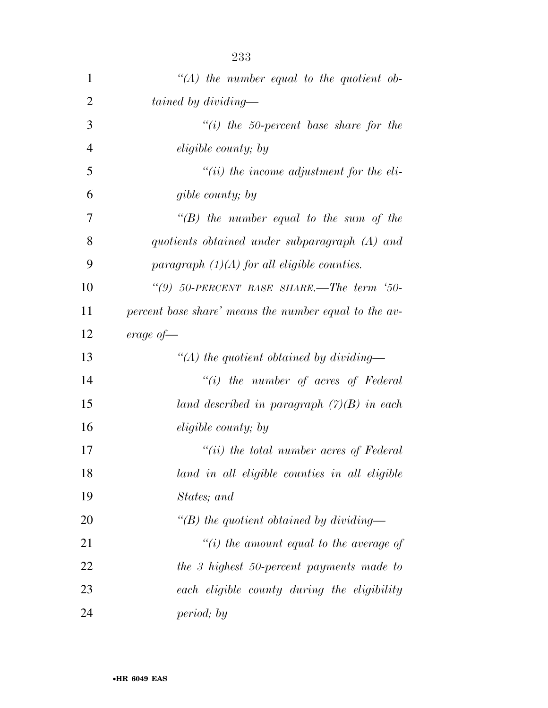| 1              | " $(A)$ the number equal to the quotient ob-          |
|----------------|-------------------------------------------------------|
| $\overline{2}$ | tained by dividing—                                   |
| 3              | "(i) the 50-percent base share for the                |
| $\overline{4}$ | <i>eligible county</i> ; by                           |
| 5              | $``(ii)$ the income adjustment for the eli-           |
| 6              | gible county; by                                      |
| 7              | $\lq\lq(B)$ the number equal to the sum of the        |
| 8              | quotients obtained under subparagraph (A) and         |
| 9              | paragraph $(1)(A)$ for all eligible counties.         |
| 10             | "(9) $50$ -PERCENT BASE SHARE.—The term '50-          |
| 11             | percent base share' means the number equal to the av- |
| 12             | $\emph{erage of}$                                     |
| 13             | "(A) the quotient obtained by dividing—               |
| 14             | $``(i)$ the number of acres of Federal                |
| 15             | land described in paragraph $(7)(B)$ in each          |
| 16             | eligible county; by                                   |
| 17             | $``(ii)$ the total number acres of Federal            |
| 18             | land in all eligible counties in all eligible         |
| 19             | States; and                                           |
| 20             | $\lq (B)$ the quotient obtained by dividing—          |
| 21             | "(i) the amount equal to the average of               |
| 22             | the 3 highest 50-percent payments made to             |
| 23             | each eligible county during the eligibility           |
| 24             | period; by                                            |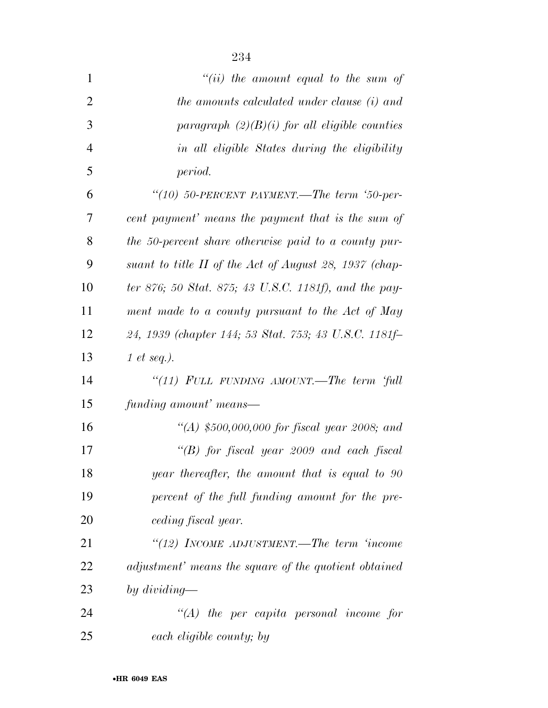| $\mathbf{1}$   | "(ii) the amount equal to the sum of                   |
|----------------|--------------------------------------------------------|
| $\overline{2}$ | the amounts calculated under clause (i) and            |
| 3              | paragraph $(2)(B)(i)$ for all eligible counties        |
| $\overline{4}$ | in all eligible States during the eligibility          |
| 5              | period.                                                |
| 6              | "(10) 50-PERCENT PAYMENT.—The term '50-per-            |
| 7              | cent payment' means the payment that is the sum of     |
| 8              | the 50-percent share otherwise paid to a county pur-   |
| 9              | suant to title II of the Act of August 28, 1937 (chap- |
| 10             | ter 876; 50 Stat. 875; 43 U.S.C. 1181f), and the pay-  |
| 11             | ment made to a county pursuant to the Act of May       |
| 12             | 24, 1939 (chapter 144; 53 Stat. 753; 43 U.S.C. 1181f-  |
| 13             | 1 et seq.).                                            |
| 14             | "(11) FULL FUNDING AMOUNT.—The term 'full              |
| 15             | funding amount' means—                                 |
| 16             | "(A) \$500,000,000 for fiscal year 2008; and           |
| 17             | "(B) for fiscal year 2009 and each fiscal              |
| 18             | year thereafter, the amount that is equal to 90        |
| 19             | percent of the full funding amount for the pre-        |
| 20             | ceding fiscal year.                                    |
| 21             | "(12) INCOME ADJUSTMENT.—The term 'income              |
| 22             | adjustment' means the square of the quotient obtained  |
| 23             | by dividing—                                           |
| 24             | $\lq (A)$ the per capita personal income for           |
| 25             | each eligible county; by                               |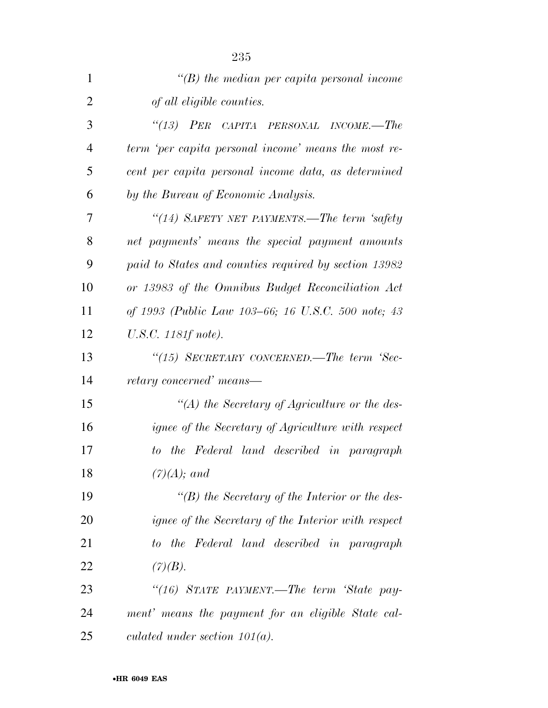| $\mathbf{1}$   | $\lq\lq(B)$ the median per capita personal income          |
|----------------|------------------------------------------------------------|
| $\overline{2}$ | of all eligible counties.                                  |
| 3              | "(13) PER CAPITA PERSONAL INCOME.—The                      |
| $\overline{4}$ | term 'per capita personal income' means the most re-       |
| 5              | cent per capita personal income data, as determined        |
| 6              | by the Bureau of Economic Analysis.                        |
| 7              | "(14) SAFETY NET PAYMENTS.—The term 'safety                |
| 8              | net payments' means the special payment amounts            |
| 9              | paid to States and counties required by section 13982      |
| 10             | or 13983 of the Omnibus Budget Reconciliation Act          |
| 11             | of 1993 (Public Law 103–66; 16 U.S.C. 500 note; 43         |
| 12             | U.S.C. 1181f note).                                        |
| 13             | "(15) SECRETARY CONCERNED.—The term 'Sec-                  |
| 14             | retary concerned' means—                                   |
| 15             | $\lq (A)$ the Secretary of Agriculture or the des-         |
| 16             | ignee of the Secretary of Agriculture with respect         |
| 17             | the Federal land described in paragraph<br>$to^-$          |
| 18             | $(7)(A);$ and                                              |
| 19             | $\lq (B)$ the Secretary of the Interior or the des-        |
| 20             | <i>ignee of the Secretary of the Interior with respect</i> |
| 21             | to the Federal land described in paragraph                 |
| 22             | (7)(B).                                                    |
| 23             | "(16) STATE PAYMENT.—The term 'State pay-                  |
| 24             | ment' means the payment for an eligible State cal-         |
| 25             | culated under section $101(a)$ .                           |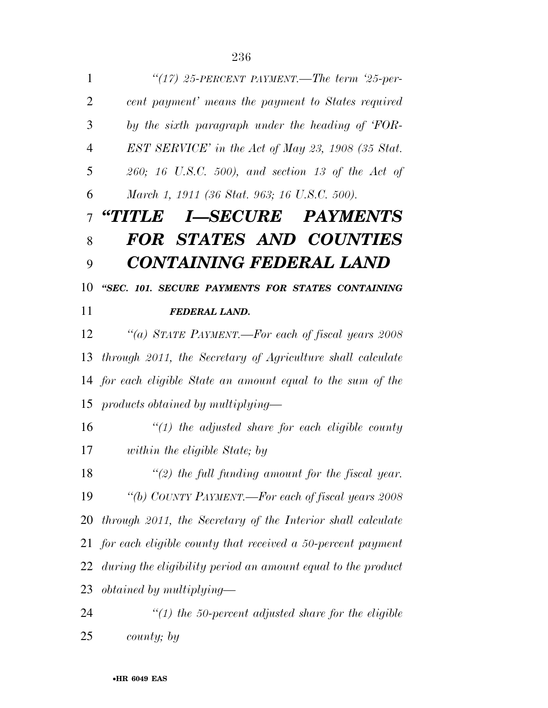*''(17) 25-PERCENT PAYMENT.—The term '25-per- cent payment' means the payment to States required by the sixth paragraph under the heading of 'FOR- EST SERVICE' in the Act of May 23, 1908 (35 Stat. 260; 16 U.S.C. 500), and section 13 of the Act of March 1, 1911 (36 Stat. 963; 16 U.S.C. 500). ''TITLE I—SECURE PAYMENTS FOR STATES AND COUNTIES CONTAINING FEDERAL LAND ''SEC. 101. SECURE PAYMENTS FOR STATES CONTAINING FEDERAL LAND. ''(a) STATE PAYMENT.—For each of fiscal years 2008 through 2011, the Secretary of Agriculture shall calculate for each eligible State an amount equal to the sum of the products obtained by multiplying— ''(1) the adjusted share for each eligible county within the eligible State; by ''(2) the full funding amount for the fiscal year. ''(b) COUNTY PAYMENT.—For each of fiscal years 2008 through 2011, the Secretary of the Interior shall calculate for each eligible county that received a 50-percent payment during the eligibility period an amount equal to the product obtained by multiplying— ''(1) the 50-percent adjusted share for the eligible* 

*county; by*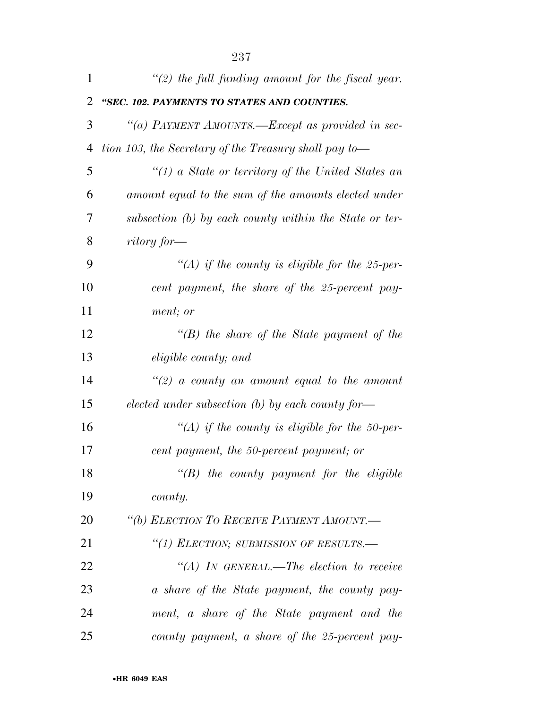| 1  | $\lq(2)$ the full funding amount for the fiscal year.  |
|----|--------------------------------------------------------|
| 2  | "SEC. 102. PAYMENTS TO STATES AND COUNTIES.            |
| 3  | "(a) PAYMENT AMOUNTS.—Except as provided in sec-       |
| 4  | tion 103, the Secretary of the Treasury shall pay to—  |
| 5  | " $(1)$ a State or territory of the United States an   |
| 6  | amount equal to the sum of the amounts elected under   |
| 7  | subsection (b) by each county within the State or ter- |
| 8  | ritory for—                                            |
| 9  | "(A) if the county is eligible for the 25-per-         |
| 10 | cent payment, the share of the 25-percent pay-         |
| 11 | ment; or                                               |
| 12 | $\lq\lq(B)$ the share of the State payment of the      |
| 13 | eligible county; and                                   |
| 14 | "(2) a county an amount equal to the amount            |
| 15 | elected under subsection (b) by each county for-       |
| 16 | "(A) if the county is eligible for the 50-per-         |
| 17 | cent payment, the 50-percent payment; or               |
| 18 | $\lq\lq B$ the county payment for the eligible         |
| 19 | county.                                                |
| 20 | "(b) ELECTION TO RECEIVE PAYMENT AMOUNT.-              |
| 21 | "(1) ELECTION; SUBMISSION OF RESULTS.-                 |
| 22 | "(A) IN GENERAL.—The election to receive               |
| 23 | a share of the State payment, the county pay-          |
| 24 | ment, a share of the State payment and the             |
| 25 | county payment, a share of the 25-percent pay-         |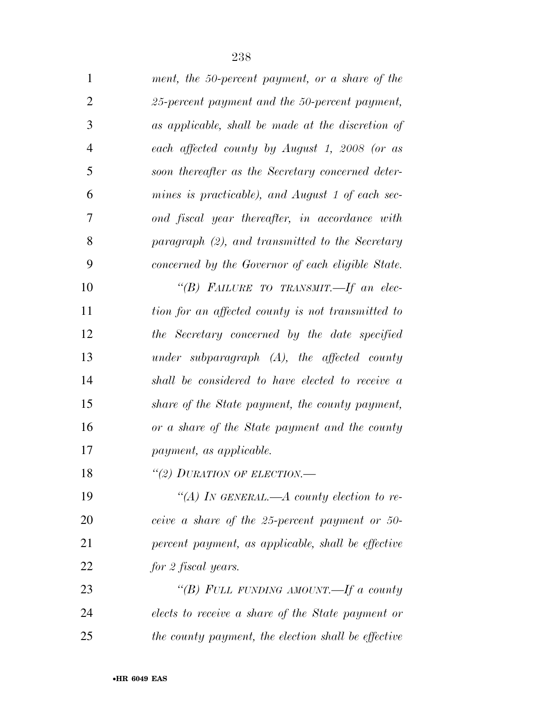| 1              | ment, the 50-percent payment, or a share of the     |
|----------------|-----------------------------------------------------|
| $\mathbf{2}$   | 25-percent payment and the 50-percent payment,      |
| 3              | as applicable, shall be made at the discretion of   |
| $\overline{4}$ | each affected county by August 1, 2008 (or as       |
| 5              | soon thereafter as the Secretary concerned deter-   |
| 6              | mines is practicable), and August 1 of each sec-    |
| $\tau$         | ond fiscal year thereafter, in accordance with      |
| 8              | paragraph (2), and transmitted to the Secretary     |
| 9              | concerned by the Governor of each eligible State.   |
| 10             | "(B) FAILURE TO TRANSMIT.-If an elec-               |
| 11             | tion for an affected county is not transmitted to   |
| 12             | the Secretary concerned by the date specified       |
| 13             | under subparagraph $(A)$ , the affected county      |
| 14             | shall be considered to have elected to receive a    |
| 15             | share of the State payment, the county payment,     |
| 16             | or a share of the State payment and the county      |
| 17             | payment, as applicable.                             |
| 18             | "(2) DURATION OF ELECTION.                          |
| 19             | "(A) In GENERAL.—A county election to re-           |
| 20             | ceive a share of the 25-percent payment or 50-      |
| 21             | percent payment, as applicable, shall be effective  |
| 22             | for 2 fiscal years.                                 |
| 23             | "(B) FULL FUNDING AMOUNT.—If a county               |
| 24             | elects to receive a share of the State payment or   |
| 25             | the county payment, the election shall be effective |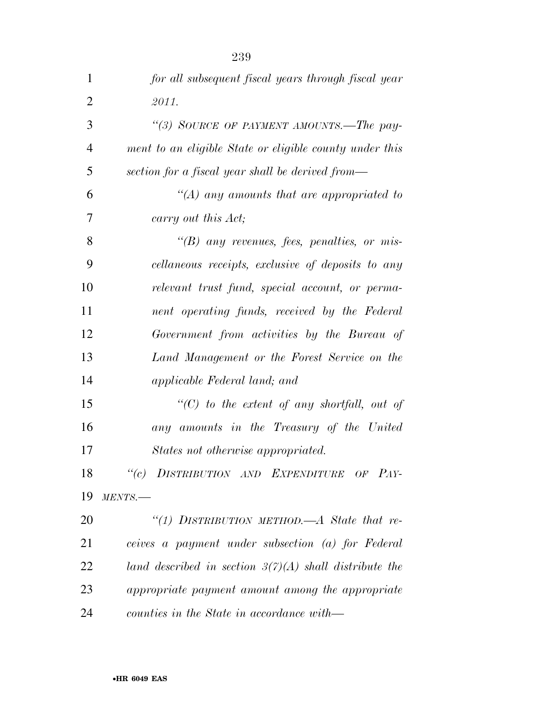| $\mathbf{1}$   | for all subsequent fiscal years through fiscal year      |
|----------------|----------------------------------------------------------|
| $\overline{2}$ | 2011.                                                    |
| 3              | "(3) SOURCE OF PAYMENT AMOUNTS.—The pay-                 |
| $\overline{4}$ | ment to an eligible State or eligible county under this  |
| 5              | section for a fiscal year shall be derived from—         |
| 6              | "(A) any amounts that are appropriated to                |
| 7              | carry out this Act;                                      |
| 8              | $\lq\lq(B)$ any revenues, fees, penalties, or mis-       |
| 9              | cellaneous receipts, exclusive of deposits to any        |
| 10             | relevant trust fund, special account, or perma-          |
| 11             | nent operating funds, received by the Federal            |
| 12             | Government from activities by the Bureau of              |
| 13             | Land Management or the Forest Service on the             |
| 14             | applicable Federal land; and                             |
| 15             | $\lq\lq C$ to the extent of any shortfall, out of        |
| 16             | any amounts in the Treasury of the United                |
| 17             | States not otherwise appropriated.                       |
| 18             | "(c) DISTRIBUTION AND EXPENDITURE OF PAY-                |
| 19             | MENTS.                                                   |
| 20             | "(1) DISTRIBUTION METHOD.—A State that re-               |
| 21             | ceives a payment under subsection (a) for Federal        |
| 22             | land described in section $3(7)(A)$ shall distribute the |
| 23             | appropriate payment amount among the appropriate         |
| 24             | counties in the State in accordance with—                |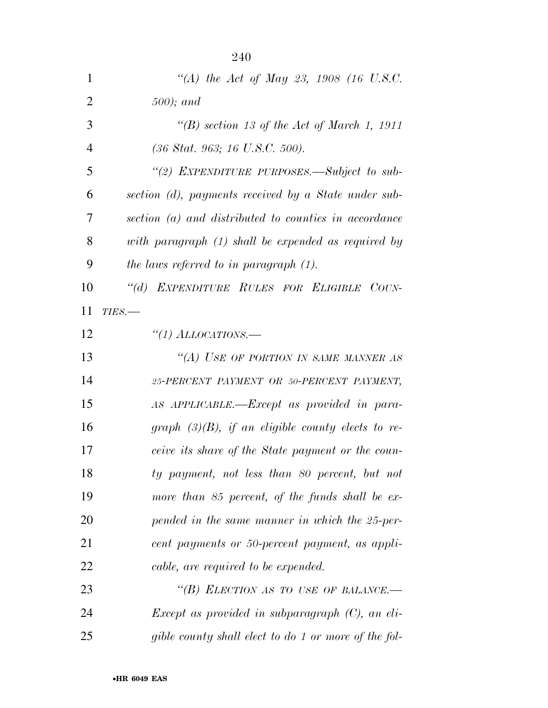| 1              | "(A) the Act of May 23, 1908 (16 U.S.C.                          |
|----------------|------------------------------------------------------------------|
| $\overline{2}$ | $500$ ); and                                                     |
| 3              | "(B) section 13 of the Act of March 1, 1911                      |
| $\overline{4}$ | $(36 \text{ Stat. } 963; 16 \text{ U.S.C. } 500).$               |
| 5              | "(2) EXPENDITURE PURPOSES.—Subject to sub-                       |
| 6              | section (d), payments received by a State under sub-             |
| 7              | section (a) and distributed to counties in accordance            |
| 8              | with paragraph (1) shall be expended as required by              |
| 9              | the laws referred to in paragraph $(1)$ .                        |
| 10             | "(d) EXPENDITURE RULES FOR ELIGIBLE COUN-                        |
| 11             | $TIES$ .                                                         |
| 12             | "(1) ALLOCATIONS.—                                               |
| 13             | "(A) USE OF PORTION IN SAME MANNER AS                            |
| 14             | 25-PERCENT PAYMENT OR 50-PERCENT PAYMENT,                        |
| 15             | AS APPLICABLE.—Except as provided in para-                       |
| 16             | graph $(3)(B)$ , if an eligible county elects to re-             |
| 17             | ceive its share of the State payment or the coun-                |
| 18             | ty payment, not less than 80 percent, but not                    |
| 19             | more than 85 percent, of the funds shall be ex-                  |
| 20             | pended in the same manner in which the 25-per-                   |
| 21             | cent payments or 50-percent payment, as appli-                   |
| 22             | cable, are required to be expended.                              |
| 23             | "(B) ELECTION AS TO USE OF BALANCE.—                             |
| 24             | <i>Except as provided in subparagraph</i> $(C)$ <i>, an eli-</i> |
| 25             | gible county shall elect to do 1 or more of the fol-             |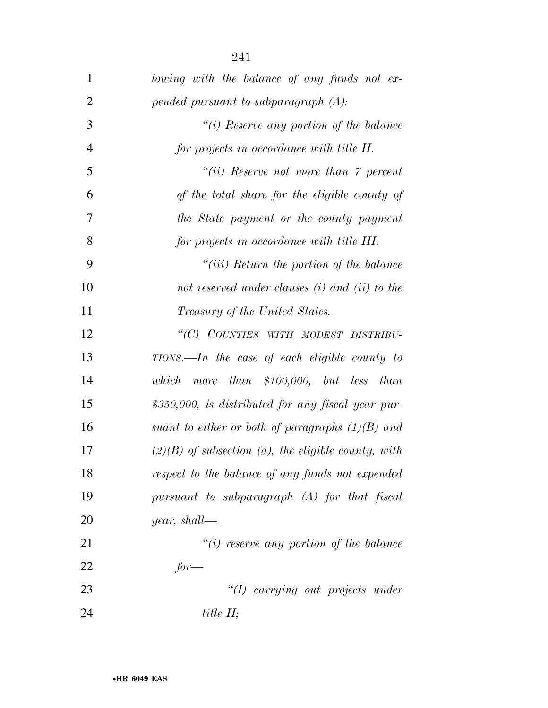| $\mathbf{1}$   | lowing with the balance of any funds not ex-          |
|----------------|-------------------------------------------------------|
| $\overline{2}$ | pended pursuant to subparagraph $(A)$ :               |
| 3              | "(i) Reserve any portion of the balance               |
| $\overline{4}$ | for projects in accordance with title II.             |
| 5              | "(ii) Reserve not more than $\gamma$ percent          |
| 6              | of the total share for the eligible county of         |
| 7              | the State payment or the county payment               |
| 8              | for projects in accordance with title III.            |
| 9              | $``(iii)$ Return the portion of the balance           |
| 10             | not reserved under clauses $(i)$ and $(ii)$ to the    |
| 11             | <i>Treasury of the United States.</i>                 |
| 12             | "(C) COUNTIES WITH MODEST DISTRIBU-                   |
| 13             | $TIONS$ . In the case of each eligible county to      |
| 14             | more than $$100,000$ , but less than<br>which         |
| 15             | \$350,000, is distributed for any fiscal year pur-    |
| 16             | suant to either or both of paragraphs $(1)(B)$ and    |
| 17             | $(2)(B)$ of subsection (a), the eligible county, with |
| 18             | respect to the balance of any funds not expended      |
| 19             | pursuant to subparagraph (A) for that fiscal          |
| 20             | <i>year</i> , shall—                                  |
| 21             | $"(i)$ reserve any portion of the balance             |
| 22             | $for-$                                                |
| 23             | "(I) carrying out projects under                      |
| 24             | title $II$ ;                                          |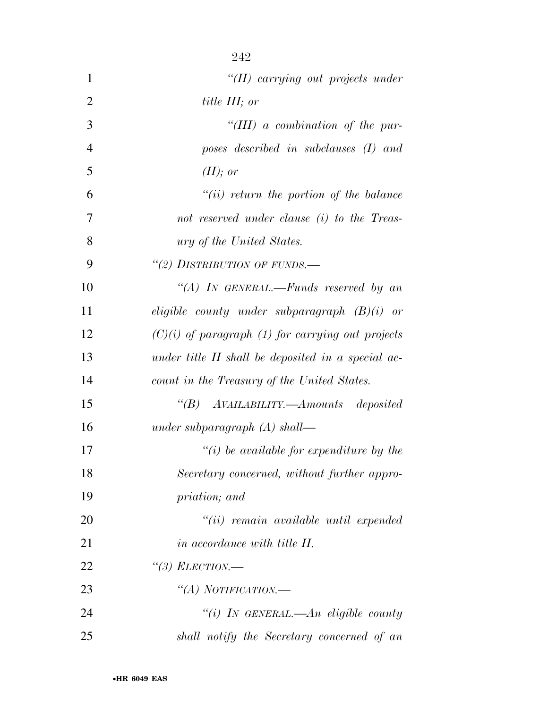| $\mathbf{1}$   | $"(II)$ carrying out projects under                 |
|----------------|-----------------------------------------------------|
| $\overline{2}$ | <i>title III</i> ; or                               |
| 3              | "(III) a combination of the pur-                    |
| $\overline{4}$ | poses described in subclauses (I) and               |
| 5              | (II); or                                            |
| 6              | $``(ii)$ return the portion of the balance          |
| 7              | not reserved under clause (i) to the Treas-         |
| 8              | <i>ury of the United States.</i>                    |
| 9              | "(2) DISTRIBUTION OF FUNDS.-                        |
| 10             | "(A) IN GENERAL.—Funds reserved by an               |
| 11             | eligible county under subparagraph $(B)(i)$ or      |
| 12             | $(C)(i)$ of paragraph (1) for carrying out projects |
| 13             | under title II shall be deposited in a special ac-  |
| 14             | count in the Treasury of the United States.         |
| 15             | "(B) AVAILABILITY.—Amounts deposited                |
| 16             | under subparagraph $(A)$ shall—                     |
| 17             | $\lq\lq(i)$ be available for expenditure by the     |
| 18             | Secretary concerned, without further appro-         |
| 19             | priation; and                                       |
| 20             | $``(ii)$ remain available until expended            |
| 21             | in accordance with title II.                        |
| 22             | "(3) ELECTION.—                                     |
| 23             | "(A) NOTIFICATION.—                                 |
| 24             | "(i) IN GENERAL.—An eligible county                 |
| 25             | shall notify the Secretary concerned of an          |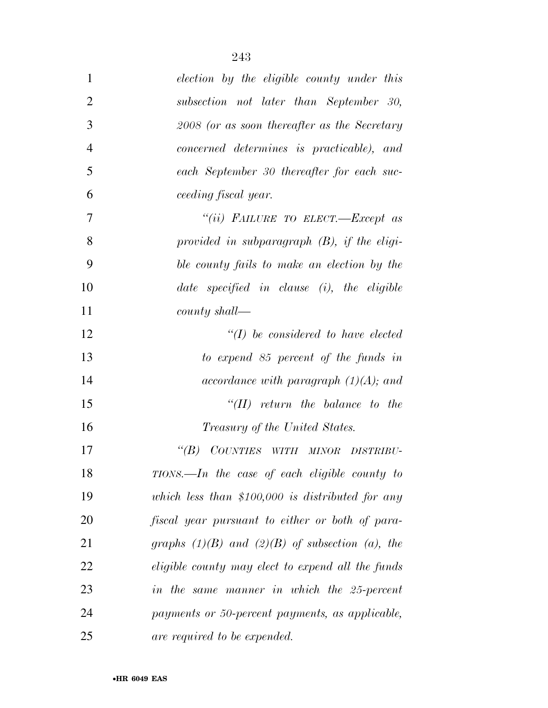| $\mathbf{1}$   | election by the eligible county under this          |
|----------------|-----------------------------------------------------|
| $\overline{2}$ | subsection not later than September 30,             |
| 3              | 2008 (or as soon thereafter as the Secretary        |
| $\overline{4}$ | concerned determines is practicable), and           |
| 5              | each September 30 thereafter for each suc-          |
| 6              | ceeding fiscal year.                                |
| 7              | "(ii) FAILURE TO ELECT.-Except as                   |
| 8              | provided in subparagraph $(B)$ , if the eligi-      |
| 9              | ble county fails to make an election by the         |
| 10             | date specified in clause $(i)$ , the eligible       |
| 11             | $county$ shall—                                     |
| 12             | $\lq (I)$ be considered to have elected             |
| 13             | to expend 85 percent of the funds in                |
| 14             | accordance with paragraph $(1)(A)$ ; and            |
| 15             | $\lq\lq (II)$ return the balance to the             |
| 16             | <i>Treasury of the United States.</i>               |
| 17             | $\lq(B)$<br>COUNTIES WITH MINOR<br><b>DISTRIBU-</b> |
| 18             | $TIONS. - In$ the case of each eligible county to   |
| 19             | which less than $$100,000$ is distributed for any   |
| 20             | fiscal year pursuant to either or both of para-     |
| 21             | graphs $(1)(B)$ and $(2)(B)$ of subsection (a), the |
| 22             | eligible county may elect to expend all the funds   |
| 23             | in the same manner in which the 25-percent          |
| 24             | payments or 50-percent payments, as applicable,     |
| 25             | are required to be expended.                        |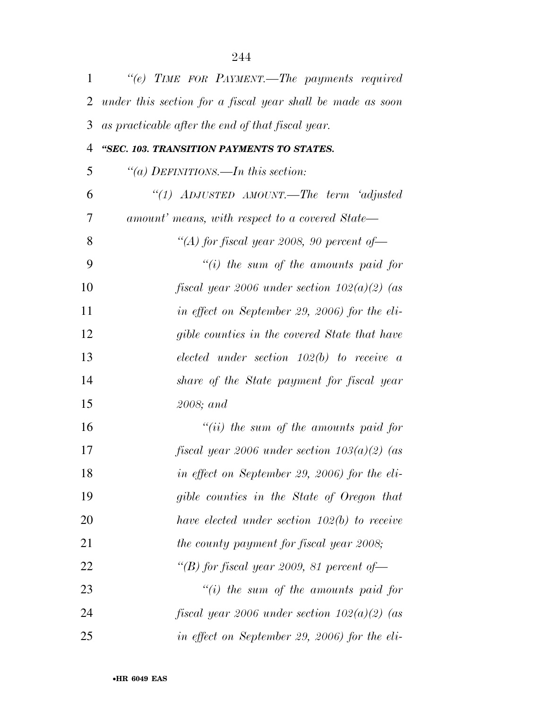| 1              | "(e) TIME FOR PAYMENT.—The payments required               |
|----------------|------------------------------------------------------------|
| $\overline{2}$ | under this section for a fiscal year shall be made as soon |
| 3              | as practicable after the end of that fiscal year.          |
| 4              | "SEC. 103. TRANSITION PAYMENTS TO STATES.                  |
| 5              | "(a) DEFINITIONS.—In this section:                         |
| 6              | "(1) ADJUSTED AMOUNT.—The term 'adjusted                   |
| 7              | amount' means, with respect to a covered State—            |
| 8              | "(A) for fiscal year 2008, 90 percent of $-$               |
| 9              | $``(i)$ the sum of the amounts paid for                    |
| 10             | fiscal year 2006 under section $102(a)(2)$ (as             |
| 11             | in effect on September 29, 2006) for the eli-              |
| 12             | gible counties in the covered State that have              |
| 13             | $elected$ under section $102(b)$ to receive a              |
| 14             | share of the State payment for fiscal year                 |
| 15             | 2008; and                                                  |
| 16             | "(ii) the sum of the amounts paid for                      |
| 17             | fiscal year 2006 under section $103(a)(2)$ (as             |
| 18             | in effect on September 29, 2006) for the eli-              |
| 19             | gible counties in the State of Oregon that                 |
| 20             | have elected under section $102(b)$ to receive             |
| 21             | the county payment for fiscal year 2008;                   |
| 22             | "(B) for fiscal year 2009, 81 percent of $-$               |
| 23             | $``(i)$ the sum of the amounts paid for                    |
| 24             | fiscal year 2006 under section $102(a)(2)$ (as             |
| 25             | in effect on September 29, 2006) for the eli-              |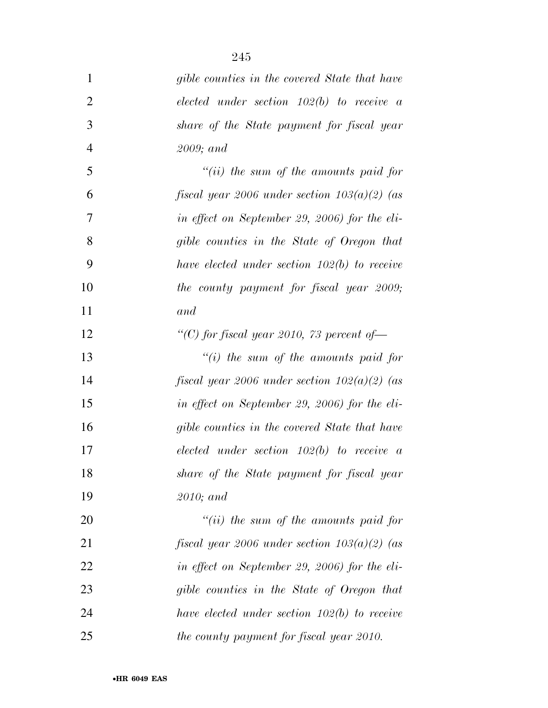| $\mathbf{1}$   | gible counties in the covered State that have  |
|----------------|------------------------------------------------|
| $\overline{2}$ | $elected$ under section 102(b) to receive a    |
| 3              | share of the State payment for fiscal year     |
| $\overline{4}$ | $2009$ ; and                                   |
| 5              | "(ii) the sum of the amounts paid for          |
| 6              | fiscal year 2006 under section $103(a)(2)$ (as |
| 7              | in effect on September 29, 2006) for the eli-  |
| 8              | gible counties in the State of Oregon that     |
| 9              | have elected under section $102(b)$ to receive |
| 10             | the county payment for fiscal year 2009;       |
| 11             | and                                            |
| 12             | "(C) for fiscal year 2010, 73 percent of $-$   |
| 13             | "(i) the sum of the amounts paid for           |
| 14             | fiscal year 2006 under section $102(a)(2)$ (as |
| 15             | in effect on September 29, 2006) for the eli-  |
| 16             | gible counties in the covered State that have  |
| 17             | $elected$ under section $102(b)$ to receive a  |
| 18             | share of the State payment for fiscal year     |
| 19             | $2010$ ; and                                   |
| 20             | "(ii) the sum of the amounts paid for          |
| 21             | fiscal year 2006 under section $103(a)(2)$ (as |
| 22             | in effect on September 29, 2006) for the eli-  |
| 23             | gible counties in the State of Oregon that     |
| 24             | have elected under section $102(b)$ to receive |
| 25             | the county payment for fiscal year 2010.       |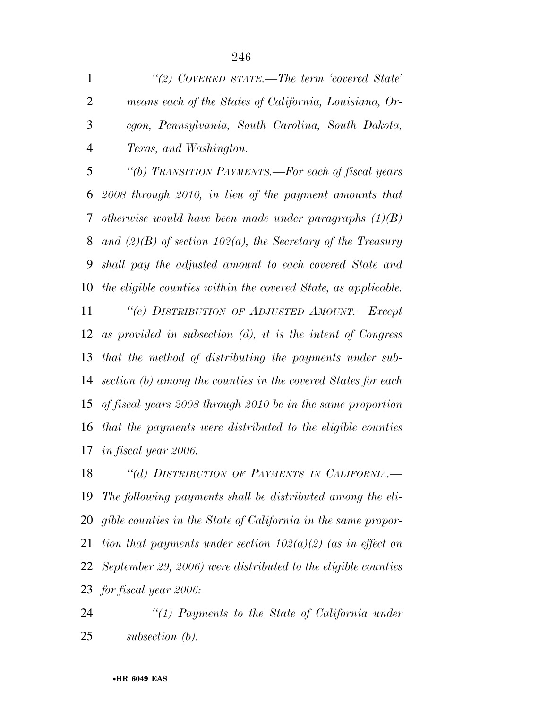*''(2) COVERED STATE.—The term 'covered State' means each of the States of California, Louisiana, Or- egon, Pennsylvania, South Carolina, South Dakota, Texas, and Washington.* 

 *''(b) TRANSITION PAYMENTS.—For each of fiscal years 2008 through 2010, in lieu of the payment amounts that otherwise would have been made under paragraphs (1)(B) and (2)(B) of section 102(a), the Secretary of the Treasury shall pay the adjusted amount to each covered State and the eligible counties within the covered State, as applicable. ''(c) DISTRIBUTION OF ADJUSTED AMOUNT.—Except as provided in subsection (d), it is the intent of Congress that the method of distributing the payments under sub- section (b) among the counties in the covered States for each of fiscal years 2008 through 2010 be in the same proportion that the payments were distributed to the eligible counties in fiscal year 2006.* 

 *''(d) DISTRIBUTION OF PAYMENTS IN CALIFORNIA.— The following payments shall be distributed among the eli- gible counties in the State of California in the same propor- tion that payments under section 102(a)(2) (as in effect on September 29, 2006) were distributed to the eligible counties for fiscal year 2006:* 

 *''(1) Payments to the State of California under subsection (b).*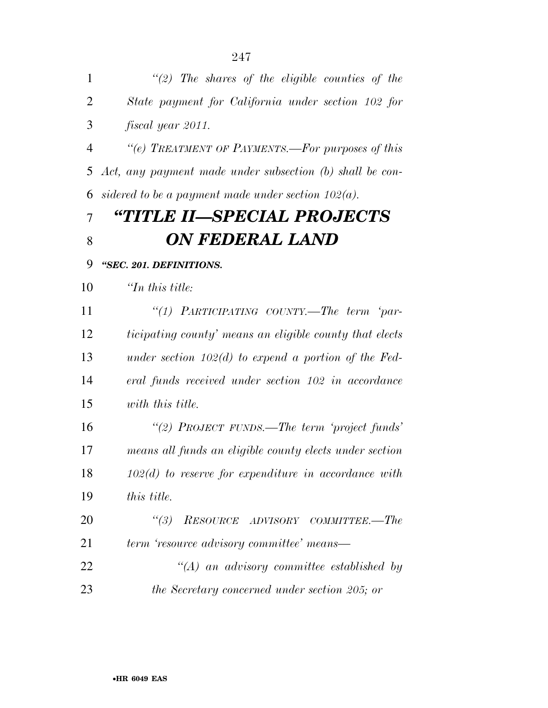| $\overline{2}$ | State payment for California under section 102 for       |
|----------------|----------------------------------------------------------|
| 3              | fiscal year 2011.                                        |
| $\overline{4}$ | "(e) TREATMENT OF PAYMENTS.—For purposes of this         |
| 5              | Act, any payment made under subsection (b) shall be con- |
| 6              | sidered to be a payment made under section $102(a)$ .    |
| 7              | "TITLE II—SPECIAL PROJECTS                               |
| 8              | ON FEDERAL LAND                                          |
| 9              | "SEC. 201. DEFINITIONS.                                  |
| 10             | $\mathcal{L}_n$ this title:                              |
| 11             | "(1) PARTICIPATING COUNTY.—The term 'par-                |
| 12             | ticipating county' means an eligible county that elects  |
| 13             | under section $102(d)$ to expend a portion of the Fed-   |
| 14             | eral funds received under section 102 in accordance      |
| 15             | with this title.                                         |
| 16             | "(2) PROJECT FUNDS.—The term 'project funds'             |
| 17             | means all funds an eligible county elects under section  |
| 18             | $102(d)$ to reserve for expenditure in accordance with   |
| 19             | this title.                                              |
| 20             | (3)<br>RESOURCE ADVISORY COMMITTEE.-The                  |
| 21             | term 'resource advisory committee' means—                |
| 22             | $\lq (A)$ an advisory committee established by           |
| 23             | the Secretary concerned under section 205; or            |

*''(2) The shares of the eligible counties of the*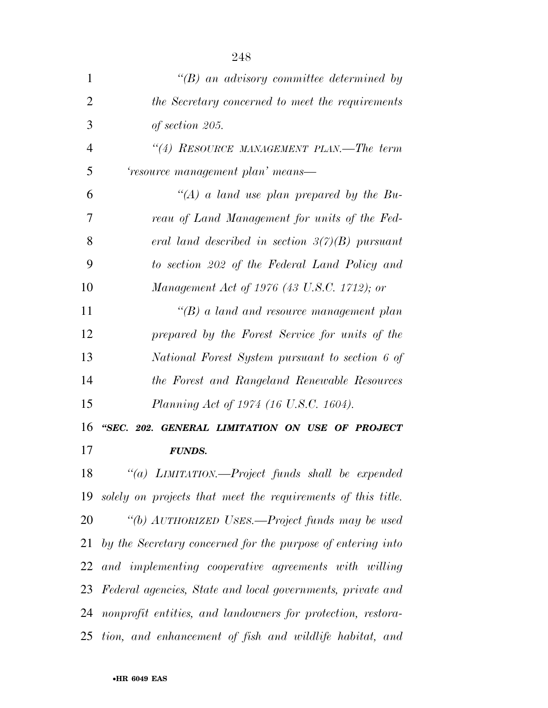| 1              | $\lq\lq B$ an advisory committee determined by                  |
|----------------|-----------------------------------------------------------------|
| $\overline{2}$ | the Secretary concerned to meet the requirements                |
| 3              | of section 205.                                                 |
| $\overline{4}$ | "(4) RESOURCE MANAGEMENT PLAN.—The term                         |
| 5              | 'resource management plan' means—                               |
| 6              | $\lq (A)$ a land use plan prepared by the Bu-                   |
| 7              | reau of Land Management for units of the Fed-                   |
| 8              | eral land described in section $3(7)(B)$ pursuant               |
| 9              | to section 202 of the Federal Land Policy and                   |
| 10             | Management Act of 1976 (43 U.S.C. 1712); or                     |
| 11             | $\lq (B)$ a land and resource management plan                   |
| 12             | prepared by the Forest Service for units of the                 |
| 13             | National Forest System pursuant to section 6 of                 |
| 14             | the Forest and Rangeland Renewable Resources                    |
| 15             | Planning Act of 1974 (16 U.S.C. 1604).                          |
| 16             | "SEC. 202. GENERAL LIMITATION ON USE OF PROJECT                 |
| 17             | <b>FUNDS.</b>                                                   |
|                | 18 "(a) LIMITATION.—Project funds shall be expended             |
|                | 19 solely on projects that meet the requirements of this title. |
| 20             | "(b) AUTHORIZED USES.—Project funds may be used                 |
|                | 21 by the Secretary concerned for the purpose of entering into  |
| 22             | and implementing cooperative agreements with willing            |
|                | 23 Federal agencies, State and local governments, private and   |
|                | 24 nonprofit entities, and landowners for protection, restora-  |
|                | 25 tion, and enhancement of fish and wildlife habitat, and      |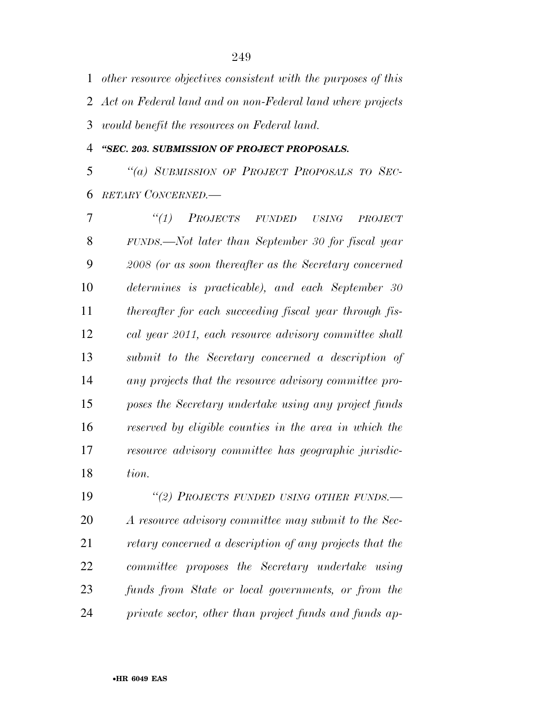*other resource objectives consistent with the purposes of this Act on Federal land and on non-Federal land where projects would benefit the resources on Federal land.* 

*''SEC. 203. SUBMISSION OF PROJECT PROPOSALS.* 

 *''(a) SUBMISSION OF PROJECT PROPOSALS TO SEC-RETARY CONCERNED.—* 

 *''(1) PROJECTS FUNDED USING PROJECT FUNDS.—Not later than September 30 for fiscal year 2008 (or as soon thereafter as the Secretary concerned determines is practicable), and each September 30 thereafter for each succeeding fiscal year through fis- cal year 2011, each resource advisory committee shall submit to the Secretary concerned a description of any projects that the resource advisory committee pro- poses the Secretary undertake using any project funds reserved by eligible counties in the area in which the resource advisory committee has geographic jurisdic-tion.* 

 *''(2) PROJECTS FUNDED USING OTHER FUNDS.— A resource advisory committee may submit to the Sec- retary concerned a description of any projects that the committee proposes the Secretary undertake using funds from State or local governments, or from the private sector, other than project funds and funds ap-*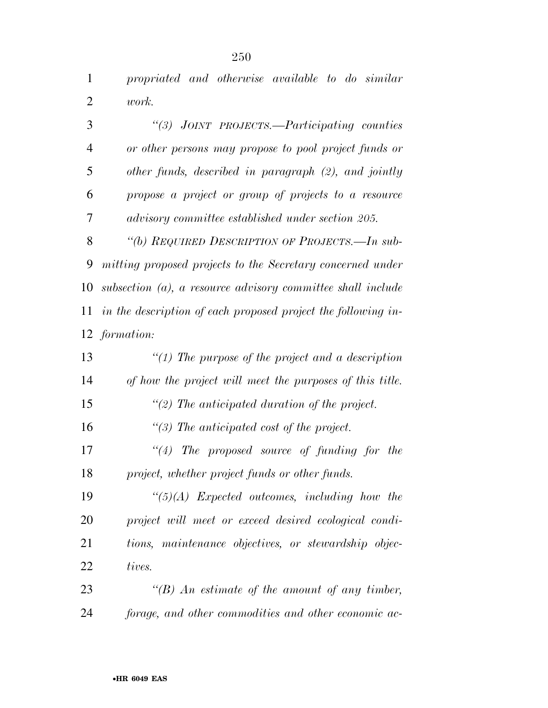*propriated and otherwise available to do similar work.* 

 *''(3) JOINT PROJECTS.—Participating counties or other persons may propose to pool project funds or other funds, described in paragraph (2), and jointly propose a project or group of projects to a resource advisory committee established under section 205. ''(b) REQUIRED DESCRIPTION OF PROJECTS.—In sub- mitting proposed projects to the Secretary concerned under subsection (a), a resource advisory committee shall include in the description of each proposed project the following in- formation: ''(1) The purpose of the project and a description of how the project will meet the purposes of this title. ''(2) The anticipated duration of the project. ''(3) The anticipated cost of the project. ''(4) The proposed source of funding for the project, whether project funds or other funds. ''(5)(A) Expected outcomes, including how the project will meet or exceed desired ecological condi- tions, maintenance objectives, or stewardship objec- tives. ''(B) An estimate of the amount of any timber,* 

*forage, and other commodities and other economic ac-*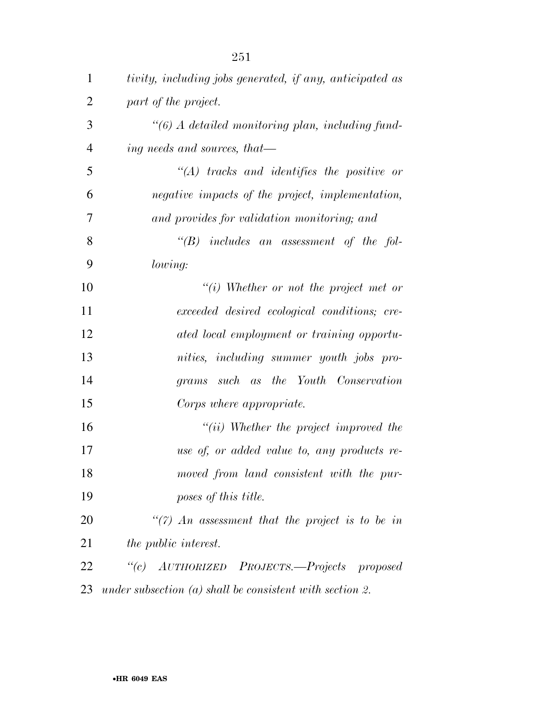| $\mathbf{1}$   | tivity, including jobs generated, if any, anticipated as   |
|----------------|------------------------------------------------------------|
| $\overline{2}$ | part of the project.                                       |
| 3              | "(6) A detailed monitoring plan, including fund-           |
| $\overline{4}$ | ing needs and sources, that—                               |
| 5              | $\lq\lq (A)$ tracks and identifies the positive or         |
| 6              | negative impacts of the project, implementation,           |
| 7              | and provides for validation monitoring; and                |
| 8              | $\lq\lq B$ includes an assessment of the fol-              |
| 9              | lowing:                                                    |
| 10             | $``(i)$ Whether or not the project met or                  |
| 11             | exceeded desired ecological conditions; cre-               |
| 12             | ated local employment or training opportu-                 |
| 13             | nities, including summer youth jobs pro-                   |
| 14             | such as the Youth Conservation<br>grams                    |
| 15             | Corps where appropriate.                                   |
| 16             | $``(ii)$ Whether the project improved the                  |
| 17             | use of, or added value to, any products re-                |
| 18             | moved from land consistent with the pur-                   |
| 19             | poses of this title.                                       |
| 20             | $\lq(7)$ An assessment that the project is to be in        |
| 21             | <i>the public interest.</i>                                |
| 22             | "(c) AUTHORIZED PROJECTS.—Projects proposed                |
| 23             | under subsection $(a)$ shall be consistent with section 2. |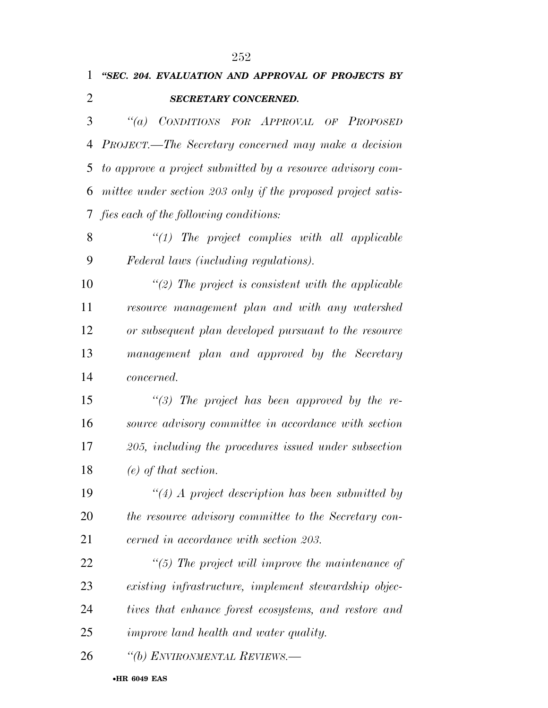## *''SEC. 204. EVALUATION AND APPROVAL OF PROJECTS BY SECRETARY CONCERNED.*

 *''(a) CONDITIONS FOR APPROVAL OF PROPOSED PROJECT.—The Secretary concerned may make a decision to approve a project submitted by a resource advisory com- mittee under section 203 only if the proposed project satis-fies each of the following conditions:* 

 *''(1) The project complies with all applicable Federal laws (including regulations).* 

 *''(2) The project is consistent with the applicable resource management plan and with any watershed or subsequent plan developed pursuant to the resource management plan and approved by the Secretary concerned.* 

 *''(3) The project has been approved by the re- source advisory committee in accordance with section 205, including the procedures issued under subsection (e) of that section.* 

 *''(4) A project description has been submitted by the resource advisory committee to the Secretary con-cerned in accordance with section 203.* 

 *''(5) The project will improve the maintenance of existing infrastructure, implement stewardship objec- tives that enhance forest ecosystems, and restore and improve land health and water quality.* 

*''(b) ENVIRONMENTAL REVIEWS.—*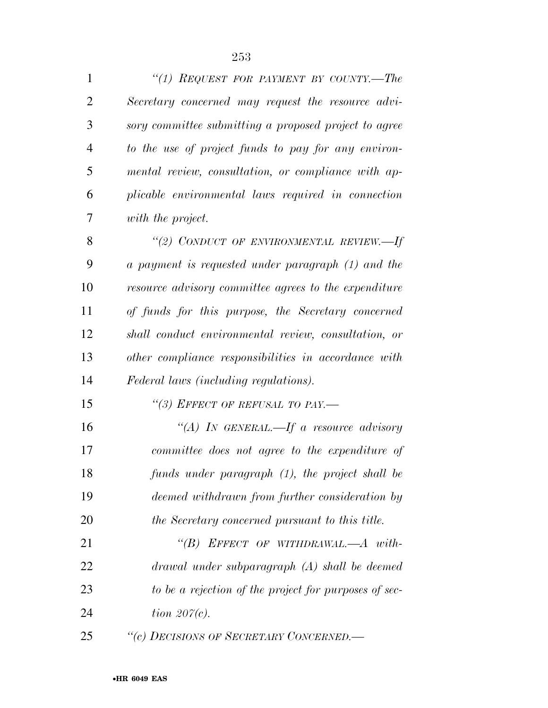| $\mathbf{1}$   | "(1) REQUEST FOR PAYMENT BY COUNTY.—The               |
|----------------|-------------------------------------------------------|
| $\overline{2}$ | Secretary concerned may request the resource advi-    |
| 3              | sory committee submitting a proposed project to agree |
| $\overline{4}$ | to the use of project funds to pay for any environ-   |
| 5              | mental review, consultation, or compliance with ap-   |
| 6              | plicable environmental laws required in connection    |
| 7              | with the project.                                     |
| 8              | "(2) CONDUCT OF ENVIRONMENTAL REVIEW.—If              |
| 9              | a payment is requested under paragraph (1) and the    |
| 10             | resource advisory committee agrees to the expenditure |
| 11             | of funds for this purpose, the Secretary concerned    |
| 12             | shall conduct environmental review, consultation, or  |
| 13             | other compliance responsibilities in accordance with  |
| 14             | Federal laws (including regulations).                 |
| 15             | "(3) EFFECT OF REFUSAL TO PAY.—                       |
| 16             | "(A) IN GENERAL.—If a resource advisory               |
| 17             | committee does not agree to the expenditure of        |
| 18             | funds under paragraph (1), the project shall be       |
| 19             | deemed withdrawn from further consideration by        |
| 20             | the Secretary concerned pursuant to this title.       |
| 21             | "(B) EFFECT OF WITHDRAWAL.—A with-                    |
| 22             | drawal under subparagraph (A) shall be deemed         |
| 23             | to be a rejection of the project for purposes of sec- |
| 24             | tion $207(c)$ .                                       |
| 25             | "(c) DECISIONS OF SECRETARY CONCERNED.—               |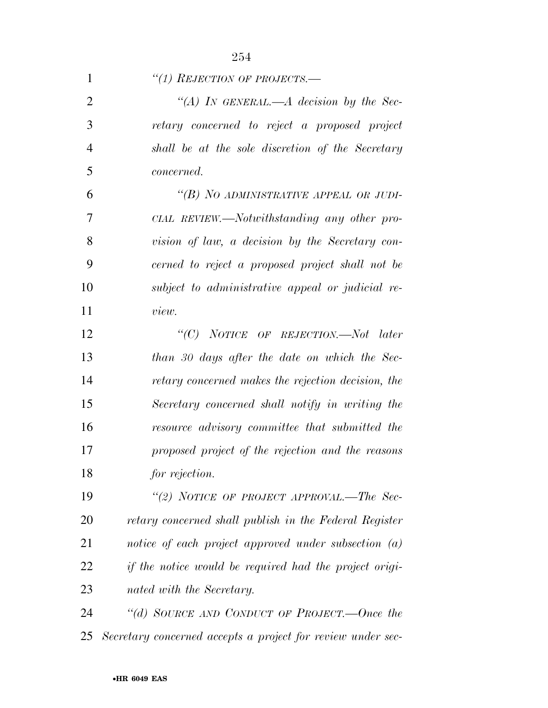| 1              | "(1) REJECTION OF PROJECTS.—                           |
|----------------|--------------------------------------------------------|
| $\overline{2}$ | "(A) IN GENERAL.—A decision by the Sec-                |
| 3              | retary concerned to reject a proposed project          |
| $\overline{4}$ | shall be at the sole discretion of the Secretary       |
| 5              | <i>concerned.</i>                                      |
| 6              | "(B) NO ADMINISTRATIVE APPEAL OR JUDI-                 |
| 7              | CIAL REVIEW.—Notwithstanding any other pro-            |
| 8              | vision of law, a decision by the Secretary con-        |
| 9              | cerned to reject a proposed project shall not be       |
| 10             | subject to administrative appeal or judicial re-       |
| 11             | view.                                                  |
| 12             | " $(C)$ NOTICE OF REJECTION.—Not later                 |
| 13             | than 30 days after the date on which the Sec-          |
| 14             | retary concerned makes the rejection decision, the     |
| 15             | Secretary concerned shall notify in writing the        |
| 16             | resource advisory committee that submitted the         |
| 17             | proposed project of the rejection and the reasons      |
| 18             | for rejection.                                         |
| 19             | "(2) NOTICE OF PROJECT APPROVAL.—The Sec-              |
| 20             | retary concerned shall publish in the Federal Register |
| 21             | notice of each project approved under subsection $(a)$ |
| 22             | if the notice would be required had the project origi- |
| 23             | nated with the Secretary.                              |
| 24             | "(d) SOURCE AND CONDUCT OF PROJECT.—Once the           |

*Secretary concerned accepts a project for review under sec-*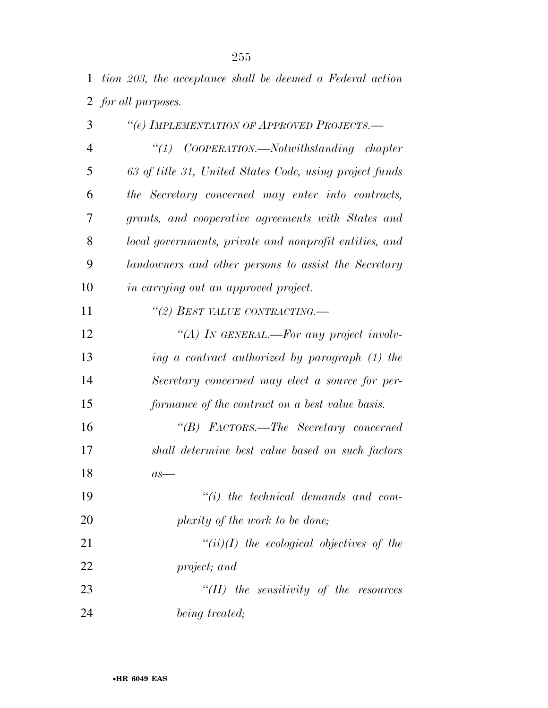*tion 203, the acceptance shall be deemed a Federal action for all purposes.* 

| 3              | "(e) IMPLEMENTATION OF APPROVED PROJECTS.-              |
|----------------|---------------------------------------------------------|
| $\overline{4}$ | $\lq(1)$ COOPERATION.—Notwithstanding chapter           |
| 5              | 63 of title 31, United States Code, using project funds |
| 6              | the Secretary concerned may enter into contracts,       |
| 7              | grants, and cooperative agreements with States and      |
| 8              | local governments, private and nonprofit entities, and  |
| 9              | landowners and other persons to assist the Secretary    |
| 10             | in carrying out an approved project.                    |
| 11             | "(2) BEST VALUE CONTRACTING.-                           |
| 12             | "(A) In GENERAL.—For any project involv-                |
| 13             | ing a contract authorized by paragraph (1) the          |
| 14             | Secretary concerned may elect a source for per-         |
| 15             | formance of the contract on a best value basis.         |
| 16             | "(B) FACTORS.—The Secretary concerned                   |
| 17             | shall determine best value based on such factors        |
| 18             | $as-$                                                   |
| 19             | $``(i)$ the technical demands and com-                  |
| 20             | plexity of the work to be done;                         |
| 21             | $``(ii)(I)$ the ecological objectives of the            |
| 22             | project; and                                            |
| 23             | $``(II)$ the sensitivity of the resources               |
| 24             | being treated;                                          |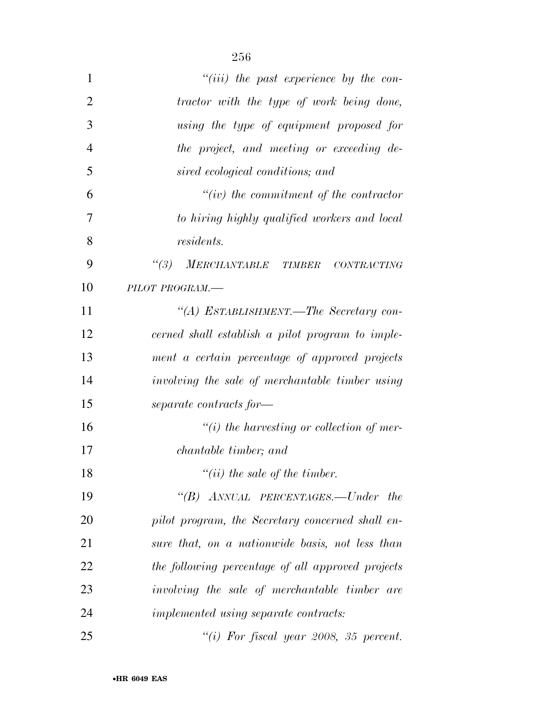| 1              | $``(iii)$ the past experience by the con-         |
|----------------|---------------------------------------------------|
| $\overline{2}$ | tractor with the type of work being done,         |
| 3              | using the type of equipment proposed for          |
| $\overline{4}$ | the project, and meeting or exceeding de-         |
| 5              | sired ecological conditions; and                  |
| 6              | $``(iv)$ the commitment of the contractor         |
| 7              | to hiring highly qualified workers and local      |
| 8              | <i>residents.</i>                                 |
| 9              | $\frac{1}{3}$<br>MERCHANTABLE TIMBER CONTRACTING  |
| 10             | PILOT PROGRAM.-                                   |
| 11             | "(A) ESTABLISHMENT.—The Secretary con-            |
| 12             | cerned shall establish a pilot program to imple-  |
| 13             | ment a certain percentage of approved projects    |
| 14             | involving the sale of merchantable timber using   |
| 15             | separate contracts for-                           |
| 16             | $``(i)$ the harvesting or collection of mer-      |
| 17             | <i>chantable timber</i> ; and                     |
| 18             | $``(ii)$ the sale of the timber.                  |
| 19             | "(B) ANNUAL PERCENTAGES.—Under the                |
| 20             | pilot program, the Secretary concerned shall en-  |
| 21             | sure that, on a nationwide basis, not less than   |
| 22             | the following percentage of all approved projects |
| 23             | involving the sale of merchantable timber are     |
| 24             | implemented using separate contracts:             |

*''(i) For fiscal year 2008, 35 percent.*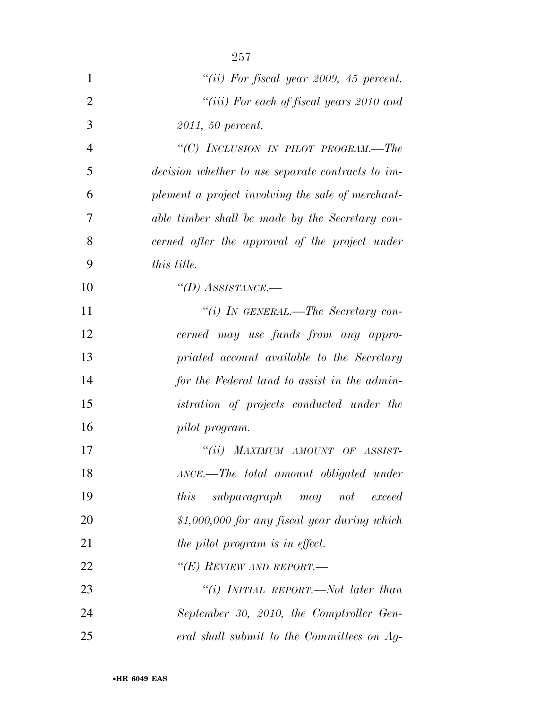| $\mathbf{1}$   | "(ii) For fiscal year 2009, 45 percent.           |
|----------------|---------------------------------------------------|
| $\overline{2}$ | "(iii) For each of fiscal years 2010 and          |
| 3              | 2011, 50 percent.                                 |
| $\overline{4}$ | "(C) INCLUSION IN PILOT PROGRAM.—The              |
| 5              | decision whether to use separate contracts to im- |
| 6              | plement a project involving the sale of merchant- |
| 7              | able timber shall be made by the Secretary con-   |
| 8              | cerned after the approval of the project under    |
| 9              | this title.                                       |
| 10             | "(D) ASSISTANCE.—                                 |
| 11             | "(i) IN GENERAL.—The Secretary con-               |
| 12             | cerned may use funds from any appro-              |
| 13             | priated account available to the Secretary        |
| 14             | for the Federal land to assist in the admin-      |
| 15             | <i>istration of projects conducted under the</i>  |
| 16             | pilot program.                                    |
| 17             | "(ii) MAXIMUM AMOUNT OF ASSIST-                   |
| 18             | ANCE.—The total amount obligated under            |
| 19             | this<br>subparagraph may not<br>exceed            |
| 20             | $$1,000,000$ for any fiscal year during which     |
| 21             | the pilot program is in effect.                   |
| 22             | "(E) REVIEW AND REPORT.—                          |
| 23             | "(i) INITIAL REPORT.—Not later than               |
| 24             | September 30, 2010, the Comptroller Gen-          |
| 25             | eral shall submit to the Committees on Ag-        |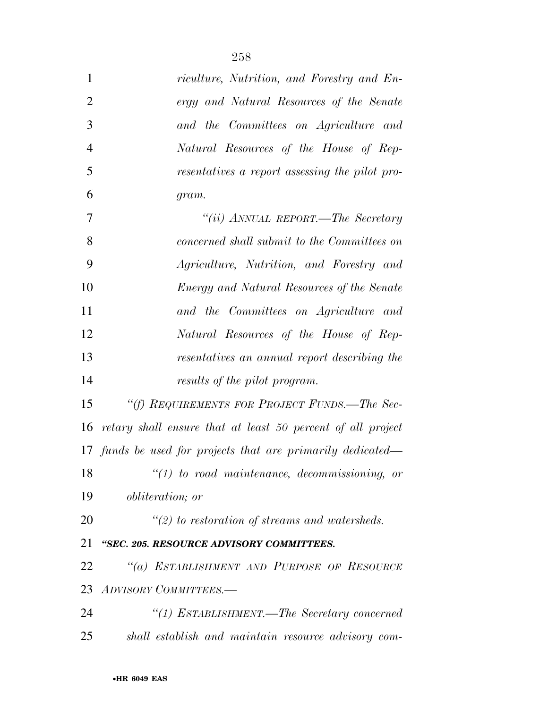| $\mathbf{1}$   | riculture, Nutrition, and Forestry and En-                  |
|----------------|-------------------------------------------------------------|
| $\overline{2}$ | ergy and Natural Resources of the Senate                    |
| 3              | and the Committees on Agriculture and                       |
| $\overline{4}$ | Natural Resources of the House of Rep-                      |
| 5              | resentatives a report assessing the pilot pro-              |
| 6              | gram.                                                       |
| 7              | "(ii) ANNUAL REPORT.—The Secretary                          |
| 8              | concerned shall submit to the Committees on                 |
| 9              | Agriculture, Nutrition, and Forestry and                    |
| 10             | Energy and Natural Resources of the Senate                  |
| 11             | and the Committees on Agriculture and                       |
| 12             | Natural Resources of the House of Rep-                      |
| 13             | resentatives an annual report describing the                |
| 14             | results of the pilot program.                               |
| 15             | "(f) REQUIREMENTS FOR PROJECT FUNDS.—The Sec-               |
| 16             | retary shall ensure that at least 50 percent of all project |
|                | 17 funds be used for projects that are primarily dedicated— |
| 18             | $\lq(1)$ to road maintenance, decommissioning, or           |
| 19             | <i>obliteration</i> ; <i>or</i>                             |
| 20             | $\lq(2)$ to restoration of streams and watersheds.          |
| 21             | "SEC. 205. RESOURCE ADVISORY COMMITTEES.                    |
| 22             | "(a) ESTABLISHMENT AND PURPOSE OF RESOURCE                  |
| 23             | ADVISORY COMMITTEES.-                                       |
| 24             | "(1) ESTABLISHMENT.—The Secretary concerned                 |
| 25             | shall establish and maintain resource advisory com-         |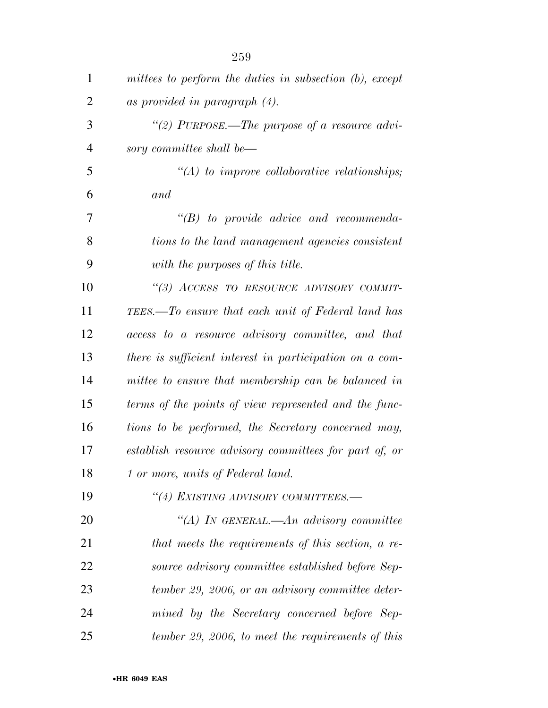| $\mathbf{1}$   | mittees to perform the duties in subsection (b), except |
|----------------|---------------------------------------------------------|
| $\overline{2}$ | as provided in paragraph $(4)$ .                        |
| 3              | "(2) PURPOSE.—The purpose of a resource advi-           |
| $\overline{4}$ | sory committee shall be—                                |
| 5              | $\lq (A)$ to improve collaborative relationships;       |
| 6              | and                                                     |
| 7              | $\lq\lq B$ to provide advice and recommenda-            |
| 8              | tions to the land management agencies consistent        |
| 9              | with the purposes of this title.                        |
| 10             | "(3) ACCESS TO RESOURCE ADVISORY COMMIT-                |
| 11             | TEES.—To ensure that each unit of Federal land has      |
| 12             | access to a resource advisory committee, and that       |
| 13             | there is sufficient interest in participation on a com- |
| 14             | mittee to ensure that membership can be balanced in     |
| 15             | terms of the points of view represented and the func-   |
| 16             | tions to be performed, the Secretary concerned may,     |
| 17             | establish resource advisory committees for part of, or  |
| 18             | 1 or more, units of Federal land.                       |
| 19             | "(4) EXISTING ADVISORY COMMITTEES.-                     |
| 20             | "(A) In GENERAL.—An advisory committee                  |
| 21             | that meets the requirements of this section, a re-      |
| 22             | source advisory committee established before Sep-       |
| 23             | tember 29, 2006, or an advisory committee deter-        |
| 24             | mined by the Secretary concerned before Sep-            |
| 25             | tember 29, 2006, to meet the requirements of this       |

•**HR 6049 EAS**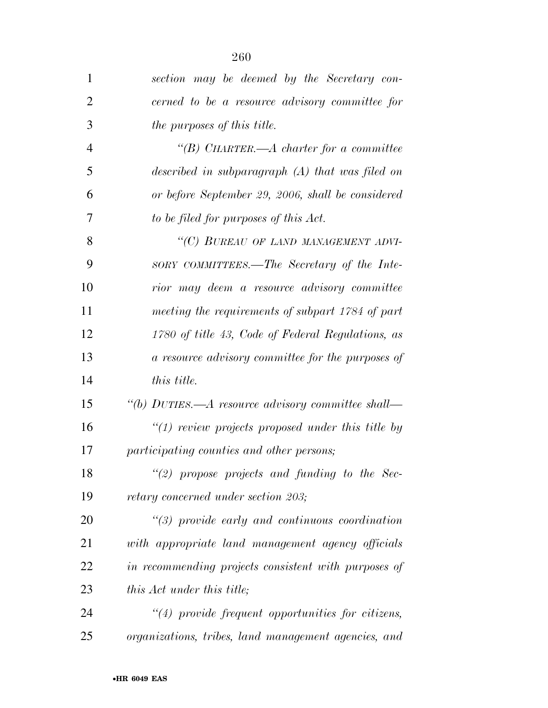| 1              | section may be deemed by the Secretary con-           |
|----------------|-------------------------------------------------------|
| $\overline{2}$ | cerned to be a resource advisory committee for        |
| 3              | the purposes of this title.                           |
| $\overline{4}$ | "(B) CHARTER.— $A$ charter for a committee            |
| 5              | described in subparagraph (A) that was filed on       |
| 6              | or before September 29, 2006, shall be considered     |
| 7              | to be filed for purposes of this Act.                 |
| 8              | "(C) BUREAU OF LAND MANAGEMENT ADVI-                  |
| 9              | SORY COMMITTEES.—The Secretary of the Inte-           |
| 10             | rior may deem a resource advisory committee           |
| 11             | meeting the requirements of subpart 1784 of part      |
| 12             | 1780 of title 43, Code of Federal Regulations, as     |
| 13             | a resource advisory committee for the purposes of     |
| 14             | <i>this title.</i>                                    |
| 15             | "(b) DUTIES.—A resource advisory committee shall—     |
| 16             | " $(1)$ review projects proposed under this title by  |
| 17             | participating counties and other persons;             |
| 18             | "(2) propose projects and funding to the Sec-         |
| 19             | retary concerned under section 203;                   |
| 20             | $\lq(3)$ provide early and continuous coordination    |
| 21             | with appropriate land management agency officials     |
| 22             | in recommending projects consistent with purposes of  |
| 23             | this Act under this title;                            |
| 24             | $\lq(4)$ provide frequent opportunities for citizens, |
| 25             | organizations, tribes, land management agencies, and  |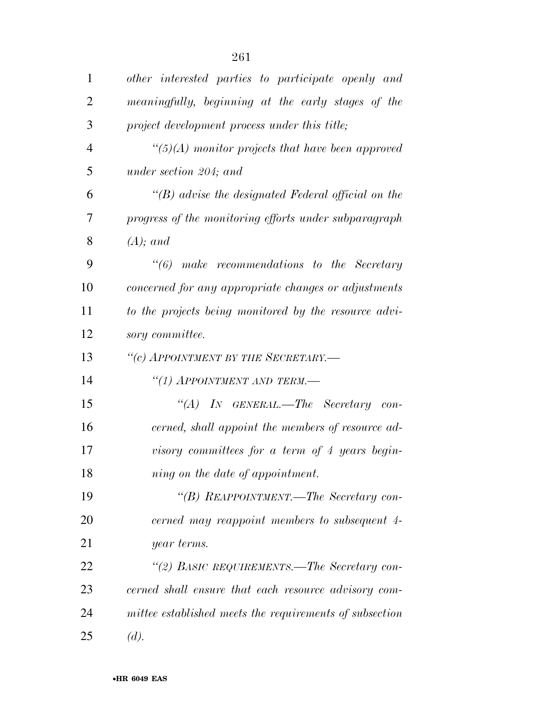| $\mathbf{1}$   | other interested parties to participate openly and        |
|----------------|-----------------------------------------------------------|
| $\overline{2}$ | meaningfully, beginning at the early stages of the        |
| 3              | project development process under this title;             |
| $\overline{4}$ | $\lq(5)(A)$ monitor projects that have been approved      |
| 5              | under section 204; and                                    |
| 6              | $\lq\lq(B)$ advise the designated Federal official on the |
| 7              | progress of the monitoring efforts under subparagraph     |
| 8              | $(A);$ and                                                |
| 9              | $\lq\lq\lq 6$ make recommendations to the Secretary       |
| 10             | concerned for any appropriate changes or adjustments      |
| 11             | to the projects being monitored by the resource advi-     |
| 12             | sory committee.                                           |
| 13             | "(c) APPOINTMENT BY THE SECRETARY.-                       |
| 14             | "(1) APPOINTMENT AND TERM.—                               |
| 15             | "(A) IN GENERAL.—The Secretary con-                       |
| 16             | cerned, shall appoint the members of resource ad-         |
| 17             | visory committees for a term of 4 years begin-            |
| 18             | ning on the date of appointment.                          |
| 19             | "(B) REAPPOINTMENT.—The Secretary con-                    |
| 20             | cerned may reappoint members to subsequent 4-             |
| 21             | year terms.                                               |
| 22             | "(2) BASIC REQUIREMENTS.—The Secretary con-               |
| 23             | cerned shall ensure that each resource advisory com-      |
| 24             | mittee established meets the requirements of subsection   |
| 25             | (d).                                                      |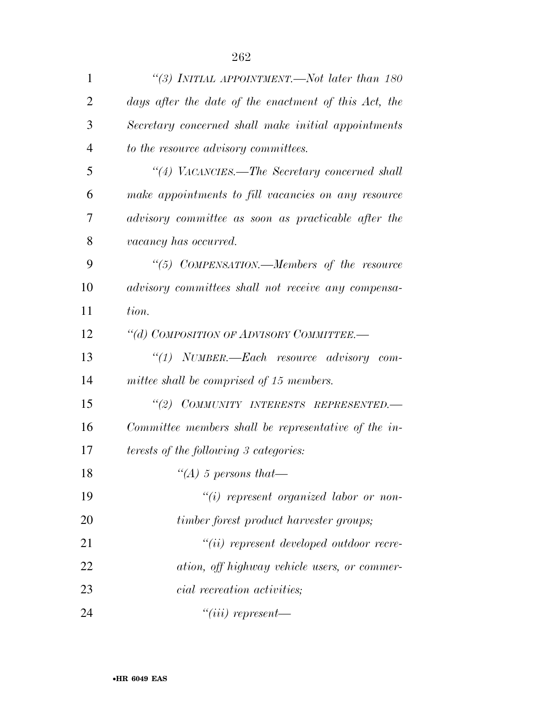| $\mathbf{1}$   | "(3) INITIAL APPOINTMENT.—Not later than 180          |
|----------------|-------------------------------------------------------|
| $\overline{2}$ | days after the date of the enactment of this Act, the |
| 3              | Secretary concerned shall make initial appointments   |
| $\overline{4}$ | to the resource advisory committees.                  |
| 5              | "(4) VACANCIES.—The Secretary concerned shall         |
| 6              | make appointments to fill vacancies on any resource   |
| 7              | advisory committee as soon as practicable after the   |
| 8              | vacancy has occurred.                                 |
| 9              | "(5) COMPENSATION.—Members of the resource            |
| 10             | advisory committees shall not receive any compensa-   |
| 11             | tion.                                                 |
| 12             | "(d) COMPOSITION OF ADVISORY COMMITTEE.-              |
| 13             | "(1) NUMBER.—Each resource advisory com-              |
| 14             | mittee shall be comprised of 15 members.              |
| 15             | "(2) COMMUNITY INTERESTS REPRESENTED.-                |
| 16             | Committee members shall be representative of the in-  |
| 17             | <i>terests of the following 3 categories:</i>         |
| 18             | "(A) 5 persons that-                                  |
| 19             | $"(i)$ represent organized labor or non-              |
| 20             | timber forest product harvester groups;               |
| 21             | $``(ii)$ represent developed outdoor recre-           |
| 22             | ation, off highway vehicle users, or commer-          |
| 23             | <i>cial recreation activities</i> ;                   |
| 24             | $``(iii)$ represent—                                  |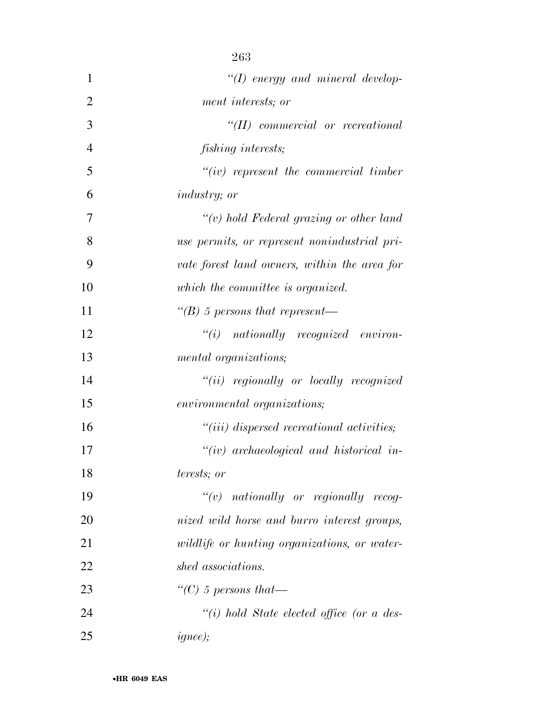|                | 263                                          |
|----------------|----------------------------------------------|
| 1              | $\lq (I)$ energy and mineral develop-        |
| $\overline{2}$ | ment interests; or                           |
| 3              | $``(II)$ commercial or recreational          |
| $\overline{4}$ | fishing interests;                           |
| 5              | $``(iv)$ represent the commercial timber     |
| 6              | <i>industry</i> ; <i>or</i>                  |
| 7              | $``(v)$ hold Federal grazing or other land   |
| 8              | use permits, or represent nonindustrial pri- |
| 9              | vate forest land owners, within the area for |
| 10             | which the committee is organized.            |
| 11             | "(B) 5 persons that represent—               |
| 12             | $``(i)$ nationally recognized environ-       |
| 13             | mental organizations;                        |
| 14             | $``(ii)$ regionally or locally recognized    |
| 15             | environmental organizations;                 |
| 16             | $"(iii)$ dispersed recreational activities;  |
| 17             | $``(iv)$ archaeological and historical in-   |
| 18             | terests; or                                  |
| 19             | $``(v)$ nationally or regionally recog-      |
| 20             | nized wild horse and burro interest groups,  |
| 21             | wildlife or hunting organizations, or water- |
| 22             | shed associations.                           |
| 23             | "(C) 5 persons that—                         |
| 24             | "(i) hold State elected office (or a des-    |
| 25             | <i>ignee)</i> ;                              |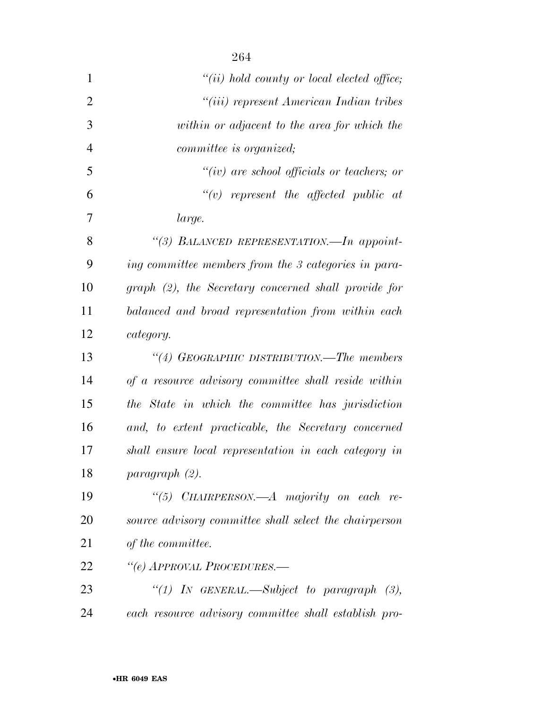| $\mathbf{1}$   | $``(ii)$ hold county or local elected office;          |
|----------------|--------------------------------------------------------|
| $\overline{2}$ | "(iii) represent American Indian tribes                |
| 3              | within or adjacent to the area for which the           |
| $\overline{4}$ | <i>committee is organized</i> ;                        |
| 5              | $``(iv)$ are school officials or teachers; or          |
| 6              | $``(v)$ represent the affected public at               |
| 7              | large.                                                 |
| 8              | "(3) BALANCED REPRESENTATION.-In appoint-              |
| 9              | ing committee members from the 3 categories in para-   |
| 10             | graph (2), the Secretary concerned shall provide for   |
| 11             | balanced and broad representation from within each     |
| 12             | category.                                              |
| 13             | "(4) GEOGRAPHIC DISTRIBUTION.—The members              |
| 14             | of a resource advisory committee shall reside within   |
| 15             | the State in which the committee has jurisdiction      |
| 16             | and, to extent practicable, the Secretary concerned    |
| 17             | shall ensure local representation in each category in  |
| 18             | paragraph (2).                                         |
| 19             | "(5) CHAIRPERSON.—A majority on each re-               |
| 20             | source advisory committee shall select the chairperson |
| 21             | of the committee.                                      |
| 22             | "(e) APPROVAL PROCEDURES.—                             |
| 23             | "(1) IN GENERAL.—Subject to paragraph $(3)$ ,          |
| 24             | each resource advisory committee shall establish pro-  |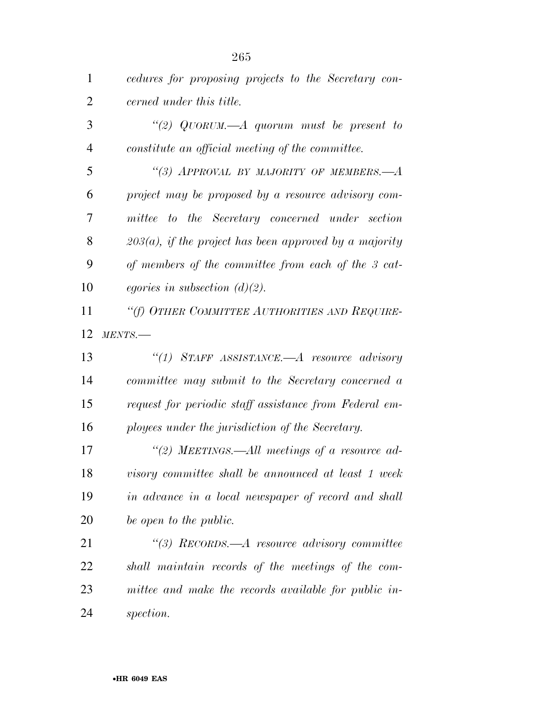| $\mathbf{1}$   | cedures for proposing projects to the Secretary con-      |
|----------------|-----------------------------------------------------------|
| $\overline{2}$ | cerned under this title.                                  |
| 3              | "(2) $QUORUM$ .—A quorum must be present to               |
| $\overline{4}$ | constitute an official meeting of the committee.          |
| 5              | "(3) APPROVAL BY MAJORITY OF MEMBERS.— $A$                |
| 6              | project may be proposed by a resource advisory com-       |
| 7              | mittee to the Secretary concerned under section           |
| 8              | $203(a)$ , if the project has been approved by a majority |
| 9              | of members of the committee from each of the 3 cat-       |
| 10             | equation (d)(2).                                          |
| 11             | "(f) OTHER COMMITTEE AUTHORITIES AND REQUIRE-             |
| 12             | MENTS.                                                    |
| 13             | "(1) STAFF ASSISTANCE.—A resource advisory                |
| 14             | committee may submit to the Secretary concerned a         |
| 15             | request for periodic staff assistance from Federal em-    |
| 16             | ployees under the jurisdiction of the Secretary.          |
| 17             | "(2) MEETINGS.—All meetings of a resource ad-             |
| 18             | visory committee shall be announced at least 1 week       |
| 19             | in advance in a local newspaper of record and shall       |
| 20             |                                                           |
|                | be open to the public.                                    |
| 21             | "(3) RECORDS.—A resource advisory committee               |
| 22             | shall maintain records of the meetings of the com-        |
| 23             | mittee and make the records available for public in-      |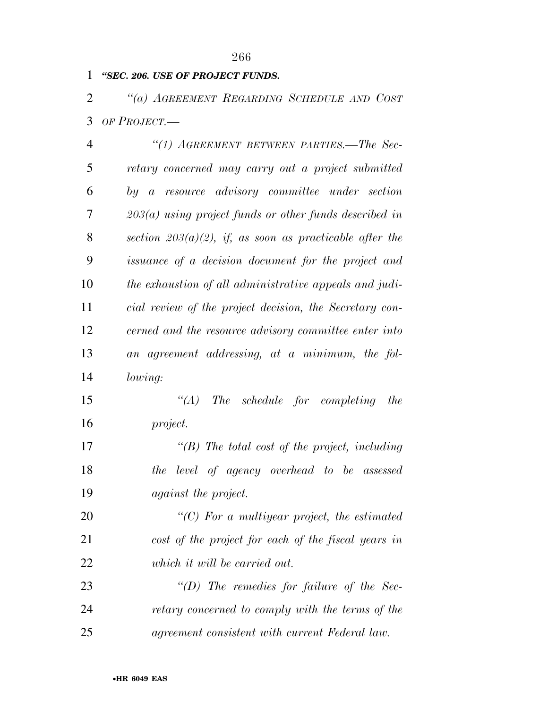# *''SEC. 206. USE OF PROJECT FUNDS.*

 *''(a) AGREEMENT REGARDING SCHEDULE AND COST OF PROJECT.—* 

| $\overline{4}$ | "(1) AGREEMENT BETWEEN PARTIES.—The Sec-                   |
|----------------|------------------------------------------------------------|
| 5              | retary concerned may carry out a project submitted         |
| 6              | by a resource advisory committee under section             |
| 7              | $203(a)$ using project funds or other funds described in   |
| 8              | section $203(a)(2)$ , if, as soon as practicable after the |
| 9              | issuance of a decision document for the project and        |
| 10             | the exhaustion of all administrative appeals and judi-     |
| 11             | cial review of the project decision, the Secretary con-    |
| 12             | cerned and the resource advisory committee enter into      |
| 13             | an agreement addressing, at a minimum, the fol-            |
| 14             | <i>lowing:</i>                                             |
| 15             | The schedule for completing the<br>$\lq (A)$               |

*project.* 

 *''(B) The total cost of the project, including the level of agency overhead to be assessed against the project.* 

 *''(C) For a multiyear project, the estimated cost of the project for each of the fiscal years in which it will be carried out.* 

 *''(D) The remedies for failure of the Sec- retary concerned to comply with the terms of the agreement consistent with current Federal law.*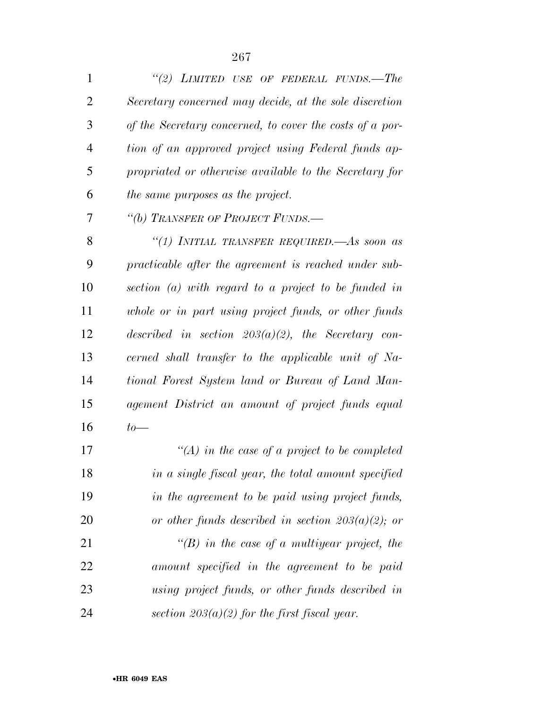| $\mathbf{1}$   | "(2) LIMITED USE OF FEDERAL FUNDS.—The                   |
|----------------|----------------------------------------------------------|
| 2              | Secretary concerned may decide, at the sole discretion   |
| 3              | of the Secretary concerned, to cover the costs of a por- |
| $\overline{4}$ | tion of an approved project using Federal funds ap-      |
| 5              | propriated or otherwise available to the Secretary for   |
| 6              | the same purposes as the project.                        |
| 7              | "(b) TRANSFER OF PROJECT FUNDS.-                         |
| 8              | "(1) INITIAL TRANSFER REQUIRED.—As soon as               |
| 9              | practicable after the agreement is reached under sub-    |
| 10             | section $(a)$ with regard to a project to be funded in   |
| 11             | whole or in part using project funds, or other funds     |
| 12             | described in section $203(a)(2)$ , the Secretary con-    |
| 13             | cerned shall transfer to the applicable unit of Na-      |
| 14             | tional Forest System land or Bureau of Land Man-         |
| 15             | agement District an amount of project funds equal        |
| 16             | $to-$                                                    |
| 17             | "(A) in the case of a project to be completed            |
| 18             | in a single fiscal year, the total amount specified      |
| 19             | in the agreement to be paid using project funds,         |
| 20             | or other funds described in section $203(a)(2)$ ; or     |
| 21             | $\lq\lq(B)$ in the case of a multiyear project, the      |
| 22             | amount specified in the agreement to be paid             |
| 23             | using project funds, or other funds described in         |
| 24             | section $203(a)(2)$ for the first fiscal year.           |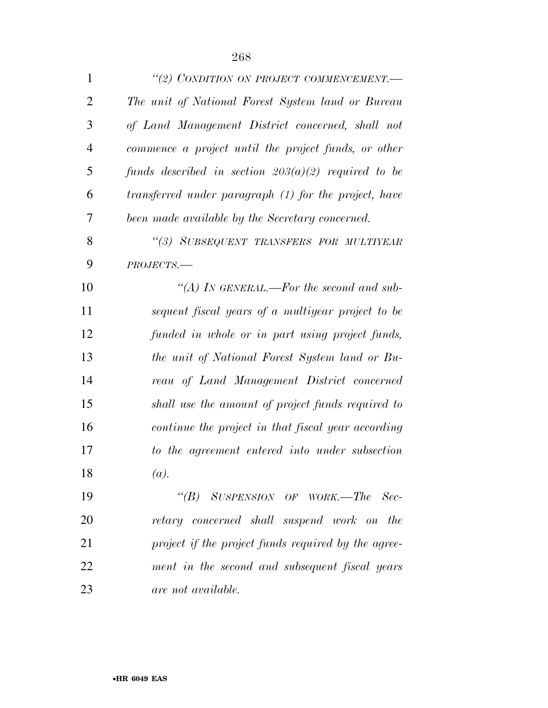| $\mathbf{1}$   | "(2) CONDITION ON PROJECT COMMENCEMENT.-              |
|----------------|-------------------------------------------------------|
| $\overline{2}$ | The unit of National Forest System land or Bureau     |
| 3              | of Land Management District concerned, shall not      |
| $\overline{4}$ | commence a project until the project funds, or other  |
| 5              | funds described in section $203(a)(2)$ required to be |
| 6              | transferred under paragraph (1) for the project, have |
| 7              | been made available by the Secretary concerned.       |
| 8              | "(3) SUBSEQUENT TRANSFERS FOR MULTIYEAR               |
| 9              | $PROJECTS$ .                                          |
| 10             | "(A) IN GENERAL.—For the second and sub-              |
| 11             | sequent fiscal years of a multiyear project to be     |
| 12             | funded in whole or in part using project funds,       |
| 13             | the unit of National Forest System land or Bu-        |
| 14             | reau of Land Management District concerned            |
| 15             | shall use the amount of project funds required to     |
| 16             | continue the project in that fiscal year according    |
| 17             | to the agreement entered into under subsection        |
| 18             | (a).                                                  |
| 19             | "(B) SUSPENSION OF WORK.—The Sec-                     |
| 20             | retary concerned shall suspend work on the            |
| 21             | project if the project funds required by the agree-   |
| 22             | ment in the second and subsequent fiscal years        |
| 23             | are not available.                                    |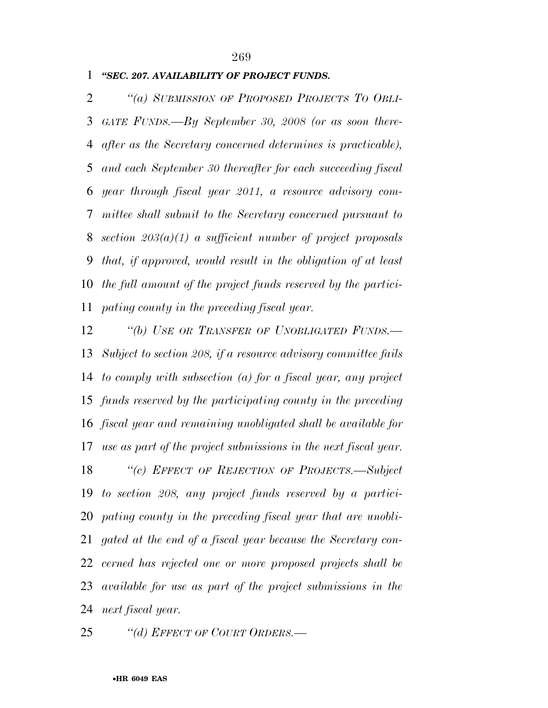# *''SEC. 207. AVAILABILITY OF PROJECT FUNDS.*

 *''(a) SUBMISSION OF PROPOSED PROJECTS TO OBLI- GATE FUNDS.—By September 30, 2008 (or as soon there- after as the Secretary concerned determines is practicable), and each September 30 thereafter for each succeeding fiscal year through fiscal year 2011, a resource advisory com- mittee shall submit to the Secretary concerned pursuant to section 203(a)(1) a sufficient number of project proposals that, if approved, would result in the obligation of at least the full amount of the project funds reserved by the partici-pating county in the preceding fiscal year.* 

 *''(b) USE OR TRANSFER OF UNOBLIGATED FUNDS.— Subject to section 208, if a resource advisory committee fails to comply with subsection (a) for a fiscal year, any project funds reserved by the participating county in the preceding fiscal year and remaining unobligated shall be available for use as part of the project submissions in the next fiscal year. ''(c) EFFECT OF REJECTION OF PROJECTS.—Subject to section 208, any project funds reserved by a partici- pating county in the preceding fiscal year that are unobli- gated at the end of a fiscal year because the Secretary con- cerned has rejected one or more proposed projects shall be available for use as part of the project submissions in the next fiscal year.* 

*''(d) EFFECT OF COURT ORDERS.—*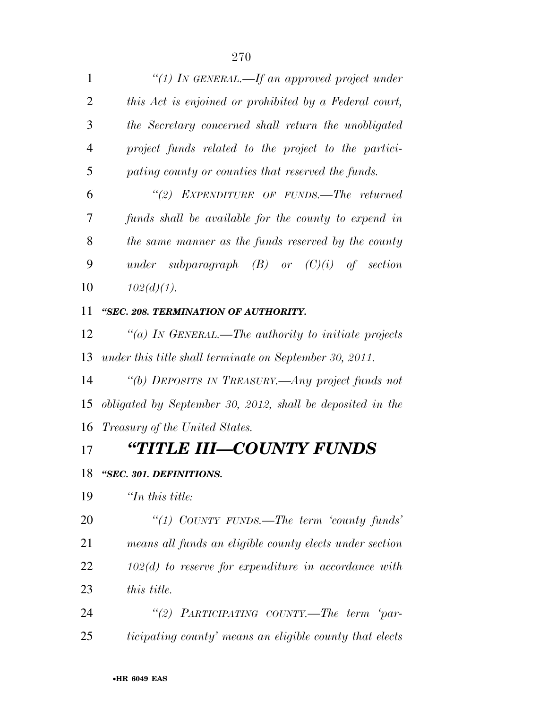| $\mathbf{1}$ | "(1) IN GENERAL.—If an approved project under          |
|--------------|--------------------------------------------------------|
| 2            | this Act is enjoined or prohibited by a Federal court, |
| 3            | the Secretary concerned shall return the unobligated   |
| 4            | project funds related to the project to the partici-   |
| 5            | pating county or counties that reserved the funds.     |
| 6            | "(2) EXPENDITURE OF FUNDS.—The returned                |
| 7            | funds shall be available for the county to expend in   |
| 8            | the same manner as the funds reserved by the county    |
| 9            | subparagraph $(B)$ or $(C)(i)$ of section<br>under     |
| 10           | $102(d)(1)$ .                                          |

## *''SEC. 208. TERMINATION OF AUTHORITY.*

 *''(a) IN GENERAL.—The authority to initiate projects under this title shall terminate on September 30, 2011.* 

 *''(b) DEPOSITS IN TREASURY.—Any project funds not obligated by September 30, 2012, shall be deposited in the Treasury of the United States.* 

# *''TITLE III—COUNTY FUNDS*

### *''SEC. 301. DEFINITIONS.*

*''In this title:* 

 *''(1) COUNTY FUNDS.—The term 'county funds' means all funds an eligible county elects under section 102(d) to reserve for expenditure in accordance with this title.* 

 *''(2) PARTICIPATING COUNTY.—The term 'par-ticipating county' means an eligible county that elects*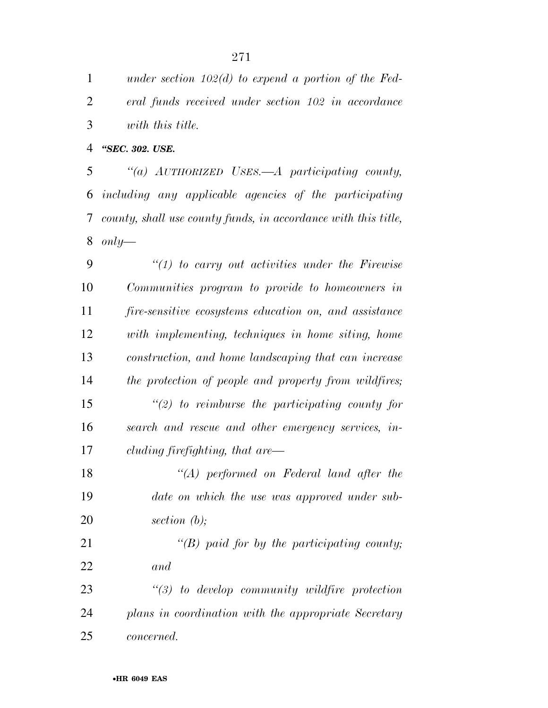*under section 102(d) to expend a portion of the Fed- eral funds received under section 102 in accordance with this title.* 

*''SEC. 302. USE.* 

 *''(a) AUTHORIZED USES.—A participating county, including any applicable agencies of the participating county, shall use county funds, in accordance with this title, only—* 

 *''(1) to carry out activities under the Firewise Communities program to provide to homeowners in fire-sensitive ecosystems education on, and assistance with implementing, techniques in home siting, home construction, and home landscaping that can increase the protection of people and property from wildfires; ''(2) to reimburse the participating county for search and rescue and other emergency services, in- cluding firefighting, that are— ''(A) performed on Federal land after the date on which the use was approved under sub- section (b); ''(B) paid for by the participating county; and ''(3) to develop community wildfire protection plans in coordination with the appropriate Secretary* 

*concerned.*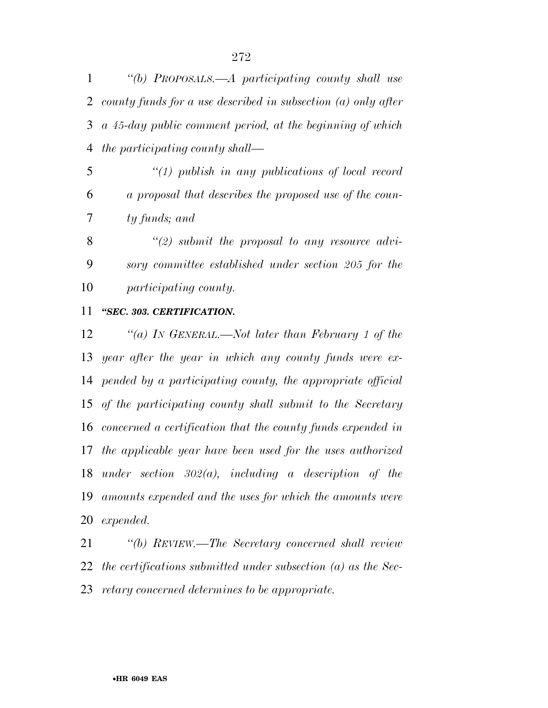*''(b) PROPOSALS.—A participating county shall use county funds for a use described in subsection (a) only after a 45-day public comment period, at the beginning of which the participating county shall—* 

 *''(1) publish in any publications of local record a proposal that describes the proposed use of the coun-ty funds; and* 

 *''(2) submit the proposal to any resource advi- sory committee established under section 205 for the participating county.* 

### *''SEC. 303. CERTIFICATION.*

 *''(a) IN GENERAL.—Not later than February 1 of the year after the year in which any county funds were ex- pended by a participating county, the appropriate official of the participating county shall submit to the Secretary concerned a certification that the county funds expended in the applicable year have been used for the uses authorized under section 302(a), including a description of the amounts expended and the uses for which the amounts were expended.* 

 *''(b) REVIEW.—The Secretary concerned shall review the certifications submitted under subsection (a) as the Sec-retary concerned determines to be appropriate.*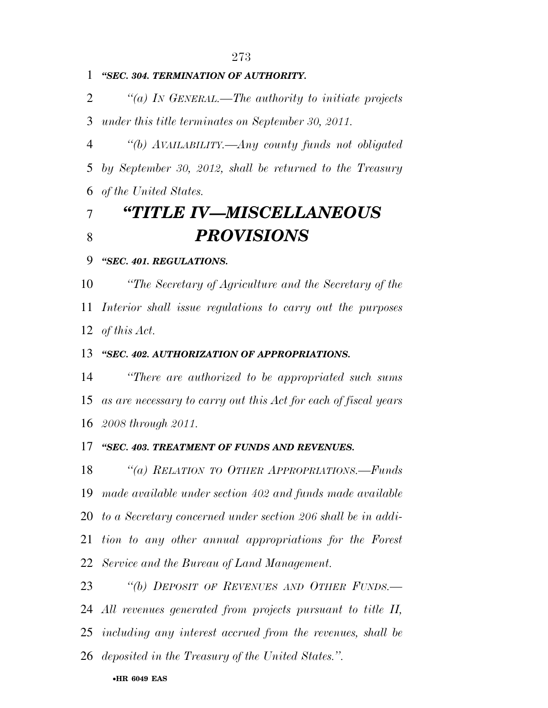# *''SEC. 304. TERMINATION OF AUTHORITY.*

 *''(a) IN GENERAL.—The authority to initiate projects under this title terminates on September 30, 2011.* 

 *''(b) AVAILABILITY.—Any county funds not obligated by September 30, 2012, shall be returned to the Treasury of the United States.* 

# *''TITLE IV—MISCELLANEOUS PROVISIONS*

# *''SEC. 401. REGULATIONS.*

 *''The Secretary of Agriculture and the Secretary of the Interior shall issue regulations to carry out the purposes of this Act.* 

### *''SEC. 402. AUTHORIZATION OF APPROPRIATIONS.*

 *''There are authorized to be appropriated such sums as are necessary to carry out this Act for each of fiscal years 2008 through 2011.* 

#### *''SEC. 403. TREATMENT OF FUNDS AND REVENUES.*

 *''(a) RELATION TO OTHER APPROPRIATIONS.—Funds made available under section 402 and funds made available to a Secretary concerned under section 206 shall be in addi- tion to any other annual appropriations for the Forest Service and the Bureau of Land Management.* 

 *''(b) DEPOSIT OF REVENUES AND OTHER FUNDS.— All revenues generated from projects pursuant to title II, including any interest accrued from the revenues, shall be deposited in the Treasury of the United States.''.*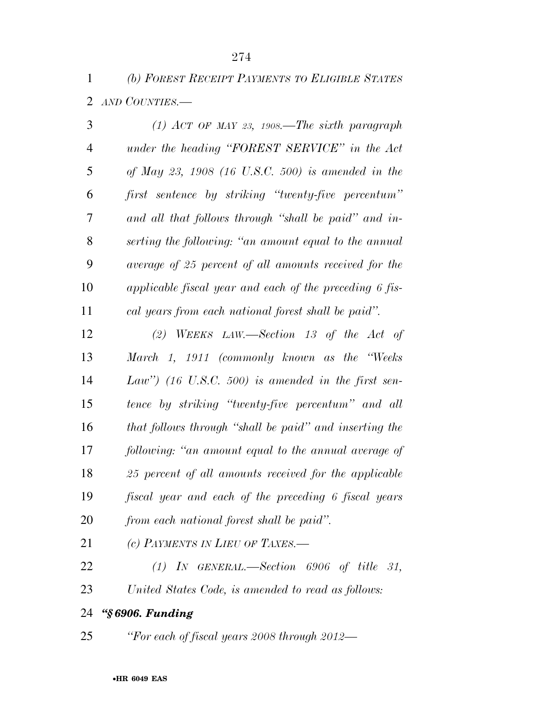*(b) FOREST RECEIPT PAYMENTS TO ELIGIBLE STATES AND COUNTIES.—* 

| 3              | (1) ACT OF MAY 23, 1908.—The sixth paragraph            |
|----------------|---------------------------------------------------------|
| $\overline{4}$ | under the heading "FOREST SERVICE" in the Act           |
| 5              | of May 23, 1908 (16 U.S.C. 500) is amended in the       |
| 6              | first sentence by striking "twenty-five percentum"      |
| 7              | and all that follows through "shall be paid" and in-    |
| 8              | serting the following: "an amount equal to the annual   |
| 9              | average of 25 percent of all amounts received for the   |
| 10             | applicable fiscal year and each of the preceding 6 fis- |
| 11             | cal years from each national forest shall be paid".     |
| 12             | (2) WEEKS LAW.—Section 13 of the Act of                 |
| 13             | March 1, 1911 (commonly known as the "Weeks"            |
| 14             | Law") (16 U.S.C. 500) is amended in the first sen-      |
| 15             | tence by striking "twenty-five percentum" and all       |
| 16             | that follows through "shall be paid" and inserting the  |
| 17             | following: "an amount equal to the annual average of    |
| 18             | 25 percent of all amounts received for the applicable   |
| 19             | fiscal year and each of the preceding 6 fiscal years    |
| 20             | from each national forest shall be paid".               |
| 21             | (c) PAYMENTS IN LIEU OF TAXES.-                         |
| 22             | $(1)$ IN GENERAL.—Section 6906 of title 31,             |
| 23             | United States Code, is amended to read as follows:      |
| 24             | "§6906. Funding                                         |

*''For each of fiscal years 2008 through 2012—*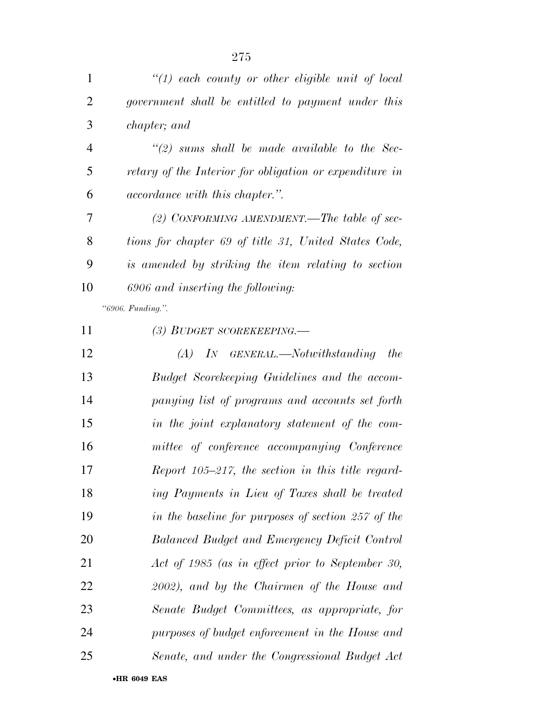|    | $\lq(1)$ each county or other eligible unit of local    |
|----|---------------------------------------------------------|
| 2  | government shall be entitled to payment under this      |
| 3  | <i>chapter</i> ; and                                    |
| 4  | $\lq(2)$ sums shall be made available to the Sec-       |
| 5  | retary of the Interior for obligation or expenditure in |
| 6  | <i>accordance with this chapter.</i> ".                 |
| 7  | (2) CONFORMING AMENDMENT.—The table of sec-             |
| 8  | tions for chapter 69 of title 31, United States Code,   |
| 9  | is amended by striking the item relating to section     |
| 10 | 6906 and inserting the following:                       |
|    | "6906. Funding.".                                       |
| 11 | (3) BUDGET SCOREKEEPING.—                               |

| 12 | $(A)$ In GENERAL.—Notwithstanding the              |
|----|----------------------------------------------------|
| 13 | Budget Scorekeeping Guidelines and the accom-      |
| 14 | panying list of programs and accounts set forth    |
| 15 | in the joint explanatory statement of the com-     |
| 16 | mittee of conference accompanying Conference       |
| 17 | Report 105–217, the section in this title regard-  |
| 18 | ing Payments in Lieu of Taxes shall be treated     |
| 19 | in the baseline for purposes of section 257 of the |
| 20 | Balanced Budget and Emergency Deficit Control      |
| 21 | Act of 1985 (as in effect prior to September 30,   |
| 22 | 2002), and by the Chairmen of the House and        |
| 23 | Senate Budget Committees, as appropriate, for      |
| 24 | purposes of budget enforcement in the House and    |
| 25 | Senate, and under the Congressional Budget Act     |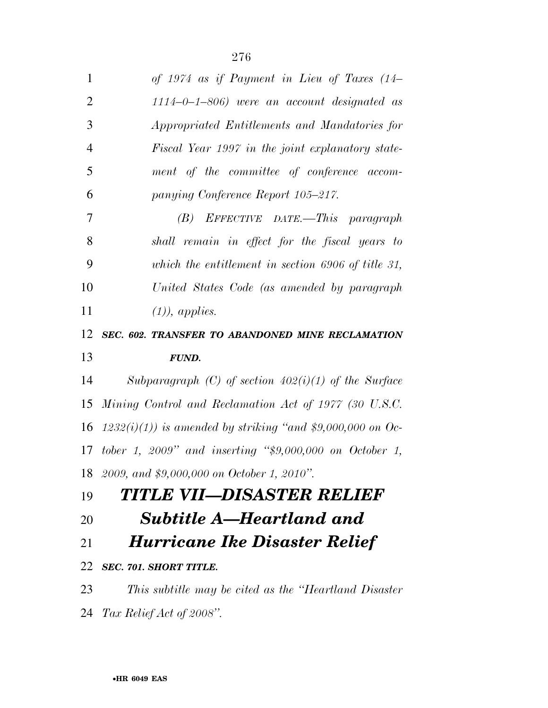| $\mathbf{1}$   | of 1974 as if Payment in Lieu of Taxes $(14-$                 |
|----------------|---------------------------------------------------------------|
| $\overline{2}$ | $1114 - 0 - 1 - 806$ were an account designated as            |
| 3              | Appropriated Entitlements and Mandatories for                 |
| $\overline{4}$ | Fiscal Year 1997 in the joint explanatory state-              |
| 5              | ment of the committee of conference accom-                    |
| 6              | panying Conference Report 105-217.                            |
| $\overline{7}$ | $(B)$ EFFECTIVE DATE.—This paragraph                          |
| 8              | shall remain in effect for the fiscal years to                |
| 9              | which the entitlement in section 6906 of title 31,            |
| 10             | United States Code (as amended by paragraph                   |
| 11             | $(1)$ , applies.                                              |
| 12             | SEC. 602. TRANSFER TO ABANDONED MINE RECLAMATION              |
| 13             | <b>FUND.</b>                                                  |
| 14             | Subparagraph (C) of section $402(i)(1)$ of the Surface        |
| 15             | Mining Control and Reclamation Act of 1977 (30 U.S.C.         |
| 16             | $(1232(i)(1))$ is amended by striking "and \$9,000,000 on Oc- |
|                | 17 tober 1, 2009" and inserting " $$9,000,000$ on October 1,  |
|                | 18 2009, and \$9,000,000 on October 1, 2010".                 |
|                |                                                               |
|                | TITLE VII—DISASTER RELIEF                                     |
|                | <b>Subtitle A–Heartland and</b>                               |
| 19<br>20<br>21 | <b>Hurricane Ike Disaster Relief</b>                          |
| 22             | SEC. 701. SHORT TITLE.                                        |
| 23             | This subtitle may be cited as the "Heartland Disaster"        |

*Tax Relief Act of 2008''.*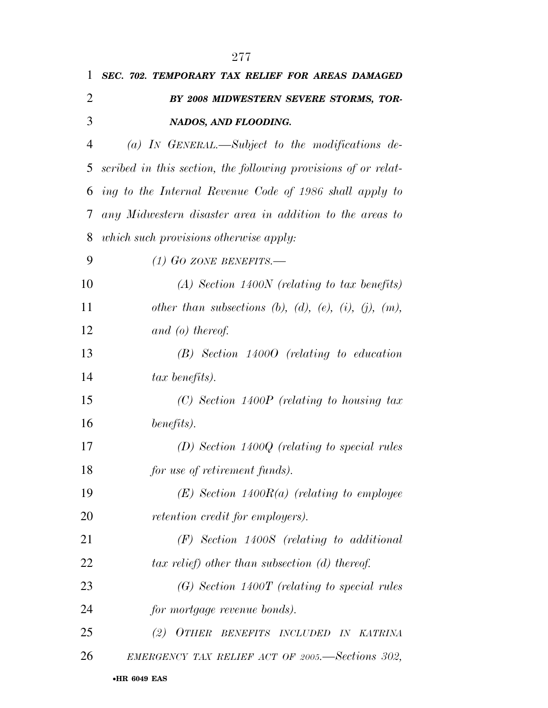| 1              | SEC. 702. TEMPORARY TAX RELIEF FOR AREAS DAMAGED               |
|----------------|----------------------------------------------------------------|
| 2              | BY 2008 MIDWESTERN SEVERE STORMS, TOR-                         |
| 3              | NADOS, AND FLOODING.                                           |
| $\overline{4}$ | (a) IN GENERAL.—Subject to the modifications de-               |
| 5              | scribed in this section, the following provisions of or relat- |
|                | 6 ing to the Internal Revenue Code of 1986 shall apply to      |
| 7              | any Midwestern disaster area in addition to the areas to       |
| 8              | which such provisions otherwise apply:                         |
| 9              | (1) GO ZONE BENEFITS.—                                         |
| 10             | $(A)$ Section 1400N (relating to tax benefits)                 |
| 11             | other than subsections (b), (d), (e), (i), (j), (m),           |
| 12             | and $(o)$ thereof.                                             |
| 13             | $(B)$ Section 14000 (relating to education                     |
| 14             | tax benefits).                                                 |
| 15             | $(C)$ Section 1400P (relating to housing tax                   |
| 16             | benefits).                                                     |
| 17             | $(D)$ Section 1400Q (relating to special rules                 |
| 18             | for use of retirement funds).                                  |
| 19             | $(E)$ Section 1400 $R(a)$ (relating to employee                |
| 20             | retention credit for employers).                               |
| 21             | $(F)$ Section 1400S (relating to additional                    |
| 22             | $tax$ relief) other than subsection (d) thereof.               |
| 23             | $(G)$ Section 1400T (relating to special rules                 |
| 24             | for mortgage revenue bonds).                                   |
| 25             | (2) OTHER BENEFITS INCLUDED IN KATRINA                         |
| 26             | EMERGENCY TAX RELIEF ACT OF 2005. Sections 302,                |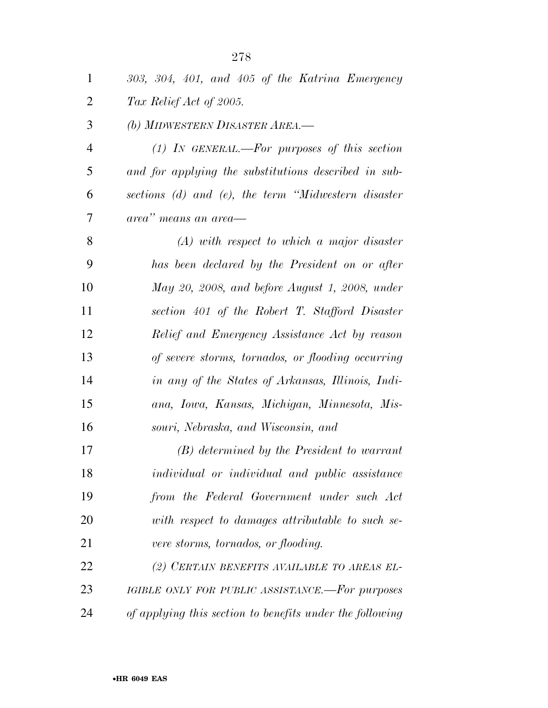| $\mathbf{1}$   | 303, 304, 401, and 405 of the Katrina Emergency          |
|----------------|----------------------------------------------------------|
| $\overline{2}$ | Tax Relief Act of 2005.                                  |
| 3              | (b) MIDWESTERN DISASTER AREA.-                           |
| $\overline{4}$ | $(1)$ IN GENERAL.—For purposes of this section           |
| 5              | and for applying the substitutions described in sub-     |
| 6              | sections (d) and (e), the term "Midwestern disaster      |
| 7              | area" means an area—                                     |
| 8              | $(A)$ with respect to which a major disaster             |
| 9              | has been declared by the President on or after           |
| 10             | May 20, 2008, and before August 1, 2008, under           |
| 11             | section 401 of the Robert T. Stafford Disaster           |
| 12             | Relief and Emergency Assistance Act by reason            |
| 13             | of severe storms, tornados, or flooding occurring        |
| 14             | in any of the States of Arkansas, Illinois, Indi-        |
| 15             | ana, Iowa, Kansas, Michigan, Minnesota, Mis-             |
| 16             | souri, Nebraska, and Wisconsin, and                      |
| 17             | (B) determined by the President to warrant               |
| 18             | individual or individual and public assistance           |
| 19             | from the Federal Government under such Act               |
| 20             | with respect to damages attributable to such se-         |
| 21             | vere storms, tornados, or flooding.                      |
| 22             | (2) CERTAIN BENEFITS AVAILABLE TO AREAS EL-              |
| 23             | IGIBLE ONLY FOR PUBLIC ASSISTANCE.-For purposes          |
| 24             | of applying this section to benefits under the following |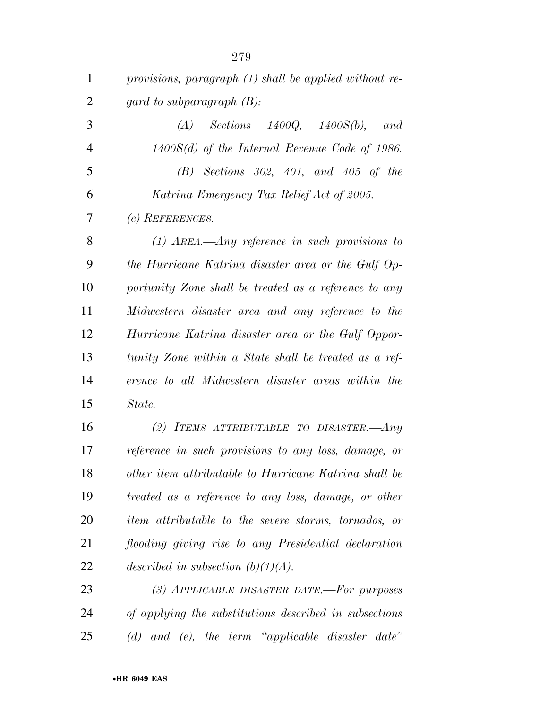| 1              | provisions, paragraph (1) shall be applied without re- |
|----------------|--------------------------------------------------------|
| $\overline{2}$ | gard to subparagraph $(B)$ :                           |
| 3              | Sections $1400Q$ , $1400S(b)$ ,<br>(A)<br>and          |
| $\overline{4}$ | $1400S(d)$ of the Internal Revenue Code of 1986.       |
| 5              | $(B)$ Sections 302, 401, and 405 of the                |
| 6              | Katrina Emergency Tax Relief Act of 2005.              |
| 7              | (c) REFERENCES.—                                       |
| 8              | $(1)$ AREA.—Any reference in such provisions to        |
| 9              | the Hurricane Katrina disaster area or the Gulf Op-    |
| 10             | portunity Zone shall be treated as a reference to any  |
| 11             | Midwestern disaster area and any reference to the      |
| 12             | Hurricane Katrina disaster area or the Gulf Oppor-     |
| 13             | tunity Zone within a State shall be treated as a ref-  |
| 14             | erence to all Midwestern disaster areas within the     |
| 15             | State.                                                 |
| 16             | (2) ITEMS ATTRIBUTABLE TO DISASTER.—Any                |
| 17             | reference in such provisions to any loss, damage, or   |
| 18             | other item attributable to Hurricane Katrina shall be  |
| 19             | treated as a reference to any loss, damage, or other   |
| 20             | item attributable to the severe storms, tornados, or   |
| 21             | flooding giving rise to any Presidential declaration   |
| 22             | described in subsection $(b)(1)(A)$ .                  |
| 23             | (3) APPLICABLE DISASTER DATE.-For purposes             |
| 24             | of applying the substitutions described in subsections |
| 25             | (d) and (e), the term "applicable disaster date"       |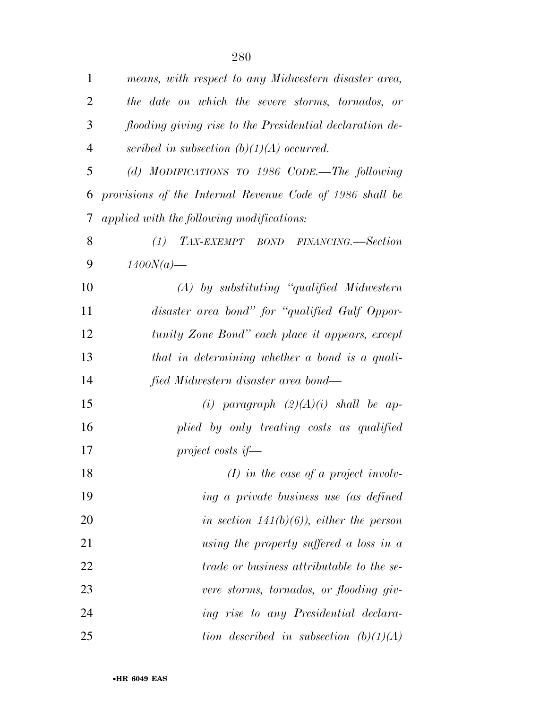| 1              | means, with respect to any Midwestern disaster area,     |
|----------------|----------------------------------------------------------|
| $\overline{2}$ | the date on which the severe storms, tornados, or        |
| 3              | flooding giving rise to the Presidential declaration de- |
| 4              | scribed in subsection $(b)(1)(A)$ occurred.              |
| 5              | (d) MODIFICATIONS TO 1986 CODE.—The following            |
| 6              | provisions of the Internal Revenue Code of 1986 shall be |
| 7              | applied with the following modifications:                |
| 8              | (1)<br>TAX-EXEMPT BOND FINANCING.—Section                |
| 9              | $1400N(a)$ —                                             |
| 10             | $(A)$ by substituting "qualified Midwestern"             |
| 11             | disaster area bond" for "qualified Gulf Oppor-           |
| 12             | tunity Zone Bond" each place it appears, except          |
| 13             | that in determining whether a bond is a quali-           |
| 14             | fied Midwestern disaster area bond—                      |
| 15             | (i) paragraph $(2)(A)(i)$ shall be ap-                   |
| 16             | plied by only treating costs as qualified                |
| 17             | project costs if—                                        |
| 18             | $(I)$ in the case of a project involv-                   |
| 19             | ing a private business use (as defined                   |
| 20             | in section $141(b)(6)$ , either the person               |
| 21             | using the property suffered a loss in $a$                |
| 22             | <i>trade or business attributable to the se-</i>         |
| 23             | vere storms, tornados, or flooding giv-                  |
| 24             | ing rise to any Presidential declara-                    |
| 25             | tion described in subsection $(b)(1)(A)$                 |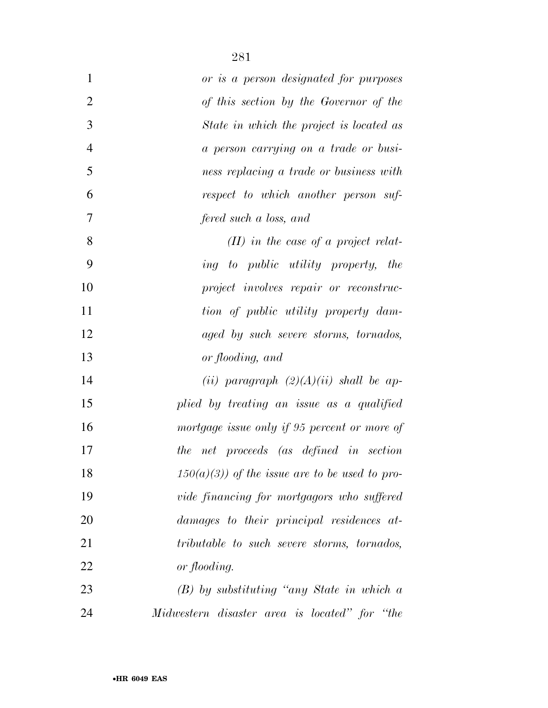| $\mathbf{1}$   | or is a person designated for purposes          |
|----------------|-------------------------------------------------|
| $\overline{2}$ | of this section by the Governor of the          |
| 3              | State in which the project is located as        |
| $\overline{4}$ | a person carrying on a trade or busi-           |
| 5              | ness replacing a trade or business with         |
| 6              | respect to which another person suf-            |
| 7              | fered such a loss, and                          |
| 8              | $(II)$ in the case of a project relat-          |
| 9              | ing to public utility property,<br>the          |
| 10             | project involves repair or reconstruc-          |
| 11             | tion of public utility property dam-            |
| 12             | aged by such severe storms, tornados,           |
| 13             | or flooding, and                                |
| 14             | (ii) paragraph $(2)(A)(ii)$ shall be ap-        |
| 15             | plied by treating an issue as a qualified       |
| 16             | mortgage issue only if 95 percent or more of    |
| 17             | the net proceeds (as defined in section         |
| 18             | $150(a)(3)$ of the issue are to be used to pro- |
| 19             | vide financing for mortgagors who suffered      |
| 20             | damages to their principal residences at-       |
| 21             | tributable to such severe storms, tornados,     |
| 22             | or flooding.                                    |
| 23             | $(B)$ by substituting "any State in which a     |
| 24             | Midwestern disaster area is located" for "the   |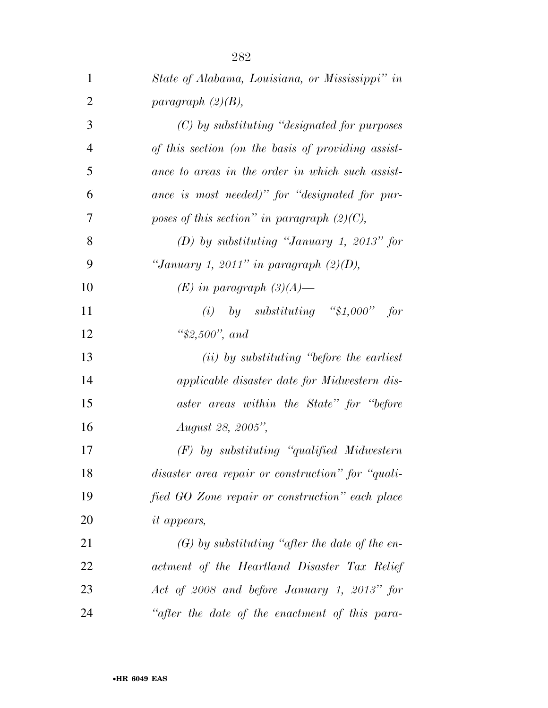| 1              | State of Alabama, Louisiana, or Mississippi" in     |
|----------------|-----------------------------------------------------|
| $\overline{2}$ | paragraph $(2)(B)$ ,                                |
| 3              | $(C)$ by substituting "designated for purposes"     |
| $\overline{4}$ | of this section (on the basis of providing assist-  |
| 5              | ance to areas in the order in which such assist-    |
| 6              | ance is most needed)" for "designated for pur-      |
| 7              | poses of this section" in paragraph $(2)(C)$ ,      |
| 8              | $(D)$ by substituting "January 1, 2013" for         |
| 9              | "January 1, 2011" in paragraph $(2)(D)$ ,           |
| 10             | $(E)$ in paragraph $(3)(A)$ —                       |
| 11             | (i) by substituting "\$1,000"<br>for                |
| 12             | " $$2,500"$ , and                                   |
| 13             | ( <i>ii</i> ) by substituting "before the earliest" |
| 14             | applicable disaster date for Midwestern dis-        |
| 15             | aster areas within the State" for "before"          |
| 16             | August 28, 2005",                                   |
| 17             | $(F)$ by substituting "qualified Midwestern"        |
| 18             | disaster area repair or construction" for "quali-   |
| 19             | fied GO Zone repair or construction" each place     |
| 20             | <i>it appears,</i>                                  |
| 21             | $(G)$ by substituting "after the date of the en-    |
| 22             | actment of the Heartland Disaster Tax Relief        |
| 23             | Act of 2008 and before January 1, 2013" for         |
| 24             | "after the date of the enactment of this para-      |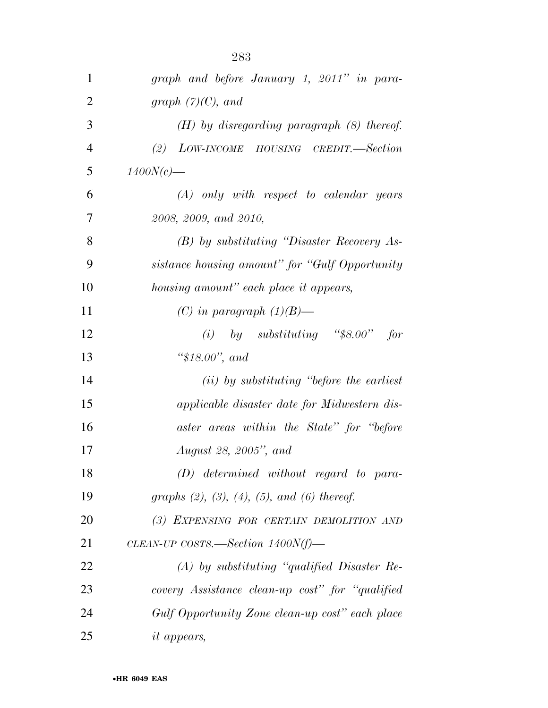| $\mathbf{1}$   | graph and before January 1, 2011" in para-                |
|----------------|-----------------------------------------------------------|
| $\overline{2}$ | graph $(7)(C)$ , and                                      |
| 3              | $(H)$ by disregarding paragraph $(8)$ thereof.            |
| $\overline{4}$ | (2) LOW-INCOME HOUSING CREDIT.—Section                    |
| 5              | $1400N(c)$ —                                              |
| 6              | $(A)$ only with respect to calendar years                 |
| 7              | 2008, 2009, and 2010,                                     |
| 8              | $(B)$ by substituting "Disaster Recovery As-              |
| 9              | sistance housing amount" for "Gulf Opportunity            |
| 10             | housing amount" each place it appears,                    |
| 11             | (C) in paragraph $(1)(B)$ —                               |
| 12             | (i) by substituting "\$8.00"<br>for                       |
| 13             | " $$18.00$ ", and                                         |
| 14             | $(ii)$ by substituting "before the earliest"              |
| 15             | applicable disaster date for Midwestern dis-              |
| 16             | aster areas within the State" for "before"                |
| 17             | <i>August 28, 2005", and</i>                              |
| 18             | $(D)$ determined without regard to para-                  |
| 19             | graphs $(2)$ , $(3)$ , $(4)$ , $(5)$ , and $(6)$ thereof. |
| 20             | (3) EXPENSING FOR CERTAIN DEMOLITION AND                  |
| 21             | CLEAN-UP COSTS.—Section $1400N(f)$ —                      |
| 22             | $(A)$ by substituting "qualified Disaster Re-             |
| 23             | covery Assistance clean-up cost" for "qualified           |
| 24             | Gulf Opportunity Zone clean-up cost" each place           |
| 25             | <i>it appears,</i>                                        |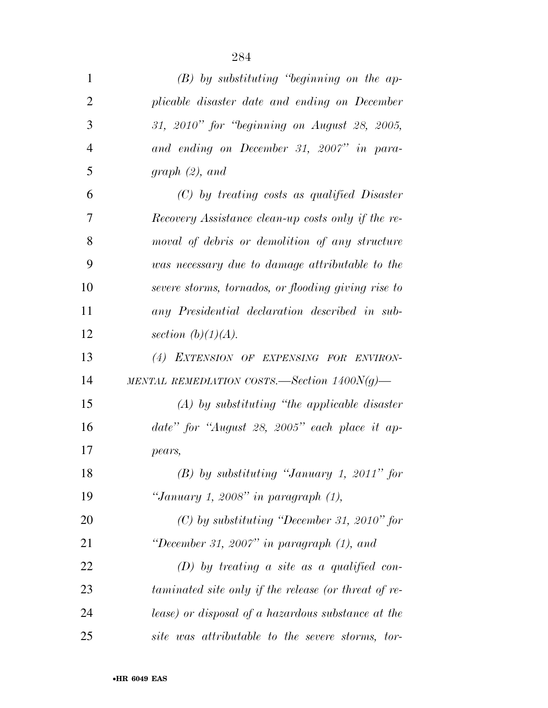| $\mathbf{1}$   | $(B)$ by substituting "beginning on the ap-          |
|----------------|------------------------------------------------------|
| $\overline{2}$ | plicable disaster date and ending on December        |
| 3              | 31, 2010" for "beginning on August 28, 2005,         |
| $\overline{4}$ | and ending on December 31, 2007" in para-            |
| 5              | graph(2), and                                        |
| 6              | $(C)$ by treating costs as qualified Disaster        |
| 7              | Recovery Assistance clean-up costs only if the re-   |
| 8              | moval of debris or demolition of any structure       |
| 9              | was necessary due to damage attributable to the      |
| 10             | severe storms, tornados, or flooding giving rise to  |
| 11             | any Presidential declaration described in sub-       |
| 12             | section $(b)(1)(A)$ .                                |
| 13             | (4) EXTENSION OF EXPENSING FOR ENVIRON-              |
| 14             | MENTAL REMEDIATION COSTS.—Section $1400N(g)$ —       |
| 15             | $(A)$ by substituting "the applicable disaster"      |
| 16             | date" for "August 28, 2005" each place it ap-        |
| 17             | pears,                                               |
| 18             | $(B)$ by substituting "January 1, 2011" for          |
| 19             | "January 1, 2008" in paragraph $(1)$ ,               |
| 20             | $(C)$ by substituting "December 31, 2010" for        |
| 21             | "December 31, 2007" in paragraph $(1)$ , and         |
| 22             | $(D)$ by treating a site as a qualified con-         |
| 23             | taminated site only if the release (or threat of re- |
| 24             | lease) or disposal of a hazardous substance at the   |
| 25             | site was attributable to the severe storms, tor-     |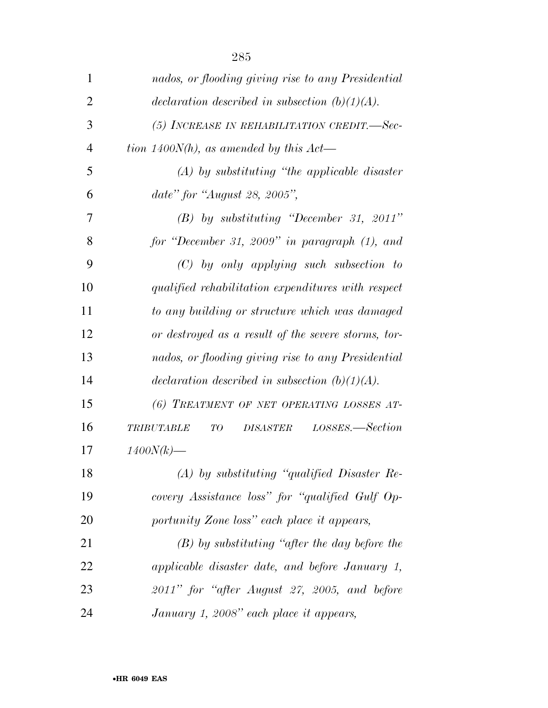| $\mathbf{1}$   | nados, or flooding giving rise to any Presidential            |
|----------------|---------------------------------------------------------------|
| $\overline{2}$ | declaration described in subsection $(b)(1)(A)$ .             |
| 3              | (5) INCREASE IN REHABILITATION CREDIT.-Sec-                   |
| $\overline{4}$ | tion 1400 $N(h)$ , as amended by this $Act$ —                 |
| 5              | $(A)$ by substituting "the applicable disaster"               |
| 6              | date" for "August 28, 2005",                                  |
| 7              | $(B)$ by substituting "December 31, 2011"                     |
| 8              | for "December 31, 2009" in paragraph $(1)$ , and              |
| 9              | $(C)$ by only applying such subsection to                     |
| 10             | qualified rehabilitation expenditures with respect            |
| 11             | to any building or structure which was damaged                |
| 12             | or destroyed as a result of the severe storms, tor-           |
| 13             | nados, or flooding giving rise to any Presidential            |
| 14             | declaration described in subsection $(b)(1)(A)$ .             |
| 15             | (6) TREATMENT OF NET OPERATING LOSSES AT-                     |
| 16             | LOSSES.—Section<br>TO<br><b>DISASTER</b><br><b>TRIBUTABLE</b> |
| 17             | $1400N(k)$ —                                                  |
| 18             | $(A)$ by substituting "qualified Disaster Re-                 |
| 19             | covery Assistance loss" for "qualified Gulf Op-               |
| 20             | portunity Zone loss" each place it appears,                   |
| 21             | $(B)$ by substituting "after the day before the               |
| 22             | applicable disaster date, and before January 1,               |
| 23             | $2011"$ for "after August 27, 2005, and before                |
| 24             | January 1, 2008" each place it appears,                       |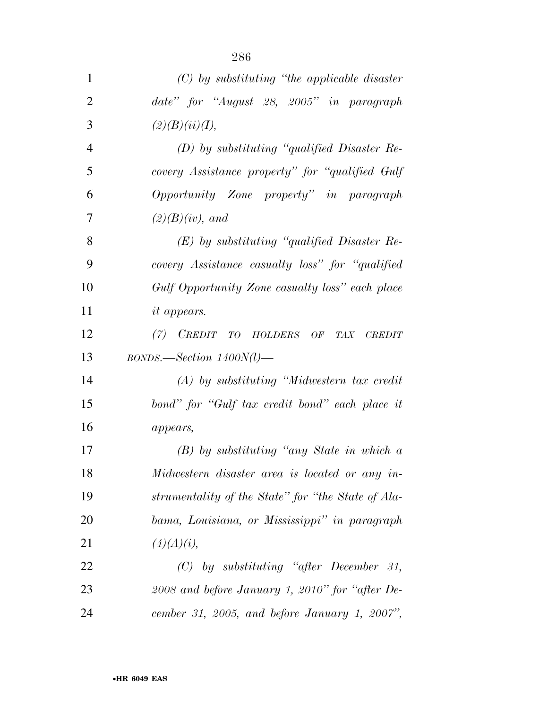| $\mathbf{1}$   | $(C)$ by substituting "the applicable disaster"                          |
|----------------|--------------------------------------------------------------------------|
| $\overline{2}$ | date" for "August 28, 2005" in paragraph                                 |
| 3              | (2)(B)(ii)(I),                                                           |
| $\overline{4}$ | $(D)$ by substituting "qualified Disaster Re-                            |
| 5              | covery Assistance property" for "qualified Gulf"                         |
| 6              | Opportunity Zone property" in paragraph                                  |
| 7              | $(2)(B)(iv)$ , and                                                       |
| 8              | $(E)$ by substituting "qualified Disaster Re-                            |
| 9              | covery Assistance casualty loss" for "qualified"                         |
| 10             | Gulf Opportunity Zone casualty loss" each place                          |
| 11             | <i>it appears.</i>                                                       |
| 12             | $(7)$ <i>CREDIT</i><br>TO HOLDERS OF<br>TAX CREDIT                       |
| 13             | $BONDS. \text{—Section 1400N(l)} \text{---}$                             |
| 14             | $(A)$ by substituting "Midwestern tax credit"                            |
| 15             | bond" for "Gulf tax credit bond" each place it                           |
| 16             | appears,                                                                 |
| 17             | $(B)$ by substituting "any State in which a                              |
| 18             | Midwestern disaster area is located or any in-                           |
| 19             | strumentality of the State" for "the State of Ala-                       |
| 20             | bama, Louisiana, or Mississippi" in paragraph                            |
| 21             | (4)(A)(i),                                                               |
| 22             | $(C) \quad by \quad substituting \quad ``after \quad December \quad 31,$ |
| 23             | 2008 and before January 1, 2010" for "after De-                          |
| 24             | cember 31, 2005, and before January 1, 2007",                            |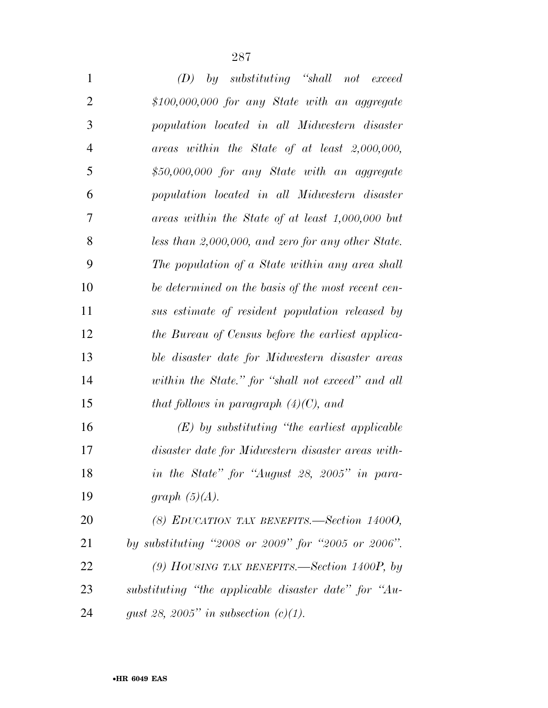| $\mathbf{1}$   | by substituting "shall not exceed<br>(D)                      |
|----------------|---------------------------------------------------------------|
| $\overline{2}$ | $$100,000,000$ for any State with an aggregate                |
| 3              | population located in all Midwestern disaster                 |
| $\overline{4}$ | $areas \ within \ the \ State \ of \ at \ least \ 2,000,000,$ |
| 5              | \$50,000,000 for any State with an aggregate                  |
| 6              | population located in all Midwestern disaster                 |
| 7              | areas within the State of at least $1,000,000$ but            |
| 8              | less than 2,000,000, and zero for any other State.            |
| 9              | The population of a State within any area shall               |
| 10             | be determined on the basis of the most recent cen-            |
| 11             | sus estimate of resident population released by               |
| 12             | the Bureau of Census before the earliest applica-             |
| 13             | ble disaster date for Midwestern disaster areas               |
| 14             | within the State." for "shall not exceed" and all             |
| 15             | that follows in paragraph $(4)(C)$ , and                      |
| 16             | $(E)$ by substituting "the earliest applicable                |
| 17             | disaster date for Midwestern disaster areas with-             |
| 18             | in the State" for "August 28, 2005" in para-                  |
| 19             | graph $(5)(A)$ .                                              |
| 20             | (8) EDUCATION TAX BENEFITS.—Section 14000,                    |
| 21             | by substituting "2008 or 2009" for "2005 or 2006".            |

 *(9) HOUSING TAX BENEFITS.—Section 1400P, by substituting ''the applicable disaster date'' for ''Au-gust 28, 2005'' in subsection (c)(1).*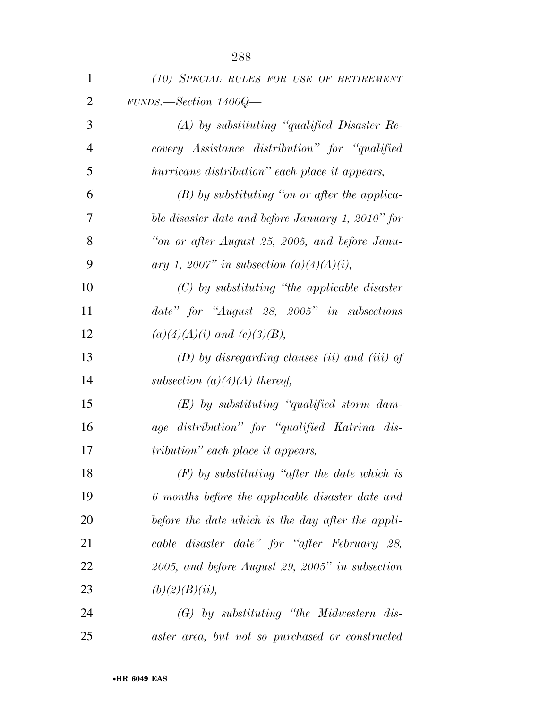| $\mathbf{1}$   | (10) SPECIAL RULES FOR USE OF RETIREMENT           |
|----------------|----------------------------------------------------|
| $\overline{2}$ | $FUNDS. - Section 1400Q -$                         |
| 3              | $(A)$ by substituting "qualified Disaster Re-      |
| $\overline{4}$ | covery Assistance distribution" for "qualified"    |
| 5              | hurricane distribution" each place it appears,     |
| 6              | $(B)$ by substituting "on or after the applica-    |
| 7              | ble disaster date and before January 1, 2010" for  |
| 8              | "on or after August 25, 2005, and before Janu-     |
| 9              | ary 1, 2007" in subsection $(a)(4)(A)(i)$ ,        |
| 10             | $(C)$ by substituting "the applicable disaster"    |
| 11             | date" for "August 28, 2005" in subsections         |
| 12             | $(a)(4)(A)(i)$ and $(c)(3)(B)$ ,                   |
| 13             | $(D)$ by disregarding clauses (ii) and (iii) of    |
| 14             | subsection $(a)(4)(A)$ thereof,                    |
| 15             | $(E)$ by substituting "qualified storm dam-        |
| 16             | age distribution" for "qualified Katrina dis-      |
| 17             | <i>tribution</i> " each place it appears,          |
| 18             | $(F)$ by substituting "after the date which is     |
| 19             | 6 months before the applicable disaster date and   |
| 20             | before the date which is the day after the appli-  |
| 21             | cable disaster date" for "after February 28,       |
| 22             | $2005$ , and before August 29, 2005" in subsection |
| 23             | (b)(2)(B)(ii),                                     |
| 24             | (G) by substituting "the Midwestern dis-           |
| 25             | aster area, but not so purchased or constructed    |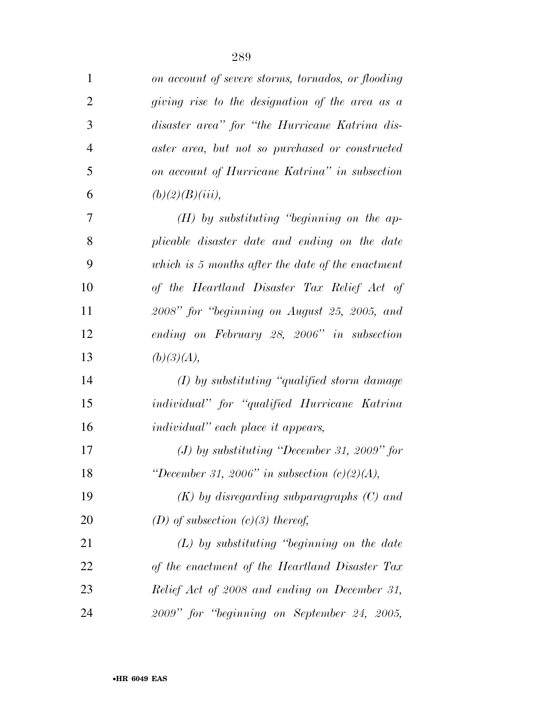| $\mathbf{1}$   | on account of severe storms, tornados, or flooding |
|----------------|----------------------------------------------------|
| $\overline{2}$ | giving rise to the designation of the area as a    |
| 3              | disaster area" for "the Hurricane Katrina dis-     |
| $\overline{4}$ | aster area, but not so purchased or constructed    |
| 5              | on account of Hurricane Katrina" in subsection     |
| 6              | $(b)(2)(B)(iii)$ ,                                 |
| 7              | $(H)$ by substituting "beginning on the ap-        |
| 8              | plicable disaster date and ending on the date      |
| 9              | which is 5 months after the date of the enactment  |
| 10             | of the Heartland Disaster Tax Relief Act of        |
| 11             | 2008" for "beginning on August 25, 2005, and       |
| 12             | ending on February 28, 2006" in subsection         |
| 13             | (b)(3)(A),                                         |
| 14             | $(I)$ by substituting "qualified storm damage"     |
| 15             | individual" for "qualified Hurricane Katrina       |
| 16             | <i>individual</i> " each place it appears,         |
| 17             | $(J)$ by substituting "December 31, 2009" for      |
| 18             | "December 31, 2006" in subsection $(c)(2)(A)$ ,    |
| 19             | $(K)$ by disregarding subparagraphs $(C)$ and      |
| 20             | (D) of subsection $(c)(3)$ thereof,                |
| 21             | $(L)$ by substituting "beginning on the date       |
| 22             | of the enactment of the Heartland Disaster Tax     |
| 23             | Relief Act of 2008 and ending on December 31,      |
| 24             | 2009" for "beginning on September 24, 2005,        |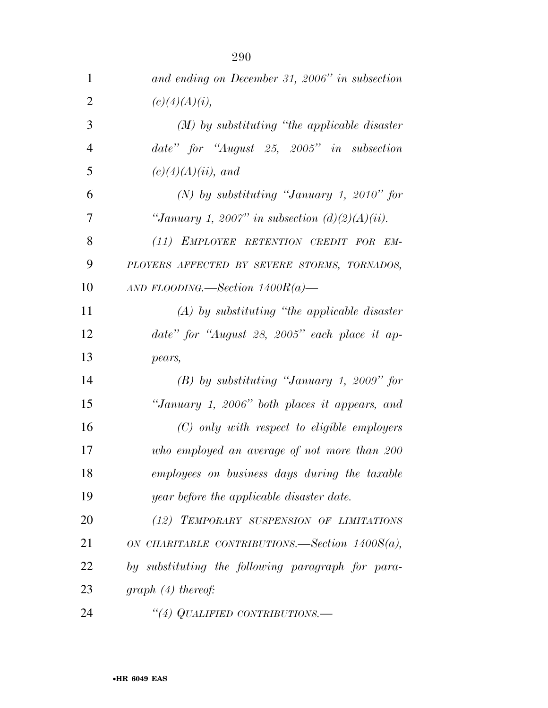| $\mathbf{1}$   | and ending on December 31, 2006" in subsection    |
|----------------|---------------------------------------------------|
| $\overline{2}$ | (c)(4)(A)(i),                                     |
| 3              | $(M)$ by substituting "the applicable disaster"   |
| $\overline{4}$ | date" for "August 25, 2005" in subsection         |
| 5              | $(c)(4)(A)(ii)$ , and                             |
| 6              | (N) by substituting "January 1, 2010" for         |
| 7              | "January 1, 2007" in subsection $(d)(2)(A)(ii)$ . |
| 8              | (11) EMPLOYEE RETENTION CREDIT FOR EM-            |
| 9              | PLOYERS AFFECTED BY SEVERE STORMS, TORNADOS,      |
| 10             | AND FLOODING.—Section $1400R(a)$ —                |
| 11             | $(A)$ by substituting "the applicable disaster"   |
| 12             | date" for "August 28, 2005" each place it ap-     |
| 13             | pears,                                            |
| 14             | $(B)$ by substituting "January 1, 2009" for       |
| 15             | "January 1, 2006" both places it appears, and     |
| 16             | $(C)$ only with respect to eligible employers     |
| 17             | who employed an average of not more than 200      |
| 18             | employees on business days during the taxable     |
| 19             | year before the applicable disaster date.         |
| 20             | (12) TEMPORARY SUSPENSION OF LIMITATIONS          |
| 21             | ON CHARITABLE CONTRIBUTIONS.—Section $1400S(a)$ , |
| 22             | by substituting the following paragraph for para- |
| 23             | $graph(4)$ thereof:                               |
| 24             | "(4) QUALIFIED CONTRIBUTIONS.—                    |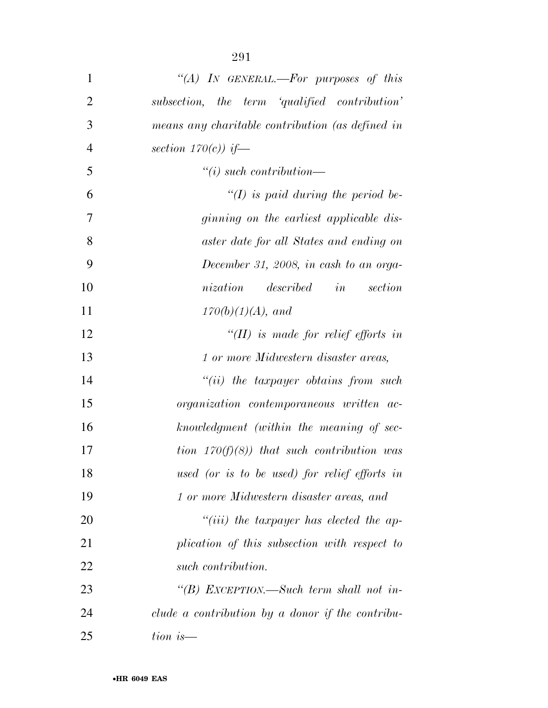| $\mathbf{1}$   | "(A) IN GENERAL.—For purposes of this            |
|----------------|--------------------------------------------------|
| $\overline{2}$ | subsection, the term 'qualified contribution'    |
| 3              | means any charitable contribution (as defined in |
| $\overline{4}$ | section $170(c)$ ) if—                           |
| 5              | $``(i) such$ contribution—                       |
| 6              | $\lq (I)$ is paid during the period be-          |
| 7              | ginning on the earliest applicable dis-          |
| 8              | aster date for all States and ending on          |
| 9              | December 31, 2008, in cash to an orga-           |
| 10             | nization<br>described<br>in<br>section           |
| 11             | $170(b)(1)(A)$ , and                             |
| 12             | $\lq\lq (II)$ is made for relief efforts in      |
| 13             | 1 or more Midwestern disaster areas,             |
| 14             | $``(ii)$ the taxpayer obtains from such          |
| 15             | organization contemporaneous written ac-         |
| 16             | knowledgment (within the meaning of sec-         |
| 17             | tion $170(f)(8)$ ) that such contribution was    |
| 18             | used (or is to be used) for relief efforts in    |
| 19             | 1 or more Midwestern disaster areas, and         |
| 20             | $``(iii)$ the taxpayer has elected the ap-       |
| 21             | plication of this subsection with respect to     |
| 22             | such contribution.                               |
| 23             | "(B) EXCEPTION.—Such term shall not in-          |
| 24             | clude a contribution by a donor if the contribu- |
| 25             | $tion\ is$ —                                     |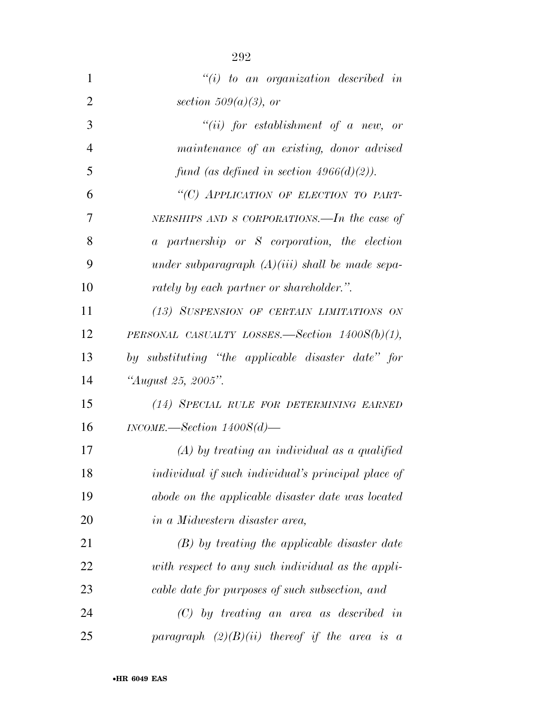| $\mathbf{1}$   | $``(i)$ to an organization described in            |
|----------------|----------------------------------------------------|
| $\overline{2}$ | section $509(a)(3)$ , or                           |
| 3              | $``(ii)$ for establishment of a new, or            |
| 4              | maintenance of an existing, donor advised          |
| 5              | fund (as defined in section $4966(d)(2)$ ).        |
| 6              | "(C) APPLICATION OF ELECTION TO PART-              |
| 7              | NERSHIPS AND S CORPORATIONS.—In the case of        |
| 8              | a partnership or S corporation, the election       |
| 9              | under subparagraph $(A)(iii)$ shall be made sepa-  |
| 10             | rately by each partner or shareholder.".           |
| 11             | (13) SUSPENSION OF CERTAIN LIMITATIONS ON          |
| 12             | PERSONAL CASUALTY LOSSES.—Section $1400S(b)(1)$ ,  |
| 13             | by substituting "the applicable disaster date" for |
| 14             | "August 25, 2005".                                 |
| 15             | (14) SPECIAL RULE FOR DETERMINING EARNED           |
| 16             | $INCOME$ . Section $1400S(d)$ .                    |
| 17             | $(A)$ by treating an individual as a qualified     |
| 18             | individual if such individual's principal place of |
| 19             | abode on the applicable disaster date was located  |
| 20             | <i>in a Midwestern disaster area,</i>              |
| 21             | $(B)$ by treating the applicable disaster date     |
| 22             | with respect to any such individual as the appli-  |
| 23             | cable date for purposes of such subsection, and    |
| 24             | $(C)$ by treating an area as described in          |
| 25             | paragraph $(2)(B)(ii)$ thereof if the area is a    |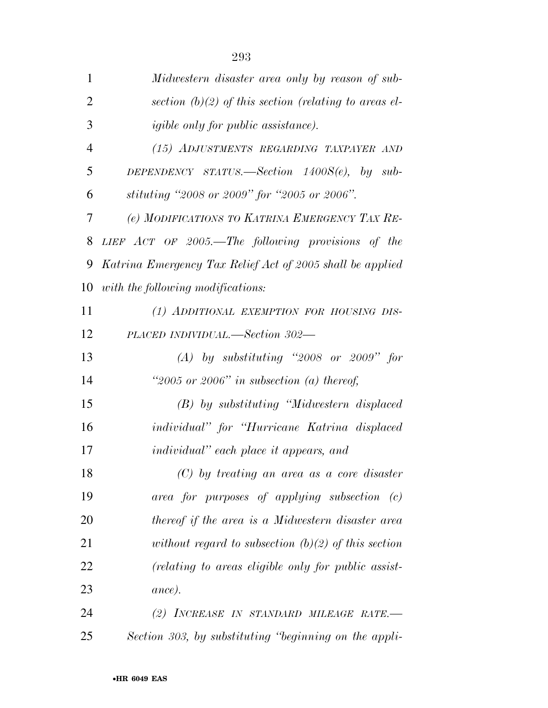| $\mathbf{1}$   | Midwestern disaster area only by reason of sub-           |
|----------------|-----------------------------------------------------------|
| $\overline{2}$ | section (b)(2) of this section (relating to areas el-     |
| 3              | <i>igible only for public assistance</i> ).               |
| $\overline{4}$ | (15) ADJUSTMENTS REGARDING TAXPAYER AND                   |
| 5              | DEPENDENCY STATUS.—Section $1400S(e)$ , by sub-           |
| 6              | stituting "2008 or 2009" for "2005 or 2006".              |
| 7              | (e) MODIFICATIONS TO KATRINA EMERGENCY TAX RE-            |
| 8              | LIEF $ACT$ OF 2005.—The following provisions of the       |
| 9              | Katrina Emergency Tax Relief Act of 2005 shall be applied |
| 10             | with the following modifications:                         |
| 11             | (1) ADDITIONAL EXEMPTION FOR HOUSING DIS-                 |
| 12             | PLACED INDIVIDUAL.—Section 302—                           |
| 13             | $(A)$ by substituting "2008 or 2009" for                  |
| 14             | "2005 or 2006" in subsection (a) thereof,                 |
| 15             | (B) by substituting "Midwestern displaced                 |
| 16             | individual" for "Hurricane Katrina displaced              |
| 17             | <i>individual</i> " each place it appears, and            |
| 18             | $(C)$ by treating an area as a core disaster              |
| 19             | $area$ for purposes of applying subsection $(c)$          |
| 20             | thereof if the area is a Midwestern disaster area         |
| 21             | without regard to subsection $(b)(2)$ of this section     |
| 22             | (relating to areas eligible only for public assist-       |
| 23             | ance).                                                    |
| 24             | (2) INCREASE IN STANDARD MILEAGE RATE.-                   |
| 25             | Section 303, by substituting "beginning on the appli-     |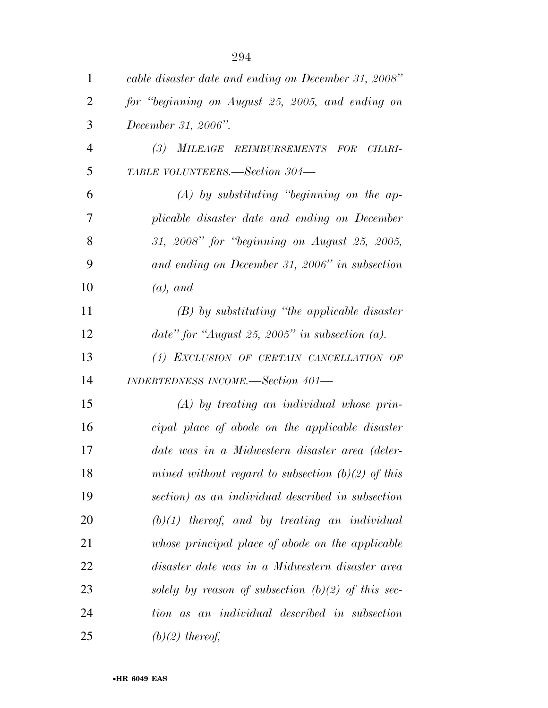| $\mathbf{1}$   | cable disaster date and ending on December 31, 2008" |
|----------------|------------------------------------------------------|
| $\overline{2}$ | for "beginning on August 25, 2005, and ending on     |
| 3              | December 31, 2006".                                  |
| $\overline{4}$ | (3)<br>MILEAGE REIMBURSEMENTS FOR<br>CHARI-          |
| 5              | TABLE VOLUNTEERS.—Section 304—                       |
| 6              | $(A)$ by substituting "beginning on the ap-          |
| 7              | plicable disaster date and ending on December        |
| 8              | 31, 2008" for "beginning on August 25, 2005,         |
| 9              | and ending on December 31, 2006" in subsection       |
| 10             | $(a)$ , and                                          |
| 11             | $(B)$ by substituting "the applicable disaster"      |
| 12             | date" for "August 25, 2005" in subsection $(a)$ .    |
| 13             | (4) EXCLUSION OF CERTAIN CANCELLATION OF             |
| 14             | INDEBTEDNESS INCOME.-Section 401-                    |
| 15             | $(A)$ by treating an individual whose prin-          |
| 16             | cipal place of abode on the applicable disaster      |
| 17             | date was in a Midwestern disaster area (deter-       |
| 18             | mined without regard to subsection $(b)(2)$ of this  |
| 19             | section) as an individual described in subsection    |
| 20             | $(b)(1)$ thereof, and by treating an individual      |
| 21             | whose principal place of abode on the applicable     |
| 22             | disaster date was in a Midwestern disaster area      |
| 23             | solely by reason of subsection $(b)(2)$ of this sec- |
| 24             | tion as an individual described in subsection        |
| 25             | $(b)(2)$ thereof,                                    |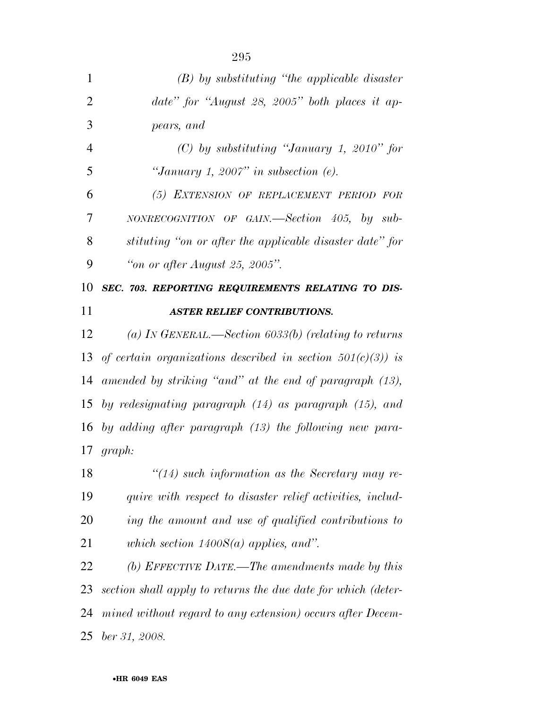| $\mathbf{1}$   | $(B)$ by substituting "the applicable disaster"                |
|----------------|----------------------------------------------------------------|
| $\overline{2}$ | date" for "August 28, 2005" both places it ap-                 |
| 3              | pears, and                                                     |
| $\overline{4}$ | $(C)$ by substituting "January 1, 2010" for                    |
| 5              | "January 1, 2007" in subsection $(e)$ .                        |
| 6              | (5) EXTENSION OF REPLACEMENT PERIOD FOR                        |
| 7              | $NONRECOGNITION$ OF GAIN.—Section 405, by sub-                 |
| 8              | stituting "on or after the applicable disaster date" for       |
| 9              | "on or after August 25, 2005".                                 |
| 10             | SEC. 703. REPORTING REQUIREMENTS RELATING TO DIS-              |
| 11             | <b>ASTER RELIEF CONTRIBUTIONS.</b>                             |
| 12             | (a) In GENERAL.—Section 6033(b) (relating to returns           |
| 13             | of certain organizations described in section $501(c)(3)$ ) is |
|                | 14 amended by striking "and" at the end of paragraph (13),     |
|                | 15 by redesignating paragraph $(14)$ as paragraph $(15)$ , and |
|                | 16 by adding after paragraph $(13)$ the following new para-    |
|                | $17 \quad graph:$                                              |
| 18             | $\lq(14)$ such information as the Secretary may re-            |
| 19             | quire with respect to disaster relief activities, includ-      |
| 20             | ing the amount and use of qualified contributions to           |
| 21             | which section $1400S(a)$ applies, and".                        |
| 22             | (b) EFFECTIVE DATE.—The amendments made by this                |
| 23             | section shall apply to returns the due date for which (deter-  |
| 24             | mined without regard to any extension) occurs after Decem-     |
| 25             | ber 31, 2008.                                                  |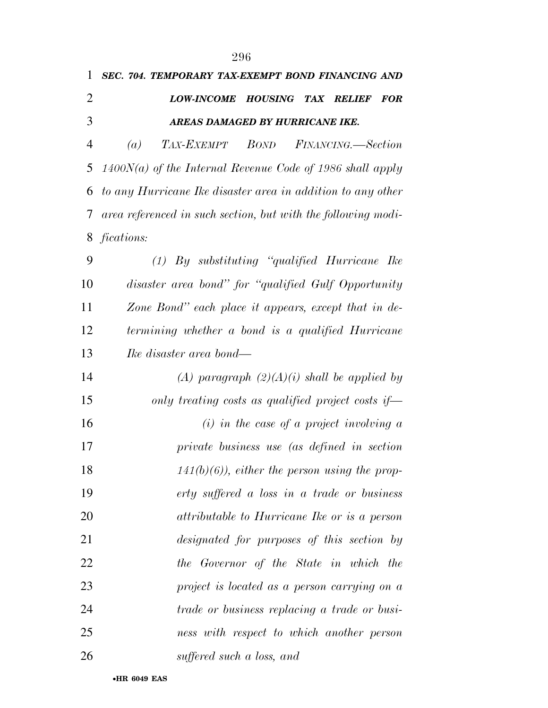| 1              | SEC. 704. TEMPORARY TAX-EXEMPT BOND FINANCING AND                    |
|----------------|----------------------------------------------------------------------|
| $\overline{2}$ | LOW-INCOME HOUSING TAX RELIEF<br><b>FOR</b>                          |
| 3              | AREAS DAMAGED BY HURRICANE IKE.                                      |
| $\overline{4}$ | TAX-EXEMPT<br><b>BOND</b><br>FINANCING.-Section<br>$\left( a\right)$ |
| 5              | $1400N(a)$ of the Internal Revenue Code of 1986 shall apply          |
| 6              | to any Hurricane Ike disaster area in addition to any other          |
| 7              | area referenced in such section, but with the following modi-        |
| 8              | <i>fications:</i>                                                    |
| 9              | $(1)$ By substituting "qualified Hurricane Ike                       |
| 10             | disaster area bond" for "qualified Gulf Opportunity                  |
| 11             | Zone Bond" each place it appears, except that in de-                 |
| 12             | termining whether a bond is a qualified Hurricane                    |
| 13             | <i>Ike disaster area bond—</i>                                       |
| 14             | (A) paragraph $(2)(A)(i)$ shall be applied by                        |
| 15             | only treating costs as qualified project costs if-                   |
| 16             | $(i)$ in the case of a project involving a                           |
| 17             | private business use (as defined in section                          |
| 18             | $141(b)(6)$ , either the person using the prop-                      |
| 19             | erty suffered a loss in a trade or business                          |
| 20             | attributable to Hurricane Ike or is a person                         |
| 21             | designated for purposes of this section by                           |
| 22             | the Governor of the State in which the                               |
| 23             | project is located as a person carrying on a                         |
| 24             | <i>trade or business replacing a trade or busi-</i>                  |
| 25             | ness with respect to which another person                            |
| 26             | suffered such a loss, and                                            |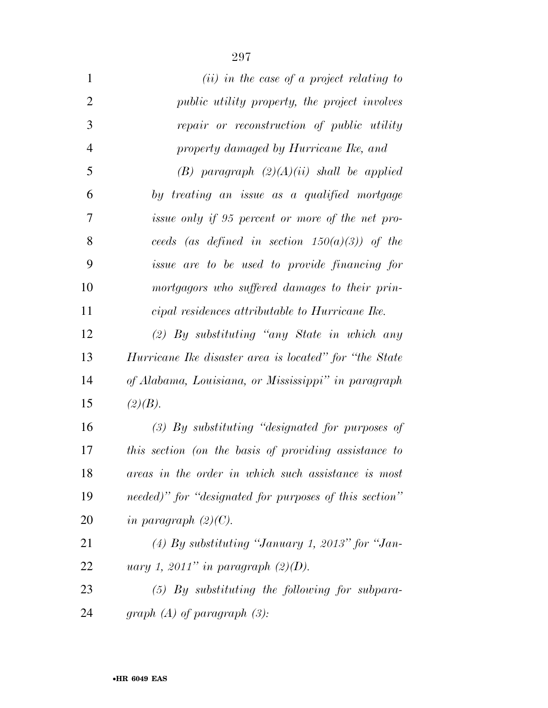| $\mathbf{1}$   | $(ii)$ in the case of a project relating to             |
|----------------|---------------------------------------------------------|
| $\overline{2}$ | <i>public utility property, the project involves</i>    |
| 3              | repair or reconstruction of public utility              |
| $\overline{4}$ | property damaged by Hurricane Ike, and                  |
| 5              | $(B)$ paragraph $(2)(A)(ii)$ shall be applied           |
| 6              | by treating an issue as a qualified mortgage            |
| 7              | issue only if 95 percent or more of the net pro-        |
| 8              | ceeds (as defined in section $150(a)(3)$ ) of the       |
| 9              | <i>issue are to be used to provide financing for</i>    |
| 10             | mortgagors who suffered damages to their prin-          |
| 11             | cipal residences attributable to Hurricane Ike.         |
| 12             | $(2)$ By substituting "any State in which any           |
| 13             | Hurricane Ike disaster area is located" for "the State" |
| 14             | of Alabama, Louisiana, or Mississippi" in paragraph     |
| 15             | (2)(B).                                                 |
| 16             | $(3)$ By substituting "designated for purposes of       |
| 17             | this section (on the basis of providing assistance to   |
| 18             | areas in the order in which such assistance is most     |
| 19             | needed)" for "designated for purposes of this section"  |
| 20             | in paragraph $(2)(C)$ .                                 |
| 21             | $(4)$ By substituting "January 1, 2013" for "Jan-       |
| 22             | uary 1, 2011" in paragraph $(2)(D)$ .                   |
| 23             | $(5)$ By substituting the following for subpara-        |
| 24             | graph $(A)$ of paragraph $(3)$ :                        |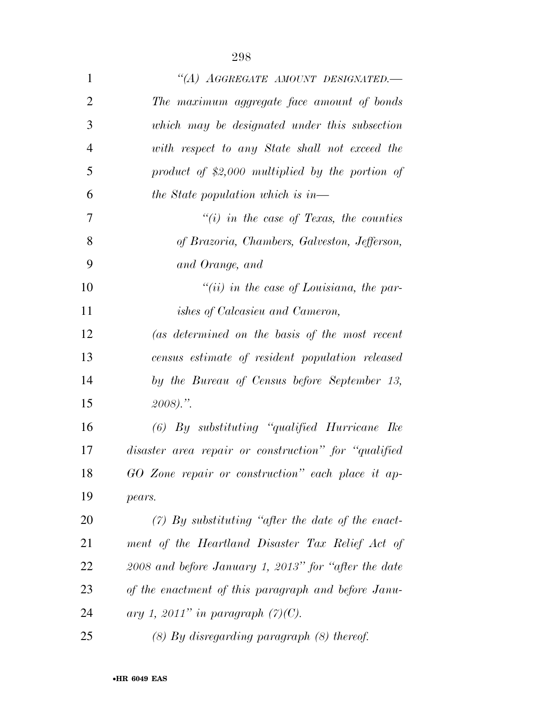| $\mathbf{1}$   | "(A) AGGREGATE AMOUNT DESIGNATED.-                   |
|----------------|------------------------------------------------------|
| $\overline{2}$ | The maximum aggregate face amount of bonds           |
| 3              | which may be designated under this subsection        |
| $\overline{4}$ | with respect to any State shall not exceed the       |
| 5              | product of $$2,000$ multiplied by the portion of     |
| 6              | the State population which is in—                    |
| 7              | $\lq\lq(i)$ in the case of Texas, the counties       |
| 8              | of Brazoria, Chambers, Galveston, Jefferson,         |
| 9              | and Orange, and                                      |
| 10             | "(ii) in the case of Louisiana, the par-             |
| 11             | <i>ishes of Calcasieu and Cameron,</i>               |
| 12             | (as determined on the basis of the most recent       |
| 13             | census estimate of resident population released      |
| 14             | by the Bureau of Census before September 13,         |
| 15             | $2008$ ).".                                          |
| 16             | $(6)$ By substituting "qualified Hurricane Ike       |
| 17             | disaster area repair or construction" for "qualified |
| 18             | GO Zone repair or construction" each place it ap-    |
| 19             | pears.                                               |
| 20             | $(7)$ By substituting "after the date of the enact-  |
| 21             | ment of the Heartland Disaster Tax Relief Act of     |
| 22             | 2008 and before January 1, 2013" for "after the date |
| 23             | of the enactment of this paragraph and before Janu-  |
| 24             | ary 1, 2011" in paragraph $(7)(C)$ .                 |
| 25             | $(8)$ By disregarding paragraph $(8)$ thereof.       |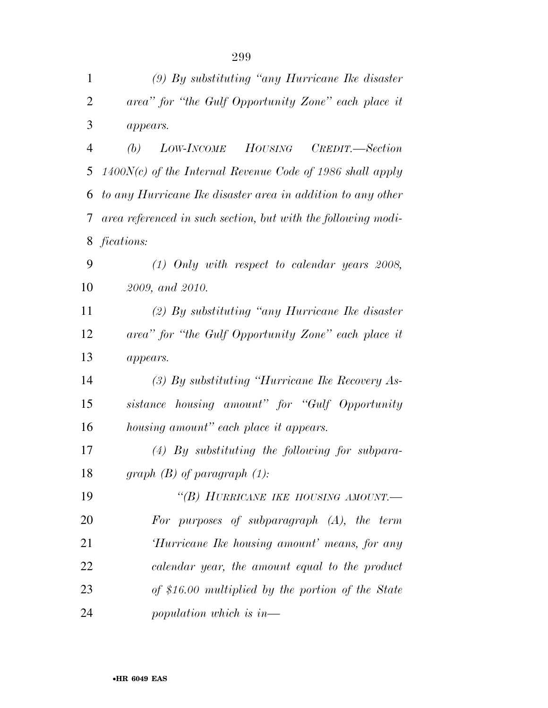| $\mathbf{1}$   | $(9)$ By substituting "any Hurricane Ike disaster"            |
|----------------|---------------------------------------------------------------|
| $\overline{2}$ | area" for "the Gulf Opportunity Zone" each place it           |
| 3              | appears.                                                      |
| $\overline{4}$ | LOW-INCOME HOUSING<br>(b)<br>CREDIT.—Section                  |
| 5              | $1400N(c)$ of the Internal Revenue Code of 1986 shall apply   |
| 6              | to any Hurricane Ike disaster area in addition to any other   |
| 7              | area referenced in such section, but with the following modi- |
| 8              | fications:                                                    |
| 9              | $(1)$ Only with respect to calendar years 2008,               |
| 10             | 2009, and 2010.                                               |
| 11             | $(2)$ By substituting "any Hurricane Ike disaster"            |
| 12             | area" for "the Gulf Opportunity Zone" each place it           |
| 13             | appears.                                                      |
| 14             | $(3)$ By substituting "Hurricane Ike Recovery As-             |
| 15             | sistance housing amount" for "Gulf Opportunity                |
| 16             | housing amount" each place it appears.                        |
| 17             | $(4)$ By substituting the following for subpara-              |
| 18             | $graph(B)$ of paragraph $(1)$ :                               |
| 19             | "(B) HURRICANE IKE HOUSING AMOUNT.-                           |
| 20             | For purposes of subparagraph $(A)$ , the term                 |
| 21             | 'Hurricane Ike housing amount' means, for any                 |
| 22             | calendar year, the amount equal to the product                |
| 23             | of \$16.00 multiplied by the portion of the State             |
| 24             | population which is in—                                       |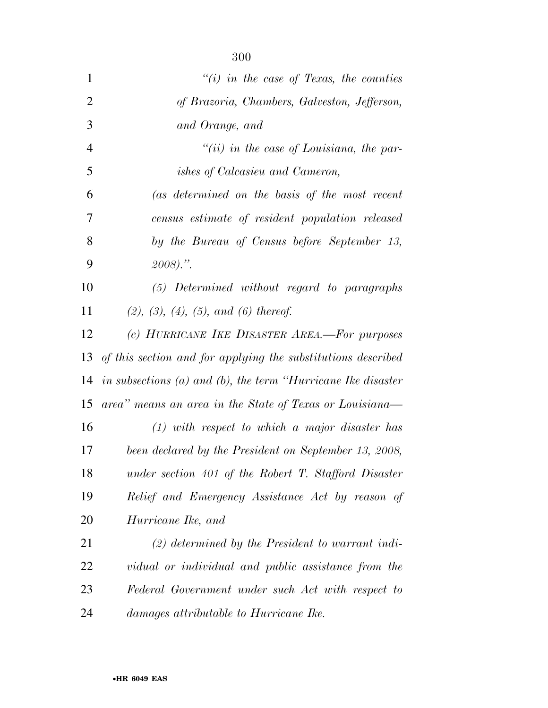| $\mathbf{1}$   | $\lq\lq(i)$ in the case of Texas, the counties                     |
|----------------|--------------------------------------------------------------------|
| $\overline{2}$ | of Brazoria, Chambers, Galveston, Jefferson,                       |
| 3              | and Orange, and                                                    |
| $\overline{4}$ | $``(ii)$ in the case of Louisiana, the par-                        |
| 5              | ishes of Calcasieu and Cameron,                                    |
| 6              | (as determined on the basis of the most recent                     |
| 7              | census estimate of resident population released                    |
| 8              | by the Bureau of Census before September 13,                       |
| 9              | $2008$ ).".                                                        |
| 10             | (5) Determined without regard to paragraphs                        |
| 11             | $(2), (3), (4), (5), and (6)$ thereof.                             |
| 12             | (c) HURRICANE IKE DISASTER AREA.-For purposes                      |
| 13             | of this section and for applying the substitutions described       |
| 14             | in subsections $(a)$ and $(b)$ , the term "Hurricane Ike disaster" |
| 15             | area" means an area in the State of Texas or Louisiana-            |
| 16             | $(1)$ with respect to which a major disaster has                   |
| 17             | been declared by the President on September 13, 2008,              |
| 18             | under section 401 of the Robert T. Stafford Disaster               |
| 19             | Relief and Emergency Assistance Act by reason of                   |
| 20             | Hurricane Ike, and                                                 |
| 21             | $(2)$ determined by the President to warrant indi-                 |
| 22             | vidual or individual and public assistance from the                |
| 23             | Federal Government under such Act with respect to                  |
| 24             | <i>damages attributable to Hurricane Ike.</i>                      |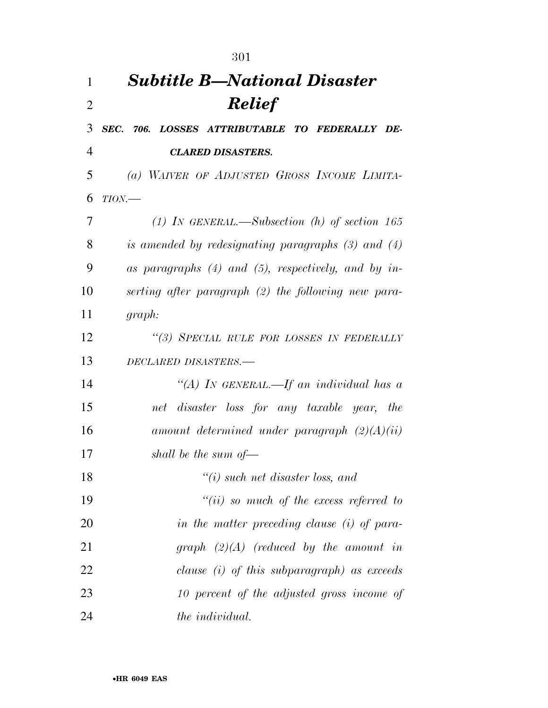|                | 301                                                      |
|----------------|----------------------------------------------------------|
| 1              | <b>Subtitle B-National Disaster</b>                      |
| $\overline{2}$ | <b>Relief</b>                                            |
| 3              | SEC. 706. LOSSES ATTRIBUTABLE TO FEDERALLY DE-           |
| 4              | <b>CLARED DISASTERS.</b>                                 |
| 5              | (a) WAIVER OF ADJUSTED GROSS INCOME LIMITA-              |
| 6              | $TION$ —                                                 |
| 7              | (1) IN GENERAL.—Subsection (h) of section 165            |
| 8              | is amended by redesignating paragraphs $(3)$ and $(4)$   |
| 9              | as paragraphs $(4)$ and $(5)$ , respectively, and by in- |
| 10             | serting after paragraph (2) the following new para-      |
| 11             | graph:                                                   |
| 12             | "(3) SPECIAL RULE FOR LOSSES IN FEDERALLY                |
| 13             | DECLARED DISASTERS.-                                     |
| 14             | "(A) IN GENERAL.—If an individual has a                  |
| 15             | net disaster loss for any taxable year, the              |
| 16             | amount determined under paragraph $(2)(A)(ii)$           |
| 17             | shall be the sum of $-$                                  |
| 18             | $"(i)$ such net disaster loss, and                       |
| 19             | $``(ii)$ so much of the excess referred to               |
| 20             | in the matter preceding clause (i) of para-              |
| 21             | graph $(2)(A)$ (reduced by the amount in                 |
| 22             | clause $(i)$ of this subparagraph) as exceeds            |
| 23             | 10 percent of the adjusted gross income of               |
| 24             | the <i>individual</i> .                                  |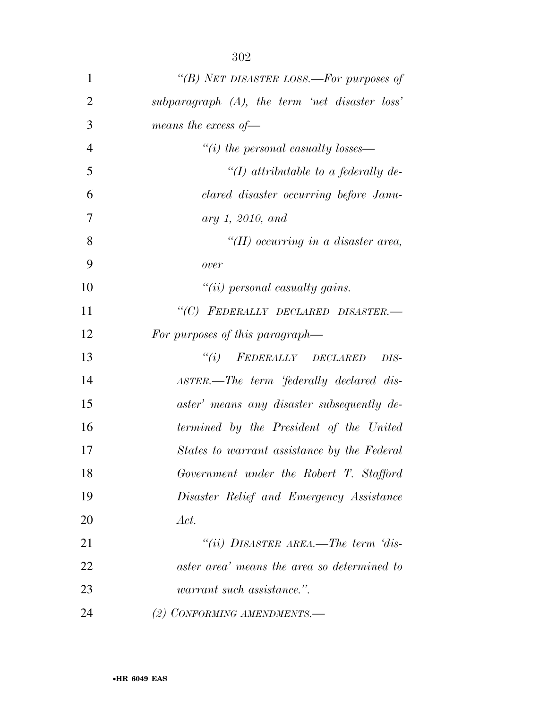| 1              | "(B) NET DISASTER LOSS.—For purposes of           |
|----------------|---------------------------------------------------|
| $\overline{2}$ | subparagraph $(A)$ , the term 'net disaster loss' |
| 3              | means the excess of $-$                           |
| $\overline{4}$ | $``(i)$ the personal casualty losses—             |
| 5              | "(I) attributable to a federally de-              |
| 6              | clared disaster occurring before Janu-            |
| 7              | ary 1, 2010, and                                  |
| 8              | "(II) occurring in a disaster area,               |
| 9              | over                                              |
| 10             | $``(ii)$ personal casualty gains.                 |
| 11             | "(C) FEDERALLY DECLARED DISASTER.-                |
| 12             | For purposes of this paragraph—                   |
| 13             | $``(i)$ FEDERALLY DECLARED<br>DIS-                |
| 14             | ASTER.—The term 'federally declared dis-          |
| 15             | aster' means any disaster subsequently de-        |
| 16             | termined by the President of the United           |
| 17             | States to warrant assistance by the Federal       |
| 18             | Government under the Robert T. Stafford           |
| 19             | Disaster Relief and Emergency Assistance          |
| 20             | Act.                                              |
| 21             | "(ii) DISASTER AREA.—The term 'dis-               |
| 22             | aster area' means the area so determined to       |
| 23             | <i>warrant such assistance.</i> ".                |
| 24             | (2) CONFORMING AMENDMENTS.-                       |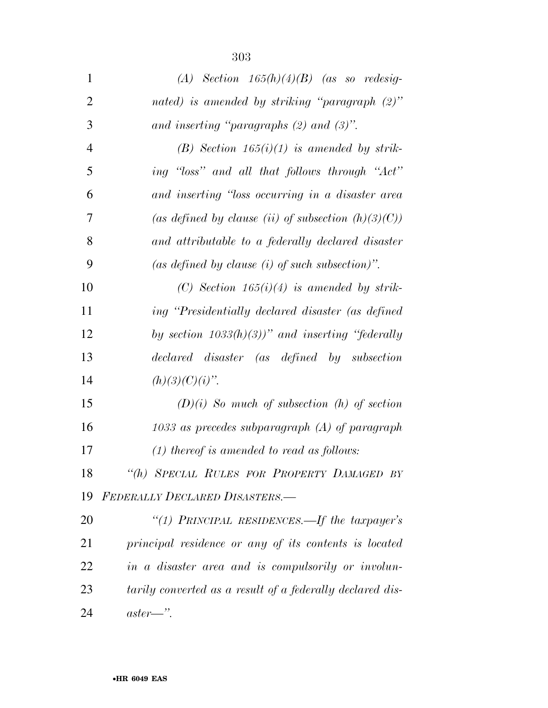| $\mathbf{1}$   | (A) Section $165(h)(4)(B)$ (as so redesig-                |
|----------------|-----------------------------------------------------------|
| $\overline{2}$ | nated) is amended by striking "paragraph $(2)$ "          |
| 3              | and inserting "paragraphs $(2)$ and $(3)$ ".              |
| $\overline{4}$ | (B) Section $165(i)(1)$ is amended by strik-              |
| 5              | ing "loss" and all that follows through "Act"             |
| 6              | and inserting "loss occurring in a disaster area          |
| 7              | (as defined by clause (ii) of subsection $(h)(3)(C)$ )    |
| 8              | and attributable to a federally declared disaster         |
| 9              | (as defined by clause $(i)$ of such subsection)".         |
| 10             | (C) Section $165(i)(4)$ is amended by strik-              |
| 11             | ing "Presidentially declared disaster (as defined         |
| 12             | by section $1033(h)(3)$ )" and inserting "federally       |
| 13             | declared disaster (as defined by subsection               |
| 14             | $(h)(3)(C)(i)$ ".                                         |
| 15             | $(D)(i)$ So much of subsection (h) of section             |
| 16             | $1033$ as precedes subparagraph $(A)$ of paragraph        |
| 17             | $(1)$ thereof is amended to read as follows:              |
| 18             | "(h) SPECIAL RULES FOR PROPERTY DAMAGED BY                |
| 19             | FEDERALLY DECLARED DISASTERS.-                            |
| 20             | "(1) PRINCIPAL RESIDENCES.—If the taxpayer's              |
| 21             | principal residence or any of its contents is located     |
| <u>22</u>      | in a disaster area and is compulsorily or involun-        |
| 23             | tarily converted as a result of a federally declared dis- |
| 24             | $aster$ .                                                 |

•**HR 6049 EAS**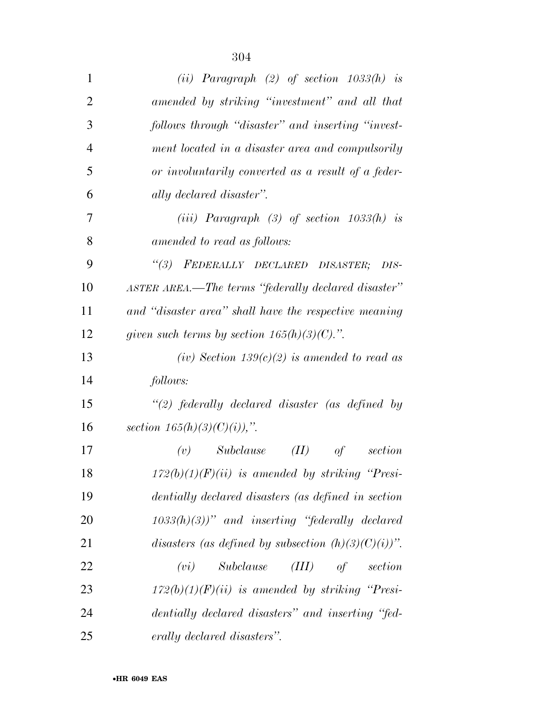| $\mathbf{1}$   | (ii) Paragraph $(2)$ of section $1033(h)$ is           |
|----------------|--------------------------------------------------------|
| $\overline{2}$ | amended by striking "investment" and all that          |
| 3              | follows through "disaster" and inserting "invest-      |
| $\overline{4}$ | ment located in a disaster area and compulsorily       |
| 5              | or involuntarily converted as a result of a feder-     |
| 6              | ally declared disaster".                               |
| 7              | (iii) Paragraph $(3)$ of section $1033(h)$ is          |
| 8              | amended to read as follows:                            |
| 9              | "(3) FEDERALLY DECLARED DISASTER;<br>DIS-              |
| 10             | ASTER AREA.—The terms "federally declared disaster"    |
| 11             | and "disaster area" shall have the respective meaning  |
| 12             | given such terms by section $165(h)(3)(C)$ .".         |
| 13             | (iv) Section $139(c)(2)$ is amended to read as         |
| 14             | follows:                                               |
| 15             | $\lq(2)$ federally declared disaster (as defined by    |
| 16             | section $165(h)(3)(C)(i)$ ,".                          |
| 17             | (II)<br>Subclause<br>(v)<br>of<br>section              |
| 18             | $172(b)(1)(F)(ii)$ is amended by striking "Presi-      |
| 19             | dentially declared disasters (as defined in section    |
| 20             | $(1033(h)(3))$ " and inserting "federally declared     |
| 21             | disasters (as defined by subsection $(h)(3)(C)(i))$ ". |
| 22             | Subclause (III) of section<br>(vi)                     |
| 23             | $172(b)(1)(F)(ii)$ is amended by striking "Presi-      |
| 24             | dentially declared disasters" and inserting "fed-      |
| 25             | erally declared disasters".                            |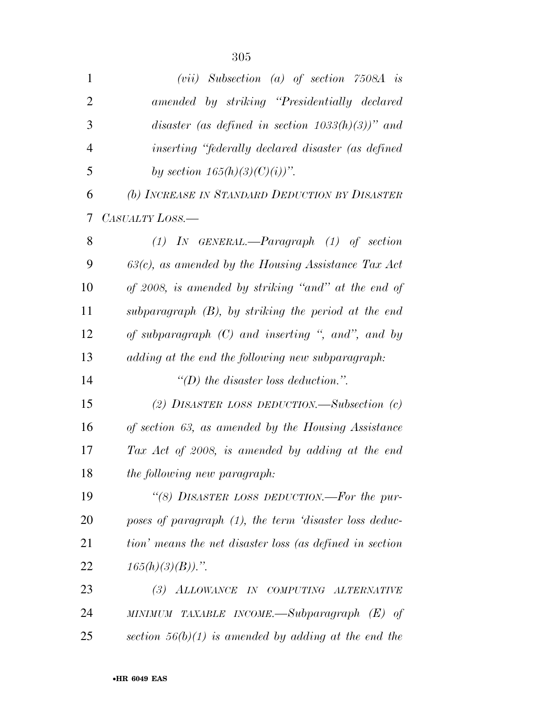| $\mathbf{1}$   | $(vii)$ Subsection (a) of section 7508A is               |
|----------------|----------------------------------------------------------|
| $\overline{2}$ | amended by striking "Presidentially declared             |
| 3              | disaster (as defined in section $1033(h)(3)$ )" and      |
| $\overline{4}$ | inserting "federally declared disaster (as defined       |
| 5              | by section $165(h)(3)(C)(i))$ ".                         |
| 6              | (b) INCREASE IN STANDARD DEDUCTION BY DISASTER           |
| 7              | CASUALTY LOSS.—                                          |
| 8              | $(1)$ IN GENERAL.—Paragraph $(1)$ of section             |
| 9              | $63(c)$ , as amended by the Housing Assistance Tax Act   |
| 10             | of 2008, is amended by striking "and" at the end of      |
| 11             | subparagraph $(B)$ , by striking the period at the end   |
| 12             | of subparagraph $(C)$ and inserting ", and", and by      |
| 13             | adding at the end the following new subparagraph:        |
| 14             | "(D) the disaster loss deduction.".                      |
| 15             | (2) DISASTER LOSS DEDUCTION.—Subsection $(c)$            |
| 16             | of section 63, as amended by the Housing Assistance      |
| 17             | Tax Act of 2008, is amended by adding at the end         |
| 18             | the following new paragraph:                             |
| 19             | "(8) DISASTER LOSS DEDUCTION.—For the pur-               |
| 20             | poses of paragraph (1), the term 'disaster loss deduc-   |
| 21             | tion' means the net disaster loss (as defined in section |
| 22             | $165(h)(3)(B)$ .".                                       |
| 23             | (3) ALLOWANCE IN COMPUTING ALTERNATIVE                   |
| 24             | MINIMUM TAXABLE INCOME.—Subparagraph $(E)$ of            |
| 25             | section $56(b)(1)$ is amended by adding at the end the   |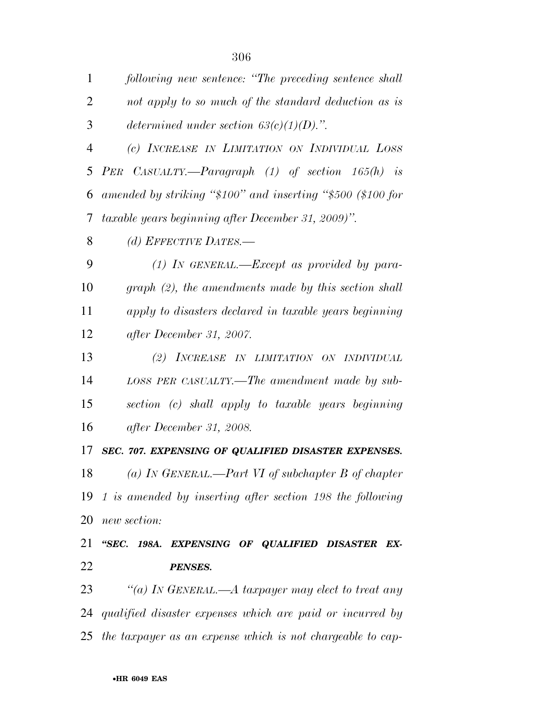| $\mathbf{1}$   | following new sentence: "The preceding sentence shall       |
|----------------|-------------------------------------------------------------|
| $\overline{2}$ | not apply to so much of the standard deduction as is        |
| 3              | determined under section $63(c)(1)(D)$ .".                  |
| $\overline{4}$ | (c) INCREASE IN LIMITATION ON INDIVIDUAL LOSS               |
| 5              | PER CASUALTY.—Paragraph $(1)$ of section $165(h)$ is        |
| 6              | amended by striking "\$100" and inserting "\$500 (\$100 for |
| 7              | taxable years beginning after December 31, 2009)".          |
| 8              | (d) EFFECTIVE DATES.—                                       |
| 9              | $(1)$ In GENERAL.—Except as provided by para-               |
| 10             | $graph (2)$ , the amendments made by this section shall     |
| 11             | apply to disasters declared in taxable years beginning      |
| 12             | after December 31, 2007.                                    |
| 13             | (2) INCREASE IN LIMITATION ON INDIVIDUAL                    |
| 14             | LOSS PER CASUALTY.—The amendment made by sub-               |
| 15             | section (c) shall apply to taxable years beginning          |
| 16             | after December 31, 2008.                                    |
| 17             | SEC. 707. EXPENSING OF QUALIFIED DISASTER EXPENSES.         |
| 18             | (a) IN GENERAL.—Part VI of subchapter B of chapter          |
| 19             | 1 is amended by inserting after section 198 the following   |
| 20             | new section:                                                |
| 21             | "SEC. 198A. EXPENSING OF QUALIFIED DISASTER EX-             |
| 22             | <b>PENSES.</b>                                              |
| 23             | "(a) IN GENERAL.—A taxpayer may elect to treat any          |
| 24             | qualified disaster expenses which are paid or incurred by   |
| 25             | the taxpayer as an expense which is not chargeable to cap-  |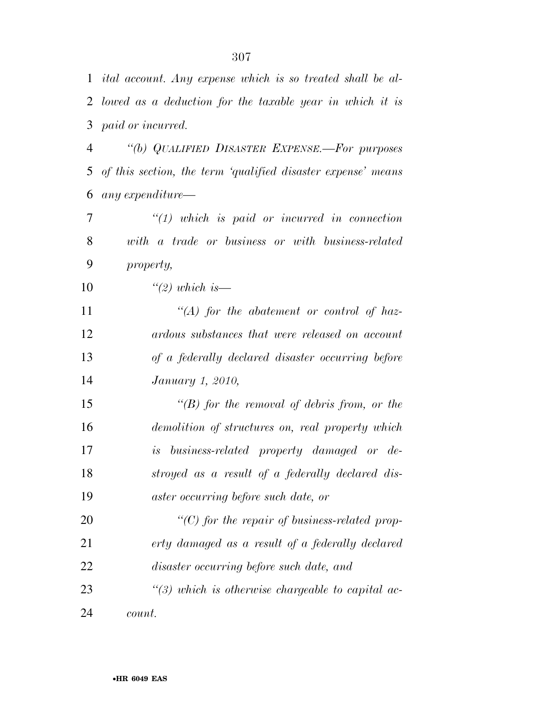| 1  | ital account. Any expense which is so treated shall be al-   |
|----|--------------------------------------------------------------|
| 2  | lowed as a deduction for the taxable year in which it is     |
| 3  | paid or incurred.                                            |
| 4  | "(b) QUALIFIED DISASTER EXPENSE.-For purposes                |
| 5  | of this section, the term 'qualified disaster expense' means |
| 6  | any expenditure-                                             |
| 7  | $"(1)$ which is paid or incurred in connection               |
| 8  | with a trade or business or with business-related            |
| 9  | property,                                                    |
| 10 | $\lq(2)$ which is —                                          |
| 11 | $\lq (A)$ for the abatement or control of haz-               |
| 12 | ardous substances that were released on account              |
| 13 | of a federally declared disaster occurring before            |
| 14 | January 1, 2010,                                             |
| 15 | $\lq (B)$ for the removal of debris from, or the             |
| 16 | demolition of structures on, real property which             |
| 17 | is business-related property damaged or de-                  |
| 18 | stroyed as a result of a federally declared dis-             |
| 19 | aster occurring before such date, or                         |
| 20 | $"$ (C) for the repair of business-related prop-             |
| 21 | erty damaged as a result of a federally declared             |
| 22 | disaster occurring before such date, and                     |
| 23 | $\lq(3)$ which is otherwise chargeable to capital ac-        |
| 24 | count.                                                       |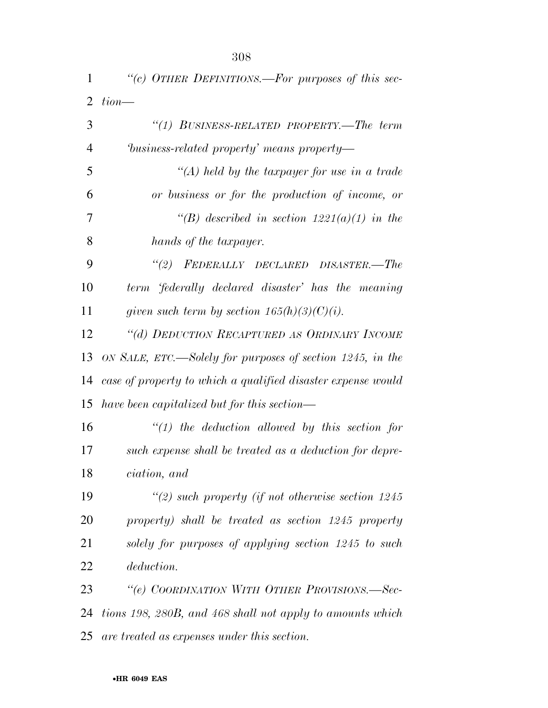| 1  | "(c) OTHER DEFINITIONS.—For purposes of this sec-            |
|----|--------------------------------------------------------------|
| 2  | $tion$ —                                                     |
| 3  | "(1) BUSINESS-RELATED PROPERTY.—The term                     |
| 4  | business-related property' means property—                   |
| 5  | "(A) held by the taxpayer for use in a trade                 |
| 6  | or business or for the production of income, or              |
| 7  | "(B) described in section $1221(a)(1)$ in the                |
| 8  | hands of the taxpayer.                                       |
| 9  | "(2) FEDERALLY DECLARED DISASTER.-The                        |
| 10 | term 'federally declared disaster' has the meaning           |
| 11 | given such term by section $165(h)(3)(C)(i)$ .               |
| 12 | "(d) DEDUCTION RECAPTURED AS ORDINARY INCOME                 |
| 13 | ON SALE, ETC.—Solely for purposes of section 1245, in the    |
| 14 | case of property to which a qualified disaster expense would |
| 15 | have been capitalized but for this section—                  |
| 16 | $\lq(1)$ the deduction allowed by this section for           |
| 17 | such expense shall be treated as a deduction for depre-      |
| 18 | ciation, and                                                 |
| 19 | $\lq(2)$ such property (if not otherwise section 1245)       |
| 20 | property) shall be treated as section 1245 property          |
| 21 | solely for purposes of applying section 1245 to such         |
| 22 | <i>deduction.</i>                                            |
| 23 | "(e) COORDINATION WITH OTHER PROVISIONS.—Sec-                |
| 24 | tions 198, 280B, and 468 shall not apply to amounts which    |
| 25 | are treated as expenses under this section.                  |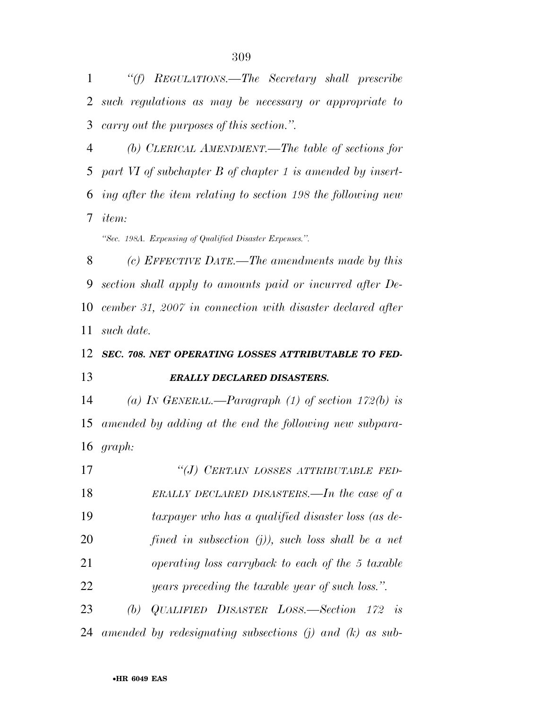*''(f) REGULATIONS.—The Secretary shall prescribe such regulations as may be necessary or appropriate to carry out the purposes of this section.''.* 

 *(b) CLERICAL AMENDMENT.—The table of sections for part VI of subchapter B of chapter 1 is amended by insert- ing after the item relating to section 198 the following new item:* 

*''Sec. 198A. Expensing of Qualified Disaster Expenses.''.* 

 *(c) EFFECTIVE DATE.—The amendments made by this section shall apply to amounts paid or incurred after De- cember 31, 2007 in connection with disaster declared after such date.* 

## *SEC. 708. NET OPERATING LOSSES ATTRIBUTABLE TO FED-ERALLY DECLARED DISASTERS.*

 *(a) IN GENERAL.—Paragraph (1) of section 172(b) is amended by adding at the end the following new subpara-graph:* 

 *''(J) CERTAIN LOSSES ATTRIBUTABLE FED- ERALLY DECLARED DISASTERS.—In the case of a taxpayer who has a qualified disaster loss (as de- fined in subsection (j)), such loss shall be a net operating loss carryback to each of the 5 taxable years preceding the taxable year of such loss.''. (b) QUALIFIED DISASTER LOSS.—Section 172 is* 

*amended by redesignating subsections (j) and (k) as sub-*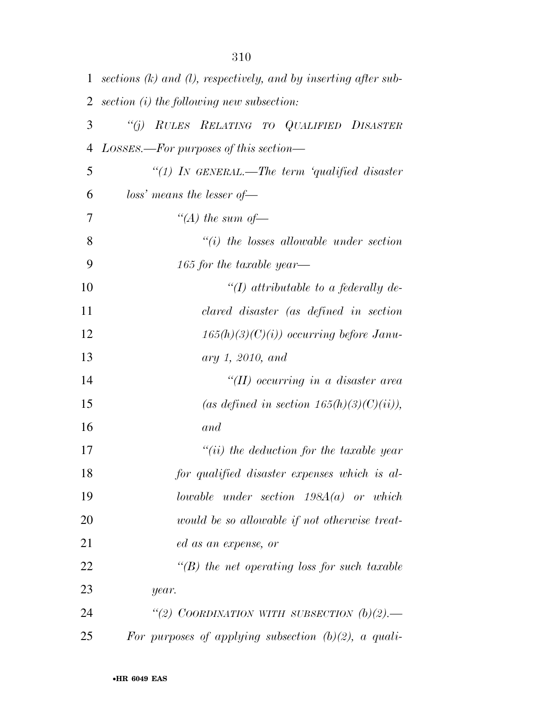| $\mathbf{1}$   | sections $(k)$ and $(l)$ , respectively, and by inserting after sub- |
|----------------|----------------------------------------------------------------------|
| $\overline{2}$ | section (i) the following new subsection:                            |
| 3              | RULES RELATING TO QUALIFIED DISASTER<br>``(j)                        |
| 4              | $LossES.$ For purposes of this section—                              |
| 5              | "(1) IN GENERAL.—The term 'qualified disaster                        |
| 6              | $loss'$ means the lesser of-                                         |
| 7              | "(A) the sum of $-$                                                  |
| 8              | $``(i)$ the losses allowable under section                           |
| 9              | 165 for the taxable year—                                            |
| 10             | "(I) attributable to a federally de-                                 |
| 11             | clared disaster (as defined in section                               |
| 12             | $165(h)(3)(C)(i)$ occurring before Janu-                             |
| 13             | ary 1, 2010, and                                                     |
| 14             | "(II) occurring in a disaster area                                   |
| 15             | (as defined in section $165(h)(3)(C)(ii)$ ),                         |
| 16             | and                                                                  |
| 17             | $``(ii)$ the deduction for the taxable year                          |
| 18             | for qualified disaster expenses which is al-                         |
| 19             | lowable under section $198A(a)$ or which                             |
| 20             | would be so allowable if not otherwise treat-                        |
| 21             | ed as an expense, or                                                 |
| 22             | $\lq\lq(B)$ the net operating loss for such taxable                  |
| 23             | year.                                                                |
| 24             | "(2) COORDINATION WITH SUBSECTION $(b)(2)$ .                         |
| 25             | For purposes of applying subsection $(b)(2)$ , a quali-              |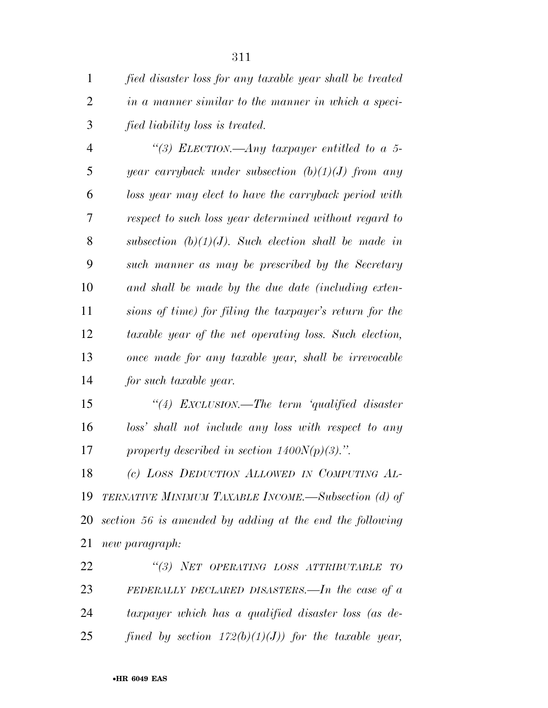*fied disaster loss for any taxable year shall be treated in a manner similar to the manner in which a speci-fied liability loss is treated.* 

 *''(3) ELECTION.—Any taxpayer entitled to a 5- year carryback under subsection (b)(1)(J) from any loss year may elect to have the carryback period with respect to such loss year determined without regard to subsection (b)(1)(J). Such election shall be made in such manner as may be prescribed by the Secretary and shall be made by the due date (including exten- sions of time) for filing the taxpayer's return for the taxable year of the net operating loss. Such election, once made for any taxable year, shall be irrevocable for such taxable year.* 

 *''(4) EXCLUSION.—The term 'qualified disaster loss' shall not include any loss with respect to any property described in section 1400N(p)(3).''.* 

 *(c) LOSS DEDUCTION ALLOWED IN COMPUTING AL- TERNATIVE MINIMUM TAXABLE INCOME.—Subsection (d) of section 56 is amended by adding at the end the following new paragraph:* 

 *''(3) NET OPERATING LOSS ATTRIBUTABLE TO FEDERALLY DECLARED DISASTERS.—In the case of a taxpayer which has a qualified disaster loss (as de-fined by section 172(b)(1)(J)) for the taxable year,*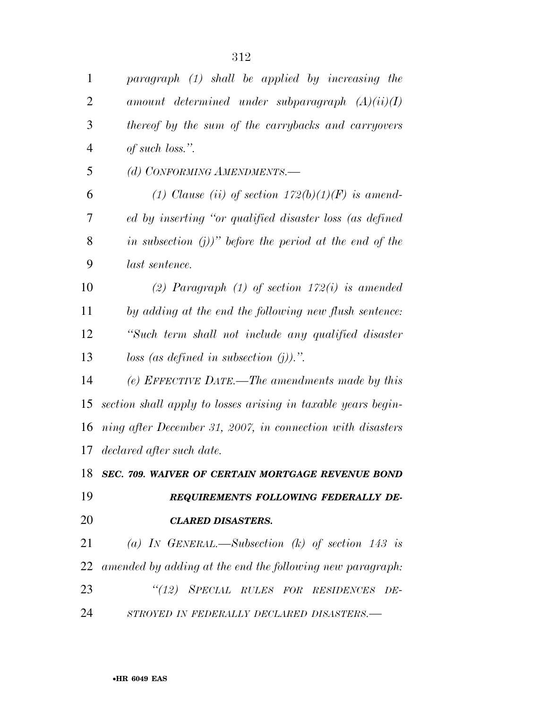| $\mathbf{1}$   | paragraph (1) shall be applied by increasing the              |
|----------------|---------------------------------------------------------------|
| $\overline{2}$ | amount determined under subparagraph $(A)(ii)(I)$             |
| 3              | thereof by the sum of the carrybacks and carryovers           |
| $\overline{4}$ | of such loss.".                                               |
| 5              | (d) CONFORMING AMENDMENTS.-                                   |
| 6              | (1) Clause (ii) of section $172(b)(1)(F)$ is amend-           |
| 7              | ed by inserting "or qualified disaster loss (as defined       |
| 8              | in subsection $(j)$ )" before the period at the end of the    |
| 9              | last sentence.                                                |
| 10             | (2) Paragraph $(1)$ of section $172(i)$ is amended            |
| 11             | by adding at the end the following new flush sentence:        |
| 12             | "Such term shall not include any qualified disaster           |
| 13             | loss (as defined in subsection $(j)$ ).".                     |
| 14             | (e) EFFECTIVE DATE.—The amendments made by this               |
| 15             | section shall apply to losses arising in taxable years begin- |
| 16             | ning after December 31, 2007, in connection with disasters    |
| 17             | declared after such date.                                     |
|                | 18 SEC. 709. WAIVER OF CERTAIN MORTGAGE REVENUE BOND          |
| 19             | REQUIREMENTS FOLLOWING FEDERALLY DE-                          |
| 20             | <b>CLARED DISASTERS.</b>                                      |
| 21             | (a) IN GENERAL.—Subsection (k) of section 143 is              |
| 22             | amended by adding at the end the following new paragraph:     |
| 23             | "(12) SPECIAL RULES FOR RESIDENCES DE-                        |
| 24             | STROYED IN FEDERALLY DECLARED DISASTERS.-                     |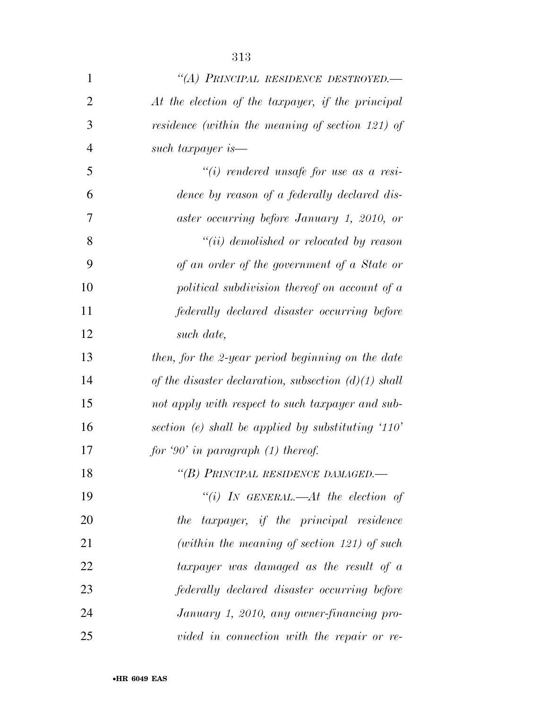| $\mathbf{1}$   | "(A) PRINCIPAL RESIDENCE DESTROYED.—                   |
|----------------|--------------------------------------------------------|
| $\overline{2}$ | At the election of the taxpayer, if the principal      |
| 3              | residence (within the meaning of section 121) of       |
| $\overline{4}$ | such taxpayer is—                                      |
| 5              | $``(i)$ rendered unsafe for use as a resi-             |
| 6              | dence by reason of a federally declared dis-           |
| 7              | aster occurring before January 1, 2010, or             |
| 8              | "(ii) demolished or relocated by reason                |
| 9              | of an order of the government of a State or            |
| 10             | political subdivision thereof on account of a          |
| 11             | federally declared disaster occurring before           |
| 12             | such date,                                             |
| 13             | then, for the 2-year period beginning on the date      |
| 14             | of the disaster declaration, subsection $(d)(1)$ shall |
| 15             | not apply with respect to such taxpayer and sub-       |
| 16             | section (e) shall be applied by substituting $110'$    |
| 17             | for '90' in paragraph $(1)$ thereof.                   |
| 18             | "(B) PRINCIPAL RESIDENCE DAMAGED.-                     |
| 19             | "(i) IN GENERAL.—At the election of                    |
| 20             | the taxpayer, if the principal residence               |
| 21             | (within the meaning of section 121) of such            |
| 22             | taxpayer was damaged as the result of a                |
| 23             | federally declared disaster occurring before           |
| 24             | January 1, 2010, any owner-financing pro-              |
| 25             | vided in connection with the repair or re-             |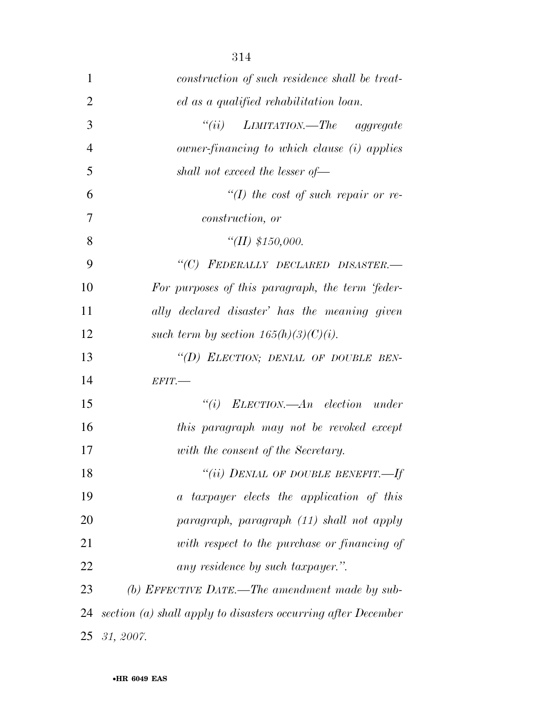| 1              | construction of such residence shall be treat-                |
|----------------|---------------------------------------------------------------|
| $\overline{2}$ | ed as a qualified rehabilitation loan.                        |
| 3              | "(ii) $L$ <i>IMITATION.—The aggregate</i>                     |
| $\overline{4}$ | owner-financing to which clause (i) applies                   |
| 5              | shall not exceed the lesser of-                               |
| 6              | $H(f)$ the cost of such repair or re-                         |
| 7              | construction, or                                              |
| 8              | "(II) $$150,000$ .                                            |
| 9              | "(C) FEDERALLY DECLARED DISASTER.-                            |
| 10             | For purposes of this paragraph, the term 'feder-              |
| 11             | ally declared disaster' has the meaning given                 |
| 12             | such term by section $165(h)(3)(C)(i)$ .                      |
| 13             | "(D) ELECTION; DENIAL OF DOUBLE BEN-                          |
| 14             | $EFIT$ .                                                      |
| 15             | $``(i)$ ELECTION.—An election under                           |
| 16             | this paragraph may not be revoked except                      |
| 17             | with the consent of the Secretary.                            |
| 18             | "(ii) DENIAL OF DOUBLE BENEFIT.-If                            |
| 19             | a taxpayer elects the application of this                     |
| 20             | paragraph, paragraph (11) shall not apply                     |
| 21             | with respect to the purchase or financing of                  |
| 22             | any residence by such taxpayer.".                             |
| 23             | (b) EFFECTIVE DATE.—The amendment made by sub-                |
| 24             | section (a) shall apply to disasters occurring after December |
|                | 25 31, 2007.                                                  |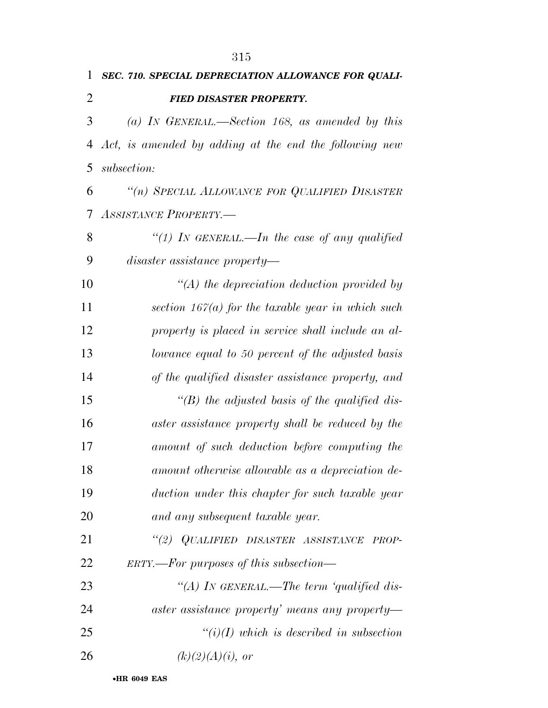|               | 1 SEC. 710. SPECIAL DEPRECIATION ALLOWANCE FOR QUALI-    |
|---------------|----------------------------------------------------------|
| $\mathcal{L}$ | <b>FIED DISASTER PROPERTY.</b>                           |
| $\mathcal{E}$ | (a) IN GENERAL.—Section 168, as amended by this          |
|               | 4 Act, is amended by adding at the end the following new |

*subsection:* 

 *''(n) SPECIAL ALLOWANCE FOR QUALIFIED DISASTER ASSISTANCE PROPERTY.—* 

 *''(1) IN GENERAL.—In the case of any qualified disaster assistance property—* 

 *''(A) the depreciation deduction provided by section 167(a) for the taxable year in which such property is placed in service shall include an al- lowance equal to 50 percent of the adjusted basis of the qualified disaster assistance property, and ''(B) the adjusted basis of the qualified dis- aster assistance property shall be reduced by the amount of such deduction before computing the amount otherwise allowable as a depreciation de- duction under this chapter for such taxable year and any subsequent taxable year.* 

 *''(2) QUALIFIED DISASTER ASSISTANCE PROP-ERTY.—For purposes of this subsection—* 

 *''(A) IN GENERAL.—The term 'qualified dis- aster assistance property' means any property— ''(i)(I) which is described in subsection (k)(2)(A)(i), or*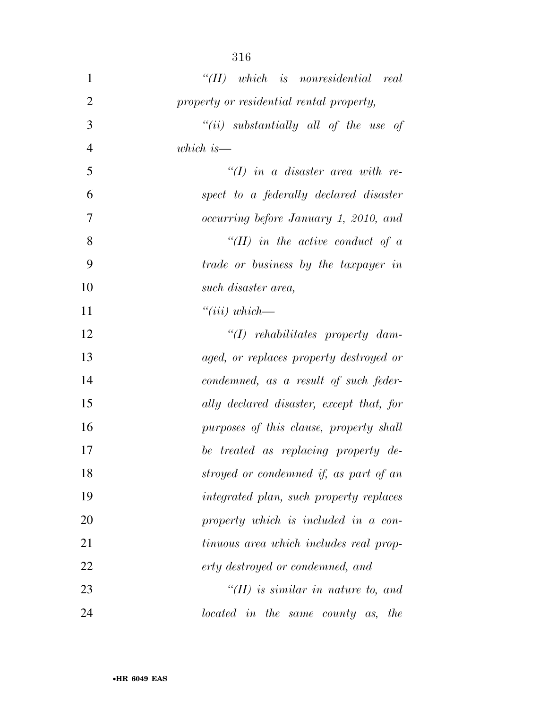| 1              | $``(II)$ which is nonresidential real    |
|----------------|------------------------------------------|
| $\overline{2}$ | property or residential rental property, |
| 3              | "(ii) substantially all of the use of    |
| 4              | which is $-$                             |
| 5              | $\lq (I)$ in a disaster area with re-    |
| 6              | spect to a federally declared disaster   |
| 7              | occurring before January 1, 2010, and    |
| 8              | $``(II)$ in the active conduct of a      |
| 9              | trade or business by the taxpayer in     |
| 10             | such disaster area,                      |
| 11             | $``(iii) which \_\_$                     |
| 12             | $\lq (I)$ rehabilitates property dam-    |
| 13             | aged, or replaces property destroyed or  |
| 14             | condemned, as a result of such feder-    |
| 15             | ally declared disaster, except that, for |
| 16             | purposes of this clause, property shall  |
| 17             | be treated as replacing property de-     |
| 18             | stroyed or condemned if, as part of an   |
| 19             | integrated plan, such property replaces  |
| 20             | property which is included in a con-     |
| 21             | tinuous area which includes real prop-   |
| 22             | erty destroyed or condemned, and         |
| 23             | $H(H)$ is similar in nature to, and      |
| 24             | located in the same county as, the       |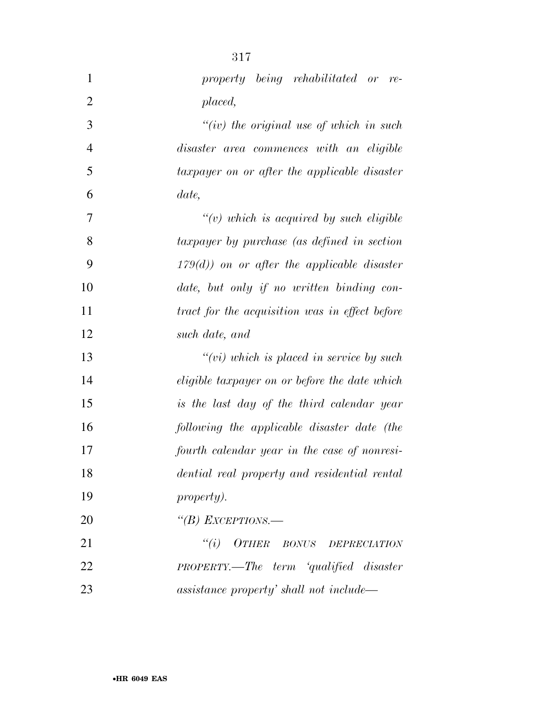| $\mathbf{1}$   | property being rehabilitated or re-            |
|----------------|------------------------------------------------|
| $\overline{2}$ | placed,                                        |
| 3              | $``(iv)$ the original use of which in such     |
| $\overline{4}$ | disaster area commences with an eligible       |
| 5              | taxpayer on or after the applicable disaster   |
| 6              | date,                                          |
| 7              | $\lq\lq(v)$ which is acquired by such eligible |
| 8              | taxpayer by purchase (as defined in section    |
| 9              | $179(d)$ on or after the applicable disaster   |
| 10             | date, but only if no written binding con-      |
| 11             | tract for the acquisition was in effect before |
| 12             | such date, and                                 |
| 13             | $``(vi)$ which is placed in service by such    |
| 14             | eligible taxpayer on or before the date which  |
| 15             | is the last day of the third calendar year     |
| 16             | following the applicable disaster date (the    |
| 17             | fourth calendar year in the case of nonresi-   |
| 18             | dential real property and residential rental   |
| 19             | <i>property).</i>                              |
| 20             | "(B) EXCEPTIONS.—                              |
| 21             | "(i) OTHER BONUS DEPRECIATION                  |
| 22             | PROPERTY.—The term 'qualified disaster         |
| 23             | assistance property' shall not include—        |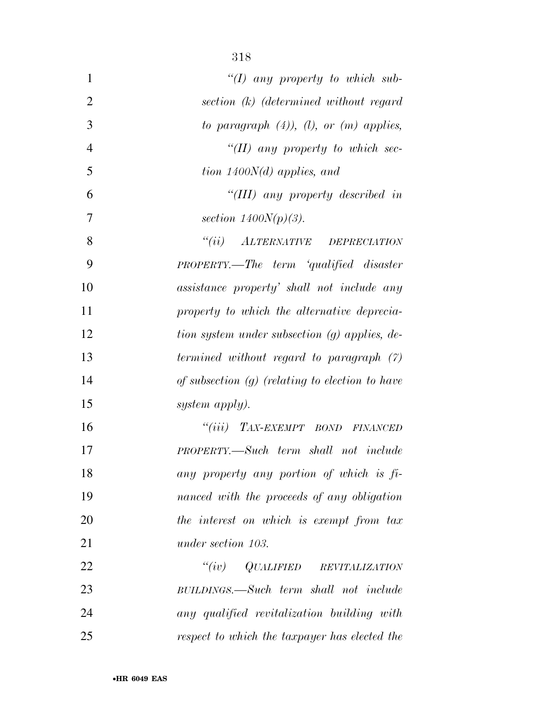| $\mathbf{1}$   | $\lq (I)$ any property to which sub-                                              |
|----------------|-----------------------------------------------------------------------------------|
| $\overline{2}$ | section (k) (determined without regard                                            |
| 3              | to paragraph $(4)$ ), $(1)$ , or $(m)$ applies,                                   |
| $\overline{4}$ | "(II) any property to which sec-                                                  |
| 5              | tion $1400N(d)$ applies, and                                                      |
| 6              | "(III) any property described in                                                  |
| 7              | section $1400N(p)(3)$ .                                                           |
| 8              | ALTERNATIVE DEPRECIATION<br>``(ii)                                                |
| 9              | PROPERTY.—The term 'qualified disaster                                            |
| 10             | assistance property' shall not include any                                        |
| 11             | property to which the alternative deprecia-                                       |
| 12             | tion system under subsection (g) applies, de-                                     |
| 13             | termined without regard to paragraph $(7)$                                        |
| 14             | of subsection $(g)$ (relating to election to have                                 |
| 15             | system apply).                                                                    |
| 16             | "(iii) TAX-EXEMPT BOND FINANCED                                                   |
| 17             | PROPERTY.—Such term shall not include                                             |
| 18             | any property any portion of which is fi-                                          |
| 19             | nanced with the proceeds of any obligation                                        |
| 20             | the interest on which is exempt from tax                                          |
| 21             | under section 103.                                                                |
| 22             | ``(iv)<br>$\hspace{0.1cm} QUALIFIED \hspace{0.3cm} REVITALIZATION \hspace{0.3cm}$ |
| 23             | BUILDINGS.—Such term shall not include                                            |
| 24             | any qualified revitalization building with                                        |
| 25             | respect to which the taxpayer has elected the                                     |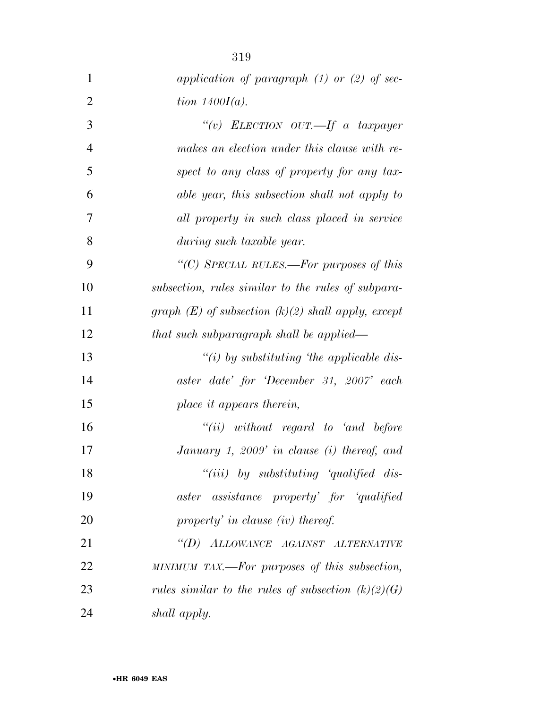| 1              | application of paragraph $(1)$ or $(2)$ of sec-        |
|----------------|--------------------------------------------------------|
| $\overline{2}$ | tion $1400I(a)$ .                                      |
| 3              | "(v) ELECTION OUT.—If a taxpayer                       |
| 4              | makes an election under this clause with re-           |
| 5              | spect to any class of property for any tax-            |
| 6              | able year, this subsection shall not apply to          |
| 7              | all property in such class placed in service           |
| 8              | during such taxable year.                              |
| 9              | "(C) SPECIAL RULES.—For purposes of this               |
| 10             | subsection, rules similar to the rules of subpara-     |
| 11             | graph $(E)$ of subsection $(k)(2)$ shall apply, except |
| 12             | that such subparagraph shall be applied—               |
| 13             | "(i) by substituting 'the applicable dis-              |
| 14             | aster date' for 'December 31, 2007' each               |
| 15             | place it appears therein,                              |
| 16             | $``(ii)$ without regard to 'and before                 |
| 17             | January 1, 2009' in clause (i) thereof, and            |
| 18             | $``(iii)$ by substituting 'qualified dis-              |
| 19             | aster assistance property' for 'qualified              |
| 20             | property' in clause (iv) thereof.                      |
| 21             | "(D) ALLOWANCE AGAINST ALTERNATIVE                     |
| 22             | MINIMUM TAX.—For purposes of this subsection,          |
| 23             | rules similar to the rules of subsection $(k)(2)(G)$   |
| 24             | shall apply.                                           |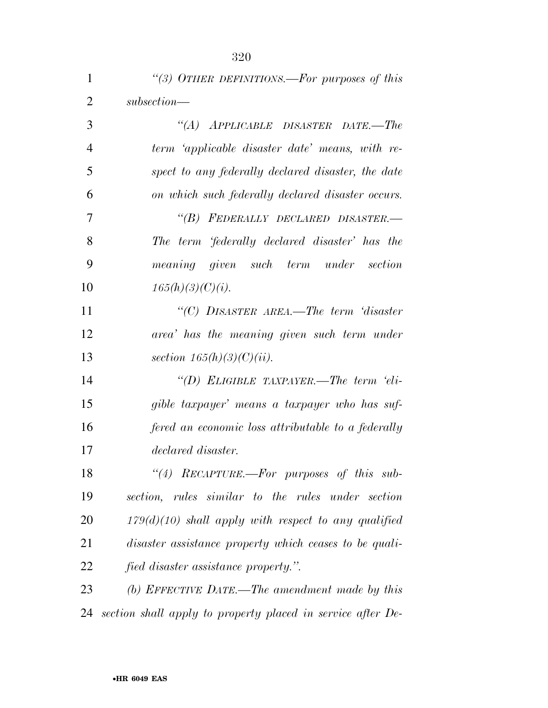| 1              | "(3) OTHER DEFINITIONS.—For purposes of this                |
|----------------|-------------------------------------------------------------|
| $\overline{2}$ | $subsection$ —                                              |
| 3              | "(A) APPLICABLE DISASTER DATE.—The                          |
| $\overline{4}$ | term 'applicable disaster date' means, with re-             |
| 5              | spect to any federally declared disaster, the date          |
| 6              | on which such federally declared disaster occurs.           |
| $\tau$         | "(B) FEDERALLY DECLARED DISASTER.-                          |
| 8              | The term 'federally declared disaster' has the              |
| 9              | meaning given such term under section                       |
| 10             | $165(h)(3)(C)(i)$ .                                         |
| 11             | "(C) DISASTER AREA.—The term 'disaster                      |
| 12             | area' has the meaning given such term under                 |
| 13             | section $165(h)(3)(C)(ii)$ .                                |
| 14             | "(D) ELIGIBLE TAXPAYER.—The term 'eli-                      |
| 15             | gible taxpayer' means a taxpayer who has suf-               |
| 16             | fered an economic loss attributable to a federally          |
| 17             | declared disaster.                                          |
| 18             | "(4) $RECAPTURE.$ —For purposes of this sub-                |
| 19             | section, rules similar to the rules under section           |
| 20             | $179(d)(10)$ shall apply with respect to any qualified      |
| 21             | disaster assistance property which ceases to be quali-      |
| 22             | fied disaster assistance property.".                        |
| 23             | (b) EFFECTIVE DATE.—The amendment made by this              |
| 24             | section shall apply to property placed in service after De- |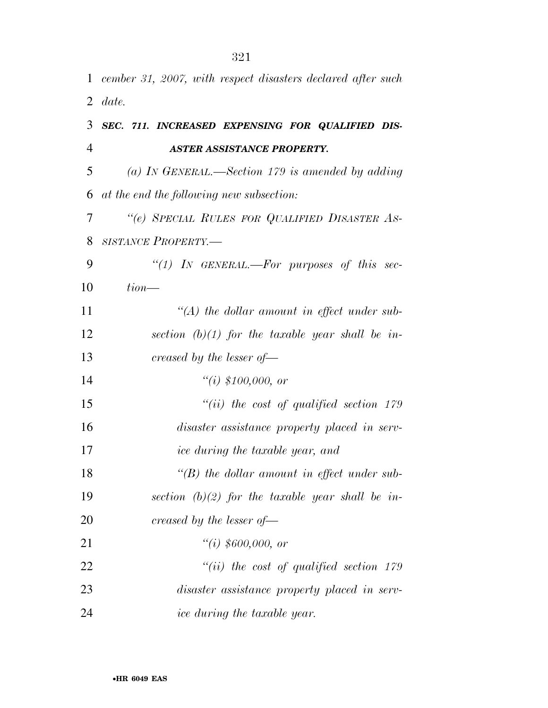|    | 1 cember 31, 2007, with respect disasters declared after such |
|----|---------------------------------------------------------------|
| 2  | date.                                                         |
| 3  | SEC. 711. INCREASED EXPENSING FOR QUALIFIED DIS-              |
| 4  | <b>ASTER ASSISTANCE PROPERTY.</b>                             |
| 5  | (a) IN GENERAL.—Section 179 is amended by adding              |
| 6  | at the end the following new subsection:                      |
| 7  | "(e) SPECIAL RULES FOR QUALIFIED DISASTER AS-                 |
| 8  | SISTANCE PROPERTY.-                                           |
| 9  | "(1) IN GENERAL.—For purposes of this sec-                    |
| 10 | $tion$ —                                                      |
| 11 | $\lq (A)$ the dollar amount in effect under sub-              |
| 12 | section $(b)(1)$ for the taxable year shall be in-            |
| 13 | creased by the lesser of $-$                                  |
| 14 | "(i) $$100,000, or$                                           |
| 15 | $``(ii)$ the cost of qualified section 179                    |
| 16 | disaster assistance property placed in serv-                  |
| 17 | <i>ice during the taxable year, and</i>                       |
| 18 | $\lq\lq(B)$ the dollar amount in effect under sub-            |
| 19 | section $(b)(2)$ for the taxable year shall be in-            |
| 20 | creased by the lesser of $\equiv$                             |
| 21 | "(i) $$600,000, or$                                           |
| 22 | $``(ii)$ the cost of qualified section 179                    |
| 23 | disaster assistance property placed in serv-                  |
| 24 | <i>ice during the taxable year.</i>                           |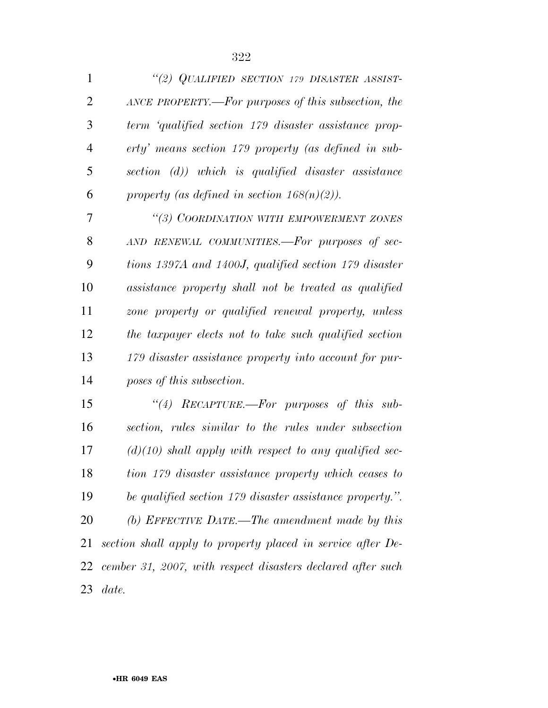| 1              | "(2) QUALIFIED SECTION 179 DISASTER ASSIST-              |
|----------------|----------------------------------------------------------|
| $\overline{2}$ | ANCE PROPERTY.—For purposes of this subsection, the      |
| 3              | term 'qualified section 179 disaster assistance prop-    |
| $\overline{4}$ | erty' means section 179 property (as defined in sub-     |
| 5              | section (d)) which is qualified disaster assistance      |
| 6              | property (as defined in section $168(n)(2)$ ).           |
| 7              | "(3) COORDINATION WITH EMPOWERMENT ZONES                 |
| 8              | AND RENEWAL COMMUNITIES.—For purposes of sec-            |
| 9              | tions 1397A and 1400J, qualified section 179 disaster    |
| 10             | assistance property shall not be treated as qualified    |
| 11             | zone property or qualified renewal property, unless      |
| 12             | the taxpayer elects not to take such qualified section   |
| 13             | 179 disaster assistance property into account for pur-   |
| 14             | poses of this subsection.                                |
| 15             | "(4) RECAPTURE.—For purposes of this sub-                |
| 16             | section, rules similar to the rules under subsection     |
| 17             | $(d)(10)$ shall apply with respect to any qualified sec- |
| 18             | tion 179 disaster assistance property which ceases to    |
| 19             | be qualified section 179 disaster assistance property.". |
| 20             | (b) EFFECTIVE DATE.—The amendment made by this           |

 *section shall apply to property placed in service after De- cember 31, 2007, with respect disasters declared after such date.*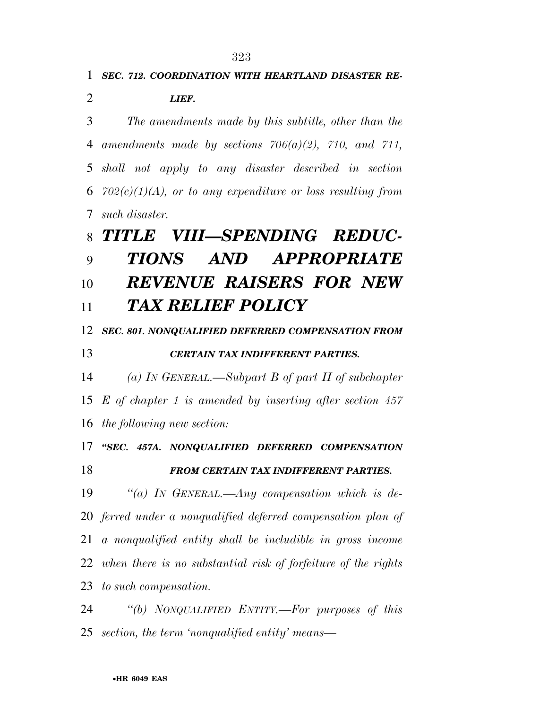*SEC. 712. COORDINATION WITH HEARTLAND DISASTER RE-*

*The amendments made by this subtitle, other than the* 

*amendments made by sections 706(a)(2), 710, and 711,* 

*shall not apply to any disaster described in section* 

*702(c)(1)(A), or to any expenditure or loss resulting from* 

*LIEF.* 

*such disaster.* 

## •**HR 6049 EAS**  *TITLE VIII—SPENDING REDUC- TIONS AND APPROPRIATE REVENUE RAISERS FOR NEW TAX RELIEF POLICY SEC. 801. NONQUALIFIED DEFERRED COMPENSATION FROM CERTAIN TAX INDIFFERENT PARTIES. (a) IN GENERAL.—Subpart B of part II of subchapter E of chapter 1 is amended by inserting after section 457 the following new section: ''SEC. 457A. NONQUALIFIED DEFERRED COMPENSATION FROM CERTAIN TAX INDIFFERENT PARTIES. ''(a) IN GENERAL.—Any compensation which is de- ferred under a nonqualified deferred compensation plan of a nonqualified entity shall be includible in gross income when there is no substantial risk of forfeiture of the rights to such compensation. ''(b) NONQUALIFIED ENTITY.—For purposes of this section, the term 'nonqualified entity' means—*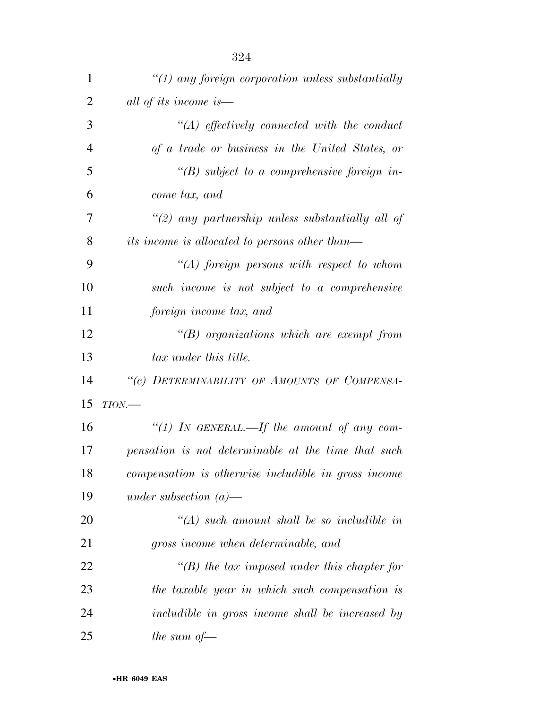| $\mathbf{1}$   | " $(1)$ any foreign corporation unless substantially  |
|----------------|-------------------------------------------------------|
| $\overline{2}$ | all of its income is—                                 |
| 3              | $\lq (A)$ effectively connected with the conduct      |
| $\overline{4}$ | of a trade or business in the United States, or       |
| 5              | $\lq (B)$ subject to a comprehensive foreign in-      |
| 6              | come tax, and                                         |
| 7              | "(2) any partnership unless substantially all of      |
| 8              | <i>its income is allocated to persons other than—</i> |
| 9              | $\lq (A)$ foreign persons with respect to whom        |
| 10             | such income is not subject to a comprehensive         |
| 11             | foreign income tax, and                               |
| 12             | $\lq\lq(B)$ organizations which are exempt from       |
| 13             | tax under this title.                                 |
| 14             | "(c) DETERMINABILITY OF AMOUNTS OF COMPENSA-          |
| 15             | $TION$ —                                              |
| 16             | "(1) IN GENERAL.—If the amount of any com-            |
| 17             | pensation is not determinable at the time that such   |
| 18             | compensation is otherwise includible in gross income  |
| 19             | under subsection $(a)$ —                              |
| 20             | $\lq (A)$ such amount shall be so includible in       |
| 21             | gross income when determinable, and                   |
| 22             | $\lq\lq(B)$ the tax imposed under this chapter for    |
| 23             | the taxable year in which such compensation is        |
| 24             | includible in gross income shall be increased by      |
| 25             | the sum of $-$                                        |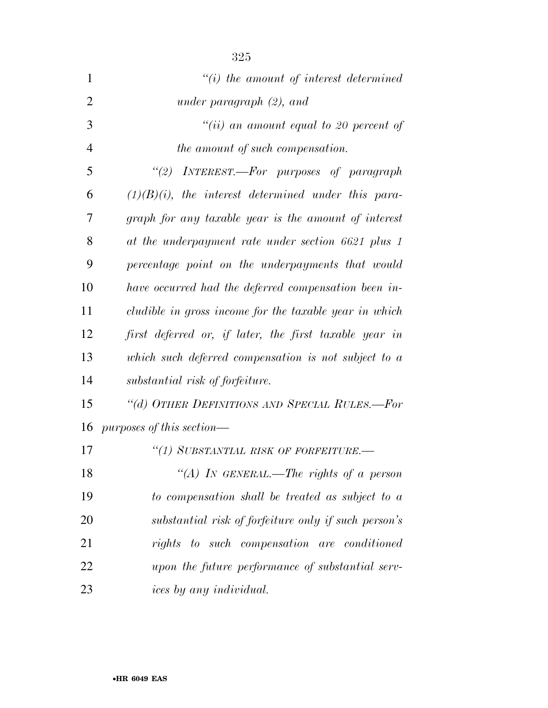| $\mathbf{1}$   | $"(i)$ the amount of interest determined               |
|----------------|--------------------------------------------------------|
| $\overline{2}$ | under paragraph $(2)$ , and                            |
| 3              | $``(ii)$ an amount equal to 20 percent of              |
| $\overline{4}$ | the amount of such compensation.                       |
| 5              | "(2) INTEREST.—For purposes of paragraph               |
| 6              | $(1)(B)(i)$ , the interest determined under this para- |
| 7              | graph for any taxable year is the amount of interest   |
| 8              | at the underpayment rate under section 6621 plus 1     |
| 9              | percentage point on the underpayments that would       |
| 10             | have occurred had the deferred compensation been in-   |
| 11             | cludible in gross income for the taxable year in which |
| 12             | first deferred or, if later, the first taxable year in |
| 13             | which such deferred compensation is not subject to a   |
| 14             | substantial risk of forfeiture.                        |
| 15             | "(d) OTHER DEFINITIONS AND SPECIAL RULES.-For          |
| 16             | $purposes$ of this section—                            |
| 17             | "(1) SUBSTANTIAL RISK OF FORFEITURE.-                  |
| 18             | "(A) IN GENERAL.—The rights of a person                |
| 19             | to compensation shall be treated as subject to a       |
| 20             | substantial risk of forfeiture only if such person's   |
| 21             | rights to such compensation are conditioned            |
| 22             | upon the future performance of substantial serv-       |
| 23             | ices by any individual.                                |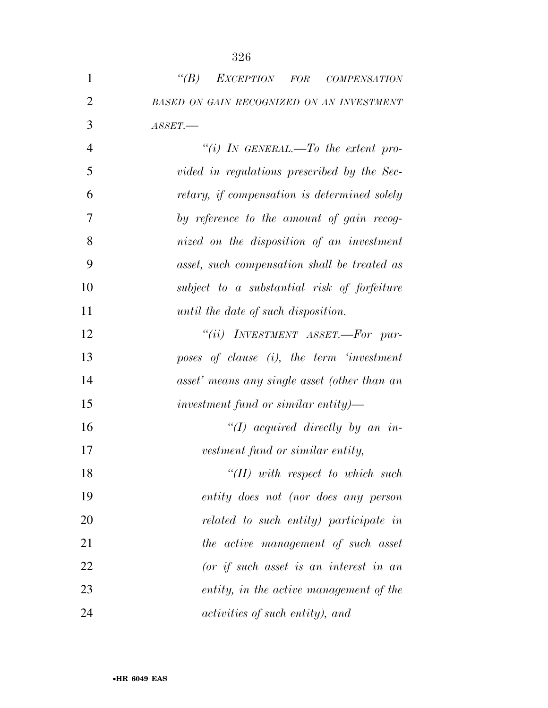| $\mathbf{1}$   | EXCEPTION FOR COMPENSATION<br>$\lq(B)$        |
|----------------|-----------------------------------------------|
| $\overline{2}$ | BASED ON GAIN RECOGNIZED ON AN INVESTMENT     |
| 3              | ASSET.                                        |
| $\overline{4}$ | "(i) IN GENERAL.—To the extent pro-           |
| 5              | vided in regulations prescribed by the Sec-   |
| 6              | retary, if compensation is determined solely  |
| 7              | by reference to the amount of gain recog-     |
| 8              | nized on the disposition of an investment     |
| 9              | asset, such compensation shall be treated as  |
| 10             | subject to a substantial risk of forfeiture   |
| 11             | until the date of such disposition.           |
| 12             | "(ii) $INVESTMENT$ $ASSET.$ -For pur-         |
| 13             | poses of clause $(i)$ , the term 'investment' |
| 14             | asset' means any single asset (other than an  |
| 15             | investment fund or similar entity)—           |
| 16             | "(I) acquired directly by an in-              |
| 17             | vestment fund or similar entity,              |
| 18             | $H(H)$ with respect to which such             |
| 19             | entity does not (nor does any person          |
| 20             | related to such entity) participate in        |
| 21             | the active management of such asset           |
| 22             | $(or if such asset is an interest in an$      |
| 23             | entity, in the active management of the       |
| 24             | activities of such entity), and               |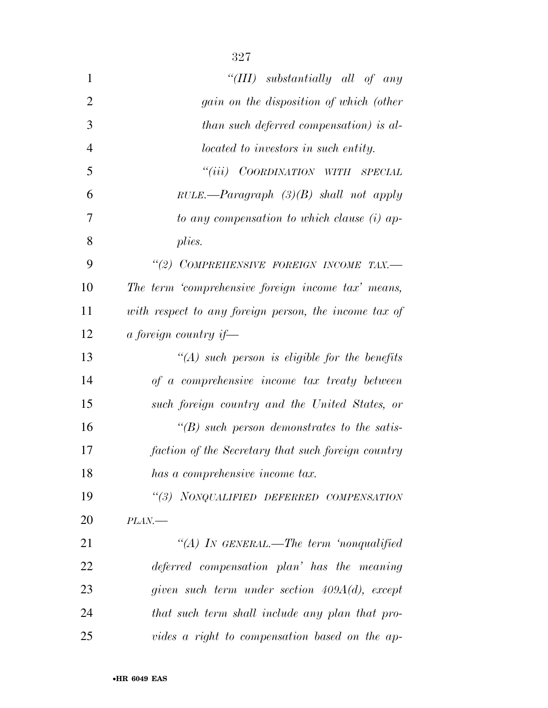| $\mathbf{1}$   | "(III) substantially all of any                       |
|----------------|-------------------------------------------------------|
| $\overline{2}$ | <i>gain</i> on the disposition of which (other        |
| 3              | than such deferred compensation) is al-               |
| 4              | located to investors in such entity.                  |
| 5              | ``(iii)<br>COORDINATION WITH SPECIAL                  |
| 6              | $RULE.$ —Paragraph $(3)(B)$ shall not apply           |
| 7              | to any compensation to which clause (i) ap-           |
| 8              | plies.                                                |
| 9              | "(2) COMPREHENSIVE FOREIGN INCOME TAX.-               |
| 10             | The term 'comprehensive foreign income tax' means,    |
| 11             | with respect to any foreign person, the income tax of |
| 12             | a foreign country if—                                 |
| 13             | $\lq (A)$ such person is eligible for the benefits    |
| 14             | of a comprehensive income tax treaty between          |
| 15             | such foreign country and the United States, or        |
| 16             | $\lq\lq(B)$ such person demonstrates to the satis-    |
| 17             | faction of the Secretary that such foreign country    |
| 18             | has a comprehensive income tax.                       |
| 19             | "(3) NONQUALIFIED DEFERRED COMPENSATION               |
| 20             | $PLAN$ —                                              |
| 21             | "(A) IN GENERAL.—The term 'nonqualified               |
| 22             | deferred compensation plan' has the meaning           |
| 23             | given such term under section $409A(d)$ , except      |
| 24             | that such term shall include any plan that pro-       |
|                |                                                       |

*vides a right to compensation based on the ap-*

•**HR 6049 EAS**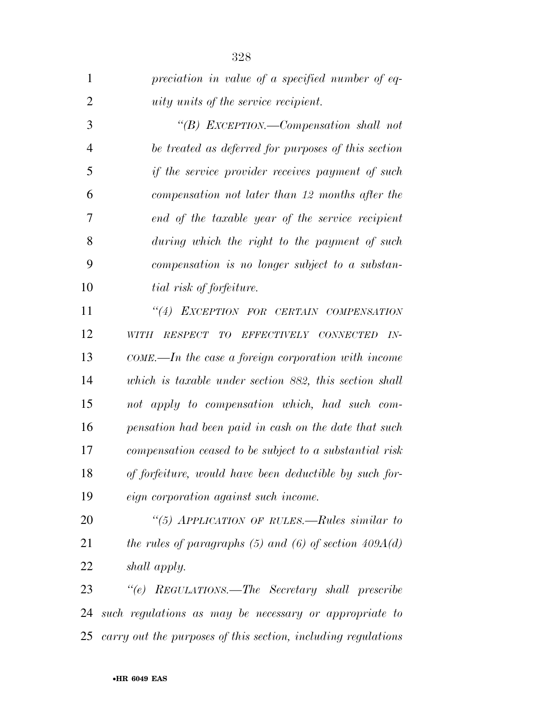| $\mathbf{1}$   | preciation in value of a specified number of eq-              |
|----------------|---------------------------------------------------------------|
| $\overline{2}$ | <i>uity units</i> of the service recipient.                   |
| 3              | "(B) EXCEPTION.—Compensation shall not                        |
| $\overline{4}$ | be treated as deferred for purposes of this section           |
| 5              | if the service provider receives payment of such              |
| 6              | compensation not later than 12 months after the               |
| 7              | end of the taxable year of the service recipient              |
| 8              | during which the right to the payment of such                 |
| 9              | compensation is no longer subject to a substan-               |
| 10             | tial risk of forfeiture.                                      |
| 11             | "(4) EXCEPTION FOR CERTAIN COMPENSATION                       |
| 12             | RESPECT<br>TO<br>EFFECTIVELY CONNECTED<br>$IN-$<br>WITH       |
| 13             | $COME$ —In the case a foreign corporation with income         |
| 14             | which is taxable under section 882, this section shall        |
| 15             | not apply to compensation which, had such com-                |
| 16             | pensation had been paid in cash on the date that such         |
| 17             | compensation ceased to be subject to a substantial risk       |
| 18             | of forfeiture, would have been deductible by such for-        |
| 19             | <i>eign</i> corporation against such income.                  |
| 20             | "(5) APPLICATION OF RULES.—Rules similar to                   |
| 21             | the rules of paragraphs $(5)$ and $(6)$ of section $409A(d)$  |
| 22             | shall apply.                                                  |
| 23             | "(e) REGULATIONS.—The Secretary shall prescribe               |
| 24             | such regulations as may be necessary or appropriate to        |
| 25             | carry out the purposes of this section, including regulations |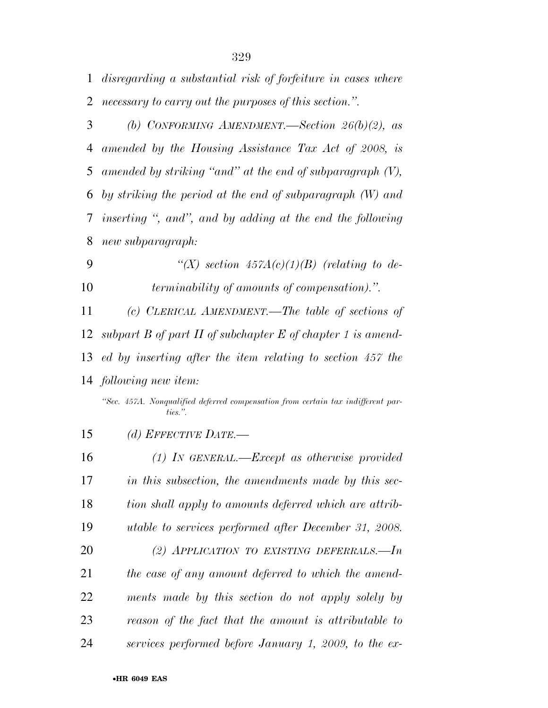*disregarding a substantial risk of forfeiture in cases where necessary to carry out the purposes of this section.''.* 

 *(b) CONFORMING AMENDMENT.—Section 26(b)(2), as amended by the Housing Assistance Tax Act of 2008, is amended by striking ''and'' at the end of subparagraph (V), by striking the period at the end of subparagraph (W) and inserting '', and'', and by adding at the end the following new subparagraph:* 

 *''(X) section 457A(c)(1)(B) (relating to de-terminability of amounts of compensation).''.* 

 *(c) CLERICAL AMENDMENT.—The table of sections of subpart B of part II of subchapter E of chapter 1 is amend- ed by inserting after the item relating to section 457 the following new item:* 

*''Sec. 457A. Nonqualified deferred compensation from certain tax indifferent parties.''.* 

*(d) EFFECTIVE DATE.—* 

 *(1) IN GENERAL.—Except as otherwise provided in this subsection, the amendments made by this sec- tion shall apply to amounts deferred which are attrib- utable to services performed after December 31, 2008. (2) APPLICATION TO EXISTING DEFERRALS.—In the case of any amount deferred to which the amend- ments made by this section do not apply solely by reason of the fact that the amount is attributable to*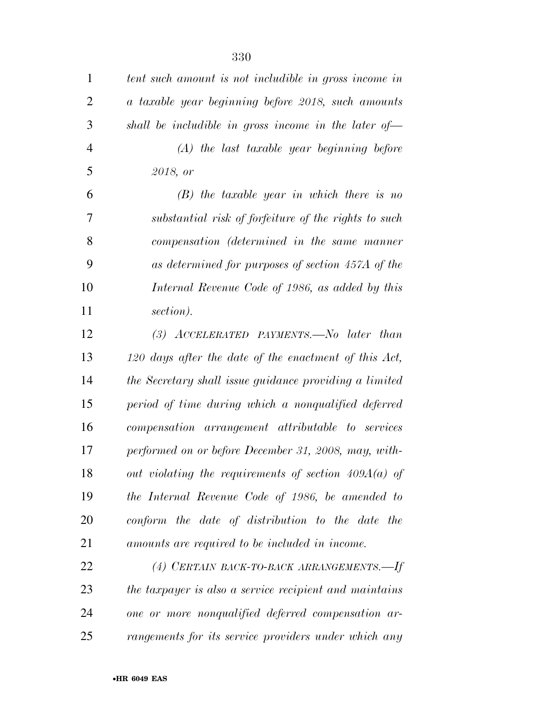| $\mathbf{1}$   | tent such amount is not includible in gross income in  |
|----------------|--------------------------------------------------------|
| 2              | a taxable year beginning before 2018, such amounts     |
| 3              | shall be includible in gross income in the later of-   |
| $\overline{4}$ | $(A)$ the last taxable year beginning before           |
| 5              | 2018, or                                               |
| 6              | $(B)$ the taxable year in which there is no            |
| 7              | substantial risk of forfeiture of the rights to such   |
| 8              | compensation (determined in the same manner            |
| 9              | as determined for purposes of section 457A of the      |
| 10             | Internal Revenue Code of 1986, as added by this        |
| 11             | section).                                              |
| 12             | $(3)$ ACCELERATED PAYMENTS. No later than              |
| 13             | 120 days after the date of the enactment of this Act,  |
| 14             | the Secretary shall issue guidance providing a limited |
| 15             | period of time during which a nonqualified deferred    |
| 16             | compensation arrangement attributable to services      |
| 17             | performed on or before December 31, 2008, may, with-   |
| 18             | out violating the requirements of section $409A(a)$ of |
| 19             | the Internal Revenue Code of 1986, be amended to       |
| 20             | conform the date of distribution to the date the       |
| 21             | amounts are required to be included in income.         |
| 22             | (4) CERTAIN BACK-TO-BACK ARRANGEMENTS.-If              |
| 23             | the taxpayer is also a service recipient and maintains |
| 24             | one or more nonqualified deferred compensation ar-     |
| 25             | rangements for its service providers under which any   |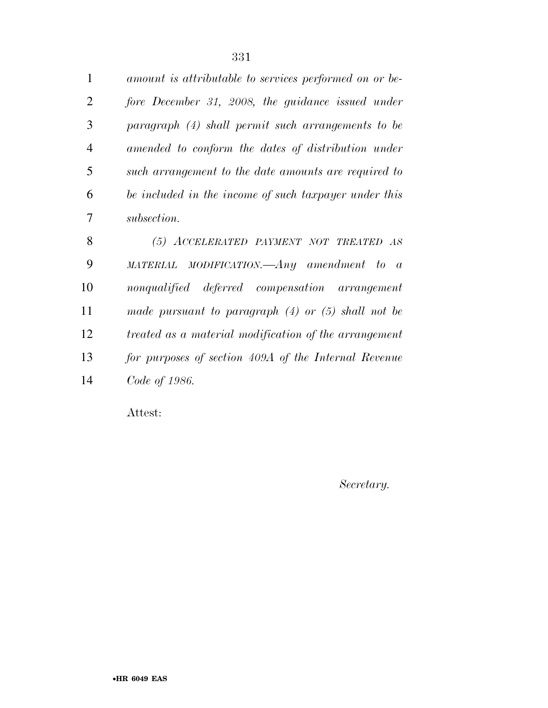| $\mathbf{1}$ | amount is attributable to services performed on or be- |
|--------------|--------------------------------------------------------|
| 2            | fore December 31, 2008, the guidance issued under      |
| 3            | paragraph (4) shall permit such arrangements to be     |
| 4            | amended to conform the dates of distribution under     |
| 5            | such arrangement to the date amounts are required to   |
| 6            | be included in the income of such taxpayer under this  |
| 7            | subsection.                                            |
| 8            | (5) ACCELERATED PAYMENT NOT TREATED AS                 |
| 9            | $MATERIAL$ MODIFICATION.— $Any$ amendment to a         |
| 10           | nonqualified deferred compensation arrangement         |
| 11           | made pursuant to paragraph $(4)$ or $(5)$ shall not be |

*treated as a material modification of the arrangement* 

*for purposes of section 409A of the Internal Revenue* 

*Secretary.* 

*Code of 1986.* 

Attest: